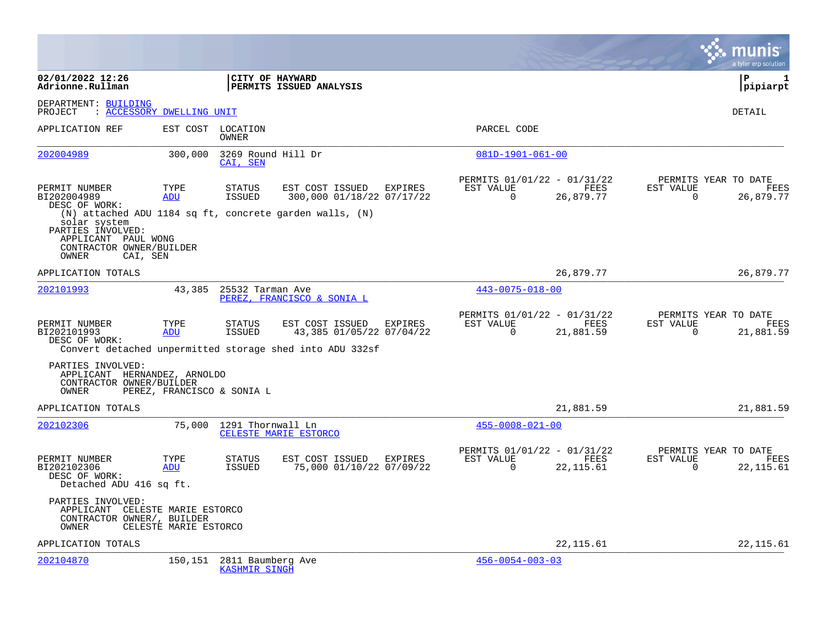|                                                                                                           |                            |                                           |                                                                                                                    |                                                         |                    |                          | a tyler erp solution                       |
|-----------------------------------------------------------------------------------------------------------|----------------------------|-------------------------------------------|--------------------------------------------------------------------------------------------------------------------|---------------------------------------------------------|--------------------|--------------------------|--------------------------------------------|
| 02/01/2022 12:26<br>Adrionne.Rullman                                                                      |                            | CITY OF HAYWARD                           | PERMITS ISSUED ANALYSIS                                                                                            |                                                         |                    |                          | l P<br>-1<br> pipiarpt                     |
| DEPARTMENT: BUILDING<br>PROJECT                                                                           | : ACCESSORY DWELLING UNIT  |                                           |                                                                                                                    |                                                         |                    |                          | DETAIL                                     |
| APPLICATION REF                                                                                           |                            | EST COST LOCATION<br>OWNER                |                                                                                                                    | PARCEL CODE                                             |                    |                          |                                            |
| 202004989                                                                                                 | 300,000                    | 3269 Round Hill Dr<br>CAI, SEN            |                                                                                                                    | $081D-1901-061-00$                                      |                    |                          |                                            |
| PERMIT NUMBER<br>BI202004989<br>DESC OF WORK:                                                             | TYPE<br>ADU                | <b>STATUS</b><br>ISSUED                   | EST COST ISSUED EXPIRES<br>300,000 01/18/22 07/17/22                                                               | PERMITS 01/01/22 - 01/31/22<br>EST VALUE<br>$\Omega$    | FEES<br>26,879.77  | EST VALUE<br>$\Omega$    | PERMITS YEAR TO DATE<br>FEES<br>26,879.77  |
| solar system<br>PARTIES INVOLVED:<br>APPLICANT PAUL WONG<br>CONTRACTOR OWNER/BUILDER<br>OWNER<br>CAI, SEN |                            |                                           | $(N)$ attached ADU 1184 sq ft, concrete garden walls, $(N)$                                                        |                                                         |                    |                          |                                            |
| APPLICATION TOTALS                                                                                        |                            |                                           |                                                                                                                    |                                                         | 26,879.77          |                          | 26,879.77                                  |
| 202101993                                                                                                 | 43,385                     | 25532 Tarman Ave                          | PEREZ, FRANCISCO & SONIA L                                                                                         | $443 - 0075 - 018 - 00$                                 |                    |                          |                                            |
| PERMIT NUMBER<br>BI202101993<br>DESC OF WORK:                                                             | TYPE<br>ADU                | <b>STATUS</b><br>ISSUED                   | EST COST ISSUED<br>EXPIRES<br>43,385 01/05/22 07/04/22<br>Convert detached unpermitted storage shed into ADU 332sf | PERMITS 01/01/22 - 01/31/22<br>EST VALUE<br>$\mathbf 0$ | FEES<br>21,881.59  | EST VALUE<br>$\mathbf 0$ | PERMITS YEAR TO DATE<br>FEES<br>21,881.59  |
| PARTIES INVOLVED:<br>APPLICANT HERNANDEZ, ARNOLDO<br>CONTRACTOR OWNER/BUILDER<br>OWNER                    | PEREZ, FRANCISCO & SONIA L |                                           |                                                                                                                    |                                                         |                    |                          |                                            |
| APPLICATION TOTALS                                                                                        |                            |                                           |                                                                                                                    |                                                         | 21,881.59          |                          | 21,881.59                                  |
| 202102306                                                                                                 |                            | 75,000 1291 Thornwall Ln                  | CELESTE MARIE ESTORCO                                                                                              | $455 - 0008 - 021 - 00$                                 |                    |                          |                                            |
| PERMIT NUMBER<br>BI202102306<br>DESC OF WORK:<br>Detached ADU 416 sq ft.                                  | TYPE<br>ADU                | <b>STATUS</b><br>ISSUED                   | EST COST ISSUED<br>EXPIRES<br>75,000 01/10/22 07/09/22                                                             | PERMITS 01/01/22 - 01/31/22<br>EST VALUE<br>$\Omega$    | FEES<br>22, 115.61 | EST VALUE<br>$\Omega$    | PERMITS YEAR TO DATE<br>FEES<br>22, 115.61 |
| PARTIES INVOLVED:<br>APPLICANT CELESTE MARIE ESTORCO<br>CONTRACTOR OWNER/, BUILDER<br>OWNER               | CELESTE MARIE ESTORCO      |                                           |                                                                                                                    |                                                         |                    |                          |                                            |
| APPLICATION TOTALS                                                                                        |                            |                                           |                                                                                                                    |                                                         | 22, 115.61         |                          | 22, 115.61                                 |
| 202104870                                                                                                 | 150,151                    | 2811 Baumberg Ave<br><b>KASHMIR SINGH</b> |                                                                                                                    | $456 - 0054 - 003 - 03$                                 |                    |                          |                                            |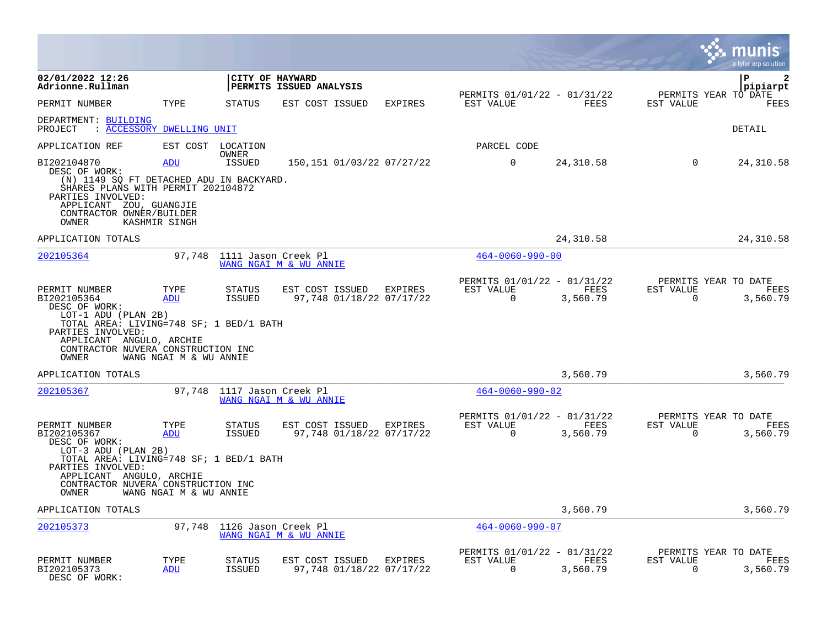|                                                                                                                                                                                                     |                             |                                |                                             |         |                                                         |                  |                          |                      | a tyler erp solutior     |
|-----------------------------------------------------------------------------------------------------------------------------------------------------------------------------------------------------|-----------------------------|--------------------------------|---------------------------------------------|---------|---------------------------------------------------------|------------------|--------------------------|----------------------|--------------------------|
| 02/01/2022 12:26<br>Adrionne.Rullman                                                                                                                                                                |                             | CITY OF HAYWARD                | PERMITS ISSUED ANALYSIS                     |         |                                                         |                  |                          | P                    | $\mathbf{2}$<br>pipiarpt |
| PERMIT NUMBER                                                                                                                                                                                       | TYPE                        | <b>STATUS</b>                  | EST COST ISSUED                             | EXPIRES | PERMITS 01/01/22 - 01/31/22<br>EST VALUE                | FEES             | EST VALUE                | PERMITS YEAR TO DATE | FEES                     |
| DEPARTMENT: BUILDING<br>: ACCESSORY DWELLING UNIT<br>PROJECT                                                                                                                                        |                             |                                |                                             |         |                                                         |                  |                          | DETAIL               |                          |
| APPLICATION REF                                                                                                                                                                                     |                             | EST COST LOCATION<br>OWNER     |                                             |         | PARCEL CODE                                             |                  |                          |                      |                          |
| BI202104870<br>DESC OF WORK:<br>(N) 1149 SQ FT DETACHED ADU IN BACKYARD.<br>SHARES PLANS WITH PERMIT 202104872<br>PARTIES INVOLVED:<br>APPLICANT ZOU, GUANGJIE<br>CONTRACTOR OWNER/BUILDER<br>OWNER | <b>ADU</b><br>KASHMIR SINGH | <b>ISSUED</b>                  | 150,151 01/03/22 07/27/22                   |         | $\mathbf 0$                                             | 24,310.58        | $\Omega$                 |                      | 24,310.58                |
| APPLICATION TOTALS                                                                                                                                                                                  |                             |                                |                                             |         |                                                         | 24, 310.58       |                          |                      | 24, 310.58               |
| 202105364                                                                                                                                                                                           |                             | 97,748 1111 Jason Creek Pl     | WANG NGAI M & WU ANNIE                      |         | $464 - 0060 - 990 - 00$                                 |                  |                          |                      |                          |
| PERMIT NUMBER<br>BI202105364<br>DESC OF WORK:<br>LOT-1 ADU (PLAN 2B)<br>TOTAL AREA: LIVING=748 SF; 1 BED/1 BATH<br>PARTIES INVOLVED:<br>APPLICANT ANGULO, ARCHIE                                    | TYPE<br>ADU                 | <b>STATUS</b><br><b>ISSUED</b> | EST COST ISSUED<br>97,748 01/18/22 07/17/22 | EXPIRES | PERMITS 01/01/22 - 01/31/22<br>EST VALUE<br>$\Omega$    | FEES<br>3,560.79 | EST VALUE<br>$\Omega$    | PERMITS YEAR TO DATE | FEES<br>3,560.79         |
| CONTRACTOR NUVERA CONSTRUCTION INC<br>OWNER                                                                                                                                                         | WANG NGAI M & WU ANNIE      |                                |                                             |         |                                                         |                  |                          |                      |                          |
| APPLICATION TOTALS                                                                                                                                                                                  |                             |                                |                                             |         |                                                         | 3,560.79         |                          |                      | 3,560.79                 |
| 202105367                                                                                                                                                                                           | 97,748                      | 1117 Jason Creek Pl            | WANG NGAI M & WU ANNIE                      |         | $464 - 0060 - 990 - 02$                                 |                  |                          |                      |                          |
| PERMIT NUMBER<br>BI202105367<br>DESC OF WORK:<br>$LOT-3 ADU (PLAN 2B)$<br>TOTAL AREA: LIVING=748 SF; 1 BED/1 BATH<br>PARTIES INVOLVED:                                                              | TYPE<br>ADU                 | <b>STATUS</b><br>ISSUED        | EST COST ISSUED<br>97,748 01/18/22 07/17/22 | EXPIRES | PERMITS 01/01/22 - 01/31/22<br>EST VALUE<br>$\mathbf 0$ | FEES<br>3,560.79 | EST VALUE<br>$\mathbf 0$ | PERMITS YEAR TO DATE | FEES<br>3,560.79         |
| APPLICANT ANGULO, ARCHIE<br>CONTRACTOR NUVERA CONSTRUCTION INC<br>OWNER                                                                                                                             | WANG NGAI M & WU ANNIE      |                                |                                             |         |                                                         |                  |                          |                      |                          |
| APPLICATION TOTALS                                                                                                                                                                                  |                             |                                |                                             |         |                                                         | 3,560.79         |                          |                      | 3,560.79                 |
| 202105373                                                                                                                                                                                           | 97,748                      | 1126 Jason Creek Pl            | WANG NGAI M & WU ANNIE                      |         | $464 - 0060 - 990 - 07$                                 |                  |                          |                      |                          |
| PERMIT NUMBER<br>BI202105373<br>DESC OF WORK:                                                                                                                                                       | TYPE<br>ADU                 | STATUS<br><b>ISSUED</b>        | EST COST ISSUED<br>97,748 01/18/22 07/17/22 | EXPIRES | PERMITS 01/01/22 - 01/31/22<br>EST VALUE<br>$\Omega$    | FEES<br>3,560.79 | EST VALUE<br>$\mathbf 0$ | PERMITS YEAR TO DATE | FEES<br>3,560.79         |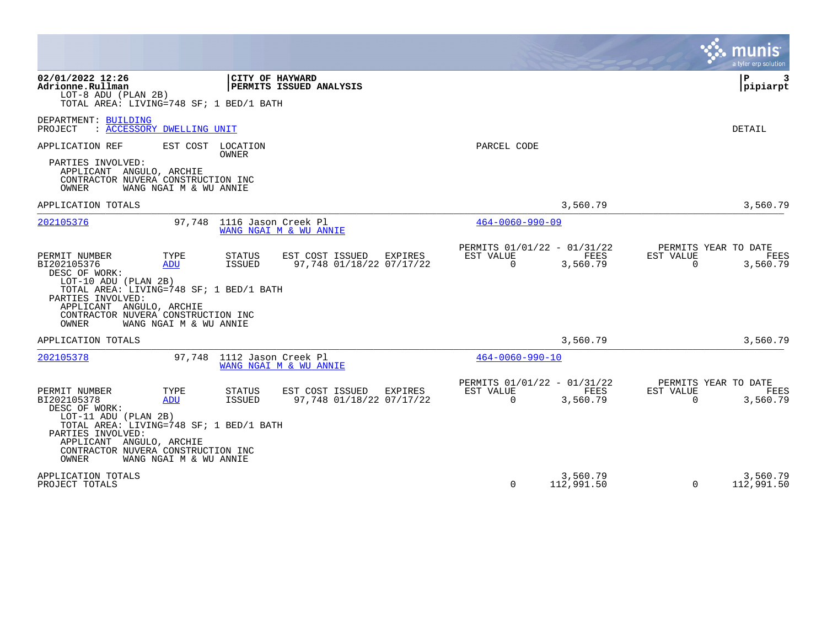|                                                                                                                                                                                                                        |                                                                                          |                                                                          | a tyler erp solution                                                 |
|------------------------------------------------------------------------------------------------------------------------------------------------------------------------------------------------------------------------|------------------------------------------------------------------------------------------|--------------------------------------------------------------------------|----------------------------------------------------------------------|
| 02/01/2022 12:26<br>Adrionne.Rullman<br>LOT-8 ADU (PLAN 2B)<br>TOTAL AREA: LIVING=748 SF; 1 BED/1 BATH                                                                                                                 | CITY OF HAYWARD<br>PERMITS ISSUED ANALYSIS                                               |                                                                          | P.<br>3<br> pipiarpt                                                 |
| DEPARTMENT: BUILDING<br>: ACCESSORY DWELLING UNIT<br>PROJECT                                                                                                                                                           |                                                                                          |                                                                          | <b>DETAIL</b>                                                        |
| APPLICATION REF<br>EST COST<br>PARTIES INVOLVED:<br>APPLICANT ANGULO, ARCHIE<br>CONTRACTOR NUVERA CONSTRUCTION INC<br>OWNER<br>WANG NGAI M & WU ANNIE                                                                  | LOCATION<br>OWNER                                                                        | PARCEL CODE                                                              |                                                                      |
| APPLICATION TOTALS                                                                                                                                                                                                     |                                                                                          | 3,560.79                                                                 | 3,560.79                                                             |
| 202105376<br>97,748                                                                                                                                                                                                    | 1116 Jason Creek Pl<br>WANG NGAI M & WU ANNIE                                            | $464 - 0060 - 990 - 09$                                                  |                                                                      |
| PERMIT NUMBER<br>TYPE<br>BI202105376<br><b>ADU</b><br>DESC OF WORK:<br>$LOT-10 ADU (PLAN 2B)$<br>TOTAL AREA: LIVING=748 SF; 1 BED/1 BATH<br>PARTIES INVOLVED:                                                          | <b>STATUS</b><br>EST COST ISSUED<br>EXPIRES<br><b>ISSUED</b><br>97.748 01/18/22 07/17/22 | PERMITS 01/01/22 - 01/31/22<br>EST VALUE<br>FEES<br>$\Omega$<br>3,560.79 | PERMITS YEAR TO DATE<br>EST VALUE<br>FEES<br>$\Omega$<br>3,560.79    |
| APPLICANT ANGULO, ARCHIE<br>CONTRACTOR NUVERA CONSTRUCTION INC<br>OWNER<br>WANG NGAI M & WU ANNIE                                                                                                                      |                                                                                          |                                                                          |                                                                      |
| APPLICATION TOTALS                                                                                                                                                                                                     |                                                                                          | 3,560.79                                                                 | 3,560.79                                                             |
| 202105378<br>97.748                                                                                                                                                                                                    | 1112 Jason Creek Pl<br>WANG NGAI M & WU ANNIE                                            | $464 - 0060 - 990 - 10$                                                  |                                                                      |
| PERMIT NUMBER<br>TYPE<br>BI202105378<br>ADU<br>DESC OF WORK:<br>LOT-11 ADU (PLAN 2B)<br>TOTAL AREA: LIVING=748 SF; 1 BED/1 BATH<br>PARTIES INVOLVED:<br>APPLICANT ANGULO, ARCHIE<br>CONTRACTOR NUVERA CONSTRUCTION INC | <b>STATUS</b><br>EST COST ISSUED<br>EXPIRES<br><b>ISSUED</b><br>97,748 01/18/22 07/17/22 | PERMITS 01/01/22 - 01/31/22<br>EST VALUE<br>FEES<br>$\Omega$<br>3,560.79 | PERMITS YEAR TO DATE<br>EST VALUE<br>FEES<br>$\mathbf 0$<br>3,560.79 |
| OWNER<br>WANG NGAI M & WU ANNIE                                                                                                                                                                                        |                                                                                          |                                                                          |                                                                      |
| APPLICATION TOTALS<br>PROJECT TOTALS                                                                                                                                                                                   |                                                                                          | 3,560.79<br>$\Omega$<br>112,991.50                                       | 3,560.79<br>$\Omega$<br>112,991.50                                   |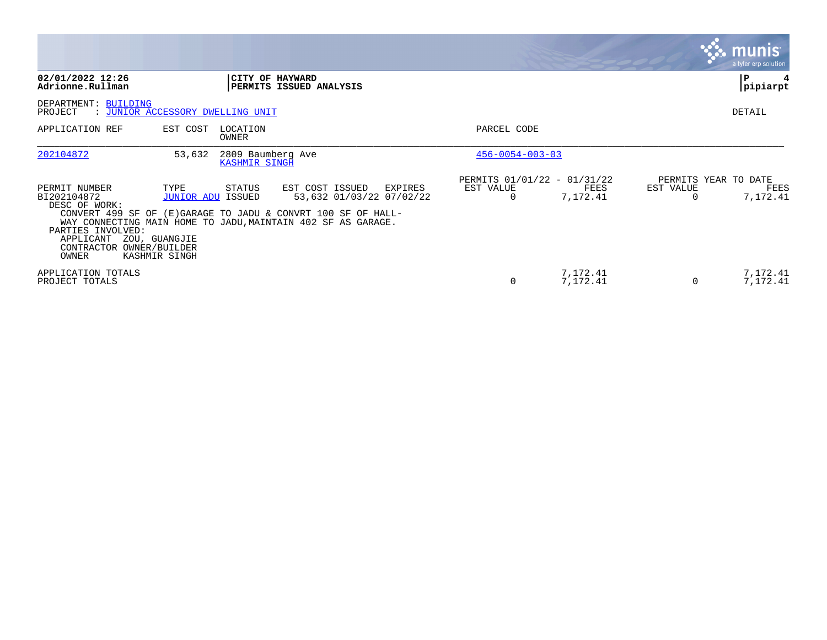|                                                                                                                      |                                                                    |                                    |                                                                                                                                                                                        |                                          |                      |           | <b>munis</b><br>a tyler erp solution     |
|----------------------------------------------------------------------------------------------------------------------|--------------------------------------------------------------------|------------------------------------|----------------------------------------------------------------------------------------------------------------------------------------------------------------------------------------|------------------------------------------|----------------------|-----------|------------------------------------------|
| 02/01/2022 12:26<br>Adrionne.Rullman                                                                                 |                                                                    | CITY OF HAYWARD                    | PERMITS ISSUED ANALYSIS                                                                                                                                                                |                                          |                      |           | P<br> pipiarpt                           |
| DEPARTMENT: BUILDING<br>PROJECT                                                                                      | : JUNIOR ACCESSORY DWELLING UNIT                                   |                                    |                                                                                                                                                                                        |                                          |                      |           | DETAIL                                   |
| APPLICATION REF                                                                                                      | EST COST                                                           | LOCATION<br>OWNER                  |                                                                                                                                                                                        | PARCEL CODE                              |                      |           |                                          |
| 202104872                                                                                                            | 53,632                                                             | 2809 Baumberg Ave<br>KASHMIR SINGH |                                                                                                                                                                                        | $456 - 0054 - 003 - 03$                  |                      |           |                                          |
| PERMIT NUMBER<br>BI202104872<br>DESC OF WORK:<br>PARTIES INVOLVED:<br>APPLICANT<br>CONTRACTOR OWNER/BUILDER<br>OWNER | TYPE<br><b>JUNIOR ADU ISSUED</b><br>ZOU, GUANGJIE<br>KASHMIR SINGH | STATUS                             | EST COST ISSUED<br>EXPIRES<br>53,632 01/03/22 07/02/22<br>CONVERT 499 SF OF (E)GARAGE TO JADU & CONVRT 100 SF OF HALL-<br>WAY CONNECTING MAIN HOME TO JADU, MAINTAIN 402 SF AS GARAGE. | PERMITS 01/01/22 - 01/31/22<br>EST VALUE | FEES<br>7,172.41     | EST VALUE | PERMITS YEAR TO DATE<br>FEES<br>7,172.41 |
| APPLICATION TOTALS<br>PROJECT TOTALS                                                                                 |                                                                    |                                    |                                                                                                                                                                                        | 0                                        | 7,172.41<br>7,172.41 | $\Omega$  | 7,172.41<br>7,172.41                     |

 $\sim$ 

The Control of the Control of

the contract of the contract of the contract of the contract of the contract of the contract of the contract of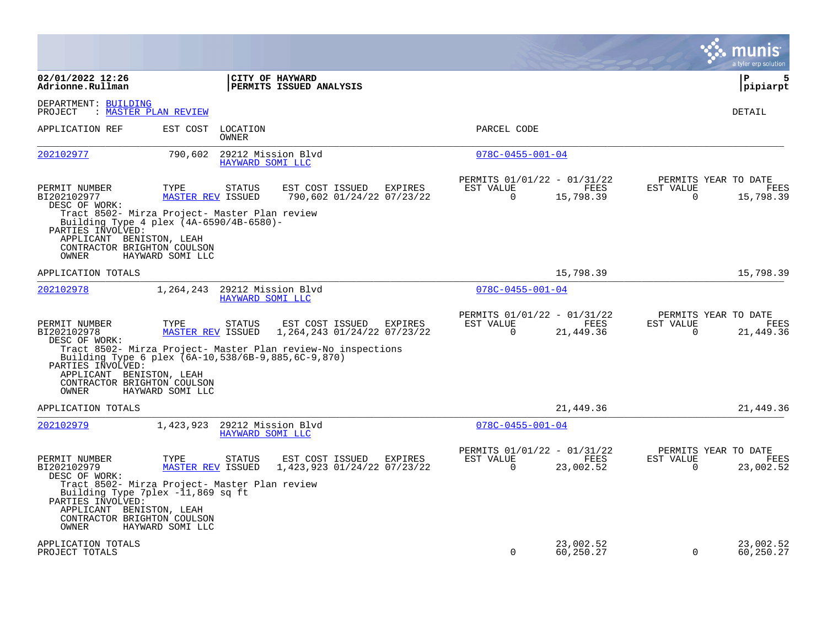|                                                                                                                                                          |                                  |                                        |                                                              |         |                                                         |                        |                          | munis<br>a tyler erp solution             |
|----------------------------------------------------------------------------------------------------------------------------------------------------------|----------------------------------|----------------------------------------|--------------------------------------------------------------|---------|---------------------------------------------------------|------------------------|--------------------------|-------------------------------------------|
| 02/01/2022 12:26<br>Adrionne.Rullman                                                                                                                     |                                  |                                        | CITY OF HAYWARD<br>PERMITS ISSUED ANALYSIS                   |         |                                                         |                        |                          | P<br>5<br> pipiarpt                       |
| DEPARTMENT: BUILDING<br>PROJECT                                                                                                                          | : MASTER PLAN REVIEW             |                                        |                                                              |         |                                                         |                        |                          | <b>DETAIL</b>                             |
| APPLICATION REF                                                                                                                                          | EST COST                         | LOCATION<br>OWNER                      |                                                              |         | PARCEL CODE                                             |                        |                          |                                           |
| 202102977                                                                                                                                                | 790,602                          | HAYWARD SOMI LLC                       | 29212 Mission Blvd                                           |         | $078C - 0455 - 001 - 04$                                |                        |                          |                                           |
| PERMIT NUMBER<br>BI202102977<br>DESC OF WORK:<br>Tract 8502- Mirza Project- Master Plan review                                                           | TYPE<br><b>MASTER REV ISSUED</b> | STATUS                                 | EST COST ISSUED<br>790,602 01/24/22 07/23/22                 | EXPIRES | PERMITS 01/01/22 - 01/31/22<br>EST VALUE<br>$\mathbf 0$ | FEES<br>15,798.39      | EST VALUE<br>$\mathbf 0$ | PERMITS YEAR TO DATE<br>FEES<br>15,798.39 |
| Building Type 4 plex (4A-6590/4B-6580)-<br>PARTIES INVOLVED:<br>APPLICANT BENISTON, LEAH<br>CONTRACTOR BRIGHTON COULSON<br>OWNER                         | HAYWARD SOMI LLC                 |                                        |                                                              |         |                                                         |                        |                          |                                           |
| APPLICATION TOTALS                                                                                                                                       |                                  |                                        |                                                              |         |                                                         | 15,798.39              |                          | 15,798.39                                 |
| 202102978                                                                                                                                                | 1,264,243                        | 29212 Mission Blvd<br>HAYWARD SOMI LLC |                                                              |         | $078C - 0455 - 001 - 04$                                |                        |                          |                                           |
| PERMIT NUMBER<br>BI202102978<br>DESC OF WORK:                                                                                                            | TYPE<br><b>MASTER REV ISSUED</b> | <b>STATUS</b>                          | EST COST ISSUED<br>1, 264, 243 01/24/22 07/23/22             | EXPIRES | PERMITS 01/01/22 - 01/31/22<br>EST VALUE<br>0           | FEES<br>21,449.36      | EST VALUE<br>0           | PERMITS YEAR TO DATE<br>FEES<br>21,449.36 |
| Building Type 6 plex (6A-10, 538/6B-9, 885, 6C-9, 870)<br>PARTIES INVOLVED:<br>APPLICANT BENISTON, LEAH<br>CONTRACTOR BRIGHTON COULSON<br>OWNER          | HAYWARD SOMI LLC                 |                                        | Tract 8502- Mirza Project- Master Plan review-No inspections |         |                                                         |                        |                          |                                           |
| APPLICATION TOTALS                                                                                                                                       |                                  |                                        |                                                              |         |                                                         | 21,449.36              |                          | 21,449.36                                 |
| 202102979                                                                                                                                                | 1,423,923                        | HAYWARD SOMI LLC                       | 29212 Mission Blvd                                           |         | $078C - 0455 - 001 - 04$                                |                        |                          |                                           |
| PERMIT NUMBER<br>BI202102979<br>DESC OF WORK:<br>Tract 8502- Mirza Project- Master Plan review<br>Building Type 7plex -11,869 sq ft<br>PARTIES INVOLVED: | TYPE<br><b>MASTER REV ISSUED</b> | STATUS                                 | EST COST ISSUED<br>1,423,923 01/24/22 07/23/22               | EXPIRES | PERMITS 01/01/22 - 01/31/22<br>EST VALUE<br>$\Omega$    | FEES<br>23,002.52      | EST VALUE<br>$\Omega$    | PERMITS YEAR TO DATE<br>FEES<br>23,002.52 |
| APPLICANT BENISTON, LEAH<br>CONTRACTOR BRIGHTON COULSON<br>OWNER                                                                                         | HAYWARD SOMI LLC                 |                                        |                                                              |         |                                                         |                        |                          |                                           |
| APPLICATION TOTALS<br>PROJECT TOTALS                                                                                                                     |                                  |                                        |                                                              |         | $\Omega$                                                | 23,002.52<br>60,250.27 | $\Omega$                 | 23,002.52<br>60,250.27                    |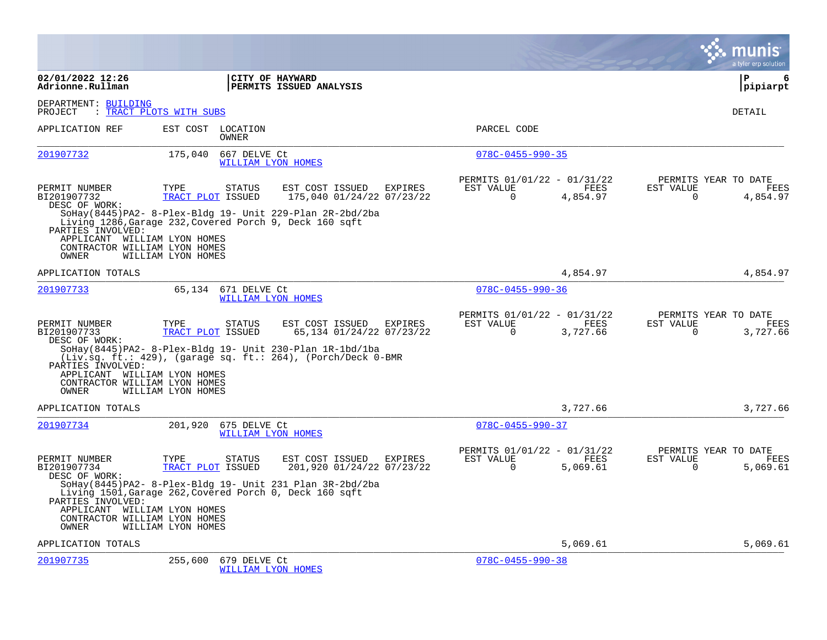|                                                                                                                                              |                                                                                                                                                                                                |                                              |                |                                                      |                         |                       | a tyler erp solution                            |
|----------------------------------------------------------------------------------------------------------------------------------------------|------------------------------------------------------------------------------------------------------------------------------------------------------------------------------------------------|----------------------------------------------|----------------|------------------------------------------------------|-------------------------|-----------------------|-------------------------------------------------|
| 02/01/2022 12:26<br>Adrionne.Rullman                                                                                                         |                                                                                                                                                                                                | CITY OF HAYWARD<br>PERMITS ISSUED ANALYSIS   |                |                                                      |                         |                       | ∣P<br>6<br> pipiarpt                            |
| DEPARTMENT: BUILDING<br>PROJECT                                                                                                              | : TRACT PLOTS WITH SUBS                                                                                                                                                                        |                                              |                |                                                      |                         |                       | DETAIL                                          |
| APPLICATION REF                                                                                                                              | EST COST LOCATION<br>OWNER                                                                                                                                                                     |                                              |                | PARCEL CODE                                          |                         |                       |                                                 |
| 201907732                                                                                                                                    | 175,040<br>667 DELVE Ct<br>WILLIAM LYON HOMES                                                                                                                                                  |                                              |                | $078C - 0455 - 990 - 35$                             |                         |                       |                                                 |
| PERMIT NUMBER<br>BI201907732<br>DESC OF WORK:<br>PARTIES INVOLVED:<br>APPLICANT WILLIAM LYON HOMES<br>CONTRACTOR WILLIAM LYON HOMES<br>OWNER | TYPE<br><b>STATUS</b><br>TRACT PLOT ISSUED<br>SoHay (8445) PA2- 8-Plex-Bldg 19- Unit 229-Plan 2R-2bd/2ba<br>Living 1286, Garage 232, Covered Porch 9, Deck 160 sqft<br>WILLIAM LYON HOMES      | EST COST ISSUED<br>175,040 01/24/22 07/23/22 | <b>EXPIRES</b> | PERMITS 01/01/22 - 01/31/22<br>EST VALUE<br>$\Omega$ | FEES<br>4,854.97        | EST VALUE<br>$\Omega$ | PERMITS YEAR TO DATE<br>FEES<br>4,854.97        |
| APPLICATION TOTALS                                                                                                                           |                                                                                                                                                                                                |                                              |                |                                                      | 4,854.97                |                       | 4,854.97                                        |
| 201907733                                                                                                                                    | 65,134 671 DELVE Ct<br>WILLIAM LYON HOMES                                                                                                                                                      |                                              |                | $078C - 0455 - 990 - 36$                             |                         |                       |                                                 |
| PERMIT NUMBER<br>BI201907733<br>DESC OF WORK:<br>PARTIES INVOLVED:<br>APPLICANT WILLIAM LYON HOMES<br>CONTRACTOR WILLIAM LYON HOMES<br>OWNER | TYPE<br><b>STATUS</b><br>TRACT PLOT ISSUED<br>SoHay(8445)PA2-8-Plex-Bldg 19- Unit 230-Plan 1R-1bd/1ba<br>$(Liv.sq. ft.: 429)$ , (garage sq. ft.: 264), (Porch/Deck 0-BMR<br>WILLIAM LYON HOMES | EST COST ISSUED<br>65,134 01/24/22 07/23/22  | EXPIRES        | PERMITS 01/01/22 - 01/31/22<br>EST VALUE<br>$\Omega$ | <b>FEES</b><br>3,727.66 | EST VALUE<br>$\Omega$ | PERMITS YEAR TO DATE<br><b>FEES</b><br>3,727.66 |
| APPLICATION TOTALS                                                                                                                           |                                                                                                                                                                                                |                                              |                |                                                      | 3,727.66                |                       | 3,727.66                                        |
| 201907734                                                                                                                                    | 201,920<br>675 DELVE Ct<br>WILLIAM LYON HOMES                                                                                                                                                  |                                              |                | $078C - 0455 - 990 - 37$                             |                         |                       |                                                 |
| PERMIT NUMBER<br>BI201907734<br>DESC OF WORK:<br>PARTIES INVOLVED:<br>APPLICANT WILLIAM LYON HOMES<br>CONTRACTOR WILLIAM LYON HOMES          | TYPE<br><b>STATUS</b><br>TRACT PLOT ISSUED<br>SoHay (8445) PA2- 8-Plex-Bldg 19- Unit 231 Plan 3R-2bd/2ba<br>Living 1501, Garage 262, Covered Porch 0, Deck 160 sqft                            | EST COST ISSUED<br>201,920 01/24/22 07/23/22 | EXPIRES        | PERMITS 01/01/22 - 01/31/22<br>EST VALUE<br>$\Omega$ | FEES<br>5,069.61        | EST VALUE<br>$\Omega$ | PERMITS YEAR TO DATE<br>FEES<br>5,069.61        |
| OWNER<br>APPLICATION TOTALS                                                                                                                  | WILLIAM LYON HOMES                                                                                                                                                                             |                                              |                |                                                      | 5,069.61                |                       | 5,069.61                                        |
| 201907735                                                                                                                                    | 255,600<br>679 DELVE Ct<br>WILLIAM LYON HOMES                                                                                                                                                  |                                              |                | $078C - 0455 - 990 - 38$                             |                         |                       |                                                 |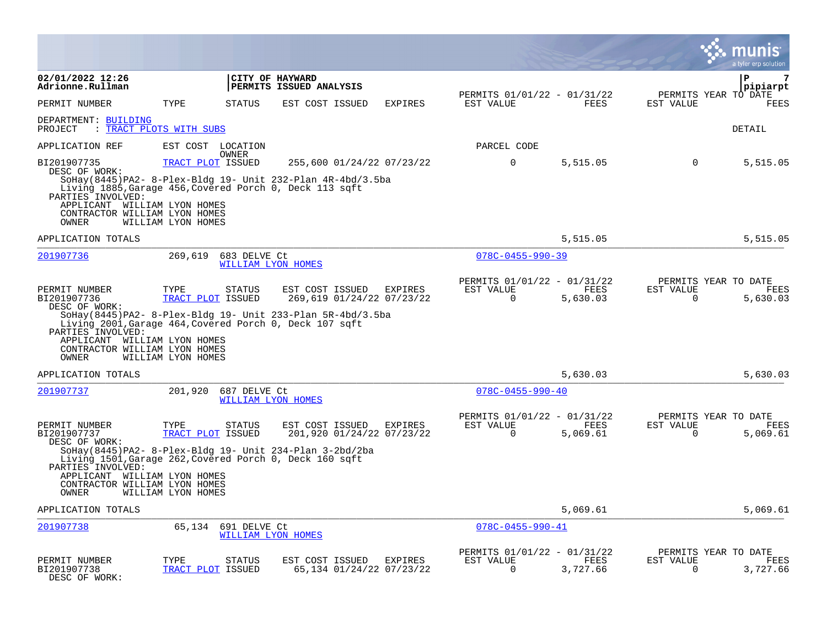|                                                                                                                                              |                                                 |               |                                                                                                                                                                         |         |                                                         |                  |                          | a tyler erp solution                            |
|----------------------------------------------------------------------------------------------------------------------------------------------|-------------------------------------------------|---------------|-------------------------------------------------------------------------------------------------------------------------------------------------------------------------|---------|---------------------------------------------------------|------------------|--------------------------|-------------------------------------------------|
| 02/01/2022 12:26<br>Adrionne.Rullman                                                                                                         |                                                 |               | CITY OF HAYWARD<br>PERMITS ISSUED ANALYSIS                                                                                                                              |         | PERMITS 01/01/22 - 01/31/22                             |                  |                          | 7<br>P<br>pipiarpt<br>PERMITS YEAR TO DATE      |
| PERMIT NUMBER                                                                                                                                | TYPE                                            | <b>STATUS</b> | EST COST ISSUED                                                                                                                                                         | EXPIRES | EST VALUE                                               | FEES             | EST VALUE                | FEES                                            |
| DEPARTMENT: BUILDING<br>PROJECT                                                                                                              | : TRACT PLOTS WITH SUBS                         |               |                                                                                                                                                                         |         |                                                         |                  |                          | DETAIL                                          |
| APPLICATION REF                                                                                                                              | EST COST LOCATION                               | <b>OWNER</b>  |                                                                                                                                                                         |         | PARCEL CODE                                             |                  |                          |                                                 |
| BI201907735<br>DESC OF WORK:<br>PARTIES INVOLVED:<br>APPLICANT WILLIAM LYON HOMES<br>CONTRACTOR WILLIAM LYON HOMES<br>OWNER                  | TRACT PLOT ISSUED<br>WILLIAM LYON HOMES         |               | 255,600 01/24/22 07/23/22<br>SoHay(8445)PA2- 8-Plex-Bldg 19- Unit 232-Plan 4R-4bd/3.5ba<br>Living 1885, Garage 456, Covered Porch 0, Deck 113 sqft                      |         | 0                                                       | 5,515.05         | $\Omega$                 | 5,515.05                                        |
| APPLICATION TOTALS                                                                                                                           |                                                 |               |                                                                                                                                                                         |         |                                                         | 5,515.05         |                          | 5,515.05                                        |
| 201907736                                                                                                                                    | 269,619                                         | 683 DELVE Ct  | WILLIAM LYON HOMES                                                                                                                                                      |         | $078C - 0455 - 990 - 39$                                |                  |                          |                                                 |
| PERMIT NUMBER<br>BI201907736<br>DESC OF WORK:<br>PARTIES INVOLVED:<br>APPLICANT WILLIAM LYON HOMES<br>CONTRACTOR WILLIAM LYON HOMES<br>OWNER | TYPE<br>TRACT PLOT ISSUED<br>WILLIAM LYON HOMES | <b>STATUS</b> | EST COST ISSUED<br>269,619 01/24/22 07/23/22<br>SoHay (8445) PA2- 8-Plex-Bldg 19- Unit 233-Plan 5R-4bd/3.5ba<br>Living 2001, Garage 464, Covered Porch 0, Deck 107 sqft | EXPIRES | PERMITS 01/01/22 - 01/31/22<br>EST VALUE<br>$\mathbf 0$ | FEES<br>5,630.03 | EST VALUE<br>$\mathbf 0$ | PERMITS YEAR TO DATE<br><b>FEES</b><br>5,630.03 |
| APPLICATION TOTALS                                                                                                                           |                                                 |               |                                                                                                                                                                         |         |                                                         | 5,630.03         |                          | 5,630.03                                        |
| 201907737                                                                                                                                    | 201,920                                         | 687 DELVE Ct  | WILLIAM LYON HOMES                                                                                                                                                      |         | $078C - 0455 - 990 - 40$                                |                  |                          |                                                 |
| PERMIT NUMBER<br>BI201907737<br>DESC OF WORK:<br>PARTIES INVOLVED:<br>APPLICANT WILLIAM LYON HOMES<br>CONTRACTOR WILLIAM LYON HOMES<br>OWNER | TYPE<br>TRACT PLOT ISSUED<br>WILLIAM LYON HOMES | STATUS        | EST COST ISSUED<br>201,920 01/24/22 07/23/22<br>SoHay (8445) PA2- 8-Plex-Bldg 19- Unit 234-Plan 3-2bd/2ba<br>Living 1501, Garage 262, Covered Porch 0, Deck 160 sqft    | EXPIRES | PERMITS 01/01/22 - 01/31/22<br>EST VALUE<br>0           | FEES<br>5,069.61 | EST VALUE<br>0           | PERMITS YEAR TO DATE<br>FEES<br>5,069.61        |
| APPLICATION TOTALS                                                                                                                           |                                                 |               |                                                                                                                                                                         |         |                                                         | 5,069.61         |                          | 5,069.61                                        |
| 201907738                                                                                                                                    | 65,134                                          | 691 DELVE Ct  | <b>WILLIAM LYON HOMES</b>                                                                                                                                               |         | $078C - 0455 - 990 - 41$                                |                  |                          |                                                 |
| PERMIT NUMBER<br>BI201907738<br>DESC OF WORK:                                                                                                | TYPE<br>TRACT PLOT ISSUED                       | STATUS        | EST COST ISSUED<br>65,134 01/24/22 07/23/22                                                                                                                             | EXPIRES | PERMITS 01/01/22 - 01/31/22<br>EST VALUE<br>$\Omega$    | FEES<br>3,727.66 | EST VALUE<br>$\mathbf 0$ | PERMITS YEAR TO DATE<br>FEES<br>3,727.66        |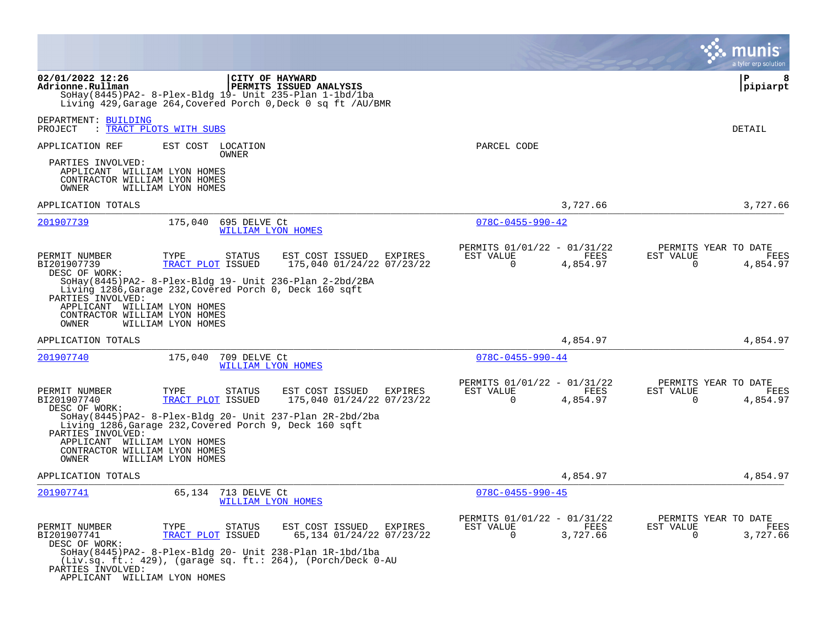|                                                                                                                                                                                                                                                                                                                                                            | munis<br>a tyler erp solution                                                                                                                                                                                              |
|------------------------------------------------------------------------------------------------------------------------------------------------------------------------------------------------------------------------------------------------------------------------------------------------------------------------------------------------------------|----------------------------------------------------------------------------------------------------------------------------------------------------------------------------------------------------------------------------|
| 02/01/2022 12:26<br>CITY OF HAYWARD<br>PERMITS ISSUED ANALYSIS<br>Adrionne.Rullman<br>$S$ OHay(8445)PA2- 8-Plex-Bldg 19- Unit 235-Plan 1-1bd/1ba<br>Living 429, Garage 264, Covered Porch 0, Deck 0 sq ft / AU/BMR                                                                                                                                         | P<br>8<br> pipiarpt                                                                                                                                                                                                        |
| DEPARTMENT: BUILDING<br>PROJECT<br>: TRACT PLOTS WITH SUBS                                                                                                                                                                                                                                                                                                 | DETAIL                                                                                                                                                                                                                     |
| APPLICATION REF<br>EST COST LOCATION<br>OWNER<br>PARTIES INVOLVED:<br>APPLICANT WILLIAM LYON HOMES<br>CONTRACTOR WILLIAM LYON HOMES<br><b>OWNER</b><br>WILLIAM LYON HOMES                                                                                                                                                                                  | PARCEL CODE                                                                                                                                                                                                                |
| APPLICATION TOTALS                                                                                                                                                                                                                                                                                                                                         | 3,727.66<br>3,727.66                                                                                                                                                                                                       |
| 201907739<br>175,040<br>695 DELVE Ct<br>WILLIAM LYON HOMES                                                                                                                                                                                                                                                                                                 | $078C - 0455 - 990 - 42$                                                                                                                                                                                                   |
| PERMIT NUMBER<br>EST COST ISSUED<br>TYPE<br>STATUS<br>BI201907739<br>TRACT PLOT ISSUED<br>DESC OF WORK:<br>SoHay(8445)PA2- 8-Plex-Bldg 19- Unit 236-Plan 2-2bd/2BA<br>Living 1286, Garage 232, Covered Porch 0, Deck 160 sqft<br>PARTIES INVOLVED:<br>APPLICANT WILLIAM LYON HOMES<br>CONTRACTOR WILLIAM LYON HOMES<br><b>OWNER</b><br>WILLIAM LYON HOMES  | PERMITS 01/01/22 - 01/31/22<br>PERMITS YEAR TO DATE<br>EST VALUE<br>FEES<br>EXPIRES<br>EST VALUE<br>FEES<br>175,040 01/24/22 07/23/22<br>$\Omega$<br>4,854.97<br>$\Omega$<br>4,854.97                                      |
| APPLICATION TOTALS                                                                                                                                                                                                                                                                                                                                         | 4,854.97<br>4,854.97                                                                                                                                                                                                       |
| 201907740<br>175,040<br>709 DELVE Ct<br>WILLIAM LYON HOMES                                                                                                                                                                                                                                                                                                 | $078C - 0455 - 990 - 44$                                                                                                                                                                                                   |
| PERMIT NUMBER<br>EST COST ISSUED<br>TYPE<br><b>STATUS</b><br>BI201907740<br>TRACT PLOT ISSUED<br>DESC OF WORK:<br>SoHay(8445)PA2- 8-Plex-Bldq 20- Unit 237-Plan 2R-2bd/2ba<br>Living 1286, Garage 232, Covered Porch 9, Deck 160 sqft<br>PARTIES INVOLVED:<br>APPLICANT WILLIAM LYON HOMES<br>CONTRACTOR WILLIAM LYON HOMES<br>OWNER<br>WILLIAM LYON HOMES | PERMITS 01/01/22 - 01/31/22<br>PERMITS YEAR TO DATE<br>EST VALUE<br>EST VALUE<br><b>EXPIRES</b><br>FEES<br>FEES<br>175,040 01/24/22 07/23/22<br>$\Omega$<br>4,854.97<br>0<br>4,854.97                                      |
| APPLICATION TOTALS                                                                                                                                                                                                                                                                                                                                         | 4,854.97<br>4,854.97                                                                                                                                                                                                       |
| 201907741<br>65,134<br>713 DELVE Ct<br>WILLIAM LYON HOMES<br>PERMIT NUMBER<br><b>STATUS</b><br>EST COST ISSUED<br>TYPE<br>BI201907741<br>TRACT PLOT ISSUED<br>DESC OF WORK:<br>$Sohay(8445)$ PA2- 8-Plex-Bldg 20- Unit 238-Plan $1R-1bd/1ba$<br>(Liv.sq. ft.: 429), (garage sq. ft.: 264), (Porch/Deck 0-AU<br>PARTIES INVOLVED:                           | $078C - 0455 - 990 - 45$<br>PERMITS 01/01/22 - 01/31/22<br>PERMITS YEAR TO DATE<br><b>EXPIRES</b><br>EST VALUE<br>FEES<br>EST VALUE<br>FEES<br>$\Omega$<br>3,727.66<br>$\mathbf 0$<br>65,134 01/24/22 07/23/22<br>3,727.66 |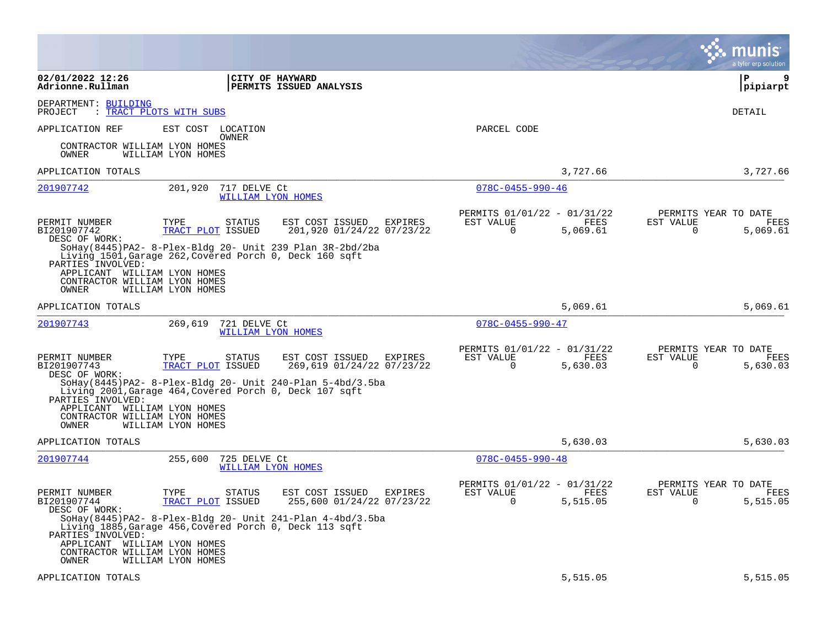|                                                                                                                                                                                                             |                                                      |                                                         |                                                         |                  | a tyler erp solution                                                     |
|-------------------------------------------------------------------------------------------------------------------------------------------------------------------------------------------------------------|------------------------------------------------------|---------------------------------------------------------|---------------------------------------------------------|------------------|--------------------------------------------------------------------------|
| 02/01/2022 12:26<br>Adrionne.Rullman                                                                                                                                                                        | CITY OF HAYWARD                                      | PERMITS ISSUED ANALYSIS                                 |                                                         |                  | ΙP<br>9<br> pipiarpt                                                     |
| DEPARTMENT: BUILDING<br>: TRACT PLOTS WITH SUBS<br>PROJECT                                                                                                                                                  |                                                      |                                                         |                                                         |                  | DETAIL                                                                   |
| APPLICATION REF                                                                                                                                                                                             | EST COST LOCATION<br>OWNER                           |                                                         | PARCEL CODE                                             |                  |                                                                          |
| CONTRACTOR WILLIAM LYON HOMES<br>OWNER<br>WILLIAM LYON HOMES                                                                                                                                                |                                                      |                                                         |                                                         |                  |                                                                          |
| APPLICATION TOTALS                                                                                                                                                                                          |                                                      |                                                         |                                                         | 3,727.66         | 3,727.66                                                                 |
| 201907742                                                                                                                                                                                                   | 201,920<br>717 DELVE Ct<br><b>WILLIAM LYON HOMES</b> |                                                         | $078C - 0455 - 990 - 46$                                |                  |                                                                          |
| PERMIT NUMBER<br>TYPE<br>BI201907742<br>DESC OF WORK:<br>SoHay(8445)PA2- 8-Plex-Bldg 20- Unit 239 Plan 3R-2bd/2ba                                                                                           | STATUS<br>TRACT PLOT ISSUED                          | EST COST ISSUED<br>EXPIRES<br>201,920 01/24/22 07/23/22 | PERMITS 01/01/22 - 01/31/22<br>EST VALUE<br>$\mathbf 0$ | FEES<br>5,069.61 | PERMITS YEAR TO DATE<br>FEES<br>EST VALUE<br>$\mathbf 0$<br>5,069.61     |
| Living 1501, Garage 262, Covered Porch 0, Deck 160 sqft<br>PARTIES INVOLVED:<br>APPLICANT WILLIAM LYON HOMES<br>CONTRACTOR WILLIAM LYON HOMES<br>WILLIAM LYON HOMES<br>OWNER                                |                                                      |                                                         |                                                         |                  |                                                                          |
| APPLICATION TOTALS                                                                                                                                                                                          |                                                      |                                                         |                                                         | 5,069.61         | 5,069.61                                                                 |
| 201907743                                                                                                                                                                                                   | 269,619<br>721 DELVE Ct<br>WILLIAM LYON HOMES        |                                                         | $078C - 0455 - 990 - 47$                                |                  |                                                                          |
| PERMIT NUMBER<br>TYPE<br>BI201907743<br>DESC OF WORK:                                                                                                                                                       | <b>STATUS</b><br>TRACT PLOT ISSUED                   | EST COST ISSUED<br>EXPIRES<br>269,619 01/24/22 07/23/22 | PERMITS 01/01/22 - 01/31/22<br>EST VALUE<br>0           | FEES<br>5,630.03 | PERMITS YEAR TO DATE<br>EST VALUE<br>FEES<br>5,630.03<br>0               |
| SoHay(8445)PA2- 8-Plex-Bldg 20- Unit 240-Plan 5-4bd/3.5ba<br>Living 2001, Garage 464, Covered Porch 0, Deck 107 sqft<br>PARTIES INVOLVED:<br>APPLICANT WILLIAM LYON HOMES<br>CONTRACTOR WILLIAM LYON HOMES  |                                                      |                                                         |                                                         |                  |                                                                          |
| OWNER<br>WILLIAM LYON HOMES                                                                                                                                                                                 |                                                      |                                                         |                                                         |                  |                                                                          |
| APPLICATION TOTALS                                                                                                                                                                                          |                                                      |                                                         |                                                         | 5,630.03         | 5,630.03                                                                 |
| 201907744                                                                                                                                                                                                   | 725 DELVE Ct<br>255,600<br>WILLIAM LYON HOMES        |                                                         | $078C - 0455 - 990 - 48$                                |                  |                                                                          |
| PERMIT NUMBER<br>TYPE<br>BI201907744<br>DESC OF WORK:                                                                                                                                                       | STATUS<br>TRACT PLOT ISSUED                          | EST COST ISSUED<br>EXPIRES<br>255,600 01/24/22 07/23/22 | PERMITS 01/01/22 - 01/31/22<br>EST VALUE<br>$\Omega$    | FEES<br>5,515.05 | PERMITS YEAR TO DATE<br>EST VALUE<br><b>FEES</b><br>5,515.05<br>$\Omega$ |
| SoHay(8445)PA2-8-Plex-Bldg 20- Unit 241-Plan $4-4bd/3.5ba$<br>Living 1885, Garage 456, Covered Porch 0, Deck 113 sqft<br>PARTIES INVOLVED:<br>APPLICANT WILLIAM LYON HOMES<br>CONTRACTOR WILLIAM LYON HOMES |                                                      |                                                         |                                                         |                  |                                                                          |
| OWNER<br>WILLIAM LYON HOMES<br>APPLICATION TOTALS                                                                                                                                                           |                                                      |                                                         |                                                         | 5,515.05         | 5,515.05                                                                 |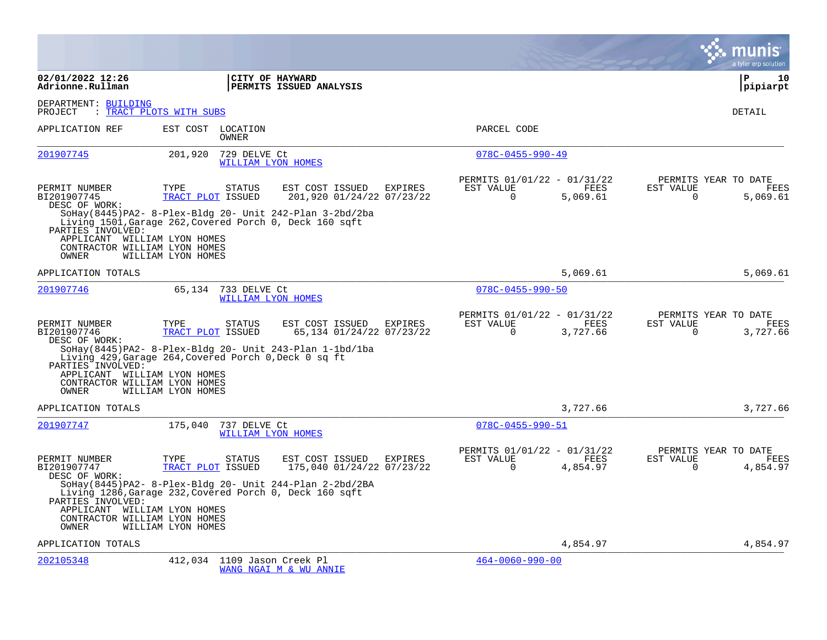|                                                                                             |                                                                                                                                                                              |                                             |                                                            |                  |                          | a tyler erp solution                     |
|---------------------------------------------------------------------------------------------|------------------------------------------------------------------------------------------------------------------------------------------------------------------------------|---------------------------------------------|------------------------------------------------------------|------------------|--------------------------|------------------------------------------|
| 02/01/2022 12:26<br>Adrionne.Rullman                                                        | CITY OF HAYWARD<br>PERMITS ISSUED ANALYSIS                                                                                                                                   |                                             |                                                            |                  |                          | l P<br>10<br>pipiarpt                    |
| DEPARTMENT: BUILDING<br>PROJECT                                                             | : TRACT PLOTS WITH SUBS                                                                                                                                                      |                                             |                                                            |                  |                          | DETAIL                                   |
| APPLICATION REF                                                                             | EST COST LOCATION<br><b>OWNER</b>                                                                                                                                            |                                             | PARCEL CODE                                                |                  |                          |                                          |
| 201907745                                                                                   | 201,920<br>729 DELVE Ct<br>WILLIAM LYON HOMES                                                                                                                                |                                             | $078C - 0455 - 990 - 49$                                   |                  |                          |                                          |
| PERMIT NUMBER<br>BI201907745<br>DESC OF WORK:<br>PARTIES INVOLVED:                          | TYPE<br>STATUS<br>EST COST ISSUED<br>TRACT PLOT ISSUED<br>SoHay(8445)PA2- 8-Plex-Bldg 20- Unit 242-Plan 3-2bd/2ba<br>Living 1501, Garage 262, Covered Porch 0, Deck 160 sqft | EXPIRES<br>201,920 01/24/22 07/23/22        | PERMITS 01/01/22 - 01/31/22<br>EST VALUE<br>$\mathbf 0$    | FEES<br>5,069.61 | EST VALUE<br>$\mathbf 0$ | PERMITS YEAR TO DATE<br>FEES<br>5,069.61 |
| APPLICANT WILLIAM LYON HOMES<br>CONTRACTOR WILLIAM LYON HOMES<br>OWNER                      | WILLIAM LYON HOMES                                                                                                                                                           |                                             |                                                            |                  |                          |                                          |
| APPLICATION TOTALS                                                                          |                                                                                                                                                                              |                                             |                                                            | 5,069.61         |                          | 5,069.61                                 |
| 201907746                                                                                   | 65,134<br>733 DELVE Ct<br>WILLIAM LYON HOMES                                                                                                                                 |                                             | $078C - 0455 - 990 - 50$                                   |                  |                          |                                          |
| PERMIT NUMBER<br>BI201907746<br>DESC OF WORK:                                               | <b>STATUS</b><br>EST COST ISSUED<br>TYPE<br>TRACT PLOT ISSUED<br>SoHay(8445)PA2- 8-Plex-Bldg 20- Unit 243-Plan $1-\frac{1}{d}$                                               | EXPIRES<br>65,134 01/24/22 07/23/22         | PERMITS 01/01/22 - 01/31/22<br>EST VALUE<br>$\overline{0}$ | FEES<br>3,727.66 | EST VALUE<br>$\mathbf 0$ | PERMITS YEAR TO DATE<br>FEES<br>3,727.66 |
| PARTIES INVOLVED:<br>APPLICANT WILLIAM LYON HOMES<br>CONTRACTOR WILLIAM LYON HOMES<br>OWNER | Living 429, Garage 264, Covered Porch 0, Deck 0 sq ft<br>WILLIAM LYON HOMES                                                                                                  |                                             |                                                            |                  |                          |                                          |
| APPLICATION TOTALS                                                                          |                                                                                                                                                                              |                                             |                                                            | 3,727.66         |                          | 3,727.66                                 |
| 201907747                                                                                   | 175,040<br>737 DELVE Ct<br>WILLIAM LYON HOMES                                                                                                                                |                                             | $078C - 0455 - 990 - 51$                                   |                  |                          |                                          |
| PERMIT NUMBER<br>BI201907747<br>DESC OF WORK:                                               | TYPE<br><b>STATUS</b><br>EST COST ISSUED<br>TRACT PLOT ISSUED                                                                                                                | <b>EXPIRES</b><br>175,040 01/24/22 07/23/22 | PERMITS 01/01/22 - 01/31/22<br>EST VALUE<br>$\Omega$       | FEES<br>4,854.97 | EST VALUE<br>$\Omega$    | PERMITS YEAR TO DATE<br>FEES<br>4,854.97 |
| PARTIES INVOLVED:<br>APPLICANT WILLIAM LYON HOMES<br>CONTRACTOR WILLIAM LYON HOMES<br>OWNER | SoHay (8445) PA2- 8-Plex-Bldg 20- Unit 244-Plan $2$ -2bd/2BA<br>Living 1286, Garage 232, Covered Porch 0, Deck 160 sqft<br>WILLIAM LYON HOMES                                |                                             |                                                            |                  |                          |                                          |
| APPLICATION TOTALS                                                                          |                                                                                                                                                                              |                                             |                                                            | 4,854.97         |                          | 4,854.97                                 |
| 202105348                                                                                   | 412,034 1109 Jason Creek Pl<br>WANG NGAI M & WU ANNIE                                                                                                                        |                                             | $464 - 0060 - 990 - 00$                                    |                  |                          |                                          |

 $\sim$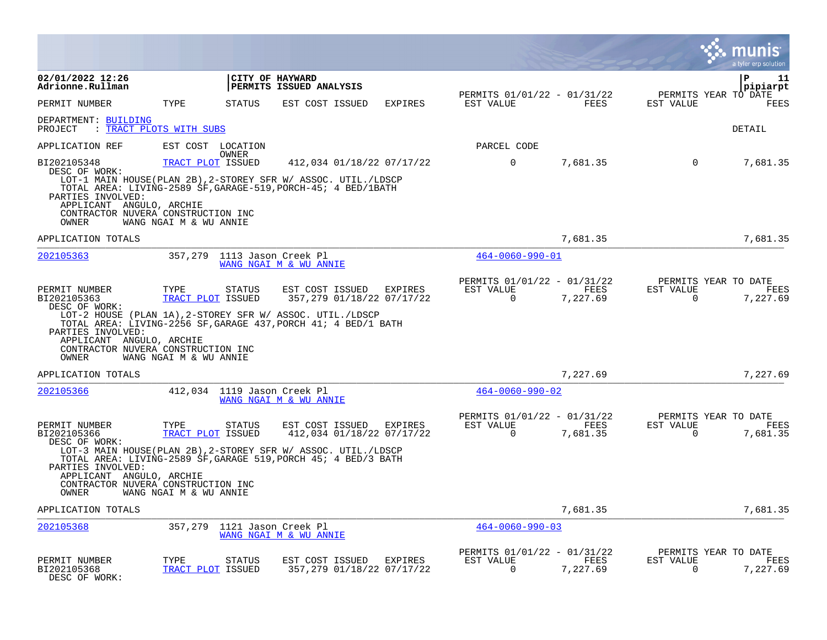|                                                                                                                                                                                                                                                                                  |                                                     |                                   |                                                      |                |                                                      |                  |                          | INIS<br>a tyler erp solution             |
|----------------------------------------------------------------------------------------------------------------------------------------------------------------------------------------------------------------------------------------------------------------------------------|-----------------------------------------------------|-----------------------------------|------------------------------------------------------|----------------|------------------------------------------------------|------------------|--------------------------|------------------------------------------|
| 02/01/2022 12:26<br>Adrionne.Rullman                                                                                                                                                                                                                                             |                                                     | CITY OF HAYWARD                   | PERMITS ISSUED ANALYSIS                              |                |                                                      |                  |                          | l P<br>11<br>pipiarpt                    |
| PERMIT NUMBER                                                                                                                                                                                                                                                                    | TYPE                                                | <b>STATUS</b>                     | EST COST ISSUED                                      | <b>EXPIRES</b> | PERMITS 01/01/22 - 01/31/22<br>EST VALUE             | <b>FEES</b>      | EST VALUE                | PERMITS YEAR TO DATE<br>FEES             |
| DEPARTMENT: BUILDING<br>: TRACT PLOTS WITH SUBS<br>PROJECT                                                                                                                                                                                                                       |                                                     |                                   |                                                      |                |                                                      |                  |                          | <b>DETAIL</b>                            |
| APPLICATION REF                                                                                                                                                                                                                                                                  |                                                     | EST COST LOCATION<br><b>OWNER</b> |                                                      |                | PARCEL CODE                                          |                  |                          |                                          |
| BI202105348<br>DESC OF WORK:<br>LOT-1 MAIN HOUSE(PLAN 2B), 2-STOREY SFR W/ ASSOC. UTIL./LDSCP<br>TOTAL AREA: LIVING-2589 SF, GARAGE-519, PORCH-45; 4 BED/1BATH<br>PARTIES INVOLVED:<br>APPLICANT ANGULO, ARCHIE<br>CONTRACTOR NUVERA CONSTRUCTION INC<br>OWNER                   | TRACT PLOT ISSUED<br>WANG NGAI M & WU ANNIE         |                                   | 412,034 01/18/22 07/17/22                            |                | $\mathbf 0$                                          | 7,681.35         | $\Omega$                 | 7,681.35                                 |
| APPLICATION TOTALS                                                                                                                                                                                                                                                               |                                                     |                                   |                                                      |                |                                                      | 7,681.35         |                          | 7,681.35                                 |
| 202105363                                                                                                                                                                                                                                                                        | 357,279                                             | 1113 Jason Creek Pl               | WANG NGAI M & WU ANNIE                               |                | $464 - 0060 - 990 - 01$                              |                  |                          |                                          |
| PERMIT NUMBER<br>BI202105363<br>DESC OF WORK:<br>LOT-2 HOUSE (PLAN 1A), 2-STOREY SFR W/ ASSOC. UTIL./LDSCP<br>TOTAL AREA: LIVING-2256 SF, GARAGE 437, PORCH 41; 4 BED/1 BATH<br>PARTIES INVOLVED:<br>APPLICANT ANGULO, ARCHIE<br>CONTRACTOR NUVERA CONSTRUCTION INC<br>OWNER     | TYPE<br>TRACT PLOT ISSUED<br>WANG NGAI M & WU ANNIE | STATUS                            | EST COST ISSUED<br>357,279 01/18/22 07/17/22         | <b>EXPIRES</b> | PERMITS 01/01/22 - 01/31/22<br>EST VALUE<br>$\Omega$ | FEES<br>7,227.69 | EST VALUE<br>$\mathbf 0$ | PERMITS YEAR TO DATE<br>FEES<br>7,227.69 |
| APPLICATION TOTALS                                                                                                                                                                                                                                                               |                                                     |                                   |                                                      |                |                                                      | 7,227.69         |                          | 7,227.69                                 |
| 202105366                                                                                                                                                                                                                                                                        | 412,034                                             | 1119 Jason Creek Pl               | WANG NGAI M & WU ANNIE                               |                | $464 - 0060 - 990 - 02$                              |                  |                          |                                          |
| PERMIT NUMBER<br>BI202105366<br>DESC OF WORK:<br>LOT-3 MAIN HOUSE(PLAN 2B), 2-STOREY SFR W/ ASSOC. UTIL./LDSCP<br>TOTAL AREA: LIVING-2589 SF, GARAGE 519, PORCH 45; 4 BED/3 BATH<br>PARTIES INVOLVED:<br>APPLICANT ANGULO, ARCHIE<br>CONTRACTOR NUVERA CONSTRUCTION INC<br>OWNER | TYPE<br>TRACT PLOT ISSUED<br>WANG NGAI M & WU ANNIE | <b>STATUS</b>                     | EST COST ISSUED<br>412,034 01/18/22 07/17/22         | EXPIRES        | PERMITS 01/01/22 - 01/31/22<br>EST VALUE<br>$\Omega$ | FEES<br>7,681.35 | EST VALUE<br>$\mathbf 0$ | PERMITS YEAR TO DATE<br>FEES<br>7,681.35 |
| APPLICATION TOTALS                                                                                                                                                                                                                                                               |                                                     |                                   |                                                      |                |                                                      | 7,681.35         |                          | 7,681.35                                 |
| 202105368                                                                                                                                                                                                                                                                        | 357,279                                             | 1121 Jason Creek Pl               | WANG NGAI M & WU ANNIE                               |                | $464 - 0060 - 990 - 03$                              |                  |                          |                                          |
| PERMIT NUMBER<br>BI202105368<br>DESC OF WORK:                                                                                                                                                                                                                                    | TYPE<br>TRACT PLOT ISSUED                           | STATUS                            | EST COST ISSUED EXPIRES<br>357,279 01/18/22 07/17/22 |                | PERMITS 01/01/22 - 01/31/22<br>EST VALUE<br>$\Omega$ | FEES<br>7,227.69 | EST VALUE<br>$\Omega$    | PERMITS YEAR TO DATE<br>FEES<br>7,227.69 |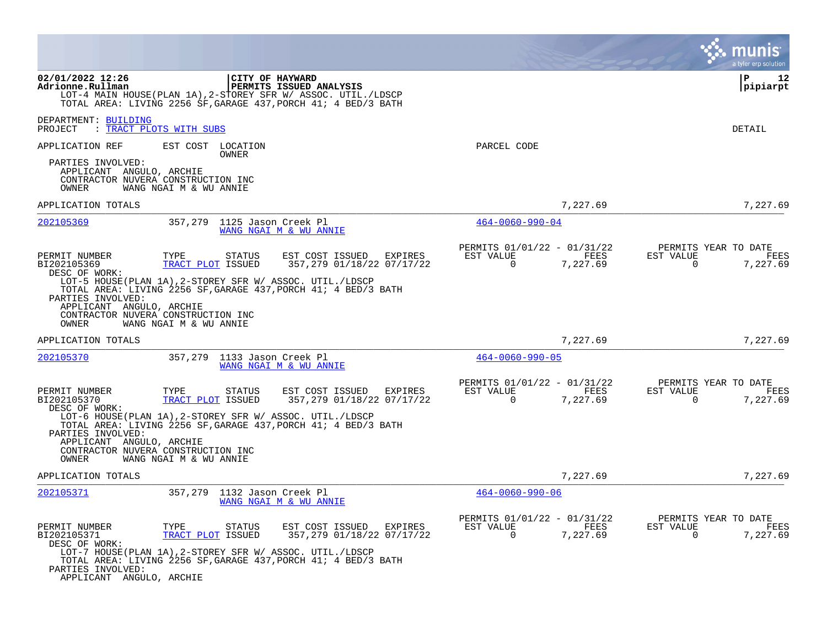|                                                                                                                                               |                                                     |                                       |                                                                                                                                                                                                                 |                                                                          |                  |                             | a tyler erp solution                     |
|-----------------------------------------------------------------------------------------------------------------------------------------------|-----------------------------------------------------|---------------------------------------|-----------------------------------------------------------------------------------------------------------------------------------------------------------------------------------------------------------------|--------------------------------------------------------------------------|------------------|-----------------------------|------------------------------------------|
| 02/01/2022 12:26<br>Adrionne.Rullman                                                                                                          |                                                     |                                       | CITY OF HAYWARD<br>PERMITS ISSUED ANALYSIS<br>LOT-4 MAIN HOUSE(PLAN 1A), 2-STOREY SFR W/ ASSOC. UTIL./LDSCP<br>TOTAL AREA: LIVING 2256 SF, GARAGE 437, PORCH 41; 4 BED/3 BATH                                   |                                                                          |                  |                             | $\mathbf{P}$<br>12<br> pipiarpt          |
| DEPARTMENT: BUILDING<br>: TRACT PLOTS WITH SUBS<br>PROJECT                                                                                    |                                                     |                                       |                                                                                                                                                                                                                 |                                                                          |                  |                             | <b>DETAIL</b>                            |
| APPLICATION REF<br>PARTIES INVOLVED:<br>APPLICANT ANGULO, ARCHIE<br>CONTRACTOR NUVERA CONSTRUCTION INC<br>OWNER                               | EST COST LOCATION<br>WANG NGAI M & WU ANNIE         | OWNER                                 |                                                                                                                                                                                                                 | PARCEL CODE                                                              |                  |                             |                                          |
| APPLICATION TOTALS                                                                                                                            |                                                     |                                       |                                                                                                                                                                                                                 |                                                                          | 7,227.69         |                             | 7,227.69                                 |
| 202105369                                                                                                                                     |                                                     | 357,279 1125 Jason Creek Pl           | WANG NGAI M & WU ANNIE                                                                                                                                                                                          | $464 - 0060 - 990 - 04$                                                  |                  |                             |                                          |
| PERMIT NUMBER<br>BI202105369<br>DESC OF WORK:<br>PARTIES INVOLVED:<br>APPLICANT ANGULO, ARCHIE<br>CONTRACTOR NUVERA CONSTRUCTION INC          | TYPE<br>TRACT PLOT ISSUED                           | STATUS                                | EST COST ISSUED<br>EXPIRES<br>357,279 01/18/22 07/17/22<br>LOT-5 HOUSE(PLAN 1A), 2-STOREY SFR W/ ASSOC. UTIL./LDSCP<br>TOTAL AREA: LIVING 2256 SF, GARAGE 437, PORCH 41; 4 BED/3 BATH                           | PERMITS 01/01/22 - 01/31/22<br>EST VALUE<br>$\overline{0}$               | FEES<br>7,227.69 | EST VALUE<br>$\overline{0}$ | PERMITS YEAR TO DATE<br>FEES<br>7,227.69 |
| OWNER<br>APPLICATION TOTALS                                                                                                                   | WANG NGAI M & WU ANNIE                              |                                       |                                                                                                                                                                                                                 |                                                                          | 7,227.69         |                             | 7,227.69                                 |
| 202105370                                                                                                                                     |                                                     | 357,279 1133 Jason Creek Pl           | WANG NGAI M & WU ANNIE                                                                                                                                                                                          | $464 - 0060 - 990 - 05$                                                  |                  |                             |                                          |
| PERMIT NUMBER<br>BI202105370<br>DESC OF WORK:<br>PARTIES INVOLVED:<br>APPLICANT ANGULO, ARCHIE<br>CONTRACTOR NUVERA CONSTRUCTION INC<br>OWNER | TYPE<br>TRACT PLOT ISSUED<br>WANG NGAI M & WU ANNIE | STATUS                                | EST COST ISSUED<br>EXPIRES<br>357,279 01/18/22 07/17/22<br>LOT-6 HOUSE(PLAN 1A), 2-STOREY SFR W/ ASSOC. UTIL./LDSCP<br>TOTAL AREA: LIVING 2256 SF, GARAGE 437, PORCH 41; 4 BED/3 BATH                           | PERMITS 01/01/22 - 01/31/22<br>EST VALUE<br>$\Omega$                     | FEES<br>7,227.69 | EST VALUE<br>0              | PERMITS YEAR TO DATE<br>FEES<br>7,227.69 |
| APPLICATION TOTALS                                                                                                                            |                                                     |                                       |                                                                                                                                                                                                                 |                                                                          | 7,227.69         |                             | 7,227.69                                 |
| <u>202105371</u><br>PERMIT NUMBER<br>BI202105371<br>DESC OF WORK:<br>PARTIES INVOLVED:<br>APPLICANT ANGULO, ARCHIE                            | TYPE<br>TRACT PLOT ISSUED                           | 357,279 1132 Jason Creek Pl<br>STATUS | WANG NGAI M & WU ANNIE<br>EST COST ISSUED<br>EXPIRES<br>357,279 01/18/22 07/17/22<br>LOT-7 HOUSE(PLAN 1A), 2-STOREY SFR W/ ASSOC. UTIL./LDSCP<br>TOTAL AREA: LIVING 2256 SF, GARAGE 437, PORCH 41; 4 BED/3 BATH | $464 - 0060 - 990 - 06$<br>PERMITS 01/01/22 - 01/31/22<br>EST VALUE<br>0 | FEES<br>7,227.69 | EST VALUE<br>0              | PERMITS YEAR TO DATE<br>FEES<br>7,227.69 |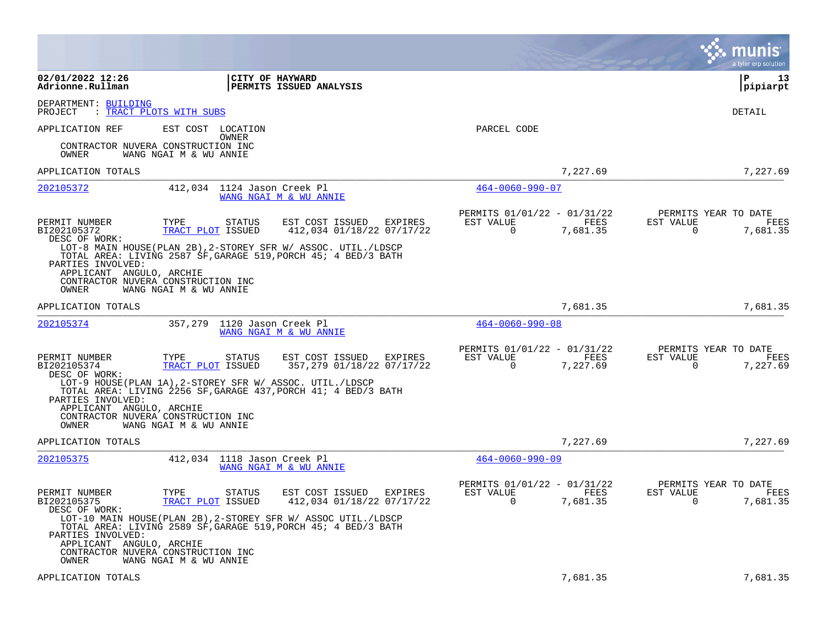|                                                                                                         |                                                                                                                                                                 |                                                                                                                                                                                            |                                                                             | munis<br>a tyler erp solution                                        |
|---------------------------------------------------------------------------------------------------------|-----------------------------------------------------------------------------------------------------------------------------------------------------------------|--------------------------------------------------------------------------------------------------------------------------------------------------------------------------------------------|-----------------------------------------------------------------------------|----------------------------------------------------------------------|
| 02/01/2022 12:26<br>Adrionne.Rullman                                                                    | CITY OF HAYWARD                                                                                                                                                 | PERMITS ISSUED ANALYSIS                                                                                                                                                                    |                                                                             | l P<br>13<br> pipiarpt                                               |
| DEPARTMENT: BUILDING<br>PROJECT                                                                         | : TRACT PLOTS WITH SUBS                                                                                                                                         |                                                                                                                                                                                            |                                                                             | DETAIL                                                               |
| APPLICATION REF<br>OWNER                                                                                | EST COST LOCATION<br>OWNER<br>CONTRACTOR NUVERA CONSTRUCTION INC<br>WANG NGAI M & WU ANNIE                                                                      |                                                                                                                                                                                            | PARCEL CODE                                                                 |                                                                      |
| APPLICATION TOTALS                                                                                      |                                                                                                                                                                 |                                                                                                                                                                                            | 7,227.69                                                                    | 7,227.69                                                             |
| 202105372                                                                                               | 412,034 1124 Jason Creek Pl                                                                                                                                     | WANG NGAI M & WU ANNIE                                                                                                                                                                     | $464 - 0060 - 990 - 07$                                                     |                                                                      |
| PERMIT NUMBER<br>BI202105372<br>DESC OF WORK:<br>PARTIES INVOLVED:<br>APPLICANT ANGULO, ARCHIE          | TYPE<br>STATUS<br>TRACT PLOT ISSUED                                                                                                                             | EST COST ISSUED EXPIRES<br>412,034 01/18/22 07/17/22<br>LOT-8 MAIN HOUSE(PLAN 2B), 2-STOREY SFR W/ ASSOC. UTIL./LDSCP<br>TOTAL AREA: LIVING 2587 SF, GARAGE 519, PORCH 45; 4 BED/3 BATH    | PERMITS 01/01/22 - 01/31/22<br>EST VALUE<br>FEES<br>7,681.35<br>0           | PERMITS YEAR TO DATE<br>EST VALUE<br>FEES<br>7,681.35<br>0           |
| OWNER                                                                                                   | CONTRACTOR NUVERA CONSTRUCTION INC<br>WANG NGAI M & WU ANNIE                                                                                                    |                                                                                                                                                                                            |                                                                             |                                                                      |
| APPLICATION TOTALS                                                                                      |                                                                                                                                                                 |                                                                                                                                                                                            | 7,681.35                                                                    | 7,681.35                                                             |
| <u>202105374</u>                                                                                        | 357,279<br>1120 Jason Creek Pl                                                                                                                                  | WANG NGAI M & WU ANNIE                                                                                                                                                                     | $464 - 0060 - 990 - 08$                                                     |                                                                      |
| PERMIT NUMBER<br>BI202105374<br>DESC OF WORK:<br>PARTIES INVOLVED:<br>APPLICANT ANGULO, ARCHIE<br>OWNER | TYPE<br>STATUS<br>TRACT PLOT ISSUED<br>LOT-9 HOUSE(PLAN 1A), 2-STOREY SFR W/ ASSOC. UTIL./LDSCP<br>CONTRACTOR NUVERA CONSTRUCTION INC<br>WANG NGAI M & WU ANNIE | EST COST ISSUED<br>EXPIRES<br>357,279 01/18/22 07/17/22<br>TOTAL AREA: LIVING 2256 SF, GARAGE 437, PORCH 41; 4 BED/3 BATH                                                                  | PERMITS 01/01/22 - 01/31/22<br>FEES<br>EST VALUE<br>$\mathbf 0$<br>7,227.69 | PERMITS YEAR TO DATE<br>EST VALUE<br>FEES<br>$\mathbf 0$<br>7,227.69 |
| APPLICATION TOTALS                                                                                      |                                                                                                                                                                 |                                                                                                                                                                                            | 7,227.69                                                                    | 7,227.69                                                             |
| 202105375                                                                                               | 412,034 1118 Jason Creek Pl                                                                                                                                     | WANG NGAI M & WU ANNIE                                                                                                                                                                     | $464 - 0060 - 990 - 09$                                                     |                                                                      |
| PERMIT NUMBER<br>BI202105375<br>DESC OF WORK:<br>PARTIES INVOLVED:                                      | TYPE<br><b>STATUS</b><br>TRACT PLOT ISSUED                                                                                                                      | EXPIRES<br>EST COST ISSUED<br>412,034 01/18/22 07/17/22<br>LOT-10 MAIN HOUSE(PLAN 2B), 2-STOREY SFR W/ ASSOC UTIL./LDSCP<br>TOTAL AREA: LIVING 2589 SF, GARAGE 519, PORCH 45; 4 BED/3 BATH | PERMITS 01/01/22 - 01/31/22<br>EST VALUE<br>FEES<br>$\Omega$<br>7,681.35    | PERMITS YEAR TO DATE<br>EST VALUE<br>FEES<br>7,681.35<br>$\Omega$    |
| APPLICANT ANGULO, ARCHIE<br>OWNER                                                                       | CONTRACTOR NUVERA CONSTRUCTION INC<br>WANG NGAI M & WU ANNIE                                                                                                    |                                                                                                                                                                                            |                                                                             |                                                                      |
| APPLICATION TOTALS                                                                                      |                                                                                                                                                                 |                                                                                                                                                                                            | 7,681.35                                                                    | 7,681.35                                                             |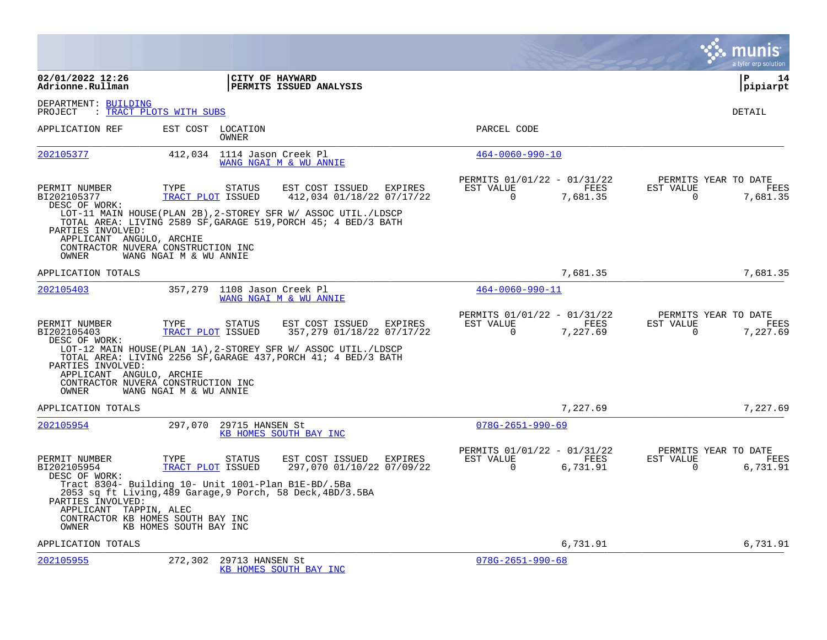|                                                        |                                                                                                                                                                                                 |                                                         |                                                            |                  |                          | a tyler erp solution                     |
|--------------------------------------------------------|-------------------------------------------------------------------------------------------------------------------------------------------------------------------------------------------------|---------------------------------------------------------|------------------------------------------------------------|------------------|--------------------------|------------------------------------------|
| 02/01/2022 12:26<br>Adrionne.Rullman                   | CITY OF HAYWARD                                                                                                                                                                                 | PERMITS ISSUED ANALYSIS                                 |                                                            |                  |                          | l P<br>14<br> pipiarpt                   |
| DEPARTMENT: BUILDING<br>PROJECT                        | : TRACT PLOTS WITH SUBS                                                                                                                                                                         |                                                         |                                                            |                  |                          | DETAIL                                   |
| APPLICATION REF                                        | EST COST LOCATION<br>OWNER                                                                                                                                                                      |                                                         | PARCEL CODE                                                |                  |                          |                                          |
| 202105377                                              | 412,034 1114 Jason Creek Pl                                                                                                                                                                     | WANG NGAI M & WU ANNIE                                  | $464 - 0060 - 990 - 10$                                    |                  |                          |                                          |
| PERMIT NUMBER<br>BI202105377<br>DESC OF WORK:          | TYPE<br><b>STATUS</b><br>TRACT PLOT ISSUED                                                                                                                                                      | EST COST ISSUED EXPIRES<br>412,034 01/18/22 07/17/22    | PERMITS 01/01/22 - 01/31/22<br>EST VALUE<br>$\mathbf 0$    | FEES<br>7,681.35 | EST VALUE<br>$\mathbf 0$ | PERMITS YEAR TO DATE<br>FEES<br>7,681.35 |
| PARTIES INVOLVED:<br>APPLICANT ANGULO, ARCHIE<br>OWNER | LOT-11 MAIN HOUSE(PLAN 2B), 2-STOREY SFR W/ ASSOC UTIL./LDSCP<br>TOTAL AREA: LIVING 2589 SF, GARAGE 519, PORCH 45; 4 BED/3 BATH<br>CONTRACTOR NUVERA CONSTRUCTION INC<br>WANG NGAI M & WU ANNIE |                                                         |                                                            |                  |                          |                                          |
| APPLICATION TOTALS                                     |                                                                                                                                                                                                 |                                                         |                                                            | 7,681.35         |                          | 7,681.35                                 |
| 202105403                                              | 357,279 1108 Jason Creek Pl                                                                                                                                                                     | WANG NGAI M & WU ANNIE                                  | $464 - 0060 - 990 - 11$                                    |                  |                          |                                          |
| PERMIT NUMBER<br>BI202105403<br>DESC OF WORK:          | TYPE<br>STATUS<br>TRACT PLOT ISSUED<br>LOT-12 MAIN HOUSE(PLAN 1A), 2-STOREY SFR W/ ASSOC UTIL./LDSCP                                                                                            | EST COST ISSUED<br>EXPIRES<br>357,279 01/18/22 07/17/22 | PERMITS 01/01/22 - 01/31/22<br>EST VALUE<br>$\overline{0}$ | FEES<br>7,227.69 | EST VALUE<br>$\mathbf 0$ | PERMITS YEAR TO DATE<br>FEES<br>7,227.69 |
| PARTIES INVOLVED:<br>APPLICANT ANGULO, ARCHIE<br>OWNER | TOTAL AREA: LIVING 2256 SF, GARAGE 437, PORCH 41; 4 BED/3 BATH<br>CONTRACTOR NUVERA CONSTRUCTION INC<br>WANG NGAI M & WU ANNIE                                                                  |                                                         |                                                            |                  |                          |                                          |
| APPLICATION TOTALS                                     |                                                                                                                                                                                                 |                                                         |                                                            | 7,227.69         |                          | 7,227.69                                 |
| 202105954                                              | 297,070 29715 HANSEN St                                                                                                                                                                         | KB HOMES SOUTH BAY INC                                  | $078G - 2651 - 990 - 69$                                   |                  |                          |                                          |
| PERMIT NUMBER<br>BI202105954<br>DESC OF WORK:          | TYPE<br>STATUS<br>TRACT PLOT ISSUED                                                                                                                                                             | EST COST ISSUED<br>EXPIRES<br>297,070 01/10/22 07/09/22 | PERMITS 01/01/22 - 01/31/22<br>EST VALUE<br>$\Omega$       | FEES<br>6,731.91 | EST VALUE<br>$\Omega$    | PERMITS YEAR TO DATE<br>FEES<br>6,731.91 |
| PARTIES INVOLVED:<br>APPLICANT TAPPIN, ALEC<br>OWNER   | Tract 8304- Building 10- Unit 1001-Plan B1E-BD/.5Ba<br>2053 sq ft Living, 489 Garage, 9 Porch, 58 Deck, 4BD/3.5BA<br>CONTRACTOR KB HOMES SOUTH BAY INC<br>KB HOMES SOUTH BAY INC                |                                                         |                                                            |                  |                          |                                          |
| APPLICATION TOTALS                                     |                                                                                                                                                                                                 |                                                         |                                                            | 6,731.91         |                          | 6,731.91                                 |
| 202105955                                              | 272,302<br>29713 HANSEN St                                                                                                                                                                      | KB HOMES SOUTH BAY INC                                  | $078G - 2651 - 990 - 68$                                   |                  |                          |                                          |

 $\mathcal{L}^{\text{max}}$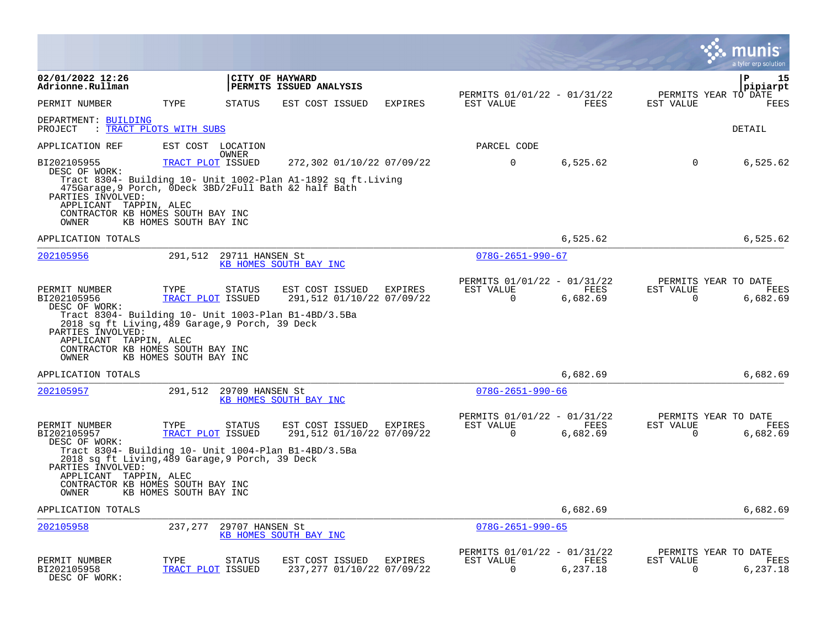|                                                                                                                                                                                               |                                                     |                                                                                                                                                    |                |                                                         |                  |                          | INIS<br>a tyler erp solution             |
|-----------------------------------------------------------------------------------------------------------------------------------------------------------------------------------------------|-----------------------------------------------------|----------------------------------------------------------------------------------------------------------------------------------------------------|----------------|---------------------------------------------------------|------------------|--------------------------|------------------------------------------|
| 02/01/2022 12:26<br>Adrionne.Rullman                                                                                                                                                          |                                                     | CITY OF HAYWARD<br>PERMITS ISSUED ANALYSIS                                                                                                         |                |                                                         |                  |                          | P<br>15<br>pipiarpt                      |
| PERMIT NUMBER                                                                                                                                                                                 | TYPE                                                | EST COST ISSUED<br><b>STATUS</b>                                                                                                                   | <b>EXPIRES</b> | PERMITS 01/01/22 - 01/31/22<br>EST VALUE                | FEES             | EST VALUE                | PERMITS YEAR TO DATE<br>FEES             |
| DEPARTMENT: BUILDING<br>PROJECT<br>: TRACT PLOTS WITH SUBS                                                                                                                                    |                                                     |                                                                                                                                                    |                |                                                         |                  |                          | DETAIL                                   |
| APPLICATION REF                                                                                                                                                                               | EST COST LOCATION<br>OWNER                          |                                                                                                                                                    |                | PARCEL CODE                                             |                  |                          |                                          |
| BI202105955<br>DESC OF WORK:<br>PARTIES INVOLVED:<br>APPLICANT TAPPIN, ALEC<br>CONTRACTOR KB HOMES SOUTH BAY INC<br>OWNER                                                                     | TRACT PLOT ISSUED<br>KB HOMES SOUTH BAY INC         | 272,302 01/10/22 07/09/22<br>Tract 8304- Building 10- Unit 1002-Plan A1-1892 sq ft.Living<br>475Garage, 9 Porch, ODeck 3BD/2Full Bath &2 half Bath |                | $\mathbf 0$                                             | 6,525.62         | 0                        | 6,525.62                                 |
| APPLICATION TOTALS                                                                                                                                                                            |                                                     |                                                                                                                                                    |                |                                                         | 6,525.62         |                          | 6,525.62                                 |
| 202105956                                                                                                                                                                                     | 291,512                                             | 29711 HANSEN St<br>KB HOMES SOUTH BAY INC                                                                                                          |                | $078G - 2651 - 990 - 67$                                |                  |                          |                                          |
| PERMIT NUMBER<br>BI202105956<br>DESC OF WORK:<br>2018 sq ft Living, 489 Garage, 9 Porch, 39 Deck<br>PARTIES INVOLVED:<br>APPLICANT TAPPIN, ALEC<br>CONTRACTOR KB HOMES SOUTH BAY INC<br>OWNER | TYPE<br>TRACT PLOT ISSUED<br>KB HOMES SOUTH BAY INC | <b>STATUS</b><br>EST COST ISSUED<br>291,512 01/10/22 07/09/22<br>Tract 8304- Building 10- Unit 1003-Plan B1-4BD/3.5Ba                              | EXPIRES        | PERMITS 01/01/22 - 01/31/22<br>EST VALUE<br>$\mathbf 0$ | FEES<br>6,682.69 | EST VALUE<br>$\mathbf 0$ | PERMITS YEAR TO DATE<br>FEES<br>6,682.69 |
| APPLICATION TOTALS                                                                                                                                                                            |                                                     |                                                                                                                                                    |                |                                                         | 6,682.69         |                          | 6,682.69                                 |
| 202105957                                                                                                                                                                                     | 291,512                                             | 29709 HANSEN St<br>KB HOMES SOUTH BAY INC                                                                                                          |                | $078G - 2651 - 990 - 66$                                |                  |                          |                                          |
| PERMIT NUMBER<br>BI202105957<br>DESC OF WORK:<br>2018 sq ft Living, 489 Garage, 9 Porch, 39 Deck<br>PARTIES INVOLVED:<br>APPLICANT TAPPIN, ALEC<br>CONTRACTOR KB HOMES SOUTH BAY INC<br>OWNER | TYPE<br>TRACT PLOT ISSUED<br>KB HOMES SOUTH BAY INC | EST COST ISSUED<br>STATUS<br>291,512 01/10/22 07/09/22<br>Tract 8304- Building 10- Unit 1004-Plan B1-4BD/3.5Ba                                     | EXPIRES        | PERMITS 01/01/22 - 01/31/22<br>EST VALUE<br>$\Omega$    | FEES<br>6,682.69 | EST VALUE<br>$\Omega$    | PERMITS YEAR TO DATE<br>FEES<br>6,682.69 |
| APPLICATION TOTALS                                                                                                                                                                            |                                                     |                                                                                                                                                    |                |                                                         | 6,682.69         |                          | 6,682.69                                 |
| 202105958                                                                                                                                                                                     | 237,277                                             | 29707 HANSEN St<br>KB HOMES SOUTH BAY INC                                                                                                          |                | $078G - 2651 - 990 - 65$                                |                  |                          |                                          |
| PERMIT NUMBER<br>BI202105958<br>DESC OF WORK:                                                                                                                                                 | TYPE<br>TRACT PLOT ISSUED                           | EST COST ISSUED<br>STATUS<br>237,277 01/10/22 07/09/22                                                                                             | EXPIRES        | PERMITS 01/01/22 - 01/31/22<br>EST VALUE<br>$\Omega$    | FEES<br>6,237.18 | EST VALUE<br>$\Omega$    | PERMITS YEAR TO DATE<br>FEES<br>6,237.18 |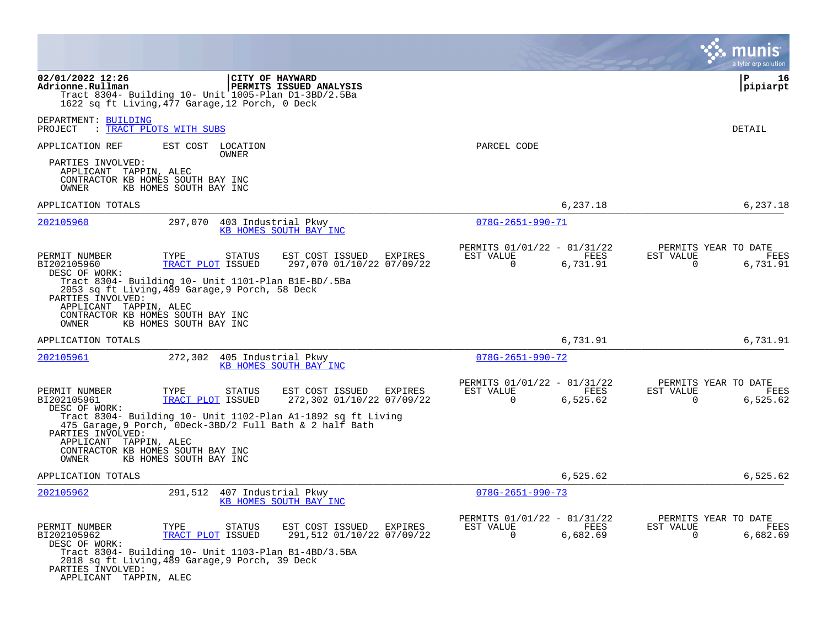|                                                                                                                                                                                                                                                                                                                  |                                                                             | a tyler erp solution                                                 |
|------------------------------------------------------------------------------------------------------------------------------------------------------------------------------------------------------------------------------------------------------------------------------------------------------------------|-----------------------------------------------------------------------------|----------------------------------------------------------------------|
| 02/01/2022 12:26<br>CITY OF HAYWARD<br>Adrionne.Rullman<br>PERMITS ISSUED ANALYSIS<br>Tract 8304- Building 10- Unit 1005-Plan D1-3BD/2.5Ba<br>1622 sq ft Living, 477 Garage, 12 Porch, 0 Deck                                                                                                                    |                                                                             | ΙP<br>16<br> pipiarpt                                                |
| DEPARTMENT: BUILDING<br>: TRACT PLOTS WITH SUBS<br>PROJECT                                                                                                                                                                                                                                                       |                                                                             | DETAIL                                                               |
| APPLICATION REF<br>EST COST LOCATION<br>OWNER                                                                                                                                                                                                                                                                    | PARCEL CODE                                                                 |                                                                      |
| PARTIES INVOLVED:<br>APPLICANT TAPPIN, ALEC<br>CONTRACTOR KB HOMES SOUTH BAY INC<br>KB HOMES SOUTH BAY INC<br>OWNER                                                                                                                                                                                              |                                                                             |                                                                      |
| APPLICATION TOTALS                                                                                                                                                                                                                                                                                               | 6,237.18                                                                    | 6,237.18                                                             |
| 202105960<br>297,070<br>403 Industrial Pkwy<br>KB HOMES SOUTH BAY INC                                                                                                                                                                                                                                            | $078G - 2651 - 990 - 71$                                                    |                                                                      |
| PERMIT NUMBER<br>TYPE<br>STATUS<br>EST COST ISSUED<br>EXPIRES<br>BI202105960<br>TRACT PLOT ISSUED<br>297,070 01/10/22 07/09/22<br>DESC OF WORK:                                                                                                                                                                  | PERMITS 01/01/22 - 01/31/22<br>FEES<br>EST VALUE<br>$\Omega$<br>6,731.91    | PERMITS YEAR TO DATE<br>EST VALUE<br>FEES<br>$\Omega$<br>6,731.91    |
| Tract 8304- Building 10- Unit 1101-Plan B1E-BD/.5Ba<br>2053 sq ft Living, 489 Garage, 9 Porch, 58 Deck<br>PARTIES INVOLVED:<br>APPLICANT TAPPIN, ALEC<br>CONTRACTOR KB HOMES SOUTH BAY INC<br>KB HOMES SOUTH BAY INC<br>OWNER                                                                                    |                                                                             |                                                                      |
| APPLICATION TOTALS                                                                                                                                                                                                                                                                                               | 6,731.91                                                                    | 6,731.91                                                             |
| 202105961<br>272,302 405 Industrial Pkwy<br>KB HOMES SOUTH BAY INC                                                                                                                                                                                                                                               | $078G - 2651 - 990 - 72$                                                    |                                                                      |
| PERMIT NUMBER<br>TYPE<br><b>STATUS</b><br>EST COST ISSUED<br>EXPIRES<br>BI202105961<br>TRACT PLOT ISSUED<br>272,302 01/10/22 07/09/22<br>DESC OF WORK:                                                                                                                                                           | PERMITS 01/01/22 - 01/31/22<br>EST VALUE<br>FEES<br>6,525.62<br>0           | PERMITS YEAR TO DATE<br>EST VALUE<br>FEES<br>0<br>6,525.62           |
| Tract 8304- Building 10- Unit 1102-Plan A1-1892 sq ft Living<br>475 Garage, 9 Porch, ODeck-3BD/2 Full Bath & 2 half Bath<br>PARTIES INVOLVED:<br>APPLICANT TAPPIN, ALEC<br>CONTRACTOR KB HOMES SOUTH BAY INC                                                                                                     |                                                                             |                                                                      |
| KB HOMES SOUTH BAY INC<br>OWNER                                                                                                                                                                                                                                                                                  |                                                                             |                                                                      |
| APPLICATION TOTALS                                                                                                                                                                                                                                                                                               | 6,525.62                                                                    | 6,525.62                                                             |
| 202105962<br>291,512<br>407 Industrial Pkwy<br>KB HOMES SOUTH BAY INC                                                                                                                                                                                                                                            | $078G - 2651 - 990 - 73$                                                    |                                                                      |
| PERMIT NUMBER<br>TYPE<br><b>STATUS</b><br>EST COST ISSUED<br>EXPIRES<br>BI202105962<br>TRACT PLOT ISSUED<br>291,512 01/10/22 07/09/22<br>DESC OF WORK:<br>Tract 8304- Building 10- Unit 1103-Plan B1-4BD/3.5BA<br>2018 sq ft Living, 489 Garage, 9 Porch, 39 Deck<br>PARTIES INVOLVED:<br>APPLICANT TAPPIN, ALEC | PERMITS 01/01/22 - 01/31/22<br>EST VALUE<br>FEES<br>$\mathbf 0$<br>6,682.69 | PERMITS YEAR TO DATE<br>EST VALUE<br>FEES<br>$\mathbf 0$<br>6,682.69 |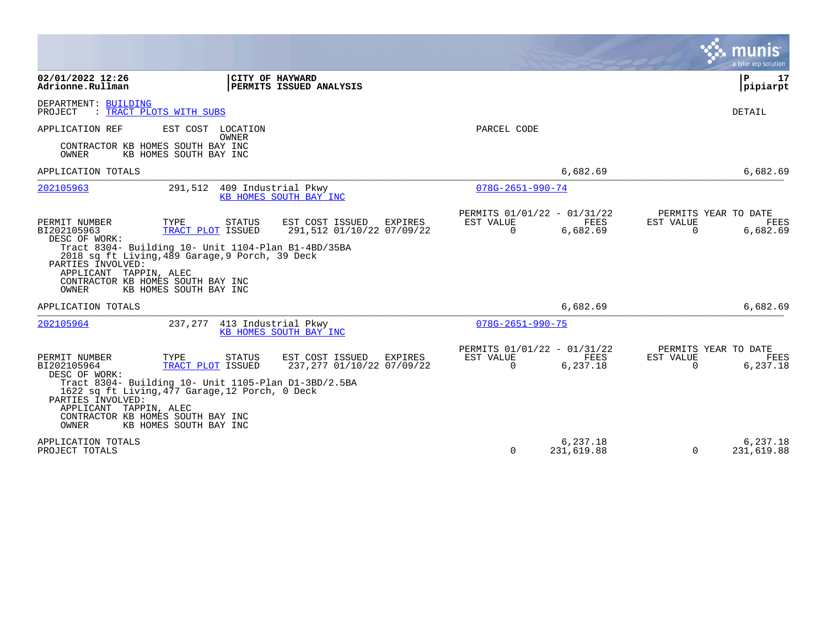|                                                                                                                                                                                                                                                                                                                               |                                                                                         |                                                 | a tyler erp solution                                                 |
|-------------------------------------------------------------------------------------------------------------------------------------------------------------------------------------------------------------------------------------------------------------------------------------------------------------------------------|-----------------------------------------------------------------------------------------|-------------------------------------------------|----------------------------------------------------------------------|
| 02/01/2022 12:26<br>CITY OF HAYWARD<br>Adrionne.Rullman<br>PERMITS ISSUED ANALYSIS                                                                                                                                                                                                                                            |                                                                                         |                                                 | ${\bf P}$<br>17<br>pipiarpt                                          |
| DEPARTMENT: BUILDING<br>PROJECT<br>: TRACT PLOTS WITH SUBS                                                                                                                                                                                                                                                                    |                                                                                         |                                                 | DETAIL                                                               |
| EST COST LOCATION<br>APPLICATION REF<br><b>OWNER</b><br>CONTRACTOR KB HOMES SOUTH BAY INC<br>OWNER<br>KB HOMES SOUTH BAY INC                                                                                                                                                                                                  | PARCEL CODE                                                                             |                                                 |                                                                      |
| APPLICATION TOTALS                                                                                                                                                                                                                                                                                                            |                                                                                         | 6,682.69                                        | 6,682.69                                                             |
| 202105963<br>291,512<br>409 Industrial Pkwy<br>KB HOMES SOUTH BAY INC                                                                                                                                                                                                                                                         | $078G - 2651 - 990 - 74$                                                                |                                                 |                                                                      |
| PERMIT NUMBER<br>TYPE<br><b>STATUS</b><br>BI202105963<br>TRACT PLOT ISSUED<br>DESC OF WORK:<br>Tract 8304- Building 10- Unit 1104-Plan B1-4BD/35BA<br>2018 sq ft Living, 489 Garage, 9 Porch, 39 Deck<br>PARTIES INVOLVED:<br>APPLICANT TAPPIN, ALEC<br>CONTRACTOR KB HOMES SOUTH BAY INC<br>OWNER<br>KB HOMES SOUTH BAY INC  | EST COST ISSUED<br><b>EXPIRES</b><br>EST VALUE<br>291,512 01/10/22 07/09/22<br>0        | PERMITS 01/01/22 - 01/31/22<br>FEES<br>6,682.69 | PERMITS YEAR TO DATE<br>EST VALUE<br>FEES<br>$\mathbf 0$<br>6,682.69 |
| APPLICATION TOTALS                                                                                                                                                                                                                                                                                                            |                                                                                         | 6,682.69                                        | 6,682.69                                                             |
| 202105964<br>237,277<br>413 Industrial Pkwy<br>KB HOMES SOUTH BAY INC                                                                                                                                                                                                                                                         | $078G - 2651 - 990 - 75$                                                                |                                                 |                                                                      |
| PERMIT NUMBER<br>TYPE<br><b>STATUS</b><br>BI202105964<br>TRACT PLOT ISSUED<br>DESC OF WORK:<br>Tract 8304- Building 10- Unit 1105-Plan D1-3BD/2.5BA<br>1622 sq ft Living, 477 Garage, 12 Porch, 0 Deck<br>PARTIES INVOLVED:<br>APPLICANT TAPPIN, ALEC<br>CONTRACTOR KB HOMES SOUTH BAY INC<br>OWNER<br>KB HOMES SOUTH BAY INC | EST COST ISSUED<br><b>EXPIRES</b><br>EST VALUE<br>237,277 01/10/22 07/09/22<br>$\Omega$ | PERMITS 01/01/22 - 01/31/22<br>FEES<br>6,237.18 | PERMITS YEAR TO DATE<br>EST VALUE<br>FEES<br>$\Omega$<br>6,237.18    |
| APPLICATION TOTALS<br>PROJECT TOTALS                                                                                                                                                                                                                                                                                          | $\Omega$                                                                                | 6,237.18<br>231,619.88                          | 6,237.18<br>231,619.88<br>$\Omega$                                   |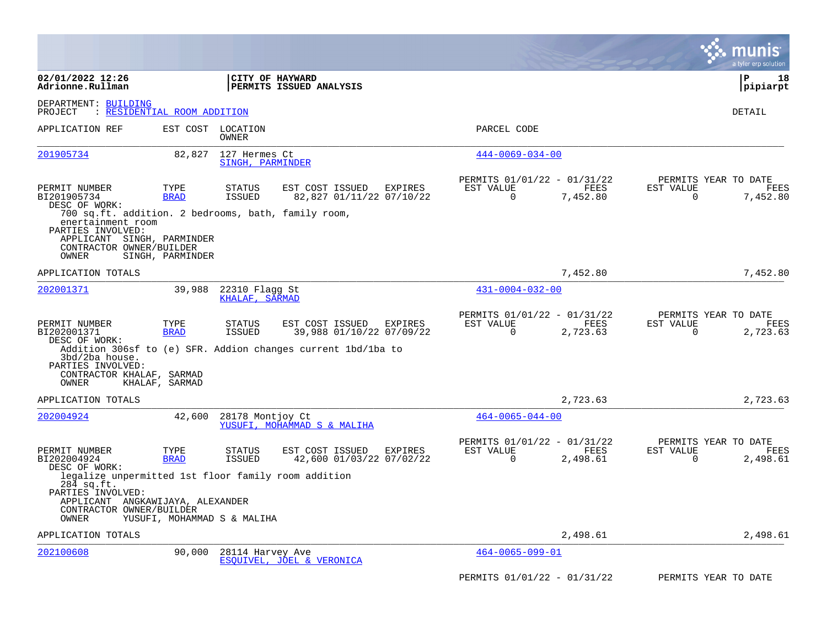|                                                                                                                                                                  |                           |                                   |                                                                                                                        |                                                      |                  | a tyler erp solution                                                     |
|------------------------------------------------------------------------------------------------------------------------------------------------------------------|---------------------------|-----------------------------------|------------------------------------------------------------------------------------------------------------------------|------------------------------------------------------|------------------|--------------------------------------------------------------------------|
| 02/01/2022 12:26<br>Adrionne.Rullman                                                                                                                             |                           | CITY OF HAYWARD                   | <b>PERMITS ISSUED ANALYSIS</b>                                                                                         |                                                      |                  | P<br>18<br> pipiarpt                                                     |
| DEPARTMENT: BUILDING<br>PROJECT<br>$\ddot{\cdot}$                                                                                                                | RESIDENTIAL ROOM ADDITION |                                   |                                                                                                                        |                                                      |                  | DETAIL                                                                   |
| APPLICATION REF                                                                                                                                                  |                           | EST COST LOCATION<br>OWNER        |                                                                                                                        | PARCEL CODE                                          |                  |                                                                          |
| 201905734                                                                                                                                                        | 82,827                    | 127 Hermes Ct<br>SINGH, PARMINDER |                                                                                                                        | $444 - 0069 - 034 - 00$                              |                  |                                                                          |
| PERMIT NUMBER<br>BI201905734<br>DESC OF WORK:                                                                                                                    | TYPE<br><b>BRAD</b>       | <b>STATUS</b><br><b>ISSUED</b>    | EST COST ISSUED<br><b>EXPIRES</b><br>82,827 01/11/22 07/10/22                                                          | PERMITS 01/01/22 - 01/31/22<br>EST VALUE<br>$\Omega$ | FEES<br>7,452.80 | PERMITS YEAR TO DATE<br>EST VALUE<br><b>FEES</b><br>$\Omega$<br>7,452.80 |
| 700 sq.ft. addition. 2 bedrooms, bath, family room,<br>enertainment room<br>PARTIES INVOLVED:<br>APPLICANT SINGH, PARMINDER<br>CONTRACTOR OWNER/BUILDER<br>OWNER | SINGH, PARMINDER          |                                   |                                                                                                                        |                                                      |                  |                                                                          |
| APPLICATION TOTALS                                                                                                                                               |                           |                                   |                                                                                                                        |                                                      | 7,452.80         | 7,452.80                                                                 |
| 202001371                                                                                                                                                        | 39,988                    | 22310 Flagg St<br>KHALAF, SARMAD  |                                                                                                                        | $431 - 0004 - 032 - 00$                              |                  |                                                                          |
| PERMIT NUMBER<br>BI202001371<br>DESC OF WORK:<br>$3bd/2ba$ house.<br>PARTIES INVOLVED:                                                                           | TYPE<br><b>BRAD</b>       | <b>STATUS</b><br><b>ISSUED</b>    | EST COST ISSUED<br>EXPIRES<br>39,988 01/10/22 07/09/22<br>Addition 306sf to (e) SFR. Addion changes current 1bd/1ba to | PERMITS 01/01/22 - 01/31/22<br>EST VALUE<br>$\Omega$ | FEES<br>2,723.63 | PERMITS YEAR TO DATE<br>EST VALUE<br>FEES<br>$\Omega$<br>2,723.63        |
| CONTRACTOR KHALAF, SARMAD<br>OWNER                                                                                                                               | KHALAF, SARMAD            |                                   |                                                                                                                        |                                                      |                  |                                                                          |
| APPLICATION TOTALS                                                                                                                                               |                           |                                   |                                                                                                                        |                                                      | 2,723.63         | 2,723.63                                                                 |
| 202004924                                                                                                                                                        | 42,600                    | 28178 Montjoy Ct                  | YUSUFI, MOHAMMAD S & MALIHA                                                                                            | $464 - 0065 - 044 - 00$                              |                  |                                                                          |
| PERMIT NUMBER<br>BI202004924<br>DESC OF WORK:                                                                                                                    | TYPE<br><b>BRAD</b>       | <b>STATUS</b><br><b>ISSUED</b>    | EST COST ISSUED<br>EXPIRES<br>42,600 01/03/22 07/02/22                                                                 | PERMITS 01/01/22 - 01/31/22<br>EST VALUE<br>$\Omega$ | FEES<br>2,498.61 | PERMITS YEAR TO DATE<br>EST VALUE<br><b>FEES</b><br>0<br>2,498.61        |
| legalize unpermitted 1st floor family room addition<br>284 sq.ft.<br>PARTIES INVOLVED:<br>APPLICANT ANGKAWIJAYA, ALEXANDER<br>CONTRACTOR OWNER/BUILDER<br>OWNER  |                           | YUSUFI, MOHAMMAD S & MALIHA       |                                                                                                                        |                                                      |                  |                                                                          |
| APPLICATION TOTALS                                                                                                                                               |                           |                                   |                                                                                                                        |                                                      | 2,498.61         | 2,498.61                                                                 |
| 202100608                                                                                                                                                        | 90,000                    | 28114 Harvey Ave                  | ESOUIVEL, JOEL & VERONICA                                                                                              | $464 - 0065 - 099 - 01$                              |                  |                                                                          |
|                                                                                                                                                                  |                           |                                   |                                                                                                                        | PERMITS 01/01/22 - 01/31/22                          |                  | PERMITS YEAR TO DATE                                                     |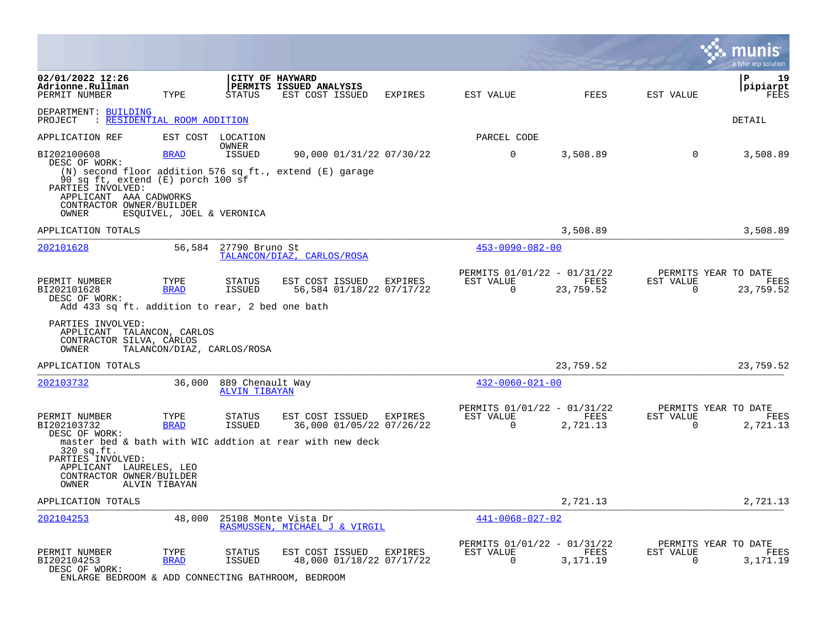|                                                                                                                                        |                            |                                          |                                                                                                                 |         |                                                      |                   |                       | a tyler erp solution                      |
|----------------------------------------------------------------------------------------------------------------------------------------|----------------------------|------------------------------------------|-----------------------------------------------------------------------------------------------------------------|---------|------------------------------------------------------|-------------------|-----------------------|-------------------------------------------|
| 02/01/2022 12:26<br>Adrionne.Rullman<br>PERMIT NUMBER                                                                                  | TYPE                       | STATUS                                   | CITY OF HAYWARD<br>PERMITS ISSUED ANALYSIS<br>EST COST ISSUED                                                   | EXPIRES | EST VALUE                                            | FEES              | EST VALUE             | ∣P<br>19<br> pipiarpt<br>FEES             |
| DEPARTMENT: BUILDING<br>PROJECT<br>: RESIDENTIAL ROOM ADDITION                                                                         |                            |                                          |                                                                                                                 |         |                                                      |                   |                       | DETAIL                                    |
| APPLICATION REF                                                                                                                        |                            | EST COST LOCATION                        |                                                                                                                 |         | PARCEL CODE                                          |                   |                       |                                           |
| BI202100608                                                                                                                            | <b>BRAD</b>                | OWNER<br>ISSUED                          | 90,000 01/31/22 07/30/22                                                                                        |         | $\overline{0}$                                       | 3,508.89          | $\overline{0}$        | 3,508.89                                  |
| DESC OF WORK:<br>90 sq ft, extend (E) porch 100 sf<br>PARTIES INVOLVED:<br>APPLICANT AAA CADWORKS<br>CONTRACTOR OWNER/BUILDER<br>OWNER | ESQUIVEL, JOEL & VERONICA  |                                          | (N) second floor addition 576 sq ft., extend (E) garage                                                         |         |                                                      |                   |                       |                                           |
| APPLICATION TOTALS                                                                                                                     |                            |                                          |                                                                                                                 |         |                                                      | 3,508.89          |                       | 3,508.89                                  |
| 202101628                                                                                                                              |                            | 56,584 27790 Bruno St                    | TALANCON/DIAZ, CARLOS/ROSA                                                                                      |         | $453 - 0090 - 082 - 00$                              |                   |                       |                                           |
| PERMIT NUMBER<br>BI202101628<br>DESC OF WORK:<br>Add 433 sq ft. addition to rear, 2 bed one bath                                       | TYPE<br><b>BRAD</b>        | STATUS<br>ISSUED                         | EST COST ISSUED<br>56,584 01/18/22 07/17/22                                                                     | EXPIRES | PERMITS 01/01/22 - 01/31/22<br>EST VALUE<br>0        | FEES<br>23,759.52 | EST VALUE<br>0        | PERMITS YEAR TO DATE<br>FEES<br>23,759.52 |
| PARTIES INVOLVED:<br>APPLICANT TALANCON, CARLOS<br>CONTRACTOR SILVA, CARLOS<br>OWNER                                                   | TALANCON/DIAZ, CARLOS/ROSA |                                          |                                                                                                                 |         |                                                      |                   |                       |                                           |
| APPLICATION TOTALS                                                                                                                     |                            |                                          |                                                                                                                 |         |                                                      | 23,759.52         |                       | 23,759.52                                 |
| 202103732                                                                                                                              | 36,000                     | 889 Chenault Way<br><b>ALVIN TIBAYAN</b> |                                                                                                                 |         | $432 - 0060 - 021 - 00$                              |                   |                       |                                           |
| PERMIT NUMBER<br>BI202103732<br>DESC OF WORK:                                                                                          | TYPE<br><b>BRAD</b>        | STATUS<br><b>ISSUED</b>                  | EST COST ISSUED EXPIRES<br>36,000 01/05/22 07/26/22<br>master bed & bath with WIC addtion at rear with new deck |         | PERMITS 01/01/22 - 01/31/22<br>EST VALUE<br>$\Omega$ | FEES<br>2,721.13  | EST VALUE<br>$\Omega$ | PERMITS YEAR TO DATE<br>FEES<br>2,721.13  |
| 320 sq.ft.<br>PARTIES INVOLVED:<br>APPLICANT LAURELES, LEO<br>CONTRACTOR OWNER/BUILDER<br>OWNER                                        | ALVIN TIBAYAN              |                                          |                                                                                                                 |         |                                                      |                   |                       |                                           |
| APPLICATION TOTALS                                                                                                                     |                            |                                          |                                                                                                                 |         |                                                      | 2,721.13          |                       | 2,721.13                                  |
| 202104253                                                                                                                              | 48,000                     |                                          | 25108 Monte Vista Dr<br>RASMUSSEN, MICHAEL J & VIRGIL                                                           |         | $441 - 0068 - 027 - 02$                              |                   |                       |                                           |
| PERMIT NUMBER<br>BI202104253<br>DESC OF WORK:<br>ENLARGE BEDROOM & ADD CONNECTING BATHROOM, BEDROOM                                    | TYPE<br><b>BRAD</b>        | STATUS<br>ISSUED                         | EST COST ISSUED EXPIRES<br>48,000 01/18/22 07/17/22                                                             |         | PERMITS 01/01/22 - 01/31/22<br>EST VALUE<br>$\Omega$ | FEES<br>3,171.19  | EST VALUE<br>$\Omega$ | PERMITS YEAR TO DATE<br>FEES<br>3,171.19  |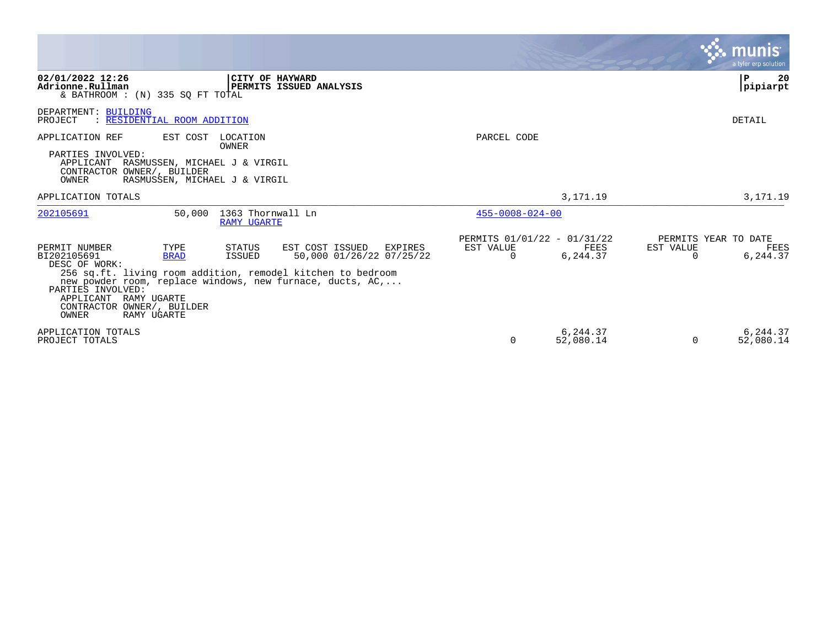|                                                                                                                                                                          |                                                                                                                                                                                                              |                                                      |                       | a tyler erp solution                                              |
|--------------------------------------------------------------------------------------------------------------------------------------------------------------------------|--------------------------------------------------------------------------------------------------------------------------------------------------------------------------------------------------------------|------------------------------------------------------|-----------------------|-------------------------------------------------------------------|
| 02/01/2022 12:26<br>Adrionne.Rullman<br>& BATHROOM : (N) 335 SO FT TOTAL                                                                                                 | CITY OF HAYWARD<br><b>PERMITS ISSUED ANALYSIS</b>                                                                                                                                                            |                                                      |                       | 20<br>${\bf P}$<br>pipiarpt                                       |
| DEPARTMENT: BUILDING<br>: RESIDENTIAL ROOM ADDITION<br>PROJECT                                                                                                           |                                                                                                                                                                                                              |                                                      |                       | <b>DETAIL</b>                                                     |
| APPLICATION REF<br>EST COST<br>PARTIES INVOLVED:<br>APPLICANT RASMUSSEN, MICHAEL J & VIRGIL<br>CONTRACTOR OWNER/, BUILDER<br>OWNER<br>RASMUSSEN, MICHAEL J & VIRGIL      | LOCATION<br>OWNER                                                                                                                                                                                            | PARCEL CODE                                          |                       |                                                                   |
| APPLICATION TOTALS                                                                                                                                                       |                                                                                                                                                                                                              |                                                      | 3,171.19              | 3,171.19                                                          |
| 202105691                                                                                                                                                                | 50,000 1363 Thornwall Ln<br><b>RAMY UGARTE</b>                                                                                                                                                               | $455 - 0008 - 024 - 00$                              |                       |                                                                   |
| PERMIT NUMBER<br>TYPE<br>BI202105691<br><b>BRAD</b><br>DESC OF WORK:<br>PARTIES INVOLVED:<br>APPLICANT RAMY UGARTE<br>CONTRACTOR OWNER/, BUILDER<br>OWNER<br>RAMY UGARTE | STATUS<br>EST COST ISSUED EXPIRES<br>50,000 01/26/22 07/25/22<br>ISSUED<br>256 sq.ft. living room addition, remodel kitchen to bedroom<br>new powder room, replace windows, new furnace, ducts, $AC, \ldots$ | PERMITS 01/01/22 - 01/31/22<br>EST VALUE<br>$\Omega$ | FEES<br>6,244.37      | PERMITS YEAR TO DATE<br>EST VALUE<br>FEES<br>6,244.37<br>$\Omega$ |
| APPLICATION TOTALS<br>PROJECT TOTALS                                                                                                                                     |                                                                                                                                                                                                              | $\Omega$                                             | 6,244.37<br>52,080.14 | 6,244.37<br>52,080.14<br>$\Omega$                                 |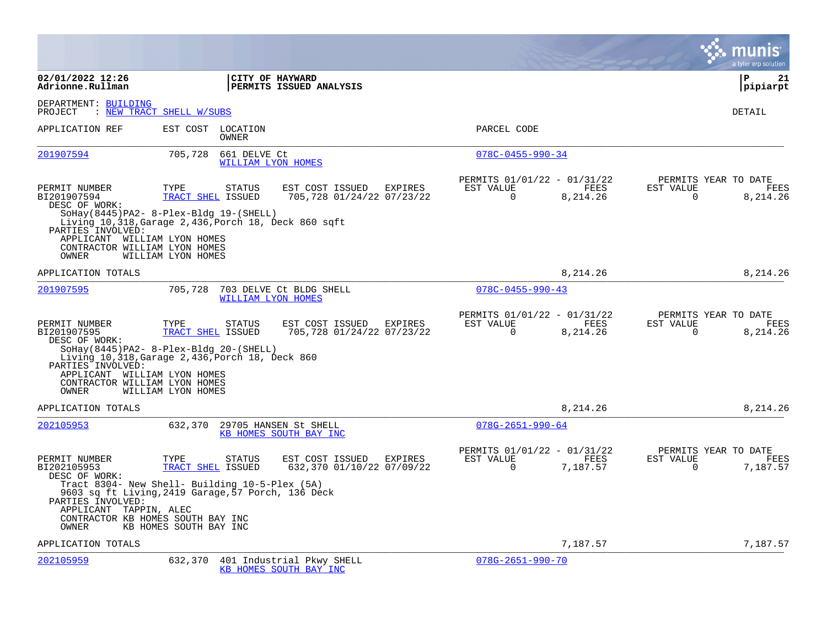|                                                                                                                                              |                                                                                                                                                                                  |                                                         |                                                      |                         |                                               | a tyler erp solution   |
|----------------------------------------------------------------------------------------------------------------------------------------------|----------------------------------------------------------------------------------------------------------------------------------------------------------------------------------|---------------------------------------------------------|------------------------------------------------------|-------------------------|-----------------------------------------------|------------------------|
| 02/01/2022 12:26<br>Adrionne.Rullman                                                                                                         | CITY OF HAYWARD                                                                                                                                                                  | PERMITS ISSUED ANALYSIS                                 |                                                      |                         |                                               | l P<br>21<br> pipiarpt |
| DEPARTMENT: BUILDING<br>PROJECT                                                                                                              | : NEW TRACT SHELL W/SUBS                                                                                                                                                         |                                                         |                                                      |                         |                                               | <b>DETAIL</b>          |
| APPLICATION REF                                                                                                                              | EST COST<br>LOCATION<br><b>OWNER</b>                                                                                                                                             |                                                         | PARCEL CODE                                          |                         |                                               |                        |
| 201907594                                                                                                                                    | 705,728<br>661 DELVE Ct<br>WILLIAM LYON HOMES                                                                                                                                    |                                                         | $078C - 0455 - 990 - 34$                             |                         |                                               |                        |
| PERMIT NUMBER<br>BI201907594<br>DESC OF WORK:<br>PARTIES INVOLVED:<br>APPLICANT WILLIAM LYON HOMES<br>CONTRACTOR WILLIAM LYON HOMES<br>OWNER | TYPE<br><b>STATUS</b><br>TRACT SHEL ISSUED<br>$SOHay(8445)PA2-8-PIex-Bldq 19-(SHEL)$<br>Living 10,318, Garage 2,436, Porch 18, Deck 860 sqft<br>WILLIAM LYON HOMES               | EST COST ISSUED<br>EXPIRES<br>705,728 01/24/22 07/23/22 | PERMITS 01/01/22 - 01/31/22<br>EST VALUE<br>$\Omega$ | FEES<br>8,214.26        | PERMITS YEAR TO DATE<br>EST VALUE<br>$\Omega$ | FEES<br>8,214.26       |
| APPLICATION TOTALS                                                                                                                           |                                                                                                                                                                                  |                                                         |                                                      | 8,214.26                |                                               | 8, 214, 26             |
| 201907595                                                                                                                                    | 705,728<br>WILLIAM LYON HOMES                                                                                                                                                    | 703 DELVE Ct BLDG SHELL                                 | $078C - 0455 - 990 - 43$                             |                         |                                               |                        |
| PERMIT NUMBER<br>BI201907595<br>DESC OF WORK:<br>PARTIES INVOLVED:<br>APPLICANT WILLIAM LYON HOMES<br>CONTRACTOR WILLIAM LYON HOMES<br>OWNER | TYPE<br><b>STATUS</b><br>TRACT SHEL ISSUED<br>$SOHay(8445)PA2-8-PIex-Bldq 20-(SHEL)$<br>Living 10,318, Garage 2,436, Porch 18, Deck 860<br>WILLIAM LYON HOMES                    | EST COST ISSUED<br>EXPIRES<br>705,728 01/24/22 07/23/22 | PERMITS 01/01/22 - 01/31/22<br>EST VALUE<br>$\Omega$ | <b>FEES</b><br>8,214.26 | PERMITS YEAR TO DATE<br>EST VALUE<br>$\Omega$ | FEES<br>8,214.26       |
| APPLICATION TOTALS                                                                                                                           |                                                                                                                                                                                  |                                                         |                                                      | 8,214.26                |                                               | 8,214.26               |
| 202105953                                                                                                                                    | 632,370                                                                                                                                                                          | 29705 HANSEN St SHELL<br>KB HOMES SOUTH BAY INC         | $078G - 2651 - 990 - 64$                             |                         |                                               |                        |
| PERMIT NUMBER<br>BI202105953<br>DESC OF WORK:<br>PARTIES INVOLVED:<br>APPLICANT TAPPIN, ALEC                                                 | TYPE<br>STATUS<br>TRACT SHEL ISSUED<br>Tract 8304- New Shell- Building 10-5-Plex (5A)<br>9603 sq ft Living, 2419 Garage, 57 Porch, 136 Deck<br>CONTRACTOR KB HOMES SOUTH BAY INC | EST COST ISSUED<br>EXPIRES<br>632,370 01/10/22 07/09/22 | PERMITS 01/01/22 - 01/31/22<br>EST VALUE<br>$\Omega$ | FEES<br>7,187.57        | PERMITS YEAR TO DATE<br>EST VALUE<br>$\Omega$ | FEES<br>7,187.57       |
| OWNER<br>APPLICATION TOTALS                                                                                                                  | KB HOMES SOUTH BAY INC                                                                                                                                                           |                                                         |                                                      | 7,187.57                |                                               | 7,187.57               |
| 202105959                                                                                                                                    | 632,370                                                                                                                                                                          | 401 Industrial Pkwy SHELL<br>KB HOMES SOUTH BAY INC     | $078G - 2651 - 990 - 70$                             |                         |                                               |                        |

 $\mathcal{L}^{\text{max}}$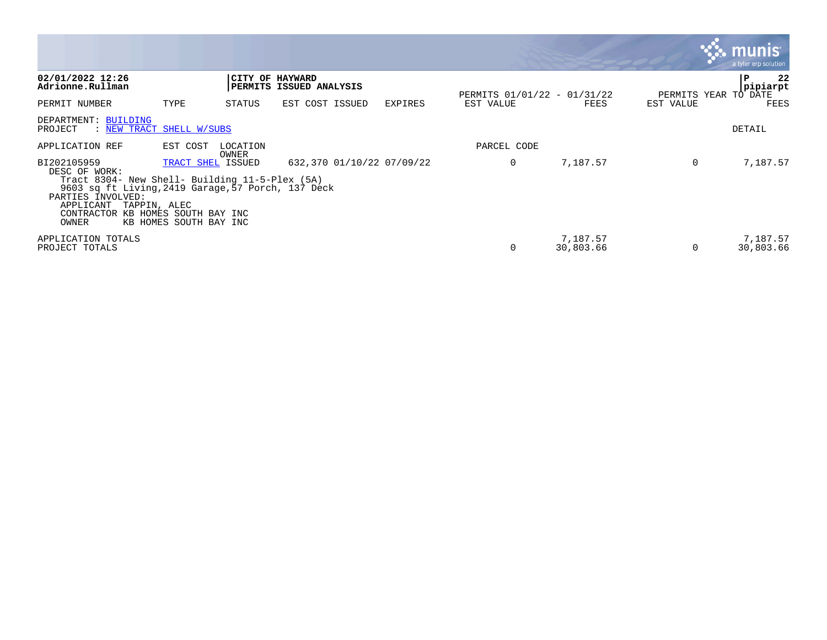|                                                                                                                                                                                                               |                                                                       |                   |                         |                           |                                          |                       |           | munis<br>a tyler erp solution |
|---------------------------------------------------------------------------------------------------------------------------------------------------------------------------------------------------------------|-----------------------------------------------------------------------|-------------------|-------------------------|---------------------------|------------------------------------------|-----------------------|-----------|-------------------------------|
| 02/01/2022 12:26<br>Adrionne.Rullman                                                                                                                                                                          |                                                                       | CITY OF HAYWARD   | PERMITS ISSUED ANALYSIS |                           |                                          |                       |           | 22<br>P<br>pipiarpt           |
| PERMIT NUMBER                                                                                                                                                                                                 | TYPE                                                                  | STATUS            | EST COST ISSUED         | <b>EXPIRES</b>            | PERMITS 01/01/22 - 01/31/22<br>EST VALUE | FEES                  | EST VALUE | PERMITS YEAR TO DATE<br>FEES  |
| DEPARTMENT: BUILDING<br>PROJECT<br>: NEW TRACT SHELL W/SUBS                                                                                                                                                   |                                                                       |                   |                         |                           |                                          |                       |           | DETAIL                        |
| APPLICATION REF                                                                                                                                                                                               | EST COST                                                              | LOCATION<br>OWNER |                         |                           | PARCEL CODE                              |                       |           |                               |
| BI202105959<br>DESC OF WORK:<br>Tract 8304- New Shell- Building 11-5-Plex (5A)<br>9603 sq ft Living, 2419 Garage, 57 Porch, 137 Deck<br>PARTIES INVOLVED:<br>APPLICANT<br>TAPPIN, ALEC<br>CONTRACTOR<br>OWNER | TRACT SHEL ISSUED<br>KB HOMES SOUTH BAY INC<br>KB HOMES SOUTH BAY INC |                   |                         | 632,370 01/10/22 07/09/22 | 0                                        | 7,187.57              | 0         | 7,187.57                      |
| APPLICATION TOTALS<br>PROJECT TOTALS                                                                                                                                                                          |                                                                       |                   |                         |                           | 0                                        | 7,187.57<br>30,803.66 | $\Omega$  | 7,187.57<br>30,803.66         |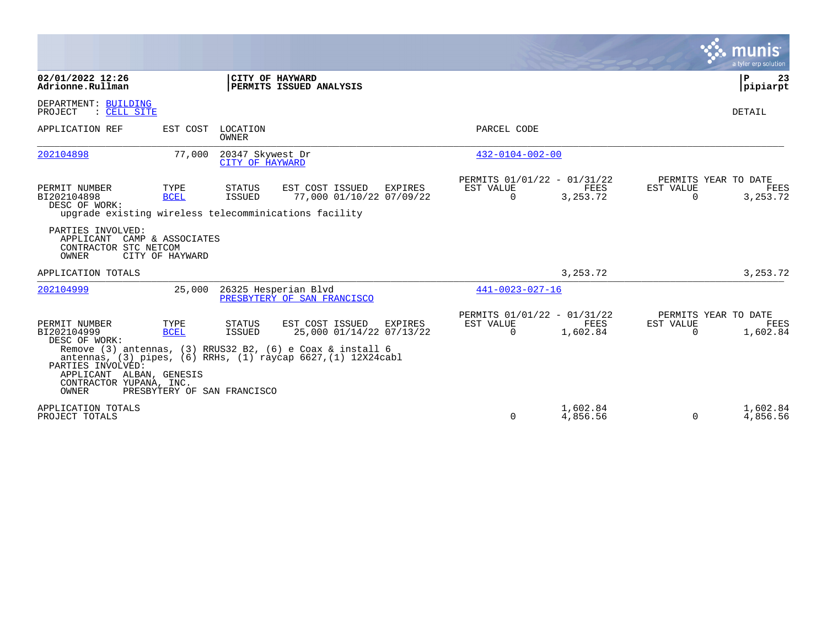|                                                                                                                                           |                                                    |                                     |                                                                                                                                                                                                               |                                                      |                      |                       | munis<br>a tyler erp solution                   |
|-------------------------------------------------------------------------------------------------------------------------------------------|----------------------------------------------------|-------------------------------------|---------------------------------------------------------------------------------------------------------------------------------------------------------------------------------------------------------------|------------------------------------------------------|----------------------|-----------------------|-------------------------------------------------|
| 02/01/2022 12:26<br>Adrionne.Rullman                                                                                                      |                                                    | CITY OF HAYWARD                     | PERMITS ISSUED ANALYSIS                                                                                                                                                                                       |                                                      |                      |                       | l P<br>23<br>pipiarpt                           |
| DEPARTMENT: BUILDING<br>: CELL SITE<br>PROJECT                                                                                            |                                                    |                                     |                                                                                                                                                                                                               |                                                      |                      |                       | DETAIL                                          |
| APPLICATION REF                                                                                                                           | EST COST                                           | LOCATION<br>OWNER                   |                                                                                                                                                                                                               | PARCEL CODE                                          |                      |                       |                                                 |
| 202104898                                                                                                                                 | 77,000                                             | 20347 Skywest Dr<br>CITY OF HAYWARD |                                                                                                                                                                                                               | $432 - 0104 - 002 - 00$                              |                      |                       |                                                 |
| PERMIT NUMBER<br>BI202104898<br>DESC OF WORK:<br>upgrade existing wireless telecomminications facility                                    | TYPE<br><b>BCEL</b>                                | <b>STATUS</b><br>ISSUED             | EST COST ISSUED<br><b>EXPIRES</b><br>77,000 01/10/22 07/09/22                                                                                                                                                 | PERMITS 01/01/22 - 01/31/22<br>EST VALUE<br>$\Omega$ | FEES<br>3, 253. 72   | EST VALUE<br>$\Omega$ | PERMITS YEAR TO DATE<br>FEES<br>3, 253. 72      |
| PARTIES INVOLVED:<br>APPLICANT<br>CONTRACTOR STC NETCOM<br>OWNER                                                                          | CAMP & ASSOCIATES<br>CITY OF HAYWARD               |                                     |                                                                                                                                                                                                               |                                                      |                      |                       |                                                 |
| APPLICATION TOTALS                                                                                                                        |                                                    |                                     |                                                                                                                                                                                                               |                                                      | 3, 253. 72           |                       | 3, 253. 72                                      |
| 202104999                                                                                                                                 | 25,000                                             |                                     | 26325 Hesperian Blvd<br>PRESBYTERY OF SAN FRANCISCO                                                                                                                                                           | $441 - 0023 - 027 - 16$                              |                      |                       |                                                 |
| PERMIT NUMBER<br>BI202104999<br>DESC OF WORK:<br>PARTIES INVOLVED:<br>APPLICANT ALBAN, GENESIS<br>CONTRACTOR YUPANA, INC.<br><b>OWNER</b> | TYPE<br><b>BCEL</b><br>PRESBYTERY OF SAN FRANCISCO | STATUS<br>ISSUED                    | EST COST ISSUED<br><b>EXPIRES</b><br>25,000 01/14/22 07/13/22<br>Remove $(3)$ antennas, $(3)$ RRUS32 B2, $(6)$ e Coax & install 6<br>antennas, $(3)$ pipes, $(6)$ RRHs, $(1)$ raycap $6627$ , $(1)$ 12X24cabl | PERMITS 01/01/22 - 01/31/22<br>EST VALUE<br>$\Omega$ | FEES<br>1,602.84     | EST VALUE<br>0        | PERMITS YEAR TO DATE<br><b>FEES</b><br>1,602.84 |
| APPLICATION TOTALS<br>PROJECT TOTALS                                                                                                      |                                                    |                                     |                                                                                                                                                                                                               | $\Omega$                                             | 1,602.84<br>4,856.56 | $\Omega$              | 1,602.84<br>4,856.56                            |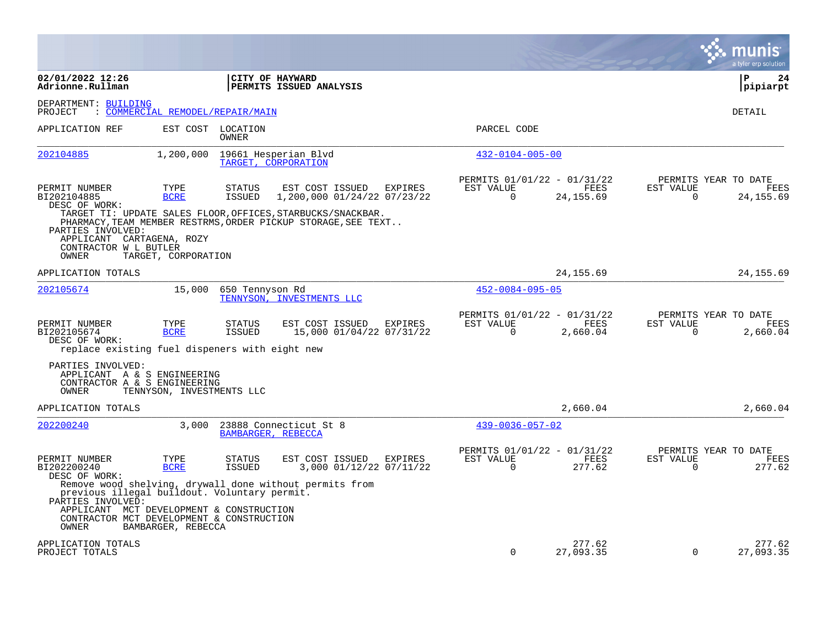|                                                                                                               |                                  |                                |                                                                                                                              |                          |                                                   |                          | a tyler erp solution                      |
|---------------------------------------------------------------------------------------------------------------|----------------------------------|--------------------------------|------------------------------------------------------------------------------------------------------------------------------|--------------------------|---------------------------------------------------|--------------------------|-------------------------------------------|
| 02/01/2022 12:26<br>Adrionne.Rullman                                                                          |                                  |                                | CITY OF HAYWARD<br>PERMITS ISSUED ANALYSIS                                                                                   |                          |                                                   |                          | l P<br>24<br> pipiarpt                    |
| DEPARTMENT: BUILDING<br>PROJECT                                                                               | : COMMERCIAL REMODEL/REPAIR/MAIN |                                |                                                                                                                              |                          |                                                   |                          | DETAIL                                    |
| APPLICATION REF                                                                                               |                                  | EST COST LOCATION<br>OWNER     |                                                                                                                              | PARCEL CODE              |                                                   |                          |                                           |
| 202104885                                                                                                     | 1,200,000                        |                                | 19661 Hesperian Blvd<br>TARGET, CORPORATION                                                                                  |                          | $432 - 0104 - 005 - 00$                           |                          |                                           |
| PERMIT NUMBER<br>BI202104885<br>DESC OF WORK:                                                                 | TYPE<br><b>BCRE</b>              | <b>STATUS</b><br><b>ISSUED</b> | EST COST ISSUED<br>EXPIRES<br>1,200,000 01/24/22 07/23/22                                                                    | EST VALUE<br>0           | PERMITS 01/01/22 - 01/31/22<br>FEES<br>24, 155.69 | EST VALUE<br>0           | PERMITS YEAR TO DATE<br>FEES<br>24,155.69 |
| PARTIES INVOLVED:<br>APPLICANT CARTAGENA, ROZY<br>CONTRACTOR W L BUTLER<br>OWNER                              | TARGET, CORPORATION              |                                | TARGET TI: UPDATE SALES FLOOR, OFFICES, STARBUCKS/SNACKBAR.<br>PHARMACY, TEAM MEMBER RESTRMS, ORDER PICKUP STORAGE, SEE TEXT |                          |                                                   |                          |                                           |
| APPLICATION TOTALS                                                                                            |                                  |                                |                                                                                                                              |                          | 24,155.69                                         |                          | 24, 155.69                                |
| 202105674                                                                                                     | 15,000                           | 650 Tennyson Rd                | TENNYSON, INVESTMENTS LLC                                                                                                    |                          | $452 - 0084 - 095 - 05$                           |                          |                                           |
| PERMIT NUMBER<br>BI202105674<br>DESC OF WORK:<br>replace existing fuel dispeners with eight new               | TYPE<br><b>BCRE</b>              | <b>STATUS</b><br>ISSUED        | EST COST ISSUED<br>EXPIRES<br>15,000 01/04/22 07/31/22                                                                       | EST VALUE<br>$\mathbf 0$ | PERMITS 01/01/22 - 01/31/22<br>FEES<br>2,660.04   | EST VALUE<br>$\mathbf 0$ | PERMITS YEAR TO DATE<br>FEES<br>2,660.04  |
| PARTIES INVOLVED:<br>APPLICANT A & S ENGINEERING<br>CONTRACTOR A & S ENGINEERING<br>OWNER                     | TENNYSON, INVESTMENTS LLC        |                                |                                                                                                                              |                          |                                                   |                          |                                           |
| APPLICATION TOTALS                                                                                            |                                  |                                |                                                                                                                              |                          | 2,660.04                                          |                          | 2,660.04                                  |
| 202200240                                                                                                     | 3,000                            | BAMBARGER, REBECCA             | 23888 Connecticut St 8                                                                                                       |                          | $439 - 0036 - 057 - 02$                           |                          |                                           |
| PERMIT NUMBER<br>BI202200240<br>DESC OF WORK:                                                                 | TYPE<br><b>BCRE</b>              | <b>STATUS</b><br><b>ISSUED</b> | EST COST ISSUED<br>EXPIRES<br>3,000 01/12/22 07/11/22                                                                        | EST VALUE<br>$\mathbf 0$ | PERMITS 01/01/22 - 01/31/22<br>FEES<br>277.62     | EST VALUE<br>$\mathbf 0$ | PERMITS YEAR TO DATE<br>FEES<br>277.62    |
| previous illegal buildout. Voluntary permit.<br>PARTIES INVOLVED:<br>APPLICANT MCT DEVELOPMENT & CONSTRUCTION |                                  |                                | Remove wood shelving, drywall done without permits from                                                                      |                          |                                                   |                          |                                           |
| CONTRACTOR MCT DEVELOPMENT & CONSTRUCTION<br>OWNER                                                            | BAMBARGER, REBECCA               |                                |                                                                                                                              |                          |                                                   |                          |                                           |
| APPLICATION TOTALS<br>PROJECT TOTALS                                                                          |                                  |                                |                                                                                                                              | $\Omega$                 | 277.62<br>27,093.35                               | $\Omega$                 | 277.62<br>27,093.35                       |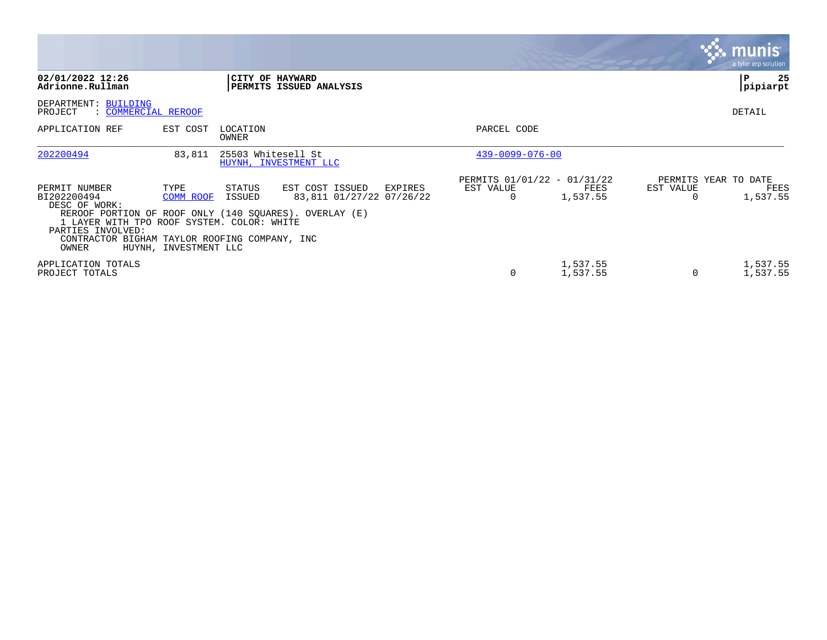|                                                                                                                                                                            |                                            |                    |                                                                                                                  |                                                      |                      |                | munis <sup>®</sup><br>a tyler erp solution |
|----------------------------------------------------------------------------------------------------------------------------------------------------------------------------|--------------------------------------------|--------------------|------------------------------------------------------------------------------------------------------------------|------------------------------------------------------|----------------------|----------------|--------------------------------------------|
| 02/01/2022 12:26<br>Adrionne.Rullman                                                                                                                                       |                                            |                    | CITY OF HAYWARD<br>PERMITS ISSUED ANALYSIS                                                                       |                                                      |                      |                | 25<br>l P<br>pipiarpt                      |
| DEPARTMENT: BUILDING<br>PROJECT<br>: COMMERCIAL REROOF                                                                                                                     |                                            |                    |                                                                                                                  |                                                      |                      |                | <b>DETAIL</b>                              |
| APPLICATION REF                                                                                                                                                            | EST COST                                   | LOCATION<br>OWNER  |                                                                                                                  | PARCEL CODE                                          |                      |                |                                            |
| 202200494                                                                                                                                                                  | 83,811                                     | 25503 Whitesell St | HUYNH, INVESTMENT LLC                                                                                            | $439 - 0099 - 076 - 00$                              |                      |                |                                            |
| PERMIT NUMBER<br>BI202200494<br>DESC OF WORK:<br>1 LAYER WITH TPO ROOF SYSTEM. COLOR: WHITE<br>PARTIES INVOLVED:<br>CONTRACTOR BIGHAM TAYLOR ROOFING COMPANY, INC<br>OWNER | TYPE<br>COMM ROOF<br>HUYNH, INVESTMENT LLC | STATUS<br>ISSUED   | EST COST ISSUED<br>EXPIRES<br>83,811 01/27/22 07/26/22<br>REROOF PORTION OF ROOF ONLY (140 SOUARES). OVERLAY (E) | PERMITS 01/01/22 - 01/31/22<br>EST VALUE<br>$\Omega$ | FEES<br>1,537.55     | EST VALUE<br>0 | PERMITS YEAR TO DATE<br>FEES<br>1,537.55   |
| APPLICATION TOTALS<br>PROJECT TOTALS                                                                                                                                       |                                            |                    |                                                                                                                  | $\Omega$                                             | 1,537.55<br>1,537.55 | 0              | 1,537.55<br>1,537.55                       |

the contract of the contract of

and the contract of the contract of the contract of the contract of the contract of the contract of the contract of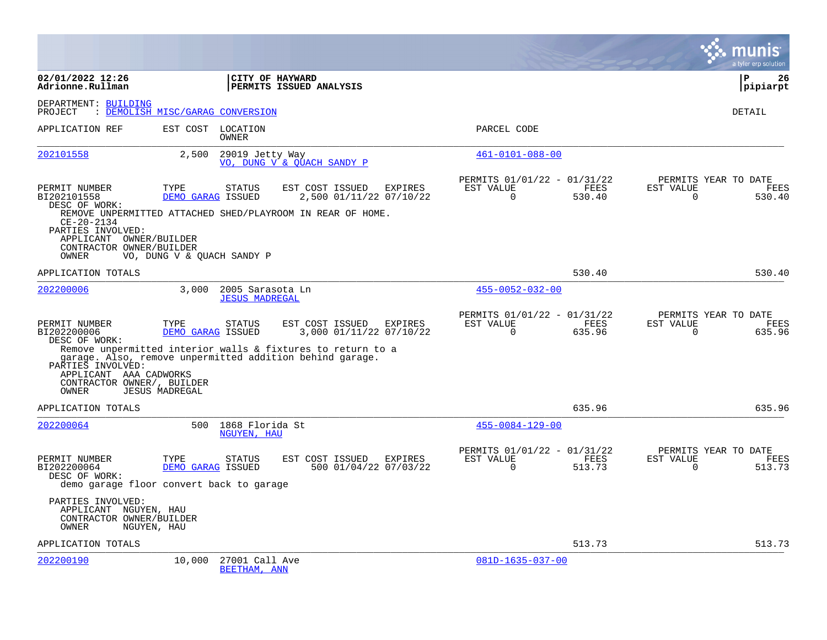|                                                                                           |                                  |                                           |                                                                                                           |                |                                                      |                       |                       | a tyler erp solution                          |
|-------------------------------------------------------------------------------------------|----------------------------------|-------------------------------------------|-----------------------------------------------------------------------------------------------------------|----------------|------------------------------------------------------|-----------------------|-----------------------|-----------------------------------------------|
| 02/01/2022 12:26<br>Adrionne.Rullman                                                      |                                  | CITY OF HAYWARD                           | PERMITS ISSUED ANALYSIS                                                                                   |                |                                                      |                       |                       | $\mathbf{P}$<br>26<br>pipiarpt                |
| DEPARTMENT: BUILDING<br>PROJECT                                                           | : DEMOLISH MISC/GARAG CONVERSION |                                           |                                                                                                           |                |                                                      |                       |                       | <b>DETAIL</b>                                 |
| APPLICATION REF                                                                           |                                  | EST COST LOCATION<br><b>OWNER</b>         |                                                                                                           |                | PARCEL CODE                                          |                       |                       |                                               |
| 202101558                                                                                 | 2,500                            | 29019 Jetty Way                           | VO, DUNG V & QUACH SANDY P                                                                                |                | $461 - 0101 - 088 - 00$                              |                       |                       |                                               |
| PERMIT NUMBER<br>BI202101558<br>DESC OF WORK:<br>$CE-20-2134$                             | TYPE<br>DEMO GARAG ISSUED        | <b>STATUS</b>                             | EST COST ISSUED<br>2,500 01/11/22 07/10/22<br>REMOVE UNPERMITTED ATTACHED SHED/PLAYROOM IN REAR OF HOME.  | <b>EXPIRES</b> | PERMITS 01/01/22 - 01/31/22<br>EST VALUE<br>$\Omega$ | FEES<br>530.40        | EST VALUE<br>$\Omega$ | PERMITS YEAR TO DATE<br><b>FEES</b><br>530.40 |
| PARTIES INVOLVED:<br>APPLICANT OWNER/BUILDER<br>CONTRACTOR OWNER/BUILDER<br>OWNER         | VO, DUNG V & OUACH SANDY P       |                                           |                                                                                                           |                |                                                      |                       |                       |                                               |
| APPLICATION TOTALS                                                                        |                                  |                                           |                                                                                                           |                |                                                      | 530.40                |                       | 530.40                                        |
| 202200006                                                                                 | 3,000                            | 2005 Sarasota Ln<br><b>JESUS MADREGAL</b> |                                                                                                           |                | $455 - 0052 - 032 - 00$                              |                       |                       |                                               |
| PERMIT NUMBER<br>BI202200006<br>DESC OF WORK:                                             | TYPE<br>DEMO GARAG ISSUED        | <b>STATUS</b>                             | EST COST ISSUED<br>3,000 01/11/22 07/10/22<br>Remove unpermitted interior walls & fixtures to return to a | <b>EXPIRES</b> | PERMITS 01/01/22 - 01/31/22<br>EST VALUE<br>$\Omega$ | <b>FEES</b><br>635.96 | EST VALUE<br>$\Omega$ | PERMITS YEAR TO DATE<br><b>FEES</b><br>635.96 |
| PARTIES INVOLVED:<br>APPLICANT AAA CADWORKS<br>CONTRACTOR OWNER/, BUILDER<br>OWNER        | <b>JESUS MADREGAL</b>            |                                           | garage. Also, remove unpermitted addition behind garage.                                                  |                |                                                      |                       |                       |                                               |
| APPLICATION TOTALS                                                                        |                                  |                                           |                                                                                                           |                |                                                      | 635.96                |                       | 635.96                                        |
| 202200064                                                                                 | 500                              | 1868 Florida St<br>NGUYEN, HAU            |                                                                                                           |                | $455 - 0084 - 129 - 00$                              |                       |                       |                                               |
| PERMIT NUMBER<br>BI202200064<br>DESC OF WORK:<br>demo garage floor convert back to garage | TYPE<br>DEMO GARAG ISSUED        | <b>STATUS</b>                             | EST COST ISSUED<br>500 01/04/22 07/03/22                                                                  | EXPIRES        | PERMITS 01/01/22 - 01/31/22<br>EST VALUE<br>$\Omega$ | FEES<br>513.73        | EST VALUE<br>$\Omega$ | PERMITS YEAR TO DATE<br>FEES<br>513.73        |
| PARTIES INVOLVED:<br>APPLICANT NGUYEN, HAU<br>CONTRACTOR OWNER/BUILDER<br>OWNER           | NGUYEN, HAU                      |                                           |                                                                                                           |                |                                                      |                       |                       |                                               |
| APPLICATION TOTALS                                                                        |                                  |                                           |                                                                                                           |                |                                                      | 513.73                |                       | 513.73                                        |
| 202200190                                                                                 | 10,000                           | 27001 Call Ave<br>BEETHAM, ANN            |                                                                                                           |                | $081D-1635-037-00$                                   |                       |                       |                                               |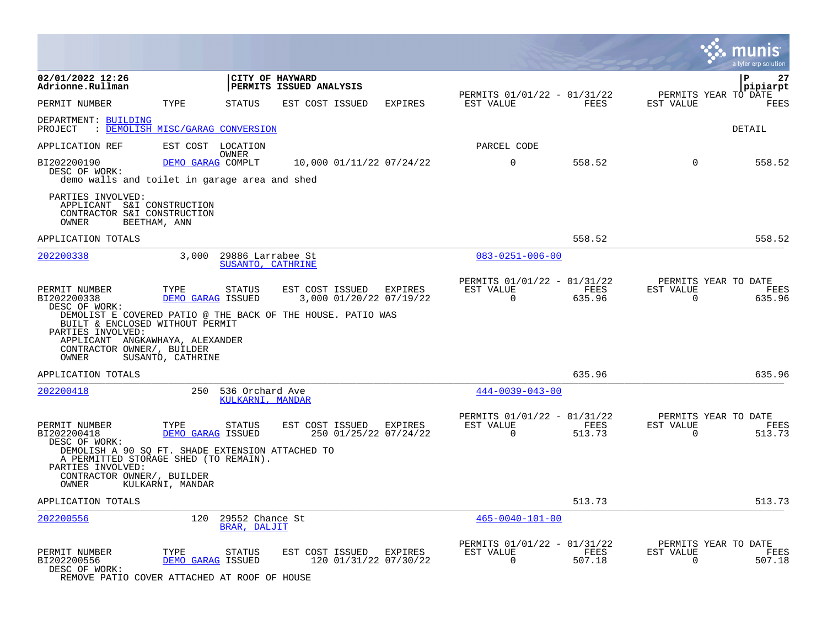|                                                                                                                                                                                                                                                |                                                |                                        |                         |                                         |           |                                                         |                       |                          | a tyler erp solution |                |
|------------------------------------------------------------------------------------------------------------------------------------------------------------------------------------------------------------------------------------------------|------------------------------------------------|----------------------------------------|-------------------------|-----------------------------------------|-----------|---------------------------------------------------------|-----------------------|--------------------------|----------------------|----------------|
| 02/01/2022 12:26<br>Adrionne.Rullman                                                                                                                                                                                                           |                                                | CITY OF HAYWARD                        | PERMITS ISSUED ANALYSIS |                                         |           |                                                         |                       |                          | ΙP<br>pipiarpt       | 27             |
| PERMIT NUMBER                                                                                                                                                                                                                                  | TYPE                                           | <b>STATUS</b>                          | EST COST ISSUED         | <b>EXPIRES</b>                          |           | PERMITS 01/01/22 - 01/31/22<br>EST VALUE                | FEES                  | EST VALUE                | PERMITS YEAR TO DATE | FEES           |
| DEPARTMENT: BUILDING<br>PROJECT<br>: DEMOLISH MISC/GARAG CONVERSION                                                                                                                                                                            |                                                |                                        |                         |                                         |           |                                                         |                       |                          | DETAIL               |                |
| APPLICATION REF                                                                                                                                                                                                                                | EST COST LOCATION                              |                                        |                         |                                         |           | PARCEL CODE                                             |                       |                          |                      |                |
| BI202200190<br>DESC OF WORK:<br>demo walls and toilet in garage area and shed                                                                                                                                                                  | DEMO GARAG COMPLT                              | OWNER                                  |                         | 10,000 01/11/22 07/24/22                |           | $\mathbf 0$                                             | 558.52                | $\mathbf 0$              |                      | 558.52         |
| PARTIES INVOLVED:<br>APPLICANT S&I CONSTRUCTION<br>CONTRACTOR S&I CONSTRUCTION<br>OWNER                                                                                                                                                        | BEETHAM, ANN                                   |                                        |                         |                                         |           |                                                         |                       |                          |                      |                |
| APPLICATION TOTALS                                                                                                                                                                                                                             |                                                |                                        |                         |                                         |           |                                                         | 558.52                |                          |                      | 558.52         |
| 202200338                                                                                                                                                                                                                                      | 3,000                                          | 29886 Larrabee St<br>SUSANTO, CATHRINE |                         |                                         |           | $083 - 0251 - 006 - 00$                                 |                       |                          |                      |                |
| PERMIT NUMBER<br>BI202200338<br>DESC OF WORK:<br>DEMOLIST E COVERED PATIO @ THE BACK OF THE HOUSE. PATIO WAS<br>BUILT & ENCLOSED WITHOUT PERMIT<br>PARTIES INVOLVED:<br>APPLICANT ANGKAWHAYA, ALEXANDER<br>CONTRACTOR OWNER/, BUILDER<br>OWNER | TYPE<br>DEMO GARAG ISSUED<br>SUSANTO, CATHRINE | <b>STATUS</b>                          | EST COST ISSUED EXPIRES | 3,000 01/20/22 07/19/22                 | EST VALUE | PERMITS 01/01/22 - 01/31/22<br>$\Omega$                 | FEES<br>635.96        | EST VALUE<br>$\Omega$    | PERMITS YEAR TO DATE | FEES<br>635.96 |
| APPLICATION TOTALS                                                                                                                                                                                                                             |                                                |                                        |                         |                                         |           |                                                         | 635.96                |                          |                      | 635.96         |
| 202200418                                                                                                                                                                                                                                      | 250                                            | 536 Orchard Ave<br>KULKARNI, MANDAR    |                         |                                         |           | $444 - 0039 - 043 - 00$                                 |                       |                          |                      |                |
| PERMIT NUMBER<br>BI202200418<br>DESC OF WORK:<br>DEMOLISH A 90 SQ FT. SHADE EXTENSION ATTACHED TO<br>A PERMITTED STORAGE SHED (TO REMAIN).<br>PARTIES INVOLVED:<br>CONTRACTOR OWNER/, BUILDER<br>OWNER                                         | TYPE<br>DEMO GARAG ISSUED<br>KULKARNI, MANDAR  | <b>STATUS</b>                          | EST COST ISSUED EXPIRES | 250 01/25/22 07/24/22                   |           | PERMITS 01/01/22 - 01/31/22<br>EST VALUE<br>$\Omega$    | FEES<br>513.73        | EST VALUE<br>$\Omega$    | PERMITS YEAR TO DATE | FEES<br>513.73 |
| APPLICATION TOTALS                                                                                                                                                                                                                             |                                                |                                        |                         |                                         |           |                                                         | 513.73                |                          |                      | 513.73         |
| 202200556                                                                                                                                                                                                                                      | 120                                            | 29552 Chance St<br>BRAR, DALJIT        |                         |                                         |           | $465 - 0040 - 101 - 00$                                 |                       |                          |                      |                |
| PERMIT NUMBER<br>BI202200556<br>DESC OF WORK:                                                                                                                                                                                                  | TYPE<br>DEMO GARAG ISSUED                      | <b>STATUS</b>                          | EST COST ISSUED         | <b>EXPIRES</b><br>120 01/31/22 07/30/22 |           | PERMITS 01/01/22 - 01/31/22<br>EST VALUE<br>$\mathbf 0$ | <b>FEES</b><br>507.18 | EST VALUE<br>$\mathbf 0$ | PERMITS YEAR TO DATE | FEES<br>507.18 |

REMOVE PATIO COVER ATTACHED AT ROOF OF HOUSE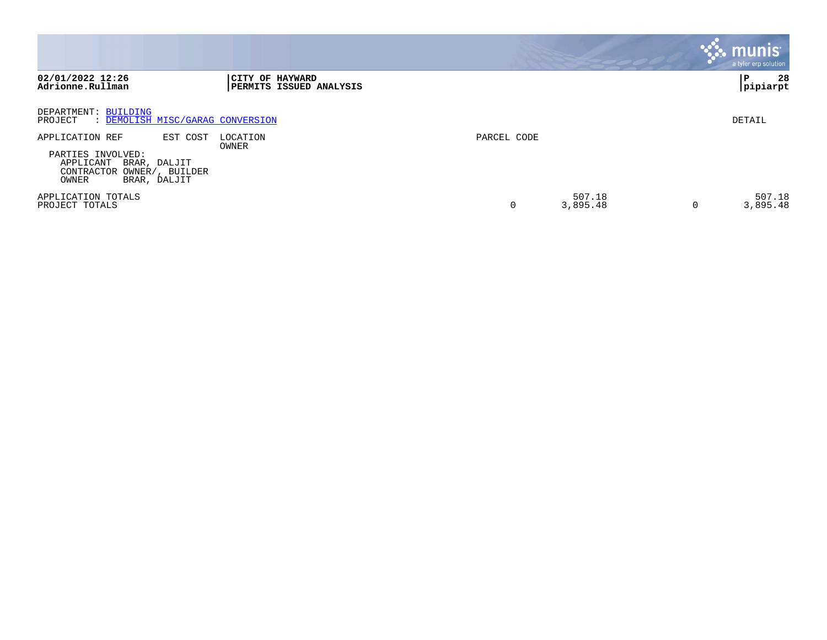|                                                                                                                                         |                                                   |             |                    | $\ddot{\ddot{\phantom{a}}\mathbf{.}}$ munis<br>a tyler erp solution |
|-----------------------------------------------------------------------------------------------------------------------------------------|---------------------------------------------------|-------------|--------------------|---------------------------------------------------------------------|
| 02/01/2022 12:26<br>Adrionne.Rullman                                                                                                    | CITY OF HAYWARD<br><b>PERMITS ISSUED ANALYSIS</b> |             |                    | 28<br>P<br>pipiarpt                                                 |
| DEPARTMENT: BUILDING<br>: DEMOLISH MISC/GARAG CONVERSION<br>PROJECT                                                                     |                                                   |             |                    | DETAIL                                                              |
| APPLICATION REF<br>EST COST<br>PARTIES INVOLVED:<br>APPLICANT<br>BRAR, DALJIT<br>CONTRACTOR<br>OWNER/, BUILDER<br>OWNER<br>BRAR, DALJIT | LOCATION<br>OWNER                                 | PARCEL CODE |                    |                                                                     |
| APPLICATION TOTALS<br>PROJECT TOTALS                                                                                                    |                                                   |             | 507.18<br>3,895.48 | 507.18<br>3,895.48<br>0                                             |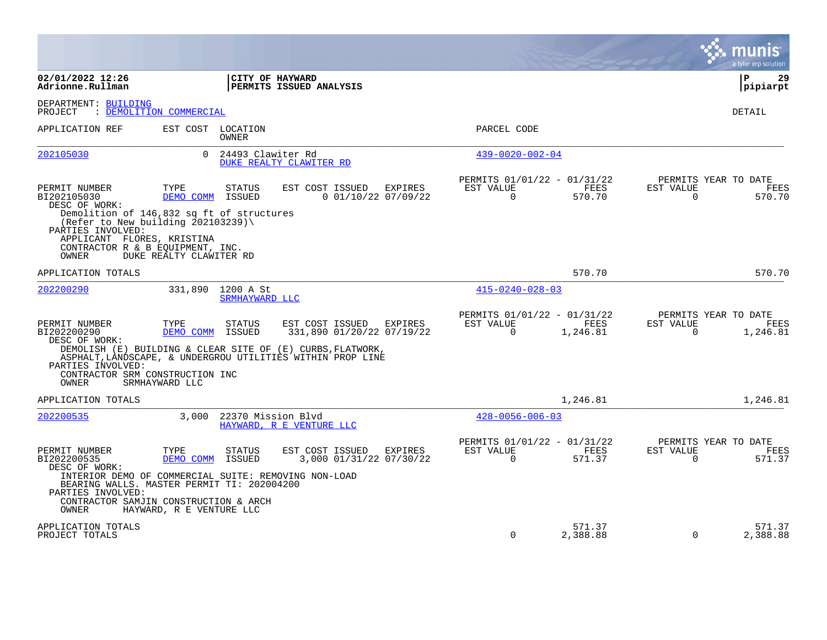|                                                                                                                                                                                                                   |                          |                             |                                                                                                                          |         |                                                      |                    |                       | munis<br>a tyler erp solution                 |
|-------------------------------------------------------------------------------------------------------------------------------------------------------------------------------------------------------------------|--------------------------|-----------------------------|--------------------------------------------------------------------------------------------------------------------------|---------|------------------------------------------------------|--------------------|-----------------------|-----------------------------------------------|
| 02/01/2022 12:26<br>Adrionne.Rullman                                                                                                                                                                              |                          | CITY OF HAYWARD             | PERMITS ISSUED ANALYSIS                                                                                                  |         |                                                      |                    |                       | l P<br>29<br> pipiarpt                        |
| DEPARTMENT: BUILDING<br>PROJECT                                                                                                                                                                                   | : DEMOLITION COMMERCIAL  |                             |                                                                                                                          |         |                                                      |                    |                       | DETAIL                                        |
| APPLICATION REF                                                                                                                                                                                                   | EST COST LOCATION        | <b>OWNER</b>                |                                                                                                                          |         | PARCEL CODE                                          |                    |                       |                                               |
| 202105030                                                                                                                                                                                                         | $\Omega$                 | 24493 Clawiter Rd           | DUKE REALTY CLAWITER RD                                                                                                  |         | $439 - 0020 - 002 - 04$                              |                    |                       |                                               |
| PERMIT NUMBER<br>BI202105030<br>DESC OF WORK:<br>Demolition of 146,832 sq ft of structures<br>(Refer to New building 202103239) $\setminus$<br>PARTIES INVOLVED:                                                  | TYPE<br>DEMO COMM ISSUED | <b>STATUS</b>               | EST COST ISSUED<br>$0$ 01/10/22 07/09/22                                                                                 | EXPIRES | PERMITS 01/01/22 - 01/31/22<br>EST VALUE<br>$\Omega$ | FEES<br>570.70     | EST VALUE<br>$\Omega$ | PERMITS YEAR TO DATE<br>FEES<br>570.70        |
| APPLICANT FLORES, KRISTINA<br>CONTRACTOR R & B EQUIPMENT, INC.<br><b>OWNER</b>                                                                                                                                    | DUKE REALTY CLAWITER RD  |                             |                                                                                                                          |         |                                                      |                    |                       |                                               |
| APPLICATION TOTALS                                                                                                                                                                                                |                          |                             |                                                                                                                          |         |                                                      | 570.70             |                       | 570.70                                        |
| 202200290                                                                                                                                                                                                         | 331,890                  | 1200 A St<br>SRMHAYWARD LLC |                                                                                                                          |         | $415 - 0240 - 028 - 03$                              |                    |                       |                                               |
| PERMIT NUMBER<br>BI202200290<br>DESC OF WORK:                                                                                                                                                                     | TYPE<br>DEMO COMM        | <b>STATUS</b><br>ISSUED     | EST COST ISSUED<br>331,890 01/20/22 07/19/22                                                                             | EXPIRES | PERMITS 01/01/22 - 01/31/22<br>EST VALUE<br>$\Omega$ | FEES<br>1,246.81   | EST VALUE<br>0        | PERMITS YEAR TO DATE<br>FEES<br>1,246.81      |
| PARTIES INVOLVED:<br>CONTRACTOR SRM CONSTRUCTION INC<br>OWNER                                                                                                                                                     | SRMHAYWARD LLC           |                             | DEMOLISH (E) BUILDING & CLEAR SITE OF (E) CURBS, FLATWORK,<br>ASPHALT, LANDSCAPE, & UNDERGROU UTILITIES WITHIN PROP LINE |         |                                                      |                    |                       |                                               |
| APPLICATION TOTALS                                                                                                                                                                                                |                          |                             |                                                                                                                          |         |                                                      | 1,246.81           |                       | 1,246.81                                      |
| 202200535                                                                                                                                                                                                         | 3,000                    | 22370 Mission Blvd          | HAYWARD, R E VENTURE LLC                                                                                                 |         | $428 - 0056 - 006 - 03$                              |                    |                       |                                               |
| PERMIT NUMBER<br>BI202200535<br>DESC OF WORK:<br>INTERIOR DEMO OF COMMERCIAL SUITE: REMOVING NON-LOAD<br>BEARING WALLS. MASTER PERMIT TI: 202004200<br>PARTIES INVOLVED:<br>CONTRACTOR SAMJIN CONSTRUCTION & ARCH | TYPE<br>DEMO COMM        | <b>STATUS</b><br>ISSUED     | EST COST ISSUED<br>3,000 01/31/22 07/30/22                                                                               | EXPIRES | PERMITS 01/01/22 - 01/31/22<br>EST VALUE<br>$\Omega$ | FEES<br>571.37     | EST VALUE<br>$\Omega$ | PERMITS YEAR TO DATE<br><b>FEES</b><br>571.37 |
| OWNER                                                                                                                                                                                                             | HAYWARD, R E VENTURE LLC |                             |                                                                                                                          |         |                                                      |                    |                       |                                               |
| APPLICATION TOTALS<br>PROJECT TOTALS                                                                                                                                                                              |                          |                             |                                                                                                                          |         | $\Omega$                                             | 571.37<br>2,388.88 | $\Omega$              | 571.37<br>2,388.88                            |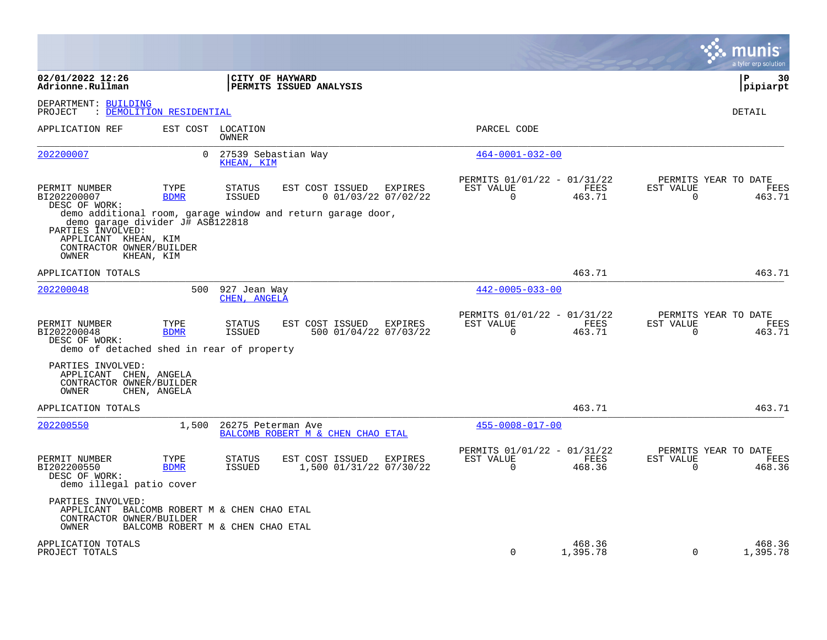|                                                                                                                    |                          |                                   |                                   |                         |                                  |                                                      |                    |                          | a tyler erp solution                   |
|--------------------------------------------------------------------------------------------------------------------|--------------------------|-----------------------------------|-----------------------------------|-------------------------|----------------------------------|------------------------------------------------------|--------------------|--------------------------|----------------------------------------|
| 02/01/2022 12:26<br>Adrionne.Rullman                                                                               |                          | CITY OF HAYWARD                   | PERMITS ISSUED ANALYSIS           |                         |                                  |                                                      |                    |                          | l P<br>30<br>pipiarpt                  |
| DEPARTMENT: BUILDING<br>PROJECT                                                                                    | : DEMOLITION RESIDENTIAL |                                   |                                   |                         |                                  |                                                      |                    |                          | DETAIL                                 |
| APPLICATION REF                                                                                                    |                          | EST COST LOCATION<br>OWNER        |                                   |                         |                                  | PARCEL CODE                                          |                    |                          |                                        |
| 202200007                                                                                                          | $\overline{0}$           | 27539 Sebastian Way<br>KHEAN, KIM |                                   |                         |                                  | $464 - 0001 - 032 - 00$                              |                    |                          |                                        |
| PERMIT NUMBER<br>BI202200007<br>DESC OF WORK:<br>demo additional room, garage window and return garage door,       | TYPE<br><b>BDMR</b>      | <b>STATUS</b><br><b>ISSUED</b>    | EST COST ISSUED                   |                         | EXPIRES<br>$0$ 01/03/22 07/02/22 | PERMITS 01/01/22 - 01/31/22<br>EST VALUE<br>$\Omega$ | FEES<br>463.71     | EST VALUE<br>$\mathbf 0$ | PERMITS YEAR TO DATE<br>FEES<br>463.71 |
| demo garage divider J# ASB122818<br>PARTIES INVOLVED:<br>APPLICANT KHEAN, KIM<br>CONTRACTOR OWNER/BUILDER<br>OWNER | KHEAN, KIM               |                                   |                                   |                         |                                  |                                                      |                    |                          |                                        |
| APPLICATION TOTALS                                                                                                 |                          |                                   |                                   |                         |                                  |                                                      | 463.71             |                          | 463.71                                 |
| 202200048                                                                                                          | 500                      | 927 Jean Way<br>CHEN, ANGELA      |                                   |                         |                                  | $442 - 0005 - 033 - 00$                              |                    |                          |                                        |
| PERMIT NUMBER<br>BI202200048<br>DESC OF WORK:<br>demo of detached shed in rear of property                         | TYPE<br><b>BDMR</b>      | <b>STATUS</b><br><b>ISSUED</b>    | EST COST ISSUED EXPIRES           |                         | 500 01/04/22 07/03/22            | PERMITS 01/01/22 - 01/31/22<br>EST VALUE<br>$\Omega$ | FEES<br>463.71     | EST VALUE<br>$\Omega$    | PERMITS YEAR TO DATE<br>FEES<br>463.71 |
| PARTIES INVOLVED:<br>APPLICANT CHEN, ANGELA<br>CONTRACTOR OWNER/BUILDER<br>OWNER                                   | CHEN, ANGELA             |                                   |                                   |                         |                                  |                                                      |                    |                          |                                        |
| APPLICATION TOTALS                                                                                                 |                          |                                   |                                   |                         |                                  |                                                      | 463.71             |                          | 463.71                                 |
| 202200550                                                                                                          | 1,500                    | 26275 Peterman Ave                | BALCOMB ROBERT M & CHEN CHAO ETAL |                         |                                  | $455 - 0008 - 017 - 00$                              |                    |                          |                                        |
| PERMIT NUMBER<br>BI202200550<br>DESC OF WORK:<br>demo illegal patio cover                                          | TYPE<br><b>BDMR</b>      | <b>STATUS</b><br><b>ISSUED</b>    | EST COST ISSUED                   | 1,500 01/31/22 07/30/22 | <b>EXPIRES</b>                   | PERMITS 01/01/22 - 01/31/22<br>EST VALUE<br>$\Omega$ | FEES<br>468.36     | EST VALUE<br>$\mathbf 0$ | PERMITS YEAR TO DATE<br>FEES<br>468.36 |
| PARTIES INVOLVED:<br>APPLICANT BALCOMB ROBERT M & CHEN CHAO ETAL<br>CONTRACTOR OWNER/BUILDER<br>OWNER              |                          | BALCOMB ROBERT M & CHEN CHAO ETAL |                                   |                         |                                  |                                                      |                    |                          |                                        |
| APPLICATION TOTALS<br>PROJECT TOTALS                                                                               |                          |                                   |                                   |                         |                                  | $\Omega$                                             | 468.36<br>1,395.78 | $\mathbf 0$              | 468.36<br>1,395.78                     |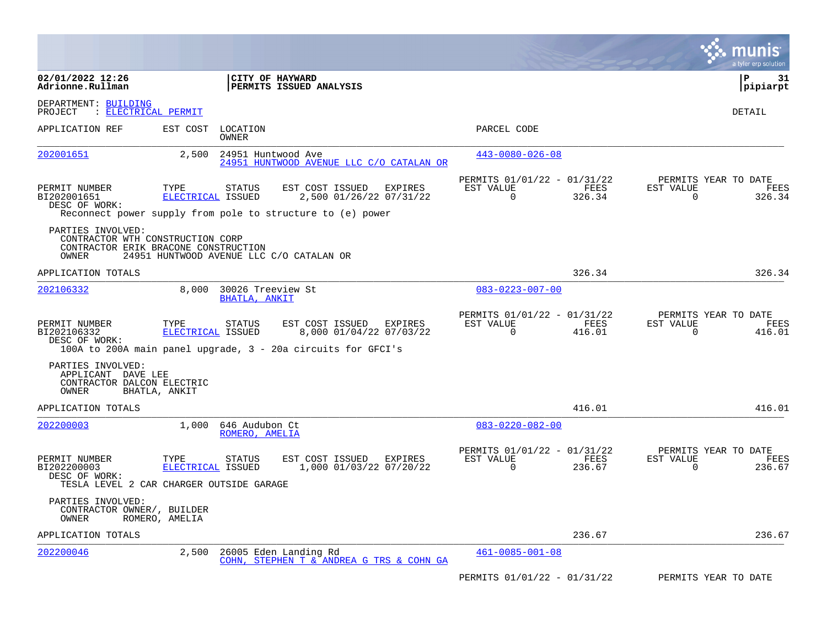|                                                                                                        |                           |                                                                                                                                             |                                                                        | munis<br>a tyler erp solution                                           |
|--------------------------------------------------------------------------------------------------------|---------------------------|---------------------------------------------------------------------------------------------------------------------------------------------|------------------------------------------------------------------------|-------------------------------------------------------------------------|
| 02/01/2022 12:26<br>Adrionne.Rullman                                                                   |                           | CITY OF HAYWARD<br>PERMITS ISSUED ANALYSIS                                                                                                  |                                                                        | l P<br>31<br> pipiarpt                                                  |
| DEPARTMENT: BUILDING<br>PROJECT                                                                        | : ELECTRICAL PERMIT       |                                                                                                                                             |                                                                        | DETAIL                                                                  |
| APPLICATION REF                                                                                        | EST COST                  | LOCATION<br>OWNER                                                                                                                           | PARCEL CODE                                                            |                                                                         |
| <u>202001651</u>                                                                                       | 2,500                     | 24951 Huntwood Ave<br>24951 HUNTWOOD AVENUE LLC C/O CATALAN OR                                                                              | $443 - 0080 - 026 - 08$                                                |                                                                         |
| PERMIT NUMBER<br>BI202001651<br>DESC OF WORK:                                                          | TYPE<br>ELECTRICAL ISSUED | EST COST ISSUED<br><b>EXPIRES</b><br><b>STATUS</b><br>2,500 01/26/22 07/31/22<br>Reconnect power supply from pole to structure to (e) power | PERMITS 01/01/22 - 01/31/22<br>EST VALUE<br>$\Omega$<br>326.34         | PERMITS YEAR TO DATE<br>EST VALUE<br>FEES<br>FEES<br>$\Omega$<br>326.34 |
| PARTIES INVOLVED:<br>CONTRACTOR WTH CONSTRUCTION CORP<br>CONTRACTOR ERIK BRACONE CONSTRUCTION<br>OWNER |                           | 24951 HUNTWOOD AVENUE LLC C/O CATALAN OR                                                                                                    |                                                                        |                                                                         |
| APPLICATION TOTALS                                                                                     |                           |                                                                                                                                             | 326.34                                                                 | 326.34                                                                  |
| 202106332                                                                                              | 8,000                     | 30026 Treeview St<br>BHATLA, ANKIT                                                                                                          | $083 - 0223 - 007 - 00$                                                |                                                                         |
| PERMIT NUMBER<br>BI202106332<br>DESC OF WORK:                                                          | TYPE<br>ELECTRICAL ISSUED | EST COST ISSUED<br><b>STATUS</b><br>EXPIRES<br>8,000 01/04/22 07/03/22<br>100A to 200A main panel upgrade, 3 - 20a circuits for GFCI's      | PERMITS 01/01/22 - 01/31/22<br>EST VALUE<br>FEES<br>$\Omega$<br>416.01 | PERMITS YEAR TO DATE<br>EST VALUE<br>FEES<br>416.01<br>$\Omega$         |
| PARTIES INVOLVED:<br>APPLICANT DAVE LEE<br>CONTRACTOR DALCON ELECTRIC<br>OWNER                         | BHATLA, ANKIT             |                                                                                                                                             |                                                                        |                                                                         |
| APPLICATION TOTALS                                                                                     |                           |                                                                                                                                             | 416.01                                                                 | 416.01                                                                  |
| 202200003                                                                                              | 1,000                     | 646 Audubon Ct<br>ROMERO, AMELIA                                                                                                            | $083 - 0220 - 082 - 00$                                                |                                                                         |
| PERMIT NUMBER<br>BI202200003<br>DESC OF WORK:<br>TESLA LEVEL 2 CAR CHARGER OUTSIDE GARAGE              | TYPE<br>ELECTRICAL ISSUED | EST COST ISSUED EXPIRES<br>STATUS<br>1,000 01/03/22 07/20/22                                                                                | PERMITS 01/01/22 - 01/31/22<br>EST VALUE<br>$\Omega$<br>236.67         | PERMITS YEAR TO DATE<br>FEES<br>EST VALUE<br>FEES<br>$\Omega$<br>236.67 |
| PARTIES INVOLVED:<br>CONTRACTOR OWNER/, BUILDER<br>OWNER                                               | ROMERO, AMELIA            |                                                                                                                                             |                                                                        |                                                                         |
| APPLICATION TOTALS                                                                                     |                           |                                                                                                                                             | 236.67                                                                 | 236.67                                                                  |
| 202200046                                                                                              | 2,500                     | 26005 Eden Landing Rd<br>COHN, STEPHEN T & ANDREA G TRS & COHN GA                                                                           | $461 - 0085 - 001 - 08$                                                |                                                                         |
|                                                                                                        |                           |                                                                                                                                             | PERMITS 01/01/22 - 01/31/22                                            | PERMITS YEAR TO DATE                                                    |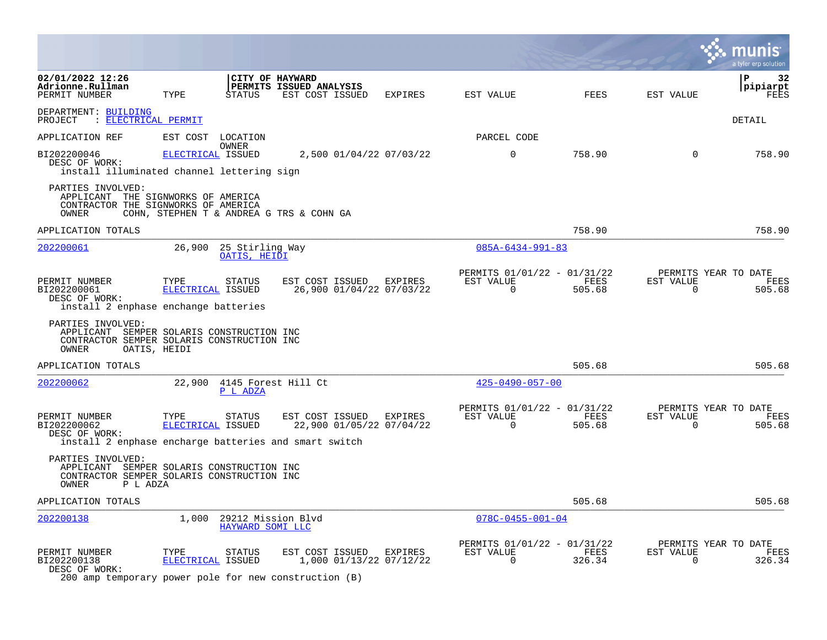|                                                                                                                                   |                           |                                        |                                                     |                         |                                                         |                |                          | a tyler erp solution                   |
|-----------------------------------------------------------------------------------------------------------------------------------|---------------------------|----------------------------------------|-----------------------------------------------------|-------------------------|---------------------------------------------------------|----------------|--------------------------|----------------------------------------|
| 02/01/2022 12:26<br>Adrionne.Rullman<br>PERMIT NUMBER                                                                             | TYPE                      | CITY OF HAYWARD<br>STATUS              | PERMITS ISSUED ANALYSIS<br>EST COST ISSUED          | EXPIRES                 | EST VALUE                                               | <b>FEES</b>    | EST VALUE                | P<br>32<br>pipiarpt<br>FEES            |
| DEPARTMENT: BUILDING<br>PROJECT : ELECTRICAL PERMIT                                                                               |                           |                                        |                                                     |                         |                                                         |                |                          | DETAIL                                 |
| APPLICATION REF                                                                                                                   | EST COST                  | LOCATION                               |                                                     |                         | PARCEL CODE                                             |                |                          |                                        |
| BI202200046<br>DESC OF WORK:<br>install illuminated channel lettering sign                                                        | ELECTRICAL ISSUED         | OWNER                                  |                                                     | 2,500 01/04/22 07/03/22 | $\mathbf 0$                                             | 758.90         | $\Omega$                 | 758.90                                 |
| PARTIES INVOLVED:<br>APPLICANT THE SIGNWORKS OF AMERICA<br>CONTRACTOR THE SIGNWORKS OF AMERICA<br>OWNER                           |                           |                                        | COHN, STEPHEN T & ANDREA G TRS & COHN GA            |                         |                                                         |                |                          |                                        |
| APPLICATION TOTALS                                                                                                                |                           |                                        |                                                     |                         |                                                         | 758.90         |                          | 758.90                                 |
| 202200061                                                                                                                         |                           | 26,900 25 Stirling Way<br>OATIS, HEIDI |                                                     |                         | $085A - 6434 - 991 - 83$                                |                |                          |                                        |
| PERMIT NUMBER<br>BI202200061<br>DESC OF WORK:<br>install 2 enphase enchange batteries                                             | TYPE<br>ELECTRICAL ISSUED | STATUS                                 | EST COST ISSUED EXPIRES<br>26,900 01/04/22 07/03/22 |                         | PERMITS 01/01/22 - 01/31/22<br>EST VALUE<br>$\mathbf 0$ | FEES<br>505.68 | EST VALUE<br>$\Omega$    | PERMITS YEAR TO DATE<br>FEES<br>505.68 |
| PARTIES INVOLVED:<br>APPLICANT SEMPER SOLARIS CONSTRUCTION INC<br>CONTRACTOR SEMPER SOLARIS CONSTRUCTION INC<br>OWNER             | OATIS, HEIDI              |                                        |                                                     |                         |                                                         |                |                          |                                        |
| APPLICATION TOTALS                                                                                                                |                           |                                        |                                                     |                         |                                                         | 505.68         |                          | 505.68                                 |
| 202200062                                                                                                                         |                           | 22,900 4145 Forest Hill Ct<br>P L ADZA |                                                     |                         | $425 - 0490 - 057 - 00$                                 |                |                          |                                        |
| PERMIT NUMBER<br>BI202200062<br>DESC OF WORK:<br>install 2 enphase encharge batteries and smart switch                            | TYPE<br>ELECTRICAL ISSUED | STATUS                                 | EST COST ISSUED<br>22,900 01/05/22 07/04/22         | EXPIRES                 | PERMITS 01/01/22 - 01/31/22<br>EST VALUE<br>$\mathbf 0$ | FEES<br>505.68 | EST VALUE<br>$\mathbf 0$ | PERMITS YEAR TO DATE<br>FEES<br>505.68 |
| PARTIES INVOLVED:<br>APPLICANT SEMPER SOLARIS CONSTRUCTION INC<br>CONTRACTOR SEMPER SOLARIS CONSTRUCTION INC<br>OWNER<br>P L ADZA |                           |                                        |                                                     |                         |                                                         |                |                          |                                        |
| APPLICATION TOTALS                                                                                                                |                           |                                        |                                                     |                         |                                                         | 505.68         |                          | 505.68                                 |
| 202200138                                                                                                                         | 1,000                     | 29212 Mission Blvd<br>HAYWARD SOMI LLC |                                                     |                         | $078C - 0455 - 001 - 04$                                |                |                          |                                        |
| PERMIT NUMBER<br>BI202200138<br>DESC OF WORK:<br>200 amp temporary power pole for new construction (B)                            | TYPE<br>ELECTRICAL ISSUED | STATUS                                 | EST COST ISSUED EXPIRES                             | 1,000 01/13/22 07/12/22 | PERMITS 01/01/22 - 01/31/22<br>EST VALUE<br>$\mathbf 0$ | FEES<br>326.34 | EST VALUE<br>$\mathbf 0$ | PERMITS YEAR TO DATE<br>FEES<br>326.34 |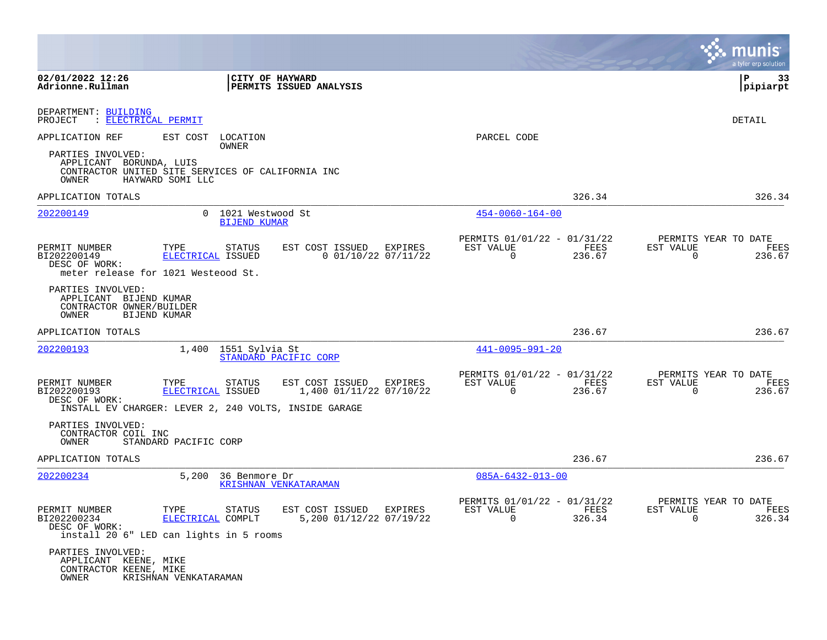|                                                                                          |                                     |                                                                                                                              |         |                                                         |                | munis<br>a tyler erp solution                                      |
|------------------------------------------------------------------------------------------|-------------------------------------|------------------------------------------------------------------------------------------------------------------------------|---------|---------------------------------------------------------|----------------|--------------------------------------------------------------------|
| 02/01/2022 12:26<br>Adrionne.Rullman                                                     |                                     | CITY OF HAYWARD<br>PERMITS ISSUED ANALYSIS                                                                                   |         |                                                         |                | l P<br>33<br> pipiarpt                                             |
| DEPARTMENT: BUILDING<br>: ELECTRICAL PERMIT<br>PROJECT                                   |                                     |                                                                                                                              |         |                                                         |                | DETAIL                                                             |
| APPLICATION REF                                                                          | EST COST<br>OWNER                   | LOCATION                                                                                                                     |         | PARCEL CODE                                             |                |                                                                    |
| PARTIES INVOLVED:<br>APPLICANT BORUNDA, LUIS<br>OWNER                                    | HAYWARD SOMI LLC                    | CONTRACTOR UNITED SITE SERVICES OF CALIFORNIA INC                                                                            |         |                                                         |                |                                                                    |
| APPLICATION TOTALS                                                                       |                                     |                                                                                                                              |         |                                                         | 326.34         | 326.34                                                             |
| 202200149                                                                                | $\Omega$                            | 1021 Westwood St<br><b>BIJEND KUMAR</b>                                                                                      |         | $454 - 0060 - 164 - 00$                                 |                |                                                                    |
| PERMIT NUMBER<br>BI202200149<br>DESC OF WORK:<br>meter release for 1021 Westeood St.     | TYPE<br>ELECTRICAL ISSUED           | EST COST ISSUED<br>STATUS<br>$0$ 01/10/22 07/11/22                                                                           | EXPIRES | PERMITS 01/01/22 - 01/31/22<br>EST VALUE<br>$\Omega$    | FEES<br>236.67 | PERMITS YEAR TO DATE<br>FEES<br>EST VALUE<br>$\mathbf 0$<br>236.67 |
| PARTIES INVOLVED:<br>APPLICANT BIJEND KUMAR<br>CONTRACTOR OWNER/BUILDER<br>OWNER         | BIJEND KUMAR                        |                                                                                                                              |         |                                                         |                |                                                                    |
| APPLICATION TOTALS                                                                       |                                     |                                                                                                                              |         |                                                         | 236.67         | 236.67                                                             |
| 202200193                                                                                | 1,400                               | 1551 Sylvia St<br>STANDARD PACIFIC CORP                                                                                      |         | $441 - 0095 - 991 - 20$                                 |                |                                                                    |
| PERMIT NUMBER<br>BI202200193<br>DESC OF WORK:                                            | TYPE<br>ELECTRICAL ISSUED           | <b>STATUS</b><br>EST COST ISSUED EXPIRES<br>1,400 01/11/22 07/10/22<br>INSTALL EV CHARGER: LEVER 2, 240 VOLTS, INSIDE GARAGE |         | PERMITS 01/01/22 - 01/31/22<br>EST VALUE<br>$\mathbf 0$ | FEES<br>236.67 | PERMITS YEAR TO DATE<br>EST VALUE<br>FEES<br>236.67<br>$\Omega$    |
| PARTIES INVOLVED:<br>CONTRACTOR COIL INC<br>OWNER                                        | STANDARD PACIFIC CORP               |                                                                                                                              |         |                                                         |                |                                                                    |
| APPLICATION TOTALS                                                                       |                                     |                                                                                                                              |         |                                                         | 236.67         | 236.67                                                             |
| 202200234                                                                                | 5,200                               | 36 Benmore Dr<br>KRISHNAN VENKATARAMAN                                                                                       |         | $085A - 6432 - 013 - 00$                                |                |                                                                    |
| PERMIT NUMBER<br>BI202200234<br>DESC OF WORK:<br>install 20 6" LED can lights in 5 rooms | TYPE<br>STATUS<br>ELECTRICAL COMPLT | EST COST ISSUED EXPIRES<br>5,200 01/12/22 07/19/22                                                                           |         | PERMITS 01/01/22 - 01/31/22<br>EST VALUE<br>$\Omega$    | FEES<br>326.34 | PERMITS YEAR TO DATE<br>EST VALUE<br>FEES<br>326.34<br>$\Omega$    |
| PARTIES INVOLVED:<br>APPLICANT KEENE, MIKE<br>CONTRACTOR KEENE, MIKE<br>OWNER            | KRISHNAN VENKATARAMAN               |                                                                                                                              |         |                                                         |                |                                                                    |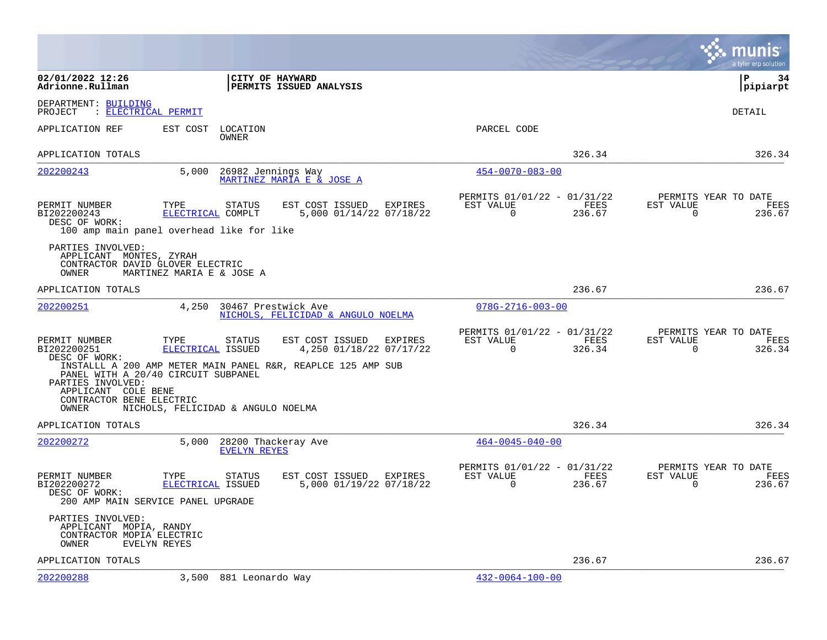|                                                                                           |                                                                                  |                                                                                                                       |                                                         |                | munis<br>a tyler erp solution                                      |
|-------------------------------------------------------------------------------------------|----------------------------------------------------------------------------------|-----------------------------------------------------------------------------------------------------------------------|---------------------------------------------------------|----------------|--------------------------------------------------------------------|
| 02/01/2022 12:26<br>Adrionne.Rullman                                                      |                                                                                  | CITY OF HAYWARD<br>PERMITS ISSUED ANALYSIS                                                                            |                                                         |                | l P<br>34<br>pipiarpt                                              |
| DEPARTMENT: BUILDING<br>: ELECTRICAL PERMIT<br>PROJECT                                    |                                                                                  |                                                                                                                       |                                                         |                | <b>DETAIL</b>                                                      |
| APPLICATION REF                                                                           | EST COST<br>LOCATION<br>OWNER                                                    |                                                                                                                       | PARCEL CODE                                             |                |                                                                    |
| APPLICATION TOTALS                                                                        |                                                                                  |                                                                                                                       |                                                         | 326.34         | 326.34                                                             |
| 202200243                                                                                 | 5,000                                                                            | 26982 Jennings Way<br>MARTINEZ MARIA E & JOSE A                                                                       | $454 - 0070 - 083 - 00$                                 |                |                                                                    |
| PERMIT NUMBER<br>BI202200243<br>DESC OF WORK:                                             | TYPE<br>STATUS<br>ELECTRICAL COMPLT<br>100 amp main panel overhead like for like | EST COST ISSUED EXPIRES<br>5,000 01/14/22 07/18/22                                                                    | PERMITS 01/01/22 - 01/31/22<br>EST VALUE<br>$\mathbf 0$ | FEES<br>236.67 | PERMITS YEAR TO DATE<br>EST VALUE<br>FEES<br>$\mathbf 0$<br>236.67 |
| PARTIES INVOLVED:<br>APPLICANT MONTES, ZYRAH<br>CONTRACTOR DAVID GLOVER ELECTRIC<br>OWNER | MARTINEZ MARIA E & JOSE A                                                        |                                                                                                                       |                                                         |                |                                                                    |
| APPLICATION TOTALS                                                                        |                                                                                  |                                                                                                                       |                                                         | 236.67         | 236.67                                                             |
| 202200251                                                                                 | 4,250                                                                            | 30467 Prestwick Ave<br>NICHOLS, FELICIDAD & ANGULO NOELMA                                                             | $078G - 2716 - 003 - 00$                                |                |                                                                    |
| PERMIT NUMBER<br>BI202200251<br>DESC OF WORK:                                             | TYPE<br>STATUS<br>ELECTRICAL ISSUED<br>PANEL WITH A 20/40 CIRCUIT SUBPANEL       | EST COST ISSUED<br>EXPIRES<br>4,250 01/18/22 07/17/22<br>INSTALLL A 200 AMP METER MAIN PANEL R&R, REAPLCE 125 AMP SUB | PERMITS 01/01/22 - 01/31/22<br>EST VALUE<br>$\Omega$    | FEES<br>326.34 | PERMITS YEAR TO DATE<br>EST VALUE<br>FEES<br>326.34<br>$\Omega$    |
| PARTIES INVOLVED:<br>APPLICANT COLE BENE<br>CONTRACTOR BENE ELECTRIC<br>OWNER             | NICHOLS, FELICIDAD & ANGULO NOELMA                                               |                                                                                                                       |                                                         |                |                                                                    |
| APPLICATION TOTALS                                                                        |                                                                                  |                                                                                                                       |                                                         | 326.34         | 326.34                                                             |
| 202200272                                                                                 | 5,000<br><b>EVELYN REYES</b>                                                     | 28200 Thackeray Ave                                                                                                   | $464 - 0045 - 040 - 00$                                 |                |                                                                    |
| PERMIT NUMBER<br>BI202200272<br>DESC OF WORK:                                             | TYPE<br><b>STATUS</b><br>ELECTRICAL ISSUED<br>200 AMP MAIN SERVICE PANEL UPGRADE | EST COST ISSUED EXPIRES<br>5,000 01/19/22 07/18/22                                                                    | PERMITS 01/01/22 - 01/31/22<br>EST VALUE<br>$\Omega$    | FEES<br>236.67 | PERMITS YEAR TO DATE<br>EST VALUE<br>FEES<br>$\Omega$<br>236.67    |
| PARTIES INVOLVED:<br>APPLICANT MOPIA, RANDY<br>CONTRACTOR MOPIA ELECTRIC<br>OWNER         | EVELYN REYES                                                                     |                                                                                                                       |                                                         |                |                                                                    |
| APPLICATION TOTALS                                                                        |                                                                                  |                                                                                                                       |                                                         | 236.67         | 236.67                                                             |
| 202200288                                                                                 | 3,500 881 Leonardo Way                                                           |                                                                                                                       | $432 - 0064 - 100 - 00$                                 |                |                                                                    |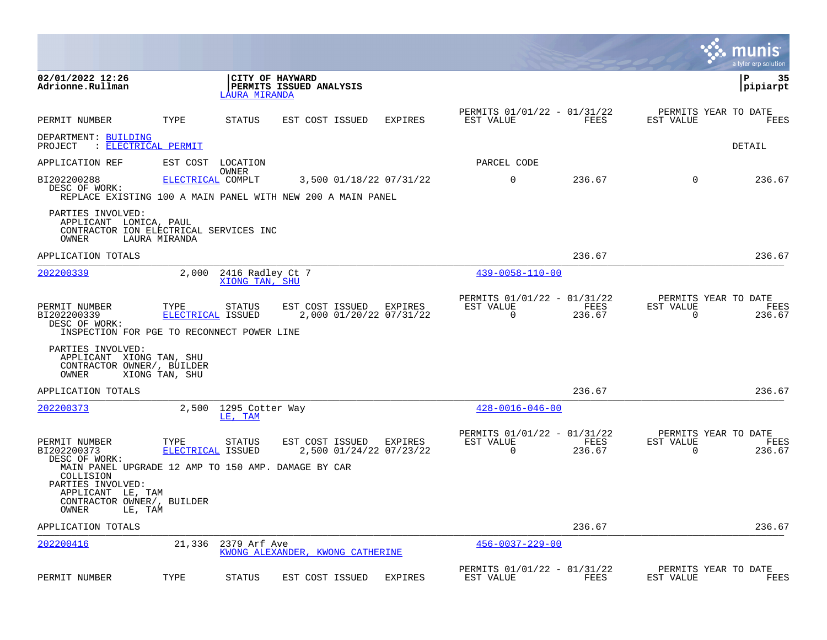|                                                                                                                                        |                           |                                    |                                                                                        |                |                                                         |                |                          | munis<br>a tyler erp solution          |
|----------------------------------------------------------------------------------------------------------------------------------------|---------------------------|------------------------------------|----------------------------------------------------------------------------------------|----------------|---------------------------------------------------------|----------------|--------------------------|----------------------------------------|
| 02/01/2022 12:26<br>Adrionne.Rullman                                                                                                   |                           | <b>LAURA MIRANDA</b>               | CITY OF HAYWARD<br>PERMITS ISSUED ANALYSIS                                             |                |                                                         |                |                          | ΙP<br>35<br>pipiarpt                   |
| PERMIT NUMBER                                                                                                                          | TYPE                      | <b>STATUS</b>                      | EST COST ISSUED                                                                        | <b>EXPIRES</b> | PERMITS 01/01/22 - 01/31/22<br>EST VALUE                | FEES           | EST VALUE                | PERMITS YEAR TO DATE<br>FEES           |
| DEPARTMENT: BUILDING<br>PROJECT                                                                                                        | : ELECTRICAL PERMIT       |                                    |                                                                                        |                |                                                         |                |                          | DETAIL                                 |
| APPLICATION REF                                                                                                                        |                           | EST COST LOCATION                  |                                                                                        |                | PARCEL CODE                                             |                |                          |                                        |
| BI202200288<br>DESC OF WORK:                                                                                                           | ELECTRICAL COMPLT         | OWNER                              | 3,500 01/18/22 07/31/22<br>REPLACE EXISTING 100 A MAIN PANEL WITH NEW 200 A MAIN PANEL |                | $\mathbf 0$                                             | 236.67         | $\mathbf 0$              | 236.67                                 |
| PARTIES INVOLVED:<br>APPLICANT LOMICA, PAUL<br>CONTRACTOR ION ELECTRICAL SERVICES INC<br>OWNER                                         | LAURA MIRANDA             |                                    |                                                                                        |                |                                                         |                |                          |                                        |
| APPLICATION TOTALS                                                                                                                     |                           |                                    |                                                                                        |                |                                                         | 236.67         |                          | 236.67                                 |
| 202200339                                                                                                                              | 2,000                     | 2416 Radley Ct 7<br>XIONG TAN, SHU |                                                                                        |                | $439 - 0058 - 110 - 00$                                 |                |                          |                                        |
| PERMIT NUMBER<br>BI202200339<br>DESC OF WORK:<br>INSPECTION FOR PGE TO RECONNECT POWER LINE                                            | TYPE<br>ELECTRICAL ISSUED | STATUS                             | EST COST ISSUED EXPIRES<br>2,000 01/20/22 07/31/22                                     |                | PERMITS 01/01/22 - 01/31/22<br>EST VALUE<br>$\Omega$    | FEES<br>236.67 | EST VALUE<br>0           | PERMITS YEAR TO DATE<br>FEES<br>236.67 |
| PARTIES INVOLVED:<br>APPLICANT XIONG TAN, SHU<br>CONTRACTOR OWNER/, BUILDER<br>OWNER                                                   | XIONG TAN, SHU            |                                    |                                                                                        |                |                                                         |                |                          |                                        |
| APPLICATION TOTALS                                                                                                                     |                           |                                    |                                                                                        |                |                                                         | 236.67         |                          | 236.67                                 |
| 202200373                                                                                                                              | 2,500                     | 1295 Cotter Way<br>LE, TAM         |                                                                                        |                | $428 - 0016 - 046 - 00$                                 |                |                          |                                        |
| PERMIT NUMBER<br>BI202200373<br>DESC OF WORK:<br>MAIN PANEL UPGRADE 12 AMP TO 150 AMP. DAMAGE BY CAR<br>COLLISION<br>PARTIES INVOLVED: | TYPE<br>ELECTRICAL ISSUED | STATUS                             | EST COST ISSUED<br>2,500 01/24/22 07/23/22                                             | EXPIRES        | PERMITS 01/01/22 - 01/31/22<br>EST VALUE<br>$\mathbf 0$ | FEES<br>236.67 | EST VALUE<br>$\mathbf 0$ | PERMITS YEAR TO DATE<br>FEES<br>236.67 |
| APPLICANT LE, TAM<br>CONTRACTOR OWNER/, BUILDER<br>OWNER                                                                               | LE, TAM                   |                                    |                                                                                        |                |                                                         |                |                          |                                        |
| APPLICATION TOTALS                                                                                                                     |                           |                                    |                                                                                        |                |                                                         | 236.67         |                          | 236.67                                 |
| 202200416                                                                                                                              | 21,336                    | 2379 Arf Ave                       | KWONG ALEXANDER, KWONG CATHERINE                                                       |                | $456 - 0037 - 229 - 00$                                 |                |                          |                                        |
| PERMIT NUMBER                                                                                                                          | TYPE                      | <b>STATUS</b>                      | EST COST ISSUED                                                                        | <b>EXPIRES</b> | PERMITS 01/01/22 - 01/31/22<br>EST VALUE                | FEES           | EST VALUE                | PERMITS YEAR TO DATE<br>FEES           |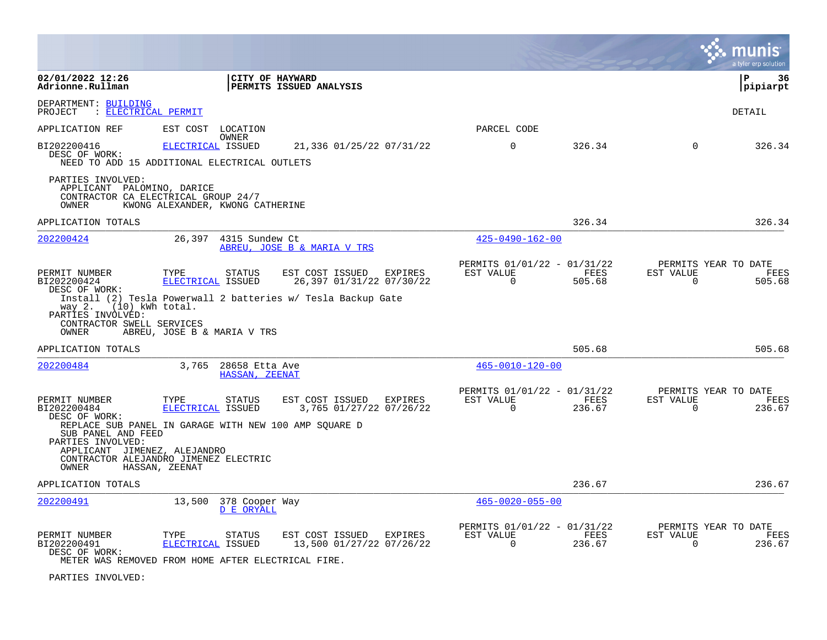|                                                                                                                                                                                    |                                  |                                            |                                                              |         |                                                      |                       |                       | a tyler erp solution                   |
|------------------------------------------------------------------------------------------------------------------------------------------------------------------------------------|----------------------------------|--------------------------------------------|--------------------------------------------------------------|---------|------------------------------------------------------|-----------------------|-----------------------|----------------------------------------|
| 02/01/2022 12:26<br>Adrionne.Rullman                                                                                                                                               |                                  | CITY OF HAYWARD                            | PERMITS ISSUED ANALYSIS                                      |         |                                                      |                       |                       | l P<br>36<br> pipiarpt                 |
| DEPARTMENT: BUILDING<br>: ELECTRICAL PERMIT<br>PROJECT                                                                                                                             |                                  |                                            |                                                              |         |                                                      |                       |                       | DETAIL                                 |
| APPLICATION REF                                                                                                                                                                    | EST COST LOCATION                |                                            |                                                              |         | PARCEL CODE                                          |                       |                       |                                        |
| BI202200416<br>DESC OF WORK:<br>NEED TO ADD 15 ADDITIONAL ELECTRICAL OUTLETS                                                                                                       | ELECTRICAL ISSUED                | <b>OWNER</b>                               | 21,336 01/25/22 07/31/22                                     |         | $\mathbf 0$                                          | 326.34                | $\Omega$              | 326.34                                 |
| PARTIES INVOLVED:<br>APPLICANT PALOMINO, DARICE<br>CONTRACTOR CA ELECTRICAL GROUP 24/7<br>OWNER                                                                                    | KWONG ALEXANDER, KWONG CATHERINE |                                            |                                                              |         |                                                      |                       |                       |                                        |
| APPLICATION TOTALS                                                                                                                                                                 |                                  |                                            |                                                              |         |                                                      | 326.34                |                       | 326.34                                 |
| 202200424                                                                                                                                                                          | 26,397                           | 4315 Sundew Ct                             | ABREU, JOSE B & MARIA V TRS                                  |         | $425 - 0490 - 162 - 00$                              |                       |                       |                                        |
| PERMIT NUMBER<br>BI202200424<br>DESC OF WORK:                                                                                                                                      | TYPE<br>ELECTRICAL ISSUED        | <b>STATUS</b>                              | EST COST ISSUED<br>26,397 01/31/22 07/30/22                  | EXPIRES | PERMITS 01/01/22 - 01/31/22<br>EST VALUE<br>$\Omega$ | FEES<br>505.68        | EST VALUE<br>0        | PERMITS YEAR TO DATE<br>FEES<br>505.68 |
| way 2. (10) kWh total.<br>PARTIES INVOLVED:<br>CONTRACTOR SWELL SERVICES<br>OWNER                                                                                                  | ABREU, JOSE B & MARIA V TRS      |                                            | Install (2) Tesla Powerwall 2 batteries w/ Tesla Backup Gate |         |                                                      |                       |                       |                                        |
| APPLICATION TOTALS                                                                                                                                                                 |                                  |                                            |                                                              |         |                                                      | 505.68                |                       | 505.68                                 |
| 202200484                                                                                                                                                                          |                                  | 3,765 28658 Etta Ave<br>HASSAN, ZEENAT     |                                                              |         | $465 - 0010 - 120 - 00$                              |                       |                       |                                        |
| PERMIT NUMBER<br>BI202200484<br>DESC OF WORK:                                                                                                                                      | TYPE<br>ELECTRICAL ISSUED        | STATUS                                     | EST COST ISSUED EXPIRES<br>3,765 01/27/22 07/26/22           |         | PERMITS 01/01/22 - 01/31/22<br>EST VALUE<br>$\Omega$ | FEES<br>236.67        | EST VALUE<br>$\Omega$ | PERMITS YEAR TO DATE<br>FEES<br>236.67 |
| REPLACE SUB PANEL IN GARAGE WITH NEW 100 AMP SQUARE D<br>SUB PANEL AND FEED<br>PARTIES INVOLVED:<br>APPLICANT JIMENEZ, ALEJANDRO<br>CONTRACTOR ALEJANDRO JIMENEZ ELECTRIC<br>OWNER | HASSAN, ZEENAT                   |                                            |                                                              |         |                                                      |                       |                       |                                        |
| APPLICATION TOTALS                                                                                                                                                                 |                                  |                                            |                                                              |         |                                                      | 236.67                |                       | 236.67                                 |
| 202200491                                                                                                                                                                          |                                  | 13,500 378 Cooper Way<br><b>D E ORYALL</b> |                                                              |         | $465 - 0020 - 055 - 00$                              |                       |                       |                                        |
| PERMIT NUMBER<br>BI202200491<br>DESC OF WORK:<br>METER WAS REMOVED FROM HOME AFTER ELECTRICAL FIRE.                                                                                | TYPE<br>ELECTRICAL ISSUED        | STATUS                                     | EST COST ISSUED EXPIRES<br>13,500 01/27/22 07/26/22          |         | PERMITS 01/01/22 - 01/31/22<br>EST VALUE<br>$\Omega$ | <b>FEES</b><br>236.67 | EST VALUE<br>$\Omega$ | PERMITS YEAR TO DATE<br>FEES<br>236.67 |
|                                                                                                                                                                                    |                                  |                                            |                                                              |         |                                                      |                       |                       |                                        |

PARTIES INVOLVED: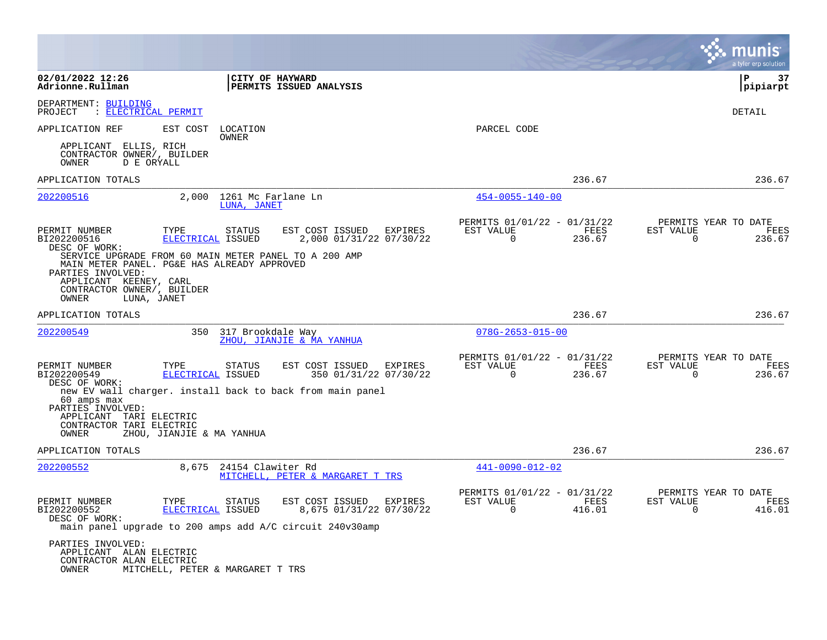|                                                                                                                                                                                                           |                                                                                                                                    |                                                                        | a tyler erp solution                                            |
|-----------------------------------------------------------------------------------------------------------------------------------------------------------------------------------------------------------|------------------------------------------------------------------------------------------------------------------------------------|------------------------------------------------------------------------|-----------------------------------------------------------------|
| 02/01/2022 12:26<br>Adrionne.Rullman                                                                                                                                                                      | CITY OF HAYWARD<br>PERMITS ISSUED ANALYSIS                                                                                         |                                                                        | ∣P<br>37<br> pipiarpt                                           |
| DEPARTMENT: BUILDING<br>: ELECTRICAL PERMIT<br>PROJECT                                                                                                                                                    |                                                                                                                                    |                                                                        | DETAIL                                                          |
| APPLICATION REF<br>EST COST                                                                                                                                                                               | LOCATION<br>OWNER                                                                                                                  | PARCEL CODE                                                            |                                                                 |
| APPLICANT ELLIS, RICH<br>CONTRACTOR OWNER/, BUILDER<br>OWNER<br>D E ORYALL                                                                                                                                |                                                                                                                                    |                                                                        |                                                                 |
| APPLICATION TOTALS                                                                                                                                                                                        |                                                                                                                                    | 236.67                                                                 | 236.67                                                          |
| 202200516                                                                                                                                                                                                 | 2,000 1261 Mc Farlane Ln<br>LUNA, JANET                                                                                            | $454 - 0055 - 140 - 00$                                                |                                                                 |
| PERMIT NUMBER<br>TYPE<br>BI202200516<br><b>ELECTRICAL ISSUED</b><br>DESC OF WORK:                                                                                                                         | EST COST ISSUED<br>STATUS<br>EXPIRES<br>2,000 01/31/22 07/30/22                                                                    | PERMITS 01/01/22 - 01/31/22<br>EST VALUE<br>FEES<br>0<br>236.67        | PERMITS YEAR TO DATE<br>EST VALUE<br>FEES<br>0<br>236.67        |
| SERVICE UPGRADE FROM 60 MAIN METER PANEL TO A 200 AMP<br>MAIN METER PANEL. PG&E HAS ALREADY APPROVED<br>PARTIES INVOLVED:<br>APPLICANT KEENEY, CARL<br>CONTRACTOR OWNER/, BUILDER<br>OWNER<br>LUNA, JANET |                                                                                                                                    |                                                                        |                                                                 |
| APPLICATION TOTALS                                                                                                                                                                                        |                                                                                                                                    | 236.67                                                                 | 236.67                                                          |
| 202200549<br>350                                                                                                                                                                                          | 317 Brookdale Way<br>ZHOU, JIANJIE & MA YANHUA                                                                                     | $078G - 2653 - 015 - 00$                                               |                                                                 |
| PERMIT NUMBER<br>TYPE<br>BI202200549<br>ELECTRICAL ISSUED<br>DESC OF WORK:                                                                                                                                | STATUS<br>EST COST ISSUED<br>EXPIRES<br>350 01/31/22 07/30/22                                                                      | PERMITS 01/01/22 - 01/31/22<br>EST VALUE<br>FEES<br>$\Omega$<br>236.67 | PERMITS YEAR TO DATE<br>EST VALUE<br>FEES<br>$\Omega$<br>236.67 |
| 60 amps max<br>PARTIES INVOLVED:<br>APPLICANT TARI ELECTRIC<br>CONTRACTOR TARI ELECTRIC<br>OWNER<br>ZHOU, JIANJIE & MA YANHUA                                                                             | new EV wall charger. install back to back from main panel                                                                          |                                                                        |                                                                 |
| APPLICATION TOTALS                                                                                                                                                                                        |                                                                                                                                    | 236.67                                                                 | 236.67                                                          |
| 202200552                                                                                                                                                                                                 | 8,675 24154 Clawiter Rd<br>MITCHELL, PETER & MARGARET T TRS                                                                        | $441 - 0090 - 012 - 02$                                                |                                                                 |
| PERMIT NUMBER<br>TYPE<br>BI202200552<br>ELECTRICAL ISSUED<br>DESC OF WORK:                                                                                                                                | <b>STATUS</b><br>EST COST ISSUED<br>EXPIRES<br>8,675 01/31/22 07/30/22<br>main panel upgrade to 200 amps add A/C circuit 240v30amp | PERMITS 01/01/22 - 01/31/22<br>EST VALUE<br>FEES<br>0<br>416.01        | PERMITS YEAR TO DATE<br>EST VALUE<br>FEES<br>0<br>416.01        |
| PARTIES INVOLVED:<br>APPLICANT ALAN ELECTRIC<br>CONTRACTOR ALAN ELECTRIC<br>OWNER<br>MITCHELL, PETER & MARGARET T TRS                                                                                     |                                                                                                                                    |                                                                        |                                                                 |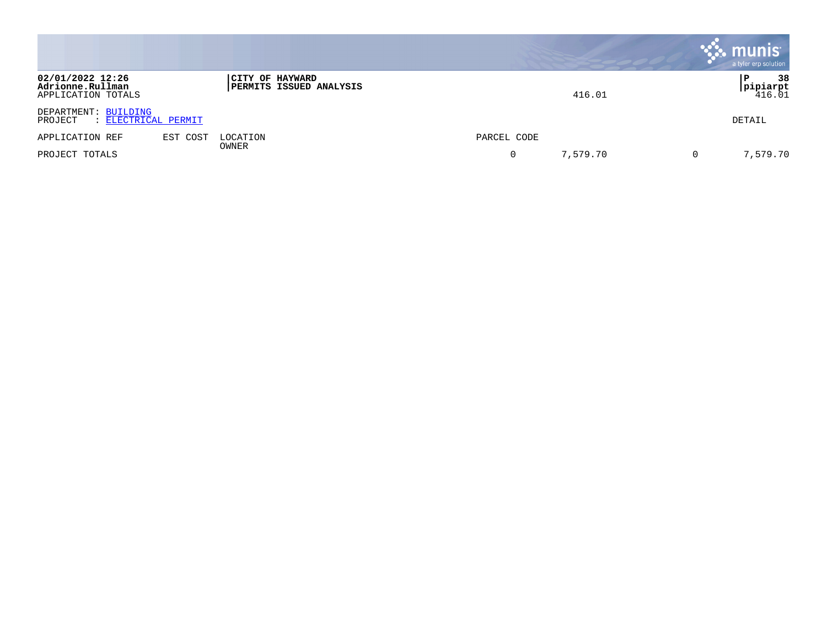|                                                            |                   |                                |             |          | munis<br>a tyler erp solution  |
|------------------------------------------------------------|-------------------|--------------------------------|-------------|----------|--------------------------------|
| 02/01/2022 12:26<br>Adrionne.Rullman<br>APPLICATION TOTALS | CITY OF HAYWARD   | <b>PERMITS ISSUED ANALYSIS</b> |             | 416.01   | 38<br>Р<br>pipiarpt <br>116.01 |
| DEPARTMENT: BUILDING<br>: ELECTRICAL PERMIT<br>PROJECT     |                   |                                |             |          | DETAIL                         |
| EST COST<br>APPLICATION REF                                | LOCATION<br>OWNER |                                | PARCEL CODE |          |                                |
| PROJECT TOTALS                                             |                   |                                |             | 7,579.70 | 7,579.70                       |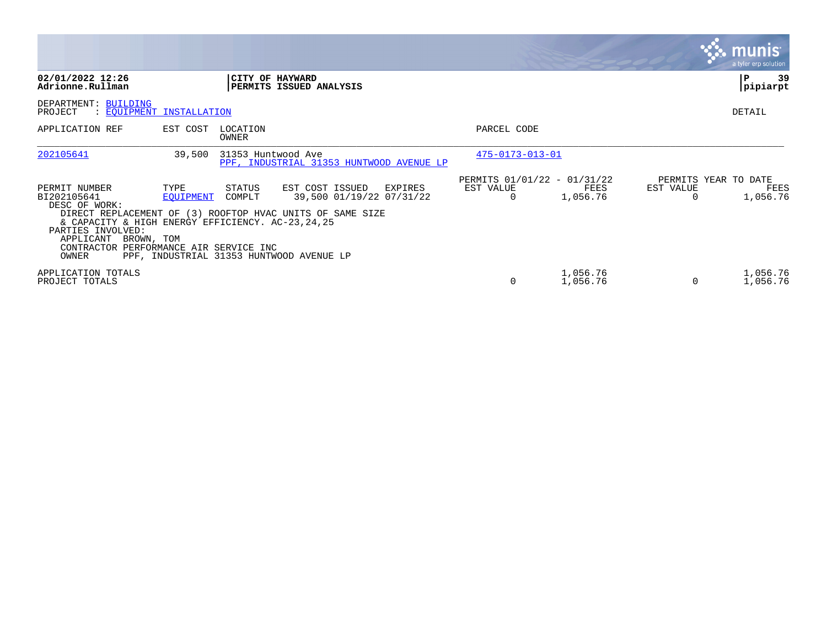|                                                                                                                                                                                                      |                          |                    |                                                                                                                                                                 |                                               |                      |           | $\mathbb{R}$ munist<br>a tyler erp solution |
|------------------------------------------------------------------------------------------------------------------------------------------------------------------------------------------------------|--------------------------|--------------------|-----------------------------------------------------------------------------------------------------------------------------------------------------------------|-----------------------------------------------|----------------------|-----------|---------------------------------------------|
| 02/01/2022 12:26<br>Adrionne.Rullman                                                                                                                                                                 |                          |                    | CITY OF HAYWARD<br>PERMITS ISSUED ANALYSIS                                                                                                                      |                                               |                      |           | 39<br>Р<br>pipiarpt                         |
| DEPARTMENT: BUILDING<br>PROJECT<br>: EOUIPMENT INSTALLATION                                                                                                                                          |                          |                    |                                                                                                                                                                 |                                               |                      |           | DETAIL                                      |
| APPLICATION REF                                                                                                                                                                                      | EST COST                 | LOCATION<br>OWNER  |                                                                                                                                                                 | PARCEL CODE                                   |                      |           |                                             |
| 202105641                                                                                                                                                                                            | 39,500                   | 31353 Huntwood Ave | PPF, INDUSTRIAL 31353 HUNTWOOD AVENUE LP                                                                                                                        | 475-0173-013-01                               |                      |           |                                             |
| PERMIT NUMBER<br>BI202105641<br>DESC OF WORK:<br>& CAPACITY & HIGH ENERGY EFFICIENCY. AC-23,24,25<br>PARTIES INVOLVED:<br>APPLICANT<br>BROWN, TOM<br>CONTRACTOR PERFORMANCE AIR SERVICE INC<br>OWNER | TYPE<br><b>EOUIPMENT</b> | STATUS<br>COMPLT   | EST COST ISSUED<br>EXPIRES<br>39,500 01/19/22 07/31/22<br>DIRECT REPLACEMENT OF (3) ROOFTOP HVAC UNITS OF SAME SIZE<br>PPF, INDUSTRIAL 31353 HUNTWOOD AVENUE LP | PERMITS 01/01/22 - 01/31/22<br>EST VALUE<br>0 | FEES<br>1,056.76     | EST VALUE | PERMITS YEAR TO DATE<br>FEES<br>1,056.76    |
| APPLICATION TOTALS<br>PROJECT TOTALS                                                                                                                                                                 |                          |                    |                                                                                                                                                                 | $\Omega$                                      | 1,056.76<br>1,056.76 |           | 1,056.76<br>1,056.76                        |

 $\sim$ 

The Control of the Control of the Control of the Control of the Control of the Control of the Control of the C

the contract of the contract of the contract of the contract of the contract of the contract of the contract of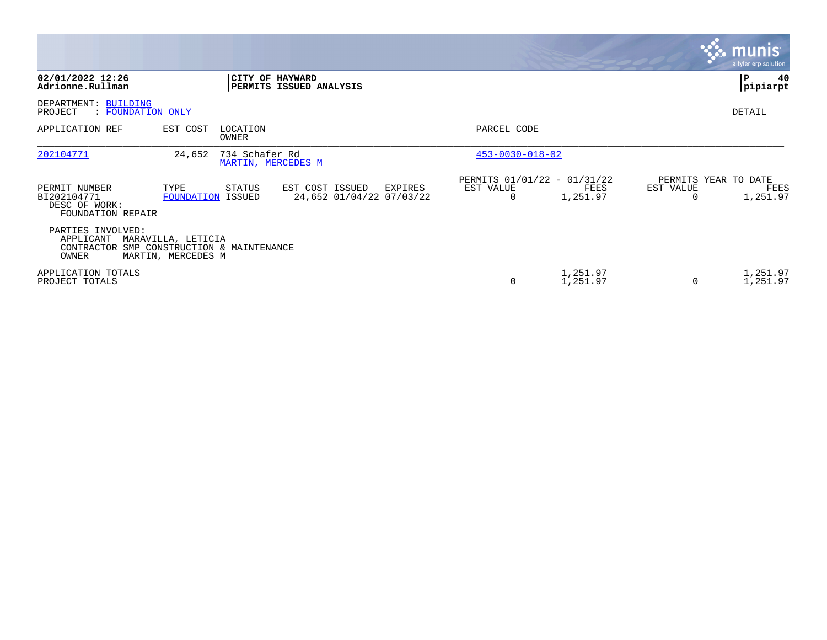|                                                                                      |                                          |                                      |                                             |         |                                                      |                      |                       | <b>munis</b><br>a tyler erp solution     |
|--------------------------------------------------------------------------------------|------------------------------------------|--------------------------------------|---------------------------------------------|---------|------------------------------------------------------|----------------------|-----------------------|------------------------------------------|
| 02/01/2022 12:26<br>Adrionne.Rullman                                                 |                                          | CITY OF HAYWARD                      | <b>PERMITS ISSUED ANALYSIS</b>              |         |                                                      |                      |                       | $\mathbf{P}$<br>40<br>pipiarpt           |
| DEPARTMENT: BUILDING<br>PROJECT<br>: FOUNDATION ONLY                                 |                                          |                                      |                                             |         |                                                      |                      |                       | DETAIL                                   |
| APPLICATION REF                                                                      | EST COST                                 | LOCATION<br>OWNER                    |                                             |         | PARCEL CODE                                          |                      |                       |                                          |
| 202104771                                                                            | 24,652                                   | 734 Schafer Rd<br>MARTIN, MERCEDES M |                                             |         | $453 - 0030 - 018 - 02$                              |                      |                       |                                          |
| PERMIT NUMBER<br>BI202104771<br>DESC OF WORK:<br>FOUNDATION REPAIR                   | TYPE<br>FOUNDATION ISSUED                | STATUS                               | EST COST ISSUED<br>24,652 01/04/22 07/03/22 | EXPIRES | PERMITS 01/01/22 - 01/31/22<br>EST VALUE<br>$\Omega$ | FEES<br>1,251.97     | EST VALUE<br>$\Omega$ | PERMITS YEAR TO DATE<br>FEES<br>1,251.97 |
| PARTIES INVOLVED:<br>APPLICANT<br>CONTRACTOR SMP CONSTRUCTION & MAINTENANCE<br>OWNER | MARAVILLA, LETICIA<br>MARTIN, MERCEDES M |                                      |                                             |         |                                                      |                      |                       |                                          |
| APPLICATION TOTALS<br>PROJECT TOTALS                                                 |                                          |                                      |                                             |         | 0                                                    | 1,251.97<br>1,251.97 | 0                     | 1,251.97<br>1,251.97                     |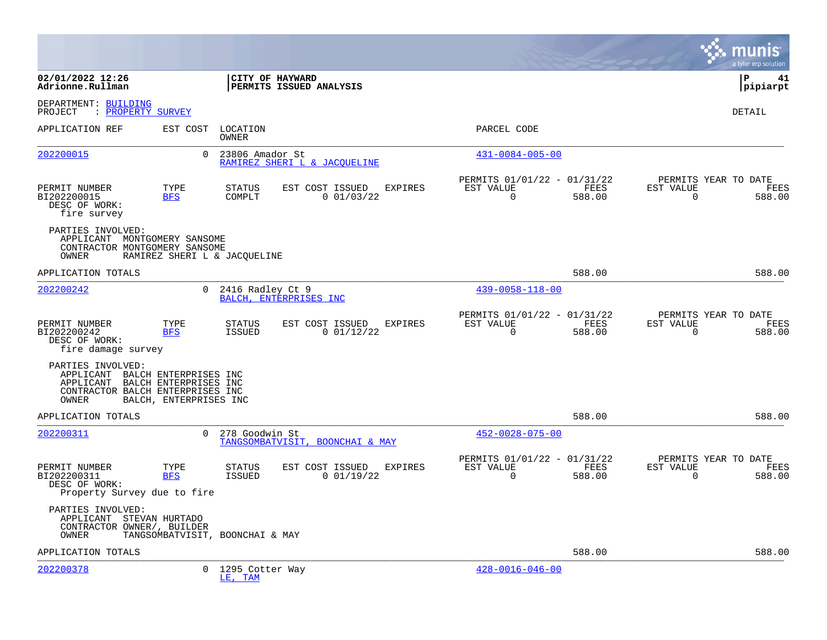|                                                                                                                                      |                        |                                            |                                 |                |                                                         |                |                          |                      | munis<br>a tyler erp solution |
|--------------------------------------------------------------------------------------------------------------------------------------|------------------------|--------------------------------------------|---------------------------------|----------------|---------------------------------------------------------|----------------|--------------------------|----------------------|-------------------------------|
| 02/01/2022 12:26<br>Adrionne.Rullman                                                                                                 |                        | CITY OF HAYWARD                            | PERMITS ISSUED ANALYSIS         |                |                                                         |                |                          | l P                  | 41<br> pipiarpt               |
| DEPARTMENT: BUILDING<br>PROJECT<br>: PROPERTY SURVEY                                                                                 |                        |                                            |                                 |                |                                                         |                |                          |                      | <b>DETAIL</b>                 |
| APPLICATION REF                                                                                                                      | EST COST               | LOCATION<br>OWNER                          |                                 |                | PARCEL CODE                                             |                |                          |                      |                               |
| 202200015                                                                                                                            | $\Omega$               | 23806 Amador St                            | RAMIREZ SHERI L & JACOUELINE    |                | $431 - 0084 - 005 - 00$                                 |                |                          |                      |                               |
| PERMIT NUMBER<br>BI202200015<br>DESC OF WORK:<br>fire survey                                                                         | TYPE<br><b>BFS</b>     | <b>STATUS</b><br>COMPLT                    | EST COST ISSUED<br>0 01/03/22   | EXPIRES        | PERMITS 01/01/22 - 01/31/22<br>EST VALUE<br>$\mathbf 0$ | FEES<br>588.00 | EST VALUE<br>$\mathbf 0$ | PERMITS YEAR TO DATE | FEES<br>588.00                |
| PARTIES INVOLVED:<br>APPLICANT MONTGOMERY SANSOME<br>CONTRACTOR MONTGOMERY SANSOME<br>OWNER                                          |                        | RAMIREZ SHERI L & JACQUELINE               |                                 |                |                                                         |                |                          |                      |                               |
| APPLICATION TOTALS                                                                                                                   |                        |                                            |                                 |                |                                                         | 588.00         |                          |                      | 588.00                        |
| 202200242                                                                                                                            | $\Omega$               | 2416 Radley Ct 9<br>BALCH, ENTERPRISES INC |                                 |                | $439 - 0058 - 118 - 00$                                 |                |                          |                      |                               |
| PERMIT NUMBER<br>BI202200242<br>DESC OF WORK:<br>fire damage survey                                                                  | TYPE<br><b>BFS</b>     | <b>STATUS</b><br>ISSUED                    | EST COST ISSUED<br>0 01/12/22   | <b>EXPIRES</b> | PERMITS 01/01/22 - 01/31/22<br>EST VALUE<br>$\mathbf 0$ | FEES<br>588.00 | EST VALUE<br>$\mathbf 0$ | PERMITS YEAR TO DATE | FEES<br>588.00                |
| PARTIES INVOLVED:<br>APPLICANT BALCH ENTERPRISES INC<br>APPLICANT BALCH ENTERPRISES INC<br>CONTRACTOR BALCH ENTERPRISES INC<br>OWNER | BALCH, ENTERPRISES INC |                                            |                                 |                |                                                         |                |                          |                      |                               |
| APPLICATION TOTALS                                                                                                                   |                        |                                            |                                 |                |                                                         | 588.00         |                          |                      | 588.00                        |
| 202200311                                                                                                                            | $\Omega$               | 278 Goodwin St                             | TANGSOMBATVISIT, BOONCHAI & MAY |                | $452 - 0028 - 075 - 00$                                 |                |                          |                      |                               |
| PERMIT NUMBER<br>BI202200311<br>DESC OF WORK:<br>Property Survey due to fire                                                         | TYPE<br><b>BFS</b>     | <b>STATUS</b><br>ISSUED                    | EST COST ISSUED<br>0 01/19/22   | EXPIRES        | PERMITS 01/01/22 - 01/31/22<br>EST VALUE<br>0           | FEES<br>588.00 | EST VALUE<br>0           | PERMITS YEAR TO DATE | FEES<br>588.00                |
| PARTIES INVOLVED:<br>APPLICANT STEVAN HURTADO<br>CONTRACTOR OWNER/, BUILDER<br>OWNER                                                 |                        | TANGSOMBATVISIT, BOONCHAI & MAY            |                                 |                |                                                         |                |                          |                      |                               |
| APPLICATION TOTALS                                                                                                                   |                        |                                            |                                 |                |                                                         | 588.00         |                          |                      | 588.00                        |
| 202200378                                                                                                                            | 0                      | 1295 Cotter Way<br>LE, TAM                 |                                 |                | $428 - 0016 - 046 - 00$                                 |                |                          |                      |                               |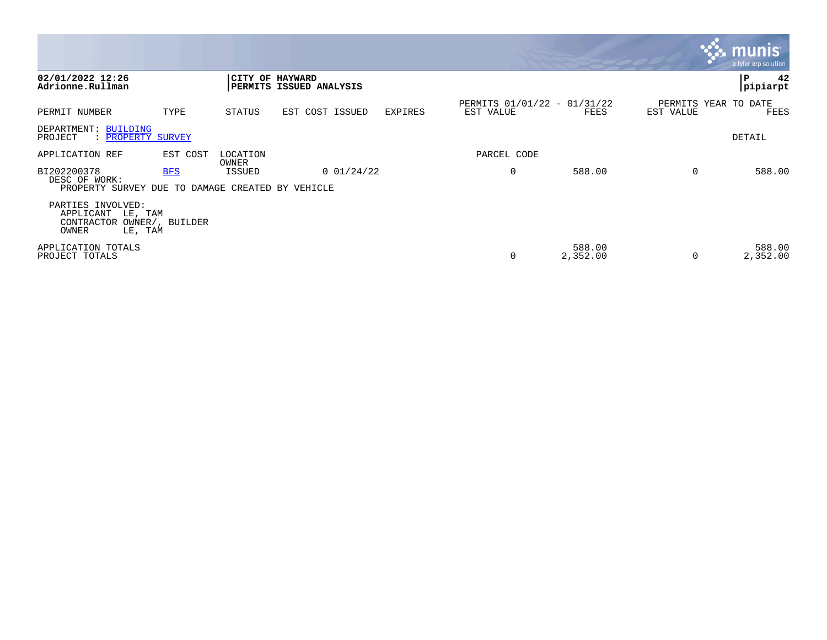|                                                                                             |            |                   |                                            |         |                                          |                    |                                   | <b>W. munis</b><br>a tyler erp solution, |
|---------------------------------------------------------------------------------------------|------------|-------------------|--------------------------------------------|---------|------------------------------------------|--------------------|-----------------------------------|------------------------------------------|
| 02/01/2022 12:26<br>Adrionne.Rullman                                                        |            |                   | CITY OF HAYWARD<br>PERMITS ISSUED ANALYSIS |         |                                          |                    |                                   | 42<br> P<br> pipiarpt                    |
| PERMIT NUMBER                                                                               | TYPE       | STATUS            | EST COST ISSUED                            | EXPIRES | PERMITS 01/01/22 - 01/31/22<br>EST VALUE | FEES               | PERMITS YEAR TO DATE<br>EST VALUE | FEES                                     |
| DEPARTMENT: BUILDING<br>PROJECT<br>: PROPERTY SURVEY                                        |            |                   |                                            |         |                                          |                    |                                   | DETAIL                                   |
| APPLICATION REF                                                                             | EST COST   | LOCATION<br>OWNER |                                            |         | PARCEL CODE                              |                    |                                   |                                          |
| BI202200378<br>DESC OF WORK:<br>PROPERTY SURVEY DUE TO DAMAGE CREATED BY VEHICLE            | <b>BFS</b> | ISSUED            | 0 01/24/22                                 |         | 0                                        | 588.00             | $\Omega$                          | 588.00                                   |
| PARTIES INVOLVED:<br>APPLICANT<br>LE, TAM<br>CONTRACTOR OWNER/, BUILDER<br>OWNER<br>LE, TAM |            |                   |                                            |         |                                          |                    |                                   |                                          |
| APPLICATION TOTALS<br>PROJECT TOTALS                                                        |            |                   |                                            |         | 0                                        | 588.00<br>2,352.00 | 0                                 | 588.00<br>2,352.00                       |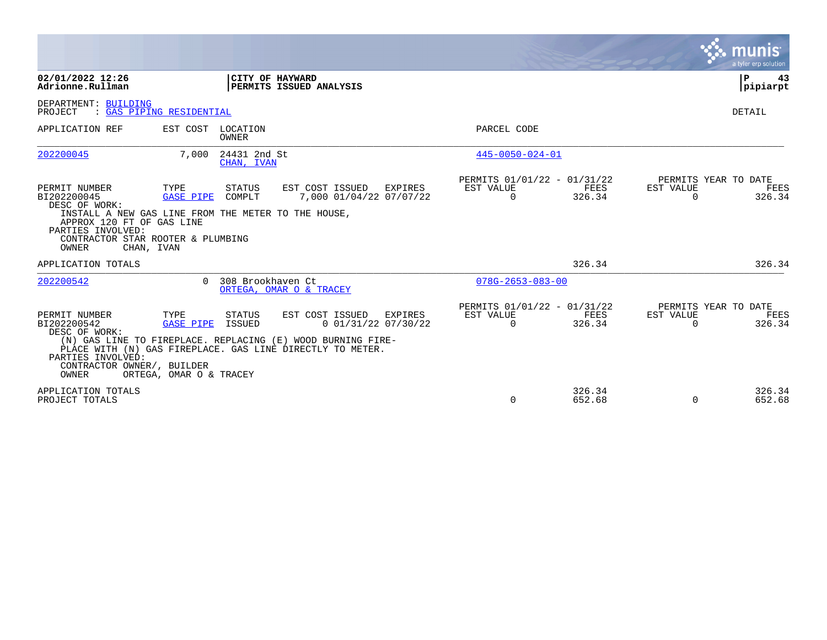|                                                                                                                                                                                                                    |                                                     |                            |                                                                                                                                                                                 |                                                      |                  |                       | munis<br>a tyler erp solution          |
|--------------------------------------------------------------------------------------------------------------------------------------------------------------------------------------------------------------------|-----------------------------------------------------|----------------------------|---------------------------------------------------------------------------------------------------------------------------------------------------------------------------------|------------------------------------------------------|------------------|-----------------------|----------------------------------------|
| 02/01/2022 12:26<br>Adrionne.Rullman                                                                                                                                                                               |                                                     | CITY OF HAYWARD            | PERMITS ISSUED ANALYSIS                                                                                                                                                         |                                                      |                  |                       | P<br>43<br> pipiarpt                   |
| DEPARTMENT: BUILDING<br>PROJECT<br>: GAS PIPING RESIDENTIAL                                                                                                                                                        |                                                     |                            |                                                                                                                                                                                 |                                                      |                  |                       | DETAIL                                 |
| APPLICATION REF                                                                                                                                                                                                    | EST COST LOCATION                                   | OWNER                      |                                                                                                                                                                                 | PARCEL CODE                                          |                  |                       |                                        |
| 202200045                                                                                                                                                                                                          | 7,000                                               | 24431 2nd St<br>CHAN, IVAN |                                                                                                                                                                                 | $445 - 0050 - 024 - 01$                              |                  |                       |                                        |
| PERMIT NUMBER<br>BI202200045<br>DESC OF WORK:<br>INSTALL A NEW GAS LINE FROM THE METER TO THE HOUSE,<br>APPROX 120 FT OF GAS LINE<br>PARTIES INVOLVED:<br>CONTRACTOR STAR ROOTER & PLUMBING<br>OWNER<br>CHAN, IVAN | TYPE<br><b>GASE PIPE</b>                            | STATUS<br>COMPLT           | EST COST ISSUED<br>EXPIRES<br>7,000 01/04/22 07/07/22                                                                                                                           | PERMITS 01/01/22 - 01/31/22<br>EST VALUE<br>$\Omega$ | FEES<br>326.34   | EST VALUE<br>$\Omega$ | PERMITS YEAR TO DATE<br>FEES<br>326.34 |
| APPLICATION TOTALS                                                                                                                                                                                                 |                                                     |                            |                                                                                                                                                                                 |                                                      | 326.34           |                       | 326.34                                 |
| 202200542                                                                                                                                                                                                          |                                                     | 0 308 Brookhaven Ct        | ORTEGA, OMAR O & TRACEY                                                                                                                                                         | $078G - 2653 - 083 - 00$                             |                  |                       |                                        |
| PERMIT NUMBER<br>BI202200542<br>DESC OF WORK:<br>PARTIES INVOLVED:<br>CONTRACTOR OWNER/, BUILDER<br>OWNER                                                                                                          | TYPE<br><b>GASE PIPE</b><br>ORTEGA, OMAR O & TRACEY | STATUS<br>ISSUED           | EST COST ISSUED<br>EXPIRES<br>$0$ 01/31/22 07/30/22<br>(N) GAS LINE TO FIREPLACE. REPLACING (E) WOOD BURNING FIRE-<br>PLACE WITH (N) GAS FIREPLACE. GAS LINE DIRECTLY TO METER. | PERMITS 01/01/22 - 01/31/22<br>EST VALUE<br>$\Omega$ | FEES<br>326.34   | EST VALUE<br>$\Omega$ | PERMITS YEAR TO DATE<br>FEES<br>326.34 |
| APPLICATION TOTALS<br>PROJECT TOTALS                                                                                                                                                                               |                                                     |                            |                                                                                                                                                                                 | 0                                                    | 326.34<br>652.68 | $\mathbf 0$           | 326.34<br>652.68                       |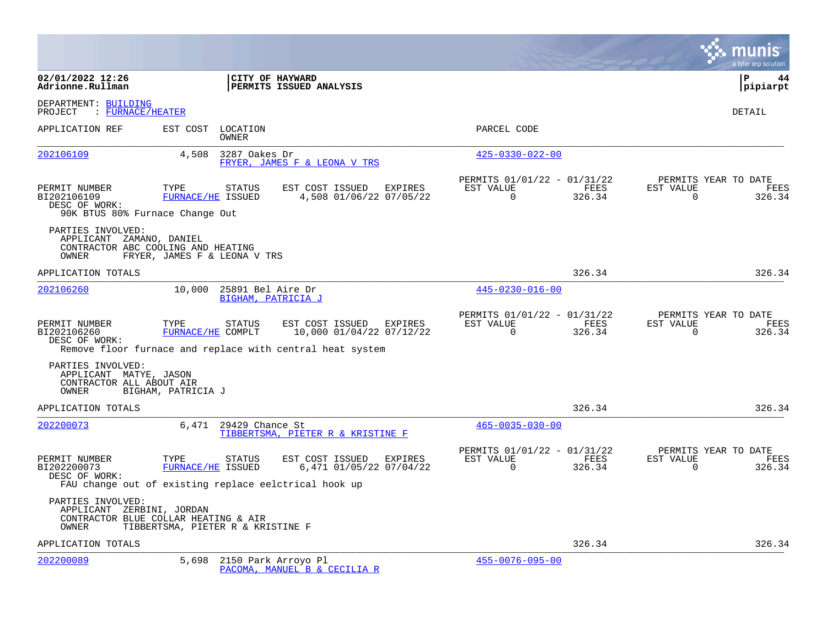|                                                                                                        |                                   |                                         |                                                                                                                  |                                                      |                |                       | a tyler erp solution                   |
|--------------------------------------------------------------------------------------------------------|-----------------------------------|-----------------------------------------|------------------------------------------------------------------------------------------------------------------|------------------------------------------------------|----------------|-----------------------|----------------------------------------|
| 02/01/2022 12:26<br>Adrionne.Rullman                                                                   |                                   |                                         | CITY OF HAYWARD<br>PERMITS ISSUED ANALYSIS                                                                       |                                                      |                |                       | ΙP<br>44<br> pipiarpt                  |
| DEPARTMENT: BUILDING<br>: FURNACE/HEATER<br>PROJECT                                                    |                                   |                                         |                                                                                                                  |                                                      |                |                       | <b>DETAIL</b>                          |
| APPLICATION REF                                                                                        |                                   | EST COST LOCATION<br><b>OWNER</b>       |                                                                                                                  | PARCEL CODE                                          |                |                       |                                        |
| 202106109                                                                                              | 4,508                             | 3287 Oakes Dr                           | FRYER, JAMES F & LEONA V TRS                                                                                     | $425 - 0330 - 022 - 00$                              |                |                       |                                        |
| PERMIT NUMBER<br>BI202106109<br>DESC OF WORK:<br>90K BTUS 80% Furnace Change Out                       | TYPE<br>FURNACE/HE ISSUED         | STATUS                                  | EST COST ISSUED EXPIRES<br>4,508 01/06/22 07/05/22                                                               | PERMITS 01/01/22 - 01/31/22<br>EST VALUE<br>$\Omega$ | FEES<br>326.34 | EST VALUE<br>$\Omega$ | PERMITS YEAR TO DATE<br>FEES<br>326.34 |
| PARTIES INVOLVED:<br>APPLICANT ZAMANO, DANIEL<br>CONTRACTOR ABC COOLING AND HEATING<br>OWNER           | FRYER, JAMES F & LEONA V TRS      |                                         |                                                                                                                  |                                                      |                |                       |                                        |
| APPLICATION TOTALS                                                                                     |                                   |                                         |                                                                                                                  |                                                      | 326.34         |                       | 326.34                                 |
| 202106260                                                                                              | 10,000                            | 25891 Bel Aire Dr<br>BIGHAM, PATRICIA J |                                                                                                                  | $445 - 0230 - 016 - 00$                              |                |                       |                                        |
| PERMIT NUMBER<br>BI202106260<br>DESC OF WORK:                                                          | TYPE<br>FURNACE/HE COMPLT         | STATUS                                  | EST COST ISSUED EXPIRES<br>10,000 01/04/22 07/12/22<br>Remove floor furnace and replace with central heat system | PERMITS 01/01/22 - 01/31/22<br>EST VALUE<br>$\Omega$ | FEES<br>326.34 | EST VALUE<br>$\Omega$ | PERMITS YEAR TO DATE<br>FEES<br>326.34 |
| PARTIES INVOLVED:<br>APPLICANT MATYE, JASON<br>CONTRACTOR ALL ABOUT AIR<br>OWNER                       | BIGHAM, PATRICIA J                |                                         |                                                                                                                  |                                                      |                |                       |                                        |
| APPLICATION TOTALS                                                                                     |                                   |                                         |                                                                                                                  |                                                      | 326.34         |                       | 326.34                                 |
| 202200073                                                                                              |                                   | 6,471 29429 Chance St                   | TIBBERTSMA, PIETER R & KRISTINE F                                                                                | $465 - 0035 - 030 - 00$                              |                |                       |                                        |
| PERMIT NUMBER<br>BI202200073<br>DESC OF WORK:<br>FAU change out of existing replace eelctrical hook up | TYPE<br>FURNACE/HE ISSUED         | STATUS                                  | EST COST ISSUED EXPIRES<br>6,471 01/05/22 07/04/22                                                               | PERMITS 01/01/22 - 01/31/22<br>EST VALUE<br>$\Omega$ | FEES<br>326.34 | EST VALUE<br>$\Omega$ | PERMITS YEAR TO DATE<br>FEES<br>326.34 |
| PARTIES INVOLVED:<br>APPLICANT ZERBINI, JORDAN<br>CONTRACTOR BLUE COLLAR HEATING & AIR<br>OWNER        | TIBBERTSMA, PIETER R & KRISTINE F |                                         |                                                                                                                  |                                                      |                |                       |                                        |
| APPLICATION TOTALS                                                                                     |                                   |                                         |                                                                                                                  |                                                      | 326.34         |                       | 326.34                                 |
| 202200089                                                                                              | 5,698                             |                                         | 2150 Park Arroyo Pl<br>PACOMA, MANUEL B & CECILIA R                                                              | $455 - 0076 - 095 - 00$                              |                |                       |                                        |

**College**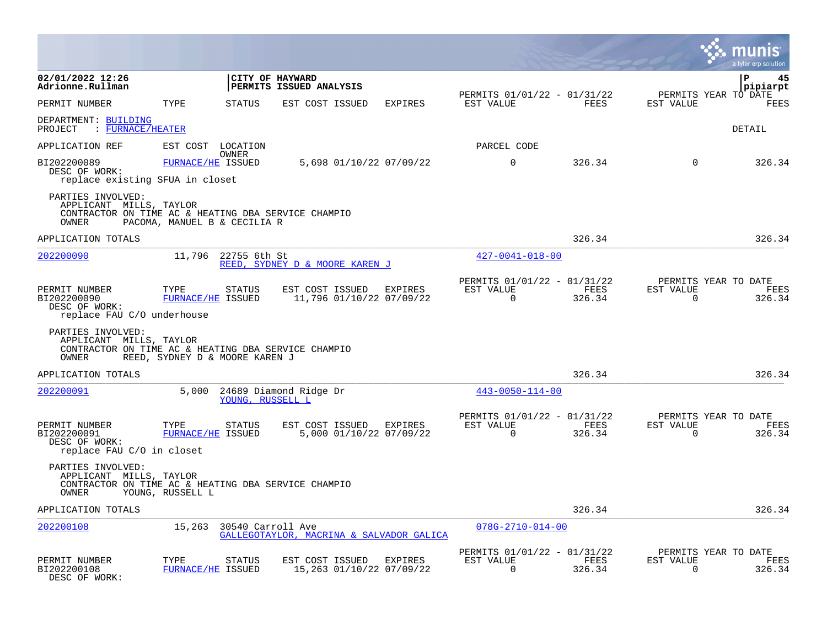|                                                                                                              |                                |                   |                                             |                |                                                      |                |                       | a tyler erp solutior                        |
|--------------------------------------------------------------------------------------------------------------|--------------------------------|-------------------|---------------------------------------------|----------------|------------------------------------------------------|----------------|-----------------------|---------------------------------------------|
| 02/01/2022 12:26<br>Adrionne.Rullman                                                                         |                                | CITY OF HAYWARD   | PERMITS ISSUED ANALYSIS                     |                | PERMITS 01/01/22 - 01/31/22                          |                |                       | P<br>45<br>pipiarpt<br>PERMITS YEAR TO DATE |
| PERMIT NUMBER                                                                                                | TYPE                           | <b>STATUS</b>     | EST COST ISSUED                             | <b>EXPIRES</b> | EST VALUE                                            | FEES           | EST VALUE             | FEES                                        |
| DEPARTMENT: BUILDING<br>: FURNACE/HEATER<br>PROJECT                                                          |                                |                   |                                             |                |                                                      |                |                       | DETAIL                                      |
| APPLICATION REF                                                                                              | EST COST LOCATION              |                   |                                             |                | PARCEL CODE                                          |                |                       |                                             |
| BI202200089<br>DESC OF WORK:<br>replace existing SFUA in closet                                              | FURNACE/HE ISSUED              | OWNER             | 5,698 01/10/22 07/09/22                     |                | $\mathbf 0$                                          | 326.34         | $\mathbf 0$           | 326.34                                      |
| PARTIES INVOLVED:<br>APPLICANT MILLS, TAYLOR<br>CONTRACTOR ON TIME AC & HEATING DBA SERVICE CHAMPIO<br>OWNER | PACOMA, MANUEL B & CECILIA R   |                   |                                             |                |                                                      |                |                       |                                             |
| APPLICATION TOTALS                                                                                           |                                |                   |                                             |                |                                                      | 326.34         |                       | 326.34                                      |
| 202200090                                                                                                    | 11,796                         | 22755 6th St      | REED, SYDNEY D & MOORE KAREN J              |                | $427 - 0041 - 018 - 00$                              |                |                       |                                             |
| PERMIT NUMBER<br>BI202200090<br>DESC OF WORK:<br>replace FAU C/O underhouse                                  | TYPE<br>FURNACE/HE ISSUED      | <b>STATUS</b>     | EST COST ISSUED<br>11,796 01/10/22 07/09/22 | EXPIRES        | PERMITS 01/01/22 - 01/31/22<br>EST VALUE<br>$\Omega$ | FEES<br>326.34 | EST VALUE<br>$\Omega$ | PERMITS YEAR TO DATE<br>FEES<br>326.34      |
| PARTIES INVOLVED:<br>APPLICANT MILLS, TAYLOR<br>CONTRACTOR ON TIME AC & HEATING DBA SERVICE CHAMPIO<br>OWNER | REED, SYDNEY D & MOORE KAREN J |                   |                                             |                |                                                      |                |                       |                                             |
| APPLICATION TOTALS                                                                                           |                                |                   |                                             |                |                                                      | 326.34         |                       | 326.34                                      |
| 202200091                                                                                                    | 5,000                          | YOUNG, RUSSELL L  | 24689 Diamond Ridge Dr                      |                | $443 - 0050 - 114 - 00$                              |                |                       |                                             |
| PERMIT NUMBER<br>BI202200091<br>DESC OF WORK:<br>replace FAU C/O in closet                                   | TYPE<br>FURNACE/HE ISSUED      | <b>STATUS</b>     | EST COST ISSUED<br>5,000 01/10/22 07/09/22  | EXPIRES        | PERMITS 01/01/22 - 01/31/22<br>EST VALUE<br>$\Omega$ | FEES<br>326.34 | EST VALUE<br>$\Omega$ | PERMITS YEAR TO DATE<br>FEES<br>326.34      |
| PARTIES INVOLVED:<br>APPLICANT MILLS, TAYLOR<br>CONTRACTOR ON TIME AC & HEATING DBA SERVICE CHAMPIO<br>OWNER | YOUNG, RUSSELL L               |                   |                                             |                |                                                      |                |                       |                                             |
| APPLICATION TOTALS                                                                                           |                                |                   |                                             |                |                                                      | 326.34         |                       | 326.34                                      |
| 202200108                                                                                                    | 15,263                         | 30540 Carroll Ave | GALLEGOTAYLOR, MACRINA & SALVADOR GALICA    |                | $078G - 2710 - 014 - 00$                             |                |                       |                                             |
| PERMIT NUMBER<br>BI202200108<br>DESC OF WORK:                                                                | TYPE<br>FURNACE/HE ISSUED      | <b>STATUS</b>     | EST COST ISSUED<br>15,263 01/10/22 07/09/22 | EXPIRES        | PERMITS 01/01/22 - 01/31/22<br>EST VALUE<br>$\Omega$ | FEES<br>326.34 | EST VALUE<br>$\Omega$ | PERMITS YEAR TO DATE<br>FEES<br>326.34      |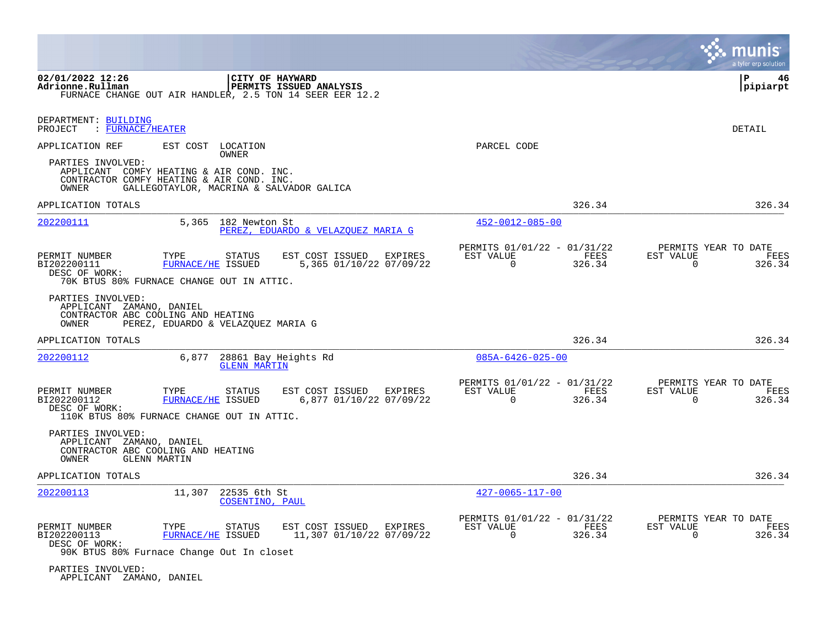|                                                                                                                     |                                    |                                 |                                                                                            |                                                            |                | munis<br>a tyler erp solution                                      |
|---------------------------------------------------------------------------------------------------------------------|------------------------------------|---------------------------------|--------------------------------------------------------------------------------------------|------------------------------------------------------------|----------------|--------------------------------------------------------------------|
| 02/01/2022 12:26<br>Adrionne.Rullman                                                                                |                                    | CITY OF HAYWARD                 | <b>PERMITS ISSUED ANALYSIS</b><br>FURNACE CHANGE OUT AIR HANDLER, 2.5 TON 14 SEER EER 12.2 |                                                            |                | ΙP<br>46<br> pipiarpt                                              |
| DEPARTMENT: BUILDING<br>: FURNACE/HEATER<br>PROJECT                                                                 |                                    |                                 |                                                                                            |                                                            |                | DETAIL                                                             |
| APPLICATION REF                                                                                                     |                                    | EST COST LOCATION<br>OWNER      |                                                                                            | PARCEL CODE                                                |                |                                                                    |
| PARTIES INVOLVED:<br>APPLICANT COMFY HEATING & AIR COND. INC.<br>CONTRACTOR COMFY HEATING & AIR COND. INC.<br>OWNER |                                    |                                 | GALLEGOTAYLOR, MACRINA & SALVADOR GALICA                                                   |                                                            |                |                                                                    |
| APPLICATION TOTALS                                                                                                  |                                    |                                 |                                                                                            |                                                            | 326.34         | 326.34                                                             |
| <u> 202200111</u>                                                                                                   |                                    | 5,365 182 Newton St             | PEREZ, EDUARDO & VELAZOUEZ MARIA G                                                         | 452-0012-085-00                                            |                |                                                                    |
| PERMIT NUMBER<br>BI202200111<br>DESC OF WORK:<br>70K BTUS 80% FURNACE CHANGE OUT IN ATTIC.                          | TYPE<br>FURNACE/HE ISSUED          | <b>STATUS</b>                   | EST COST ISSUED<br>EXPIRES<br>5,365 01/10/22 07/09/22                                      | PERMITS 01/01/22 - 01/31/22<br>EST VALUE<br>$\Omega$       | FEES<br>326.34 | PERMITS YEAR TO DATE<br>EST VALUE<br>FEES<br>$\mathbf 0$<br>326.34 |
| PARTIES INVOLVED:<br>APPLICANT ZAMANO, DANIEL<br>CONTRACTOR ABC COOLING AND HEATING<br>OWNER                        | PEREZ, EDUARDO & VELAZQUEZ MARIA G |                                 |                                                                                            |                                                            |                |                                                                    |
| APPLICATION TOTALS                                                                                                  |                                    |                                 |                                                                                            |                                                            | 326.34         | 326.34                                                             |
| 202200112                                                                                                           | 6,877                              | <b>GLENN MARTIN</b>             | 28861 Bay Heights Rd                                                                       | $085A - 6426 - 025 - 00$                                   |                |                                                                    |
| PERMIT NUMBER<br>BI202200112<br>DESC OF WORK:<br>110K BTUS 80% FURNACE CHANGE OUT IN ATTIC.                         | TYPE<br>FURNACE/HE ISSUED          | STATUS                          | EST COST ISSUED<br>EXPIRES<br>6,877 01/10/22 07/09/22                                      | PERMITS 01/01/22 - 01/31/22<br>EST VALUE<br>$\mathbf 0$    | FEES<br>326.34 | PERMITS YEAR TO DATE<br>EST VALUE<br>FEES<br>326.34<br>0           |
| PARTIES INVOLVED:<br>APPLICANT ZAMANO, DANIEL<br>CONTRACTOR ABC COOLING AND HEATING<br>OWNER                        | <b>GLENN MARTIN</b>                |                                 |                                                                                            |                                                            |                |                                                                    |
| APPLICATION TOTALS                                                                                                  |                                    |                                 |                                                                                            |                                                            | 326.34         | 326.34                                                             |
| 202200113                                                                                                           | 11,307                             | 22535 6th St<br>COSENTINO, PAUL |                                                                                            | $427 - 0065 - 117 - 00$                                    |                |                                                                    |
| PERMIT NUMBER<br>BI202200113<br>DESC OF WORK:<br>90K BTUS 80% Furnace Change Out In closet                          | TYPE<br><b>FURNACE/HE ISSUED</b>   | <b>STATUS</b>                   | EST COST ISSUED<br>EXPIRES<br>11,307 01/10/22 07/09/22                                     | PERMITS 01/01/22 - 01/31/22<br>EST VALUE<br>$\overline{0}$ | FEES<br>326.34 | PERMITS YEAR TO DATE<br>EST VALUE<br>FEES<br>0<br>326.34           |
| PARTIES INVOLVED:<br>APPLICANT ZAMANO, DANIEL                                                                       |                                    |                                 |                                                                                            |                                                            |                |                                                                    |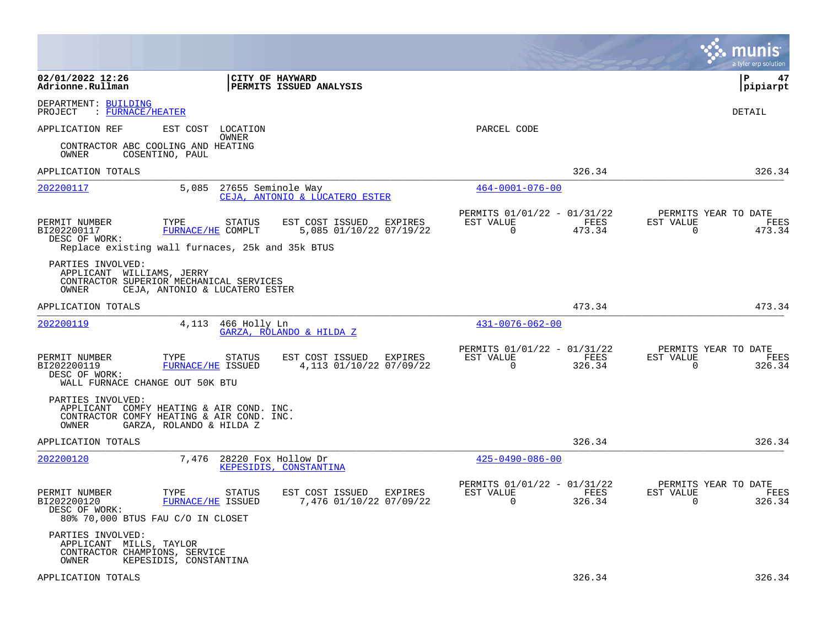|                                                                                                                     |                                    |                                            |         |                                                         |                |                                        | a tyler erp solution |
|---------------------------------------------------------------------------------------------------------------------|------------------------------------|--------------------------------------------|---------|---------------------------------------------------------|----------------|----------------------------------------|----------------------|
| 02/01/2022 12:26<br>Adrionne.Rullman                                                                                | CITY OF HAYWARD                    | PERMITS ISSUED ANALYSIS                    |         |                                                         |                | l P                                    | 47<br> pipiarpt      |
| DEPARTMENT: BUILDING<br>PROJECT<br>: FURNACE/HEATER                                                                 |                                    |                                            |         |                                                         |                |                                        | DETAIL               |
| APPLICATION REF                                                                                                     | EST COST<br>LOCATION<br>OWNER      |                                            |         | PARCEL CODE                                             |                |                                        |                      |
| CONTRACTOR ABC COOLING AND HEATING<br>OWNER<br>COSENTINO, PAUL                                                      |                                    |                                            |         |                                                         |                |                                        |                      |
| APPLICATION TOTALS                                                                                                  |                                    |                                            |         |                                                         | 326.34         |                                        | 326.34               |
| 202200117                                                                                                           | 5,085<br>27655 Seminole Way        | CEJA, ANTONIO & LUCATERO ESTER             |         | $464 - 0001 - 076 - 00$                                 |                |                                        |                      |
| PERMIT NUMBER<br>TYPE<br>BI202200117<br>DESC OF WORK:<br>Replace existing wall furnaces, 25k and 35k BTUS           | STATUS<br>FURNACE/HE COMPLT        | EST COST ISSUED<br>5,085 01/10/22 07/19/22 | EXPIRES | PERMITS 01/01/22 - 01/31/22<br>EST VALUE<br>$\Omega$    | FEES<br>473.34 | PERMITS YEAR TO DATE<br>EST VALUE<br>0 | FEES<br>473.34       |
| PARTIES INVOLVED:<br>APPLICANT WILLIAMS, JERRY<br>CONTRACTOR SUPERIOR MECHANICAL SERVICES<br>OWNER                  | CEJA, ANTONIO & LUCATERO ESTER     |                                            |         |                                                         |                |                                        |                      |
| APPLICATION TOTALS                                                                                                  |                                    |                                            |         |                                                         | 473.34         |                                        | 473.34               |
| <u>202200119</u>                                                                                                    | 4,113<br>466 Holly Ln              | GARZA, ROLANDO & HILDA Z                   |         | $431 - 0076 - 062 - 00$                                 |                |                                        |                      |
| PERMIT NUMBER<br>TYPE<br>BI202200119<br>DESC OF WORK:<br>WALL FURNACE CHANGE OUT 50K BTU                            | <b>STATUS</b><br>FURNACE/HE ISSUED | EST COST ISSUED<br>4,113 01/10/22 07/09/22 | EXPIRES | PERMITS 01/01/22 - 01/31/22<br>EST VALUE<br>$\mathbf 0$ | FEES<br>326.34 | PERMITS YEAR TO DATE<br>EST VALUE<br>0 | FEES<br>326.34       |
| PARTIES INVOLVED:<br>APPLICANT COMFY HEATING & AIR COND. INC.<br>CONTRACTOR COMFY HEATING & AIR COND. INC.<br>OWNER | GARZA, ROLANDO & HILDA Z           |                                            |         |                                                         |                |                                        |                      |
| APPLICATION TOTALS                                                                                                  |                                    |                                            |         |                                                         | 326.34         |                                        | 326.34               |
| 202200120                                                                                                           | 7.476<br>28220 Fox Hollow Dr       | KEPESIDIS, CONSTANTINA                     |         | $425 - 0490 - 086 - 00$                                 |                |                                        |                      |
| PERMIT NUMBER<br>TYPE<br>BI202200120<br>DESC OF WORK:<br>80% 70,000 BTUS FAU C/O IN CLOSET                          | STATUS<br>FURNACE/HE ISSUED        | EST COST ISSUED<br>7,476 01/10/22 07/09/22 | EXPIRES | PERMITS 01/01/22 - 01/31/22<br>EST VALUE<br>0           | FEES<br>326.34 | PERMITS YEAR TO DATE<br>EST VALUE<br>0 | FEES<br>326.34       |
| PARTIES INVOLVED:<br>APPLICANT MILLS, TAYLOR<br>CONTRACTOR CHAMPIONS, SERVICE<br>OWNER                              | KEPESIDIS, CONSTANTINA             |                                            |         |                                                         |                |                                        |                      |
| APPLICATION TOTALS                                                                                                  |                                    |                                            |         |                                                         | 326.34         |                                        | 326.34               |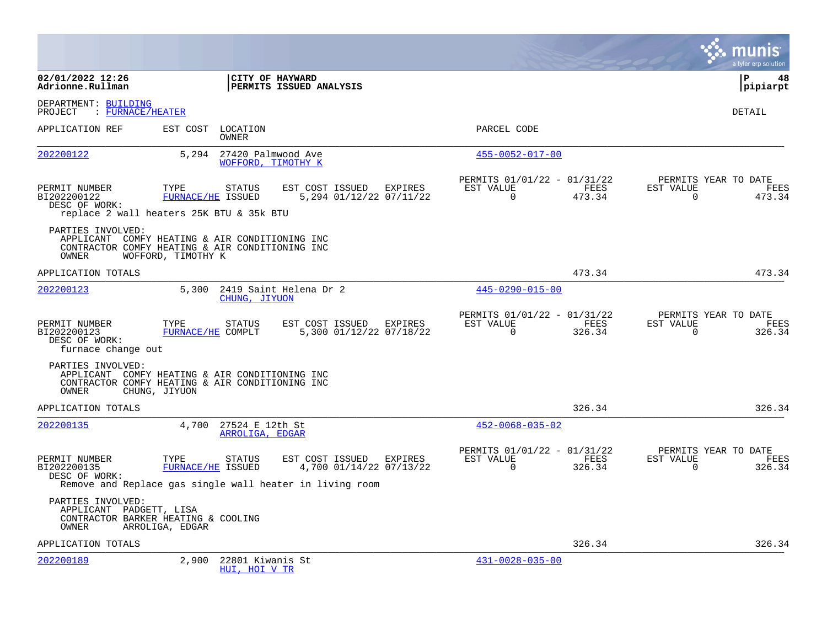|                                                                                                                                 |                           |                                                |                                            |                                           |                                                      |                |                       | a tyler erp solution                   |
|---------------------------------------------------------------------------------------------------------------------------------|---------------------------|------------------------------------------------|--------------------------------------------|-------------------------------------------|------------------------------------------------------|----------------|-----------------------|----------------------------------------|
| 02/01/2022 12:26<br>Adrionne.Rullman                                                                                            |                           |                                                | CITY OF HAYWARD<br>PERMITS ISSUED ANALYSIS |                                           |                                                      |                |                       | l P<br>48<br> pipiarpt                 |
| DEPARTMENT: BUILDING<br>: FURNACE/HEATER<br>PROJECT                                                                             |                           |                                                |                                            |                                           |                                                      |                |                       | DETAIL                                 |
| APPLICATION REF                                                                                                                 |                           | EST COST LOCATION<br>OWNER                     |                                            |                                           | PARCEL CODE                                          |                |                       |                                        |
| 202200122                                                                                                                       |                           | 5,294 27420 Palmwood Ave<br>WOFFORD, TIMOTHY K |                                            |                                           | $455 - 0052 - 017 - 00$                              |                |                       |                                        |
| PERMIT NUMBER<br>BI202200122<br>DESC OF WORK:<br>replace 2 wall heaters 25K BTU & 35k BTU                                       | TYPE<br>FURNACE/HE ISSUED | <b>STATUS</b>                                  | EST COST ISSUED                            | EXPIRES<br>5,294 01/12/22 07/11/22        | PERMITS 01/01/22 - 01/31/22<br>EST VALUE<br>$\Omega$ | FEES<br>473.34 | EST VALUE<br>$\Omega$ | PERMITS YEAR TO DATE<br>FEES<br>473.34 |
| PARTIES INVOLVED:<br>APPLICANT COMFY HEATING & AIR CONDITIONING INC<br>CONTRACTOR COMFY HEATING & AIR CONDITIONING INC<br>OWNER | WOFFORD, TIMOTHY K        |                                                |                                            |                                           |                                                      |                |                       |                                        |
| APPLICATION TOTALS                                                                                                              |                           |                                                |                                            |                                           |                                                      | 473.34         |                       | 473.34                                 |
| 202200123                                                                                                                       | 5,300                     | CHUNG, JIYUON                                  | 2419 Saint Helena Dr 2                     |                                           | $445 - 0290 - 015 - 00$                              |                |                       |                                        |
| PERMIT NUMBER<br>BI202200123<br>DESC OF WORK:<br>furnace change out                                                             | TYPE<br>FURNACE/HE COMPLT | <b>STATUS</b>                                  | EST COST ISSUED                            | <b>EXPIRES</b><br>5,300 01/12/22 07/18/22 | PERMITS 01/01/22 - 01/31/22<br>EST VALUE<br>$\Omega$ | FEES<br>326.34 | EST VALUE<br>$\Omega$ | PERMITS YEAR TO DATE<br>FEES<br>326.34 |
| PARTIES INVOLVED:<br>APPLICANT COMFY HEATING & AIR CONDITIONING INC<br>CONTRACTOR COMFY HEATING & AIR CONDITIONING INC<br>OWNER | CHUNG, JIYUON             |                                                |                                            |                                           |                                                      |                |                       |                                        |
| APPLICATION TOTALS                                                                                                              |                           |                                                |                                            |                                           |                                                      | 326.34         |                       | 326.34                                 |
| 202200135                                                                                                                       |                           | 4,700 27524 E 12th St<br>ARROLIGA, EDGAR       |                                            |                                           | $452 - 0068 - 035 - 02$                              |                |                       |                                        |
| PERMIT NUMBER<br>BI202200135<br>DESC OF WORK:<br>Remove and Replace gas single wall heater in living room                       | TYPE<br>FURNACE/HE ISSUED | <b>STATUS</b>                                  | EST COST ISSUED                            | EXPIRES<br>4,700 01/14/22 07/13/22        | PERMITS 01/01/22 - 01/31/22<br>EST VALUE<br>$\Omega$ | FEES<br>326.34 | EST VALUE<br>$\Omega$ | PERMITS YEAR TO DATE<br>FEES<br>326.34 |
| PARTIES INVOLVED:<br>APPLICANT PADGETT, LISA<br>CONTRACTOR BARKER HEATING & COOLING<br>OWNER                                    | ARROLIGA, EDGAR           |                                                |                                            |                                           |                                                      |                |                       |                                        |
| APPLICATION TOTALS                                                                                                              |                           |                                                |                                            |                                           |                                                      | 326.34         |                       | 326.34                                 |
| 202200189                                                                                                                       | 2,900                     | 22801 Kiwanis St<br>HUI, HOI V TR              |                                            |                                           | $431 - 0028 - 035 - 00$                              |                |                       |                                        |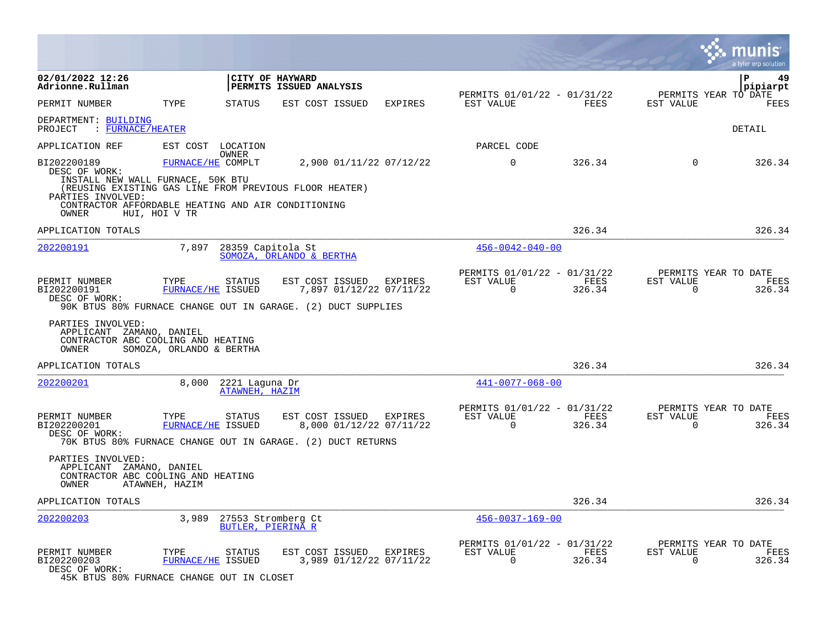|                                                                                                                                                                                                                                                                                         | munis<br>a tyler erp solution                                                                                                                   |
|-----------------------------------------------------------------------------------------------------------------------------------------------------------------------------------------------------------------------------------------------------------------------------------------|-------------------------------------------------------------------------------------------------------------------------------------------------|
| 02/01/2022 12:26<br>CITY OF HAYWARD<br>Adrionne.Rullman<br>PERMITS ISSUED ANALYSIS                                                                                                                                                                                                      | Р<br>49<br>pipiarpt                                                                                                                             |
| PERMIT NUMBER<br>TYPE<br>STATUS<br>EST COST ISSUED<br><b>EXPIRES</b>                                                                                                                                                                                                                    | PERMITS 01/01/22 - 01/31/22<br>PERMITS YEAR TO DATE<br>EST VALUE<br>FEES<br>EST VALUE<br>FEES                                                   |
| DEPARTMENT: BUILDING<br>PROJECT<br>: FURNACE/HEATER                                                                                                                                                                                                                                     | DETAIL                                                                                                                                          |
| APPLICATION REF<br>EST COST LOCATION<br>OWNER                                                                                                                                                                                                                                           | PARCEL CODE                                                                                                                                     |
| BI202200189<br>2,900 01/11/22 07/12/22<br>FURNACE/HE COMPLT<br>DESC OF WORK:<br>INSTALL NEW WALL FURNACE, 50K BTU<br>(REUSING EXISTING GAS LINE FROM PREVIOUS FLOOR HEATER)<br>PARTIES INVOLVED:<br>CONTRACTOR AFFORDABLE HEATING AND AIR CONDITIONING<br><b>OWNER</b><br>HUI, HOI V TR | $\mathbf 0$<br>326.34<br>$\mathbf 0$<br>326.34                                                                                                  |
| APPLICATION TOTALS                                                                                                                                                                                                                                                                      | 326.34<br>326.34                                                                                                                                |
| 7,897<br>28359 Capitola St<br>202200191<br>SOMOZA, ORLANDO & BERTHA                                                                                                                                                                                                                     | $456 - 0042 - 040 - 00$                                                                                                                         |
| PERMIT NUMBER<br>TYPE<br><b>STATUS</b><br>EST COST ISSUED<br>EXPIRES<br>FURNACE/HE ISSUED<br>7,897 01/12/22 07/11/22<br>BI202200191<br>DESC OF WORK:<br>90K BTUS 80% FURNACE CHANGE OUT IN GARAGE. (2) DUCT SUPPLIES                                                                    | PERMITS 01/01/22 - 01/31/22<br>PERMITS YEAR TO DATE<br>EST VALUE<br>FEES<br>EST VALUE<br>FEES<br>$\Omega$<br>$\mathbf 0$<br>326.34<br>326.34    |
| PARTIES INVOLVED:<br>APPLICANT ZAMANO, DANIEL<br>CONTRACTOR ABC COOLING AND HEATING<br>SOMOZA, ORLANDO & BERTHA<br>OWNER                                                                                                                                                                |                                                                                                                                                 |
| APPLICATION TOTALS                                                                                                                                                                                                                                                                      | 326.34<br>326.34                                                                                                                                |
| 202200201<br>8,000<br>2221 Laquna Dr<br>ATAWNEH, HAZIM                                                                                                                                                                                                                                  | $441 - 0077 - 068 - 00$                                                                                                                         |
| PERMIT NUMBER<br>TYPE<br>EST COST ISSUED<br>EXPIRES<br>STATUS<br>BI202200201<br>FURNACE/HE ISSUED<br>8,000 01/12/22 07/11/22<br>DESC OF WORK:<br>70K BTUS 80% FURNACE CHANGE OUT IN GARAGE. (2) DUCT RETURNS                                                                            | PERMITS 01/01/22 - 01/31/22<br>PERMITS YEAR TO DATE<br>EST VALUE<br>FEES<br>EST VALUE<br>FEES<br>$\Omega$<br>$\Omega$<br>326.34<br>326.34       |
| PARTIES INVOLVED:<br>APPLICANT ZAMANO, DANIEL<br>CONTRACTOR ABC COOLING AND HEATING<br>OWNER<br>ATAWNEH, HAZIM                                                                                                                                                                          |                                                                                                                                                 |
| APPLICATION TOTALS                                                                                                                                                                                                                                                                      | 326.34<br>326.34                                                                                                                                |
| <u>202200203</u><br>3,989<br>27553 Stromberg Ct<br>BUTLER, PIERINA R                                                                                                                                                                                                                    | $456 - 0037 - 169 - 00$                                                                                                                         |
| PERMIT NUMBER<br>TYPE<br>STATUS<br>EST COST ISSUED<br>EXPIRES<br>FURNACE/HE ISSUED<br>3,989 01/12/22 07/11/22<br>BI202200203<br>DESC OF WORK:<br>45K BTUS 80% FURNACE CHANGE OUT IN CLOSET                                                                                              | PERMITS 01/01/22 - 01/31/22<br>PERMITS YEAR TO DATE<br>EST VALUE<br>FEES<br>EST VALUE<br>FEES<br>$\mathbf 0$<br>326.34<br>$\mathbf 0$<br>326.34 |

**Section**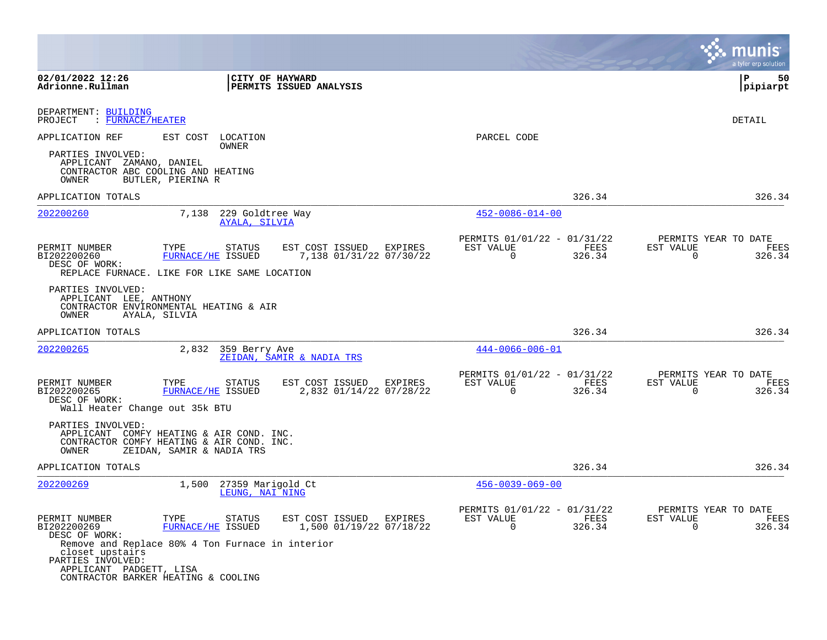|                                                                                                                                                                                                                     |                                               |                                                       |                                                          |                |                                                     | a tyler erp solution  |
|---------------------------------------------------------------------------------------------------------------------------------------------------------------------------------------------------------------------|-----------------------------------------------|-------------------------------------------------------|----------------------------------------------------------|----------------|-----------------------------------------------------|-----------------------|
| 02/01/2022 12:26<br>Adrionne.Rullman                                                                                                                                                                                | CITY OF HAYWARD                               | <b>PERMITS ISSUED ANALYSIS</b>                        |                                                          |                |                                                     | ΙP<br>50<br> pipiarpt |
| DEPARTMENT: BUILDING<br>: FURNACE/HEATER<br>PROJECT                                                                                                                                                                 |                                               |                                                       |                                                          |                |                                                     | DETAIL                |
| APPLICATION REF<br>PARTIES INVOLVED:<br>APPLICANT ZAMANO, DANIEL<br>CONTRACTOR ABC COOLING AND HEATING<br>OWNER<br>BUTLER, PIERINA R                                                                                | EST COST LOCATION<br>OWNER                    |                                                       | PARCEL CODE                                              |                |                                                     |                       |
| APPLICATION TOTALS                                                                                                                                                                                                  |                                               |                                                       |                                                          | 326.34         |                                                     | 326.34                |
| 202200260                                                                                                                                                                                                           | 7,138 229 Goldtree Way<br>AYALA, SILVIA       |                                                       | $452 - 0086 - 014 - 00$                                  |                |                                                     |                       |
| PERMIT NUMBER<br>TYPE<br>BI202200260<br>DESC OF WORK:<br>REPLACE FURNACE. LIKE FOR LIKE SAME LOCATION                                                                                                               | STATUS<br>FURNACE/HE ISSUED                   | EST COST ISSUED EXPIRES<br>7,138 01/31/22 07/30/22    | PERMITS 01/01/22 - 01/31/22<br>EST VALUE<br>$\Omega$     | FEES<br>326.34 | PERMITS YEAR TO DATE<br>EST VALUE<br>$\Omega$       | FEES<br>326.34        |
| PARTIES INVOLVED:<br>APPLICANT LEE, ANTHONY<br>CONTRACTOR ENVIRONMENTAL HEATING & AIR<br>OWNER<br>AYALA, SILVIA                                                                                                     |                                               |                                                       |                                                          |                |                                                     |                       |
| APPLICATION TOTALS                                                                                                                                                                                                  |                                               |                                                       |                                                          | 326.34         |                                                     | 326.34                |
| 202200265                                                                                                                                                                                                           | 2,832<br>359 Berry Ave                        | ZEIDAN, SAMIR & NADIA TRS                             | $444 - 0066 - 006 - 01$                                  |                |                                                     |                       |
| PERMIT NUMBER<br>TYPE<br>BI202200265<br>DESC OF WORK:<br>Wall Heater Change out 35k BTU                                                                                                                             | STATUS<br>FURNACE/HE ISSUED                   | EST COST ISSUED EXPIRES<br>2,832 01/14/22 07/28/22    | PERMITS 01/01/22 - 01/31/22<br>EST VALUE<br>$\mathbf 0$  | FEES<br>326.34 | PERMITS YEAR TO DATE<br>EST VALUE<br>$\overline{0}$ | FEES<br>326.34        |
| PARTIES INVOLVED:<br>APPLICANT COMFY HEATING & AIR COND. INC.<br>CONTRACTOR COMFY HEATING & AIR COND. INC.<br>OWNER                                                                                                 | ZEIDAN, SAMIR & NADIA TRS                     |                                                       |                                                          |                |                                                     |                       |
| APPLICATION TOTALS                                                                                                                                                                                                  |                                               |                                                       |                                                          | 326.34         |                                                     | 326.34                |
| 202200269                                                                                                                                                                                                           | 1,500<br>27359 Marigold Ct<br>LEUNG, NAI NING |                                                       | $456 - 0039 - 069 - 00$                                  |                |                                                     |                       |
| PERMIT NUMBER<br>TYPE<br>BI202200269<br>DESC OF WORK:<br>Remove and Replace 80% 4 Ton Furnace in interior<br>closet upstairs<br>PARTIES INVOLVED:<br>APPLICANT PADGETT, LISA<br>CONTRACTOR BARKER HEATING & COOLING | STATUS<br>FURNACE/HE ISSUED                   | EST COST ISSUED<br>EXPIRES<br>1,500 01/19/22 07/18/22 | PERMITS 01/01/22 - 01/31/22<br>EST VALUE<br>$\mathbf{0}$ | FEES<br>326.34 | PERMITS YEAR TO DATE<br>EST VALUE<br>0              | FEES<br>326.34        |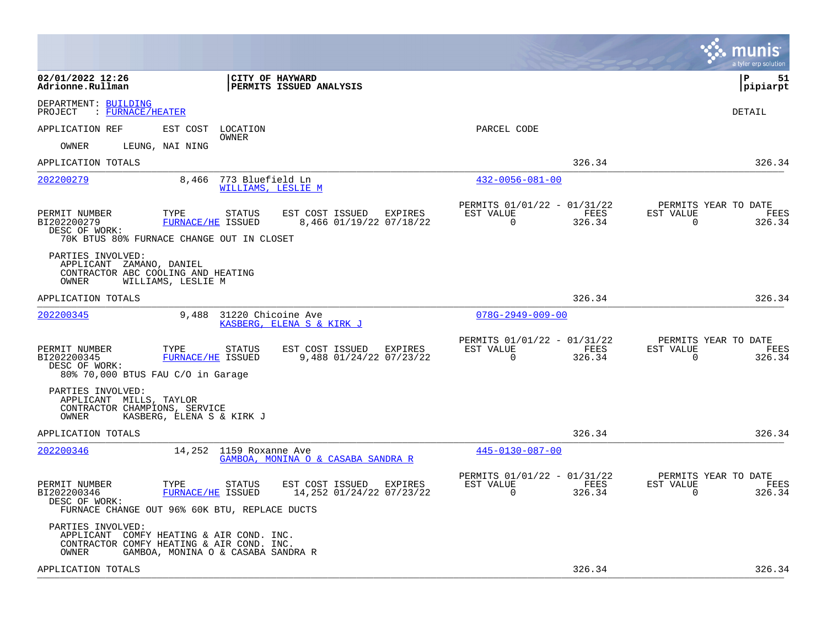|                                                                                                                                                                                                               |                                                                              | munis<br>a tyler erp solution                                      |
|---------------------------------------------------------------------------------------------------------------------------------------------------------------------------------------------------------------|------------------------------------------------------------------------------|--------------------------------------------------------------------|
| 02/01/2022 12:26<br>CITY OF HAYWARD<br>Adrionne.Rullman<br><b>PERMITS ISSUED ANALYSIS</b>                                                                                                                     |                                                                              | l P<br>51<br> pipiarpt                                             |
| DEPARTMENT: BUILDING<br>PROJECT<br>: FURNACE/HEATER                                                                                                                                                           |                                                                              | DETAIL                                                             |
| APPLICATION REF<br>EST COST<br>LOCATION<br>OWNER                                                                                                                                                              | PARCEL CODE                                                                  |                                                                    |
| LEUNG, NAI NING<br>OWNER                                                                                                                                                                                      |                                                                              |                                                                    |
| APPLICATION TOTALS                                                                                                                                                                                            | 326.34                                                                       | 326.34                                                             |
| 202200279<br>8,466<br>773 Bluefield Ln<br>WILLIAMS, LESLIE M                                                                                                                                                  | $432 - 0056 - 081 - 00$                                                      |                                                                    |
| PERMIT NUMBER<br>TYPE<br>EST COST ISSUED<br>EXPIRES<br>STATUS<br>BI202200279<br><b>FURNACE/HE ISSUED</b><br>8,466 01/19/22 07/18/22<br>DESC OF WORK:<br>70K BTUS 80% FURNACE CHANGE OUT IN CLOSET             | PERMITS 01/01/22 - 01/31/22<br>EST VALUE<br>FEES<br>$\overline{0}$<br>326.34 | PERMITS YEAR TO DATE<br>EST VALUE<br>FEES<br>$\mathbf 0$<br>326.34 |
| PARTIES INVOLVED:<br>APPLICANT ZAMANO, DANIEL<br>CONTRACTOR ABC COOLING AND HEATING<br>OWNER<br>WILLIAMS, LESLIE M                                                                                            |                                                                              |                                                                    |
| APPLICATION TOTALS                                                                                                                                                                                            | 326.34                                                                       | 326.34                                                             |
| 9,488<br>31220 Chicoine Ave<br>202200345<br>KASBERG, ELENA S & KIRK J                                                                                                                                         | $078G - 2949 - 009 - 00$                                                     |                                                                    |
| EST COST ISSUED EXPIRES<br>PERMIT NUMBER<br>TYPE<br><b>STATUS</b><br>9,488 01/24/22 07/23/22<br>BI202200345<br>FURNACE/HE ISSUED<br>DESC OF WORK:<br>80% 70,000 BTUS FAU C/O in Garage                        | PERMITS 01/01/22 - 01/31/22<br>EST VALUE<br>FEES<br>0<br>326.34              | PERMITS YEAR TO DATE<br>EST VALUE<br>FEES<br>0<br>326.34           |
| PARTIES INVOLVED:<br>APPLICANT MILLS, TAYLOR<br>CONTRACTOR CHAMPIONS, SERVICE<br>OWNER<br>KASBERG, ELENA S & KIRK J                                                                                           |                                                                              |                                                                    |
| APPLICATION TOTALS                                                                                                                                                                                            | 326.34                                                                       | 326.34                                                             |
| 202200346<br>14,252 1159 Roxanne Ave<br>GAMBOA, MONINA O & CASABA SANDRA R                                                                                                                                    | 445-0130-087-00                                                              |                                                                    |
| PERMIT NUMBER<br>TYPE<br><b>STATUS</b><br>EST COST ISSUED<br>EXPIRES<br>BI202200346<br><b>FURNACE/HE ISSUED</b><br>14,252 01/24/22 07/23/22<br>DESC OF WORK:<br>FURNACE CHANGE OUT 96% 60K BTU, REPLACE DUCTS | PERMITS 01/01/22 - 01/31/22<br>EST VALUE<br>FEES<br>$\Omega$<br>326.34       | PERMITS YEAR TO DATE<br>EST VALUE<br>FEES<br>326.34<br>$\Omega$    |
| PARTIES INVOLVED:<br>APPLICANT COMFY HEATING & AIR COND. INC.<br>CONTRACTOR COMFY HEATING & AIR COND. INC.<br>OWNER<br>GAMBOA, MONINA O & CASABA SANDRA R                                                     |                                                                              |                                                                    |
| APPLICATION TOTALS                                                                                                                                                                                            | 326.34                                                                       | 326.34                                                             |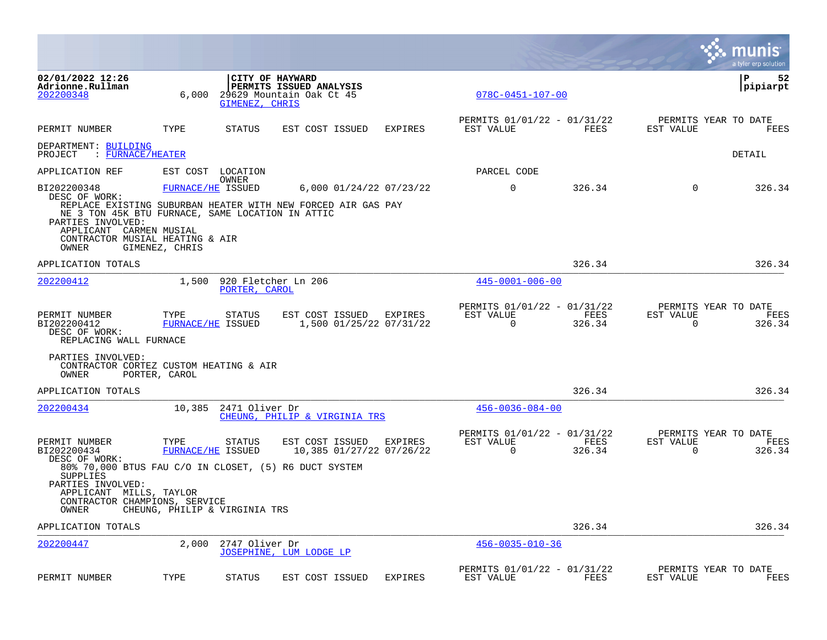|                                                                                                                                              |                               |                   |                                                                                                      |                |                                                      |                |                          | munis<br>a tyler erp solution          |
|----------------------------------------------------------------------------------------------------------------------------------------------|-------------------------------|-------------------|------------------------------------------------------------------------------------------------------|----------------|------------------------------------------------------|----------------|--------------------------|----------------------------------------|
| 02/01/2022 12:26<br>Adrionne.Rullman<br>202200348                                                                                            | 6,000                         | GIMENEZ, CHRIS    | CITY OF HAYWARD<br>PERMITS ISSUED ANALYSIS<br>29629 Mountain Oak Ct 45                               |                | $078C - 0451 - 107 - 00$                             |                |                          | l P<br>52<br> pipiarpt                 |
| PERMIT NUMBER                                                                                                                                | TYPE                          | <b>STATUS</b>     | EST COST ISSUED                                                                                      | <b>EXPIRES</b> | PERMITS 01/01/22 - 01/31/22<br>EST VALUE             | FEES           | EST VALUE                | PERMITS YEAR TO DATE<br><b>FEES</b>    |
| DEPARTMENT: BUILDING<br>PROJECT<br>: FURNACE/HEATER                                                                                          |                               |                   |                                                                                                      |                |                                                      |                |                          | DETAIL                                 |
| APPLICATION REF                                                                                                                              |                               | EST COST LOCATION |                                                                                                      |                | PARCEL CODE                                          |                |                          |                                        |
| BI202200348<br>DESC OF WORK:                                                                                                                 | FURNACE/HE ISSUED             | OWNER             | 6,000 01/24/22 07/23/22<br>REPLACE EXISTING SUBURBAN HEATER WITH NEW FORCED AIR GAS PAY              |                | $\Omega$                                             | 326.34         | $\Omega$                 | 326.34                                 |
| NE 3 TON 45K BTU FURNACE, SAME LOCATION IN ATTIC<br>PARTIES INVOLVED:<br>APPLICANT CARMEN MUSIAL<br>CONTRACTOR MUSIAL HEATING & AIR<br>OWNER | GIMENEZ, CHRIS                |                   |                                                                                                      |                |                                                      |                |                          |                                        |
| APPLICATION TOTALS                                                                                                                           |                               |                   |                                                                                                      |                |                                                      | 326.34         |                          | 326.34                                 |
| 202200412                                                                                                                                    | 1,500                         | PORTER, CAROL     | 920 Fletcher Ln 206                                                                                  |                | $445 - 0001 - 006 - 00$                              |                |                          |                                        |
| PERMIT NUMBER<br>BI202200412<br>DESC OF WORK:<br>REPLACING WALL FURNACE                                                                      | TYPE<br>FURNACE/HE ISSUED     | STATUS            | EST COST ISSUED EXPIRES<br>1,500 01/25/22 07/31/22                                                   |                | PERMITS 01/01/22 - 01/31/22<br>EST VALUE<br>$\Omega$ | FEES<br>326.34 | EST VALUE<br>$\mathbf 0$ | PERMITS YEAR TO DATE<br>FEES<br>326.34 |
| PARTIES INVOLVED:<br>CONTRACTOR CORTEZ CUSTOM HEATING & AIR<br>OWNER                                                                         | PORTER, CAROL                 |                   |                                                                                                      |                |                                                      |                |                          |                                        |
| APPLICATION TOTALS                                                                                                                           |                               |                   |                                                                                                      |                |                                                      | 326.34         |                          | 326.34                                 |
| 202200434                                                                                                                                    | 10,385                        | 2471 Oliver Dr    | CHEUNG, PHILIP & VIRGINIA TRS                                                                        |                | $456 - 0036 - 084 - 00$                              |                |                          |                                        |
| PERMIT NUMBER<br>BI202200434<br>DESC OF WORK:                                                                                                | TYPE<br>FURNACE/HE ISSUED     | <b>STATUS</b>     | EST COST ISSUED<br>10,385 01/27/22 07/26/22<br>80% 70,000 BTUS FAU C/O IN CLOSET, (5) R6 DUCT SYSTEM | EXPIRES        | PERMITS 01/01/22 - 01/31/22<br>EST VALUE<br>$\Omega$ | FEES<br>326.34 | EST VALUE<br>$\Omega$    | PERMITS YEAR TO DATE<br>FEES<br>326.34 |
| SUPPLIES<br>PARTIES INVOLVED:<br>APPLICANT MILLS, TAYLOR<br>CONTRACTOR CHAMPIONS, SERVICE<br>OWNER                                           | CHEUNG, PHILIP & VIRGINIA TRS |                   |                                                                                                      |                |                                                      |                |                          |                                        |
| APPLICATION TOTALS                                                                                                                           |                               |                   |                                                                                                      |                |                                                      | 326.34         |                          | 326.34                                 |
| 202200447                                                                                                                                    | 2,000                         | 2747 Oliver Dr    | JOSEPHINE, LUM LODGE LP                                                                              |                | $456 - 0035 - 010 - 36$                              |                |                          |                                        |
| PERMIT NUMBER                                                                                                                                | TYPE                          | <b>STATUS</b>     | EST COST ISSUED                                                                                      | <b>EXPIRES</b> | PERMITS 01/01/22 - 01/31/22<br>EST VALUE             | FEES           | EST VALUE                | PERMITS YEAR TO DATE<br>FEES           |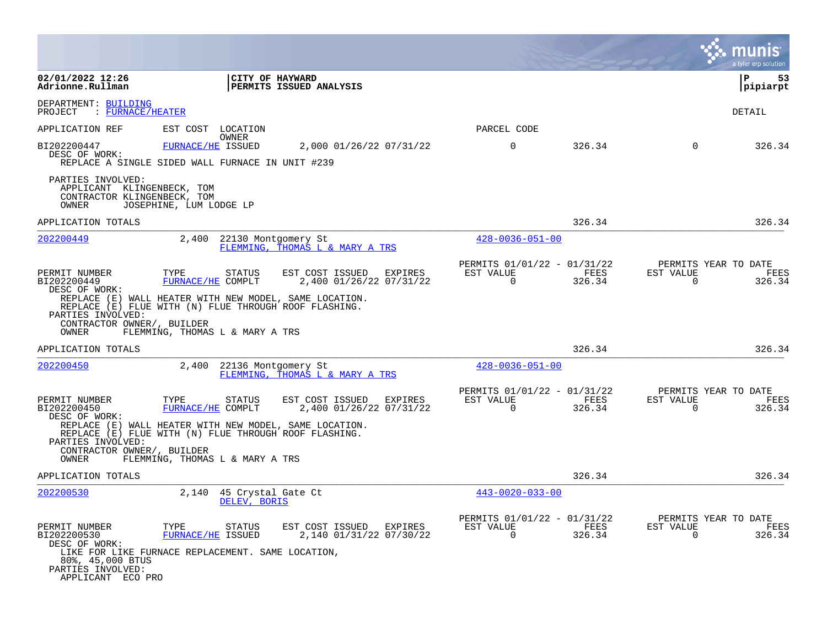|                                                                                                             |                                                                                                                                                               |                                                              |                                                      |                |                       | a tyler erp solution                   |
|-------------------------------------------------------------------------------------------------------------|---------------------------------------------------------------------------------------------------------------------------------------------------------------|--------------------------------------------------------------|------------------------------------------------------|----------------|-----------------------|----------------------------------------|
| 02/01/2022 12:26<br>Adrionne.Rullman                                                                        |                                                                                                                                                               | CITY OF HAYWARD<br>PERMITS ISSUED ANALYSIS                   |                                                      |                |                       | P<br>53<br>pipiarpt                    |
| DEPARTMENT: BUILDING<br>: FURNACE/HEATER<br>PROJECT                                                         |                                                                                                                                                               |                                                              |                                                      |                |                       | DETAIL                                 |
| APPLICATION REF                                                                                             | EST COST<br>LOCATION                                                                                                                                          |                                                              | PARCEL CODE                                          |                |                       |                                        |
| BI202200447<br>DESC OF WORK:                                                                                | OWNER<br>FURNACE/HE ISSUED<br>REPLACE A SINGLE SIDED WALL FURNACE IN UNIT #239                                                                                | 2,000 01/26/22 07/31/22                                      | $\mathbf 0$                                          | 326.34         | $\Omega$              | 326.34                                 |
| PARTIES INVOLVED:<br>APPLICANT KLINGENBECK, TOM<br>CONTRACTOR KLINGENBECK, TOM<br>OWNER                     | JOSEPHINE, LUM LODGE LP                                                                                                                                       |                                                              |                                                      |                |                       |                                        |
| APPLICATION TOTALS                                                                                          |                                                                                                                                                               |                                                              |                                                      | 326.34         |                       | 326.34                                 |
| 202200449                                                                                                   | 2,400                                                                                                                                                         | 22130 Montgomery St<br>FLEMMING, THOMAS L & MARY A TRS       | $428 - 0036 - 051 - 00$                              |                |                       |                                        |
| PERMIT NUMBER<br>BI202200449<br>DESC OF WORK:                                                               | TYPE<br><b>STATUS</b><br>FURNACE/HE COMPLT<br>REPLACE (E) WALL HEATER WITH NEW MODEL, SAME LOCATION.<br>REPLACE (E) FLUE WITH (N) FLUE THROUGH ROOF FLASHING. | EST COST ISSUED<br>EXPIRES<br>2,400 01/26/22 07/31/22        | PERMITS 01/01/22 - 01/31/22<br>EST VALUE<br>$\Omega$ | FEES<br>326.34 | EST VALUE<br>$\Omega$ | PERMITS YEAR TO DATE<br>FEES<br>326.34 |
| PARTIES INVOLVED:<br>CONTRACTOR OWNER/, BUILDER<br>OWNER                                                    | FLEMMING, THOMAS L & MARY A TRS                                                                                                                               |                                                              |                                                      |                |                       |                                        |
| APPLICATION TOTALS                                                                                          |                                                                                                                                                               |                                                              |                                                      | 326.34         |                       | 326.34                                 |
| 202200450                                                                                                   | 2,400                                                                                                                                                         | 22136 Montgomery St<br>FLEMMING, THOMAS L & MARY A TRS       | $428 - 0036 - 051 - 00$                              |                |                       |                                        |
| PERMIT NUMBER<br>BI202200450<br>DESC OF WORK:                                                               | TYPE<br>STATUS<br>FURNACE/HE COMPLT                                                                                                                           | <b>EXPIRES</b><br>EST COST ISSUED<br>2,400 01/26/22 07/31/22 | PERMITS 01/01/22 - 01/31/22<br>EST VALUE<br>$\Omega$ | FEES<br>326.34 | EST VALUE<br>$\Omega$ | PERMITS YEAR TO DATE<br>FEES<br>326.34 |
| PARTIES INVOLVED:<br>CONTRACTOR OWNER/, BUILDER                                                             | REPLACE (E) WALL HEATER WITH NEW MODEL, SAME LOCATION.<br>REPLACE (E) FLUE WITH (N) FLUE THROUGH ROOF FLASHING.                                               |                                                              |                                                      |                |                       |                                        |
| OWNER                                                                                                       | FLEMMING, THOMAS L & MARY A TRS                                                                                                                               |                                                              |                                                      |                |                       |                                        |
| APPLICATION TOTALS                                                                                          |                                                                                                                                                               |                                                              |                                                      | 326.34         |                       | 326.34                                 |
| 202200530                                                                                                   | 2,140<br>DELEV, BORIS                                                                                                                                         | 45 Crystal Gate Ct                                           | $443 - 0020 - 033 - 00$                              |                |                       |                                        |
| PERMIT NUMBER<br>BI202200530<br>DESC OF WORK:<br>80%, 45,000 BTUS<br>PARTIES INVOLVED:<br>APPLICANT ECO PRO | TYPE<br><b>STATUS</b><br>FURNACE/HE ISSUED<br>LIKE FOR LIKE FURNACE REPLACEMENT. SAME LOCATION,                                                               | EST COST ISSUED EXPIRES<br>2,140 01/31/22 07/30/22           | PERMITS 01/01/22 - 01/31/22<br>EST VALUE<br>$\Omega$ | FEES<br>326.34 | EST VALUE<br>$\Omega$ | PERMITS YEAR TO DATE<br>FEES<br>326.34 |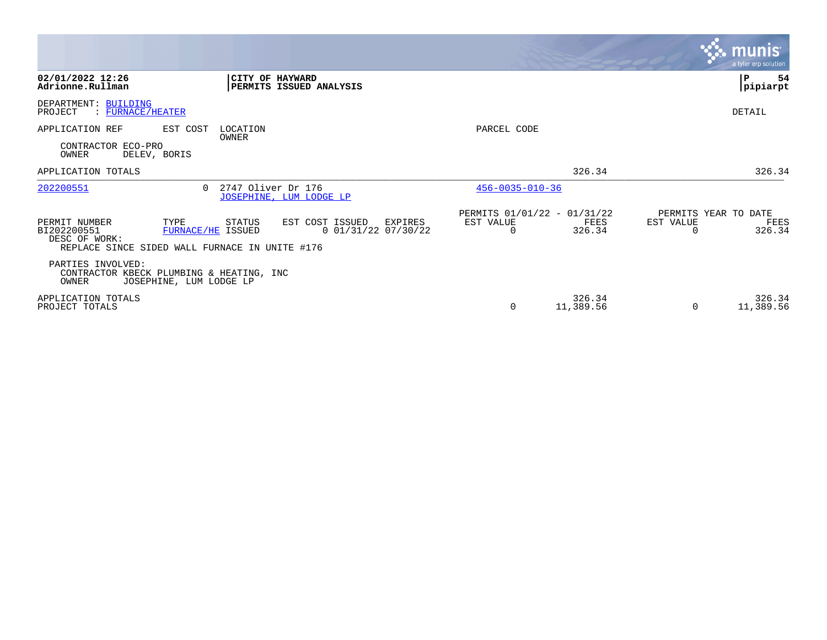|                                                                                                                                                                                    |                                                                                   | <b>munis</b><br>a tyler erp solution.                           |
|------------------------------------------------------------------------------------------------------------------------------------------------------------------------------------|-----------------------------------------------------------------------------------|-----------------------------------------------------------------|
| 02/01/2022 12:26<br>CITY OF HAYWARD<br>Adrionne.Rullman<br>PERMITS ISSUED ANALYSIS                                                                                                 |                                                                                   | P<br>54<br>pipiarpt                                             |
| DEPARTMENT: BUILDING<br>PROJECT<br>$\therefore$ FURNACE/HEATER                                                                                                                     |                                                                                   | DETAIL                                                          |
| APPLICATION REF<br>EST COST<br>LOCATION<br>OWNER                                                                                                                                   | PARCEL CODE                                                                       |                                                                 |
| CONTRACTOR ECO-PRO<br>OWNER<br>DELEV, BORIS                                                                                                                                        |                                                                                   |                                                                 |
| APPLICATION TOTALS                                                                                                                                                                 | 326.34                                                                            | 326.34                                                          |
| 202200551<br>2747 Oliver Dr 176<br>$\cap$<br>JOSEPHINE, LUM LODGE LP                                                                                                               | $456 - 0035 - 010 - 36$                                                           |                                                                 |
| EST COST ISSUED<br>PERMIT NUMBER<br>TYPE<br>STATUS<br>FURNACE/HE ISSUED<br>$0$ 01/31/22 07/30/22<br>BI202200551<br>DESC OF WORK:<br>REPLACE SINCE SIDED WALL FURNACE IN UNITE #176 | PERMITS 01/01/22 - 01/31/22<br>EST VALUE<br>FEES<br>EXPIRES<br>326.34<br>$\Omega$ | PERMITS YEAR TO DATE<br>EST VALUE<br>FEES<br>326.34<br>$\Omega$ |
| PARTIES INVOLVED:<br>CONTRACTOR KBECK PLUMBING & HEATING, INC<br>OWNER<br>JOSEPHINE, LUM LODGE LP                                                                                  |                                                                                   |                                                                 |
| APPLICATION TOTALS<br>PROJECT TOTALS                                                                                                                                               | 326.34<br>11,389.56<br>0                                                          | 326.34<br>11,389.56<br>$\Omega$                                 |

**Contract**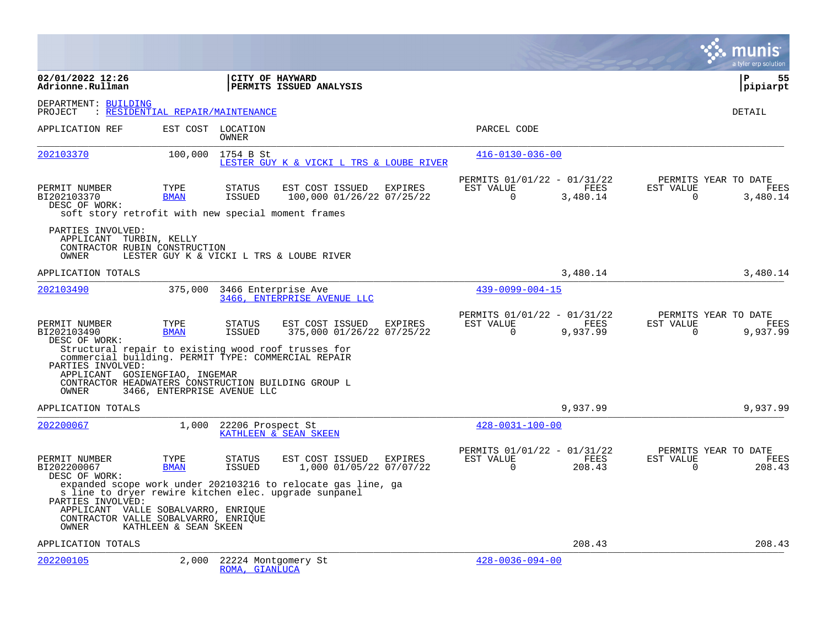|                                                                                                                                                                                                                                                                           |                                  |                                       |                                                              |                |                                                      |                  |                       | a tyler erp solution                     |
|---------------------------------------------------------------------------------------------------------------------------------------------------------------------------------------------------------------------------------------------------------------------------|----------------------------------|---------------------------------------|--------------------------------------------------------------|----------------|------------------------------------------------------|------------------|-----------------------|------------------------------------------|
| 02/01/2022 12:26<br>Adrionne.Rullman                                                                                                                                                                                                                                      |                                  | CITY OF HAYWARD                       | PERMITS ISSUED ANALYSIS                                      |                |                                                      |                  |                       | $\mathbf{P}$<br>55<br>pipiarpt           |
| DEPARTMENT: BUILDING<br>PROJECT                                                                                                                                                                                                                                           | : RESIDENTIAL REPAIR/MAINTENANCE |                                       |                                                              |                |                                                      |                  |                       | DETAIL                                   |
| APPLICATION REF                                                                                                                                                                                                                                                           |                                  | EST COST LOCATION<br><b>OWNER</b>     |                                                              |                | PARCEL CODE                                          |                  |                       |                                          |
| 202103370                                                                                                                                                                                                                                                                 | 100,000                          | 1754 B St                             | LESTER GUY K & VICKI L TRS & LOUBE RIVER                     |                | $416 - 0130 - 036 - 00$                              |                  |                       |                                          |
| PERMIT NUMBER<br>BI202103370<br>DESC OF WORK:<br>soft story retrofit with new special moment frames                                                                                                                                                                       | TYPE<br><b>BMAN</b>              | <b>STATUS</b><br>ISSUED               | EST COST ISSUED<br>100,000 01/26/22 07/25/22                 | EXPIRES        | PERMITS 01/01/22 - 01/31/22<br>EST VALUE<br>$\Omega$ | FEES<br>3,480.14 | EST VALUE<br>$\Omega$ | PERMITS YEAR TO DATE<br>FEES<br>3,480.14 |
| PARTIES INVOLVED:<br>APPLICANT TURBIN, KELLY<br>CONTRACTOR RUBIN CONSTRUCTION<br>OWNER                                                                                                                                                                                    |                                  |                                       | LESTER GUY K & VICKI L TRS & LOUBE RIVER                     |                |                                                      |                  |                       |                                          |
| APPLICATION TOTALS                                                                                                                                                                                                                                                        |                                  |                                       |                                                              |                |                                                      | 3,480.14         |                       | 3,480.14                                 |
| 202103490                                                                                                                                                                                                                                                                 | 375,000                          | 3466 Enterprise Ave                   | 3466, ENTERPRISE AVENUE LLC                                  |                | $439 - 0099 - 004 - 15$                              |                  |                       |                                          |
| PERMIT NUMBER<br>BI202103490<br>DESC OF WORK:<br>Structural repair to existing wood roof trusses for<br>commercial building. PERMIT TYPE: COMMERCIAL REPAIR<br>PARTIES INVOLVED:<br>APPLICANT GOSIENGFIAO, INGEMAR<br>CONTRACTOR HEADWATERS CONSTRUCTION BUILDING GROUP L | TYPE<br><b>BMAN</b>              | <b>STATUS</b><br><b>ISSUED</b>        | EST COST ISSUED<br>375,000 01/26/22 07/25/22                 | EXPIRES        | PERMITS 01/01/22 - 01/31/22<br>EST VALUE<br>$\Omega$ | FEES<br>9,937.99 | EST VALUE<br>$\Omega$ | PERMITS YEAR TO DATE<br>FEES<br>9,937.99 |
| OWNER                                                                                                                                                                                                                                                                     | 3466, ENTERPRISE AVENUE LLC      |                                       |                                                              |                |                                                      |                  |                       |                                          |
| APPLICATION TOTALS<br>202200067                                                                                                                                                                                                                                           | 1,000                            | 22206 Prospect St                     | KATHLEEN & SEAN SKEEN                                        |                | $428 - 0031 - 100 - 00$                              | 9,937.99         |                       | 9,937.99                                 |
| PERMIT NUMBER<br>BI202200067<br>DESC OF WORK:                                                                                                                                                                                                                             | TYPE<br><b>BMAN</b>              | <b>STATUS</b><br>ISSUED               | EST COST ISSUED<br>1,000 01/05/22 07/07/22                   | <b>EXPIRES</b> | PERMITS 01/01/22 - 01/31/22<br>EST VALUE<br>$\Omega$ | FEES<br>208.43   | EST VALUE<br>$\Omega$ | PERMITS YEAR TO DATE<br>FEES<br>208.43   |
| s line to dryer rewire kitchen elec. upgrade sunpanel<br>PARTIES INVOLVED:<br>APPLICANT VALLE SOBALVARRO, ENRIQUE                                                                                                                                                         |                                  |                                       | expanded scope work under 202103216 to relocate gas line, ga |                |                                                      |                  |                       |                                          |
| CONTRACTOR VALLE SOBALVARRO, ENRIQUE<br>OWNER                                                                                                                                                                                                                             | KATHLEEN & SEAN SKEEN            |                                       |                                                              |                |                                                      |                  |                       |                                          |
| APPLICATION TOTALS                                                                                                                                                                                                                                                        |                                  |                                       |                                                              |                |                                                      | 208.43           |                       | 208.43                                   |
| 202200105                                                                                                                                                                                                                                                                 | 2,000                            | 22224 Montgomery St<br>ROMA, GIANLUCA |                                                              |                | $428 - 0036 - 094 - 00$                              |                  |                       |                                          |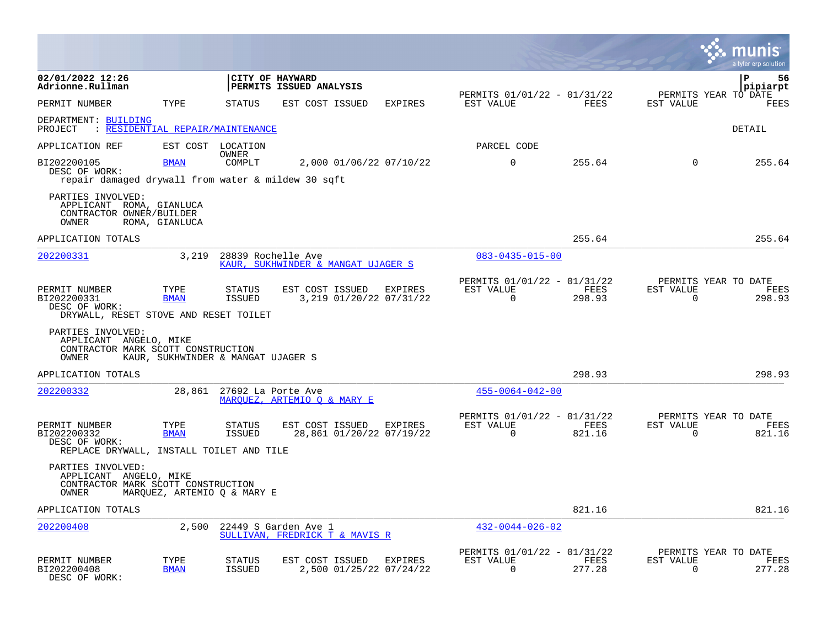|                                                                                            |                                    |                                |                                                        |                         |                                                         |                       |                          | a tyler erp solution                   |
|--------------------------------------------------------------------------------------------|------------------------------------|--------------------------------|--------------------------------------------------------|-------------------------|---------------------------------------------------------|-----------------------|--------------------------|----------------------------------------|
| 02/01/2022 12:26<br>Adrionne.Rullman                                                       |                                    | CITY OF HAYWARD                | PERMITS ISSUED ANALYSIS                                |                         |                                                         |                       |                          | l P<br>56<br>pipiarpt                  |
| PERMIT NUMBER                                                                              | TYPE                               | <b>STATUS</b>                  | EST COST ISSUED                                        | <b>EXPIRES</b>          | PERMITS 01/01/22 - 01/31/22<br>EST VALUE                | <b>FEES</b>           | EST VALUE                | PERMITS YEAR TO DATE<br>FEES           |
| DEPARTMENT: BUILDING<br>: RESIDENTIAL REPAIR/MAINTENANCE<br>PROJECT                        |                                    |                                |                                                        |                         |                                                         |                       |                          | DETAIL                                 |
| APPLICATION REF                                                                            |                                    | EST COST LOCATION              |                                                        |                         | PARCEL CODE                                             |                       |                          |                                        |
| BI202200105<br>DESC OF WORK:<br>repair damaged drywall from water & mildew 30 sqft         | <b>BMAN</b>                        | OWNER<br>COMPLT                |                                                        | 2,000 01/06/22 07/10/22 | $\mathbf 0$                                             | 255.64                | $\Omega$                 | 255.64                                 |
| PARTIES INVOLVED:<br>APPLICANT ROMA, GIANLUCA<br>CONTRACTOR OWNER/BUILDER<br>OWNER         | ROMA, GIANLUCA                     |                                |                                                        |                         |                                                         |                       |                          |                                        |
| APPLICATION TOTALS                                                                         |                                    |                                |                                                        |                         |                                                         | 255.64                |                          | 255.64                                 |
| 202200331                                                                                  | 3,219                              | 28839 Rochelle Ave             | KAUR, SUKHWINDER & MANGAT UJAGER S                     |                         | $083 - 0435 - 015 - 00$                                 |                       |                          |                                        |
| PERMIT NUMBER<br>BI202200331<br>DESC OF WORK:<br>DRYWALL, RESET STOVE AND RESET TOILET     | TYPE<br><b>BMAN</b>                | <b>STATUS</b><br><b>ISSUED</b> | EST COST ISSUED<br>3,219 01/20/22 07/31/22             | EXPIRES                 | PERMITS 01/01/22 - 01/31/22<br>EST VALUE<br>$\mathbf 0$ | FEES<br>298.93        | EST VALUE<br>$\mathbf 0$ | PERMITS YEAR TO DATE<br>FEES<br>298.93 |
| PARTIES INVOLVED:<br>APPLICANT ANGELO, MIKE<br>CONTRACTOR MARK SCOTT CONSTRUCTION<br>OWNER | KAUR, SUKHWINDER & MANGAT UJAGER S |                                |                                                        |                         |                                                         |                       |                          |                                        |
| APPLICATION TOTALS                                                                         |                                    |                                |                                                        |                         |                                                         | 298.93                |                          | 298.93                                 |
| 202200332                                                                                  | 28,861                             | 27692 La Porte Ave             | MARQUEZ, ARTEMIO Q & MARY E                            |                         | $455 - 0064 - 042 - 00$                                 |                       |                          |                                        |
| PERMIT NUMBER<br>BI202200332<br>DESC OF WORK:<br>REPLACE DRYWALL, INSTALL TOILET AND TILE  | TYPE<br><b>BMAN</b>                | <b>STATUS</b><br><b>ISSUED</b> | EST COST ISSUED EXPIRES<br>28,861 01/20/22 07/19/22    |                         | PERMITS 01/01/22 - 01/31/22<br>EST VALUE<br>$\Omega$    | FEES<br>821.16        | EST VALUE<br>$\Omega$    | PERMITS YEAR TO DATE<br>FEES<br>821.16 |
| PARTIES INVOLVED:<br>APPLICANT ANGELO, MIKE<br>CONTRACTOR MARK SCOTT CONSTRUCTION<br>OWNER | MARQUEZ, ARTEMIO Q & MARY E        |                                |                                                        |                         |                                                         |                       |                          |                                        |
| APPLICATION TOTALS                                                                         |                                    |                                |                                                        |                         |                                                         | 821.16                |                          | 821.16                                 |
| 202200408                                                                                  | 2,500                              |                                | 22449 S Garden Ave 1<br>SULLIVAN, FREDRICK T & MAVIS R |                         | $432 - 0044 - 026 - 02$                                 |                       |                          |                                        |
| PERMIT NUMBER<br>BI202200408<br>DESC OF WORK:                                              | TYPE<br><b>BMAN</b>                | STATUS<br><b>ISSUED</b>        | EST COST ISSUED EXPIRES<br>2,500 01/25/22 07/24/22     |                         | PERMITS 01/01/22 - 01/31/22<br>EST VALUE<br>$\Omega$    | <b>FEES</b><br>277.28 | EST VALUE<br>$\Omega$    | PERMITS YEAR TO DATE<br>FEES<br>277.28 |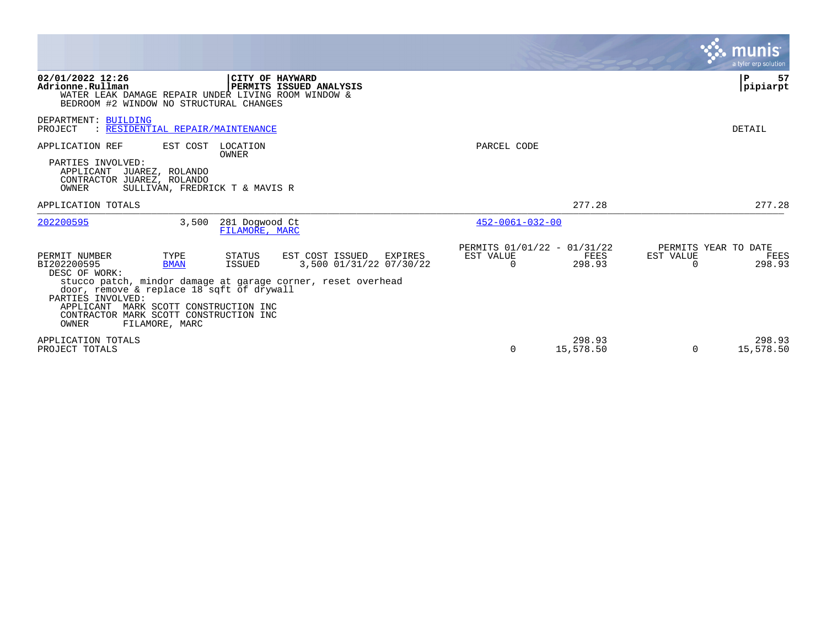|                                                                                                                                                                                                                                                                                                                                                                                                   |                                                         | a tyler erp solution                                             |
|---------------------------------------------------------------------------------------------------------------------------------------------------------------------------------------------------------------------------------------------------------------------------------------------------------------------------------------------------------------------------------------------------|---------------------------------------------------------|------------------------------------------------------------------|
| 02/01/2022 12:26<br>CITY OF HAYWARD<br>Adrionne.Rullman<br>PERMITS ISSUED ANALYSIS<br>WATER LEAK DAMAGE REPAIR UNDER LIVING ROOM WINDOW &<br>BEDROOM #2 WINDOW NO STRUCTURAL CHANGES                                                                                                                                                                                                              |                                                         | P<br>57<br>pipiarpt                                              |
| DEPARTMENT: BUILDING<br>PROJECT<br>: RESIDENTIAL REPAIR/MAINTENANCE                                                                                                                                                                                                                                                                                                                               |                                                         | DETAIL                                                           |
| APPLICATION REF<br>EST COST<br>LOCATION<br>OWNER                                                                                                                                                                                                                                                                                                                                                  | PARCEL CODE                                             |                                                                  |
| PARTIES INVOLVED:<br>APPLICANT JUAREZ, ROLANDO<br>CONTRACTOR JUAREZ, ROLANDO<br>SULLIVAN, FREDRICK T & MAVIS R<br>OWNER                                                                                                                                                                                                                                                                           |                                                         |                                                                  |
| APPLICATION TOTALS                                                                                                                                                                                                                                                                                                                                                                                | 277.28                                                  | 277.28                                                           |
| 202200595<br>3,500<br>281 Dogwood Ct<br>FILAMORE, MARC                                                                                                                                                                                                                                                                                                                                            | $452 - 0061 - 032 - 00$                                 |                                                                  |
| PERMIT NUMBER<br>STATUS<br>EST COST ISSUED<br>TYPE<br>EXPIRES<br>3,500 01/31/22 07/30/22<br>BI202200595<br><b>BMAN</b><br>ISSUED<br>DESC OF WORK:<br>stucco patch, mindor damage at garage corner, reset overhead<br>door, remove & replace 18 sqft of drywall<br>PARTIES INVOLVED:<br>APPLICANT MARK SCOTT CONSTRUCTION INC<br>CONTRACTOR MARK SCOTT CONSTRUCTION INC<br>OWNER<br>FILAMORE, MARC | PERMITS 01/01/22 - 01/31/22<br>EST VALUE<br>298.93<br>0 | PERMITS YEAR TO DATE<br>FEES<br>EST VALUE<br>FEES<br>298.93<br>0 |
| APPLICATION TOTALS<br>PROJECT TOTALS                                                                                                                                                                                                                                                                                                                                                              | 298.93<br>15,578.50<br>$\Omega$                         | 298.93<br>15,578.50<br>$\Omega$                                  |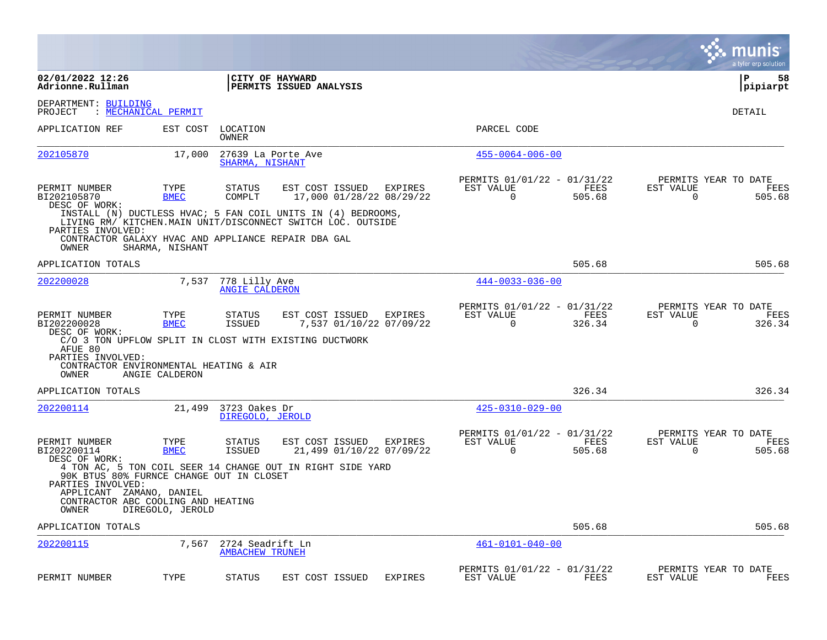|                                                                                                                                          |                     |                                            |                                                                                                                             |                                            |                                                         |                |                          | munis<br>a tyler erp solution          |
|------------------------------------------------------------------------------------------------------------------------------------------|---------------------|--------------------------------------------|-----------------------------------------------------------------------------------------------------------------------------|--------------------------------------------|---------------------------------------------------------|----------------|--------------------------|----------------------------------------|
| 02/01/2022 12:26<br>Adrionne.Rullman                                                                                                     |                     |                                            | CITY OF HAYWARD<br>PERMITS ISSUED ANALYSIS                                                                                  |                                            |                                                         |                |                          | l P<br>58<br> pipiarpt                 |
| DEPARTMENT: BUILDING<br>PROJECT                                                                                                          | : MECHANICAL PERMIT |                                            |                                                                                                                             |                                            |                                                         |                |                          | DETAIL                                 |
| APPLICATION REF                                                                                                                          | EST COST            | LOCATION<br>OWNER                          |                                                                                                                             |                                            | PARCEL CODE                                             |                |                          |                                        |
| 202105870                                                                                                                                | 17,000              | SHARMA, NISHANT                            | 27639 La Porte Ave                                                                                                          |                                            | $455 - 0064 - 006 - 00$                                 |                |                          |                                        |
| PERMIT NUMBER<br>BI202105870<br>DESC OF WORK:                                                                                            | TYPE<br><b>BMEC</b> | <b>STATUS</b><br>COMPLT                    | EST COST ISSUED                                                                                                             | EXPIRES<br>17,000 01/28/22 08/29/22        | PERMITS 01/01/22 - 01/31/22<br>EST VALUE<br>0           | FEES<br>505.68 | EST VALUE<br>0           | PERMITS YEAR TO DATE<br>FEES<br>505.68 |
| PARTIES INVOLVED:                                                                                                                        |                     |                                            | INSTALL (N) DUCTLESS HVAC; 5 FAN COIL UNITS IN (4) BEDROOMS,<br>LIVING RM/ KITCHEN.MAIN UNIT/DISCONNECT SWITCH LOC. OUTSIDE |                                            |                                                         |                |                          |                                        |
| OWNER                                                                                                                                    | SHARMA, NISHANT     |                                            | CONTRACTOR GALAXY HVAC AND APPLIANCE REPAIR DBA GAL                                                                         |                                            |                                                         |                |                          |                                        |
| APPLICATION TOTALS                                                                                                                       |                     |                                            |                                                                                                                             |                                            |                                                         | 505.68         |                          | 505.68                                 |
| 202200028                                                                                                                                | 7,537               | 778 Lilly Ave<br><b>ANGIE CALDERON</b>     |                                                                                                                             |                                            | $444 - 0033 - 036 - 00$                                 |                |                          |                                        |
| PERMIT NUMBER<br>BI202200028<br>DESC OF WORK:                                                                                            | TYPE<br><b>BMEC</b> | <b>STATUS</b><br><b>ISSUED</b>             | EST COST ISSUED                                                                                                             | EXPIRES<br>7,537 01/10/22 07/09/22         | PERMITS 01/01/22 - 01/31/22<br>EST VALUE<br>$\mathbf 0$ | FEES<br>326.34 | EST VALUE<br>$\mathbf 0$ | PERMITS YEAR TO DATE<br>FEES<br>326.34 |
| AFUE 80<br>PARTIES INVOLVED:<br>CONTRACTOR ENVIRONMENTAL HEATING & AIR<br>OWNER                                                          | ANGIE CALDERON      |                                            | C/O 3 TON UPFLOW SPLIT IN CLOST WITH EXISTING DUCTWORK                                                                      |                                            |                                                         |                |                          |                                        |
| APPLICATION TOTALS                                                                                                                       |                     |                                            |                                                                                                                             |                                            |                                                         | 326.34         |                          | 326.34                                 |
| 202200114                                                                                                                                | 21,499              | 3723 Oakes Dr<br>DIREGOLO, JEROLD          |                                                                                                                             |                                            | $425 - 0310 - 029 - 00$                                 |                |                          |                                        |
| PERMIT NUMBER<br>BI202200114<br>DESC OF WORK:                                                                                            | TYPE<br><b>BMEC</b> | <b>STATUS</b><br><b>ISSUED</b>             | EST COST ISSUED                                                                                                             | <b>EXPIRES</b><br>21,499 01/10/22 07/09/22 | PERMITS 01/01/22 - 01/31/22<br>EST VALUE<br>$\Omega$    | FEES<br>505.68 | EST VALUE<br>$\Omega$    | PERMITS YEAR TO DATE<br>FEES<br>505.68 |
| 90K BTUS 80% FURNCE CHANGE OUT IN CLOSET<br>PARTIES INVOLVED:<br>APPLICANT ZAMANO, DANIEL<br>CONTRACTOR ABC COOLING AND HEATING<br>OWNER | DIREGOLO, JEROLD    |                                            | 4 TON AC, 5 TON COIL SEER 14 CHANGE OUT IN RIGHT SIDE YARD                                                                  |                                            |                                                         |                |                          |                                        |
| APPLICATION TOTALS                                                                                                                       |                     |                                            |                                                                                                                             |                                            |                                                         | 505.68         |                          | 505.68                                 |
| 202200115                                                                                                                                | 7,567               | 2724 Seadrift Ln<br><b>AMBACHEW TRUNEH</b> |                                                                                                                             |                                            | $461 - 0101 - 040 - 00$                                 |                |                          |                                        |
| PERMIT NUMBER                                                                                                                            | TYPE                | <b>STATUS</b>                              | EST COST ISSUED                                                                                                             | <b>EXPIRES</b>                             | PERMITS 01/01/22 - 01/31/22<br>EST VALUE                | FEES           | EST VALUE                | PERMITS YEAR TO DATE<br>FEES           |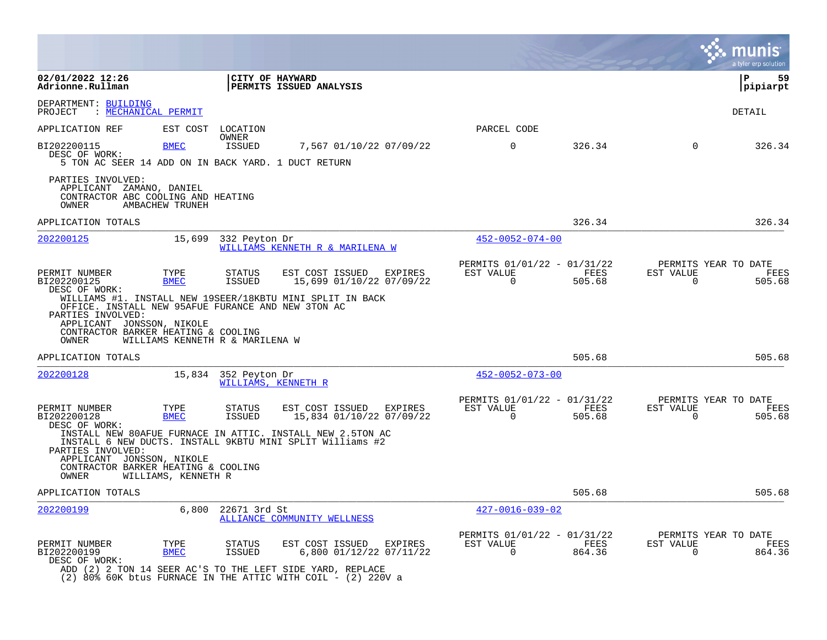|                                                                                                                                                       |                                                       |                                                                                                                                                                                    |                                                         |                |                                                  | a tyler erp solution |
|-------------------------------------------------------------------------------------------------------------------------------------------------------|-------------------------------------------------------|------------------------------------------------------------------------------------------------------------------------------------------------------------------------------------|---------------------------------------------------------|----------------|--------------------------------------------------|----------------------|
| 02/01/2022 12:26<br>Adrionne.Rullman                                                                                                                  |                                                       | CITY OF HAYWARD<br>PERMITS ISSUED ANALYSIS                                                                                                                                         |                                                         |                |                                                  | ΙP<br>59<br>pipiarpt |
| DEPARTMENT: BUILDING<br>: MECHANICAL PERMIT<br>PROJECT                                                                                                |                                                       |                                                                                                                                                                                    |                                                         |                |                                                  | DETAIL               |
| APPLICATION REF                                                                                                                                       | EST COST<br>LOCATION                                  |                                                                                                                                                                                    | PARCEL CODE                                             |                |                                                  |                      |
| BI202200115<br>DESC OF WORK:<br>5 TON AC SEER 14 ADD ON IN BACK YARD. 1 DUCT RETURN                                                                   | OWNER<br><b>BMEC</b><br>ISSUED                        | 7,567 01/10/22 07/09/22                                                                                                                                                            | $\mathbf 0$                                             | 326.34         | $\Omega$                                         | 326.34               |
| PARTIES INVOLVED:<br>APPLICANT ZAMANO, DANIEL<br>CONTRACTOR ABC COOLING AND HEATING<br>AMBACHEW TRUNEH<br>OWNER                                       |                                                       |                                                                                                                                                                                    |                                                         |                |                                                  |                      |
| APPLICATION TOTALS                                                                                                                                    |                                                       |                                                                                                                                                                                    |                                                         | 326.34         |                                                  | 326.34               |
| 202200125                                                                                                                                             | 15,699<br>332 Peyton Dr                               | WILLIAMS KENNETH R & MARILENA W                                                                                                                                                    | $452 - 0052 - 074 - 00$                                 |                |                                                  |                      |
| PERMIT NUMBER<br>BI202200125<br>DESC OF WORK:<br>OFFICE. INSTALL NEW 95AFUE FURANCE AND NEW 3TON AC<br>PARTIES INVOLVED:<br>APPLICANT JONSSON, NIKOLE | TYPE<br><b>STATUS</b><br><b>BMEC</b><br><b>ISSUED</b> | EST COST ISSUED<br>EXPIRES<br>15,699 01/10/22 07/09/22<br>WILLIAMS #1. INSTALL NEW 19SEER/18KBTU MINI SPLIT IN BACK                                                                | PERMITS 01/01/22 - 01/31/22<br>EST VALUE<br>$\Omega$    | FEES<br>505.68 | PERMITS YEAR TO DATE<br>EST VALUE<br>$\Omega$    | FEES<br>505.68       |
| CONTRACTOR BARKER HEATING & COOLING<br>OWNER                                                                                                          | WILLIAMS KENNETH R & MARILENA W                       |                                                                                                                                                                                    |                                                         |                |                                                  |                      |
| APPLICATION TOTALS                                                                                                                                    |                                                       |                                                                                                                                                                                    |                                                         | 505.68         |                                                  | 505.68               |
| 202200128                                                                                                                                             | 15,834<br>352 Peyton Dr                               | WILLIAMS, KENNETH R                                                                                                                                                                | $452 - 0052 - 073 - 00$                                 |                |                                                  |                      |
| PERMIT NUMBER<br>BI202200128<br>DESC OF WORK:                                                                                                         | TYPE<br>STATUS<br><b>BMEC</b><br><b>ISSUED</b>        | EST COST ISSUED<br>EXPIRES<br>15,834 01/10/22 07/09/22<br>INSTALL NEW 80AFUE FURNACE IN ATTIC. INSTALL NEW 2.5TON AC                                                               | PERMITS 01/01/22 - 01/31/22<br>EST VALUE<br>$\mathbf 0$ | FEES<br>505.68 | PERMITS YEAR TO DATE<br>EST VALUE<br>$\mathbf 0$ | FEES<br>505.68       |
| PARTIES INVOLVED:<br>APPLICANT JONSSON, NIKOLE<br>CONTRACTOR BARKER HEATING & COOLING<br>OWNER                                                        | WILLIAMS, KENNETH R                                   | INSTALL 6 NEW DUCTS. INSTALL 9KBTU MINI SPLIT Williams #2                                                                                                                          |                                                         |                |                                                  |                      |
| APPLICATION TOTALS                                                                                                                                    |                                                       |                                                                                                                                                                                    |                                                         | 505.68         |                                                  | 505.68               |
| 202200199                                                                                                                                             | 6,800<br>22671 3rd St                                 | ALLIANCE COMMUNITY WELLNESS                                                                                                                                                        | $427 - 0016 - 039 - 02$                                 |                |                                                  |                      |
| PERMIT NUMBER<br>BI202200199<br>DESC OF WORK:                                                                                                         | TYPE<br><b>STATUS</b><br><b>BMEC</b><br><b>ISSUED</b> | EST COST ISSUED<br>EXPIRES<br>6,800 01/12/22 07/11/22<br>ADD (2) 2 TON 14 SEER AC'S TO THE LEFT SIDE YARD, REPLACE<br>(2) 80% 60K btus FURNACE IN THE ATTIC WITH COIL - (2) 220V a | PERMITS 01/01/22 - 01/31/22<br>EST VALUE<br>$\Omega$    | FEES<br>864.36 | PERMITS YEAR TO DATE<br>EST VALUE<br>$\Omega$    | FEES<br>864.36       |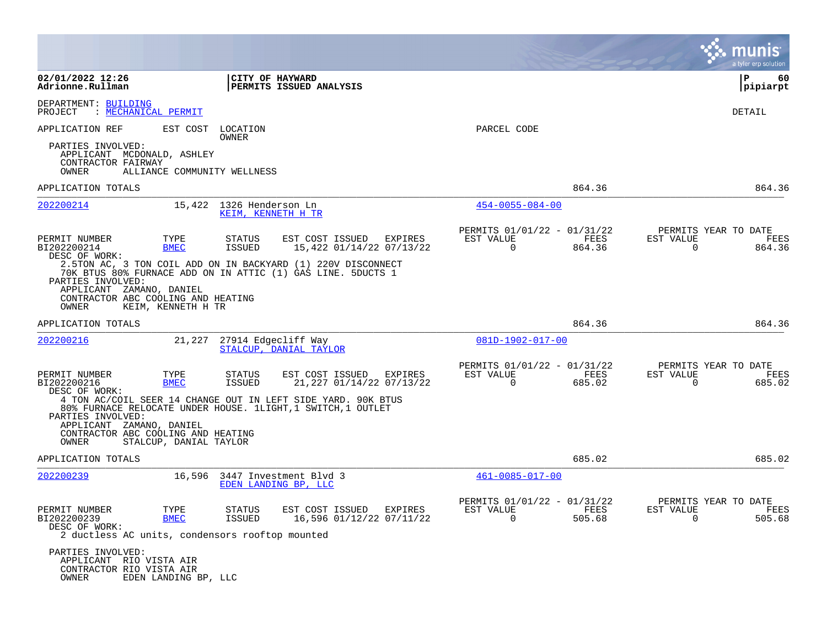|                                                                                                  |                        |                                                |                                                                                                                              |         |                                                         |                |                          | a tyler erp solution                   |
|--------------------------------------------------------------------------------------------------|------------------------|------------------------------------------------|------------------------------------------------------------------------------------------------------------------------------|---------|---------------------------------------------------------|----------------|--------------------------|----------------------------------------|
| 02/01/2022 12:26<br>Adrionne.Rullman                                                             |                        | CITY OF HAYWARD                                | PERMITS ISSUED ANALYSIS                                                                                                      |         |                                                         |                |                          | P<br>60<br> pipiarpt                   |
| DEPARTMENT: BUILDING<br>PROJECT<br>: <u>MECHANICAL PERMIT</u>                                    |                        |                                                |                                                                                                                              |         |                                                         |                |                          | DETAIL                                 |
| APPLICATION REF<br>PARTIES INVOLVED:                                                             | EST COST               | LOCATION<br>OWNER                              |                                                                                                                              |         | PARCEL CODE                                             |                |                          |                                        |
| APPLICANT MCDONALD, ASHLEY<br>CONTRACTOR FAIRWAY<br>OWNER                                        |                        | ALLIANCE COMMUNITY WELLNESS                    |                                                                                                                              |         |                                                         |                |                          |                                        |
| APPLICATION TOTALS                                                                               |                        |                                                |                                                                                                                              |         |                                                         | 864.36         |                          | 864.36                                 |
| 202200214                                                                                        |                        | 15,422 1326 Henderson Ln<br>KEIM, KENNETH H TR |                                                                                                                              |         | $454 - 0055 - 084 - 00$                                 |                |                          |                                        |
| PERMIT NUMBER<br>BI202200214<br>DESC OF WORK:                                                    | TYPE<br><b>BMEC</b>    | STATUS<br><b>ISSUED</b>                        | EST COST ISSUED<br>15,422 01/14/22 07/13/22                                                                                  | EXPIRES | PERMITS 01/01/22 - 01/31/22<br>EST VALUE<br>$\mathbf 0$ | FEES<br>864.36 | EST VALUE<br>$\mathbf 0$ | PERMITS YEAR TO DATE<br>FEES<br>864.36 |
| PARTIES INVOLVED:<br>APPLICANT ZAMANO, DANIEL<br>CONTRACTOR ABC COOLING AND HEATING<br>OWNER     | KEIM, KENNETH H TR     |                                                | 2.5TON AC, 3 TON COIL ADD ON IN BACKYARD (1) 220V DISCONNECT<br>70K BTUS 80% FURNACE ADD ON IN ATTIC (1) GAS LINE. 5DUCTS 1  |         |                                                         |                |                          |                                        |
| APPLICATION TOTALS                                                                               |                        |                                                |                                                                                                                              |         |                                                         | 864.36         |                          | 864.36                                 |
| 202200216                                                                                        |                        | 21,227 27914 Edgecliff Way                     | STALCUP, DANIAL TAYLOR                                                                                                       |         | 081D-1902-017-00                                        |                |                          |                                        |
| PERMIT NUMBER<br>BI202200216<br>DESC OF WORK:                                                    | TYPE<br><b>BMEC</b>    | STATUS<br><b>ISSUED</b>                        | EST COST ISSUED<br>21,227 01/14/22 07/13/22                                                                                  | EXPIRES | PERMITS 01/01/22 - 01/31/22<br>EST VALUE<br>$\Omega$    | FEES<br>685.02 | EST VALUE<br>$\Omega$    | PERMITS YEAR TO DATE<br>FEES<br>685.02 |
| PARTIES INVOLVED:<br>APPLICANT ZAMANO, DANIEL                                                    |                        |                                                | 4 TON AC/COIL SEER 14 CHANGE OUT IN LEFT SIDE YARD. 90K BTUS<br>80% FURNACE RELOCATE UNDER HOUSE. 1LIGHT, 1 SWITCH, 1 OUTLET |         |                                                         |                |                          |                                        |
| CONTRACTOR ABC COOLING AND HEATING<br>OWNER                                                      | STALCUP, DANIAL TAYLOR |                                                |                                                                                                                              |         |                                                         |                |                          |                                        |
| APPLICATION TOTALS                                                                               |                        |                                                |                                                                                                                              |         |                                                         | 685.02         |                          | 685.02                                 |
| 202200239                                                                                        |                        |                                                | 16,596 3447 Investment Blvd 3<br>EDEN LANDING BP, LLC                                                                        |         | $461 - 0085 - 017 - 00$                                 |                |                          |                                        |
| PERMIT NUMBER<br>BI202200239<br>DESC OF WORK:<br>2 ductless AC units, condensors rooftop mounted | TYPE<br><b>BMEC</b>    | STATUS<br><b>ISSUED</b>                        | EST COST ISSUED EXPIRES<br>16,596 01/12/22 07/11/22                                                                          |         | PERMITS 01/01/22 - 01/31/22<br>EST VALUE<br>$\Omega$    | FEES<br>505.68 | EST VALUE<br>$\Omega$    | PERMITS YEAR TO DATE<br>FEES<br>505.68 |
| PARTIES INVOLVED:<br>APPLICANT RIO VISTA AIR<br>CONTRACTOR RIO VISTA AIR<br>OWNER                | EDEN LANDING BP, LLC   |                                                |                                                                                                                              |         |                                                         |                |                          |                                        |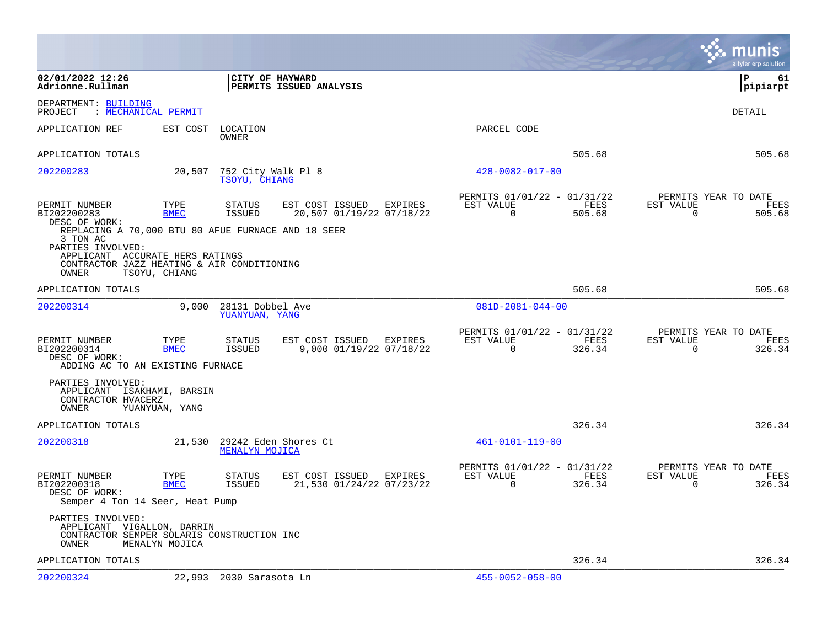|                                                                                                                                                                               |                     |                                     |                                                     |         |                                                         |                |                          | munis<br>a tyler erp solution          |
|-------------------------------------------------------------------------------------------------------------------------------------------------------------------------------|---------------------|-------------------------------------|-----------------------------------------------------|---------|---------------------------------------------------------|----------------|--------------------------|----------------------------------------|
| 02/01/2022 12:26<br>Adrionne.Rullman                                                                                                                                          |                     | CITY OF HAYWARD                     | PERMITS ISSUED ANALYSIS                             |         |                                                         |                |                          | l P<br>61<br> pipiarpt                 |
| DEPARTMENT: BUILDING<br>: MECHANICAL PERMIT<br>PROJECT                                                                                                                        |                     |                                     |                                                     |         |                                                         |                |                          | <b>DETAIL</b>                          |
| APPLICATION REF                                                                                                                                                               | EST COST            | LOCATION<br>OWNER                   |                                                     |         | PARCEL CODE                                             |                |                          |                                        |
| APPLICATION TOTALS                                                                                                                                                            |                     |                                     |                                                     |         |                                                         | 505.68         |                          | 505.68                                 |
| 202200283                                                                                                                                                                     | 20,507              | 752 City Walk Pl 8<br>TSOYU, CHIANG |                                                     |         | $428 - 0082 - 017 - 00$                                 |                |                          |                                        |
| PERMIT NUMBER<br>BI202200283<br>DESC OF WORK:                                                                                                                                 | TYPE<br><b>BMEC</b> | STATUS<br>ISSUED                    | EST COST ISSUED EXPIRES<br>20,507 01/19/22 07/18/22 |         | PERMITS 01/01/22 - 01/31/22<br>EST VALUE<br>$\mathbf 0$ | FEES<br>505.68 | EST VALUE<br>$\mathbf 0$ | PERMITS YEAR TO DATE<br>FEES<br>505.68 |
| REPLACING A 70,000 BTU 80 AFUE FURNACE AND 18 SEER<br>3 TON AC<br>PARTIES INVOLVED:<br>APPLICANT ACCURATE HERS RATINGS<br>CONTRACTOR JAZZ HEATING & AIR CONDITIONING<br>OWNER | TSOYU, CHIANG       |                                     |                                                     |         |                                                         |                |                          |                                        |
| APPLICATION TOTALS                                                                                                                                                            |                     |                                     |                                                     |         |                                                         | 505.68         |                          | 505.68                                 |
| 202200314                                                                                                                                                                     | 9,000               | 28131 Dobbel Ave<br>YUANYUAN, YANG  |                                                     |         | $081D - 2081 - 044 - 00$                                |                |                          |                                        |
| PERMIT NUMBER<br>BI202200314<br>DESC OF WORK:<br>ADDING AC TO AN EXISTING FURNACE                                                                                             | TYPE<br><b>BMEC</b> | STATUS<br>ISSUED                    | EST COST ISSUED<br>9,000 01/19/22 07/18/22          | EXPIRES | PERMITS 01/01/22 - 01/31/22<br>EST VALUE<br>$\Omega$    | FEES<br>326.34 | EST VALUE<br>$\Omega$    | PERMITS YEAR TO DATE<br>FEES<br>326.34 |
| PARTIES INVOLVED:<br>APPLICANT ISAKHAMI, BARSIN<br>CONTRACTOR HVACERZ<br>OWNER                                                                                                | YUANYUAN, YANG      |                                     |                                                     |         |                                                         |                |                          |                                        |
| APPLICATION TOTALS                                                                                                                                                            |                     |                                     |                                                     |         |                                                         | 326.34         |                          | 326.34                                 |
| 202200318                                                                                                                                                                     | 21,530              | MENALYN MOJICA                      | 29242 Eden Shores Ct                                |         | $461 - 0101 - 119 - 00$                                 |                |                          |                                        |
| PERMIT NUMBER<br>BI202200318<br>DESC OF WORK:<br>Semper 4 Ton 14 Seer, Heat Pump                                                                                              | TYPE<br><b>BMEC</b> | STATUS<br>ISSUED                    | EST COST ISSUED<br>21,530 01/24/22 07/23/22         | EXPIRES | PERMITS 01/01/22 - 01/31/22<br>EST VALUE<br>$\mathbf 0$ | FEES<br>326.34 | EST VALUE<br>0           | PERMITS YEAR TO DATE<br>FEES<br>326.34 |
| PARTIES INVOLVED:<br>APPLICANT VIGALLON, DARRIN<br>CONTRACTOR SEMPER SOLARIS CONSTRUCTION INC<br>OWNER                                                                        | MENALYN MOJICA      |                                     |                                                     |         |                                                         |                |                          |                                        |
| APPLICATION TOTALS                                                                                                                                                            |                     |                                     |                                                     |         |                                                         | 326.34         |                          | 326.34                                 |
| 202200324                                                                                                                                                                     |                     | 22,993 2030 Sarasota Ln             |                                                     |         | $455 - 0052 - 058 - 00$                                 |                |                          |                                        |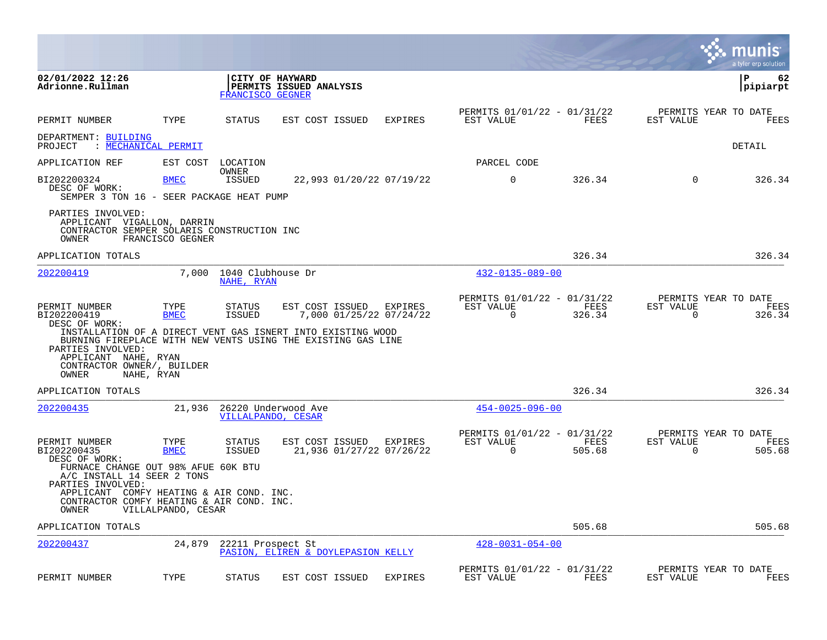|                                                                                                                                         |                     |                                 |                                                                                                                                                                           |                |                                                      |                |                       | munis<br>a tyler erp solution          |
|-----------------------------------------------------------------------------------------------------------------------------------------|---------------------|---------------------------------|---------------------------------------------------------------------------------------------------------------------------------------------------------------------------|----------------|------------------------------------------------------|----------------|-----------------------|----------------------------------------|
| 02/01/2022 12:26<br>Adrionne.Rullman                                                                                                    |                     | FRANCISCO GEGNER                | CITY OF HAYWARD<br>PERMITS ISSUED ANALYSIS                                                                                                                                |                |                                                      |                |                       | ∣P<br>62<br>pipiarpt                   |
| PERMIT NUMBER                                                                                                                           | TYPE                | STATUS                          | EST COST ISSUED                                                                                                                                                           | <b>EXPIRES</b> | PERMITS 01/01/22 - 01/31/22<br>EST VALUE             | FEES           | EST VALUE             | PERMITS YEAR TO DATE<br>FEES           |
| DEPARTMENT: BUILDING<br>PROJECT                                                                                                         | : MECHANICAL PERMIT |                                 |                                                                                                                                                                           |                |                                                      |                |                       | DETAIL                                 |
| APPLICATION REF                                                                                                                         | EST COST            | LOCATION                        |                                                                                                                                                                           |                | PARCEL CODE                                          |                |                       |                                        |
| BI202200324<br>DESC OF WORK:<br>SEMPER 3 TON 16 - SEER PACKAGE HEAT PUMP                                                                | <b>BMEC</b>         | <b>OWNER</b><br><b>ISSUED</b>   | 22,993 01/20/22 07/19/22                                                                                                                                                  |                | $\mathbf 0$                                          | 326.34         | $\mathbf 0$           | 326.34                                 |
| PARTIES INVOLVED:<br>APPLICANT VIGALLON, DARRIN<br>CONTRACTOR SEMPER SOLARIS CONSTRUCTION INC<br>OWNER                                  | FRANCISCO GEGNER    |                                 |                                                                                                                                                                           |                |                                                      |                |                       |                                        |
| APPLICATION TOTALS                                                                                                                      |                     |                                 |                                                                                                                                                                           |                |                                                      | 326.34         |                       | 326.34                                 |
| 202200419                                                                                                                               | 7,000               | 1040 Clubhouse Dr<br>NAHE, RYAN |                                                                                                                                                                           |                | 432-0135-089-00                                      |                |                       |                                        |
| PERMIT NUMBER<br>BI202200419<br>DESC OF WORK:<br>PARTIES INVOLVED:<br>APPLICANT NAHE, RYAN                                              | TYPE<br><b>BMEC</b> | STATUS<br>ISSUED                | EST COST ISSUED<br>7,000 01/25/22 07/24/22<br>INSTALLATION OF A DIRECT VENT GAS ISNERT INTO EXISTING WOOD<br>BURNING FIREPLACE WITH NEW VENTS USING THE EXISTING GAS LINE | EXPIRES        | PERMITS 01/01/22 - 01/31/22<br>EST VALUE<br>0        | FEES<br>326.34 | EST VALUE<br>0        | PERMITS YEAR TO DATE<br>FEES<br>326.34 |
| CONTRACTOR OWNER/, BUILDER<br>OWNER                                                                                                     | NAHE, RYAN          |                                 |                                                                                                                                                                           |                |                                                      |                |                       |                                        |
| APPLICATION TOTALS                                                                                                                      |                     |                                 |                                                                                                                                                                           |                |                                                      | 326.34         |                       | 326.34                                 |
| 202200435                                                                                                                               | 21,936              |                                 | 26220 Underwood Ave<br>VILLALPANDO, CESAR                                                                                                                                 |                | $454 - 0025 - 096 - 00$                              |                |                       |                                        |
| PERMIT NUMBER<br>BI202200435<br>DESC OF WORK:<br>FURNACE CHANGE OUT 98% AFUE 60K BTU<br>A/C INSTALL 14 SEER 2 TONS<br>PARTIES INVOLVED: | TYPE<br><b>BMEC</b> | STATUS<br><b>ISSUED</b>         | EST COST ISSUED<br>21,936 01/27/22 07/26/22                                                                                                                               | EXPIRES        | PERMITS 01/01/22 - 01/31/22<br>EST VALUE<br>$\Omega$ | FEES<br>505.68 | EST VALUE<br>$\Omega$ | PERMITS YEAR TO DATE<br>FEES<br>505.68 |
| APPLICANT COMFY HEATING & AIR COND. INC.<br>CONTRACTOR COMFY HEATING & AIR COND. INC.<br>OWNER                                          | VILLALPANDO, CESAR  |                                 |                                                                                                                                                                           |                |                                                      |                |                       |                                        |
| APPLICATION TOTALS                                                                                                                      |                     |                                 |                                                                                                                                                                           |                |                                                      | 505.68         |                       | 505.68                                 |
| 202200437                                                                                                                               | 24,879              | 22211 Prospect St               | PASION, ELIREN & DOYLEPASION KELLY                                                                                                                                        |                | $428 - 0031 - 054 - 00$                              |                |                       |                                        |
| PERMIT NUMBER                                                                                                                           | TYPE                | <b>STATUS</b>                   | EST COST ISSUED                                                                                                                                                           | <b>EXPIRES</b> | PERMITS 01/01/22 - 01/31/22<br>EST VALUE             | FEES           | EST VALUE             | PERMITS YEAR TO DATE<br>FEES           |

**The State**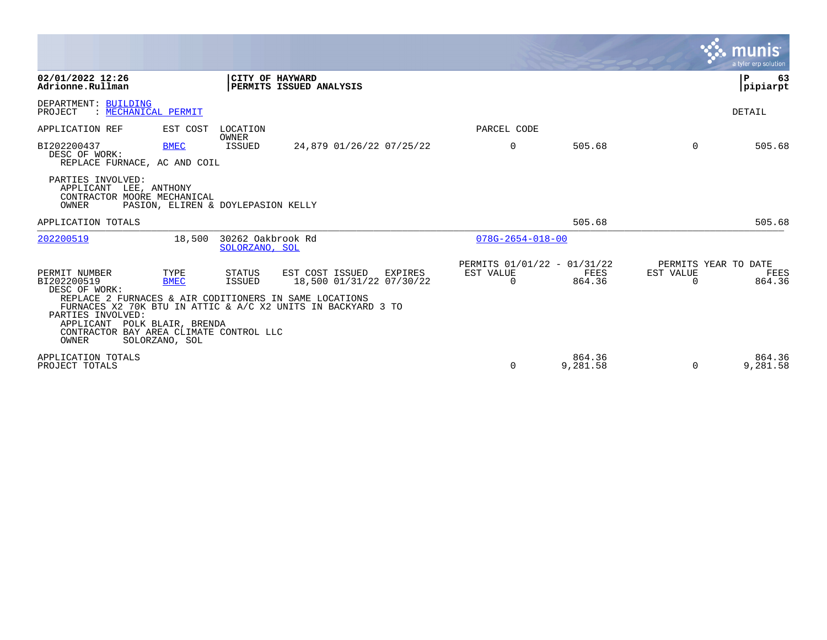|                                                                                                                                                                                               |                                                             |                                     |                                                                                                                        |                                                      |                    |                                               | munis<br>a tyler erp solution |
|-----------------------------------------------------------------------------------------------------------------------------------------------------------------------------------------------|-------------------------------------------------------------|-------------------------------------|------------------------------------------------------------------------------------------------------------------------|------------------------------------------------------|--------------------|-----------------------------------------------|-------------------------------|
| 02/01/2022 12:26<br>Adrionne.Rullman                                                                                                                                                          |                                                             | CITY OF HAYWARD                     | PERMITS ISSUED ANALYSIS                                                                                                |                                                      |                    |                                               | 63<br>ΙP<br>pipiarpt          |
| DEPARTMENT: BUILDING<br>PROJECT<br>: MECHANICAL PERMIT                                                                                                                                        |                                                             |                                     |                                                                                                                        |                                                      |                    |                                               | DETAIL                        |
| APPLICATION REF                                                                                                                                                                               | EST COST                                                    | LOCATION<br>OWNER                   |                                                                                                                        | PARCEL CODE                                          |                    |                                               |                               |
| BI202200437<br>DESC OF WORK:<br>REPLACE FURNACE, AC AND COIL                                                                                                                                  | <b>BMEC</b>                                                 | ISSUED                              | 24,879 01/26/22 07/25/22                                                                                               | $\Omega$                                             | 505.68             | $\Omega$                                      | 505.68                        |
| PARTIES INVOLVED:<br>APPLICANT<br>CONTRACTOR MOORE MECHANICAL<br>OWNER                                                                                                                        | LEE, ANTHONY<br>PASION, ELIREN & DOYLEPASION KELLY          |                                     |                                                                                                                        |                                                      |                    |                                               |                               |
| APPLICATION TOTALS                                                                                                                                                                            |                                                             |                                     |                                                                                                                        |                                                      | 505.68             |                                               | 505.68                        |
| 202200519                                                                                                                                                                                     | 18,500                                                      | 30262 Oakbrook Rd<br>SOLORZANO, SOL |                                                                                                                        | $078G - 2654 - 018 - 00$                             |                    |                                               |                               |
| PERMIT NUMBER<br>BI202200519<br>DESC OF WORK:<br>REPLACE 2 FURNACES & AIR CODITIONERS IN SAME LOCATIONS<br>PARTIES INVOLVED:<br>APPLICANT<br>CONTRACTOR BAY AREA CLIMATE CONTROL LLC<br>OWNER | TYPE<br><b>BMEC</b><br>POLK BLAIR, BRENDA<br>SOLORZANO, SOL | STATUS<br><b>ISSUED</b>             | EST COST ISSUED<br>EXPIRES<br>18,500 01/31/22 07/30/22<br>FURNACES X2 70K BTU IN ATTIC & A/C X2 UNITS IN BACKYARD 3 TO | PERMITS 01/01/22 - 01/31/22<br>EST VALUE<br>$\Omega$ | FEES<br>864.36     | PERMITS YEAR TO DATE<br>EST VALUE<br>$\Omega$ | FEES<br>864.36                |
| APPLICATION TOTALS<br>PROJECT TOTALS                                                                                                                                                          |                                                             |                                     |                                                                                                                        | $\Omega$                                             | 864.36<br>9,281.58 | $\Omega$                                      | 864.36<br>9,281.58            |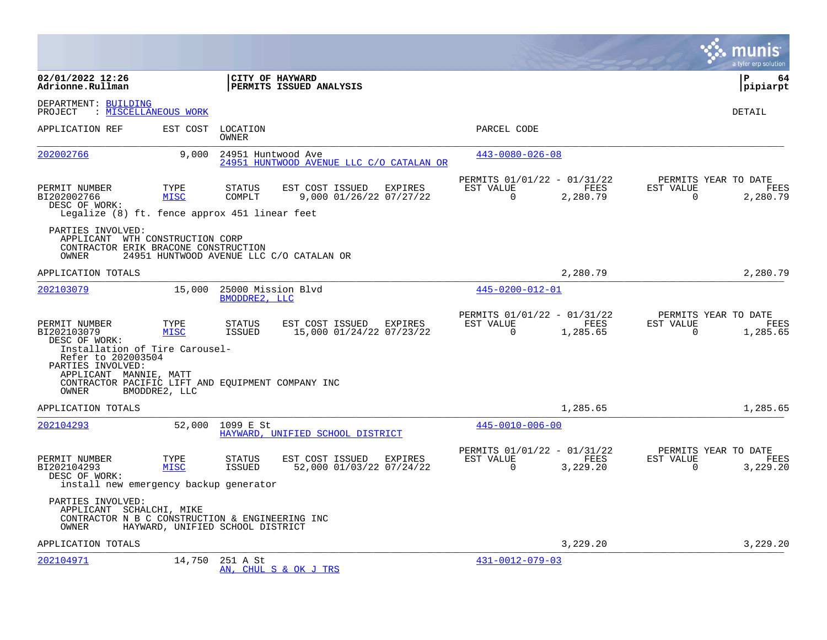|                                                                                                                                                      |                                  |                                     |                                                        |                                                         |                  |                       | munis<br>a tyler erp solution                   |
|------------------------------------------------------------------------------------------------------------------------------------------------------|----------------------------------|-------------------------------------|--------------------------------------------------------|---------------------------------------------------------|------------------|-----------------------|-------------------------------------------------|
| 02/01/2022 12:26<br>Adrionne.Rullman                                                                                                                 |                                  |                                     | CITY OF HAYWARD<br>PERMITS ISSUED ANALYSIS             |                                                         |                  |                       | l P<br>64<br> pipiarpt                          |
| DEPARTMENT: BUILDING<br>PROJECT                                                                                                                      | : MISCELLANEOUS WORK             |                                     |                                                        |                                                         |                  |                       | <b>DETAIL</b>                                   |
| APPLICATION REF                                                                                                                                      | EST COST                         | LOCATION<br>OWNER                   |                                                        | PARCEL CODE                                             |                  |                       |                                                 |
| 202002766                                                                                                                                            | 9,000                            | 24951 Huntwood Ave                  | 24951 HUNTWOOD AVENUE LLC C/O CATALAN OR               | $443 - 0080 - 026 - 08$                                 |                  |                       |                                                 |
| PERMIT NUMBER<br>BI202002766<br>DESC OF WORK:<br>Legalize (8) ft. fence approx 451 linear feet                                                       | TYPE<br><b>MISC</b>              | <b>STATUS</b><br>COMPLT             | EST COST ISSUED<br>EXPIRES<br>9,000 01/26/22 07/27/22  | PERMITS 01/01/22 - 01/31/22<br>EST VALUE<br>$\Omega$    | FEES<br>2,280.79 | EST VALUE<br>$\Omega$ | PERMITS YEAR TO DATE<br>FEES<br>2,280.79        |
| PARTIES INVOLVED:<br>APPLICANT WTH CONSTRUCTION CORP<br>CONTRACTOR ERIK BRACONE CONSTRUCTION<br>OWNER                                                |                                  |                                     | 24951 HUNTWOOD AVENUE LLC C/O CATALAN OR               |                                                         |                  |                       |                                                 |
| APPLICATION TOTALS                                                                                                                                   |                                  |                                     |                                                        |                                                         | 2,280.79         |                       | 2,280.79                                        |
| 202103079                                                                                                                                            | 15,000                           | 25000 Mission Blvd<br>BMODDRE2, LLC |                                                        | 445-0200-012-01                                         |                  |                       |                                                 |
| PERMIT NUMBER<br>BI202103079<br>DESC OF WORK:<br>Installation of Tire Carousel-<br>Refer to 202003504<br>PARTIES INVOLVED:<br>APPLICANT MANNIE, MATT | TYPE<br><b>MISC</b>              | STATUS<br>ISSUED                    | EST COST ISSUED<br>EXPIRES<br>15,000 01/24/22 07/23/22 | PERMITS 01/01/22 - 01/31/22<br>EST VALUE<br>$\Omega$    | FEES<br>1,285.65 | EST VALUE<br>$\Omega$ | PERMITS YEAR TO DATE<br>FEES<br>1,285.65        |
| CONTRACTOR PACIFIC LIFT AND EOUIPMENT COMPANY INC<br>OWNER                                                                                           | BMODDRE2, LLC                    |                                     |                                                        |                                                         |                  |                       |                                                 |
| APPLICATION TOTALS                                                                                                                                   |                                  |                                     |                                                        |                                                         | 1,285.65         |                       | 1,285.65                                        |
| 202104293                                                                                                                                            | 52,000                           | 1099 E St                           | HAYWARD, UNIFIED SCHOOL DISTRICT                       | $445 - 0010 - 006 - 00$                                 |                  |                       |                                                 |
| PERMIT NUMBER<br>BI202104293<br>DESC OF WORK:<br>install new emergency backup generator                                                              | TYPE<br><b>MISC</b>              | <b>STATUS</b><br><b>ISSUED</b>      | EST COST ISSUED<br>EXPIRES<br>52,000 01/03/22 07/24/22 | PERMITS 01/01/22 - 01/31/22<br>EST VALUE<br>$\mathbf 0$ | FEES<br>3,229.20 | EST VALUE<br>0        | PERMITS YEAR TO DATE<br><b>FEES</b><br>3,229.20 |
| PARTIES INVOLVED:<br>APPLICANT SCHALCHI, MIKE<br>CONTRACTOR N B C CONSTRUCTION & ENGINEERING INC<br>OWNER                                            | HAYWARD, UNIFIED SCHOOL DISTRICT |                                     |                                                        |                                                         |                  |                       |                                                 |
| APPLICATION TOTALS                                                                                                                                   |                                  |                                     |                                                        |                                                         | 3,229.20         |                       | 3,229.20                                        |
| 202104971                                                                                                                                            | 14,750                           | 251 A St                            | AN, CHUL S & OK J TRS                                  | 431-0012-079-03                                         |                  |                       |                                                 |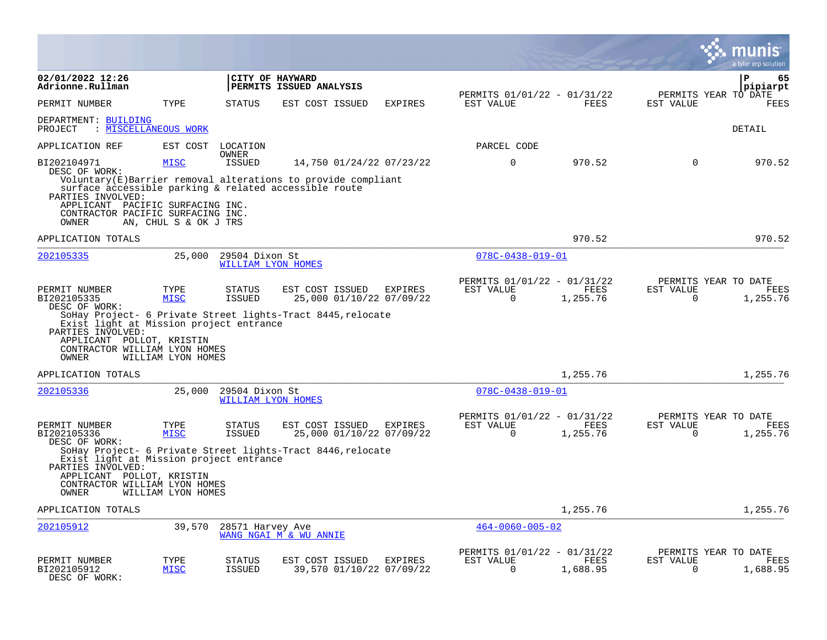|                                                                                                                                     |                       |                                             |                                                                                                                       |         |                                                         |                  |                          | a tyler erp solution                     |
|-------------------------------------------------------------------------------------------------------------------------------------|-----------------------|---------------------------------------------|-----------------------------------------------------------------------------------------------------------------------|---------|---------------------------------------------------------|------------------|--------------------------|------------------------------------------|
| 02/01/2022 12:26<br>Adrionne.Rullman                                                                                                |                       |                                             | CITY OF HAYWARD<br>PERMITS ISSUED ANALYSIS                                                                            |         |                                                         |                  |                          | Р<br>65<br>pipiarpt                      |
| PERMIT NUMBER                                                                                                                       | TYPE                  | STATUS                                      | EST COST ISSUED                                                                                                       | EXPIRES | PERMITS 01/01/22 - 01/31/22<br>EST VALUE                | FEES             | EST VALUE                | PERMITS YEAR TO DATE<br>FEES             |
| DEPARTMENT: BUILDING<br>PROJECT                                                                                                     | : MISCELLANEOUS WORK  |                                             |                                                                                                                       |         |                                                         |                  |                          | DETAIL                                   |
| APPLICATION REF                                                                                                                     | EST COST              | LOCATION<br><b>OWNER</b>                    |                                                                                                                       |         | PARCEL CODE                                             |                  |                          |                                          |
| BI202104971<br>DESC OF WORK:                                                                                                        | <b>MISC</b>           | <b>ISSUED</b>                               | 14,750 01/24/22 07/23/22                                                                                              |         | $\Omega$                                                | 970.52           | $\Omega$                 | 970.52                                   |
| PARTIES INVOLVED:                                                                                                                   |                       |                                             | Voluntary(E)Barrier removal alterations to provide compliant<br>surface accessible parking & related accessible route |         |                                                         |                  |                          |                                          |
| APPLICANT PACIFIC SURFACING INC.<br>CONTRACTOR PACIFIC SURFACING INC.<br><b>OWNER</b>                                               | AN, CHUL S & OK J TRS |                                             |                                                                                                                       |         |                                                         |                  |                          |                                          |
| APPLICATION TOTALS                                                                                                                  |                       |                                             |                                                                                                                       |         |                                                         | 970.52           |                          | 970.52                                   |
| 202105335                                                                                                                           | 25,000                | 29504 Dixon St<br>WILLIAM LYON HOMES        |                                                                                                                       |         | $078C - 0438 - 019 - 01$                                |                  |                          |                                          |
| PERMIT NUMBER<br>BI202105335<br>DESC OF WORK:                                                                                       | TYPE<br><b>MISC</b>   | <b>STATUS</b><br><b>ISSUED</b>              | EST COST ISSUED<br>25,000 01/10/22 07/09/22                                                                           | EXPIRES | PERMITS 01/01/22 - 01/31/22<br>EST VALUE<br>$\mathbf 0$ | FEES<br>1,255.76 | EST VALUE<br>$\Omega$    | PERMITS YEAR TO DATE<br>FEES<br>1,255.76 |
| Exist light at Mission project entrance<br>PARTIES INVOLVED:<br>APPLICANT POLLOT, KRISTIN<br>CONTRACTOR WILLIAM LYON HOMES<br>OWNER | WILLIAM LYON HOMES    |                                             | SoHay Project- 6 Private Street lights-Tract 8445, relocate                                                           |         |                                                         |                  |                          |                                          |
| APPLICATION TOTALS                                                                                                                  |                       |                                             |                                                                                                                       |         |                                                         | 1,255.76         |                          | 1,255.76                                 |
| 202105336                                                                                                                           | 25,000                | 29504 Dixon St<br><b>WILLIAM LYON HOMES</b> |                                                                                                                       |         | $078C - 0438 - 019 - 01$                                |                  |                          |                                          |
| PERMIT NUMBER<br>BI202105336<br>DESC OF WORK:                                                                                       | TYPE<br><b>MISC</b>   | STATUS<br>ISSUED                            | EST COST ISSUED<br>25,000 01/10/22 07/09/22                                                                           | EXPIRES | PERMITS 01/01/22 - 01/31/22<br>EST VALUE<br>$\mathbf 0$ | FEES<br>1,255.76 | EST VALUE<br>$\mathbf 0$ | PERMITS YEAR TO DATE<br>FEES<br>1,255.76 |
| Exist light at Mission project entrance<br>PARTIES INVOLVED:                                                                        |                       |                                             | SoHay Project- 6 Private Street lights-Tract 8446, relocate                                                           |         |                                                         |                  |                          |                                          |
| APPLICANT POLLOT, KRISTIN<br>CONTRACTOR WILLIAM LYON HOMES<br>OWNER                                                                 | WILLIAM LYON HOMES    |                                             |                                                                                                                       |         |                                                         |                  |                          |                                          |
| APPLICATION TOTALS                                                                                                                  |                       |                                             |                                                                                                                       |         |                                                         | 1,255.76         |                          | 1,255.76                                 |
| 202105912                                                                                                                           | 39,570                | 28571 Harvey Ave                            | WANG NGAI M & WU ANNIE                                                                                                |         | $464 - 0060 - 005 - 02$                                 |                  |                          |                                          |
| PERMIT NUMBER<br>BI202105912<br>DESC OF WORK:                                                                                       | TYPE<br><b>MISC</b>   | STATUS<br><b>ISSUED</b>                     | EST COST ISSUED<br>39,570 01/10/22 07/09/22                                                                           | EXPIRES | PERMITS 01/01/22 - 01/31/22<br>EST VALUE<br>$\Omega$    | FEES<br>1,688.95 | EST VALUE<br>$\Omega$    | PERMITS YEAR TO DATE<br>FEES<br>1,688.95 |

 $\bullet$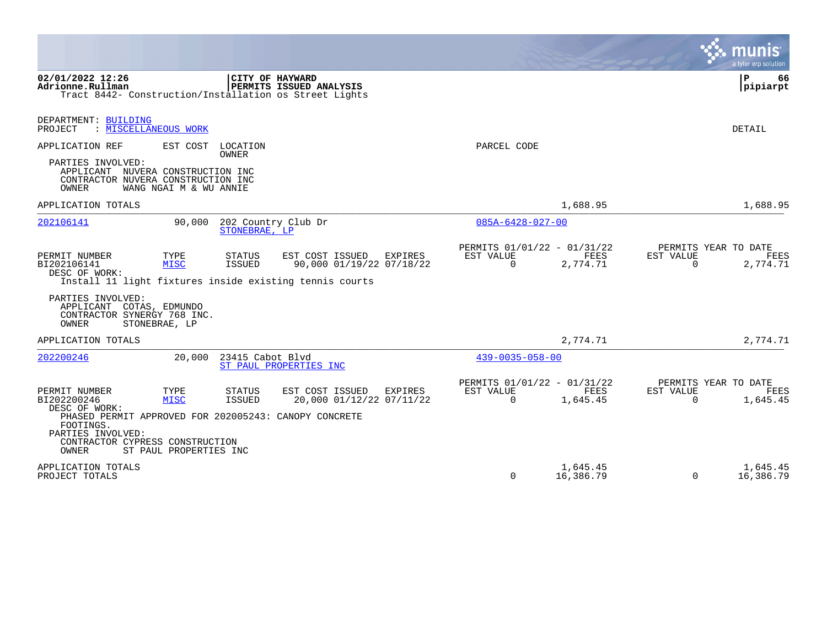|                                                                                                                                                                                      |                                               |                                      |                                                                                                        |         |                                                      |                       |                       | a tyler erp solution                            |
|--------------------------------------------------------------------------------------------------------------------------------------------------------------------------------------|-----------------------------------------------|--------------------------------------|--------------------------------------------------------------------------------------------------------|---------|------------------------------------------------------|-----------------------|-----------------------|-------------------------------------------------|
| 02/01/2022 12:26<br>Adrionne.Rullman<br>Tract 8442- Construction/Installation os Street Lights                                                                                       |                                               | CITY OF HAYWARD                      | PERMITS ISSUED ANALYSIS                                                                                |         |                                                      |                       |                       | P<br>66<br>pipiarpt                             |
| DEPARTMENT: BUILDING<br>: MISCELLANEOUS WORK<br>PROJECT                                                                                                                              |                                               |                                      |                                                                                                        |         |                                                      |                       |                       | DETAIL                                          |
| APPLICATION REF<br>PARTIES INVOLVED:<br>APPLICANT NUVERA CONSTRUCTION INC<br>CONTRACTOR NUVERA CONSTRUCTION INC<br>OWNER                                                             | WANG NGAI M & WU ANNIE                        | EST COST LOCATION<br><b>OWNER</b>    |                                                                                                        |         | PARCEL CODE                                          |                       |                       |                                                 |
| APPLICATION TOTALS                                                                                                                                                                   |                                               |                                      |                                                                                                        |         |                                                      | 1,688.95              |                       | 1,688.95                                        |
| 202106141                                                                                                                                                                            | 90,000                                        | 202 Country Club Dr<br>STONEBRAE, LP |                                                                                                        |         | $085A - 6428 - 027 - 00$                             |                       |                       |                                                 |
| PERMIT NUMBER<br>BI202106141<br>DESC OF WORK:                                                                                                                                        | TYPE<br><b>MISC</b>                           | <b>STATUS</b><br><b>ISSUED</b>       | EST COST ISSUED<br>90,000 01/19/22 07/18/22<br>Install 11 light fixtures inside existing tennis courts | EXPIRES | PERMITS 01/01/22 - 01/31/22<br>EST VALUE<br>$\Omega$ | FEES<br>2,774.71      | EST VALUE<br>$\Omega$ | PERMITS YEAR TO DATE<br><b>FEES</b><br>2,774.71 |
| PARTIES INVOLVED:<br>APPLICANT COTAS, EDMUNDO<br>CONTRACTOR SYNERGY 768 INC.<br>OWNER                                                                                                | STONEBRAE, LP                                 |                                      |                                                                                                        |         |                                                      |                       |                       |                                                 |
| APPLICATION TOTALS                                                                                                                                                                   |                                               |                                      |                                                                                                        |         |                                                      | 2,774.71              |                       | 2,774.71                                        |
| 202200246                                                                                                                                                                            | 20,000                                        | 23415 Cabot Blvd                     | ST PAUL PROPERTIES INC                                                                                 |         | $439 - 0035 - 058 - 00$                              |                       |                       |                                                 |
| PERMIT NUMBER<br>BI202200246<br>DESC OF WORK:<br>PHASED PERMIT APPROVED FOR 202005243: CANOPY CONCRETE<br>FOOTINGS.<br>PARTIES INVOLVED:<br>CONTRACTOR CYPRESS CONSTRUCTION<br>OWNER | TYPE<br><b>MISC</b><br>ST PAUL PROPERTIES INC | STATUS<br><b>ISSUED</b>              | EST COST ISSUED<br>20,000 01/12/22 07/11/22                                                            | EXPIRES | PERMITS 01/01/22 - 01/31/22<br>EST VALUE<br>$\Omega$ | FEES<br>1,645.45      | EST VALUE<br>$\Omega$ | PERMITS YEAR TO DATE<br>FEES<br>1,645.45        |
| APPLICATION TOTALS<br>PROJECT TOTALS                                                                                                                                                 |                                               |                                      |                                                                                                        |         | $\Omega$                                             | 1,645.45<br>16,386.79 | $\Omega$              | 1,645.45<br>16,386.79                           |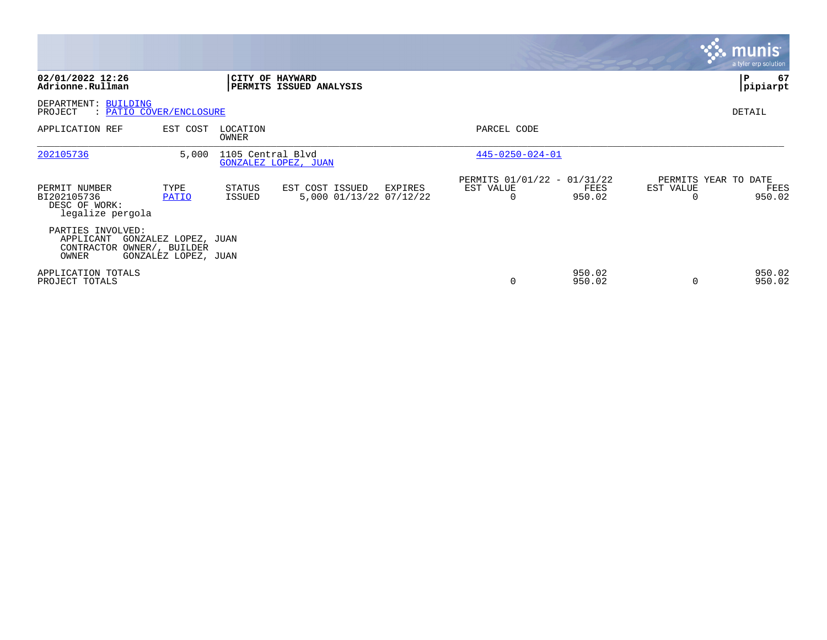|                                                                       |                                              |                   |                                            |         |                                                      |                  |                       | munis <sup>®</sup><br>a tyler erp solution |
|-----------------------------------------------------------------------|----------------------------------------------|-------------------|--------------------------------------------|---------|------------------------------------------------------|------------------|-----------------------|--------------------------------------------|
| 02/01/2022 12:26<br>Adrionne.Rullman                                  |                                              | CITY OF HAYWARD   | PERMITS ISSUED ANALYSIS                    |         |                                                      |                  |                       | 67<br>P<br> pipiarpt                       |
| DEPARTMENT: BUILDING<br>: PATIO COVER/ENCLOSURE<br>PROJECT            |                                              |                   |                                            |         |                                                      |                  |                       | DETAIL                                     |
| APPLICATION REF                                                       | EST COST                                     | LOCATION<br>OWNER |                                            |         | PARCEL CODE                                          |                  |                       |                                            |
| 202105736                                                             | 5,000                                        | 1105 Central Blvd | GONZALEZ LOPEZ, JUAN                       |         | $445 - 0250 - 024 - 01$                              |                  |                       |                                            |
| PERMIT NUMBER<br>BI202105736<br>DESC OF WORK:<br>legalize pergola     | TYPE<br>PATIO                                | STATUS<br>ISSUED  | EST COST ISSUED<br>5,000 01/13/22 07/12/22 | EXPIRES | PERMITS 01/01/22 - 01/31/22<br>EST VALUE<br>$\Omega$ | FEES<br>950.02   | EST VALUE<br>$\Omega$ | PERMITS YEAR TO DATE<br>FEES<br>950.02     |
| PARTIES INVOLVED:<br>APPLICANT<br>CONTRACTOR OWNER/, BUILDER<br>OWNER | GONZALEZ LOPEZ, JUAN<br>GONZALEZ LOPEZ, JUAN |                   |                                            |         |                                                      |                  |                       |                                            |
| APPLICATION TOTALS<br>PROJECT TOTALS                                  |                                              |                   |                                            |         | $\Omega$                                             | 950.02<br>950.02 | 0                     | 950.02<br>950.02                           |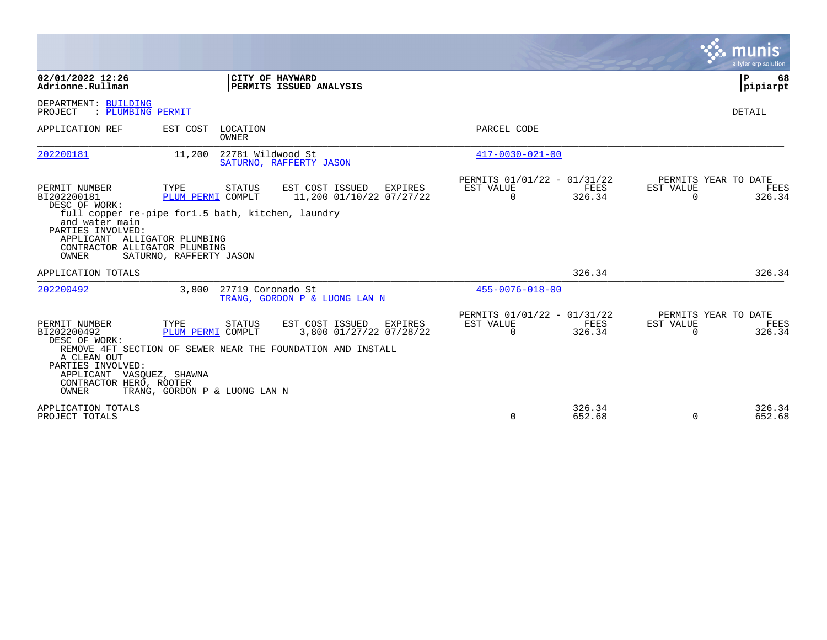|                                                                                                                                                                |                                                                                                                     |                                                                                                                      |                                                      |                  |                       | munis <sup>®</sup><br>a tyler erp solution |
|----------------------------------------------------------------------------------------------------------------------------------------------------------------|---------------------------------------------------------------------------------------------------------------------|----------------------------------------------------------------------------------------------------------------------|------------------------------------------------------|------------------|-----------------------|--------------------------------------------|
| 02/01/2022 12:26<br>Adrionne.Rullman                                                                                                                           |                                                                                                                     | CITY OF HAYWARD<br>PERMITS ISSUED ANALYSIS                                                                           |                                                      |                  |                       | ΙP<br>68<br> pipiarpt                      |
| DEPARTMENT: BUILDING<br>PROJECT<br>: PLUMBING PERMIT                                                                                                           |                                                                                                                     |                                                                                                                      |                                                      |                  |                       | DETAIL                                     |
| APPLICATION REF                                                                                                                                                | EST COST<br>LOCATION<br>OWNER                                                                                       |                                                                                                                      | PARCEL CODE                                          |                  |                       |                                            |
| 202200181                                                                                                                                                      | 11,200                                                                                                              | 22781 Wildwood St<br>SATURNO, RAFFERTY JASON                                                                         | $417 - 0030 - 021 - 00$                              |                  |                       |                                            |
| PERMIT NUMBER<br>BI202200181<br>DESC OF WORK:<br>and water main<br>PARTIES INVOLVED:<br>APPLICANT ALLIGATOR PLUMBING<br>CONTRACTOR ALLIGATOR PLUMBING<br>OWNER | TYPE<br>STATUS<br>PLUM PERMI COMPLT<br>full copper re-pipe for1.5 bath, kitchen, laundry<br>SATURNO, RAFFERTY JASON | EST COST ISSUED<br>EXPIRES<br>11,200 01/10/22 07/27/22                                                               | PERMITS 01/01/22 - 01/31/22<br>EST VALUE<br>$\Omega$ | FEES<br>326.34   | EST VALUE<br>$\Omega$ | PERMITS YEAR TO DATE<br>FEES<br>326.34     |
| APPLICATION TOTALS                                                                                                                                             |                                                                                                                     |                                                                                                                      |                                                      | 326.34           |                       | 326.34                                     |
| 202200492                                                                                                                                                      | 3,800                                                                                                               | 27719 Coronado St<br>TRANG, GORDON P & LUONG LAN N                                                                   | $455 - 0076 - 018 - 00$                              |                  |                       |                                            |
| PERMIT NUMBER<br>BI202200492<br>DESC OF WORK:<br>A CLEAN OUT<br>PARTIES INVOLVED:<br>APPLICANT VASQUEZ, SHAWNA<br>CONTRACTOR HERO, ROOTER<br>OWNER             | TYPE<br>STATUS<br>PLUM PERMI COMPLT<br>TRANG, GORDON P & LUONG LAN N                                                | EST COST ISSUED<br>EXPIRES<br>3,800 01/27/22 07/28/22<br>REMOVE 4FT SECTION OF SEWER NEAR THE FOUNDATION AND INSTALL | PERMITS 01/01/22 - 01/31/22<br>EST VALUE<br>$\Omega$ | FEES<br>326.34   | EST VALUE<br>$\Omega$ | PERMITS YEAR TO DATE<br>FEES<br>326.34     |
| APPLICATION TOTALS<br>PROJECT TOTALS                                                                                                                           |                                                                                                                     |                                                                                                                      | $\Omega$                                             | 326.34<br>652.68 | $\Omega$              | 326.34<br>652.68                           |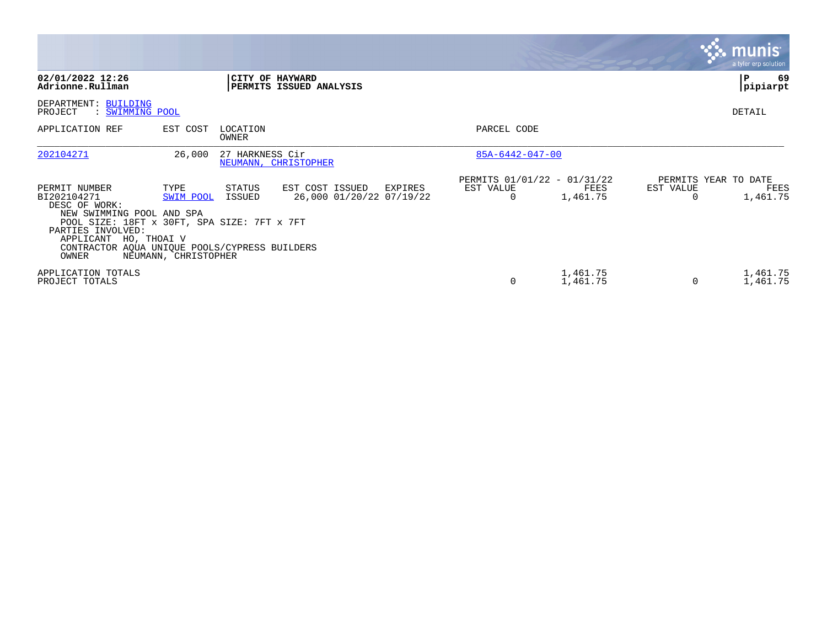|                                                                                                                                                                                                                                   |                                           |                   |                                                        |                                               |                      |                | <b>munis</b><br>a tyler erp solution     |
|-----------------------------------------------------------------------------------------------------------------------------------------------------------------------------------------------------------------------------------|-------------------------------------------|-------------------|--------------------------------------------------------|-----------------------------------------------|----------------------|----------------|------------------------------------------|
| 02/01/2022 12:26<br>Adrionne.Rullman                                                                                                                                                                                              |                                           |                   | CITY OF HAYWARD<br>PERMITS ISSUED ANALYSIS             |                                               |                      |                | 69<br>$\mathbf{P}$<br>pipiarpt           |
| DEPARTMENT: BUILDING<br>: SWIMMING POOL<br>PROJECT                                                                                                                                                                                |                                           |                   |                                                        |                                               |                      |                | DETAIL                                   |
| APPLICATION REF                                                                                                                                                                                                                   | EST COST                                  | LOCATION<br>OWNER |                                                        | PARCEL CODE                                   |                      |                |                                          |
| 202104271                                                                                                                                                                                                                         | 26,000                                    | 27 HARKNESS Cir   | NEUMANN, CHRISTOPHER                                   | 85A-6442-047-00                               |                      |                |                                          |
| PERMIT NUMBER<br>BI202104271<br>DESC OF WORK:<br>NEW SWIMMING POOL AND SPA<br>POOL SIZE: 18FT x 30FT, SPA SIZE: 7FT x 7FT<br>PARTIES INVOLVED:<br>APPLICANT HO, THOAI V<br>CONTRACTOR AQUA UNIQUE POOLS/CYPRESS BUILDERS<br>OWNER | TYPE<br>SWIM POOL<br>NEUMANN, CHRISTOPHER | STATUS<br>ISSUED  | EST COST ISSUED<br>EXPIRES<br>26,000 01/20/22 07/19/22 | PERMITS 01/01/22 - 01/31/22<br>EST VALUE<br>0 | FEES<br>1,461.75     | EST VALUE<br>0 | PERMITS YEAR TO DATE<br>FEES<br>1,461.75 |
| APPLICATION TOTALS<br>PROJECT TOTALS                                                                                                                                                                                              |                                           |                   |                                                        | $\Omega$                                      | 1,461.75<br>1,461.75 | $\Omega$       | 1,461.75<br>1,461.75                     |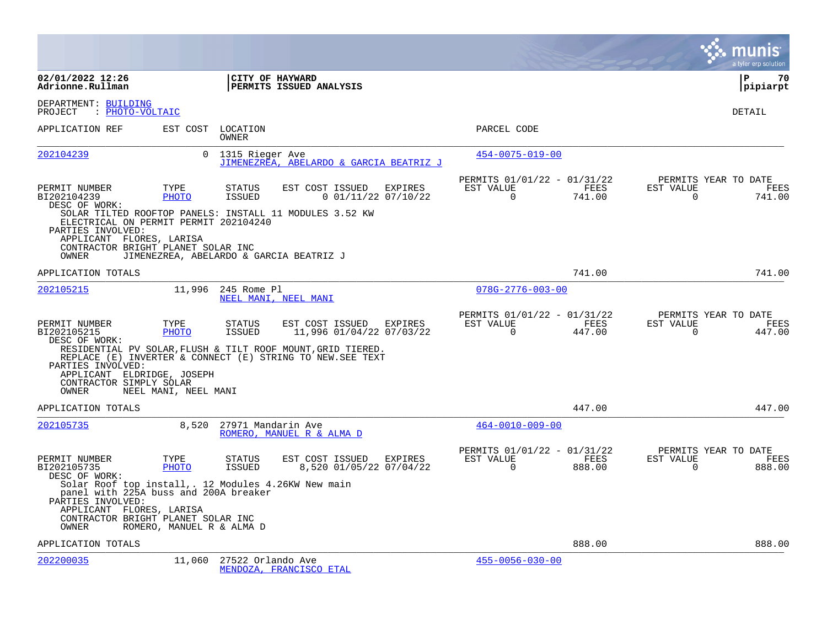|                                                                                                                                                                                              |                           |                         |                                                                                                                                                                                  |         |                                                      |                |                       | a tyler erp solution                   |
|----------------------------------------------------------------------------------------------------------------------------------------------------------------------------------------------|---------------------------|-------------------------|----------------------------------------------------------------------------------------------------------------------------------------------------------------------------------|---------|------------------------------------------------------|----------------|-----------------------|----------------------------------------|
| 02/01/2022 12:26<br>Adrionne.Rullman                                                                                                                                                         |                           | CITY OF HAYWARD         | PERMITS ISSUED ANALYSIS                                                                                                                                                          |         |                                                      |                |                       | l P<br>70<br> pipiarpt                 |
| DEPARTMENT: BUILDING<br>: PHOTO-VOLTAIC<br>PROJECT                                                                                                                                           |                           |                         |                                                                                                                                                                                  |         |                                                      |                |                       | DETAIL                                 |
| APPLICATION REF                                                                                                                                                                              | EST COST                  | LOCATION<br>OWNER       |                                                                                                                                                                                  |         | PARCEL CODE                                          |                |                       |                                        |
| 202104239                                                                                                                                                                                    | 0                         | 1315 Rieger Ave         | JIMENEZREA, ABELARDO & GARCIA BEATRIZ J                                                                                                                                          |         | $454 - 0075 - 019 - 00$                              |                |                       |                                        |
| PERMIT NUMBER<br>BI202104239<br>DESC OF WORK:<br>ELECTRICAL ON PERMIT PERMIT 202104240<br>PARTIES INVOLVED:                                                                                  | TYPE<br><b>PHOTO</b>      | <b>STATUS</b><br>ISSUED | EST COST ISSUED<br>$0$ 01/11/22 07/10/22<br>SOLAR TILTED ROOFTOP PANELS: INSTALL 11 MODULES 3.52 KW                                                                              | EXPIRES | PERMITS 01/01/22 - 01/31/22<br>EST VALUE<br>$\Omega$ | FEES<br>741.00 | EST VALUE<br>$\Omega$ | PERMITS YEAR TO DATE<br>FEES<br>741.00 |
| APPLICANT FLORES, LARISA<br>CONTRACTOR BRIGHT PLANET SOLAR INC<br>OWNER                                                                                                                      |                           |                         | JIMENEZREA, ABELARDO & GARCIA BEATRIZ J                                                                                                                                          |         |                                                      |                |                       |                                        |
| APPLICATION TOTALS                                                                                                                                                                           |                           |                         |                                                                                                                                                                                  |         |                                                      | 741.00         |                       | 741.00                                 |
| 202105215                                                                                                                                                                                    | 11,996                    | 245 Rome Pl             | NEEL MANI, NEEL MANI                                                                                                                                                             |         | $078G - 2776 - 003 - 00$                             |                |                       |                                        |
| PERMIT NUMBER<br>BI202105215<br>DESC OF WORK:                                                                                                                                                | TYPE<br><b>PHOTO</b>      | <b>STATUS</b><br>ISSUED | EST COST ISSUED EXPIRES<br>11,996 01/04/22 07/03/22<br>RESIDENTIAL PV SOLAR, FLUSH & TILT ROOF MOUNT, GRID TIERED.<br>REPLACE (E) INVERTER & CONNECT (E) STRING TO NEW. SEE TEXT |         | PERMITS 01/01/22 - 01/31/22<br>EST VALUE<br>$\Omega$ | FEES<br>447.00 | EST VALUE<br>$\Omega$ | PERMITS YEAR TO DATE<br>FEES<br>447.00 |
| PARTIES INVOLVED:<br>APPLICANT ELDRIDGE, JOSEPH<br>CONTRACTOR SIMPLY SOLAR<br>OWNER                                                                                                          | NEEL MANI, NEEL MANI      |                         |                                                                                                                                                                                  |         |                                                      |                |                       |                                        |
| APPLICATION TOTALS                                                                                                                                                                           |                           |                         |                                                                                                                                                                                  |         |                                                      | 447.00         |                       | 447.00                                 |
| 202105735                                                                                                                                                                                    | 8,520                     | 27971 Mandarin Ave      | ROMERO, MANUEL R & ALMA D                                                                                                                                                        |         | $464 - 0010 - 009 - 00$                              |                |                       |                                        |
| PERMIT NUMBER<br>BI202105735<br>DESC OF WORK:                                                                                                                                                | TYPE<br>PHOTO             | <b>STATUS</b><br>ISSUED | EST COST ISSUED EXPIRES<br>8,520 01/05/22 07/04/22                                                                                                                               |         | PERMITS 01/01/22 - 01/31/22<br>EST VALUE<br>$\Omega$ | FEES<br>888.00 | EST VALUE<br>$\Omega$ | PERMITS YEAR TO DATE<br>FEES<br>888.00 |
| Solar Roof top install,. 12 Modules 4.26KW New main<br>panel with 225A buss and 200A breaker<br>PARTIES INVOLVED:<br>APPLICANT FLORES, LARISA<br>CONTRACTOR BRIGHT PLANET SOLAR INC<br>OWNER | ROMERO, MANUEL R & ALMA D |                         |                                                                                                                                                                                  |         |                                                      |                |                       |                                        |
| APPLICATION TOTALS                                                                                                                                                                           |                           |                         |                                                                                                                                                                                  |         |                                                      | 888.00         |                       | 888.00                                 |
| 202200035                                                                                                                                                                                    | 11,060                    | 27522 Orlando Ave       | MENDOZA, FRANCISCO ETAL                                                                                                                                                          |         | $455 - 0056 - 030 - 00$                              |                |                       |                                        |

**College**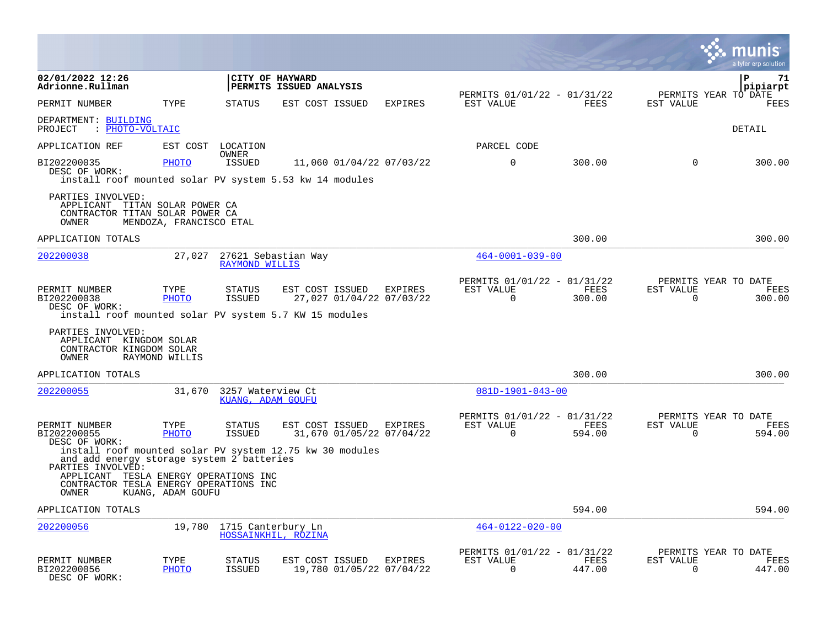|                                                                                                                            |                         |                                        |                                            |                                     |                                                         |                |                          | a tyler erp solution                   |
|----------------------------------------------------------------------------------------------------------------------------|-------------------------|----------------------------------------|--------------------------------------------|-------------------------------------|---------------------------------------------------------|----------------|--------------------------|----------------------------------------|
| 02/01/2022 12:26<br>Adrionne.Rullman                                                                                       |                         |                                        | CITY OF HAYWARD<br>PERMITS ISSUED ANALYSIS |                                     |                                                         |                |                          | $\mathbf{P}$<br>71<br>pipiarpt         |
| PERMIT NUMBER                                                                                                              | TYPE                    | <b>STATUS</b>                          | EST COST ISSUED                            | <b>EXPIRES</b>                      | PERMITS 01/01/22 - 01/31/22<br>EST VALUE                | <b>FEES</b>    | EST VALUE                | PERMITS YEAR TO DATE<br><b>FEES</b>    |
| DEPARTMENT: BUILDING<br>: PHOTO-VOLTAIC<br>PROJECT                                                                         |                         |                                        |                                            |                                     |                                                         |                |                          | DETAIL                                 |
| APPLICATION REF                                                                                                            | EST COST                | LOCATION<br>OWNER                      |                                            |                                     | PARCEL CODE                                             |                |                          |                                        |
| BI202200035<br>DESC OF WORK:<br>install roof mounted solar PV system 5.53 kw 14 modules                                    | <b>PHOTO</b>            | <b>ISSUED</b>                          |                                            | 11,060 01/04/22 07/03/22            | $\mathbf 0$                                             | 300.00         | $\Omega$                 | 300.00                                 |
| PARTIES INVOLVED:<br>APPLICANT TITAN SOLAR POWER CA<br>CONTRACTOR TITAN SOLAR POWER CA<br>OWNER                            | MENDOZA, FRANCISCO ETAL |                                        |                                            |                                     |                                                         |                |                          |                                        |
| APPLICATION TOTALS                                                                                                         |                         |                                        |                                            |                                     |                                                         | 300.00         |                          | 300.00                                 |
| 202200038                                                                                                                  | 27,027                  | <b>RAYMOND WILLIS</b>                  | 27621 Sebastian Way                        |                                     | $464 - 0001 - 039 - 00$                                 |                |                          |                                        |
| PERMIT NUMBER<br>BI202200038<br>DESC OF WORK:<br>install roof mounted solar PV system 5.7 KW 15 modules                    | TYPE<br>PHOTO           | <b>STATUS</b><br>ISSUED                | EST COST ISSUED                            | EXPIRES<br>27,027 01/04/22 07/03/22 | PERMITS 01/01/22 - 01/31/22<br>EST VALUE<br>$\mathbf 0$ | FEES<br>300.00 | EST VALUE<br>$\mathbf 0$ | PERMITS YEAR TO DATE<br>FEES<br>300.00 |
| PARTIES INVOLVED:<br>APPLICANT KINGDOM SOLAR<br>CONTRACTOR KINGDOM SOLAR<br>OWNER                                          | RAYMOND WILLIS          |                                        |                                            |                                     |                                                         |                |                          |                                        |
| APPLICATION TOTALS                                                                                                         |                         |                                        |                                            |                                     |                                                         | 300.00         |                          | 300.00                                 |
| 202200055                                                                                                                  | 31,670                  | 3257 Waterview Ct<br>KUANG, ADAM GOUFU |                                            |                                     | $081D-1901-043-00$                                      |                |                          |                                        |
| PERMIT NUMBER<br>BI202200055<br>DESC OF WORK:                                                                              | TYPE<br>PHOTO           | STATUS<br><b>ISSUED</b>                | EST COST ISSUED                            | EXPIRES<br>31,670 01/05/22 07/04/22 | PERMITS 01/01/22 - 01/31/22<br>EST VALUE<br>$\Omega$    | FEES<br>594.00 | EST VALUE<br>$\mathbf 0$ | PERMITS YEAR TO DATE<br>FEES<br>594.00 |
| install roof mounted solar PV system 12.75 kw 30 modules<br>and add energy storage system 2 batteries<br>PARTIES INVOLVED: |                         |                                        |                                            |                                     |                                                         |                |                          |                                        |
| APPLICANT TESLA ENERGY OPERATIONS INC<br>CONTRACTOR TESLA ENERGY OPERATIONS INC<br>OWNER                                   | KUANG, ADAM GOUFU       |                                        |                                            |                                     |                                                         |                |                          |                                        |
| APPLICATION TOTALS                                                                                                         |                         |                                        |                                            |                                     |                                                         | 594.00         |                          | 594.00                                 |
| 202200056                                                                                                                  | 19,780                  | 1715 Canterbury Ln                     | HOSSAINKHIL, ROZINA                        |                                     | $464 - 0122 - 020 - 00$                                 |                |                          |                                        |
| PERMIT NUMBER<br>BI202200056<br>DESC OF WORK:                                                                              | TYPE<br><b>PHOTO</b>    | STATUS<br><b>ISSUED</b>                | EST COST ISSUED                            | EXPIRES<br>19,780 01/05/22 07/04/22 | PERMITS 01/01/22 - 01/31/22<br>EST VALUE<br>$\Omega$    | FEES<br>447.00 | EST VALUE<br>$\Omega$    | PERMITS YEAR TO DATE<br>FEES<br>447.00 |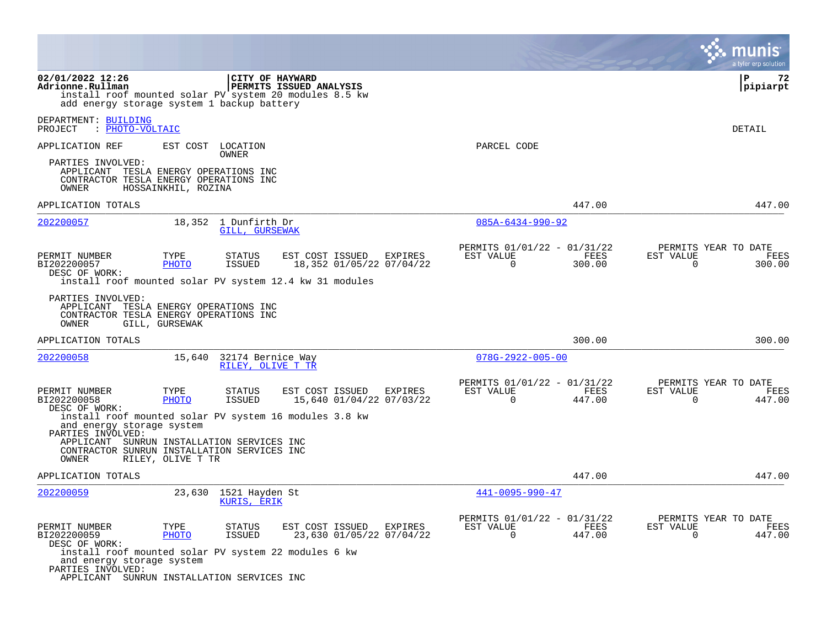|                                                                                                                                                      |                      |                                        |                         |                                     |                                                         |                | a tyler erp solution                                               |
|------------------------------------------------------------------------------------------------------------------------------------------------------|----------------------|----------------------------------------|-------------------------|-------------------------------------|---------------------------------------------------------|----------------|--------------------------------------------------------------------|
| 02/01/2022 12:26<br>Adrionne.Rullman<br>install roof mounted solar PV system 20 modules 8.5 kw<br>add energy storage system 1 backup battery         |                      | CITY OF HAYWARD                        | PERMITS ISSUED ANALYSIS |                                     |                                                         |                | P<br>72<br> pipiarpt                                               |
| DEPARTMENT: BUILDING<br>: PHOTO-VOLTAIC<br>PROJECT                                                                                                   |                      |                                        |                         |                                     |                                                         |                | DETAIL                                                             |
| APPLICATION REF<br>PARTIES INVOLVED:                                                                                                                 | EST COST             | LOCATION<br>OWNER                      |                         |                                     | PARCEL CODE                                             |                |                                                                    |
| APPLICANT TESLA ENERGY OPERATIONS INC<br>CONTRACTOR TESLA ENERGY OPERATIONS INC<br>OWNER                                                             | HOSSAINKHIL, ROZINA  |                                        |                         |                                     |                                                         |                |                                                                    |
| APPLICATION TOTALS                                                                                                                                   |                      |                                        |                         |                                     |                                                         | 447.00         | 447.00                                                             |
| 202200057                                                                                                                                            |                      | 18,352 1 Dunfirth Dr<br>GILL, GURSEWAK |                         |                                     | $085A - 6434 - 990 - 92$                                |                |                                                                    |
| PERMIT NUMBER<br>BI202200057<br>DESC OF WORK:<br>install roof mounted solar PV system 12.4 kw 31 modules                                             | TYPE<br><b>PHOTO</b> | STATUS<br><b>ISSUED</b>                | EST COST ISSUED         | EXPIRES<br>18,352 01/05/22 07/04/22 | PERMITS 01/01/22 - 01/31/22<br>EST VALUE<br>$\mathbf 0$ | FEES<br>300.00 | PERMITS YEAR TO DATE<br>EST VALUE<br>FEES<br>$\mathbf 0$<br>300.00 |
| PARTIES INVOLVED:<br>APPLICANT TESLA ENERGY OPERATIONS INC<br>CONTRACTOR TESLA ENERGY OPERATIONS INC<br>OWNER                                        | GILL, GURSEWAK       |                                        |                         |                                     |                                                         |                |                                                                    |
| APPLICATION TOTALS                                                                                                                                   |                      |                                        |                         |                                     |                                                         | 300.00         | 300.00                                                             |
| 202200058                                                                                                                                            | 15,640               | 32174 Bernice Way<br>RILEY, OLIVE T TR |                         |                                     | $078G - 2922 - 005 - 00$                                |                |                                                                    |
| PERMIT NUMBER<br>BI202200058                                                                                                                         | TYPE<br>PHOTO        | <b>STATUS</b><br><b>ISSUED</b>         | EST COST ISSUED         | EXPIRES<br>15,640 01/04/22 07/03/22 | PERMITS 01/01/22 - 01/31/22<br>EST VALUE<br>$\Omega$    | FEES<br>447.00 | PERMITS YEAR TO DATE<br>EST VALUE<br>FEES<br>$\Omega$<br>447.00    |
| DESC OF WORK:<br>install roof mounted solar PV system 16 modules 3.8 kw<br>and energy storage system<br>PARTIES INVOLVED:                            |                      |                                        |                         |                                     |                                                         |                |                                                                    |
| APPLICANT SUNRUN INSTALLATION SERVICES INC<br>CONTRACTOR SUNRUN INSTALLATION SERVICES INC<br>OWNER                                                   | RILEY, OLIVE T TR    |                                        |                         |                                     |                                                         |                |                                                                    |
| APPLICATION TOTALS                                                                                                                                   |                      |                                        |                         |                                     |                                                         | 447.00         | 447.00                                                             |
| 202200059                                                                                                                                            | 23,630               | 1521 Hayden St<br>KURIS, ERIK          |                         |                                     | $441 - 0095 - 990 - 47$                                 |                |                                                                    |
| PERMIT NUMBER<br>BI202200059<br>DESC OF WORK:                                                                                                        | TYPE<br>PHOTO        | <b>STATUS</b><br><b>ISSUED</b>         | EST COST ISSUED         | EXPIRES<br>23,630 01/05/22 07/04/22 | PERMITS 01/01/22 - 01/31/22<br>EST VALUE<br>$\Omega$    | FEES<br>447.00 | PERMITS YEAR TO DATE<br>EST VALUE<br>FEES<br>$\Omega$<br>447.00    |
| install roof mounted solar PV system 22 modules 6 kw<br>and energy storage system<br>PARTIES INVOLVED:<br>APPLICANT SUNRUN INSTALLATION SERVICES INC |                      |                                        |                         |                                     |                                                         |                |                                                                    |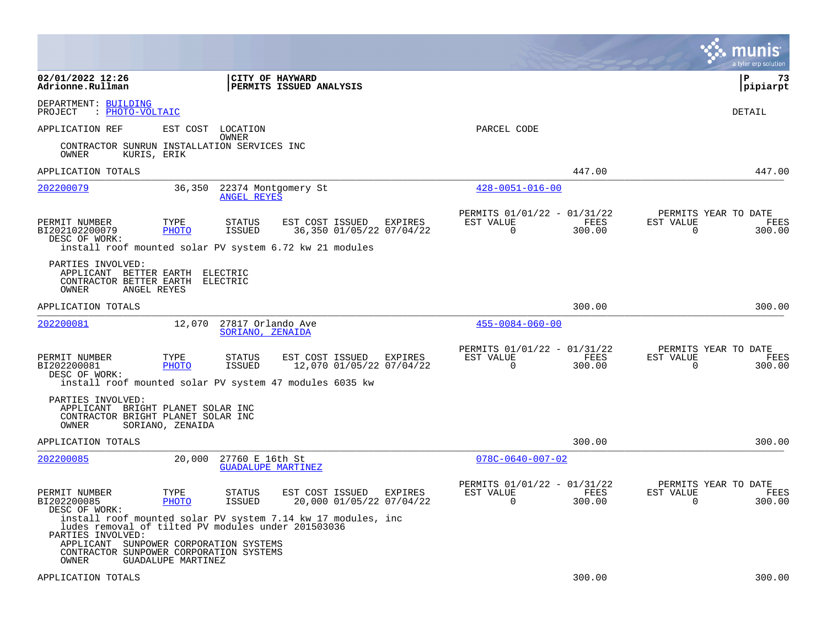|                                                                                 |                                                                                                                                                     |                                                                                                        |         |                                                         |                | munis<br>a tyler erp solution                                      |
|---------------------------------------------------------------------------------|-----------------------------------------------------------------------------------------------------------------------------------------------------|--------------------------------------------------------------------------------------------------------|---------|---------------------------------------------------------|----------------|--------------------------------------------------------------------|
| 02/01/2022 12:26<br>Adrionne.Rullman                                            |                                                                                                                                                     | <b>CITY OF HAYWARD</b><br><b>PERMITS ISSUED ANALYSIS</b>                                               |         |                                                         |                | l P<br>73<br> pipiarpt                                             |
| DEPARTMENT: BUILDING<br>: PHOTO-VOLTAIC<br>PROJECT                              |                                                                                                                                                     |                                                                                                        |         |                                                         |                | DETAIL                                                             |
| APPLICATION REF                                                                 | EST COST<br>LOCATION                                                                                                                                |                                                                                                        |         | PARCEL CODE                                             |                |                                                                    |
| OWNER                                                                           | OWNER<br>CONTRACTOR SUNRUN INSTALLATION SERVICES INC<br>KURIS, ERIK                                                                                 |                                                                                                        |         |                                                         |                |                                                                    |
| APPLICATION TOTALS                                                              |                                                                                                                                                     |                                                                                                        |         |                                                         | 447.00         | 447.00                                                             |
| 202200079                                                                       | 36,350<br><b>ANGEL REYES</b>                                                                                                                        | 22374 Montgomery St                                                                                    |         | $428 - 0051 - 016 - 00$                                 |                |                                                                    |
| PERMIT NUMBER<br>BI202102200079<br>DESC OF WORK:                                | TYPE<br><b>STATUS</b><br><b>PHOTO</b><br><b>ISSUED</b>                                                                                              | EST COST ISSUED<br>36,350 01/05/22 07/04/22<br>install roof mounted solar PV system 6.72 kw 21 modules | EXPIRES | PERMITS 01/01/22 - 01/31/22<br>EST VALUE<br>$\mathbf 0$ | FEES<br>300.00 | PERMITS YEAR TO DATE<br>EST VALUE<br>FEES<br>$\mathbf 0$<br>300.00 |
| PARTIES INVOLVED:<br>APPLICANT BETTER EARTH<br>CONTRACTOR BETTER EARTH<br>OWNER | ELECTRIC<br>ELECTRIC<br>ANGEL REYES                                                                                                                 |                                                                                                        |         |                                                         |                |                                                                    |
| APPLICATION TOTALS                                                              |                                                                                                                                                     |                                                                                                        |         |                                                         | 300.00         | 300.00                                                             |
| 202200081                                                                       | 12,070                                                                                                                                              | 27817 Orlando Ave<br>SORIANO, ZENAIDA                                                                  |         | $455 - 0084 - 060 - 00$                                 |                |                                                                    |
| PERMIT NUMBER<br>BI202200081<br>DESC OF WORK:                                   | TYPE<br><b>STATUS</b><br><b>PHOTO</b><br><b>ISSUED</b>                                                                                              | EST COST ISSUED<br>12,070 01/05/22 07/04/22<br>install roof mounted solar PV system 47 modules 6035 kw | EXPIRES | PERMITS 01/01/22 - 01/31/22<br>EST VALUE<br>$\Omega$    | FEES<br>300.00 | PERMITS YEAR TO DATE<br>EST VALUE<br>FEES<br>$\Omega$<br>300.00    |
| PARTIES INVOLVED:<br>OWNER                                                      | APPLICANT BRIGHT PLANET SOLAR INC<br>CONTRACTOR BRIGHT PLANET SOLAR INC<br>SORIANO, ZENAIDA                                                         |                                                                                                        |         |                                                         |                |                                                                    |
| APPLICATION TOTALS                                                              |                                                                                                                                                     |                                                                                                        |         |                                                         | 300.00         | 300.00                                                             |
| 202200085                                                                       | 20,000                                                                                                                                              | 27760 E 16th St<br><b>GUADALUPE MARTINEZ</b>                                                           |         | $078C - 0640 - 007 - 02$                                |                |                                                                    |
| PERMIT NUMBER<br>BI202200085<br>DESC OF WORK:                                   | TYPE<br><b>STATUS</b><br><b>PHOTO</b><br><b>ISSUED</b>                                                                                              | EST COST ISSUED<br>20,000 01/05/22 07/04/22                                                            | EXPIRES | PERMITS 01/01/22 - 01/31/22<br>EST VALUE<br>$\Omega$    | FEES<br>300.00 | PERMITS YEAR TO DATE<br>EST VALUE<br>FEES<br>$\Omega$<br>300.00    |
| PARTIES INVOLVED:<br>APPLICANT<br>OWNER                                         | ludes removal of tilted PV modules under 201503036<br>SUNPOWER CORPORATION SYSTEMS<br>CONTRACTOR SUNPOWER CORPORATION SYSTEMS<br>GUADALUPE MARTINEZ | install roof mounted solar PV system 7.14 kw 17 modules, inc                                           |         |                                                         |                |                                                                    |
| APPLICATION TOTALS                                                              |                                                                                                                                                     |                                                                                                        |         |                                                         | 300.00         | 300.00                                                             |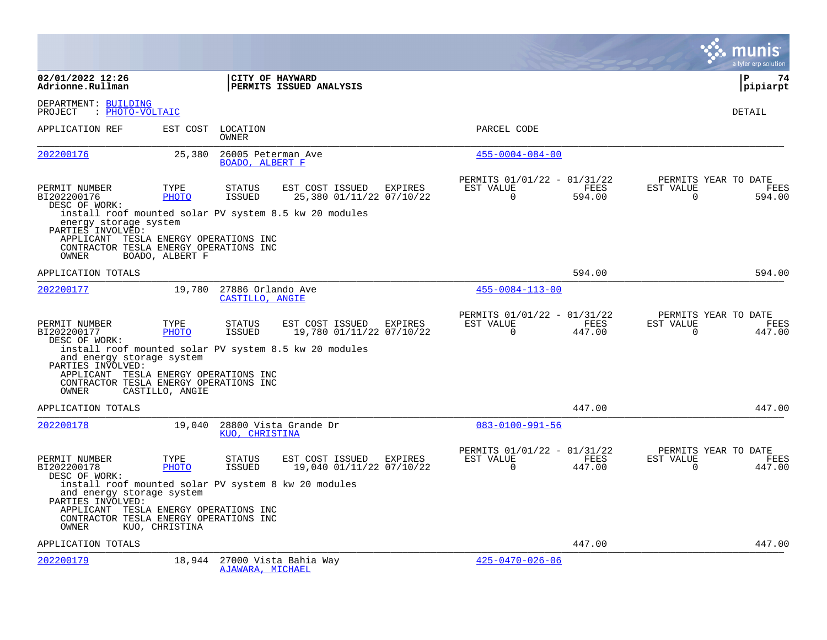|                                                                                                                                                                                         |                                         |                                       |                                                                                                               |         |                                                      |                       |                       | a tyler erp solution                   |
|-----------------------------------------------------------------------------------------------------------------------------------------------------------------------------------------|-----------------------------------------|---------------------------------------|---------------------------------------------------------------------------------------------------------------|---------|------------------------------------------------------|-----------------------|-----------------------|----------------------------------------|
| 02/01/2022 12:26<br>Adrionne.Rullman                                                                                                                                                    |                                         | CITY OF HAYWARD                       | PERMITS ISSUED ANALYSIS                                                                                       |         |                                                      |                       |                       | $\mathbf{P}$<br>74<br>pipiarpt         |
| DEPARTMENT: BUILDING<br>: PHOTO-VOLTAIC<br>PROJECT                                                                                                                                      |                                         |                                       |                                                                                                               |         |                                                      |                       |                       | DETAIL                                 |
| APPLICATION REF                                                                                                                                                                         |                                         | EST COST LOCATION<br>OWNER            |                                                                                                               |         | PARCEL CODE                                          |                       |                       |                                        |
| 202200176                                                                                                                                                                               | 25,380                                  | 26005 Peterman Ave<br>BOADO, ALBERT F |                                                                                                               |         | $455 - 0004 - 084 - 00$                              |                       |                       |                                        |
| PERMIT NUMBER<br>BI202200176<br>DESC OF WORK:<br>energy storage system<br>PARTIES INVOLVED:<br>APPLICANT TESLA ENERGY OPERATIONS INC<br>CONTRACTOR TESLA ENERGY OPERATIONS INC<br>OWNER | TYPE<br><b>PHOTO</b><br>BOADO, ALBERT F | <b>STATUS</b><br><b>ISSUED</b>        | EST COST ISSUED EXPIRES<br>25,380 01/11/22 07/10/22<br>install roof mounted solar PV system 8.5 kw 20 modules |         | PERMITS 01/01/22 - 01/31/22<br>EST VALUE<br>$\Omega$ | <b>FEES</b><br>594.00 | EST VALUE<br>$\Omega$ | PERMITS YEAR TO DATE<br>FEES<br>594.00 |
| APPLICATION TOTALS                                                                                                                                                                      |                                         |                                       |                                                                                                               |         |                                                      | 594.00                |                       | 594.00                                 |
| 202200177                                                                                                                                                                               | 19,780                                  | 27886 Orlando Ave<br>CASTILLO, ANGIE  |                                                                                                               |         | $455 - 0084 - 113 - 00$                              |                       |                       |                                        |
| PERMIT NUMBER<br>BI202200177<br>DESC OF WORK:<br>and energy storage system<br>PARTIES INVOLVED:<br>APPLICANT TESLA ENERGY OPERATIONS INC<br>CONTRACTOR TESLA ENERGY OPERATIONS INC      | TYPE<br><b>PHOTO</b>                    | <b>STATUS</b><br>ISSUED               | EST COST ISSUED<br>19,780 01/11/22 07/10/22<br>install roof mounted solar PV system 8.5 kw 20 modules         | EXPIRES | PERMITS 01/01/22 - 01/31/22<br>EST VALUE<br>$\Omega$ | FEES<br>447.00        | EST VALUE<br>$\Omega$ | PERMITS YEAR TO DATE<br>FEES<br>447.00 |
| <b>OWNER</b>                                                                                                                                                                            | CASTILLO, ANGIE                         |                                       |                                                                                                               |         |                                                      |                       |                       |                                        |
| APPLICATION TOTALS<br>202200178                                                                                                                                                         | 19,040                                  | KUO, CHRISTINA                        | 28800 Vista Grande Dr                                                                                         |         | $083 - 0100 - 991 - 56$                              | 447.00                |                       | 447.00                                 |
| PERMIT NUMBER<br>BI202200178<br>DESC OF WORK:<br>install roof mounted solar PV system 8 kw 20 modules<br>and energy storage system<br>PARTIES INVOLVED:                                 | TYPE<br><b>PHOTO</b>                    | <b>STATUS</b><br><b>ISSUED</b>        | EST COST ISSUED<br>19,040 01/11/22 07/10/22                                                                   | EXPIRES | PERMITS 01/01/22 - 01/31/22<br>EST VALUE<br>$\Omega$ | FEES<br>447.00        | EST VALUE<br>$\Omega$ | PERMITS YEAR TO DATE<br>FEES<br>447.00 |
| APPLICANT TESLA ENERGY OPERATIONS INC<br>CONTRACTOR TESLA ENERGY OPERATIONS INC<br>OWNER                                                                                                | KUO, CHRISTINA                          |                                       |                                                                                                               |         |                                                      |                       |                       |                                        |
| APPLICATION TOTALS                                                                                                                                                                      |                                         |                                       |                                                                                                               |         |                                                      | 447.00                |                       | 447.00                                 |
| 202200179                                                                                                                                                                               | 18,944                                  | AJAWARA, MICHAEL                      | 27000 Vista Bahia Way                                                                                         |         | $425 - 0470 - 026 - 06$                              |                       |                       |                                        |

**College**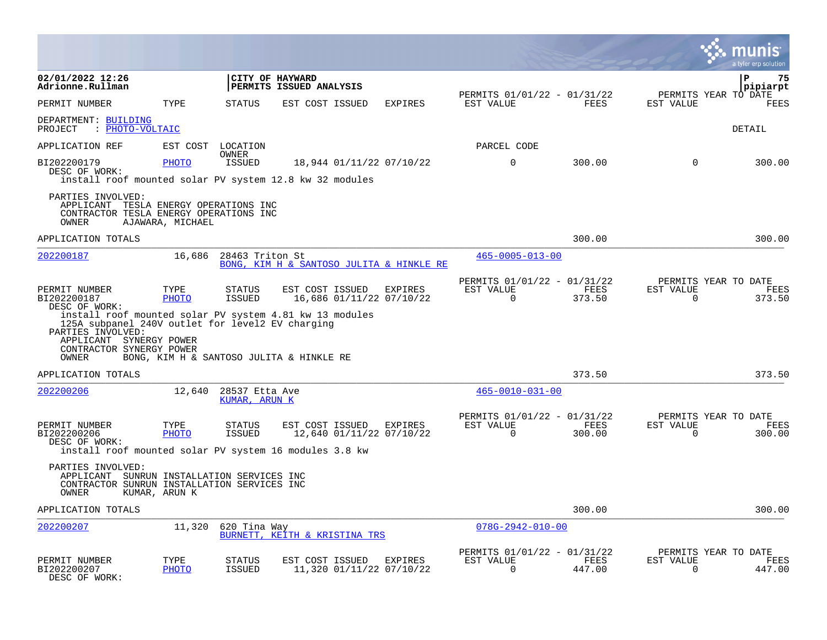|                                                                                                                                                                                   |                      |                                 |                                            |                                          |                                                         |                |                          | a tyler erp solution                   |
|-----------------------------------------------------------------------------------------------------------------------------------------------------------------------------------|----------------------|---------------------------------|--------------------------------------------|------------------------------------------|---------------------------------------------------------|----------------|--------------------------|----------------------------------------|
| 02/01/2022 12:26<br>Adrionne.Rullman                                                                                                                                              |                      |                                 | CITY OF HAYWARD<br>PERMITS ISSUED ANALYSIS |                                          |                                                         |                |                          | $\mathbf{P}$<br>75<br>pipiarpt         |
| PERMIT NUMBER                                                                                                                                                                     | TYPE                 | <b>STATUS</b>                   | EST COST ISSUED                            | <b>EXPIRES</b>                           | PERMITS 01/01/22 - 01/31/22<br>EST VALUE                | <b>FEES</b>    | EST VALUE                | PERMITS YEAR TO DATE<br><b>FEES</b>    |
| DEPARTMENT: BUILDING<br>: PHOTO-VOLTAIC<br>PROJECT                                                                                                                                |                      |                                 |                                            |                                          |                                                         |                |                          | DETAIL                                 |
| APPLICATION REF                                                                                                                                                                   | EST COST             | LOCATION                        |                                            |                                          | PARCEL CODE                                             |                |                          |                                        |
| BI202200179<br>DESC OF WORK:<br>install roof mounted solar PV system 12.8 kw 32 modules                                                                                           | <b>PHOTO</b>         | OWNER<br><b>ISSUED</b>          |                                            | 18,944 01/11/22 07/10/22                 | $\mathbf 0$                                             | 300.00         | $\Omega$                 | 300.00                                 |
| PARTIES INVOLVED:<br>APPLICANT TESLA ENERGY OPERATIONS INC<br>CONTRACTOR TESLA ENERGY OPERATIONS INC<br>OWNER                                                                     | AJAWARA, MICHAEL     |                                 |                                            |                                          |                                                         |                |                          |                                        |
| APPLICATION TOTALS                                                                                                                                                                |                      |                                 |                                            |                                          |                                                         | 300.00         |                          | 300.00                                 |
| 202200187                                                                                                                                                                         | 16,686               | 28463 Triton St                 |                                            | BONG, KIM H & SANTOSO JULITA & HINKLE RE | $465 - 0005 - 013 - 00$                                 |                |                          |                                        |
| PERMIT NUMBER<br>BI202200187<br>DESC OF WORK:<br>install roof mounted solar PV system 4.81 kw 13 modules<br>125A subpanel 240V outlet for level2 EV charging<br>PARTIES INVOLVED: | TYPE<br>PHOTO        | <b>STATUS</b><br><b>ISSUED</b>  | EST COST ISSUED                            | EXPIRES<br>16,686 01/11/22 07/10/22      | PERMITS 01/01/22 - 01/31/22<br>EST VALUE<br>$\mathbf 0$ | FEES<br>373.50 | EST VALUE<br>$\mathbf 0$ | PERMITS YEAR TO DATE<br>FEES<br>373.50 |
| APPLICANT SYNERGY POWER<br>CONTRACTOR SYNERGY POWER<br>OWNER                                                                                                                      |                      |                                 | BONG, KIM H & SANTOSO JULITA & HINKLE RE   |                                          |                                                         |                |                          |                                        |
| APPLICATION TOTALS                                                                                                                                                                |                      |                                 |                                            |                                          |                                                         | 373.50         |                          | 373.50                                 |
| 202200206                                                                                                                                                                         | 12,640               | 28537 Etta Ave<br>KUMAR, ARUN K |                                            |                                          | $465 - 0010 - 031 - 00$                                 |                |                          |                                        |
| PERMIT NUMBER<br>BI202200206<br>DESC OF WORK:                                                                                                                                     | TYPE<br>PHOTO        | <b>STATUS</b><br>ISSUED         | EST COST ISSUED                            | EXPIRES<br>12,640 01/11/22 07/10/22      | PERMITS 01/01/22 - 01/31/22<br>EST VALUE<br>$\Omega$    | FEES<br>300.00 | EST VALUE<br>$\mathbf 0$ | PERMITS YEAR TO DATE<br>FEES<br>300.00 |
| install roof mounted solar PV system 16 modules 3.8 kw<br>PARTIES INVOLVED:<br>APPLICANT SUNRUN INSTALLATION SERVICES INC<br>CONTRACTOR SUNRUN INSTALLATION SERVICES INC<br>OWNER | KUMAR, ARUN K        |                                 |                                            |                                          |                                                         |                |                          |                                        |
| APPLICATION TOTALS                                                                                                                                                                |                      |                                 |                                            |                                          |                                                         | 300.00         |                          | 300.00                                 |
| 202200207                                                                                                                                                                         | 11,320               | 620 Tina Way                    | BURNETT, KEITH & KRISTINA TRS              |                                          | $078G - 2942 - 010 - 00$                                |                |                          |                                        |
| PERMIT NUMBER<br>BI202200207<br>DESC OF WORK:                                                                                                                                     | TYPE<br><b>PHOTO</b> | STATUS<br><b>ISSUED</b>         | EST COST ISSUED                            | EXPIRES<br>11,320 01/11/22 07/10/22      | PERMITS 01/01/22 - 01/31/22<br>EST VALUE<br>$\Omega$    | FEES<br>447.00 | EST VALUE<br>$\Omega$    | PERMITS YEAR TO DATE<br>FEES<br>447.00 |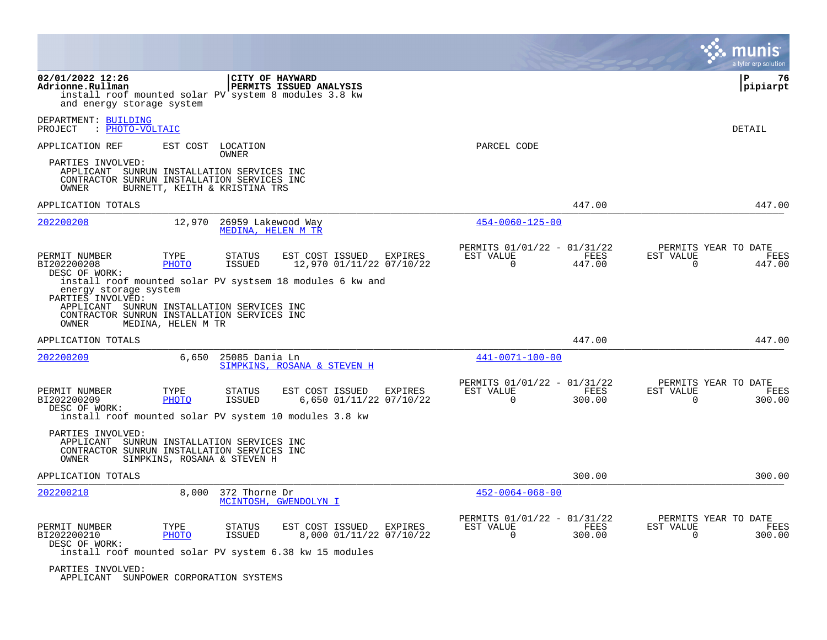|                                                                                                                                                                                          |                               |                                                 |                                                                                                                  |         |                                                      |                |                       | a tyler erp solution                   |
|------------------------------------------------------------------------------------------------------------------------------------------------------------------------------------------|-------------------------------|-------------------------------------------------|------------------------------------------------------------------------------------------------------------------|---------|------------------------------------------------------|----------------|-----------------------|----------------------------------------|
| 02/01/2022 12:26<br>Adrionne.Rullman<br>and energy storage system                                                                                                                        |                               |                                                 | CITY OF HAYWARD<br>PERMITS ISSUED ANALYSIS<br>install roof mounted solar PV system 8 modules 3.8 kw              |         |                                                      |                |                       | $\mathbf{P}$<br>76<br>pipiarpt         |
| DEPARTMENT: BUILDING<br>PROJECT<br>: PHOTO-VOLTAIC                                                                                                                                       |                               |                                                 |                                                                                                                  |         |                                                      |                |                       | DETAIL                                 |
| APPLICATION REF                                                                                                                                                                          |                               | EST COST LOCATION                               |                                                                                                                  |         | PARCEL CODE                                          |                |                       |                                        |
| PARTIES INVOLVED:<br>APPLICANT SUNRUN INSTALLATION SERVICES INC<br>CONTRACTOR SUNRUN INSTALLATION SERVICES INC<br>OWNER                                                                  | BURNETT, KEITH & KRISTINA TRS | OWNER                                           |                                                                                                                  |         |                                                      |                |                       |                                        |
| APPLICATION TOTALS                                                                                                                                                                       |                               |                                                 |                                                                                                                  |         |                                                      | 447.00         |                       | 447.00                                 |
| 202200208                                                                                                                                                                                |                               | 12,970 26959 Lakewood Way<br>MEDINA, HELEN M TR |                                                                                                                  |         | $454 - 0060 - 125 - 00$                              |                |                       |                                        |
| PERMIT NUMBER<br>BI202200208<br>DESC OF WORK:<br>energy storage system<br>PARTIES INVOLVED:<br>APPLICANT SUNRUN INSTALLATION SERVICES INC<br>CONTRACTOR SUNRUN INSTALLATION SERVICES INC | TYPE<br><b>PHOTO</b>          | STATUS<br>ISSUED                                | EST COST ISSUED EXPIRES<br>12,970 01/11/22 07/10/22<br>install roof mounted solar PV systsem 18 modules 6 kw and |         | PERMITS 01/01/22 - 01/31/22<br>EST VALUE<br>0        | FEES<br>447.00 | EST VALUE<br>0        | PERMITS YEAR TO DATE<br>FEES<br>447.00 |
| OWNER                                                                                                                                                                                    | MEDINA, HELEN M TR            |                                                 |                                                                                                                  |         |                                                      |                |                       |                                        |
| APPLICATION TOTALS                                                                                                                                                                       |                               |                                                 |                                                                                                                  |         |                                                      | 447.00         |                       | 447.00                                 |
| 202200209                                                                                                                                                                                | 6,650                         | 25085 Dania Ln                                  | SIMPKINS, ROSANA & STEVEN H                                                                                      |         | 441-0071-100-00                                      |                |                       |                                        |
| PERMIT NUMBER<br>BI202200209<br>DESC OF WORK:                                                                                                                                            | TYPE<br><b>PHOTO</b>          | STATUS<br><b>ISSUED</b>                         | EST COST ISSUED<br>6,650 01/11/22 07/10/22<br>install roof mounted solar PV system 10 modules 3.8 kw             | EXPIRES | PERMITS 01/01/22 - 01/31/22<br>EST VALUE<br>$\Omega$ | FEES<br>300.00 | EST VALUE<br>$\Omega$ | PERMITS YEAR TO DATE<br>FEES<br>300.00 |
| PARTIES INVOLVED:<br>APPLICANT SUNRUN INSTALLATION SERVICES INC<br>CONTRACTOR SUNRUN INSTALLATION SERVICES INC<br>OWNER                                                                  | SIMPKINS, ROSANA & STEVEN H   |                                                 |                                                                                                                  |         |                                                      |                |                       |                                        |
| APPLICATION TOTALS                                                                                                                                                                       |                               |                                                 |                                                                                                                  |         |                                                      | 300.00         |                       | 300.00                                 |
| 202200210                                                                                                                                                                                |                               | 8,000 372 Thorne Dr                             | MCINTOSH, GWENDOLYN I                                                                                            |         | $452 - 0064 - 068 - 00$                              |                |                       |                                        |
| PERMIT NUMBER<br>BI202200210<br>DESC OF WORK:                                                                                                                                            | TYPE<br><b>PHOTO</b>          | STATUS<br>ISSUED                                | EST COST ISSUED<br>8,000 01/11/22 07/10/22<br>install roof mounted solar PV system 6.38 kw 15 modules            | EXPIRES | PERMITS 01/01/22 - 01/31/22<br>EST VALUE<br>$\Omega$ | FEES<br>300.00 | EST VALUE<br>$\Omega$ | PERMITS YEAR TO DATE<br>FEES<br>300.00 |
| PARTIES INVOLVED:                                                                                                                                                                        |                               |                                                 |                                                                                                                  |         |                                                      |                |                       |                                        |

APPLICANT SUNPOWER CORPORATION SYSTEMS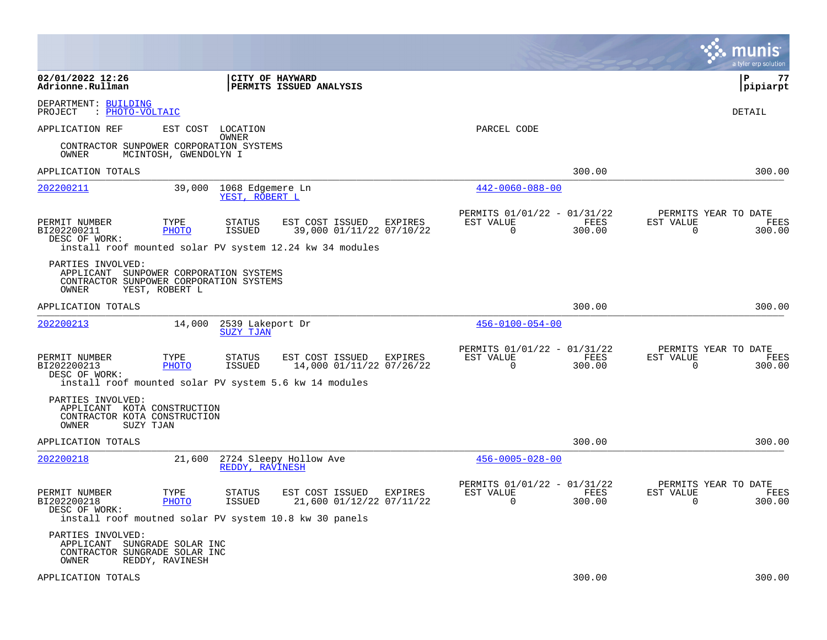|                                                                                                                 |                                       |                                      |                                                                                                       |         |                                                         |                | a tyler erp solution                                               |
|-----------------------------------------------------------------------------------------------------------------|---------------------------------------|--------------------------------------|-------------------------------------------------------------------------------------------------------|---------|---------------------------------------------------------|----------------|--------------------------------------------------------------------|
| 02/01/2022 12:26<br>Adrionne.Rullman                                                                            |                                       | <b>CITY OF HAYWARD</b>               | <b>PERMITS ISSUED ANALYSIS</b>                                                                        |         |                                                         |                | l P<br>77<br> pipiarpt                                             |
| DEPARTMENT: BUILDING<br>: PHOTO-VOLTAIC<br>PROJECT                                                              |                                       |                                      |                                                                                                       |         |                                                         |                | DETAIL                                                             |
| APPLICATION REF                                                                                                 |                                       | EST COST LOCATION                    |                                                                                                       |         | PARCEL CODE                                             |                |                                                                    |
| CONTRACTOR SUNPOWER CORPORATION SYSTEMS<br>OWNER                                                                | MCINTOSH, GWENDOLYN I                 | OWNER                                |                                                                                                       |         |                                                         |                |                                                                    |
| APPLICATION TOTALS                                                                                              |                                       |                                      |                                                                                                       |         |                                                         | 300.00         | 300.00                                                             |
| 202200211                                                                                                       | 39,000                                | 1068 Edgemere Ln<br>YEST, ROBERT L   |                                                                                                       |         | $442 - 0060 - 088 - 00$                                 |                |                                                                    |
| PERMIT NUMBER<br>BI202200211<br>DESC OF WORK:                                                                   | TYPE<br><b>PHOTO</b>                  | <b>STATUS</b><br>ISSUED              | EST COST ISSUED<br>39,000 01/11/22 07/10/22                                                           | EXPIRES | PERMITS 01/01/22 - 01/31/22<br>EST VALUE<br>$\mathbf 0$ | FEES<br>300.00 | PERMITS YEAR TO DATE<br>EST VALUE<br>FEES<br>$\mathbf 0$<br>300.00 |
| PARTIES INVOLVED:<br>APPLICANT SUNPOWER CORPORATION SYSTEMS<br>CONTRACTOR SUNPOWER CORPORATION SYSTEMS<br>OWNER | YEST, ROBERT L                        |                                      | install roof mounted solar PV system 12.24 kw 34 modules                                              |         |                                                         |                |                                                                    |
| APPLICATION TOTALS                                                                                              |                                       |                                      |                                                                                                       |         |                                                         | 300.00         | 300.00                                                             |
| 202200213                                                                                                       | 14,000                                | 2539 Lakeport Dr<br><b>SUZY TJAN</b> |                                                                                                       |         | $456 - 0100 - 054 - 00$                                 |                |                                                                    |
| PERMIT NUMBER<br>BI202200213<br>DESC OF WORK:                                                                   | TYPE<br>PHOTO                         | <b>STATUS</b><br><b>ISSUED</b>       | EST COST ISSUED<br>14,000 01/11/22 07/26/22<br>install roof mounted solar PV system 5.6 kw 14 modules | EXPIRES | PERMITS 01/01/22 - 01/31/22<br>EST VALUE<br>$\Omega$    | FEES<br>300.00 | PERMITS YEAR TO DATE<br>EST VALUE<br>FEES<br>300.00<br>$\Omega$    |
| PARTIES INVOLVED:<br>APPLICANT KOTA CONSTRUCTION<br>CONTRACTOR KOTA CONSTRUCTION<br>SUZY TJAN<br>OWNER          |                                       |                                      |                                                                                                       |         |                                                         |                |                                                                    |
| APPLICATION TOTALS                                                                                              |                                       |                                      |                                                                                                       |         |                                                         | 300.00         | 300.00                                                             |
| 202200218                                                                                                       | 21,600                                | REDDY, RAVINESH                      | 2724 Sleepy Hollow Ave                                                                                |         | $456 - 0005 - 028 - 00$                                 |                |                                                                    |
| PERMIT NUMBER<br>BI202200218<br>DESC OF WORK:                                                                   | TYPE<br>PHOTO                         | <b>STATUS</b><br><b>ISSUED</b>       | EST COST ISSUED<br>21,600 01/12/22 07/11/22<br>install roof moutned solar PV system 10.8 kw 30 panels | EXPIRES | PERMITS 01/01/22 - 01/31/22<br>EST VALUE<br>$\Omega$    | FEES<br>300.00 | PERMITS YEAR TO DATE<br>EST VALUE<br>FEES<br>$\Omega$<br>300.00    |
| PARTIES INVOLVED:<br>APPLICANT<br>CONTRACTOR SUNGRADE SOLAR INC<br>OWNER                                        | SUNGRADE SOLAR INC<br>REDDY, RAVINESH |                                      |                                                                                                       |         |                                                         |                |                                                                    |
| APPLICATION TOTALS                                                                                              |                                       |                                      |                                                                                                       |         |                                                         | 300.00         | 300.00                                                             |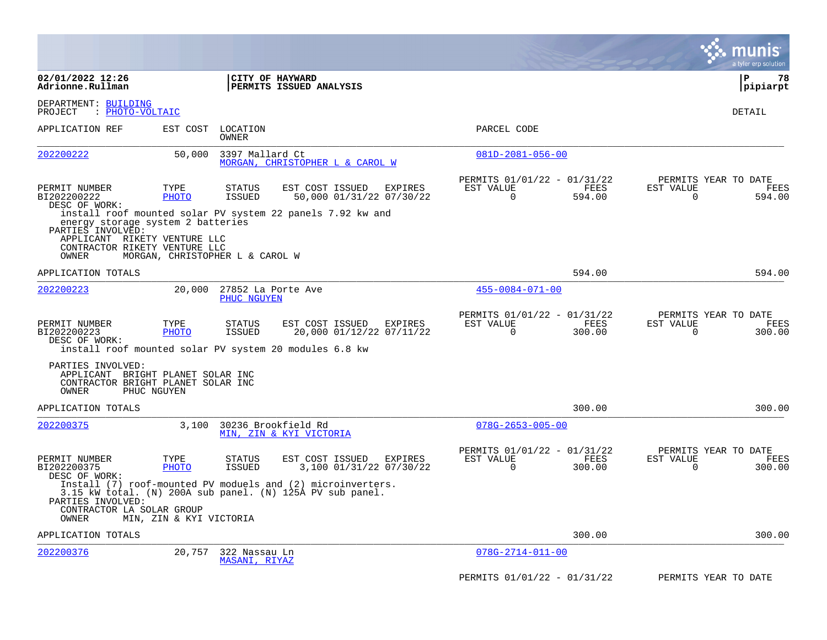|                                                                                                                         |                         |                                                |                                                                                                                          |         |                                                         |                       |                          | munis<br>a tyler erp solution          |
|-------------------------------------------------------------------------------------------------------------------------|-------------------------|------------------------------------------------|--------------------------------------------------------------------------------------------------------------------------|---------|---------------------------------------------------------|-----------------------|--------------------------|----------------------------------------|
| 02/01/2022 12:26<br>Adrionne.Rullman                                                                                    |                         | CITY OF HAYWARD                                | PERMITS ISSUED ANALYSIS                                                                                                  |         |                                                         |                       |                          | l P<br>78<br> pipiarpt                 |
| DEPARTMENT: BUILDING<br>: PHOTO-VOLTAIC<br>PROJECT                                                                      |                         |                                                |                                                                                                                          |         |                                                         |                       |                          | DETAIL                                 |
| APPLICATION REF                                                                                                         | EST COST                | LOCATION<br>OWNER                              |                                                                                                                          |         | PARCEL CODE                                             |                       |                          |                                        |
| 202200222                                                                                                               | 50,000                  | 3397 Mallard Ct                                | MORGAN, CHRISTOPHER L & CAROL W                                                                                          |         | $081D-2081-056-00$                                      |                       |                          |                                        |
| PERMIT NUMBER<br>BI202200222<br>DESC OF WORK:                                                                           | TYPE<br><b>PHOTO</b>    | <b>STATUS</b><br>ISSUED                        | EST COST ISSUED<br>50,000 01/31/22 07/30/22                                                                              | EXPIRES | PERMITS 01/01/22 - 01/31/22<br>EST VALUE<br>0           | FEES<br>594.00        | EST VALUE<br>0           | PERMITS YEAR TO DATE<br>FEES<br>594.00 |
| energy storage system 2 batteries<br>PARTIES INVOLVED:<br>APPLICANT RIKETY VENTURE LLC<br>CONTRACTOR RIKETY VENTURE LLC |                         |                                                | install roof mounted solar PV system 22 panels 7.92 kw and                                                               |         |                                                         |                       |                          |                                        |
| OWNER                                                                                                                   |                         | MORGAN, CHRISTOPHER L & CAROL W                |                                                                                                                          |         |                                                         |                       |                          |                                        |
| APPLICATION TOTALS<br>202200223                                                                                         | 20,000                  | 27852 La Porte Ave<br>PHUC NGUYEN              |                                                                                                                          |         | $455 - 0084 - 071 - 00$                                 | 594.00                |                          | 594.00                                 |
| PERMIT NUMBER<br>BI202200223<br>DESC OF WORK:<br>install roof mounted solar PV system 20 modules 6.8 kw                 | TYPE<br><b>PHOTO</b>    | <b>STATUS</b><br><b>ISSUED</b>                 | EST COST ISSUED<br>20,000 01/12/22 07/11/22                                                                              | EXPIRES | PERMITS 01/01/22 - 01/31/22<br>EST VALUE<br>$\mathbf 0$ | FEES<br>300.00        | EST VALUE<br>$\mathbf 0$ | PERMITS YEAR TO DATE<br>FEES<br>300.00 |
| PARTIES INVOLVED:<br>APPLICANT BRIGHT PLANET SOLAR INC<br>CONTRACTOR BRIGHT PLANET SOLAR INC<br>OWNER                   | PHUC NGUYEN             |                                                |                                                                                                                          |         |                                                         |                       |                          |                                        |
| APPLICATION TOTALS                                                                                                      |                         |                                                |                                                                                                                          |         |                                                         | 300.00                |                          | 300.00                                 |
| 202200375                                                                                                               | 3,100                   | 30236 Brookfield Rd<br>MIN, ZIN & KYI VICTORIA |                                                                                                                          |         | $078G - 2653 - 005 - 00$                                |                       |                          |                                        |
| PERMIT NUMBER<br>BI202200375<br>DESC OF WORK:                                                                           | TYPE<br>PHOTO           | <b>STATUS</b><br>ISSUED                        | EST COST ISSUED<br>3,100 01/31/22 07/30/22                                                                               | EXPIRES | PERMITS 01/01/22 - 01/31/22<br>EST VALUE<br>$\Omega$    | <b>FEES</b><br>300.00 | EST VALUE<br>$\Omega$    | PERMITS YEAR TO DATE<br>FEES<br>300.00 |
| PARTIES INVOLVED:                                                                                                       |                         |                                                | Install (7) roof-mounted PV moduels and (2) microinverters.<br>3.15 kW total. (N) 200A sub panel. (N) 125A PV sub panel. |         |                                                         |                       |                          |                                        |
| CONTRACTOR LA SOLAR GROUP<br>OWNER                                                                                      | MIN, ZIN & KYI VICTORIA |                                                |                                                                                                                          |         |                                                         |                       |                          |                                        |
| APPLICATION TOTALS                                                                                                      |                         |                                                |                                                                                                                          |         |                                                         | 300.00                |                          | 300.00                                 |
| 202200376                                                                                                               | 20,757                  | 322 Nassau Ln<br>MASANI, RIYAZ                 |                                                                                                                          |         | $078G - 2714 - 011 - 00$                                |                       |                          |                                        |
|                                                                                                                         |                         |                                                |                                                                                                                          |         | PERMITS 01/01/22 - 01/31/22                             |                       |                          | PERMITS YEAR TO DATE                   |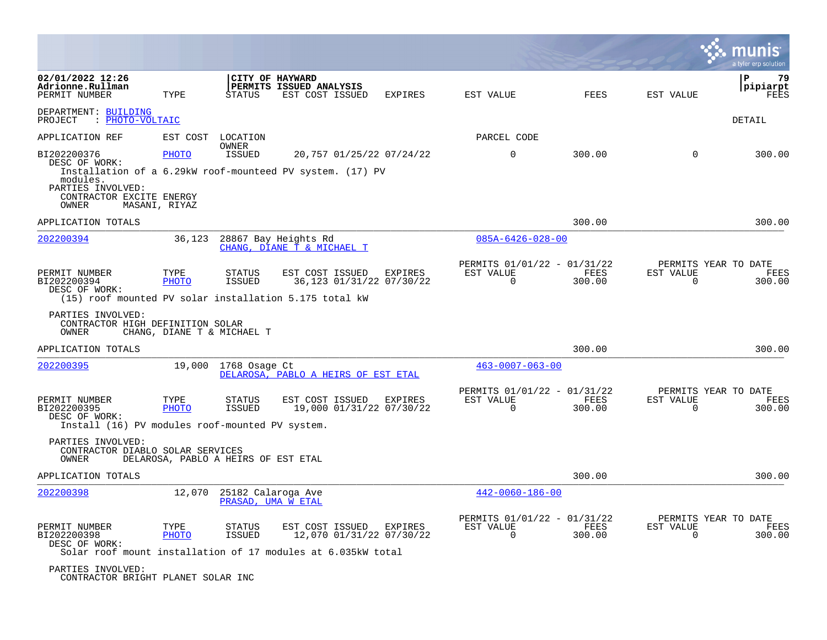|                                                                                                    |                            |                                          |                                                                                                             |                |                                                         |                       |                          | a tyler erp solution                   |
|----------------------------------------------------------------------------------------------------|----------------------------|------------------------------------------|-------------------------------------------------------------------------------------------------------------|----------------|---------------------------------------------------------|-----------------------|--------------------------|----------------------------------------|
| 02/01/2022 12:26<br>Adrionne.Rullman<br>PERMIT NUMBER                                              | TYPE                       | CITY OF HAYWARD<br>STATUS                | PERMITS ISSUED ANALYSIS<br>EST COST ISSUED                                                                  | <b>EXPIRES</b> | EST VALUE                                               | FEES                  | EST VALUE                | 79<br>P<br>pipiarpt<br>FEES            |
| DEPARTMENT: BUILDING<br>PROJECT<br>: PHOTO-VOLTAIC                                                 |                            |                                          |                                                                                                             |                |                                                         |                       |                          | DETAIL                                 |
| APPLICATION REF                                                                                    | EST COST                   | LOCATION<br>OWNER                        |                                                                                                             |                | PARCEL CODE                                             |                       |                          |                                        |
| BI202200376<br>DESC OF WORK:<br>modules.<br>PARTIES INVOLVED:<br>CONTRACTOR EXCITE ENERGY<br>OWNER | PHOTO<br>MASANI, RIYAZ     | <b>ISSUED</b>                            | 20,757 01/25/22 07/24/22<br>Installation of a 6.29kW roof-mounteed PV system. (17) PV                       |                | $\mathbf 0$                                             | 300.00                | $\mathbf 0$              | 300.00                                 |
| APPLICATION TOTALS                                                                                 |                            |                                          |                                                                                                             |                |                                                         | 300.00                |                          | 300.00                                 |
| 202200394                                                                                          | 36,123                     |                                          | 28867 Bay Heights Rd<br>CHANG, DIANE T & MICHAEL T                                                          |                | $085A - 6426 - 028 - 00$                                |                       |                          |                                        |
| PERMIT NUMBER<br>BI202200394<br>DESC OF WORK:                                                      | TYPE<br><b>PHOTO</b>       | <b>STATUS</b><br><b>ISSUED</b>           | EST COST ISSUED<br>36,123 01/31/22 07/30/22<br>(15) roof mounted PV solar installation 5.175 total kW       | EXPIRES        | PERMITS 01/01/22 - 01/31/22<br>EST VALUE<br>$\mathbf 0$ | FEES<br>300.00        | EST VALUE<br>$\mathbf 0$ | PERMITS YEAR TO DATE<br>FEES<br>300.00 |
| PARTIES INVOLVED:<br>CONTRACTOR HIGH DEFINITION SOLAR<br>OWNER                                     | CHANG, DIANE T & MICHAEL T |                                          |                                                                                                             |                |                                                         |                       |                          |                                        |
| APPLICATION TOTALS                                                                                 |                            |                                          |                                                                                                             |                |                                                         | 300.00                |                          | 300.00                                 |
| 202200395                                                                                          | 19,000                     | 1768 Osage Ct                            | DELAROSA, PABLO A HEIRS OF EST ETAL                                                                         |                | $463 - 0007 - 063 - 00$                                 |                       |                          |                                        |
| PERMIT NUMBER<br>BI202200395<br>DESC OF WORK:<br>Install (16) PV modules roof-mounted PV system.   | TYPE<br><b>PHOTO</b>       | <b>STATUS</b><br><b>ISSUED</b>           | EST COST ISSUED<br>19,000 01/31/22 07/30/22                                                                 | <b>EXPIRES</b> | PERMITS 01/01/22 - 01/31/22<br>EST VALUE<br>$\Omega$    | <b>FEES</b><br>300.00 | EST VALUE<br>$\Omega$    | PERMITS YEAR TO DATE<br>FEES<br>300.00 |
| PARTIES INVOLVED:<br>CONTRACTOR DIABLO SOLAR SERVICES<br>OWNER                                     |                            | DELAROSA, PABLO A HEIRS OF EST ETAL      |                                                                                                             |                |                                                         |                       |                          |                                        |
| APPLICATION TOTALS                                                                                 |                            |                                          |                                                                                                             |                |                                                         | 300.00                |                          | 300.00                                 |
| 202200398                                                                                          | 12,070                     | 25182 Calaroga Ave<br>PRASAD, UMA W ETAL |                                                                                                             |                | $442 - 0060 - 186 - 00$                                 |                       |                          |                                        |
| PERMIT NUMBER<br>BI202200398<br>DESC OF WORK:                                                      | TYPE<br><b>PHOTO</b>       | <b>STATUS</b><br><b>ISSUED</b>           | EST COST ISSUED<br>12,070 01/31/22 07/30/22<br>Solar roof mount installation of 17 modules at 6.035kW total | <b>EXPIRES</b> | PERMITS 01/01/22 - 01/31/22<br>EST VALUE<br>$\Omega$    | FEES<br>300.00        | EST VALUE<br>$\Omega$    | PERMITS YEAR TO DATE<br>FEES<br>300.00 |
| PARTIES INVOLVED:                                                                                  |                            |                                          |                                                                                                             |                |                                                         |                       |                          |                                        |

CONTRACTOR BRIGHT PLANET SOLAR INC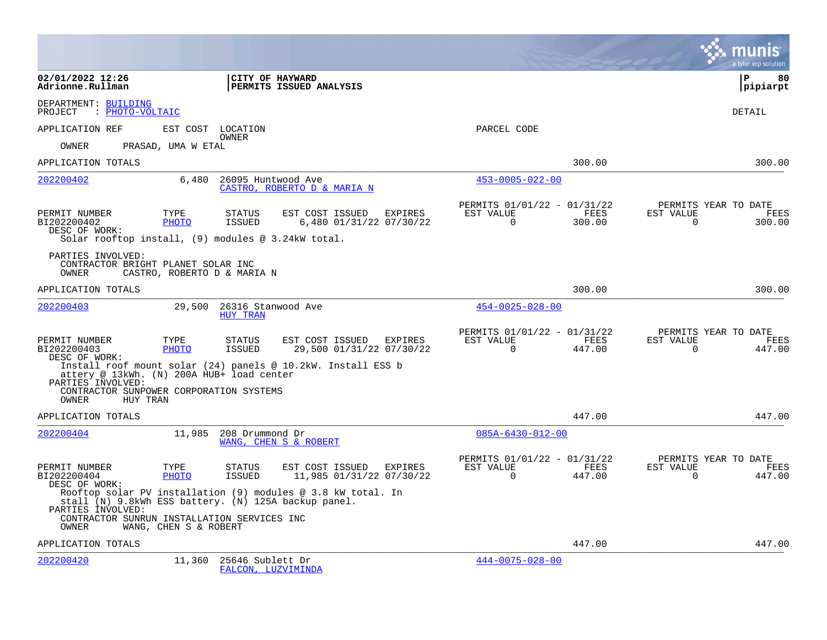|                                                                                                                          |                       |                                        |                                                              |                                                      |                       |                       | a tyler erp solution                   |
|--------------------------------------------------------------------------------------------------------------------------|-----------------------|----------------------------------------|--------------------------------------------------------------|------------------------------------------------------|-----------------------|-----------------------|----------------------------------------|
| 02/01/2022 12:26<br>Adrionne.Rullman                                                                                     |                       | CITY OF HAYWARD                        | PERMITS ISSUED ANALYSIS                                      |                                                      |                       |                       | l P<br>80<br> pipiarpt                 |
| DEPARTMENT: BUILDING<br>: PHOTO-VOLTAIC<br>PROJECT                                                                       |                       |                                        |                                                              |                                                      |                       |                       | <b>DETAIL</b>                          |
| APPLICATION REF                                                                                                          | EST COST              | LOCATION                               |                                                              | PARCEL CODE                                          |                       |                       |                                        |
| OWNER                                                                                                                    | PRASAD, UMA W ETAL    | OWNER                                  |                                                              |                                                      |                       |                       |                                        |
| APPLICATION TOTALS                                                                                                       |                       |                                        |                                                              |                                                      | 300.00                |                       | 300.00                                 |
| 202200402                                                                                                                | 6,480                 | 26095 Huntwood Ave                     | CASTRO, ROBERTO D & MARIA N                                  | $453 - 0005 - 022 - 00$                              |                       |                       |                                        |
| PERMIT NUMBER<br>BI202200402<br>DESC OF WORK:<br>Solar rooftop install, $(9)$ modules @ 3.24kW total.                    | TYPE<br>PHOTO         | <b>STATUS</b><br>ISSUED                | EST COST ISSUED<br><b>EXPIRES</b><br>6,480 01/31/22 07/30/22 | PERMITS 01/01/22 - 01/31/22<br>EST VALUE<br>$\Omega$ | FEES<br>300.00        | EST VALUE<br>$\Omega$ | PERMITS YEAR TO DATE<br>FEES<br>300.00 |
| PARTIES INVOLVED:<br>CONTRACTOR BRIGHT PLANET SOLAR INC<br>OWNER                                                         |                       | CASTRO, ROBERTO D & MARIA N            |                                                              |                                                      |                       |                       |                                        |
| APPLICATION TOTALS                                                                                                       |                       |                                        |                                                              |                                                      | 300.00                |                       | 300.00                                 |
| 202200403                                                                                                                | 29,500                | 26316 Stanwood Ave<br><b>HUY TRAN</b>  |                                                              | $454 - 0025 - 028 - 00$                              |                       |                       |                                        |
| PERMIT NUMBER<br>BI202200403<br>DESC OF WORK:                                                                            | TYPE<br><b>PHOTO</b>  | <b>STATUS</b><br><b>ISSUED</b>         | EST COST ISSUED<br>EXPIRES<br>29,500 01/31/22 07/30/22       | PERMITS 01/01/22 - 01/31/22<br>EST VALUE<br>$\Omega$ | <b>FEES</b><br>447.00 | EST VALUE<br>$\Omega$ | PERMITS YEAR TO DATE<br>FEES<br>447.00 |
| attery @ 13kWh. (N) 200A HUB+ load center<br>PARTIES INVOLVED:                                                           |                       |                                        | Install roof mount solar (24) panels @ 10.2kW. Install ESS b |                                                      |                       |                       |                                        |
| CONTRACTOR SUNPOWER CORPORATION SYSTEMS<br>HUY TRAN<br>OWNER                                                             |                       |                                        |                                                              |                                                      |                       |                       |                                        |
| APPLICATION TOTALS                                                                                                       |                       |                                        |                                                              |                                                      | 447.00                |                       | 447.00                                 |
| 202200404                                                                                                                | 11,985                | 208 Drummond Dr                        | WANG, CHEN S & ROBERT                                        | $085A - 6430 - 012 - 00$                             |                       |                       |                                        |
| PERMIT NUMBER<br>BI202200404<br>DESC OF WORK:                                                                            | TYPE<br><b>PHOTO</b>  | <b>STATUS</b><br><b>ISSUED</b>         | EST COST ISSUED<br>EXPIRES<br>11,985 01/31/22 07/30/22       | PERMITS 01/01/22 - 01/31/22<br>EST VALUE<br>$\Omega$ | FEES<br>447.00        | EST VALUE<br>$\Omega$ | PERMITS YEAR TO DATE<br>FEES<br>447.00 |
| stall (N) 9.8kWh ESS battery. (N) 125A backup panel.<br>PARTIES INVOLVED:<br>CONTRACTOR SUNRUN INSTALLATION SERVICES INC |                       |                                        | Rooftop solar PV installation (9) modules @ 3.8 kW total. In |                                                      |                       |                       |                                        |
| OWNER                                                                                                                    | WANG, CHEN S & ROBERT |                                        |                                                              |                                                      |                       |                       |                                        |
| APPLICATION TOTALS                                                                                                       |                       |                                        |                                                              |                                                      | 447.00                |                       | 447.00                                 |
| 202200420                                                                                                                | 11,360                | 25646 Sublett Dr<br>FALCON, LUZVIMINDA |                                                              | $444 - 0075 - 028 - 00$                              |                       |                       |                                        |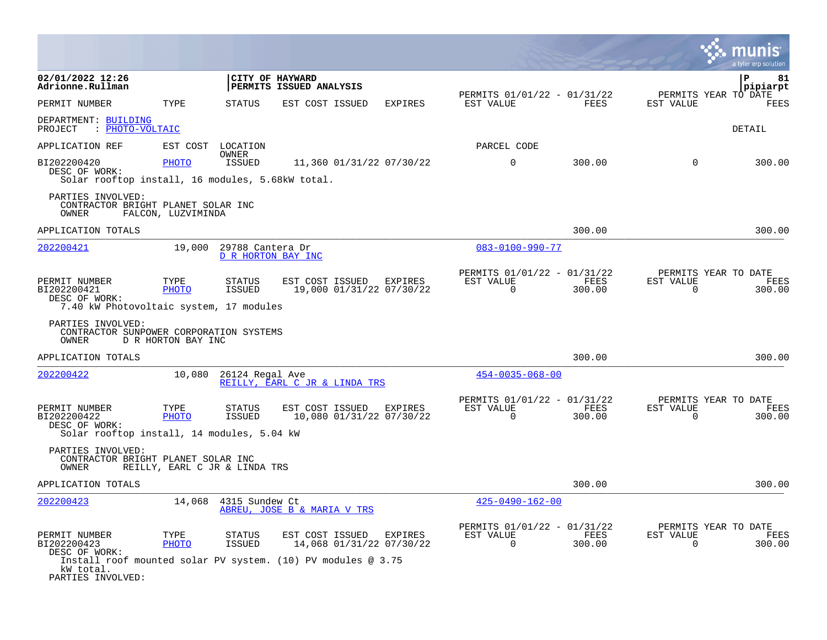|                                                                                                                     |                                                                                                                                            |                                                                           | a tyler erp solution                                            |
|---------------------------------------------------------------------------------------------------------------------|--------------------------------------------------------------------------------------------------------------------------------------------|---------------------------------------------------------------------------|-----------------------------------------------------------------|
| 02/01/2022 12:26<br>Adrionne.Rullman                                                                                | CITY OF HAYWARD<br>PERMITS ISSUED ANALYSIS                                                                                                 |                                                                           | $\mathbf{P}$<br>81<br>pipiarpt                                  |
| PERMIT NUMBER<br>TYPE                                                                                               | STATUS<br>EST COST ISSUED<br><b>EXPIRES</b>                                                                                                | PERMITS 01/01/22 - 01/31/22<br>EST VALUE<br>FEES                          | PERMITS YEAR TO DATE<br>EST VALUE<br>FEES                       |
| DEPARTMENT: BUILDING<br>: PHOTO-VOLTAIC<br>PROJECT                                                                  |                                                                                                                                            |                                                                           | DETAIL                                                          |
| APPLICATION REF                                                                                                     | EST COST LOCATION                                                                                                                          | PARCEL CODE                                                               |                                                                 |
| BI202200420<br>PHOTO<br>DESC OF WORK:<br>Solar rooftop install, 16 modules, 5.68kW total.                           | OWNER<br>ISSUED<br>11,360 01/31/22 07/30/22                                                                                                | $\mathbf 0$<br>300.00                                                     | $\Omega$<br>300.00                                              |
| PARTIES INVOLVED:<br>CONTRACTOR BRIGHT PLANET SOLAR INC<br>OWNER<br>FALCON, LUZVIMINDA                              |                                                                                                                                            |                                                                           |                                                                 |
| APPLICATION TOTALS                                                                                                  |                                                                                                                                            | 300.00                                                                    | 300.00                                                          |
| 202200421<br>19,000                                                                                                 | 29788 Cantera Dr<br>D R HORTON BAY INC                                                                                                     | $083 - 0100 - 990 - 77$                                                   |                                                                 |
| PERMIT NUMBER<br>TYPE<br>BI202200421<br><b>PHOTO</b><br>DESC OF WORK:<br>7.40 kW Photovoltaic system, 17 modules    | EST COST ISSUED<br>STATUS<br><b>EXPIRES</b><br>19,000 01/31/22 07/30/22<br>ISSUED                                                          | PERMITS 01/01/22 - 01/31/22<br>EST VALUE<br>FEES<br>$\mathbf 0$<br>300.00 | PERMITS YEAR TO DATE<br>FEES<br>EST VALUE<br>300.00<br>0        |
| PARTIES INVOLVED:<br>CONTRACTOR SUNPOWER CORPORATION SYSTEMS<br>OWNER<br>D R HORTON BAY INC                         |                                                                                                                                            |                                                                           |                                                                 |
| APPLICATION TOTALS                                                                                                  |                                                                                                                                            | 300.00                                                                    | 300.00                                                          |
| <u>202200422</u><br>10,080                                                                                          | 26124 Regal Ave<br>REILLY, EARL C JR & LINDA TRS                                                                                           | $454 - 0035 - 068 - 00$                                                   |                                                                 |
| PERMIT NUMBER<br>TYPE<br>BI202200422<br><b>PHOTO</b><br>DESC OF WORK:<br>Solar rooftop install, 14 modules, 5.04 kW | <b>STATUS</b><br>EST COST ISSUED<br>EXPIRES<br>10,080 01/31/22 07/30/22<br>ISSUED                                                          | PERMITS 01/01/22 - 01/31/22<br>EST VALUE<br>FEES<br>0<br>300.00           | PERMITS YEAR TO DATE<br>EST VALUE<br>FEES<br>0<br>300.00        |
| PARTIES INVOLVED:<br>CONTRACTOR BRIGHT PLANET SOLAR INC<br>OWNER<br>REILLY, EARL C JR & LINDA TRS                   |                                                                                                                                            |                                                                           |                                                                 |
| APPLICATION TOTALS                                                                                                  |                                                                                                                                            | 300.00                                                                    | 300.00                                                          |
| 202200423                                                                                                           | 14,068 4315 Sundew Ct<br>ABREU, JOSE B & MARIA V TRS                                                                                       | $425 - 0490 - 162 - 00$                                                   |                                                                 |
| PERMIT NUMBER<br>TYPE<br>BI202200423<br><b>PHOTO</b><br>DESC OF WORK:<br>kW total.<br>PARTIES INVOLVED:             | EST COST ISSUED<br>STATUS<br>EXPIRES<br>ISSUED<br>14,068 01/31/22 07/30/22<br>Install roof mounted solar PV system. (10) PV modules @ 3.75 | PERMITS 01/01/22 - 01/31/22<br>EST VALUE<br>FEES<br>$\Omega$<br>300.00    | PERMITS YEAR TO DATE<br>EST VALUE<br><b>FEES</b><br>0<br>300.00 |

the control of the control of the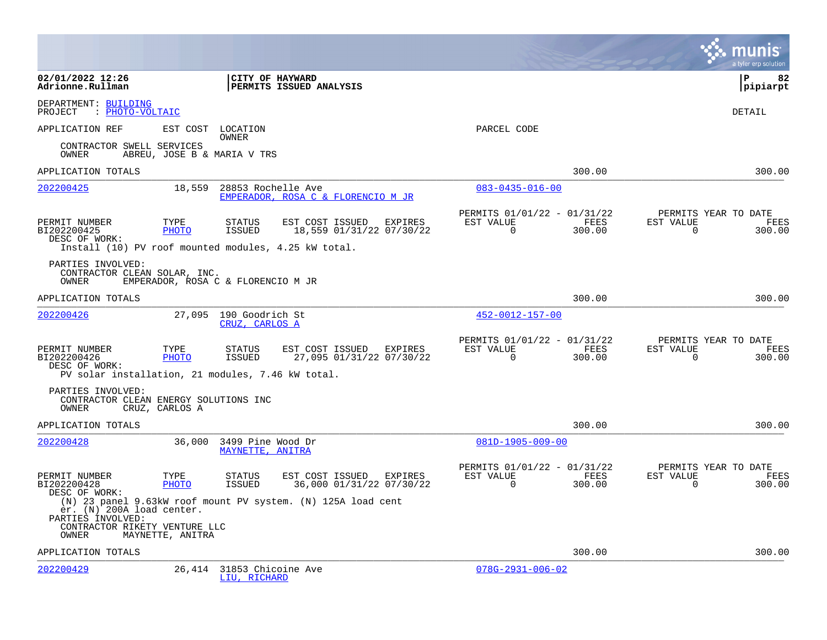|                                                                                                                    |                  |                                       |                                                              |         |                                                      |                       |                       | a tyler erp solution                          |
|--------------------------------------------------------------------------------------------------------------------|------------------|---------------------------------------|--------------------------------------------------------------|---------|------------------------------------------------------|-----------------------|-----------------------|-----------------------------------------------|
| 02/01/2022 12:26<br>Adrionne.Rullman                                                                               |                  | CITY OF HAYWARD                       | PERMITS ISSUED ANALYSIS                                      |         |                                                      |                       |                       | l P<br>82<br> pipiarpt                        |
| DEPARTMENT: BUILDING<br>PROJECT<br>: PHOTO-VOLTAIC                                                                 |                  |                                       |                                                              |         |                                                      |                       |                       | DETAIL                                        |
| APPLICATION REF                                                                                                    | EST COST         | LOCATION<br>OWNER                     |                                                              |         | PARCEL CODE                                          |                       |                       |                                               |
| CONTRACTOR SWELL SERVICES<br>OWNER                                                                                 |                  | ABREU, JOSE B & MARIA V TRS           |                                                              |         |                                                      |                       |                       |                                               |
| APPLICATION TOTALS                                                                                                 |                  |                                       |                                                              |         |                                                      | 300.00                |                       | 300.00                                        |
| 202200425                                                                                                          | 18,559           | 28853 Rochelle Ave                    | EMPERADOR, ROSA C & FLORENCIO M JR                           |         | $083 - 0435 - 016 - 00$                              |                       |                       |                                               |
| PERMIT NUMBER<br>BI202200425<br>DESC OF WORK:                                                                      | TYPE<br>PHOTO    | <b>STATUS</b><br>ISSUED               | EST COST ISSUED<br>18,559 01/31/22 07/30/22                  | EXPIRES | PERMITS 01/01/22 - 01/31/22<br>EST VALUE<br>$\Omega$ | FEES<br>300.00        | EST VALUE<br>$\Omega$ | PERMITS YEAR TO DATE<br><b>FEES</b><br>300.00 |
| Install (10) PV roof mounted modules, 4.25 kW total.<br>PARTIES INVOLVED:<br>CONTRACTOR CLEAN SOLAR, INC.<br>OWNER |                  | EMPERADOR, ROSA C & FLORENCIO M JR    |                                                              |         |                                                      |                       |                       |                                               |
| APPLICATION TOTALS                                                                                                 |                  |                                       |                                                              |         |                                                      | 300.00                |                       | 300.00                                        |
| 202200426                                                                                                          | 27,095           | 190 Goodrich St<br>CRUZ, CARLOS A     |                                                              |         | $452 - 0012 - 157 - 00$                              |                       |                       |                                               |
| PERMIT NUMBER<br>BI202200426<br>DESC OF WORK:<br>PV solar installation, 21 modules, 7.46 kW total.                 | TYPE<br>PHOTO    | <b>STATUS</b><br>ISSUED               | EST COST ISSUED EXPIRES<br>27,095 01/31/22 07/30/22          |         | PERMITS 01/01/22 - 01/31/22<br>EST VALUE<br>$\Omega$ | FEES<br>300.00        | EST VALUE<br>$\Omega$ | PERMITS YEAR TO DATE<br>FEES<br>300.00        |
| PARTIES INVOLVED:<br>CONTRACTOR CLEAN ENERGY SOLUTIONS INC<br>OWNER                                                | CRUZ, CARLOS A   |                                       |                                                              |         |                                                      |                       |                       |                                               |
| APPLICATION TOTALS                                                                                                 |                  |                                       |                                                              |         |                                                      | 300.00                |                       | 300.00                                        |
| 202200428                                                                                                          | 36,000           | 3499 Pine Wood Dr<br>MAYNETTE, ANITRA |                                                              |         | $081D-1905-009-00$                                   |                       |                       |                                               |
| PERMIT NUMBER<br>BI202200428<br>DESC OF WORK:                                                                      | TYPE<br>PHOTO    | <b>STATUS</b><br><b>ISSUED</b>        | EST COST ISSUED<br>36,000 01/31/22 07/30/22                  | EXPIRES | PERMITS 01/01/22 - 01/31/22<br>EST VALUE<br>$\Omega$ | <b>FEES</b><br>300.00 | EST VALUE<br>$\Omega$ | PERMITS YEAR TO DATE<br>FEES<br>300.00        |
| er. (N) 200A load center.<br>PARTIES INVOLVED:<br>CONTRACTOR RIKETY VENTURE LLC<br>OWNER                           | MAYNETTE, ANITRA |                                       | (N) 23 panel 9.63kW roof mount PV system. (N) 125A load cent |         |                                                      |                       |                       |                                               |
| APPLICATION TOTALS                                                                                                 |                  |                                       |                                                              |         |                                                      | 300.00                |                       | 300.00                                        |
| 202200429                                                                                                          | 26,414           | 31853 Chicoine Ave<br>LIU, RICHARD    |                                                              |         | $078G - 2931 - 006 - 02$                             |                       |                       |                                               |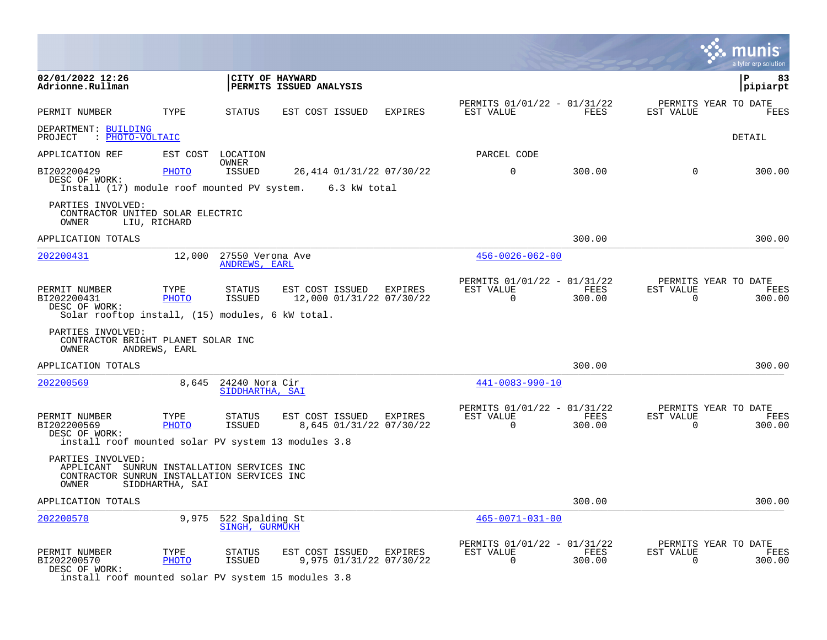|                                                                                                                         |                 |                                         |                                                     |                |                                                      |                |                       | a tyler erp solution                   |
|-------------------------------------------------------------------------------------------------------------------------|-----------------|-----------------------------------------|-----------------------------------------------------|----------------|------------------------------------------------------|----------------|-----------------------|----------------------------------------|
| 02/01/2022 12:26<br>Adrionne.Rullman                                                                                    |                 |                                         | CITY OF HAYWARD<br><b>PERMITS ISSUED ANALYSIS</b>   |                |                                                      |                |                       | ${\bf P}$<br>83<br>pipiarpt            |
| PERMIT NUMBER                                                                                                           | TYPE            | STATUS                                  | EST COST ISSUED                                     | <b>EXPIRES</b> | PERMITS 01/01/22 - 01/31/22<br>EST VALUE             | <b>FEES</b>    | EST VALUE             | PERMITS YEAR TO DATE<br>FEES           |
| DEPARTMENT: BUILDING<br>PROJECT : PHOTO-VOLTAIC                                                                         |                 |                                         |                                                     |                |                                                      |                |                       | DETAIL                                 |
| APPLICATION REF                                                                                                         |                 | EST COST LOCATION                       |                                                     |                | PARCEL CODE                                          |                |                       |                                        |
| BI202200429<br>DESC OF WORK:<br>Install (17) module roof mounted PV system. 6.3 kW total                                | PHOTO           | OWNER<br><b>ISSUED</b>                  | 26,414 01/31/22 07/30/22                            |                | $\Omega$                                             | 300.00         | $\Omega$              | 300.00                                 |
| PARTIES INVOLVED:<br>CONTRACTOR UNITED SOLAR ELECTRIC<br>OWNER                                                          | LIU, RICHARD    |                                         |                                                     |                |                                                      |                |                       |                                        |
| APPLICATION TOTALS                                                                                                      |                 |                                         |                                                     |                |                                                      | 300.00         |                       | 300.00                                 |
| 202200431                                                                                                               | 12,000          | 27550 Verona Ave<br>ANDREWS, EARL       |                                                     |                | $456 - 0026 - 062 - 00$                              |                |                       |                                        |
| PERMIT NUMBER<br>BI202200431<br>DESC OF WORK:<br>Solar rooftop install, (15) modules, 6 kW total.                       | TYPE<br>PHOTO   | STATUS<br><b>ISSUED</b>                 | EST COST ISSUED EXPIRES<br>12,000 01/31/22 07/30/22 |                | PERMITS 01/01/22 - 01/31/22<br>EST VALUE<br>$\Omega$ | FEES<br>300.00 | EST VALUE<br>$\Omega$ | PERMITS YEAR TO DATE<br>FEES<br>300.00 |
| PARTIES INVOLVED:<br>CONTRACTOR BRIGHT PLANET SOLAR INC<br>OWNER                                                        | ANDREWS, EARL   |                                         |                                                     |                |                                                      |                |                       |                                        |
| APPLICATION TOTALS                                                                                                      |                 |                                         |                                                     |                |                                                      | 300.00         |                       | 300.00                                 |
| 202200569                                                                                                               |                 | 8,645 24240 Nora Cir<br>SIDDHARTHA, SAI |                                                     |                | $441 - 0083 - 990 - 10$                              |                |                       |                                        |
| PERMIT NUMBER<br>BI202200569<br>DESC OF WORK:<br>install roof mounted solar PV system 13 modules 3.8                    | TYPE<br>PHOTO   | STATUS<br>ISSUED                        | EST COST ISSUED EXPIRES<br>8,645 01/31/22 07/30/22  |                | PERMITS 01/01/22 - 01/31/22<br>EST VALUE<br>0        | FEES<br>300.00 | EST VALUE<br>0        | PERMITS YEAR TO DATE<br>FEES<br>300.00 |
| PARTIES INVOLVED:<br>APPLICANT SUNRUN INSTALLATION SERVICES INC<br>CONTRACTOR SUNRUN INSTALLATION SERVICES INC<br>OWNER | SIDDHARTHA, SAI |                                         |                                                     |                |                                                      |                |                       |                                        |
| APPLICATION TOTALS                                                                                                      |                 |                                         |                                                     |                |                                                      | 300.00         |                       | 300.00                                 |
| 202200570                                                                                                               | 9,975           | 522 Spalding St<br>SINGH, GURMUKH       |                                                     |                | $465 - 0071 - 031 - 00$                              |                |                       |                                        |
| PERMIT NUMBER<br>BI202200570<br>DESC OF WORK:                                                                           | TYPE<br>PHOTO   | STATUS<br>ISSUED                        | EST COST ISSUED<br>9,975 01/31/22 07/30/22          | EXPIRES        | PERMITS 01/01/22 - 01/31/22<br>EST VALUE<br>0        | FEES<br>300.00 | EST VALUE<br>0        | PERMITS YEAR TO DATE<br>FEES<br>300.00 |

install roof mounted solar PV system 15 modules 3.8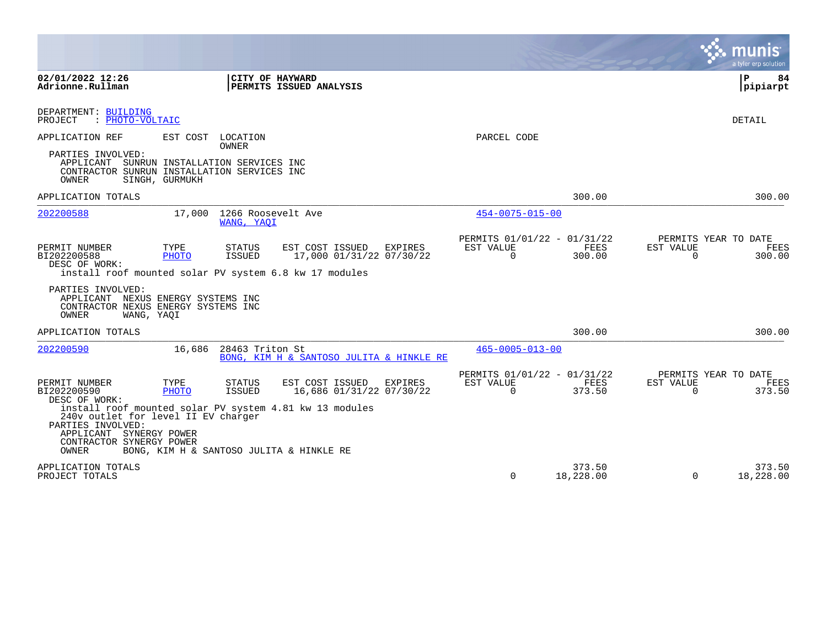|                                                                                                                                                                                     |                          |                                  |                                             |                |                                                         |                     |                       | munis<br>a tyler erp solution          |
|-------------------------------------------------------------------------------------------------------------------------------------------------------------------------------------|--------------------------|----------------------------------|---------------------------------------------|----------------|---------------------------------------------------------|---------------------|-----------------------|----------------------------------------|
| 02/01/2022 12:26<br>Adrionne.Rullman                                                                                                                                                |                          |                                  | CITY OF HAYWARD<br>PERMITS ISSUED ANALYSIS  |                |                                                         |                     |                       | $\mathbf{P}$<br>84<br> pipiarpt        |
| DEPARTMENT: BUILDING<br>: PHOTO-VOLTAIC<br>PROJECT                                                                                                                                  |                          |                                  |                                             |                |                                                         |                     |                       | DETAIL                                 |
| APPLICATION REF                                                                                                                                                                     | EST COST                 | LOCATION<br>OWNER                |                                             |                | PARCEL CODE                                             |                     |                       |                                        |
| PARTIES INVOLVED:<br>APPLICANT SUNRUN INSTALLATION SERVICES INC<br>CONTRACTOR SUNRUN INSTALLATION SERVICES INC<br>OWNER                                                             | SINGH, GURMUKH           |                                  |                                             |                |                                                         |                     |                       |                                        |
| APPLICATION TOTALS                                                                                                                                                                  |                          |                                  |                                             |                |                                                         | 300.00              |                       | 300.00                                 |
| 202200588                                                                                                                                                                           | 17,000                   | 1266 Roosevelt Ave<br>WANG, YAOI |                                             |                | $454 - 0075 - 015 - 00$                                 |                     |                       |                                        |
| PERMIT NUMBER<br>BI202200588<br>DESC OF WORK:<br>install roof mounted solar PV system 6.8 kw 17 modules                                                                             | TYPE<br><b>PHOTO</b>     | STATUS<br><b>ISSUED</b>          | EST COST ISSUED<br>17,000 01/31/22 07/30/22 | <b>EXPIRES</b> | PERMITS 01/01/22 - 01/31/22<br>EST VALUE<br>$\Omega$    | FEES<br>300.00      | EST VALUE<br>$\Omega$ | PERMITS YEAR TO DATE<br>FEES<br>300.00 |
| PARTIES INVOLVED:<br>APPLICANT<br>CONTRACTOR NEXUS ENERGY SYSTEMS INC<br>OWNER<br>WANG, YAOI                                                                                        | NEXUS ENERGY SYSTEMS INC |                                  |                                             |                |                                                         |                     |                       |                                        |
| APPLICATION TOTALS                                                                                                                                                                  |                          |                                  |                                             |                |                                                         | 300.00              |                       | 300.00                                 |
| 202200590                                                                                                                                                                           | 16,686                   | 28463 Triton St                  | BONG, KIM H & SANTOSO JULITA & HINKLE RE    |                | $465 - 0005 - 013 - 00$                                 |                     |                       |                                        |
| PERMIT NUMBER<br>BI202200590<br>DESC OF WORK:                                                                                                                                       | TYPE<br>PHOTO            | STATUS<br><b>ISSUED</b>          | EST COST ISSUED<br>16,686 01/31/22 07/30/22 | EXPIRES        | PERMITS 01/01/22 - 01/31/22<br>EST VALUE<br>$\mathbf 0$ | FEES<br>373.50      | EST VALUE<br>$\Omega$ | PERMITS YEAR TO DATE<br>FEES<br>373.50 |
| install roof mounted solar PV system 4.81 kw 13 modules<br>240v outlet for level II EV charger<br>PARTIES INVOLVED:<br>APPLICANT SYNERGY POWER<br>CONTRACTOR SYNERGY POWER<br>OWNER |                          |                                  | BONG, KIM H & SANTOSO JULITA & HINKLE RE    |                |                                                         |                     |                       |                                        |
| APPLICATION TOTALS<br>PROJECT TOTALS                                                                                                                                                |                          |                                  |                                             |                | $\Omega$                                                | 373.50<br>18,228.00 | $\Omega$              | 373.50<br>18,228.00                    |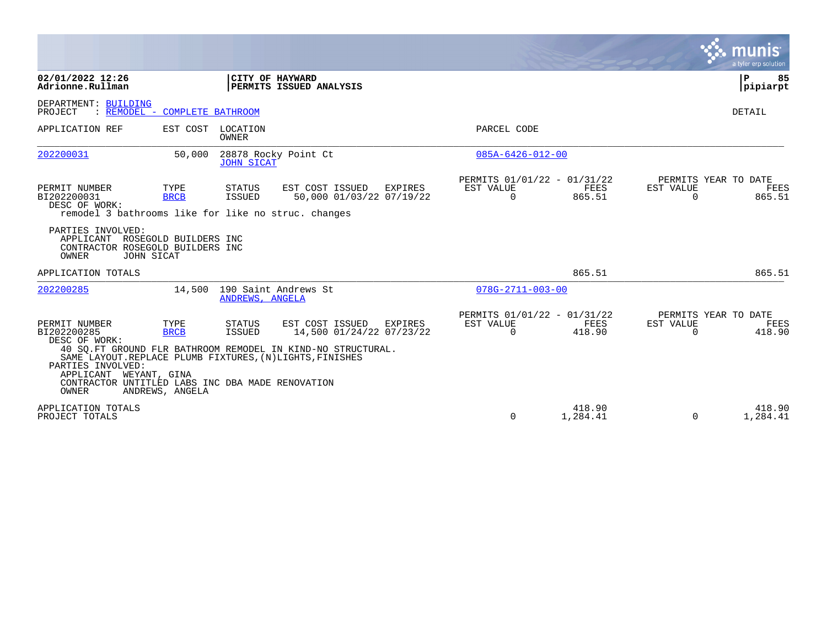|                                                                                                                                                           |                                        |                            |                                                                                                                                                                                     |                                                      |                    |                       | munis<br>a tyler erp solution                 |
|-----------------------------------------------------------------------------------------------------------------------------------------------------------|----------------------------------------|----------------------------|-------------------------------------------------------------------------------------------------------------------------------------------------------------------------------------|------------------------------------------------------|--------------------|-----------------------|-----------------------------------------------|
| 02/01/2022 12:26<br>Adrionne.Rullman                                                                                                                      |                                        | CITY OF HAYWARD            | PERMITS ISSUED ANALYSIS                                                                                                                                                             |                                                      |                    |                       | l P<br>85<br> pipiarpt                        |
| DEPARTMENT: BUILDING<br>PROJECT                                                                                                                           | : REMODEL - COMPLETE BATHROOM          |                            |                                                                                                                                                                                     |                                                      |                    |                       | DETAIL                                        |
| APPLICATION REF                                                                                                                                           |                                        | EST COST LOCATION<br>OWNER |                                                                                                                                                                                     | PARCEL CODE                                          |                    |                       |                                               |
| 202200031                                                                                                                                                 | 50,000                                 | <b>JOHN SICAT</b>          | 28878 Rocky Point Ct                                                                                                                                                                | $085A - 6426 - 012 - 00$                             |                    |                       |                                               |
| PERMIT NUMBER<br>BI202200031<br>DESC OF WORK:<br>remodel 3 bathrooms like for like no struc. changes                                                      | TYPE<br><b>BRCB</b>                    | STATUS<br>ISSUED           | EST COST ISSUED<br>EXPIRES<br>50,000 01/03/22 07/19/22                                                                                                                              | PERMITS 01/01/22 - 01/31/22<br>EST VALUE<br>$\Omega$ | FEES<br>865.51     | EST VALUE<br>$\Omega$ | PERMITS YEAR TO DATE<br>FEES<br>865.51        |
| PARTIES INVOLVED:<br>APPLICANT ROSEGOLD BUILDERS INC<br>CONTRACTOR ROSEGOLD BUILDERS INC<br>OWNER                                                         | JOHN SICAT                             |                            |                                                                                                                                                                                     |                                                      |                    |                       |                                               |
| APPLICATION TOTALS                                                                                                                                        |                                        |                            |                                                                                                                                                                                     |                                                      | 865.51             |                       | 865.51                                        |
| 202200285                                                                                                                                                 |                                        | ANDREWS, ANGELA            | 14,500 190 Saint Andrews St                                                                                                                                                         | $078G - 2711 - 003 - 00$                             |                    |                       |                                               |
| PERMIT NUMBER<br>BI202200285<br>DESC OF WORK:<br>PARTIES INVOLVED:<br>APPLICANT WEYANT, GINA<br>CONTRACTOR UNTITLED LABS INC DBA MADE RENOVATION<br>OWNER | TYPE<br><b>BRCB</b><br>ANDREWS, ANGELA | STATUS<br>ISSUED           | EST COST ISSUED<br>EXPIRES<br>14,500 01/24/22 07/23/22<br>40 SO. FT GROUND FLR BATHROOM REMODEL IN KIND-NO STRUCTURAL.<br>SAME LAYOUT. REPLACE PLUMB FIXTURES, (N) LIGHTS, FINISHES | PERMITS 01/01/22 - 01/31/22<br>EST VALUE<br>$\Omega$ | FEES<br>418.90     | EST VALUE<br>$\Omega$ | PERMITS YEAR TO DATE<br><b>FEES</b><br>418.90 |
| APPLICATION TOTALS<br>PROJECT TOTALS                                                                                                                      |                                        |                            |                                                                                                                                                                                     | $\Omega$                                             | 418.90<br>1,284.41 | 0                     | 418.90<br>1,284.41                            |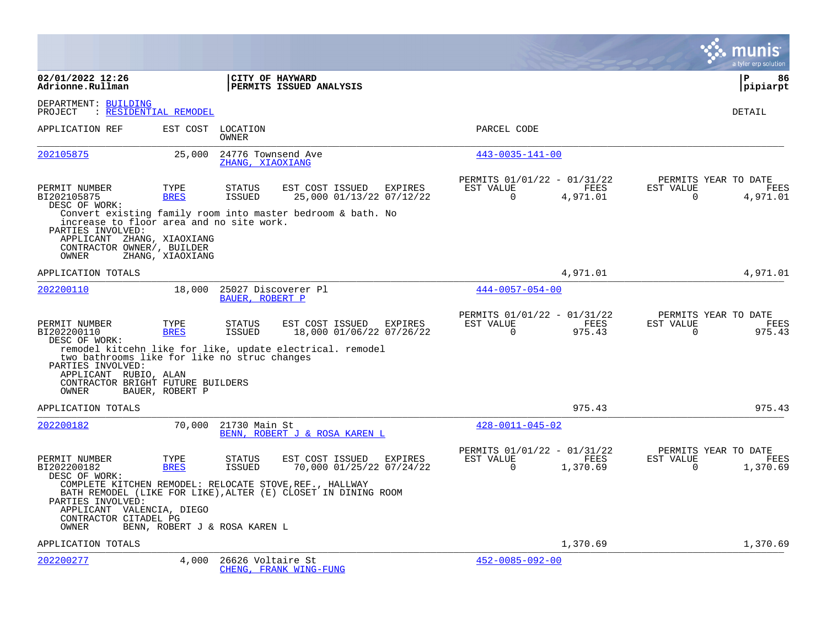|                                                                                                                                    |                               |                                        |                                                                                                                          |         |                                                      |                  |                       | a tyler erp solution                     |
|------------------------------------------------------------------------------------------------------------------------------------|-------------------------------|----------------------------------------|--------------------------------------------------------------------------------------------------------------------------|---------|------------------------------------------------------|------------------|-----------------------|------------------------------------------|
| 02/01/2022 12:26<br>Adrionne.Rullman                                                                                               |                               |                                        | CITY OF HAYWARD<br>PERMITS ISSUED ANALYSIS                                                                               |         |                                                      |                  |                       | ∣P<br>86<br> pipiarpt                    |
| DEPARTMENT: BUILDING<br>PROJECT                                                                                                    | : RESIDENTIAL REMODEL         |                                        |                                                                                                                          |         |                                                      |                  |                       | DETAIL                                   |
| APPLICATION REF                                                                                                                    |                               | EST COST LOCATION<br><b>OWNER</b>      |                                                                                                                          |         | PARCEL CODE                                          |                  |                       |                                          |
| 202105875                                                                                                                          | 25,000                        | 24776 Townsend Ave<br>ZHANG, XIAOXIANG |                                                                                                                          |         | $443 - 0035 - 141 - 00$                              |                  |                       |                                          |
| PERMIT NUMBER<br>BI202105875<br>DESC OF WORK:                                                                                      | TYPE<br><b>BRES</b>           | <b>STATUS</b><br><b>ISSUED</b>         | EST COST ISSUED<br>25,000 01/13/22 07/12/22<br>Convert existing family room into master bedroom & bath. No               | EXPIRES | PERMITS 01/01/22 - 01/31/22<br>EST VALUE<br>$\Omega$ | FEES<br>4,971.01 | EST VALUE<br>$\Omega$ | PERMITS YEAR TO DATE<br>FEES<br>4,971.01 |
| increase to floor area and no site work.<br>PARTIES INVOLVED:<br>APPLICANT ZHANG, XIAOXIANG<br>CONTRACTOR OWNER/, BUILDER<br>OWNER | ZHANG, XIAOXIANG              |                                        |                                                                                                                          |         |                                                      |                  |                       |                                          |
| APPLICATION TOTALS                                                                                                                 |                               |                                        |                                                                                                                          |         |                                                      | 4,971.01         |                       | 4,971.01                                 |
| 202200110                                                                                                                          | 18,000                        | BAUER, ROBERT P                        | 25027 Discoverer Pl                                                                                                      |         | $444 - 0057 - 054 - 00$                              |                  |                       |                                          |
| PERMIT NUMBER<br>BI202200110<br>DESC OF WORK:                                                                                      | TYPE<br><b>BRES</b>           | <b>STATUS</b><br><b>ISSUED</b>         | EST COST ISSUED<br>18,000 01/06/22 07/26/22                                                                              | EXPIRES | PERMITS 01/01/22 - 01/31/22<br>EST VALUE<br>$\Omega$ | FEES<br>975.43   | EST VALUE<br>$\Omega$ | PERMITS YEAR TO DATE<br>FEES<br>975.43   |
| PARTIES INVOLVED:                                                                                                                  |                               |                                        | remodel kitcehn like for like, update electrical. remodel<br>two bathrooms like for like no struc changes                |         |                                                      |                  |                       |                                          |
| APPLICANT RUBIO, ALAN<br>CONTRACTOR BRIGHT FUTURE BUILDERS<br>OWNER                                                                | BAUER, ROBERT P               |                                        |                                                                                                                          |         |                                                      |                  |                       |                                          |
| APPLICATION TOTALS                                                                                                                 |                               |                                        |                                                                                                                          |         |                                                      | 975.43           |                       | 975.43                                   |
| 202200182                                                                                                                          | 70,000                        | 21730 Main St                          | BENN, ROBERT J & ROSA KAREN L                                                                                            |         | $428 - 0011 - 045 - 02$                              |                  |                       |                                          |
| PERMIT NUMBER<br>BI202200182<br>DESC OF WORK:                                                                                      | TYPE<br><b>BRES</b>           | <b>STATUS</b><br>ISSUED                | EST COST ISSUED<br>70,000 01/25/22 07/24/22                                                                              | EXPIRES | PERMITS 01/01/22 - 01/31/22<br>EST VALUE<br>$\Omega$ | FEES<br>1,370.69 | EST VALUE<br>$\Omega$ | PERMITS YEAR TO DATE<br>FEES<br>1,370.69 |
| PARTIES INVOLVED:<br>APPLICANT VALENCIA, DIEGO                                                                                     |                               |                                        | COMPLETE KITCHEN REMODEL: RELOCATE STOVE, REF., HALLWAY<br>BATH REMODEL (LIKE FOR LIKE), ALTER (E) CLOSET IN DINING ROOM |         |                                                      |                  |                       |                                          |
| CONTRACTOR CITADEL PG<br>OWNER                                                                                                     | BENN, ROBERT J & ROSA KAREN L |                                        |                                                                                                                          |         |                                                      |                  |                       |                                          |
| APPLICATION TOTALS                                                                                                                 |                               |                                        |                                                                                                                          |         |                                                      | 1,370.69         |                       | 1,370.69                                 |
| 202200277                                                                                                                          | 4,000                         | 26626 Voltaire St                      | CHENG, FRANK WING-FUNG                                                                                                   |         | $452 - 0085 - 092 - 00$                              |                  |                       |                                          |

**College**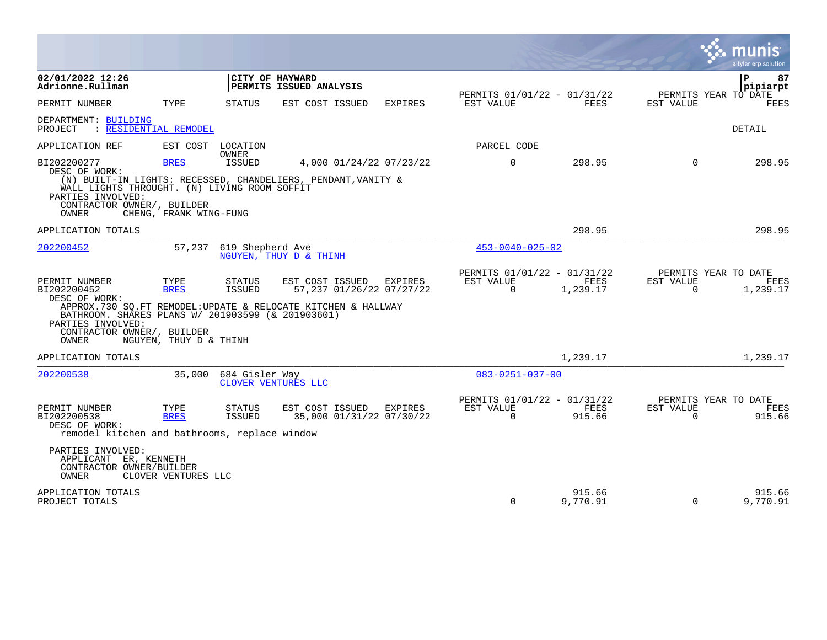|                                                                                                                                                                |                                               |                                |                                                                                                             |                |                                                      |                         |                       | munis<br>a tyler erp solution                       |
|----------------------------------------------------------------------------------------------------------------------------------------------------------------|-----------------------------------------------|--------------------------------|-------------------------------------------------------------------------------------------------------------|----------------|------------------------------------------------------|-------------------------|-----------------------|-----------------------------------------------------|
| 02/01/2022 12:26<br>Adrionne.Rullman                                                                                                                           |                                               |                                | CITY OF HAYWARD<br>PERMITS ISSUED ANALYSIS                                                                  |                | PERMITS 01/01/22 - 01/31/22                          |                         |                       | 87<br>${\bf P}$<br>pipiarpt<br>PERMITS YEAR TO DATE |
| PERMIT NUMBER                                                                                                                                                  | TYPE                                          | <b>STATUS</b>                  | EST COST ISSUED                                                                                             | EXPIRES        | EST VALUE                                            | FEES                    | EST VALUE             | FEES                                                |
| DEPARTMENT: BUILDING<br>PROJECT                                                                                                                                | : RESIDENTIAL REMODEL                         |                                |                                                                                                             |                |                                                      |                         |                       | <b>DETAIL</b>                                       |
| APPLICATION REF                                                                                                                                                |                                               | EST COST LOCATION              |                                                                                                             |                | PARCEL CODE                                          |                         |                       |                                                     |
| BI202200277<br>DESC OF WORK:<br>WALL LIGHTS THROUGHT. (N) LIVING ROOM SOFFIT<br>PARTIES INVOLVED:<br>CONTRACTOR OWNER/, BUILDER                                | <b>BRES</b>                                   | OWNER<br>ISSUED                | 4,000 01/24/22 07/23/22<br>(N) BUILT-IN LIGHTS: RECESSED, CHANDELIERS, PENDANT, VANITY &                    |                | $\Omega$                                             | 298.95                  | $\Omega$              | 298.95                                              |
| OWNER                                                                                                                                                          | CHENG, FRANK WING-FUNG                        |                                |                                                                                                             |                |                                                      |                         |                       |                                                     |
| APPLICATION TOTALS                                                                                                                                             |                                               |                                |                                                                                                             |                |                                                      | 298.95                  |                       | 298.95                                              |
| 202200452                                                                                                                                                      | 57,237                                        | 619 Shepherd Ave               | NGUYEN, THUY D & THINH                                                                                      |                | $453 - 0040 - 025 - 02$                              |                         |                       |                                                     |
| PERMIT NUMBER<br>BI202200452<br>DESC OF WORK:<br>BATHROOM. SHARES PLANS W/ 201903599 (& 201903601)<br>PARTIES INVOLVED:<br>CONTRACTOR OWNER/, BUILDER<br>OWNER | TYPE<br><b>BRES</b><br>NGUYEN, THUY D & THINH | <b>STATUS</b><br><b>ISSUED</b> | EST COST ISSUED<br>57,237 01/26/22 07/27/22<br>APPROX.730 SO.FT REMODEL:UPDATE & RELOCATE KITCHEN & HALLWAY | <b>EXPIRES</b> | PERMITS 01/01/22 - 01/31/22<br>EST VALUE<br>$\Omega$ | <b>FEES</b><br>1,239.17 | EST VALUE<br>$\Omega$ | PERMITS YEAR TO DATE<br><b>FEES</b><br>1,239.17     |
| APPLICATION TOTALS                                                                                                                                             |                                               |                                |                                                                                                             |                |                                                      | 1,239.17                |                       | 1,239.17                                            |
| 202200538                                                                                                                                                      | 35,000                                        | 684 Gisler Way                 | CLOVER VENTURES LLC                                                                                         |                | $083 - 0251 - 037 - 00$                              |                         |                       |                                                     |
| PERMIT NUMBER<br>BI202200538<br>DESC OF WORK:<br>remodel kitchen and bathrooms, replace window<br>PARTIES INVOLVED:                                            | TYPE<br><b>BRES</b>                           | <b>STATUS</b><br><b>ISSUED</b> | EST COST ISSUED EXPIRES<br>35,000 01/31/22 07/30/22                                                         |                | PERMITS 01/01/22 - 01/31/22<br>EST VALUE<br>$\Omega$ | FEES<br>915.66          | EST VALUE<br>$\Omega$ | PERMITS YEAR TO DATE<br>FEES<br>915.66              |
| APPLICANT ER, KENNETH<br>CONTRACTOR OWNER/BUILDER<br>OWNER                                                                                                     | CLOVER VENTURES LLC                           |                                |                                                                                                             |                |                                                      |                         |                       |                                                     |
| APPLICATION TOTALS<br>PROJECT TOTALS                                                                                                                           |                                               |                                |                                                                                                             |                | $\mathbf 0$                                          | 915.66<br>9,770.91      | $\mathbf 0$           | 915.66<br>9,770.91                                  |

 $\mathcal{L}^{\bullet}$  .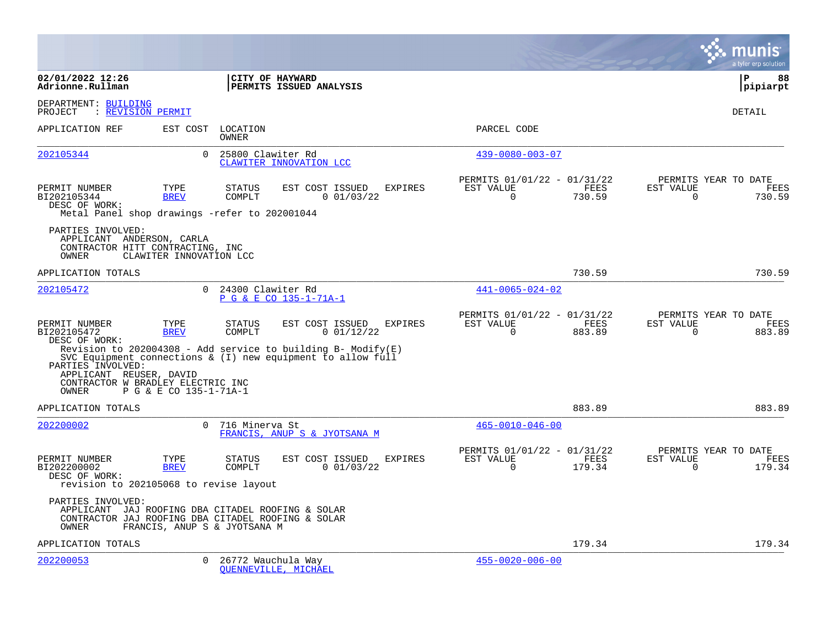|                                                                                                                                       |                              |                         |                                                                                                                                                                    |                |                                                      |                |                       | a tyler erp solution                   |
|---------------------------------------------------------------------------------------------------------------------------------------|------------------------------|-------------------------|--------------------------------------------------------------------------------------------------------------------------------------------------------------------|----------------|------------------------------------------------------|----------------|-----------------------|----------------------------------------|
| 02/01/2022 12:26<br>Adrionne.Rullman                                                                                                  |                              | CITY OF HAYWARD         | PERMITS ISSUED ANALYSIS                                                                                                                                            |                |                                                      |                |                       | l P<br>88<br> pipiarpt                 |
| DEPARTMENT: BUILDING<br>: REVISION PERMIT<br>PROJECT                                                                                  |                              |                         |                                                                                                                                                                    |                |                                                      |                |                       | <b>DETAIL</b>                          |
| APPLICATION REF                                                                                                                       | EST COST                     | LOCATION<br>OWNER       |                                                                                                                                                                    |                | PARCEL CODE                                          |                |                       |                                        |
| 202105344                                                                                                                             | $\Omega$                     | 25800 Clawiter Rd       | CLAWITER INNOVATION LCC                                                                                                                                            |                | $439 - 0080 - 003 - 07$                              |                |                       |                                        |
| PERMIT NUMBER<br>BI202105344<br>DESC OF WORK:<br>Metal Panel shop drawings -refer to 202001044                                        | TYPE<br><b>BREV</b>          | <b>STATUS</b><br>COMPLT | EST COST ISSUED<br>0 01/03/22                                                                                                                                      | <b>EXPIRES</b> | PERMITS 01/01/22 - 01/31/22<br>EST VALUE<br>$\Omega$ | FEES<br>730.59 | EST VALUE<br>$\Omega$ | PERMITS YEAR TO DATE<br>FEES<br>730.59 |
| PARTIES INVOLVED:<br>APPLICANT ANDERSON, CARLA<br>CONTRACTOR HITT CONTRACTING, INC<br>OWNER                                           | CLAWITER INNOVATION LCC      |                         |                                                                                                                                                                    |                |                                                      |                |                       |                                        |
| APPLICATION TOTALS                                                                                                                    |                              |                         |                                                                                                                                                                    |                |                                                      | 730.59         |                       | 730.59                                 |
| 202105472                                                                                                                             | $\Omega$                     | 24300 Clawiter Rd       | P G & E CO 135-1-71A-1                                                                                                                                             |                | $441 - 0065 - 024 - 02$                              |                |                       |                                        |
| PERMIT NUMBER<br>BI202105472<br>DESC OF WORK:<br>PARTIES INVOLVED:<br>APPLICANT REUSER, DAVID<br>CONTRACTOR W BRADLEY ELECTRIC INC    | TYPE<br><b>BREV</b>          | <b>STATUS</b><br>COMPLT | EST COST ISSUED<br>0 01/12/22<br>Revision to 202004308 - Add service to building B- Modify $(E)$<br>SVC Equipment connections $\&$ (I) new equipment to allow full | <b>EXPIRES</b> | PERMITS 01/01/22 - 01/31/22<br>EST VALUE<br>$\Omega$ | FEES<br>883.89 | EST VALUE<br>$\Omega$ | PERMITS YEAR TO DATE<br>FEES<br>883.89 |
| OWNER<br>APPLICATION TOTALS                                                                                                           | P G & E CO 135-1-71A-1       |                         |                                                                                                                                                                    |                |                                                      | 883.89         |                       | 883.89                                 |
| 202200002                                                                                                                             |                              | 0 716 Minerva St        | FRANCIS, ANUP S & JYOTSANA M                                                                                                                                       |                | $465 - 0010 - 046 - 00$                              |                |                       |                                        |
| PERMIT NUMBER<br>BI202200002<br>DESC OF WORK:<br>revision to 202105068 to revise layout                                               | TYPE<br><b>BREV</b>          | <b>STATUS</b><br>COMPLT | EST COST ISSUED<br>0 01/03/22                                                                                                                                      | <b>EXPIRES</b> | PERMITS 01/01/22 - 01/31/22<br>EST VALUE<br>$\Omega$ | FEES<br>179.34 | EST VALUE<br>$\Omega$ | PERMITS YEAR TO DATE<br>FEES<br>179.34 |
| PARTIES INVOLVED:<br>APPLICANT JAJ ROOFING DBA CITADEL ROOFING & SOLAR<br>CONTRACTOR JAJ ROOFING DBA CITADEL ROOFING & SOLAR<br>OWNER | FRANCIS, ANUP S & JYOTSANA M |                         |                                                                                                                                                                    |                |                                                      |                |                       |                                        |
| APPLICATION TOTALS                                                                                                                    |                              |                         |                                                                                                                                                                    |                |                                                      | 179.34         |                       | 179.34                                 |
| 202200053                                                                                                                             | $\Omega$                     | 26772 Wauchula Way      | <b>OUENNEVILLE, MICHAEL</b>                                                                                                                                        |                | $455 - 0020 - 006 - 00$                              |                |                       |                                        |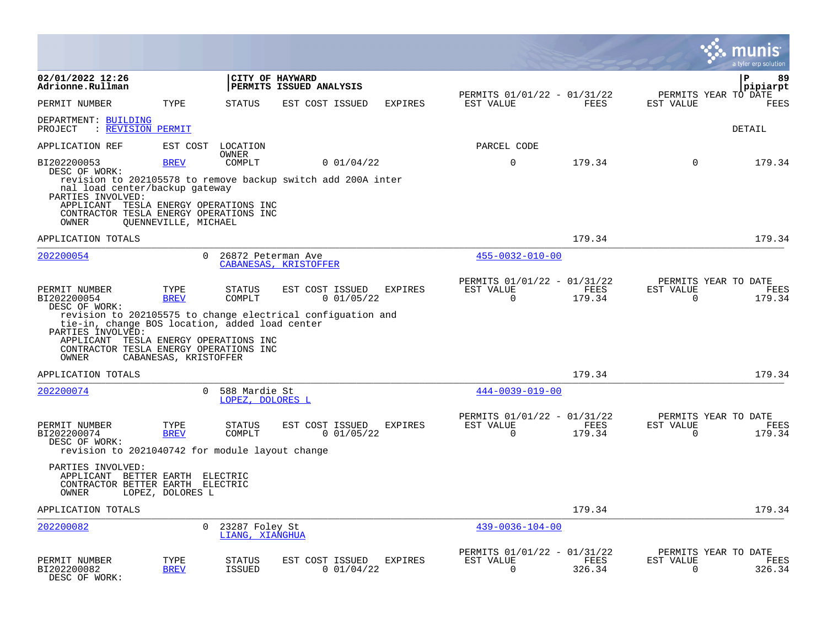|                                                                                                                                                                  |                       |                                   |                                                                                              |                |                                                            |                |                          | nıs<br>a tyler erp solution            |
|------------------------------------------------------------------------------------------------------------------------------------------------------------------|-----------------------|-----------------------------------|----------------------------------------------------------------------------------------------|----------------|------------------------------------------------------------|----------------|--------------------------|----------------------------------------|
| 02/01/2022 12:26<br>Adrionne.Rullman                                                                                                                             |                       |                                   | CITY OF HAYWARD<br>PERMITS ISSUED ANALYSIS                                                   |                |                                                            |                |                          | ∣P<br>89<br> pipiarpt                  |
| PERMIT NUMBER                                                                                                                                                    | TYPE                  | <b>STATUS</b>                     | EST COST ISSUED                                                                              | <b>EXPIRES</b> | PERMITS 01/01/22 - 01/31/22<br>EST VALUE                   | FEES           | EST VALUE                | PERMITS YEAR TO DATE<br>FEES           |
| DEPARTMENT: BUILDING<br>PROJECT<br>: REVISION PERMIT                                                                                                             |                       |                                   |                                                                                              |                |                                                            |                |                          | <b>DETAIL</b>                          |
| APPLICATION REF                                                                                                                                                  | EST COST              | LOCATION<br><b>OWNER</b>          |                                                                                              |                | PARCEL CODE                                                |                |                          |                                        |
| BI202200053                                                                                                                                                      | <b>BREV</b>           | COMPLT                            | 0 01/04/22                                                                                   |                | $\mathbf 0$                                                | 179.34         | $\Omega$                 | 179.34                                 |
| DESC OF WORK:<br>nal load center/backup gateway<br>PARTIES INVOLVED:<br>APPLICANT TESLA ENERGY OPERATIONS INC<br>CONTRACTOR TESLA ENERGY OPERATIONS INC<br>OWNER | OUENNEVILLE, MICHAEL  |                                   | revision to 202105578 to remove backup switch add 200A inter                                 |                |                                                            |                |                          |                                        |
| APPLICATION TOTALS                                                                                                                                               |                       |                                   |                                                                                              |                |                                                            | 179.34         |                          | 179.34                                 |
| 202200054                                                                                                                                                        | $\Omega$              | 26872 Peterman Ave                | CABANESAS, KRISTOFFER                                                                        |                | $455 - 0032 - 010 - 00$                                    |                |                          |                                        |
| PERMIT NUMBER<br>BI202200054<br>DESC OF WORK:                                                                                                                    | TYPE<br><b>BREV</b>   | <b>STATUS</b><br>COMPLT           | EST COST ISSUED<br>0 01/05/22<br>revision to 202105575 to change electrical configuation and | <b>EXPIRES</b> | PERMITS 01/01/22 - 01/31/22<br>EST VALUE<br>$\overline{0}$ | FEES<br>179.34 | EST VALUE<br>$\mathbf 0$ | PERMITS YEAR TO DATE<br>FEES<br>179.34 |
| tie-in, change BOS location, added load center<br>PARTIES INVOLVED:<br>APPLICANT TESLA ENERGY OPERATIONS INC<br>CONTRACTOR TESLA ENERGY OPERATIONS INC<br>OWNER  | CABANESAS, KRISTOFFER |                                   |                                                                                              |                |                                                            |                |                          |                                        |
| APPLICATION TOTALS                                                                                                                                               |                       |                                   |                                                                                              |                |                                                            | 179.34         |                          | 179.34                                 |
| 202200074                                                                                                                                                        | $\Omega$              | 588 Mardie St<br>LOPEZ, DOLORES L |                                                                                              |                | $444 - 0039 - 019 - 00$                                    |                |                          |                                        |
| PERMIT NUMBER<br>BI202200074<br>DESC OF WORK:                                                                                                                    | TYPE<br><b>BREV</b>   | <b>STATUS</b><br>COMPLT           | EST COST ISSUED<br>0 01/05/22                                                                | <b>EXPIRES</b> | PERMITS 01/01/22 - 01/31/22<br>EST VALUE<br>$\overline{0}$ | FEES<br>179.34 | EST VALUE<br>$\mathbf 0$ | PERMITS YEAR TO DATE<br>FEES<br>179.34 |
| revision to 2021040742 for module layout change<br>PARTIES INVOLVED:<br>APPLICANT BETTER EARTH<br>CONTRACTOR BETTER EARTH<br>OWNER                               | LOPEZ, DOLORES L      | ELECTRIC<br>ELECTRIC              |                                                                                              |                |                                                            |                |                          |                                        |
| APPLICATION TOTALS                                                                                                                                               |                       |                                   |                                                                                              |                |                                                            | 179.34         |                          | 179.34                                 |
| 202200082                                                                                                                                                        | $\Omega$              | 23287 Foley St<br>LIANG, XIANGHUA |                                                                                              |                | $439 - 0036 - 104 - 00$                                    |                |                          |                                        |
| PERMIT NUMBER<br>BI202200082<br>DESC OF WORK:                                                                                                                    | TYPE<br><b>BREV</b>   | STATUS<br><b>ISSUED</b>           | EST COST ISSUED<br>0 01/04/22                                                                | <b>EXPIRES</b> | PERMITS 01/01/22 - 01/31/22<br>EST VALUE<br>$\Omega$       | FEES<br>326.34 | EST VALUE<br>$\Omega$    | PERMITS YEAR TO DATE<br>FEES<br>326.34 |

 $\bullet$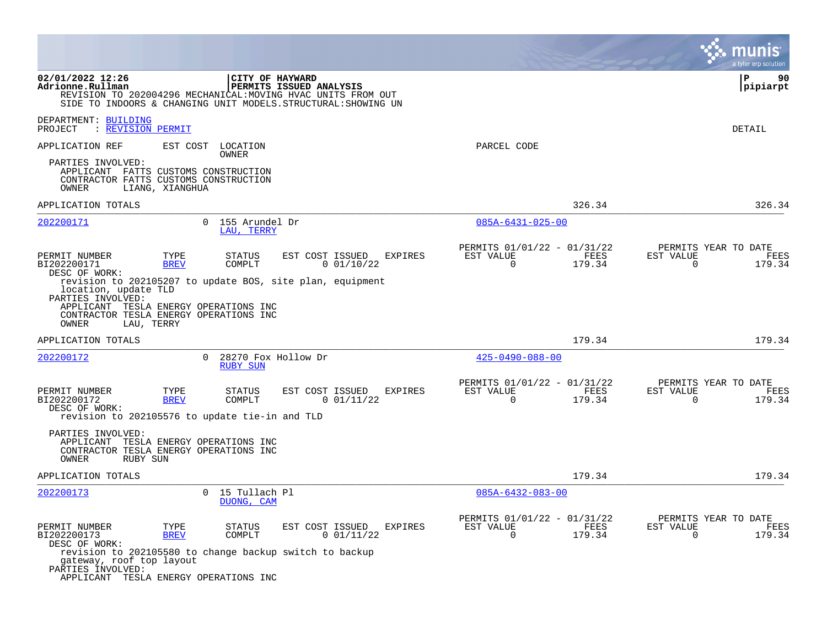|                                                                                                                                                     |                             |                                        |                                                                                                                                                           |                                                         |                | a tyler erp solution                                               |
|-----------------------------------------------------------------------------------------------------------------------------------------------------|-----------------------------|----------------------------------------|-----------------------------------------------------------------------------------------------------------------------------------------------------------|---------------------------------------------------------|----------------|--------------------------------------------------------------------|
| 02/01/2022 12:26<br>Adrionne.Rullman                                                                                                                |                             | CITY OF HAYWARD                        | PERMITS ISSUED ANALYSIS<br>REVISION TO 202004296 MECHANICAL: MOVING HVAC UNITS FROM OUT<br>SIDE TO INDOORS & CHANGING UNIT MODELS. STRUCTURAL: SHOWING UN |                                                         |                | l P<br>90<br> pipiarpt                                             |
| DEPARTMENT: BUILDING<br>PROJECT<br>: REVISION PERMIT                                                                                                |                             |                                        |                                                                                                                                                           |                                                         |                | DETAIL                                                             |
| APPLICATION REF                                                                                                                                     | EST COST LOCATION           | OWNER                                  |                                                                                                                                                           | PARCEL CODE                                             |                |                                                                    |
| PARTIES INVOLVED:<br>APPLICANT FATTS CUSTOMS CONSTRUCTION<br>CONTRACTOR FATTS CUSTOMS CONSTRUCTION<br>OWNER                                         | LIANG, XIANGHUA             |                                        |                                                                                                                                                           |                                                         |                |                                                                    |
| APPLICATION TOTALS                                                                                                                                  |                             |                                        |                                                                                                                                                           |                                                         | 326.34         | 326.34                                                             |
| 202200171                                                                                                                                           |                             | 0 155 Arundel Dr<br>LAU. TERRY         |                                                                                                                                                           | $085A - 6431 - 025 - 00$                                |                |                                                                    |
| PERMIT NUMBER<br>BI202200171<br>DESC OF WORK:                                                                                                       | TYPE<br><b>BREV</b>         | <b>STATUS</b><br>COMPLT                | EST COST ISSUED<br><b>EXPIRES</b><br>0 01/10/22                                                                                                           | PERMITS 01/01/22 - 01/31/22<br>EST VALUE<br>$\mathbf 0$ | FEES<br>179.34 | PERMITS YEAR TO DATE<br>EST VALUE<br>FEES<br>$\mathbf 0$<br>179.34 |
| location, update TLD<br>PARTIES INVOLVED:<br>APPLICANT TESLA ENERGY OPERATIONS INC<br>CONTRACTOR TESLA ENERGY OPERATIONS INC<br>OWNER<br>LAU, TERRY |                             |                                        | revision to 202105207 to update BOS, site plan, equipment                                                                                                 |                                                         |                |                                                                    |
| APPLICATION TOTALS                                                                                                                                  |                             |                                        |                                                                                                                                                           |                                                         | 179.34         | 179.34                                                             |
| 202200172                                                                                                                                           | $\Omega$                    | 28270 Fox Hollow Dr<br><b>RUBY SUN</b> |                                                                                                                                                           | $425 - 0490 - 088 - 00$                                 |                |                                                                    |
| PERMIT NUMBER<br>BI202200172<br>DESC OF WORK:<br>revision to 202105576 to update tie-in and TLD                                                     | TYPE<br><b>BREV</b>         | <b>STATUS</b><br>COMPLT                | EST COST ISSUED<br><b>EXPIRES</b><br>0 01/11/22                                                                                                           | PERMITS 01/01/22 - 01/31/22<br>EST VALUE<br>$\Omega$    | FEES<br>179.34 | PERMITS YEAR TO DATE<br>EST VALUE<br>FEES<br>0<br>179.34           |
| PARTIES INVOLVED:<br>APPLICANT<br>CONTRACTOR TESLA ENERGY OPERATIONS INC<br>OWNER<br>RUBY SUN                                                       | TESLA ENERGY OPERATIONS INC |                                        |                                                                                                                                                           |                                                         |                |                                                                    |
| APPLICATION TOTALS                                                                                                                                  |                             |                                        |                                                                                                                                                           |                                                         | 179.34         | 179.34                                                             |
| 202200173                                                                                                                                           | $\Omega$                    | 15 Tullach Pl<br>DUONG, CAM            |                                                                                                                                                           | $085A - 6432 - 083 - 00$                                |                |                                                                    |
| PERMIT NUMBER<br>BI202200173<br>DESC OF WORK:                                                                                                       | TYPE<br><b>BREV</b>         | <b>STATUS</b><br>COMPLT                | EST COST ISSUED<br>EXPIRES<br>0 01/11/22<br>revision to 202105580 to change backup switch to backup                                                       | PERMITS 01/01/22 - 01/31/22<br>EST VALUE<br>0           | FEES<br>179.34 | PERMITS YEAR TO DATE<br>EST VALUE<br>FEES<br>$\mathbf 0$<br>179.34 |
| gateway, roof top layout<br>PARTIES INVOLVED:<br>APPLICANT TESLA ENERGY OPERATIONS INC                                                              |                             |                                        |                                                                                                                                                           |                                                         |                |                                                                    |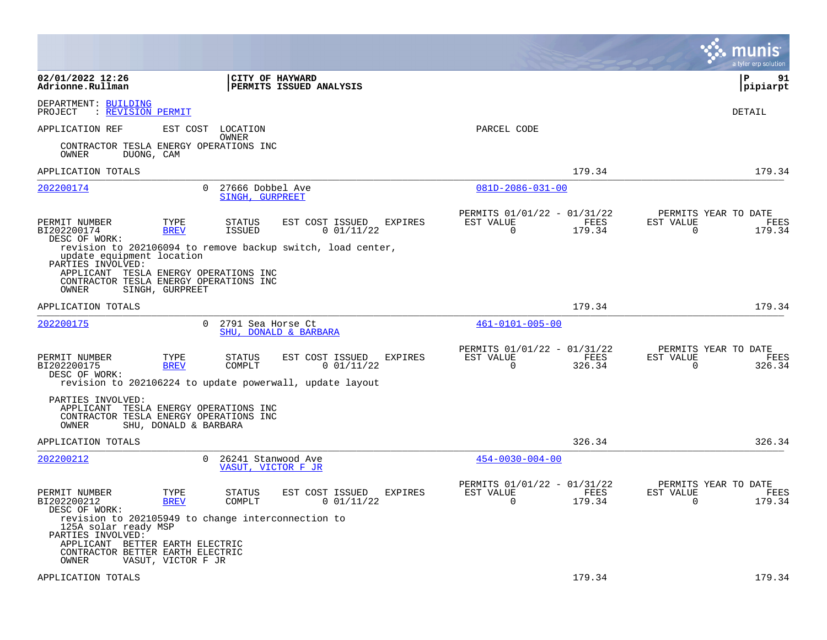|                                                                                                                                                               |                                                                                                                                             |                                                                                          | munis<br>a tyler erp solution                                   |
|---------------------------------------------------------------------------------------------------------------------------------------------------------------|---------------------------------------------------------------------------------------------------------------------------------------------|------------------------------------------------------------------------------------------|-----------------------------------------------------------------|
| 02/01/2022 12:26<br>Adrionne.Rullman                                                                                                                          | <b>CITY OF HAYWARD</b><br><b>PERMITS ISSUED ANALYSIS</b>                                                                                    |                                                                                          | l P<br>91<br> pipiarpt                                          |
| DEPARTMENT: BUILDING<br>: REVISION PERMIT<br>PROJECT                                                                                                          |                                                                                                                                             |                                                                                          | DETAIL                                                          |
| APPLICATION REF                                                                                                                                               | EST COST<br>LOCATION                                                                                                                        | PARCEL CODE                                                                              |                                                                 |
| CONTRACTOR TESLA ENERGY OPERATIONS INC<br>OWNER<br>DUONG, CAM                                                                                                 | OWNER                                                                                                                                       |                                                                                          |                                                                 |
| APPLICATION TOTALS                                                                                                                                            |                                                                                                                                             | 179.34                                                                                   | 179.34                                                          |
| 202200174                                                                                                                                                     | 27666 Dobbel Ave<br>$\Omega$<br>SINGH, GURPREET                                                                                             | $081D - 2086 - 031 - 00$                                                                 |                                                                 |
| PERMIT NUMBER<br>BI202200174<br>DESC OF WORK:                                                                                                                 | TYPE<br><b>STATUS</b><br>EST COST ISSUED<br>0 01/11/22<br><b>BREV</b><br>ISSUED                                                             | PERMITS 01/01/22 - 01/31/22<br><b>EXPIRES</b><br>EST VALUE<br>FEES<br>$\Omega$<br>179.34 | PERMITS YEAR TO DATE<br>EST VALUE<br>FEES<br>$\Omega$<br>179.34 |
| update equipment location<br>PARTIES INVOLVED:<br>APPLICANT TESLA ENERGY OPERATIONS INC<br>CONTRACTOR TESLA ENERGY OPERATIONS INC<br>OWNER<br>SINGH, GURPREET | revision to 202106094 to remove backup switch, load center,                                                                                 |                                                                                          |                                                                 |
| APPLICATION TOTALS                                                                                                                                            |                                                                                                                                             | 179.34                                                                                   | 179.34                                                          |
| 202200175                                                                                                                                                     | $\Omega$<br>2791 Sea Horse Ct<br>SHU, DONALD & BARBARA                                                                                      | $461 - 0101 - 005 - 00$                                                                  |                                                                 |
| PERMIT NUMBER<br>BI202200175<br>DESC OF WORK:                                                                                                                 | TYPE<br>EST COST ISSUED<br><b>STATUS</b><br><b>BREV</b><br>COMPLT<br>0 01/11/22<br>revision to 202106224 to update powerwall, update layout | PERMITS 01/01/22 - 01/31/22<br>FEES<br><b>EXPIRES</b><br>EST VALUE<br>$\Omega$<br>326.34 | PERMITS YEAR TO DATE<br>EST VALUE<br>FEES<br>$\Omega$<br>326.34 |
| PARTIES INVOLVED:<br>APPLICANT TESLA ENERGY OPERATIONS INC<br>CONTRACTOR TESLA ENERGY OPERATIONS INC<br>OWNER                                                 | SHU, DONALD & BARBARA                                                                                                                       |                                                                                          |                                                                 |
| APPLICATION TOTALS                                                                                                                                            |                                                                                                                                             | 326.34                                                                                   | 326.34                                                          |
| 202200212                                                                                                                                                     | $\mathbf{0}$<br>26241 Stanwood Ave<br>VASUT, VICTOR F JR                                                                                    | $454 - 0030 - 004 - 00$                                                                  |                                                                 |
| PERMIT NUMBER<br>BI202200212<br>DESC OF WORK:                                                                                                                 | TYPE<br>STATUS<br>EST COST ISSUED<br>COMPLT<br>0 01/11/22<br><b>BREV</b>                                                                    | PERMITS 01/01/22 - 01/31/22<br><b>EXPIRES</b><br>EST VALUE<br>FEES<br>0<br>179.34        | PERMITS YEAR TO DATE<br>EST VALUE<br>FEES<br>179.34<br>0        |
| 125A solar ready MSP<br>PARTIES INVOLVED:<br>APPLICANT BETTER EARTH ELECTRIC<br>CONTRACTOR BETTER EARTH ELECTRIC                                              | revision to 202105949 to change interconnection to                                                                                          |                                                                                          |                                                                 |
| OWNER                                                                                                                                                         | VASUT, VICTOR F JR                                                                                                                          | 179.34                                                                                   | 179.34                                                          |
| APPLICATION TOTALS                                                                                                                                            |                                                                                                                                             |                                                                                          |                                                                 |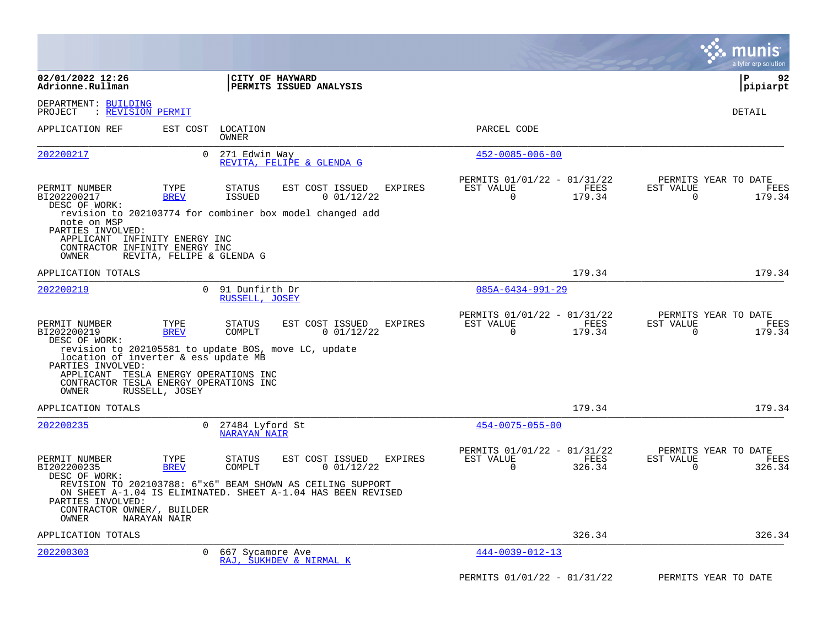|                                                                                                                                                       |                           |                                                                                                                            |                                                                           | munis<br>a tyler erp solution                                   |
|-------------------------------------------------------------------------------------------------------------------------------------------------------|---------------------------|----------------------------------------------------------------------------------------------------------------------------|---------------------------------------------------------------------------|-----------------------------------------------------------------|
| 02/01/2022 12:26<br>Adrionne.Rullman                                                                                                                  |                           | CITY OF HAYWARD<br>PERMITS ISSUED ANALYSIS                                                                                 |                                                                           | l P<br>92<br> pipiarpt                                          |
| DEPARTMENT: BUILDING<br>: REVISION PERMIT<br>PROJECT                                                                                                  |                           |                                                                                                                            |                                                                           | DETAIL                                                          |
| APPLICATION REF                                                                                                                                       | EST COST                  | LOCATION<br>OWNER                                                                                                          | PARCEL CODE                                                               |                                                                 |
| 202200217                                                                                                                                             | $\Omega$                  | 271 Edwin Way<br>REVITA, FELIPE & GLENDA G                                                                                 | $452 - 0085 - 006 - 00$                                                   |                                                                 |
| PERMIT NUMBER<br>BI202200217<br>DESC OF WORK:                                                                                                         | TYPE<br><b>BREV</b>       | EST COST ISSUED<br>EXPIRES<br>STATUS<br><b>ISSUED</b><br>0 01/12/22                                                        | PERMITS 01/01/22 - 01/31/22<br>EST VALUE<br>FEES<br>179.34<br>0           | PERMITS YEAR TO DATE<br>EST VALUE<br>FEES<br>0<br>179.34        |
| note on MSP<br>PARTIES INVOLVED:<br>APPLICANT INFINITY ENERGY INC<br>CONTRACTOR INFINITY ENERGY INC<br>OWNER                                          | REVITA, FELIPE & GLENDA G | revision to 202103774 for combiner box model changed add                                                                   |                                                                           |                                                                 |
| APPLICATION TOTALS                                                                                                                                    |                           |                                                                                                                            | 179.34                                                                    | 179.34                                                          |
| 202200219                                                                                                                                             | $\Omega$                  | 91 Dunfirth Dr<br>RUSSELL, JOSEY                                                                                           | $085A - 6434 - 991 - 29$                                                  |                                                                 |
| PERMIT NUMBER<br>BI202200219<br>DESC OF WORK:                                                                                                         | TYPE<br><b>BREV</b>       | EST COST ISSUED<br><b>STATUS</b><br>EXPIRES<br>COMPLT<br>0 01/12/22                                                        | PERMITS 01/01/22 - 01/31/22<br>EST VALUE<br>FEES<br>$\Omega$<br>179.34    | PERMITS YEAR TO DATE<br>FEES<br>EST VALUE<br>$\Omega$<br>179.34 |
| location of inverter & ess update MB<br>PARTIES INVOLVED:<br>APPLICANT TESLA ENERGY OPERATIONS INC<br>CONTRACTOR TESLA ENERGY OPERATIONS INC<br>OWNER | RUSSELL, JOSEY            | revision to 202105581 to update BOS, move LC, update                                                                       |                                                                           |                                                                 |
| APPLICATION TOTALS                                                                                                                                    |                           |                                                                                                                            | 179.34                                                                    | 179.34                                                          |
| 202200235                                                                                                                                             | $\Omega$                  | 27484 Lyford St<br><b>NARAYAN NAIR</b>                                                                                     | $454 - 0075 - 055 - 00$                                                   |                                                                 |
| PERMIT NUMBER<br>BI202200235<br>DESC OF WORK:                                                                                                         | TYPE<br><b>BREV</b>       | <b>STATUS</b><br>EST COST ISSUED<br>EXPIRES<br>COMPLT<br>0 01/12/22                                                        | PERMITS 01/01/22 - 01/31/22<br>EST VALUE<br>FEES<br>$\mathbf 0$<br>326.34 | PERMITS YEAR TO DATE<br>EST VALUE<br>FEES<br>$\Omega$<br>326.34 |
| PARTIES INVOLVED:<br>CONTRACTOR OWNER/, BUILDER<br>OWNER                                                                                              | NARAYAN NAIR              | REVISION TO 202103788: 6"x6" BEAM SHOWN AS CEILING SUPPORT<br>ON SHEET A-1.04 IS ELIMINATED. SHEET A-1.04 HAS BEEN REVISED |                                                                           |                                                                 |
| APPLICATION TOTALS                                                                                                                                    |                           |                                                                                                                            | 326.34                                                                    | 326.34                                                          |
| 202200303                                                                                                                                             | $\mathbf{0}$              | 667 Sycamore Ave<br>RAJ, SUKHDEV & NIRMAL K                                                                                | $444 - 0039 - 012 - 13$                                                   |                                                                 |
|                                                                                                                                                       |                           |                                                                                                                            | PERMITS 01/01/22 - 01/31/22                                               | PERMITS YEAR TO DATE                                            |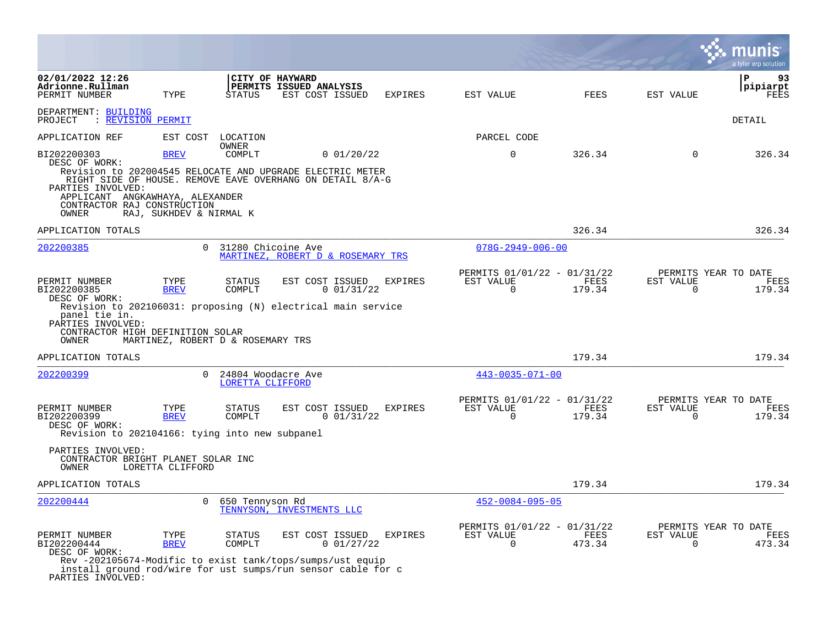|                                                                                                                                                                                                                                                        |                                                          |                                        |                                                               |                |           |                                            |                       |                          | a tyler erp solution                   |
|--------------------------------------------------------------------------------------------------------------------------------------------------------------------------------------------------------------------------------------------------------|----------------------------------------------------------|----------------------------------------|---------------------------------------------------------------|----------------|-----------|--------------------------------------------|-----------------------|--------------------------|----------------------------------------|
| 02/01/2022 12:26<br>Adrionne.Rullman<br>PERMIT NUMBER                                                                                                                                                                                                  | TYPE                                                     | STATUS                                 | CITY OF HAYWARD<br>PERMITS ISSUED ANALYSIS<br>EST COST ISSUED | <b>EXPIRES</b> | EST VALUE |                                            | <b>FEES</b>           | EST VALUE                | 93<br>ΙP<br>pipiarpt<br>FEES           |
| DEPARTMENT: BUILDING<br>PROJECT<br>: REVISION PERMIT                                                                                                                                                                                                   |                                                          |                                        |                                                               |                |           |                                            |                       |                          | DETAIL                                 |
| APPLICATION REF                                                                                                                                                                                                                                        | EST COST                                                 | LOCATION                               |                                                               |                |           | PARCEL CODE                                |                       |                          |                                        |
| BI202200303<br>DESC OF WORK:<br>Revision to 202004545 RELOCATE AND UPGRADE ELECTRIC METER<br>RIGHT SIDE OF HOUSE. REMOVE EAVE OVERHANG ON DETAIL 8/A-G<br>PARTIES INVOLVED:<br>APPLICANT ANGKAWHAYA, ALEXANDER<br>CONTRACTOR RAJ CONSTRUCTION<br>OWNER | <b>BREV</b><br>RAJ, SUKHDEV & NIRMAL K                   | OWNER<br>COMPLT                        | 0 01/20/22                                                    |                |           | $\mathbf 0$                                | 326.34                | $\mathbf 0$              | 326.34                                 |
| APPLICATION TOTALS                                                                                                                                                                                                                                     |                                                          |                                        |                                                               |                |           |                                            | 326.34                |                          | 326.34                                 |
| 202200385                                                                                                                                                                                                                                              | $\Omega$                                                 | 31280 Chicoine Ave                     | MARTINEZ, ROBERT D & ROSEMARY TRS                             |                |           | $078G - 2949 - 006 - 00$                   |                       |                          |                                        |
| PERMIT NUMBER<br>BI202200385<br>DESC OF WORK:<br>Revision to 202106031: proposing (N) electrical main service<br>panel tie in.<br>PARTIES INVOLVED:<br>CONTRACTOR HIGH DEFINITION SOLAR<br>OWNER                                                       | TYPE<br><b>BREV</b><br>MARTINEZ, ROBERT D & ROSEMARY TRS | STATUS<br>COMPLT                       | EST COST ISSUED<br>0 01/31/22                                 | <b>EXPIRES</b> | EST VALUE | PERMITS 01/01/22 - 01/31/22<br>$\mathbf 0$ | <b>FEES</b><br>179.34 | EST VALUE<br>$\mathbf 0$ | PERMITS YEAR TO DATE<br>FEES<br>179.34 |
| APPLICATION TOTALS                                                                                                                                                                                                                                     |                                                          |                                        |                                                               |                |           |                                            | 179.34                |                          | 179.34                                 |
| 202200399                                                                                                                                                                                                                                              | $\Omega$                                                 | 24804 Woodacre Ave<br>LORETTA CLIFFORD |                                                               |                |           | $443 - 0035 - 071 - 00$                    |                       |                          |                                        |
| PERMIT NUMBER<br>BI202200399<br>DESC OF WORK:<br>Revision to 202104166: tying into new subpanel<br>PARTIES INVOLVED:<br>CONTRACTOR BRIGHT PLANET SOLAR INC<br>OWNER                                                                                    | TYPE<br><b>BREV</b><br>LORETTA CLIFFORD                  | STATUS<br>COMPLT                       | EST COST ISSUED<br>0 01/31/22                                 | <b>EXPIRES</b> | EST VALUE | PERMITS 01/01/22 - 01/31/22<br>$\Omega$    | FEES<br>179.34        | EST VALUE<br>$\Omega$    | PERMITS YEAR TO DATE<br>FEES<br>179.34 |
| APPLICATION TOTALS                                                                                                                                                                                                                                     |                                                          |                                        |                                                               |                |           |                                            | 179.34                |                          | 179.34                                 |
| 202200444                                                                                                                                                                                                                                              | $\mathbf{0}$                                             | 650 Tennyson Rd                        | TENNYSON, INVESTMENTS LLC                                     |                |           | $452 - 0084 - 095 - 05$                    |                       |                          |                                        |
| PERMIT NUMBER<br>BI202200444<br>DESC OF WORK:<br>Rev -202105674-Modific to exist tank/tops/sumps/ust equip<br>install ground rod/wire for ust sumps/run sensor cable for c<br>PARTIES INVOLVED:                                                        | TYPE<br><b>BREV</b>                                      | STATUS<br>COMPLT                       | EST COST ISSUED<br>0 01/27/22                                 | <b>EXPIRES</b> | EST VALUE | PERMITS 01/01/22 - 01/31/22<br>$\Omega$    | FEES<br>473.34        | EST VALUE<br>$\Omega$    | PERMITS YEAR TO DATE<br>FEES<br>473.34 |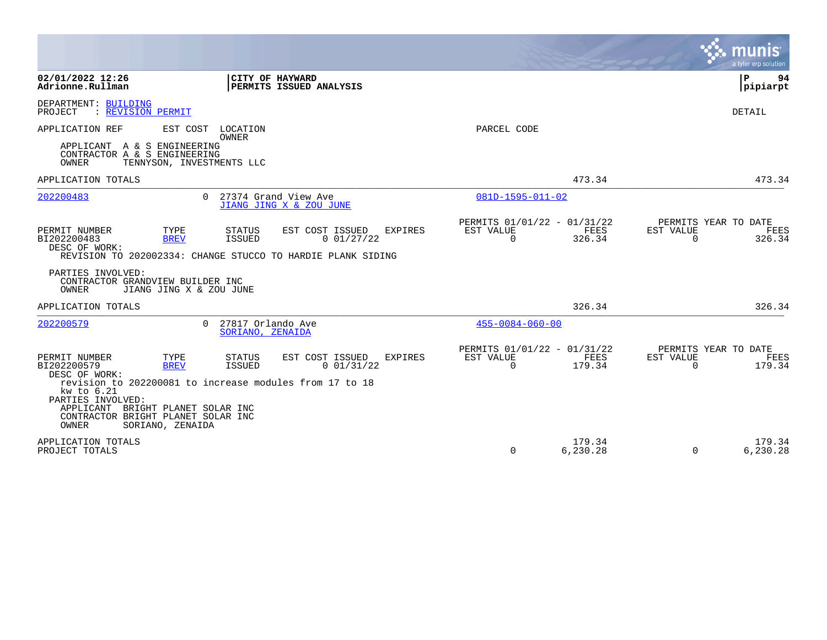|                                                                                                                                                                                                                 |                                                                                                                                                  |                                                      |                       | a tyler erp solution                                            |
|-----------------------------------------------------------------------------------------------------------------------------------------------------------------------------------------------------------------|--------------------------------------------------------------------------------------------------------------------------------------------------|------------------------------------------------------|-----------------------|-----------------------------------------------------------------|
| 02/01/2022 12:26<br>Adrionne.Rullman                                                                                                                                                                            | CITY OF HAYWARD<br>PERMITS ISSUED ANALYSIS                                                                                                       |                                                      |                       | $\mathbf{P}$<br>94<br> pipiarpt                                 |
| DEPARTMENT: BUILDING<br>PROJECT<br>: REVISION PERMIT                                                                                                                                                            |                                                                                                                                                  |                                                      |                       | <b>DETAIL</b>                                                   |
| APPLICATION REF<br>EST COST                                                                                                                                                                                     | LOCATION<br><b>OWNER</b>                                                                                                                         | PARCEL CODE                                          |                       |                                                                 |
| APPLICANT A & S ENGINEERING<br>CONTRACTOR A & S ENGINEERING<br>OWNER<br>TENNYSON, INVESTMENTS LLC                                                                                                               |                                                                                                                                                  |                                                      |                       |                                                                 |
| APPLICATION TOTALS                                                                                                                                                                                              |                                                                                                                                                  |                                                      | 473.34                | 473.34                                                          |
| 202200483                                                                                                                                                                                                       | 0 27374 Grand View Ave<br>JIANG JING X & ZOU JUNE                                                                                                | $081D - 1595 - 011 - 02$                             |                       |                                                                 |
| PERMIT NUMBER<br>TYPE<br>BI202200483<br><b>BREV</b><br>DESC OF WORK:                                                                                                                                            | <b>STATUS</b><br>EST COST ISSUED<br><b>EXPIRES</b><br>0 01/27/22<br><b>ISSUED</b><br>REVISION TO 202002334: CHANGE STUCCO TO HARDIE PLANK SIDING | PERMITS 01/01/22 - 01/31/22<br>EST VALUE<br>$\Omega$ | FEES<br>326.34        | PERMITS YEAR TO DATE<br>EST VALUE<br>FEES<br>$\Omega$<br>326.34 |
| PARTIES INVOLVED:<br>CONTRACTOR GRANDVIEW BUILDER INC<br>OWNER<br>JIANG JING X & ZOU JUNE                                                                                                                       |                                                                                                                                                  |                                                      |                       |                                                                 |
| APPLICATION TOTALS                                                                                                                                                                                              |                                                                                                                                                  |                                                      | 326.34                | 326.34                                                          |
| 202200579<br>$\Omega$                                                                                                                                                                                           | 27817 Orlando Ave<br>SORIANO, ZENAIDA                                                                                                            | $455 - 0084 - 060 - 00$                              |                       |                                                                 |
| PERMIT NUMBER<br>TYPE<br>BI202200579<br><b>BREV</b><br>DESC OF WORK:<br>kw to 6.21<br>PARTIES INVOLVED:<br>APPLICANT BRIGHT PLANET SOLAR INC<br>CONTRACTOR BRIGHT PLANET SOLAR INC<br>OWNER<br>SORIANO, ZENAIDA | EST COST ISSUED<br>STATUS<br><b>EXPIRES</b><br>0 01/31/22<br>ISSUED<br>revision to 202200081 to increase modules from 17 to 18                   | PERMITS 01/01/22 - 01/31/22<br>EST VALUE<br>$\Omega$ | <b>FEES</b><br>179.34 | PERMITS YEAR TO DATE<br>EST VALUE<br>FEES<br>$\Omega$<br>179.34 |
| APPLICATION TOTALS<br>PROJECT TOTALS                                                                                                                                                                            |                                                                                                                                                  | $\Omega$                                             | 179.34<br>6,230.28    | 179.34<br>6,230.28<br>$\Omega$                                  |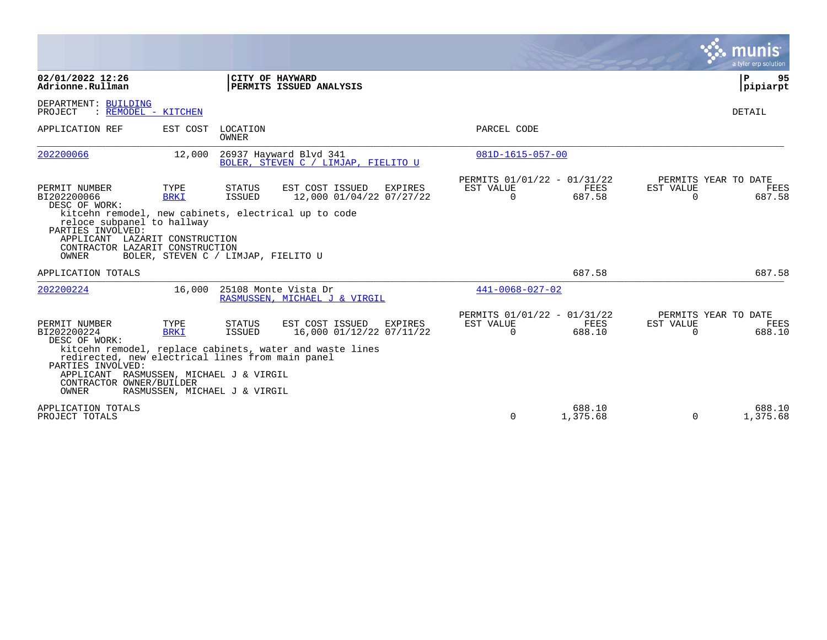|                                                                                                                                                                                                                               |                                                      |                          |                                                                                                                    |                                                      |                    |                       | a tyler erp solution                          |
|-------------------------------------------------------------------------------------------------------------------------------------------------------------------------------------------------------------------------------|------------------------------------------------------|--------------------------|--------------------------------------------------------------------------------------------------------------------|------------------------------------------------------|--------------------|-----------------------|-----------------------------------------------|
| 02/01/2022 12:26<br>Adrionne.Rullman                                                                                                                                                                                          |                                                      |                          | CITY OF HAYWARD<br><b>PERMITS ISSUED ANALYSIS</b>                                                                  |                                                      |                    |                       | P<br>95<br>pipiarpt                           |
| DEPARTMENT: BUILDING<br>: REMODEL - KITCHEN<br>PROJECT                                                                                                                                                                        |                                                      |                          |                                                                                                                    |                                                      |                    |                       | <b>DETAIL</b>                                 |
| APPLICATION REF                                                                                                                                                                                                               | EST COST                                             | LOCATION<br><b>OWNER</b> |                                                                                                                    | PARCEL CODE                                          |                    |                       |                                               |
| 202200066                                                                                                                                                                                                                     | 12,000                                               |                          | 26937 Hayward Blvd 341<br>BOLER, STEVEN C / LIMJAP, FIELITO U                                                      | 081D-1615-057-00                                     |                    |                       |                                               |
| PERMIT NUMBER<br>BI202200066<br>DESC OF WORK:<br>kitcehn remodel, new cabinets, electrical up to code<br>reloce subpanel to hallway<br>PARTIES INVOLVED:<br>APPLICANT LAZARIT CONSTRUCTION<br>CONTRACTOR LAZARIT CONSTRUCTION | TYPE<br><b>BRKI</b>                                  | STATUS<br><b>ISSUED</b>  | EST COST ISSUED<br><b>EXPIRES</b><br>12,000 01/04/22 07/27/22                                                      | PERMITS 01/01/22 - 01/31/22<br>EST VALUE<br>$\Omega$ | FEES<br>687.58     | EST VALUE<br>$\Omega$ | PERMITS YEAR TO DATE<br>FEES<br>687.58        |
| OWNER                                                                                                                                                                                                                         | BOLER, STEVEN C / LIMJAP, FIELITO U                  |                          |                                                                                                                    |                                                      |                    |                       |                                               |
| APPLICATION TOTALS                                                                                                                                                                                                            |                                                      |                          |                                                                                                                    |                                                      | 687.58             |                       | 687.58                                        |
| 202200224                                                                                                                                                                                                                     | 16,000                                               |                          | 25108 Monte Vista Dr<br>RASMUSSEN, MICHAEL J & VIRGIL                                                              | $441 - 0068 - 027 - 02$                              |                    |                       |                                               |
| PERMIT NUMBER<br>BI202200224<br>DESC OF WORK:<br>redirected, new electrical lines from main panel<br>PARTIES INVOLVED:<br>APPLICANT RASMUSSEN, MICHAEL J & VIRGIL<br>CONTRACTOR OWNER/BUILDER<br>OWNER                        | TYPE<br><b>BRKI</b><br>RASMUSSEN, MICHAEL J & VIRGIL | STATUS<br><b>ISSUED</b>  | EST COST ISSUED<br>EXPIRES<br>16,000 01/12/22 07/11/22<br>kitcehn remodel, replace cabinets, water and waste lines | PERMITS 01/01/22 - 01/31/22<br>EST VALUE<br>$\Omega$ | FEES<br>688.10     | EST VALUE<br>$\Omega$ | PERMITS YEAR TO DATE<br><b>FEES</b><br>688.10 |
| APPLICATION TOTALS<br>PROJECT TOTALS                                                                                                                                                                                          |                                                      |                          |                                                                                                                    | $\Omega$                                             | 688.10<br>1,375.68 | $\Omega$              | 688.10<br>1,375.68                            |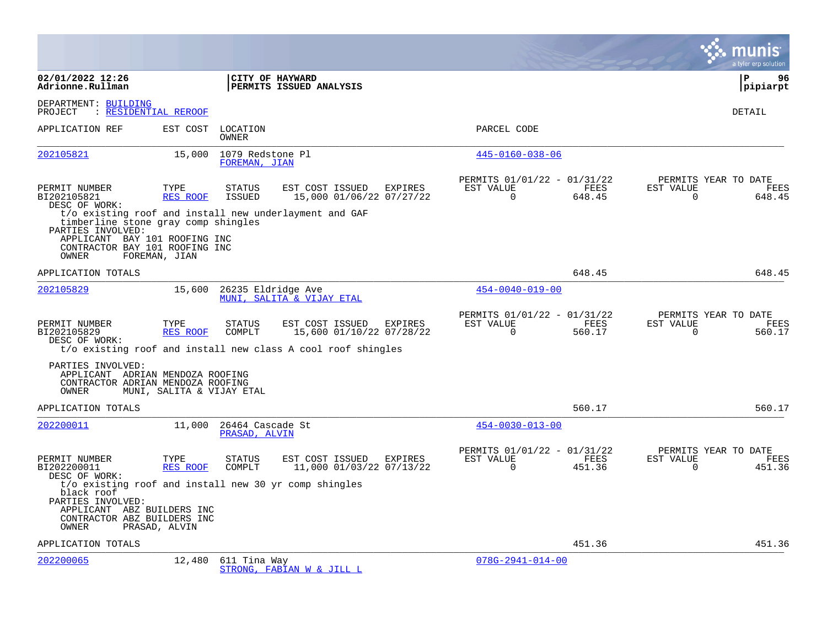|                                                                                                                                      |                           |                                   |                                                                                                             |         |                                                      |                |                       | a tyler erp solution                   |
|--------------------------------------------------------------------------------------------------------------------------------------|---------------------------|-----------------------------------|-------------------------------------------------------------------------------------------------------------|---------|------------------------------------------------------|----------------|-----------------------|----------------------------------------|
| 02/01/2022 12:26<br>Adrionne.Rullman                                                                                                 |                           |                                   | CITY OF HAYWARD<br>PERMITS ISSUED ANALYSIS                                                                  |         |                                                      |                |                       | ΙP<br>96<br> pipiarpt                  |
| DEPARTMENT: BUILDING<br>PROJECT                                                                                                      | : RESIDENTIAL REROOF      |                                   |                                                                                                             |         |                                                      |                |                       | <b>DETAIL</b>                          |
| APPLICATION REF                                                                                                                      |                           | EST COST LOCATION<br>OWNER        |                                                                                                             |         | PARCEL CODE                                          |                |                       |                                        |
| 202105821                                                                                                                            | 15,000                    | 1079 Redstone Pl<br>FOREMAN, JIAN |                                                                                                             |         | $445 - 0160 - 038 - 06$                              |                |                       |                                        |
| PERMIT NUMBER<br>BI202105821<br>DESC OF WORK:                                                                                        | TYPE<br>RES ROOF          | <b>STATUS</b><br><b>ISSUED</b>    | EST COST ISSUED EXPIRES<br>15,000 01/06/22 07/27/22                                                         |         | PERMITS 01/01/22 - 01/31/22<br>EST VALUE<br>$\Omega$ | FEES<br>648.45 | EST VALUE<br>$\Omega$ | PERMITS YEAR TO DATE<br>FEES<br>648.45 |
| timberline stone gray comp shingles<br>PARTIES INVOLVED:<br>APPLICANT BAY 101 ROOFING INC<br>CONTRACTOR BAY 101 ROOFING INC<br>OWNER | FOREMAN, JIAN             |                                   | t/o existing roof and install new underlayment and GAF                                                      |         |                                                      |                |                       |                                        |
| APPLICATION TOTALS                                                                                                                   |                           |                                   |                                                                                                             |         |                                                      | 648.45         |                       | 648.45                                 |
| 202105829                                                                                                                            | 15,600                    | 26235 Eldridge Ave                | MUNI, SALITA & VIJAY ETAL                                                                                   |         | $454 - 0040 - 019 - 00$                              |                |                       |                                        |
| PERMIT NUMBER<br>BI202105829<br>DESC OF WORK:                                                                                        | TYPE<br>RES ROOF          | <b>STATUS</b><br>COMPLT           | EST COST ISSUED<br>15,600 01/10/22 07/28/22<br>t/o existing roof and install new class A cool roof shingles | EXPIRES | PERMITS 01/01/22 - 01/31/22<br>EST VALUE<br>$\Omega$ | FEES<br>560.17 | EST VALUE<br>$\Omega$ | PERMITS YEAR TO DATE<br>FEES<br>560.17 |
| PARTIES INVOLVED:<br>APPLICANT ADRIAN MENDOZA ROOFING<br>CONTRACTOR ADRIAN MENDOZA ROOFING<br>OWNER                                  | MUNI, SALITA & VIJAY ETAL |                                   |                                                                                                             |         |                                                      |                |                       |                                        |
| APPLICATION TOTALS                                                                                                                   |                           |                                   |                                                                                                             |         |                                                      | 560.17         |                       | 560.17                                 |
| 202200011                                                                                                                            | 11,000                    | 26464 Cascade St<br>PRASAD, ALVIN |                                                                                                             |         | $454 - 0030 - 013 - 00$                              |                |                       |                                        |
| PERMIT NUMBER<br>BI202200011<br>DESC OF WORK:                                                                                        | TYPE<br>RES ROOF          | <b>STATUS</b><br>COMPLT           | EST COST ISSUED EXPIRES<br>11,000 01/03/22 07/13/22                                                         |         | PERMITS 01/01/22 - 01/31/22<br>EST VALUE<br>$\Omega$ | FEES<br>451.36 | EST VALUE<br>$\Omega$ | PERMITS YEAR TO DATE<br>FEES<br>451.36 |
| black roof<br>PARTIES INVOLVED:<br>APPLICANT ABZ BUILDERS INC<br>CONTRACTOR ABZ BUILDERS INC<br>OWNER                                | PRASAD, ALVIN             |                                   | t/o existing roof and install new 30 yr comp shingles                                                       |         |                                                      |                |                       |                                        |
| APPLICATION TOTALS                                                                                                                   |                           |                                   |                                                                                                             |         |                                                      | 451.36         |                       | 451.36                                 |
| 202200065                                                                                                                            | 12,480                    | 611 Tina Way                      | STRONG, FABIAN W & JILL L                                                                                   |         | $078G - 2941 - 014 - 00$                             |                |                       |                                        |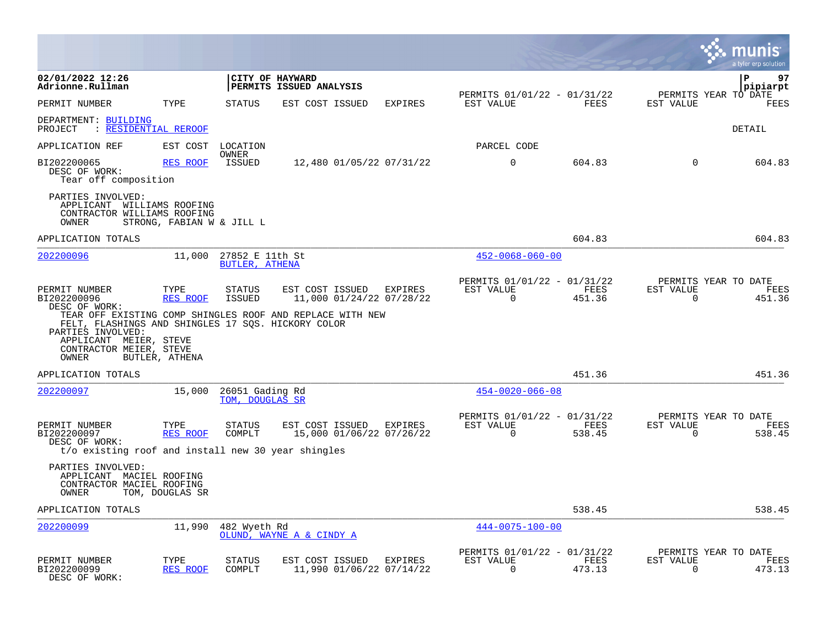|                                                                                                                                                                                       |                           |                                          |                                            |                                     |                                                         |                |                                                  | munis<br>a tyler erp solution |
|---------------------------------------------------------------------------------------------------------------------------------------------------------------------------------------|---------------------------|------------------------------------------|--------------------------------------------|-------------------------------------|---------------------------------------------------------|----------------|--------------------------------------------------|-------------------------------|
| 02/01/2022 12:26<br>Adrionne.Rullman                                                                                                                                                  |                           |                                          | CITY OF HAYWARD<br>PERMITS ISSUED ANALYSIS |                                     |                                                         |                |                                                  | l P<br>97<br> pipiarpt        |
| PERMIT NUMBER                                                                                                                                                                         | TYPE                      | STATUS                                   | EST COST ISSUED                            | EXPIRES                             | PERMITS 01/01/22 - 01/31/22<br>EST VALUE                | FEES           | PERMITS YEAR TO DATE<br>EST VALUE                | FEES                          |
| DEPARTMENT: BUILDING<br>: RESIDENTIAL REROOF<br>PROJECT                                                                                                                               |                           |                                          |                                            |                                     |                                                         |                |                                                  | DETAIL                        |
| APPLICATION REF                                                                                                                                                                       | EST COST                  | LOCATION                                 |                                            |                                     | PARCEL CODE                                             |                |                                                  |                               |
| BI202200065<br>DESC OF WORK:<br>Tear off composition                                                                                                                                  | <b>RES ROOF</b>           | OWNER<br>ISSUED                          |                                            | 12,480 01/05/22 07/31/22            | $\mathbf 0$                                             | 604.83         | $\Omega$                                         | 604.83                        |
| PARTIES INVOLVED:<br>APPLICANT WILLIAMS ROOFING<br>CONTRACTOR WILLIAMS ROOFING<br>OWNER                                                                                               | STRONG, FABIAN W & JILL L |                                          |                                            |                                     |                                                         |                |                                                  |                               |
| APPLICATION TOTALS                                                                                                                                                                    |                           |                                          |                                            |                                     |                                                         | 604.83         |                                                  | 604.83                        |
| 202200096                                                                                                                                                                             | 11,000                    | 27852 E 11th St<br><b>BUTLER, ATHENA</b> |                                            |                                     | $452 - 0068 - 060 - 00$                                 |                |                                                  |                               |
| PERMIT NUMBER<br>BI202200096<br>DESC OF WORK:<br>TEAR OFF EXISTING COMP SHINGLES ROOF AND REPLACE WITH NEW<br>FELT, FLASHINGS AND SHINGLES 17 SQS. HICKORY COLOR<br>PARTIES INVOLVED: | TYPE<br><b>RES ROOF</b>   | <b>STATUS</b><br><b>ISSUED</b>           | EST COST ISSUED                            | EXPIRES<br>11,000 01/24/22 07/28/22 | PERMITS 01/01/22 - 01/31/22<br>EST VALUE<br>$\Omega$    | FEES<br>451.36 | PERMITS YEAR TO DATE<br>EST VALUE<br>$\Omega$    | FEES<br>451.36                |
| APPLICANT MEIER, STEVE<br>CONTRACTOR MEIER, STEVE<br>OWNER                                                                                                                            | BUTLER, ATHENA            |                                          |                                            |                                     |                                                         |                |                                                  |                               |
| APPLICATION TOTALS                                                                                                                                                                    |                           |                                          |                                            |                                     |                                                         | 451.36         |                                                  | 451.36                        |
| <u> 202200097</u>                                                                                                                                                                     | 15,000                    | 26051 Gading Rd<br>TOM, DOUGLAS SR       |                                            |                                     | $454 - 0020 - 066 - 08$                                 |                |                                                  |                               |
| PERMIT NUMBER<br>BI202200097<br>DESC OF WORK:                                                                                                                                         | TYPE<br>RES ROOF          | STATUS<br>COMPLT                         | EST COST ISSUED EXPIRES                    | 15,000 01/06/22 07/26/22            | PERMITS 01/01/22 - 01/31/22<br>EST VALUE<br>$\mathbf 0$ | FEES<br>538.45 | PERMITS YEAR TO DATE<br>EST VALUE<br>$\mathbf 0$ | FEES<br>538.45                |
| t/o existing roof and install new 30 year shingles                                                                                                                                    |                           |                                          |                                            |                                     |                                                         |                |                                                  |                               |
| PARTIES INVOLVED:<br>APPLICANT MACIEL ROOFING<br>CONTRACTOR MACIEL ROOFING<br>OWNER                                                                                                   | TOM, DOUGLAS SR           |                                          |                                            |                                     |                                                         |                |                                                  |                               |
| APPLICATION TOTALS                                                                                                                                                                    |                           |                                          |                                            |                                     |                                                         | 538.45         |                                                  | 538.45                        |
| 202200099                                                                                                                                                                             | 11,990                    | 482 Wyeth Rd                             | OLUND, WAYNE A & CINDY A                   |                                     | $444 - 0075 - 100 - 00$                                 |                |                                                  |                               |
| PERMIT NUMBER<br>BI202200099<br>DESC OF WORK:                                                                                                                                         | TYPE<br><b>RES ROOF</b>   | STATUS<br>COMPLT                         | EST COST ISSUED                            | EXPIRES<br>11,990 01/06/22 07/14/22 | PERMITS 01/01/22 - 01/31/22<br>EST VALUE<br>$\mathbf 0$ | FEES<br>473.13 | PERMITS YEAR TO DATE<br>EST VALUE<br>$\Omega$    | FEES<br>473.13                |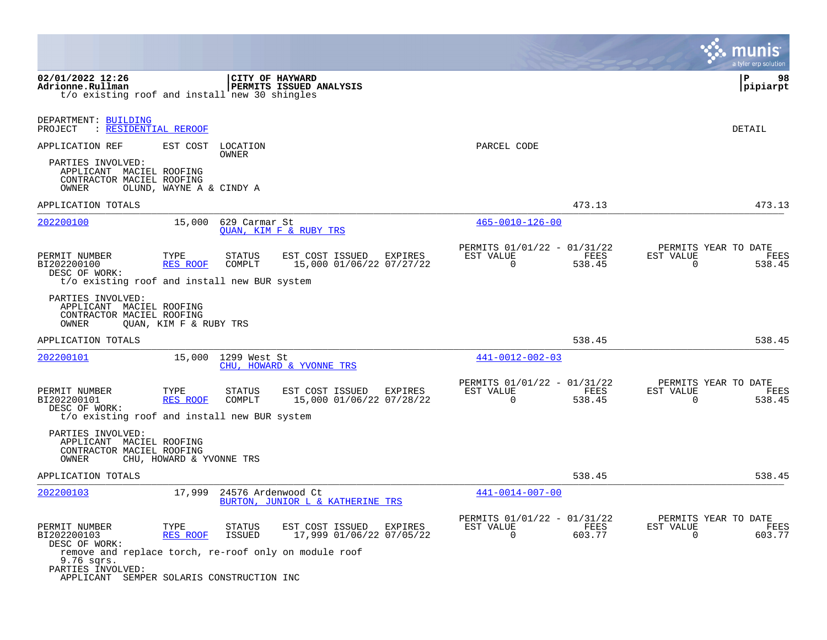|                                                                                                                                       |                          |                                |                                             |         |                                                         |                | munis<br>a tyler erp solution                                      |
|---------------------------------------------------------------------------------------------------------------------------------------|--------------------------|--------------------------------|---------------------------------------------|---------|---------------------------------------------------------|----------------|--------------------------------------------------------------------|
| 02/01/2022 12:26<br>Adrionne.Rullman<br>t/o existing roof and install new 30 shingles                                                 |                          | CITY OF HAYWARD                | PERMITS ISSUED ANALYSIS                     |         |                                                         |                | 98<br>P<br>pipiarpt                                                |
| DEPARTMENT: BUILDING<br>: RESIDENTIAL REROOF<br>PROJECT                                                                               |                          |                                |                                             |         |                                                         |                | DETAIL                                                             |
| APPLICATION REF                                                                                                                       | EST COST                 | LOCATION<br>OWNER              |                                             |         | PARCEL CODE                                             |                |                                                                    |
| PARTIES INVOLVED:<br>APPLICANT MACIEL ROOFING<br>CONTRACTOR MACIEL ROOFING<br>OWNER                                                   | OLUND, WAYNE A & CINDY A |                                |                                             |         |                                                         |                |                                                                    |
| APPLICATION TOTALS                                                                                                                    |                          |                                |                                             |         |                                                         | 473.13         | 473.13                                                             |
| 202200100                                                                                                                             | 15,000                   | 629 Carmar St                  | <b>OUAN, KIM F &amp; RUBY TRS</b>           |         | $465 - 0010 - 126 - 00$                                 |                |                                                                    |
| PERMIT NUMBER<br>BI202200100<br>DESC OF WORK:<br>t/o existing roof and install new BUR system                                         | TYPE<br><b>RES ROOF</b>  | STATUS<br>COMPLT               | EST COST ISSUED<br>15,000 01/06/22 07/27/22 | EXPIRES | PERMITS 01/01/22 - 01/31/22<br>EST VALUE<br>$\mathbf 0$ | FEES<br>538.45 | PERMITS YEAR TO DATE<br>EST VALUE<br>FEES<br>$\mathbf 0$<br>538.45 |
| PARTIES INVOLVED:<br>APPLICANT MACIEL ROOFING<br>CONTRACTOR MACIEL ROOFING<br>OWNER                                                   | QUAN, KIM F & RUBY TRS   |                                |                                             |         |                                                         |                |                                                                    |
| APPLICATION TOTALS                                                                                                                    |                          |                                |                                             |         |                                                         | 538.45         | 538.45                                                             |
| 202200101                                                                                                                             |                          | 15,000 1299 West St            | CHU, HOWARD & YVONNE TRS                    |         | $441 - 0012 - 002 - 03$                                 |                |                                                                    |
| PERMIT NUMBER<br>BI202200101<br>DESC OF WORK:                                                                                         | TYPE<br>RES ROOF         | STATUS<br>COMPLT               | EST COST ISSUED<br>15,000 01/06/22 07/28/22 | EXPIRES | PERMITS 01/01/22 - 01/31/22<br>EST VALUE<br>$\Omega$    | FEES<br>538.45 | PERMITS YEAR TO DATE<br>EST VALUE<br>FEES<br>$\Omega$<br>538.45    |
| t/o existing roof and install new BUR system                                                                                          |                          |                                |                                             |         |                                                         |                |                                                                    |
| PARTIES INVOLVED:<br>APPLICANT MACIEL ROOFING<br>CONTRACTOR MACIEL ROOFING<br>OWNER                                                   | CHU, HOWARD & YVONNE TRS |                                |                                             |         |                                                         |                |                                                                    |
| APPLICATION TOTALS                                                                                                                    |                          |                                |                                             |         |                                                         | 538.45         | 538.45                                                             |
| 202200103                                                                                                                             | 17,999                   | 24576 Ardenwood Ct             | BURTON, JUNIOR L & KATHERINE TRS            |         | $441 - 0014 - 007 - 00$                                 |                |                                                                    |
| PERMIT NUMBER<br>BI202200103<br>DESC OF WORK:                                                                                         | TYPE<br>RES ROOF         | <b>STATUS</b><br><b>ISSUED</b> | EST COST ISSUED<br>17,999 01/06/22 07/05/22 | EXPIRES | PERMITS 01/01/22 - 01/31/22<br>EST VALUE<br>$\mathbf 0$ | FEES<br>603.77 | PERMITS YEAR TO DATE<br>EST VALUE<br>FEES<br>$\mathbf 0$<br>603.77 |
| remove and replace torch, re-roof only on module roof<br>9.76 sqrs.<br>PARTIES INVOLVED:<br>APPLICANT SEMPER SOLARIS CONSTRUCTION INC |                          |                                |                                             |         |                                                         |                |                                                                    |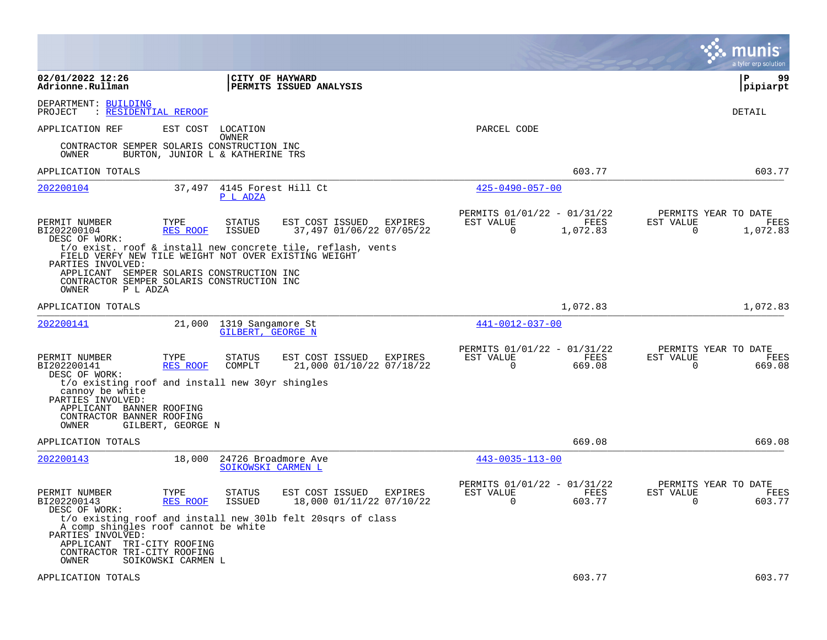|                                                                                                              |                                  |                                           |                                                             |                                                         |                       |                          | munis<br>a tyler erp solution            |
|--------------------------------------------------------------------------------------------------------------|----------------------------------|-------------------------------------------|-------------------------------------------------------------|---------------------------------------------------------|-----------------------|--------------------------|------------------------------------------|
| 02/01/2022 12:26<br>Adrionne.Rullman                                                                         |                                  | <b>CITY OF HAYWARD</b>                    | PERMITS ISSUED ANALYSIS                                     |                                                         |                       |                          | ΙP<br>99<br> pipiarpt                    |
| DEPARTMENT: BUILDING<br>PROJECT<br>: RESIDENTIAL REROOF                                                      |                                  |                                           |                                                             |                                                         |                       |                          | <b>DETAIL</b>                            |
| APPLICATION REF                                                                                              | EST COST                         | LOCATION<br>OWNER                         |                                                             | PARCEL CODE                                             |                       |                          |                                          |
| CONTRACTOR SEMPER SOLARIS CONSTRUCTION INC<br>OWNER                                                          | BURTON, JUNIOR L & KATHERINE TRS |                                           |                                                             |                                                         |                       |                          |                                          |
| APPLICATION TOTALS                                                                                           |                                  |                                           |                                                             |                                                         | 603.77                |                          | 603.77                                   |
| 202200104                                                                                                    | 37,497                           | 4145 Forest Hill Ct<br>P L ADZA           |                                                             | $425 - 0490 - 057 - 00$                                 |                       |                          |                                          |
| PERMIT NUMBER<br>BI202200104<br>DESC OF WORK:                                                                | TYPE<br>RES ROOF                 | <b>STATUS</b><br>ISSUED                   | EST COST ISSUED<br>EXPIRES<br>37,497 01/06/22 07/05/22      | PERMITS 01/01/22 - 01/31/22<br>EST VALUE<br>$\mathbf 0$ | FEES<br>1,072.83      | EST VALUE<br>$\mathbf 0$ | PERMITS YEAR TO DATE<br>FEES<br>1,072.83 |
| FIELD VERFY NEW TILE WEIGHT NOT OVER EXISTING WEIGHT<br>PARTIES INVOLVED:                                    |                                  |                                           | t/o exist. roof & install new concrete tile, reflash, vents |                                                         |                       |                          |                                          |
| APPLICANT SEMPER SOLARIS CONSTRUCTION INC<br>CONTRACTOR SEMPER SOLARIS CONSTRUCTION INC<br>OWNER<br>P L ADZA |                                  |                                           |                                                             |                                                         |                       |                          |                                          |
| APPLICATION TOTALS                                                                                           |                                  |                                           |                                                             |                                                         | 1,072.83              |                          | 1,072.83                                 |
| 202200141                                                                                                    | 21,000                           | 1319 Sangamore St<br>GILBERT, GEORGE N    |                                                             | 441-0012-037-00                                         |                       |                          |                                          |
| PERMIT NUMBER<br>BI202200141<br>DESC OF WORK:                                                                | TYPE<br><b>RES ROOF</b>          | <b>STATUS</b><br>COMPLT                   | EST COST ISSUED<br>EXPIRES<br>21,000 01/10/22 07/18/22      | PERMITS 01/01/22 - 01/31/22<br>EST VALUE<br>$\Omega$    | <b>FEES</b><br>669.08 | EST VALUE<br>$\Omega$    | PERMITS YEAR TO DATE<br>FEES<br>669.08   |
| t/o existing roof and install new 30yr shingles<br>cannoy be white<br>PARTIES INVOLVED:                      |                                  |                                           |                                                             |                                                         |                       |                          |                                          |
| APPLICANT BANNER ROOFING<br>CONTRACTOR BANNER ROOFING<br>OWNER                                               | GILBERT, GEORGE N                |                                           |                                                             |                                                         |                       |                          |                                          |
| APPLICATION TOTALS                                                                                           |                                  |                                           |                                                             |                                                         | 669.08                |                          | 669.08                                   |
| 202200143                                                                                                    | 18,000                           | 24726 Broadmore Ave<br>SOIKOWSKI CARMEN L |                                                             | $443 - 0035 - 113 - 00$                                 |                       |                          |                                          |
| PERMIT NUMBER<br>BI202200143<br>DESC OF WORK:                                                                | TYPE<br>RES ROOF                 | <b>STATUS</b><br>ISSUED                   | EST COST ISSUED<br>EXPIRES<br>18,000 01/11/22 07/10/22      | PERMITS 01/01/22 - 01/31/22<br>EST VALUE<br>$\Omega$    | FEES<br>603.77        | EST VALUE<br>0           | PERMITS YEAR TO DATE<br>FEES<br>603.77   |
| A comp shingles roof cannot be white<br>PARTIES INVOLVED:<br>APPLICANT TRI-CITY ROOFING                      |                                  |                                           | t/o existing roof and install new 30lb felt 20sqrs of class |                                                         |                       |                          |                                          |
| CONTRACTOR TRI-CITY ROOFING<br>OWNER                                                                         | SOIKOWSKI CARMEN L               |                                           |                                                             |                                                         |                       |                          |                                          |
| APPLICATION TOTALS                                                                                           |                                  |                                           |                                                             |                                                         | 603.77                |                          | 603.77                                   |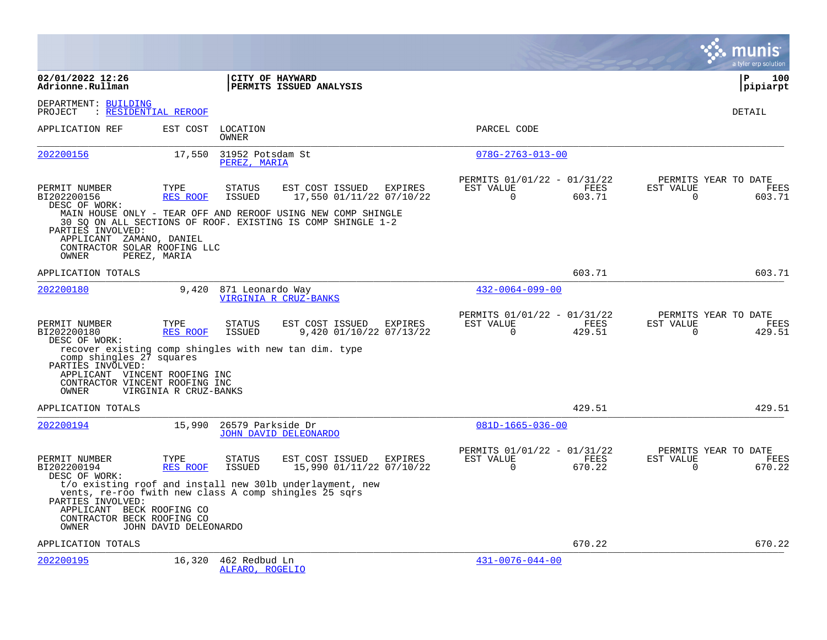|                                                                                                                                                |                         |                                         |                                                                                                                                                                            |         |                                                      |                |                          | a tyler erp solution                   |
|------------------------------------------------------------------------------------------------------------------------------------------------|-------------------------|-----------------------------------------|----------------------------------------------------------------------------------------------------------------------------------------------------------------------------|---------|------------------------------------------------------|----------------|--------------------------|----------------------------------------|
| 02/01/2022 12:26<br>Adrionne.Rullman                                                                                                           |                         | CITY OF HAYWARD                         | PERMITS ISSUED ANALYSIS                                                                                                                                                    |         |                                                      |                |                          | ΙP<br>100<br> pipiarpt                 |
| DEPARTMENT: BUILDING<br>PROJECT                                                                                                                | : RESIDENTIAL REROOF    |                                         |                                                                                                                                                                            |         |                                                      |                |                          | DETAIL                                 |
| APPLICATION REF                                                                                                                                | EST COST                | LOCATION<br><b>OWNER</b>                |                                                                                                                                                                            |         | PARCEL CODE                                          |                |                          |                                        |
| 202200156                                                                                                                                      | 17,550                  | 31952 Potsdam St<br>PEREZ, MARIA        |                                                                                                                                                                            |         | $078G - 2763 - 013 - 00$                             |                |                          |                                        |
| PERMIT NUMBER<br>BI202200156<br>DESC OF WORK:<br>PARTIES INVOLVED:                                                                             | TYPE<br>RES ROOF        | <b>STATUS</b><br><b>ISSUED</b>          | EST COST ISSUED<br>17,550 01/11/22 07/10/22<br>MAIN HOUSE ONLY - TEAR OFF AND REROOF USING NEW COMP SHINGLE<br>30 SO ON ALL SECTIONS OF ROOF. EXISTING IS COMP SHINGLE 1-2 | EXPIRES | PERMITS 01/01/22 - 01/31/22<br>EST VALUE<br>$\Omega$ | FEES<br>603.71 | EST VALUE<br>$\Omega$    | PERMITS YEAR TO DATE<br>FEES<br>603.71 |
| APPLICANT ZAMANO, DANIEL<br>CONTRACTOR SOLAR ROOFING LLC<br>OWNER                                                                              | PEREZ, MARIA            |                                         |                                                                                                                                                                            |         |                                                      |                |                          |                                        |
| APPLICATION TOTALS                                                                                                                             |                         |                                         |                                                                                                                                                                            |         |                                                      | 603.71         |                          | 603.71                                 |
| 202200180                                                                                                                                      | 9,420                   | 871 Leonardo Way                        | VIRGINIA R CRUZ-BANKS                                                                                                                                                      |         | $432 - 0064 - 099 - 00$                              |                |                          |                                        |
| PERMIT NUMBER<br>BI202200180<br>DESC OF WORK:<br>recover existing comp shingles with new tan dim. type                                         | TYPE<br><b>RES ROOF</b> | <b>STATUS</b><br><b>ISSUED</b>          | EST COST ISSUED<br>9,420 01/10/22 07/13/22                                                                                                                                 | EXPIRES | PERMITS 01/01/22 - 01/31/22<br>EST VALUE<br>$\Omega$ | FEES<br>429.51 | EST VALUE<br>$\Omega$    | PERMITS YEAR TO DATE<br>FEES<br>429.51 |
| comp shingles 27 squares<br>PARTIES INVOLVED:<br>APPLICANT VINCENT ROOFING INC<br>CONTRACTOR VINCENT ROOFING INC<br>OWNER                      | VIRGINIA R CRUZ-BANKS   |                                         |                                                                                                                                                                            |         |                                                      |                |                          |                                        |
| APPLICATION TOTALS                                                                                                                             |                         |                                         |                                                                                                                                                                            |         |                                                      | 429.51         |                          | 429.51                                 |
| 202200194                                                                                                                                      | 15,990                  | 26579 Parkside Dr                       | <b>JOHN DAVID DELEONARDO</b>                                                                                                                                               |         | $081D-1665-036-00$                                   |                |                          |                                        |
| PERMIT NUMBER<br>BI202200194<br>DESC OF WORK:                                                                                                  | TYPE<br>RES ROOF        | <b>STATUS</b><br><b>ISSUED</b>          | EST COST ISSUED<br>15,990 01/11/22 07/10/22                                                                                                                                | EXPIRES | PERMITS 01/01/22 - 01/31/22<br>EST VALUE<br>0        | FEES<br>670.22 | EST VALUE<br>$\mathbf 0$ | PERMITS YEAR TO DATE<br>FEES<br>670.22 |
| vents, re-roo fwith new class A comp shingles 25 sqrs<br>PARTIES INVOLVED:<br>APPLICANT BECK ROOFING CO<br>CONTRACTOR BECK ROOFING CO<br>OWNER | JOHN DAVID DELEONARDO   |                                         | t/o existing roof and install new 301b underlayment, new                                                                                                                   |         |                                                      |                |                          |                                        |
| APPLICATION TOTALS                                                                                                                             |                         |                                         |                                                                                                                                                                            |         |                                                      | 670.22         |                          | 670.22                                 |
| 202200195                                                                                                                                      |                         | 16,320 462 Redbud Ln<br>ALFARO, ROGELIO |                                                                                                                                                                            |         | $431 - 0076 - 044 - 00$                              |                |                          |                                        |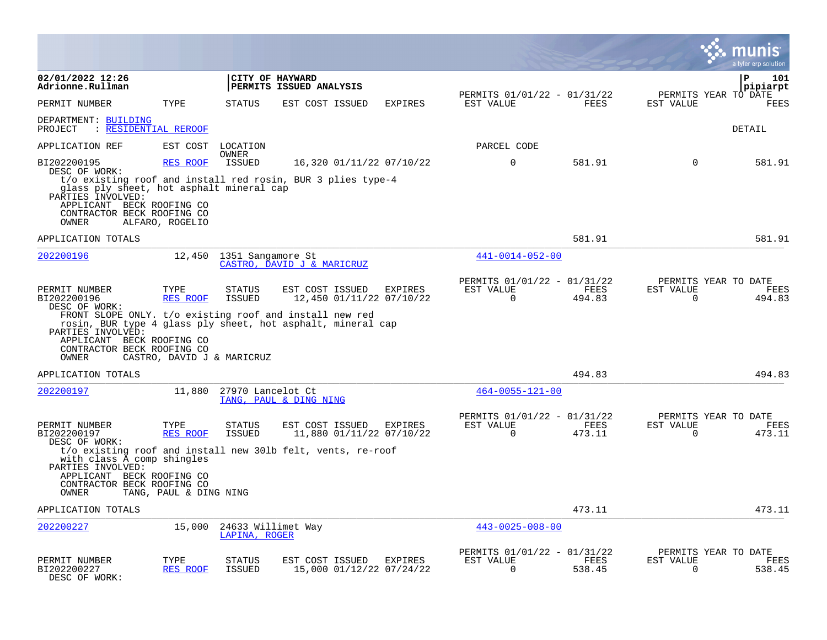|                                                                                                                                                                                                                 |                            |                                     |                                                     |         |                                                         |                |                          | ΙIS<br>a tyler erp solution            |
|-----------------------------------------------------------------------------------------------------------------------------------------------------------------------------------------------------------------|----------------------------|-------------------------------------|-----------------------------------------------------|---------|---------------------------------------------------------|----------------|--------------------------|----------------------------------------|
| 02/01/2022 12:26<br>Adrionne.Rullman                                                                                                                                                                            |                            | CITY OF HAYWARD                     | PERMITS ISSUED ANALYSIS                             |         |                                                         |                |                          | $\mathbf{P}$<br>101<br>pipiarpt        |
| PERMIT NUMBER                                                                                                                                                                                                   | TYPE                       | <b>STATUS</b>                       | EST COST ISSUED                                     | EXPIRES | PERMITS 01/01/22 - 01/31/22<br>EST VALUE                | FEES           | EST VALUE                | PERMITS YEAR TO DATE<br>FEES           |
| DEPARTMENT: BUILDING<br>PROJECT<br>: RESIDENTIAL REROOF                                                                                                                                                         |                            |                                     |                                                     |         |                                                         |                |                          | <b>DETAIL</b>                          |
| APPLICATION REF                                                                                                                                                                                                 |                            | EST COST LOCATION                   |                                                     |         | PARCEL CODE                                             |                |                          |                                        |
| BI202200195<br>DESC OF WORK:                                                                                                                                                                                    | <b>RES ROOF</b>            | OWNER<br><b>ISSUED</b>              | 16,320 01/11/22 07/10/22                            |         | $\Omega$                                                | 581.91         | $\Omega$                 | 581.91                                 |
| t/o existing roof and install red rosin, BUR 3 plies type-4<br>glass ply sheet, hot asphalt mineral cap<br>PARTIES INVOLVED:<br>APPLICANT BECK ROOFING CO<br>CONTRACTOR BECK ROOFING CO<br>OWNER                | ALFARO, ROGELIO            |                                     |                                                     |         |                                                         |                |                          |                                        |
| APPLICATION TOTALS                                                                                                                                                                                              |                            |                                     |                                                     |         |                                                         | 581.91         |                          | 581.91                                 |
| 202200196                                                                                                                                                                                                       |                            | 12,450 1351 Sangamore St            | CASTRO, DAVID J & MARICRUZ                          |         | $441 - 0014 - 052 - 00$                                 |                |                          |                                        |
| PERMIT NUMBER<br>BI202200196<br>DESC OF WORK:                                                                                                                                                                   | TYPE<br><b>RES ROOF</b>    | <b>STATUS</b><br><b>ISSUED</b>      | EST COST ISSUED<br>12,450 01/11/22 07/10/22         | EXPIRES | PERMITS 01/01/22 - 01/31/22<br>EST VALUE<br>$\mathbf 0$ | FEES<br>494.83 | EST VALUE<br>$\mathbf 0$ | PERMITS YEAR TO DATE<br>FEES<br>494.83 |
| FRONT SLOPE ONLY. t/o existing roof and install new red<br>rosin, BUR type 4 glass ply sheet, hot asphalt, mineral cap<br>PARTIES INVOLVED:<br>APPLICANT BECK ROOFING CO<br>CONTRACTOR BECK ROOFING CO<br>OWNER | CASTRO, DAVID J & MARICRUZ |                                     |                                                     |         |                                                         |                |                          |                                        |
| APPLICATION TOTALS                                                                                                                                                                                              |                            |                                     |                                                     |         |                                                         | 494.83         |                          | 494.83                                 |
| 202200197                                                                                                                                                                                                       | 11,880                     | 27970 Lancelot Ct                   | TANG, PAUL & DING NING                              |         | $464 - 0055 - 121 - 00$                                 |                |                          |                                        |
| PERMIT NUMBER<br>BI202200197<br>DESC OF WORK:                                                                                                                                                                   | TYPE<br>RES ROOF           | <b>STATUS</b><br><b>ISSUED</b>      | EST COST ISSUED EXPIRES<br>11,880 01/11/22 07/10/22 |         | PERMITS 01/01/22 - 01/31/22<br>EST VALUE<br>$\mathbf 0$ | FEES<br>473.11 | EST VALUE<br>$\mathbf 0$ | PERMITS YEAR TO DATE<br>FEES<br>473.11 |
| t/o existing roof and install new 301b felt, vents, re-roof<br>with class A comp shingles<br>PARTIES INVOLVED:                                                                                                  |                            |                                     |                                                     |         |                                                         |                |                          |                                        |
| APPLICANT BECK ROOFING CO<br>CONTRACTOR BECK ROOFING CO<br>OWNER                                                                                                                                                | TANG, PAUL & DING NING     |                                     |                                                     |         |                                                         |                |                          |                                        |
| APPLICATION TOTALS                                                                                                                                                                                              |                            |                                     |                                                     |         |                                                         | 473.11         |                          | 473.11                                 |
| 202200227                                                                                                                                                                                                       | 15,000                     | 24633 Willimet Way<br>LAPINA, ROGER |                                                     |         | $443 - 0025 - 008 - 00$                                 |                |                          |                                        |
| PERMIT NUMBER<br>BI202200227<br>DESC OF WORK:                                                                                                                                                                   | TYPE<br><b>RES ROOF</b>    | STATUS<br><b>ISSUED</b>             | EST COST ISSUED<br>15,000 01/12/22 07/24/22         | EXPIRES | PERMITS 01/01/22 - 01/31/22<br>EST VALUE<br>$\Omega$    | FEES<br>538.45 | EST VALUE<br>$\Omega$    | PERMITS YEAR TO DATE<br>FEES<br>538.45 |

 $\bullet$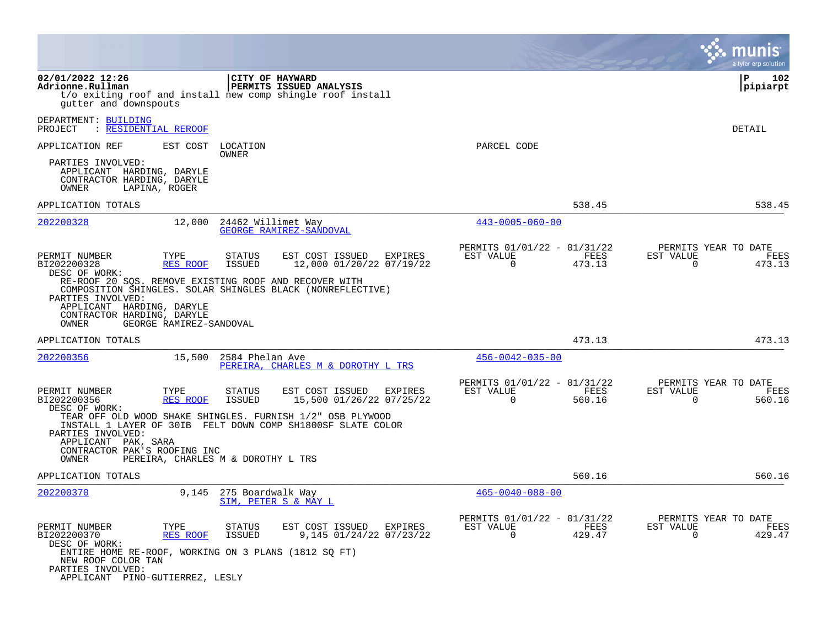|                                                                                                                                                                      |                                                                                                                                                        |                                                                           | a tyler erp solution                                               |
|----------------------------------------------------------------------------------------------------------------------------------------------------------------------|--------------------------------------------------------------------------------------------------------------------------------------------------------|---------------------------------------------------------------------------|--------------------------------------------------------------------|
| 02/01/2022 12:26<br>Adrionne.Rullman<br>qutter and downspouts                                                                                                        | CITY OF HAYWARD<br>PERMITS ISSUED ANALYSIS<br>t/o exiting roof and install new comp shingle roof install                                               |                                                                           | ΙP<br>102<br> pipiarpt                                             |
| DEPARTMENT: BUILDING<br><u>: RESIDENTIAL REROOF</u><br>PROJECT                                                                                                       |                                                                                                                                                        |                                                                           | <b>DETAIL</b>                                                      |
| EST COST<br>APPLICATION REF                                                                                                                                          | LOCATION                                                                                                                                               | PARCEL CODE                                                               |                                                                    |
| PARTIES INVOLVED:<br>APPLICANT HARDING, DARYLE<br>CONTRACTOR HARDING, DARYLE<br>OWNER<br>LAPINA, ROGER                                                               | OWNER                                                                                                                                                  |                                                                           |                                                                    |
| APPLICATION TOTALS                                                                                                                                                   |                                                                                                                                                        | 538.45                                                                    | 538.45                                                             |
| 202200328<br>12,000                                                                                                                                                  | 24462 Willimet Way<br>GEORGE RAMIREZ-SANDOVAL                                                                                                          | $443 - 0005 - 060 - 00$                                                   |                                                                    |
| PERMIT NUMBER<br>TYPE<br>BI202200328<br>RES ROOF<br>DESC OF WORK:<br>RE-ROOF 20 SOS. REMOVE EXISTING ROOF AND RECOVER WITH<br>PARTIES INVOLVED:                      | STATUS<br>EST COST ISSUED<br>EXPIRES<br>12,000 01/20/22 07/19/22<br><b>ISSUED</b><br>COMPOSITION SHINGLES. SOLAR SHINGLES BLACK (NONREFLECTIVE)        | PERMITS 01/01/22 - 01/31/22<br>EST VALUE<br>FEES<br>$\mathbf 0$<br>473.13 | PERMITS YEAR TO DATE<br>EST VALUE<br>FEES<br>$\mathbf 0$<br>473.13 |
| APPLICANT HARDING, DARYLE<br>CONTRACTOR HARDING, DARYLE<br>GEORGE RAMIREZ-SANDOVAL<br>OWNER                                                                          |                                                                                                                                                        |                                                                           |                                                                    |
| APPLICATION TOTALS                                                                                                                                                   |                                                                                                                                                        | 473.13                                                                    | 473.13                                                             |
| 202200356<br>15,500                                                                                                                                                  | 2584 Phelan Ave<br>PEREIRA, CHARLES M & DOROTHY L TRS                                                                                                  | $456 - 0042 - 035 - 00$                                                   |                                                                    |
| PERMIT NUMBER<br>TYPE<br>BI202200356<br>RES ROOF<br>DESC OF WORK:                                                                                                    | EST COST ISSUED<br><b>STATUS</b><br>EXPIRES<br><b>ISSUED</b><br>15,500 01/26/22 07/25/22<br>TEAR OFF OLD WOOD SHAKE SHINGLES. FURNISH 1/2" OSB PLYWOOD | PERMITS 01/01/22 - 01/31/22<br>EST VALUE<br>FEES<br>$\Omega$<br>560.16    | PERMITS YEAR TO DATE<br>EST VALUE<br>FEES<br>$\Omega$<br>560.16    |
| PARTIES INVOLVED:<br>APPLICANT PAK, SARA<br>CONTRACTOR PAK'S ROOFING INC<br>OWNER                                                                                    | INSTALL 1 LAYER OF 30IB FELT DOWN COMP SH1800SF SLATE COLOR<br>PEREIRA, CHARLES M & DOROTHY L TRS                                                      |                                                                           |                                                                    |
| APPLICATION TOTALS                                                                                                                                                   |                                                                                                                                                        | 560.16                                                                    | 560.16                                                             |
| 202200370<br>9,145                                                                                                                                                   | 275 Boardwalk Way<br>SIM, PETER S & MAY L                                                                                                              | $465 - 0040 - 088 - 00$                                                   |                                                                    |
| PERMIT NUMBER<br>TYPE<br>BI202200370<br>RES ROOF<br>DESC OF WORK:<br>ENTIRE HOME RE-ROOF, WORKING ON 3 PLANS (1812 SQ FT)<br>NEW ROOF COLOR TAN<br>PARTIES INVOLVED: | STATUS<br>EST COST ISSUED<br>EXPIRES<br>9,145 01/24/22 07/23/22<br><b>ISSUED</b>                                                                       | PERMITS 01/01/22 - 01/31/22<br>EST VALUE<br>FEES<br>$\Omega$<br>429.47    | PERMITS YEAR TO DATE<br>EST VALUE<br>FEES<br>$\Omega$<br>429.47    |
| APPLICANT PINO-GUTIERREZ, LESLY                                                                                                                                      |                                                                                                                                                        |                                                                           |                                                                    |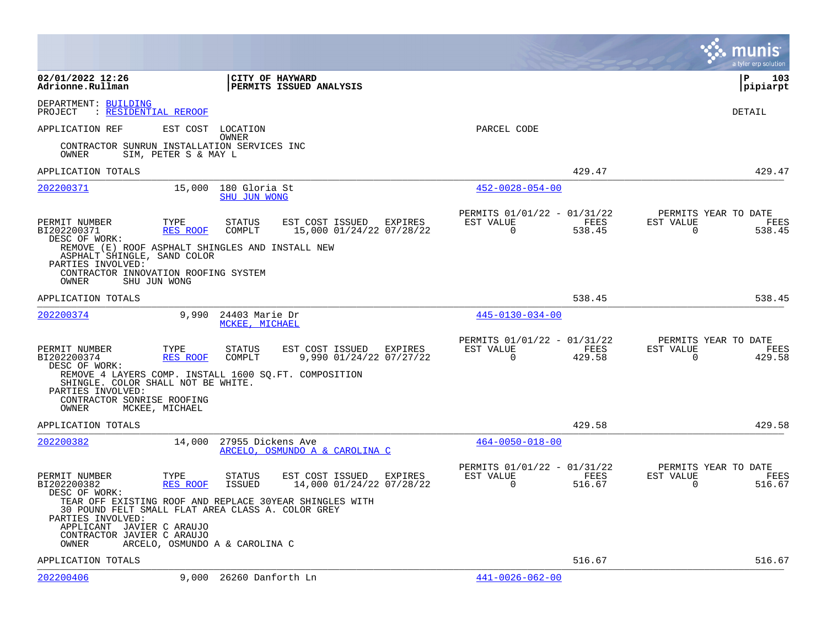|                                                                                                                                                                       |                                                                                   |                                                                           | munis<br>a tyler erp solution                                                |
|-----------------------------------------------------------------------------------------------------------------------------------------------------------------------|-----------------------------------------------------------------------------------|---------------------------------------------------------------------------|------------------------------------------------------------------------------|
| 02/01/2022 12:26<br>Adrionne.Rullman                                                                                                                                  | CITY OF HAYWARD<br>PERMITS ISSUED ANALYSIS                                        |                                                                           | l P<br>103<br> pipiarpt                                                      |
| DEPARTMENT: BUILDING<br>: RESIDENTIAL REROOF<br>PROJECT                                                                                                               |                                                                                   |                                                                           | DETAIL                                                                       |
| APPLICATION REF                                                                                                                                                       | EST COST LOCATION<br>OWNER                                                        | PARCEL CODE                                                               |                                                                              |
| CONTRACTOR SUNRUN INSTALLATION SERVICES INC<br>SIM, PETER S & MAY L<br>OWNER                                                                                          |                                                                                   |                                                                           |                                                                              |
| APPLICATION TOTALS                                                                                                                                                    |                                                                                   | 429.47                                                                    | 429.47                                                                       |
| 15,000<br>202200371                                                                                                                                                   | 180 Gloria St<br>SHU JUN WONG                                                     | $452 - 0028 - 054 - 00$                                                   |                                                                              |
| PERMIT NUMBER<br>TYPE<br>BI202200371<br>RES ROOF<br>DESC OF WORK:                                                                                                     | <b>STATUS</b><br>EST COST ISSUED EXPIRES<br>COMPLT<br>15,000 01/24/22 07/28/22    | PERMITS 01/01/22 - 01/31/22<br>EST VALUE<br>FEES<br>$\mathbf 0$<br>538.45 | PERMITS YEAR TO DATE<br>EST VALUE<br><b>FEES</b><br>$\overline{0}$<br>538.45 |
| REMOVE (E) ROOF ASPHALT SHINGLES AND INSTALL NEW<br>ASPHALT SHINGLE, SAND COLOR<br>PARTIES INVOLVED:<br>CONTRACTOR INNOVATION ROOFING SYSTEM<br>OWNER<br>SHU JUN WONG |                                                                                   |                                                                           |                                                                              |
| APPLICATION TOTALS                                                                                                                                                    |                                                                                   | 538.45                                                                    | 538.45                                                                       |
| 202200374<br>9,990                                                                                                                                                    | 24403 Marie Dr<br>MCKEE, MICHAEL                                                  | $445 - 0130 - 034 - 00$                                                   |                                                                              |
| PERMIT NUMBER<br>TYPE<br>BI202200374<br>RES ROOF<br>DESC OF WORK:                                                                                                     | <b>STATUS</b><br>EST COST ISSUED<br>EXPIRES<br>COMPLT<br>9,990 01/24/22 07/27/22  | PERMITS 01/01/22 - 01/31/22<br>EST VALUE<br>FEES<br>$\mathbf 0$<br>429.58 | PERMITS YEAR TO DATE<br>EST VALUE<br>FEES<br>$\mathbf 0$<br>429.58           |
| SHINGLE. COLOR SHALL NOT BE WHITE.<br>PARTIES INVOLVED:                                                                                                               | REMOVE 4 LAYERS COMP. INSTALL 1600 SQ.FT. COMPOSITION                             |                                                                           |                                                                              |
| CONTRACTOR SONRISE ROOFING<br>OWNER<br>MCKEE, MICHAEL                                                                                                                 |                                                                                   |                                                                           |                                                                              |
| APPLICATION TOTALS                                                                                                                                                    |                                                                                   | 429.58                                                                    | 429.58                                                                       |
| 202200382<br>14,000                                                                                                                                                   | 27955 Dickens Ave<br>ARCELO, OSMUNDO A & CAROLINA C                               | $464 - 0050 - 018 - 00$                                                   |                                                                              |
| PERMIT NUMBER<br>TYPE<br><b>RES ROOF</b><br>BI202200382<br>DESC OF WORK:                                                                                              | <b>STATUS</b><br>EST COST ISSUED<br>EXPIRES<br>ISSUED<br>14,000 01/24/22 07/28/22 | PERMITS 01/01/22 - 01/31/22<br>EST VALUE<br>FEES<br>$\Omega$<br>516.67    | PERMITS YEAR TO DATE<br>EST VALUE<br>FEES<br>$\Omega$<br>516.67              |
| 30 POUND FELT SMALL FLAT AREA CLASS A. COLOR GREY<br>PARTIES INVOLVED:                                                                                                | TEAR OFF EXISTING ROOF AND REPLACE 30YEAR SHINGLES WITH                           |                                                                           |                                                                              |
| APPLICANT JAVIER C ARAUJO<br>CONTRACTOR JAVIER C ARAUJO<br>OWNER                                                                                                      | ARCELO, OSMUNDO A & CAROLINA C                                                    |                                                                           |                                                                              |
| APPLICATION TOTALS                                                                                                                                                    |                                                                                   | 516.67                                                                    | 516.67                                                                       |
| 202200406                                                                                                                                                             | 9,000 26260 Danforth Ln                                                           | $441 - 0026 - 062 - 00$                                                   |                                                                              |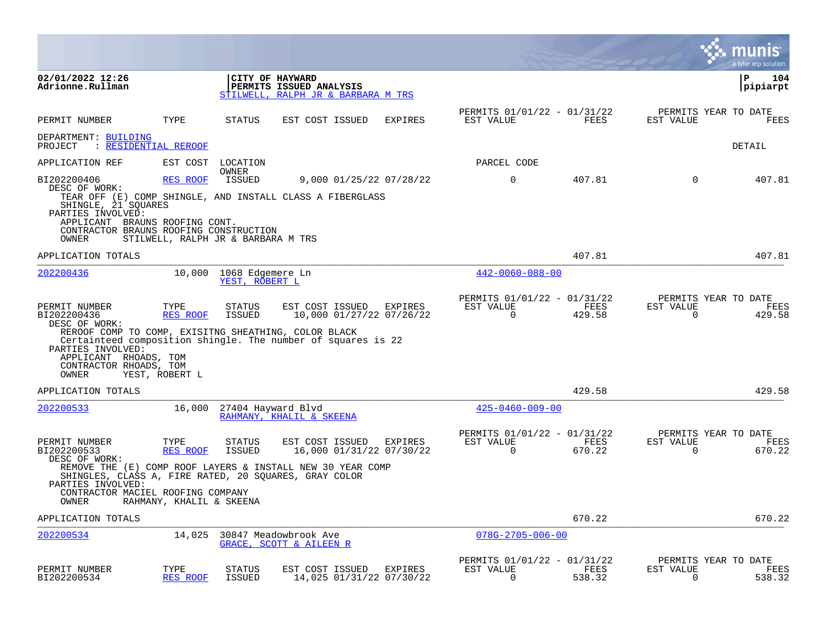|                                                                                                                                                               |                                                |                                           |                                                                                                                                                                     |                |                                                         |                |                          | munis<br>a tyler erp solution          |
|---------------------------------------------------------------------------------------------------------------------------------------------------------------|------------------------------------------------|-------------------------------------------|---------------------------------------------------------------------------------------------------------------------------------------------------------------------|----------------|---------------------------------------------------------|----------------|--------------------------|----------------------------------------|
| 02/01/2022 12:26<br>Adrionne.Rullman                                                                                                                          |                                                |                                           | CITY OF HAYWARD<br>PERMITS ISSUED ANALYSIS<br>STILWELL, RALPH JR & BARBARA M TRS                                                                                    |                |                                                         |                |                          | ΙP<br>104<br> pipiarpt                 |
| PERMIT NUMBER                                                                                                                                                 | TYPE                                           | <b>STATUS</b>                             | EST COST ISSUED                                                                                                                                                     | <b>EXPIRES</b> | PERMITS 01/01/22 - 01/31/22<br>EST VALUE                | FEES           | EST VALUE                | PERMITS YEAR TO DATE<br>FEES           |
| DEPARTMENT: BUILDING<br>PROJECT                                                                                                                               | : RESIDENTIAL REROOF                           |                                           |                                                                                                                                                                     |                |                                                         |                |                          | DETAIL                                 |
| APPLICATION REF                                                                                                                                               | EST COST                                       | LOCATION                                  |                                                                                                                                                                     |                | PARCEL CODE                                             |                |                          |                                        |
| BI202200406<br>DESC OF WORK:<br>SHINGLE, 21 SQUARES<br>PARTIES INVOLVED:<br>APPLICANT BRAUNS ROOFING CONT.<br>CONTRACTOR BRAUNS ROOFING CONSTRUCTION<br>OWNER | RES ROOF<br>STILWELL, RALPH JR & BARBARA M TRS | OWNER<br>ISSUED                           | 9,000 01/25/22 07/28/22<br>TEAR OFF (E) COMP SHINGLE, AND INSTALL CLASS A FIBERGLASS                                                                                |                | $\Omega$                                                | 407.81         | $\Omega$                 | 407.81                                 |
| APPLICATION TOTALS                                                                                                                                            |                                                |                                           |                                                                                                                                                                     |                |                                                         | 407.81         |                          | 407.81                                 |
| 202200436                                                                                                                                                     |                                                | 10,000 1068 Edgemere Ln<br>YEST, ROBERT L |                                                                                                                                                                     |                | $442 - 0060 - 088 - 00$                                 |                |                          |                                        |
| PERMIT NUMBER<br>BI202200436<br>DESC OF WORK:<br>PARTIES INVOLVED:<br>APPLICANT RHOADS, TOM<br>CONTRACTOR RHOADS, TOM<br>OWNER                                | TYPE<br>RES ROOF<br>YEST, ROBERT L             | STATUS<br>ISSUED                          | EST COST ISSUED<br>10,000 01/27/22 07/26/22<br>REROOF COMP TO COMP, EXISITNG SHEATHING, COLOR BLACK<br>Certainteed composition shingle. The number of squares is 22 | EXPIRES        | PERMITS 01/01/22 - 01/31/22<br>EST VALUE<br>$\Omega$    | FEES<br>429.58 | EST VALUE<br>0           | PERMITS YEAR TO DATE<br>FEES<br>429.58 |
| APPLICATION TOTALS                                                                                                                                            |                                                |                                           |                                                                                                                                                                     |                |                                                         | 429.58         |                          | 429.58                                 |
| 202200533                                                                                                                                                     |                                                | 16,000 27404 Hayward Blvd                 | RAHMANY, KHALIL & SKEENA                                                                                                                                            |                | $425 - 0460 - 009 - 00$                                 |                |                          |                                        |
| PERMIT NUMBER<br>BI202200533<br>DESC OF WORK:<br>PARTIES INVOLVED:<br>CONTRACTOR MACIEL ROOFING COMPANY<br>OWNER                                              | TYPE<br>RES ROOF<br>RAHMANY, KHALIL & SKEENA   | <b>STATUS</b><br>ISSUED                   | EST COST ISSUED<br>16,000 01/31/22 07/30/22<br>REMOVE THE (E) COMP ROOF LAYERS & INSTALL NEW 30 YEAR COMP<br>SHINGLES, CLASS A, FIRE RATED, 20 SQUARES, GRAY COLOR  | EXPIRES        | PERMITS 01/01/22 - 01/31/22<br>EST VALUE<br>$\Omega$    | FEES<br>670.22 | EST VALUE<br>$\Omega$    | PERMITS YEAR TO DATE<br>FEES<br>670.22 |
| APPLICATION TOTALS                                                                                                                                            |                                                |                                           |                                                                                                                                                                     |                |                                                         | 670.22         |                          | 670.22                                 |
| 202200534                                                                                                                                                     | 14,025                                         |                                           | 30847 Meadowbrook Ave<br>GRACE, SCOTT & AILEEN R                                                                                                                    |                | $078G - 2705 - 006 - 00$                                |                |                          |                                        |
| PERMIT NUMBER<br>BI202200534                                                                                                                                  | TYPE<br>RES ROOF                               | <b>STATUS</b><br><b>ISSUED</b>            | EST COST ISSUED<br>14,025 01/31/22 07/30/22                                                                                                                         | <b>EXPIRES</b> | PERMITS 01/01/22 - 01/31/22<br>EST VALUE<br>$\mathbf 0$ | FEES<br>538.32 | EST VALUE<br>$\mathbf 0$ | PERMITS YEAR TO DATE<br>FEES<br>538.32 |

**COL**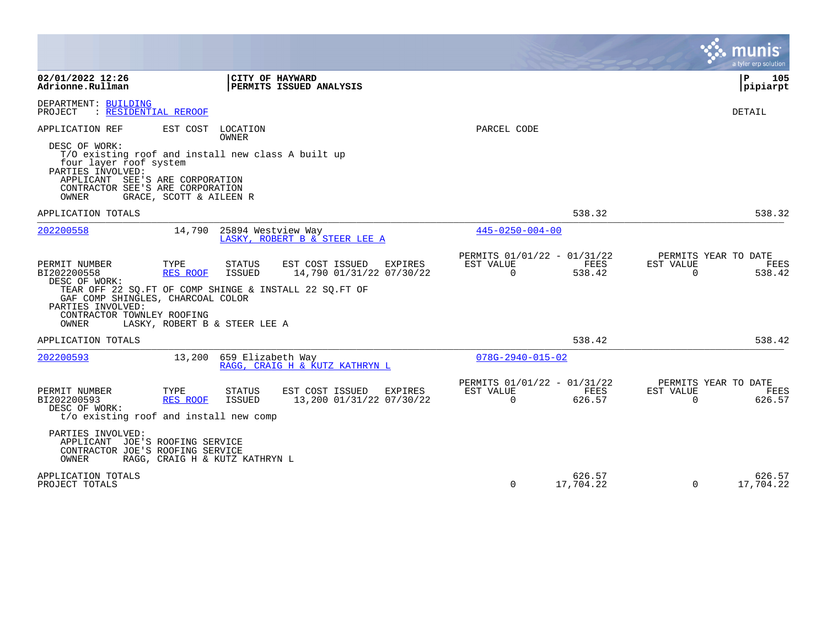|                                                                                                                                                                                                                                                  |                                                                                                                                               |                                                      |                     |                       | a tyler erp solution                   |
|--------------------------------------------------------------------------------------------------------------------------------------------------------------------------------------------------------------------------------------------------|-----------------------------------------------------------------------------------------------------------------------------------------------|------------------------------------------------------|---------------------|-----------------------|----------------------------------------|
| 02/01/2022 12:26<br>Adrionne.Rullman                                                                                                                                                                                                             | CITY OF HAYWARD<br>PERMITS ISSUED ANALYSIS                                                                                                    |                                                      |                     |                       | l P<br>105<br> pipiarpt                |
| DEPARTMENT: BUILDING<br>: RESIDENTIAL REROOF<br>PROJECT                                                                                                                                                                                          |                                                                                                                                               |                                                      |                     |                       | DETAIL                                 |
| APPLICATION REF<br>DESC OF WORK:<br>T/O existing roof and install new class A built up<br>four layer roof system<br>PARTIES INVOLVED:<br>APPLICANT SEE'S ARE CORPORATION<br>CONTRACTOR SEE'S ARE CORPORATION<br>GRACE, SCOTT & AILEEN R<br>OWNER | EST COST LOCATION<br><b>OWNER</b>                                                                                                             | PARCEL CODE                                          |                     |                       |                                        |
| APPLICATION TOTALS                                                                                                                                                                                                                               |                                                                                                                                               |                                                      | 538.32              |                       | 538.32                                 |
| 202200558<br>14,790                                                                                                                                                                                                                              | 25894 Westview Way<br>LASKY, ROBERT B & STEER LEE A                                                                                           | $445 - 0250 - 004 - 00$                              |                     |                       |                                        |
| PERMIT NUMBER<br>TYPE<br>BI202200558<br>RES ROOF<br>DESC OF WORK:<br>GAF COMP SHINGLES, CHARCOAL COLOR<br>PARTIES INVOLVED:<br>CONTRACTOR TOWNLEY ROOFING<br>OWNER<br>LASKY, ROBERT B & STEER LEE A                                              | EST COST ISSUED<br>STATUS<br>EXPIRES<br>14,790 01/31/22 07/30/22<br><b>ISSUED</b><br>TEAR OFF 22 SQ. FT OF COMP SHINGE & INSTALL 22 SQ. FT OF | PERMITS 01/01/22 - 01/31/22<br>EST VALUE<br>$\Omega$ | FEES<br>538.42      | EST VALUE<br>$\Omega$ | PERMITS YEAR TO DATE<br>FEES<br>538.42 |
| APPLICATION TOTALS                                                                                                                                                                                                                               |                                                                                                                                               |                                                      | 538.42              |                       | 538.42                                 |
| 202200593<br>13,200                                                                                                                                                                                                                              | 659 Elizabeth Way<br>RAGG, CRAIG H & KUTZ KATHRYN L                                                                                           | $078G - 2940 - 015 - 02$                             |                     |                       |                                        |
| PERMIT NUMBER<br>TYPE<br>BI202200593<br>RES ROOF<br>DESC OF WORK:<br>t/o existing roof and install new comp<br>PARTIES INVOLVED:<br>APPLICANT JOE'S ROOFING SERVICE<br>CONTRACTOR JOE'S ROOFING SERVICE<br>OWNER                                 | <b>STATUS</b><br>EST COST ISSUED EXPIRES<br>ISSUED<br>13,200 01/31/22 07/30/22                                                                | PERMITS 01/01/22 - 01/31/22<br>EST VALUE<br>$\Omega$ | FEES<br>626.57      | EST VALUE<br>$\Omega$ | PERMITS YEAR TO DATE<br>FEES<br>626.57 |
| RAGG, CRAIG H & KUTZ KATHRYN L<br>APPLICATION TOTALS<br>PROJECT TOTALS                                                                                                                                                                           |                                                                                                                                               | $\Omega$                                             | 626.57<br>17,704.22 | $\Omega$              | 626.57<br>17,704.22                    |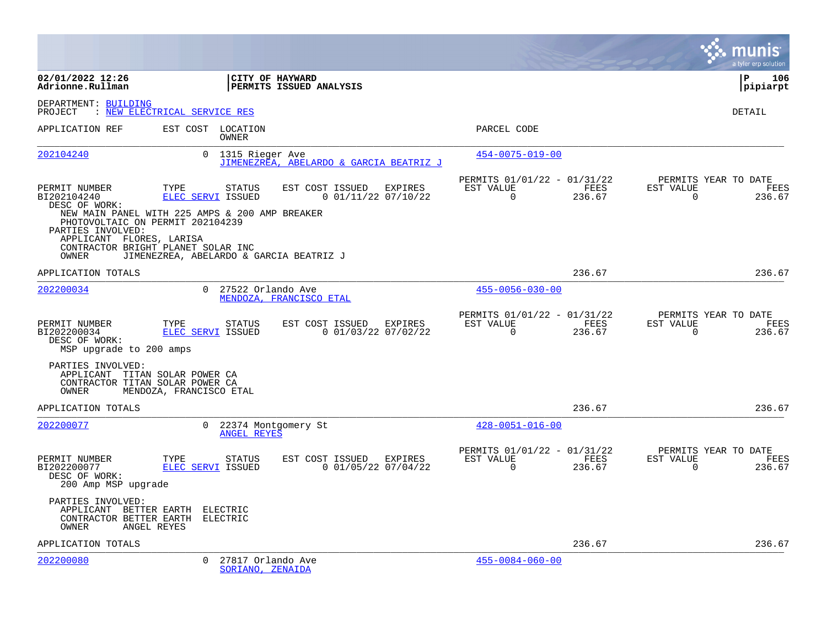|                                                                                                                                                                                      |                              |                                             |                                                  |         |                                                      |                |                          | a tyler erp solution                   |
|--------------------------------------------------------------------------------------------------------------------------------------------------------------------------------------|------------------------------|---------------------------------------------|--------------------------------------------------|---------|------------------------------------------------------|----------------|--------------------------|----------------------------------------|
| 02/01/2022 12:26<br>Adrionne.Rullman                                                                                                                                                 |                              | CITY OF HAYWARD                             | PERMITS ISSUED ANALYSIS                          |         |                                                      |                |                          | ∣P<br>106<br> pipiarpt                 |
| DEPARTMENT: BUILDING<br>PROJECT                                                                                                                                                      | : NEW ELECTRICAL SERVICE RES |                                             |                                                  |         |                                                      |                |                          | DETAIL                                 |
| APPLICATION REF                                                                                                                                                                      | EST COST LOCATION            | OWNER                                       |                                                  |         | PARCEL CODE                                          |                |                          |                                        |
| 202104240                                                                                                                                                                            |                              | 0 1315 Rieger Ave                           | JIMENEZREA, ABELARDO & GARCIA BEATRIZ J          |         | $454 - 0075 - 019 - 00$                              |                |                          |                                        |
| PERMIT NUMBER<br>BI202104240<br>DESC OF WORK:<br>NEW MAIN PANEL WITH 225 AMPS & 200 AMP BREAKER<br>PHOTOVOLTAIC ON PERMIT 202104239<br>PARTIES INVOLVED:<br>APPLICANT FLORES, LARISA | TYPE<br>ELEC SERVI ISSUED    | STATUS                                      | EST COST ISSUED EXPIRES<br>$0$ 01/11/22 07/10/22 |         | PERMITS 01/01/22 - 01/31/22<br>EST VALUE<br>$\Omega$ | FEES<br>236.67 | EST VALUE<br>$\Omega$    | PERMITS YEAR TO DATE<br>FEES<br>236.67 |
| CONTRACTOR BRIGHT PLANET SOLAR INC<br>OWNER                                                                                                                                          |                              |                                             | JIMENEZREA, ABELARDO & GARCIA BEATRIZ J          |         |                                                      |                |                          |                                        |
| APPLICATION TOTALS                                                                                                                                                                   |                              |                                             |                                                  |         |                                                      | 236.67         |                          | 236.67                                 |
| 202200034                                                                                                                                                                            |                              | 0 27522 Orlando Ave                         | MENDOZA, FRANCISCO ETAL                          |         | $455 - 0056 - 030 - 00$                              |                |                          |                                        |
| PERMIT NUMBER<br>BI202200034<br>DESC OF WORK:<br>MSP upgrade to 200 amps                                                                                                             | TYPE<br>ELEC SERVI ISSUED    | STATUS                                      | EST COST ISSUED<br>$0$ 01/03/22 07/02/22         | EXPIRES | PERMITS 01/01/22 - 01/31/22<br>EST VALUE<br>$\Omega$ | FEES<br>236.67 | EST VALUE<br>$\mathbf 0$ | PERMITS YEAR TO DATE<br>FEES<br>236.67 |
| PARTIES INVOLVED:<br>APPLICANT TITAN SOLAR POWER CA<br>CONTRACTOR TITAN SOLAR POWER CA<br>OWNER                                                                                      | MENDOZA, FRANCISCO ETAL      |                                             |                                                  |         |                                                      |                |                          |                                        |
| APPLICATION TOTALS                                                                                                                                                                   |                              |                                             |                                                  |         |                                                      | 236.67         |                          | 236.67                                 |
| 202200077                                                                                                                                                                            |                              | 0 22374 Montgomery St<br><b>ANGEL REYES</b> |                                                  |         | $428 - 0051 - 016 - 00$                              |                |                          |                                        |
| PERMIT NUMBER<br>BI202200077<br>DESC OF WORK:<br>200 Amp MSP upgrade                                                                                                                 | TYPE<br>ELEC SERVI ISSUED    | STATUS                                      | EST COST ISSUED EXPIRES<br>$0$ 01/05/22 07/04/22 |         | PERMITS 01/01/22 - 01/31/22<br>EST VALUE<br>$\Omega$ | FEES<br>236.67 | EST VALUE<br>$\mathbf 0$ | PERMITS YEAR TO DATE<br>FEES<br>236.67 |
| PARTIES INVOLVED:<br>APPLICANT BETTER EARTH ELECTRIC<br>CONTRACTOR BETTER EARTH<br>OWNER                                                                                             | ANGEL REYES                  | ELECTRIC                                    |                                                  |         |                                                      |                |                          |                                        |
| APPLICATION TOTALS                                                                                                                                                                   |                              |                                             |                                                  |         |                                                      | 236.67         |                          | 236.67                                 |
| 202200080                                                                                                                                                                            | $\Omega$                     | 27817 Orlando Ave<br>SORIANO, ZENAIDA       |                                                  |         | $455 - 0084 - 060 - 00$                              |                |                          |                                        |

**Contract**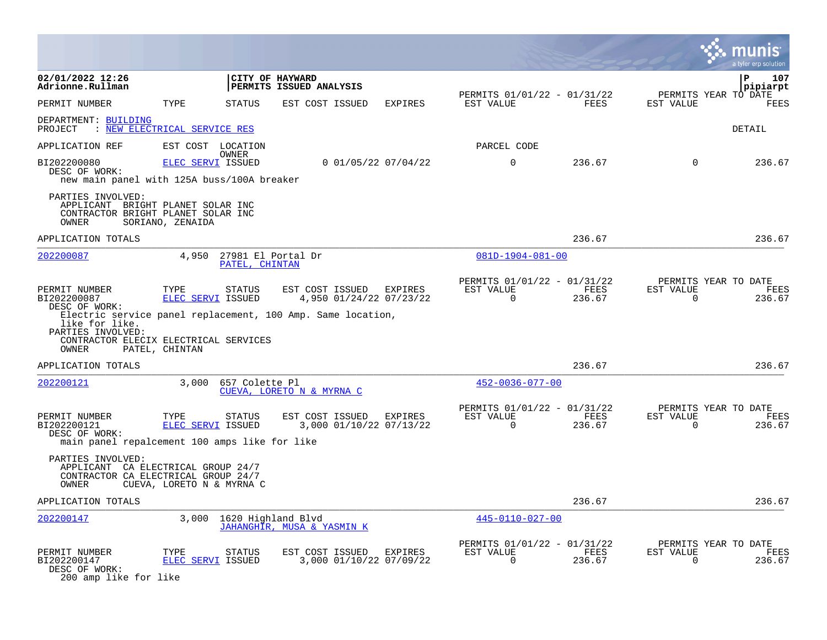|                                                                                                                                        |                                             |                                      |                                                                                                                   |                       |                                                      |                |                       | a tyler erp solution                   |
|----------------------------------------------------------------------------------------------------------------------------------------|---------------------------------------------|--------------------------------------|-------------------------------------------------------------------------------------------------------------------|-----------------------|------------------------------------------------------|----------------|-----------------------|----------------------------------------|
| 02/01/2022 12:26<br>Adrionne.Rullman                                                                                                   |                                             |                                      | CITY OF HAYWARD<br>PERMITS ISSUED ANALYSIS                                                                        |                       |                                                      |                |                       | 107<br>P<br>pipiarpt                   |
| PERMIT NUMBER                                                                                                                          | TYPE                                        | <b>STATUS</b>                        | EST COST ISSUED                                                                                                   | EXPIRES               | PERMITS 01/01/22 - 01/31/22<br>EST VALUE             | FEES           | EST VALUE             | PERMITS YEAR TO DATE<br><b>FEES</b>    |
| DEPARTMENT: BUILDING<br>: NEW ELECTRICAL SERVICE RES<br>PROJECT                                                                        |                                             |                                      |                                                                                                                   |                       |                                                      |                |                       | DETAIL                                 |
| APPLICATION REF                                                                                                                        |                                             | EST COST LOCATION                    |                                                                                                                   |                       | PARCEL CODE                                          |                |                       |                                        |
| BI202200080                                                                                                                            | ELEC SERVI ISSUED                           | OWNER                                |                                                                                                                   | $0$ 01/05/22 07/04/22 | $\mathbf 0$                                          | 236.67         | $\mathbf 0$           | 236.67                                 |
| DESC OF WORK:<br>new main panel with 125A buss/100A breaker                                                                            |                                             |                                      |                                                                                                                   |                       |                                                      |                |                       |                                        |
| PARTIES INVOLVED:<br>APPLICANT BRIGHT PLANET SOLAR INC<br>CONTRACTOR BRIGHT PLANET SOLAR INC<br>OWNER                                  | SORIANO, ZENAIDA                            |                                      |                                                                                                                   |                       |                                                      |                |                       |                                        |
| APPLICATION TOTALS                                                                                                                     |                                             |                                      |                                                                                                                   |                       |                                                      | 236.67         |                       | 236.67                                 |
| 202200087                                                                                                                              | 4,950                                       | 27981 El Portal Dr<br>PATEL, CHINTAN |                                                                                                                   |                       | 081D-1904-081-00                                     |                |                       |                                        |
| PERMIT NUMBER<br>BI202200087<br>DESC OF WORK:<br>like for like.<br>PARTIES INVOLVED:<br>CONTRACTOR ELECIX ELECTRICAL SERVICES<br>OWNER | TYPE<br>ELEC SERVI ISSUED<br>PATEL, CHINTAN | <b>STATUS</b>                        | EST COST ISSUED EXPIRES<br>4,950 01/24/22 07/23/22<br>Electric service panel replacement, 100 Amp. Same location, |                       | PERMITS 01/01/22 - 01/31/22<br>EST VALUE<br>$\Omega$ | FEES<br>236.67 | EST VALUE<br>$\Omega$ | PERMITS YEAR TO DATE<br>FEES<br>236.67 |
| APPLICATION TOTALS                                                                                                                     |                                             |                                      |                                                                                                                   |                       |                                                      | 236.67         |                       | 236.67                                 |
| 202200121                                                                                                                              | 3,000                                       | 657 Colette Pl                       | CUEVA, LORETO N & MYRNA C                                                                                         |                       | $452 - 0036 - 077 - 00$                              |                |                       |                                        |
| PERMIT NUMBER<br>BI202200121<br>DESC OF WORK:<br>main panel repalcement 100 amps like for like                                         | TYPE<br>ELEC SERVI ISSUED                   | <b>STATUS</b>                        | EST COST ISSUED<br>3,000 01/10/22 07/13/22                                                                        | EXPIRES               | PERMITS 01/01/22 - 01/31/22<br>EST VALUE<br>$\Omega$ | FEES<br>236.67 | EST VALUE<br>$\Omega$ | PERMITS YEAR TO DATE<br>FEES<br>236.67 |
| PARTIES INVOLVED:<br>APPLICANT CA ELECTRICAL GROUP 24/7<br>CONTRACTOR CA ELECTRICAL GROUP 24/7<br>OWNER                                | CUEVA, LORETO N & MYRNA C                   |                                      |                                                                                                                   |                       |                                                      |                |                       |                                        |
| APPLICATION TOTALS                                                                                                                     |                                             |                                      |                                                                                                                   |                       |                                                      | 236.67         |                       | 236.67                                 |
| 202200147                                                                                                                              | 3,000                                       | 1620 Highland Blvd                   | JAHANGHIR, MUSA & YASMIN K                                                                                        |                       | 445-0110-027-00                                      |                |                       |                                        |
| PERMIT NUMBER<br>BI202200147<br>DESC OF WORK:<br>200 amp like for like                                                                 | TYPE<br><b>ELEC SERVI ISSUED</b>            | STATUS                               | EST COST ISSUED<br>3,000 01/10/22 07/09/22                                                                        | EXPIRES               | PERMITS 01/01/22 - 01/31/22<br>EST VALUE<br>$\Omega$ | FEES<br>236.67 | EST VALUE<br>$\Omega$ | PERMITS YEAR TO DATE<br>FEES<br>236.67 |

 $\bullet$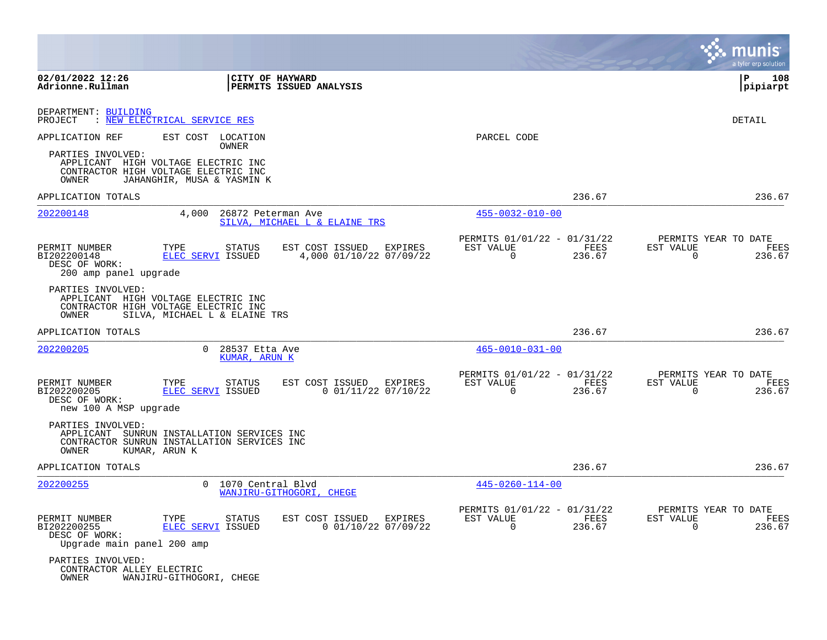|                                                                             |                                                                                                                                         |                                                              |                                                         |                                                                    | a tyler erp solution    |
|-----------------------------------------------------------------------------|-----------------------------------------------------------------------------------------------------------------------------------------|--------------------------------------------------------------|---------------------------------------------------------|--------------------------------------------------------------------|-------------------------|
| 02/01/2022 12:26<br>Adrionne.Rullman                                        | CITY OF HAYWARD                                                                                                                         | <b>PERMITS ISSUED ANALYSIS</b>                               |                                                         |                                                                    | l P<br>108<br> pipiarpt |
| DEPARTMENT: BUILDING<br>PROJECT                                             | : NEW ELECTRICAL SERVICE RES                                                                                                            |                                                              |                                                         |                                                                    | DETAIL                  |
| APPLICATION REF<br>PARTIES INVOLVED:<br>OWNER                               | EST COST LOCATION<br>OWNER<br>APPLICANT HIGH VOLTAGE ELECTRIC INC<br>CONTRACTOR HIGH VOLTAGE ELECTRIC INC<br>JAHANGHIR, MUSA & YASMIN K |                                                              | PARCEL CODE                                             |                                                                    |                         |
| APPLICATION TOTALS                                                          |                                                                                                                                         |                                                              |                                                         | 236.67                                                             | 236.67                  |
| 202200148                                                                   | 4,000<br>26872 Peterman Ave                                                                                                             | SILVA, MICHAEL L & ELAINE TRS                                | $455 - 0032 - 010 - 00$                                 |                                                                    |                         |
| PERMIT NUMBER<br>BI202200148<br>DESC OF WORK:<br>200 amp panel upgrade      | TYPE<br><b>STATUS</b><br>ELEC SERVI ISSUED                                                                                              | EST COST ISSUED<br><b>EXPIRES</b><br>4,000 01/10/22 07/09/22 | PERMITS 01/01/22 - 01/31/22<br>EST VALUE<br>$\mathbf 0$ | PERMITS YEAR TO DATE<br>FEES<br>EST VALUE<br>236.67<br>$\mathbf 0$ | FEES<br>236.67          |
| PARTIES INVOLVED:<br>OWNER                                                  | APPLICANT HIGH VOLTAGE ELECTRIC INC<br>CONTRACTOR HIGH VOLTAGE ELECTRIC INC<br>SILVA, MICHAEL L & ELAINE TRS                            |                                                              |                                                         |                                                                    |                         |
| APPLICATION TOTALS                                                          |                                                                                                                                         |                                                              |                                                         | 236.67                                                             | 236.67                  |
| 202200205                                                                   | $\Omega$<br>28537 Etta Ave<br>KUMAR, ARUN K                                                                                             |                                                              | $465 - 0010 - 031 - 00$                                 |                                                                    |                         |
| PERMIT NUMBER<br>BI202200205<br>DESC OF WORK:<br>new 100 A MSP upgrade      | TYPE<br>STATUS<br>ELEC SERVI ISSUED                                                                                                     | EST COST ISSUED<br>EXPIRES<br>$0$ 01/11/22 07/10/22          | PERMITS 01/01/22 - 01/31/22<br>EST VALUE<br>0           | PERMITS YEAR TO DATE<br>FEES<br>EST VALUE<br>236.67<br>$\Omega$    | FEES<br>236.67          |
| PARTIES INVOLVED:<br>OWNER                                                  | APPLICANT SUNRUN INSTALLATION SERVICES INC<br>CONTRACTOR SUNRUN INSTALLATION SERVICES INC<br>KUMAR, ARUN K                              |                                                              |                                                         |                                                                    |                         |
| APPLICATION TOTALS                                                          |                                                                                                                                         |                                                              |                                                         | 236.67                                                             | 236.67                  |
| 202200255                                                                   | $\Omega$<br>1070 Central Blvd                                                                                                           | WANJIRU-GITHOGORI, CHEGE                                     | $445 - 0260 - 114 - 00$                                 |                                                                    |                         |
| PERMIT NUMBER<br>BI202200255<br>DESC OF WORK:<br>Upgrade main panel 200 amp | TYPE<br>STATUS<br>ELEC SERVI ISSUED                                                                                                     | EST COST ISSUED<br>EXPIRES<br>$0$ 01/10/22 07/09/22          | PERMITS 01/01/22 - 01/31/22<br>EST VALUE<br>$\mathbf 0$ | PERMITS YEAR TO DATE<br>FEES<br>EST VALUE<br>236.67<br>$\Omega$    | FEES<br>236.67          |
| PARTIES INVOLVED:<br>CONTRACTOR ALLEY ELECTRIC<br>OWNER                     | WANJIRU-GITHOGORI, CHEGE                                                                                                                |                                                              |                                                         |                                                                    |                         |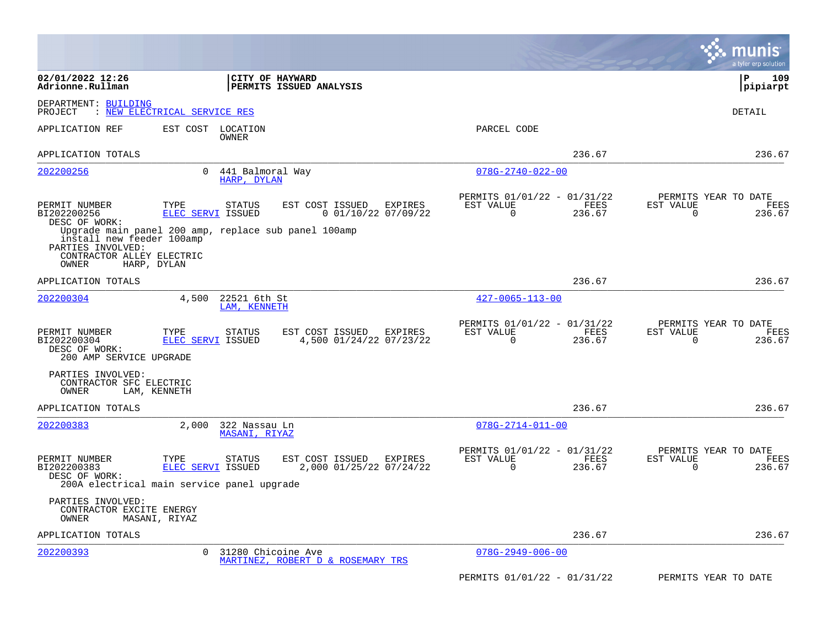|                                                                                                     |                           |                                                                        |                                                      |                | munıs<br>a tyler erp solution                                   |
|-----------------------------------------------------------------------------------------------------|---------------------------|------------------------------------------------------------------------|------------------------------------------------------|----------------|-----------------------------------------------------------------|
| 02/01/2022 12:26<br>Adrionne.Rullman                                                                |                           | CITY OF HAYWARD<br><b>PERMITS ISSUED ANALYSIS</b>                      |                                                      |                | l P<br>109<br> pipiarpt                                         |
| DEPARTMENT: BUILDING<br>: NEW ELECTRICAL SERVICE RES<br>PROJECT                                     |                           |                                                                        |                                                      |                | DETAIL                                                          |
| APPLICATION REF                                                                                     | EST COST                  | LOCATION<br>OWNER                                                      | PARCEL CODE                                          |                |                                                                 |
| APPLICATION TOTALS                                                                                  |                           |                                                                        |                                                      | 236.67         | 236.67                                                          |
| 202200256                                                                                           | $\Omega$                  | 441 Balmoral Way<br>HARP, DYLAN                                        | $078G - 2740 - 022 - 00$                             |                |                                                                 |
| PERMIT NUMBER<br>BI202200256<br>DESC OF WORK:                                                       | TYPE<br>ELEC SERVI ISSUED | EST COST ISSUED<br>STATUS<br>EXPIRES<br>$0$ 01/10/22 07/09/22          | PERMITS 01/01/22 - 01/31/22<br>EST VALUE<br>$\Omega$ | FEES<br>236.67 | PERMITS YEAR TO DATE<br>EST VALUE<br>FEES<br>0<br>236.67        |
| install new feeder 100amp<br>PARTIES INVOLVED:<br>CONTRACTOR ALLEY ELECTRIC<br>OWNER<br>HARP, DYLAN |                           | Upgrade main panel 200 amp, replace sub panel 100amp                   |                                                      |                |                                                                 |
| APPLICATION TOTALS                                                                                  |                           |                                                                        |                                                      | 236.67         | 236.67                                                          |
| 202200304                                                                                           | 4,500                     | 22521 6th St<br>LAM, KENNETH                                           | $427 - 0065 - 113 - 00$                              |                |                                                                 |
| PERMIT NUMBER<br>BI202200304<br>DESC OF WORK:<br>200 AMP SERVICE UPGRADE                            | TYPE<br>ELEC SERVI ISSUED | STATUS<br>EST COST ISSUED<br>EXPIRES<br>4,500 01/24/22 07/23/22        | PERMITS 01/01/22 - 01/31/22<br>EST VALUE<br>$\Omega$ | FEES<br>236.67 | PERMITS YEAR TO DATE<br>EST VALUE<br>FEES<br>236.67<br>$\Omega$ |
| PARTIES INVOLVED:<br>CONTRACTOR SFC ELECTRIC<br>OWNER<br>LAM, KENNETH                               |                           |                                                                        |                                                      |                |                                                                 |
| APPLICATION TOTALS                                                                                  |                           |                                                                        |                                                      | 236.67         | 236.67                                                          |
| 202200383                                                                                           | 2,000                     | 322 Nassau Ln<br>MASANI, RIYAZ                                         | $078G - 2714 - 011 - 00$                             |                |                                                                 |
| PERMIT NUMBER<br>BI202200383<br>DESC OF WORK:<br>200A electrical main service panel upgrade         | TYPE<br>ELEC SERVI ISSUED | <b>STATUS</b><br>EST COST ISSUED<br>EXPIRES<br>2,000 01/25/22 07/24/22 | PERMITS 01/01/22 - 01/31/22<br>EST VALUE<br>$\Omega$ | FEES<br>236.67 | PERMITS YEAR TO DATE<br>FEES<br>EST VALUE<br>$\Omega$<br>236.67 |
| PARTIES INVOLVED:<br>CONTRACTOR EXCITE ENERGY<br>OWNER<br>MASANI, RIYAZ                             |                           |                                                                        |                                                      |                |                                                                 |
| APPLICATION TOTALS                                                                                  |                           |                                                                        |                                                      | 236.67         | 236.67                                                          |
| 202200393                                                                                           | 0                         | 31280 Chicoine Ave<br>MARTINEZ, ROBERT D & ROSEMARY TRS                | $078G - 2949 - 006 - 00$                             |                |                                                                 |
|                                                                                                     |                           |                                                                        | PERMITS 01/01/22 - 01/31/22                          |                | PERMITS YEAR TO DATE                                            |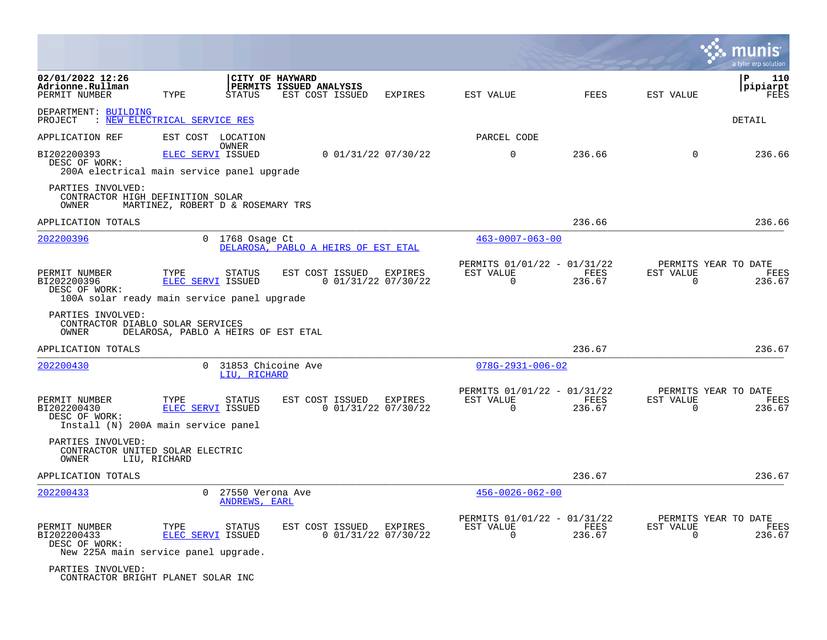|                                                                                              |                                     |                                      |                                            |                       |                                                      |                |                                               | a tyler erp solution         |
|----------------------------------------------------------------------------------------------|-------------------------------------|--------------------------------------|--------------------------------------------|-----------------------|------------------------------------------------------|----------------|-----------------------------------------------|------------------------------|
| 02/01/2022 12:26<br>Adrionne.Rullman<br>PERMIT NUMBER                                        | TYPE                                | CITY OF HAYWARD<br><b>STATUS</b>     | PERMITS ISSUED ANALYSIS<br>EST COST ISSUED | EXPIRES               | EST VALUE                                            | FEES           | EST VALUE                                     | P<br>110<br>pipiarpt<br>FEES |
| DEPARTMENT: BUILDING<br>PROJECT : NEW ELECTRICAL SERVICE RES                                 |                                     |                                      |                                            |                       |                                                      |                |                                               | DETAIL                       |
| APPLICATION REF                                                                              | EST COST LOCATION                   |                                      |                                            |                       | PARCEL CODE                                          |                |                                               |                              |
| BI202200393<br>DESC OF WORK:<br>200A electrical main service panel upgrade                   | ELEC SERVI ISSUED                   | OWNER                                | 0 01/31/22 07/30/22                        |                       | $\Omega$                                             | 236.66         | $\Omega$                                      | 236.66                       |
| PARTIES INVOLVED:<br>CONTRACTOR HIGH DEFINITION SOLAR<br>OWNER                               | MARTINEZ, ROBERT D & ROSEMARY TRS   |                                      |                                            |                       |                                                      |                |                                               |                              |
| APPLICATION TOTALS                                                                           |                                     |                                      |                                            |                       |                                                      | 236.66         |                                               | 236.66                       |
| 202200396                                                                                    |                                     | $0$ 1768 Osage Ct                    | DELAROSA, PABLO A HEIRS OF EST ETAL        |                       | $463 - 0007 - 063 - 00$                              |                |                                               |                              |
| PERMIT NUMBER<br>BI202200396<br>DESC OF WORK:<br>100A solar ready main service panel upgrade | TYPE<br>ELEC SERVI ISSUED           | STATUS                               | EST COST ISSUED EXPIRES                    | 0 01/31/22 07/30/22   | PERMITS 01/01/22 - 01/31/22<br>EST VALUE<br>$\Omega$ | FEES<br>236.67 | PERMITS YEAR TO DATE<br>EST VALUE<br>$\Omega$ | FEES<br>236.67               |
| PARTIES INVOLVED:<br>CONTRACTOR DIABLO SOLAR SERVICES<br>OWNER                               | DELAROSA, PABLO A HEIRS OF EST ETAL |                                      |                                            |                       |                                                      |                |                                               |                              |
| APPLICATION TOTALS                                                                           |                                     |                                      |                                            |                       |                                                      | 236.67         |                                               | 236.67                       |
| 202200430                                                                                    |                                     | 0 31853 Chicoine Ave<br>LIU, RICHARD |                                            |                       | $078G - 2931 - 006 - 02$                             |                |                                               |                              |
| PERMIT NUMBER<br>BI202200430<br>DESC OF WORK:<br>Install (N) 200A main service panel         | TYPE<br>ELEC SERVI ISSUED           | STATUS                               | EST COST ISSUED EXPIRES                    | $0$ 01/31/22 07/30/22 | PERMITS 01/01/22 - 01/31/22<br>EST VALUE<br>$\Omega$ | FEES<br>236.67 | PERMITS YEAR TO DATE<br>EST VALUE<br>$\Omega$ | FEES<br>236.67               |
| PARTIES INVOLVED:<br>CONTRACTOR UNITED SOLAR ELECTRIC<br>OWNER                               | LIU, RICHARD                        |                                      |                                            |                       |                                                      |                |                                               |                              |
| APPLICATION TOTALS                                                                           |                                     |                                      |                                            |                       |                                                      | 236.67         |                                               | 236.67                       |
| 202200433                                                                                    | $\Omega$                            | 27550 Verona Ave<br>ANDREWS, EARL    |                                            |                       | $456 - 0026 - 062 - 00$                              |                |                                               |                              |
| PERMIT NUMBER<br>BI202200433<br>DESC OF WORK:<br>New 225A main service panel upgrade.        | TYPE<br>ELEC SERVI ISSUED           | <b>STATUS</b>                        | EST COST ISSUED EXPIRES                    | $0$ 01/31/22 07/30/22 | PERMITS 01/01/22 - 01/31/22<br>EST VALUE<br>$\Omega$ | FEES<br>236.67 | PERMITS YEAR TO DATE<br>EST VALUE<br>$\Omega$ | FEES<br>236.67               |
| PARTIES INVOLVED:<br>CONTRACTOR BRIGHT PLANET SOLAR INC                                      |                                     |                                      |                                            |                       |                                                      |                |                                               |                              |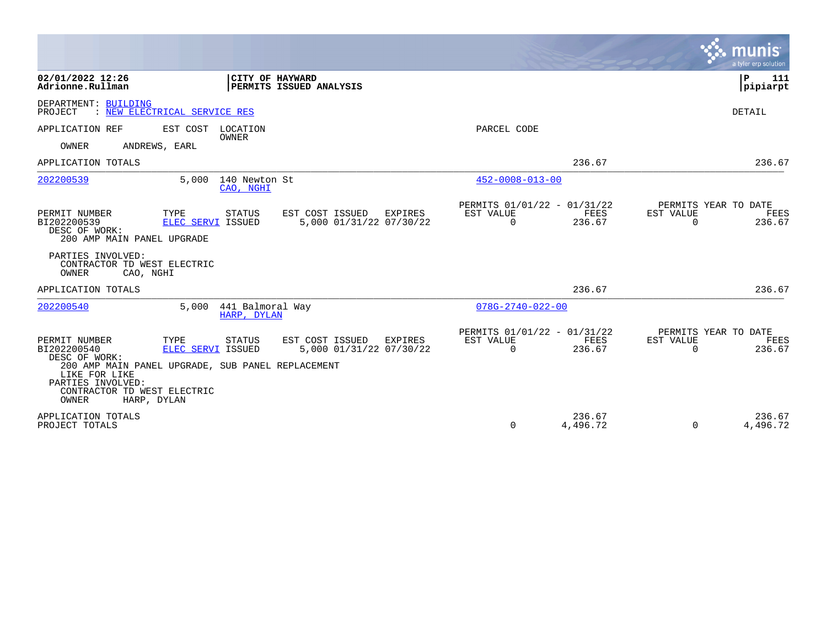|                                                                                                                                                                                                                                                                                                               |                                                      |                    | a tyler erp solution                                            |
|---------------------------------------------------------------------------------------------------------------------------------------------------------------------------------------------------------------------------------------------------------------------------------------------------------------|------------------------------------------------------|--------------------|-----------------------------------------------------------------|
| 02/01/2022 12:26<br>CITY OF HAYWARD<br>Adrionne.Rullman<br>PERMITS ISSUED ANALYSIS                                                                                                                                                                                                                            |                                                      |                    | P<br>111<br>pipiarpt                                            |
| DEPARTMENT: BUILDING<br>: NEW ELECTRICAL SERVICE RES<br>PROJECT                                                                                                                                                                                                                                               |                                                      |                    | DETAIL                                                          |
| APPLICATION REF<br>EST COST LOCATION<br><b>OWNER</b><br>OWNER<br>ANDREWS, EARL                                                                                                                                                                                                                                | PARCEL CODE                                          |                    |                                                                 |
| APPLICATION TOTALS                                                                                                                                                                                                                                                                                            |                                                      | 236.67             | 236.67                                                          |
| 202200539<br>140 Newton St<br>5,000<br>CAO, NGHI                                                                                                                                                                                                                                                              | $452 - 0008 - 013 - 00$                              |                    |                                                                 |
| EST COST ISSUED<br>PERMIT NUMBER<br>TYPE<br><b>STATUS</b><br>EXPIRES<br>BI202200539<br>5,000 01/31/22 07/30/22<br>ELEC SERVI ISSUED<br>DESC OF WORK:<br>200 AMP MAIN PANEL UPGRADE                                                                                                                            | PERMITS 01/01/22 - 01/31/22<br>EST VALUE<br>$\Omega$ | FEES<br>236.67     | PERMITS YEAR TO DATE<br>EST VALUE<br>FEES<br>$\Omega$<br>236.67 |
| PARTIES INVOLVED:<br>CONTRACTOR TD WEST ELECTRIC<br>OWNER<br>CAO, NGHI                                                                                                                                                                                                                                        |                                                      |                    |                                                                 |
| APPLICATION TOTALS                                                                                                                                                                                                                                                                                            |                                                      | 236.67             | 236.67                                                          |
| 202200540<br>441 Balmoral Way<br>5,000<br>HARP, DYLAN                                                                                                                                                                                                                                                         | $078G - 2740 - 022 - 00$                             |                    |                                                                 |
| TYPE<br><b>STATUS</b><br>EST COST ISSUED<br>PERMIT NUMBER<br>EXPIRES<br>5,000 01/31/22 07/30/22<br>BI202200540<br><b>ELEC SERVI ISSUED</b><br>DESC OF WORK:<br>200 AMP MAIN PANEL UPGRADE, SUB PANEL REPLACEMENT<br>LIKE FOR LIKE<br>PARTIES INVOLVED:<br>CONTRACTOR TD WEST ELECTRIC<br>OWNER<br>HARP, DYLAN | PERMITS 01/01/22 - 01/31/22<br>EST VALUE<br>$\Omega$ | FEES<br>236.67     | PERMITS YEAR TO DATE<br>EST VALUE<br>FEES<br>$\Omega$<br>236.67 |
| APPLICATION TOTALS<br>PROJECT TOTALS                                                                                                                                                                                                                                                                          | $\Omega$                                             | 236.67<br>4,496.72 | 236.67<br>$\Omega$<br>4,496.72                                  |

 $\sim$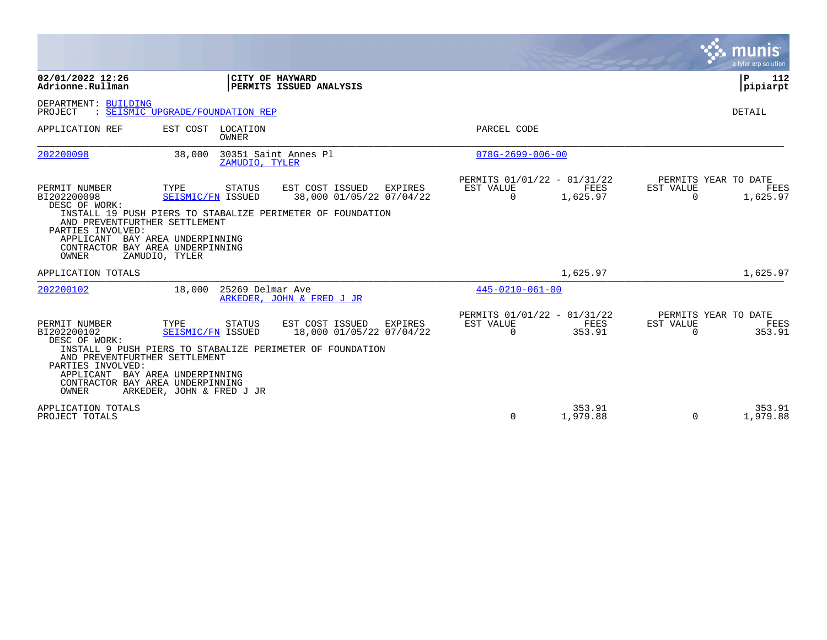|                                                                                                                                                               |                                                                                 |                   |                                                                                                                            |                                                      |                    |                       | munis<br>a tyler erp solution                 |
|---------------------------------------------------------------------------------------------------------------------------------------------------------------|---------------------------------------------------------------------------------|-------------------|----------------------------------------------------------------------------------------------------------------------------|------------------------------------------------------|--------------------|-----------------------|-----------------------------------------------|
| 02/01/2022 12:26<br>Adrionne.Rullman                                                                                                                          |                                                                                 | CITY OF HAYWARD   | PERMITS ISSUED ANALYSIS                                                                                                    |                                                      |                    |                       | $\mathbf{P}$<br>112<br> pipiarpt              |
| DEPARTMENT: BUILDING<br>PROJECT                                                                                                                               | : SEISMIC UPGRADE/FOUNDATION REP                                                |                   |                                                                                                                            |                                                      |                    |                       | DETAIL                                        |
| APPLICATION REF                                                                                                                                               | EST COST                                                                        | LOCATION<br>OWNER |                                                                                                                            | PARCEL CODE                                          |                    |                       |                                               |
| 202200098                                                                                                                                                     | 38,000                                                                          | ZAMUDIO, TYLER    | 30351 Saint Annes Pl                                                                                                       | $078G - 2699 - 006 - 00$                             |                    |                       |                                               |
| PERMIT NUMBER<br>BI202200098<br>DESC OF WORK:<br>AND PREVENTFURTHER SETTLEMENT<br>PARTIES INVOLVED:<br>APPLICANT<br>CONTRACTOR BAY AREA UNDERPINNING<br>OWNER | TYPE<br>SEISMIC/FN ISSUED<br>BAY AREA UNDERPINNING<br>ZAMUDIO, TYLER            | STATUS            | EST COST ISSUED<br>EXPIRES<br>38,000 01/05/22 07/04/22<br>INSTALL 19 PUSH PIERS TO STABALIZE PERIMETER OF FOUNDATION       | PERMITS 01/01/22 - 01/31/22<br>EST VALUE<br>$\Omega$ | FEES<br>1,625.97   | EST VALUE<br>$\Omega$ | PERMITS YEAR TO DATE<br>FEES<br>1,625.97      |
| APPLICATION TOTALS                                                                                                                                            |                                                                                 |                   |                                                                                                                            |                                                      | 1,625.97           |                       | 1,625.97                                      |
| 202200102                                                                                                                                                     | 18,000                                                                          | 25269 Delmar Ave  | ARKEDER, JOHN & FRED J JR                                                                                                  | $445 - 0210 - 061 - 00$                              |                    |                       |                                               |
| PERMIT NUMBER<br>BI202200102<br>DESC OF WORK:<br>AND PREVENTFURTHER SETTLEMENT<br>PARTIES INVOLVED:<br>APPLICANT<br>CONTRACTOR BAY AREA UNDERPINNING<br>OWNER | TYPE<br>SEISMIC/FN ISSUED<br>BAY AREA UNDERPINNING<br>ARKEDER, JOHN & FRED J JR | STATUS            | EST COST ISSUED<br><b>EXPIRES</b><br>18,000 01/05/22 07/04/22<br>INSTALL 9 PUSH PIERS TO STABALIZE PERIMETER OF FOUNDATION | PERMITS 01/01/22 - 01/31/22<br>EST VALUE<br>$\Omega$ | FEES<br>353.91     | EST VALUE<br>$\Omega$ | PERMITS YEAR TO DATE<br><b>FEES</b><br>353.91 |
| APPLICATION TOTALS<br>PROJECT TOTALS                                                                                                                          |                                                                                 |                   |                                                                                                                            | $\Omega$                                             | 353.91<br>1,979.88 | $\Omega$              | 353.91<br>1,979.88                            |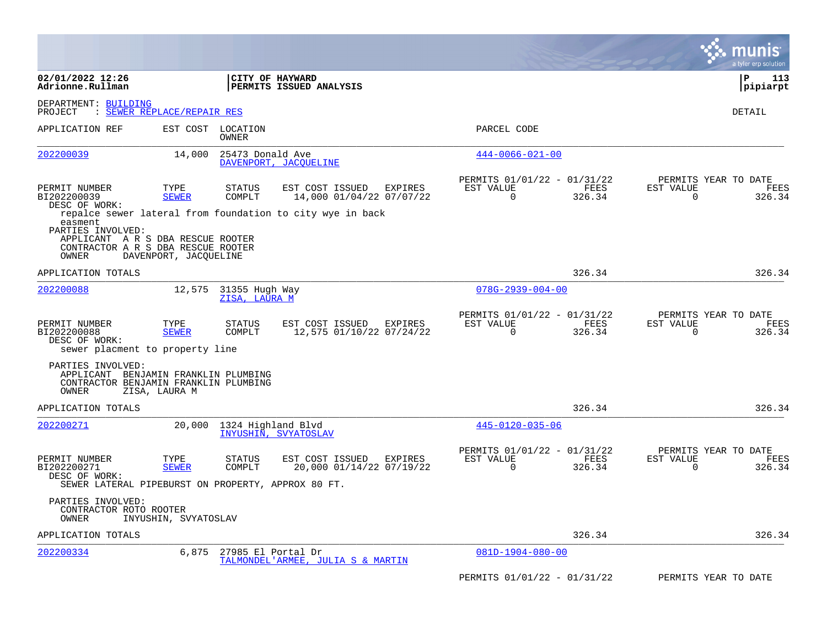|                                                                                                                  |                            |                                 |                                                               |                                                         |                | munis<br>a tyler erp solution                 |                |
|------------------------------------------------------------------------------------------------------------------|----------------------------|---------------------------------|---------------------------------------------------------------|---------------------------------------------------------|----------------|-----------------------------------------------|----------------|
| 02/01/2022 12:26<br>Adrionne.Rullman                                                                             |                            |                                 | CITY OF HAYWARD<br>PERMITS ISSUED ANALYSIS                    |                                                         |                | ∣P<br> pipiarpt                               | 113            |
| DEPARTMENT: BUILDING<br>PROJECT                                                                                  | : SEWER REPLACE/REPAIR RES |                                 |                                                               |                                                         |                | DETAIL                                        |                |
| APPLICATION REF                                                                                                  |                            | EST COST LOCATION<br>OWNER      |                                                               | PARCEL CODE                                             |                |                                               |                |
| 202200039                                                                                                        | 14,000                     | 25473 Donald Ave                | DAVENPORT, JACQUELINE                                         | $444 - 0066 - 021 - 00$                                 |                |                                               |                |
| PERMIT NUMBER<br>BI202200039<br>DESC OF WORK:                                                                    | TYPE<br><b>SEWER</b>       | <b>STATUS</b><br>COMPLT         | EST COST ISSUED<br><b>EXPIRES</b><br>14,000 01/04/22 07/07/22 | PERMITS 01/01/22 - 01/31/22<br>EST VALUE<br>$\mathbf 0$ | FEES<br>326.34 | PERMITS YEAR TO DATE<br>EST VALUE<br>0        | FEES<br>326.34 |
| easment<br>PARTIES INVOLVED:<br>APPLICANT A R S DBA RESCUE ROOTER<br>CONTRACTOR A R S DBA RESCUE ROOTER<br>OWNER | DAVENPORT, JACQUELINE      |                                 | repalce sewer lateral from foundation to city wye in back     |                                                         |                |                                               |                |
| APPLICATION TOTALS                                                                                               |                            |                                 |                                                               |                                                         | 326.34         |                                               | 326.34         |
| 202200088                                                                                                        | 12,575                     | 31355 Hugh Way<br>ZISA, LAURA M |                                                               | $078G - 2939 - 004 - 00$                                |                |                                               |                |
| PERMIT NUMBER<br>BI202200088<br>DESC OF WORK:<br>sewer placment to property line                                 | TYPE<br><b>SEWER</b>       | <b>STATUS</b><br>COMPLT         | EST COST ISSUED<br>EXPIRES<br>12,575 01/10/22 07/24/22        | PERMITS 01/01/22 - 01/31/22<br>EST VALUE<br>$\Omega$    | FEES<br>326.34 | PERMITS YEAR TO DATE<br>EST VALUE<br>$\Omega$ | FEES<br>326.34 |
| PARTIES INVOLVED:<br>APPLICANT BENJAMIN FRANKLIN PLUMBING<br>CONTRACTOR BENJAMIN FRANKLIN PLUMBING<br>OWNER      | ZISA, LAURA M              |                                 |                                                               |                                                         |                |                                               |                |
| APPLICATION TOTALS                                                                                               |                            |                                 |                                                               |                                                         | 326.34         |                                               | 326.34         |
| 202200271                                                                                                        | 20,000                     | 1324 Highland Blvd              | INYUSHIN, SVYATOSLAV                                          | $445 - 0120 - 035 - 06$                                 |                |                                               |                |
| PERMIT NUMBER<br>BI202200271<br>DESC OF WORK:<br>SEWER LATERAL PIPEBURST ON PROPERTY, APPROX 80 FT.              | TYPE<br><b>SEWER</b>       | <b>STATUS</b><br>COMPLT         | EST COST ISSUED<br>EXPIRES<br>20,000 01/14/22 07/19/22        | PERMITS 01/01/22 - 01/31/22<br>EST VALUE<br>$\Omega$    | FEES<br>326.34 | PERMITS YEAR TO DATE<br>EST VALUE<br>$\Omega$ | FEES<br>326.34 |
| PARTIES INVOLVED:<br>CONTRACTOR ROTO ROOTER<br>OWNER                                                             | INYUSHIN, SVYATOSLAV       |                                 |                                                               |                                                         |                |                                               |                |
| APPLICATION TOTALS                                                                                               |                            |                                 |                                                               |                                                         | 326.34         |                                               | 326.34         |
| 202200334                                                                                                        | 6,875                      | 27985 El Portal Dr              | TALMONDEL'ARMEE, JULIA S & MARTIN                             | $081D-1904-080-00$                                      |                |                                               |                |
|                                                                                                                  |                            |                                 |                                                               | PERMITS 01/01/22 - 01/31/22                             |                | PERMITS YEAR TO DATE                          |                |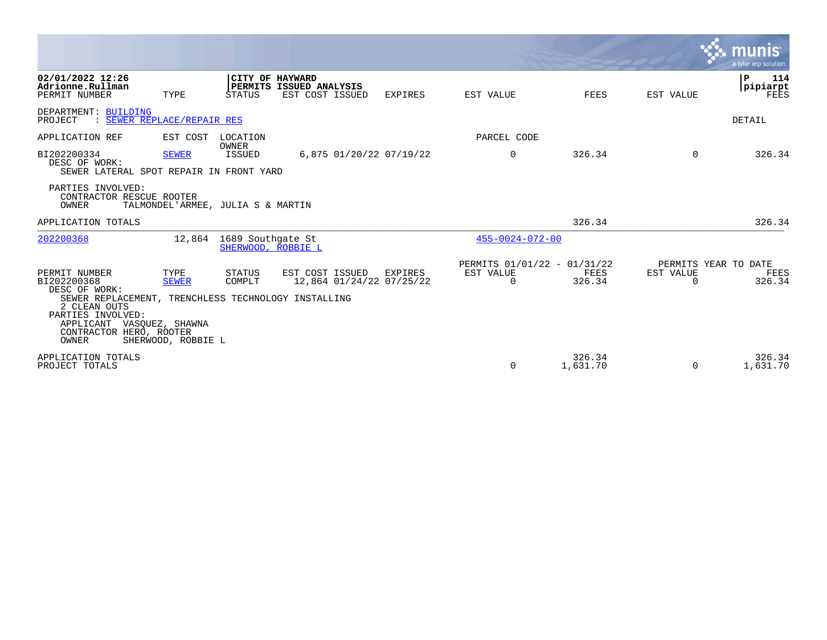|                                                                                                                                                                                                            |                                            |                                         |                                                                      |                         |                                                      |                    |                                               | munis<br>a tyler erp solution |
|------------------------------------------------------------------------------------------------------------------------------------------------------------------------------------------------------------|--------------------------------------------|-----------------------------------------|----------------------------------------------------------------------|-------------------------|------------------------------------------------------|--------------------|-----------------------------------------------|-------------------------------|
| 02/01/2022 12:26<br>Adrionne.Rullman<br>PERMIT NUMBER                                                                                                                                                      | TYPE                                       | STATUS                                  | <b>CITY OF HAYWARD</b><br>PERMITS ISSUED ANALYSIS<br>EST COST ISSUED | EXPIRES                 | EST VALUE                                            | FEES               | EST VALUE                                     | 114<br>P<br> pipiarpt<br>FEES |
| DEPARTMENT: BUILDING<br>: SEWER REPLACE/REPAIR RES<br>PROJECT                                                                                                                                              |                                            |                                         |                                                                      |                         |                                                      |                    |                                               | DETAIL                        |
| APPLICATION REF                                                                                                                                                                                            | EST COST                                   | LOCATION<br>OWNER                       |                                                                      |                         | PARCEL CODE                                          |                    |                                               |                               |
| BI202200334<br>DESC OF WORK:<br>SEWER LATERAL SPOT REPAIR IN FRONT YARD                                                                                                                                    | <b>SEWER</b>                               | ISSUED                                  |                                                                      | 6,875 01/20/22 07/19/22 | $\Omega$                                             | 326.34             | $\Omega$                                      | 326.34                        |
| PARTIES INVOLVED:<br>CONTRACTOR RESCUE ROOTER<br>OWNER                                                                                                                                                     |                                            | TALMONDEL'ARMEE, JULIA S & MARTIN       |                                                                      |                         |                                                      |                    |                                               |                               |
| APPLICATION TOTALS                                                                                                                                                                                         |                                            |                                         |                                                                      |                         |                                                      | 326.34             |                                               | 326.34                        |
| 202200368                                                                                                                                                                                                  | 12,864                                     | 1689 Southqate St<br>SHERWOOD, ROBBIE L |                                                                      |                         | $455 - 0024 - 072 - 00$                              |                    |                                               |                               |
| PERMIT NUMBER<br>BI202200368<br>DESC OF WORK:<br>SEWER REPLACEMENT, TRENCHLESS TECHNOLOGY INSTALLING<br>2 CLEAN OUTS<br>PARTIES INVOLVED:<br>APPLICANT VASQUEZ, SHAWNA<br>CONTRACTOR HERO, ROOTER<br>OWNER | TYPE<br><b>SEWER</b><br>SHERWOOD, ROBBIE L | STATUS<br>COMPLT                        | EST COST ISSUED<br>12,864 01/24/22 07/25/22                          | EXPIRES                 | PERMITS 01/01/22 - 01/31/22<br>EST VALUE<br>$\Omega$ | FEES<br>326.34     | PERMITS YEAR TO DATE<br>EST VALUE<br>$\Omega$ | FEES<br>326.34                |
| APPLICATION TOTALS<br>PROJECT TOTALS                                                                                                                                                                       |                                            |                                         |                                                                      |                         | $\Omega$                                             | 326.34<br>1,631.70 | $\Omega$                                      | 326.34<br>1,631.70            |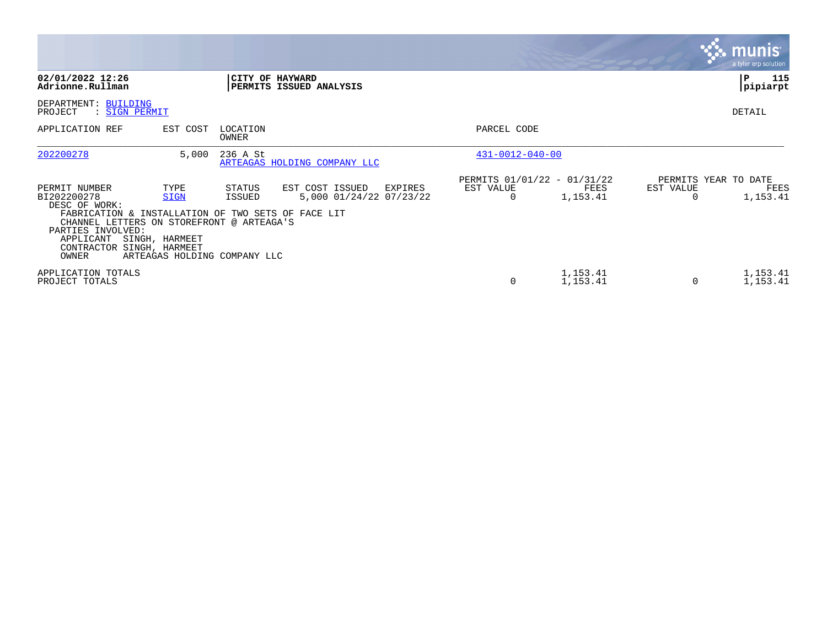|                                                                                                                                                                                                                          |                                |                                                  |                                                       |                                                      |                      |                | <b>munis</b><br>a tyler erp solution     |
|--------------------------------------------------------------------------------------------------------------------------------------------------------------------------------------------------------------------------|--------------------------------|--------------------------------------------------|-------------------------------------------------------|------------------------------------------------------|----------------------|----------------|------------------------------------------|
| 02/01/2022 12:26<br>Adrionne.Rullman                                                                                                                                                                                     |                                |                                                  | CITY OF HAYWARD<br>PERMITS ISSUED ANALYSIS            |                                                      |                      |                | P<br>115<br>pipiarpt                     |
| DEPARTMENT: BUILDING<br>PROJECT<br>: SIGN PERMIT                                                                                                                                                                         |                                |                                                  |                                                       |                                                      |                      |                | DETAIL                                   |
| APPLICATION REF                                                                                                                                                                                                          | EST COST                       | LOCATION<br>OWNER                                |                                                       | PARCEL CODE                                          |                      |                |                                          |
| 202200278                                                                                                                                                                                                                | 5,000                          | 236 A St                                         | ARTEAGAS HOLDING COMPANY LLC                          | $431 - 0012 - 040 - 00$                              |                      |                |                                          |
| PERMIT NUMBER<br>BI202200278<br>DESC OF WORK:<br>FABRICATION & INSTALLATION OF TWO SETS OF FACE LIT<br>CHANNEL LETTERS ON STOREFRONT @ ARTEAGA'S<br>PARTIES INVOLVED:<br>APPLICANT<br>CONTRACTOR SINGH, HARMEET<br>OWNER | TYPE<br>SIGN<br>SINGH, HARMEET | STATUS<br>ISSUED<br>ARTEAGAS HOLDING COMPANY LLC | EST COST ISSUED<br>EXPIRES<br>5,000 01/24/22 07/23/22 | PERMITS 01/01/22 - 01/31/22<br>EST VALUE<br>$\Omega$ | FEES<br>1,153.41     | EST VALUE<br>O | PERMITS YEAR TO DATE<br>FEES<br>1,153.41 |
| APPLICATION TOTALS<br>PROJECT TOTALS                                                                                                                                                                                     |                                |                                                  |                                                       | 0                                                    | 1,153.41<br>1,153.41 | 0              | 1,153.41<br>1,153.41                     |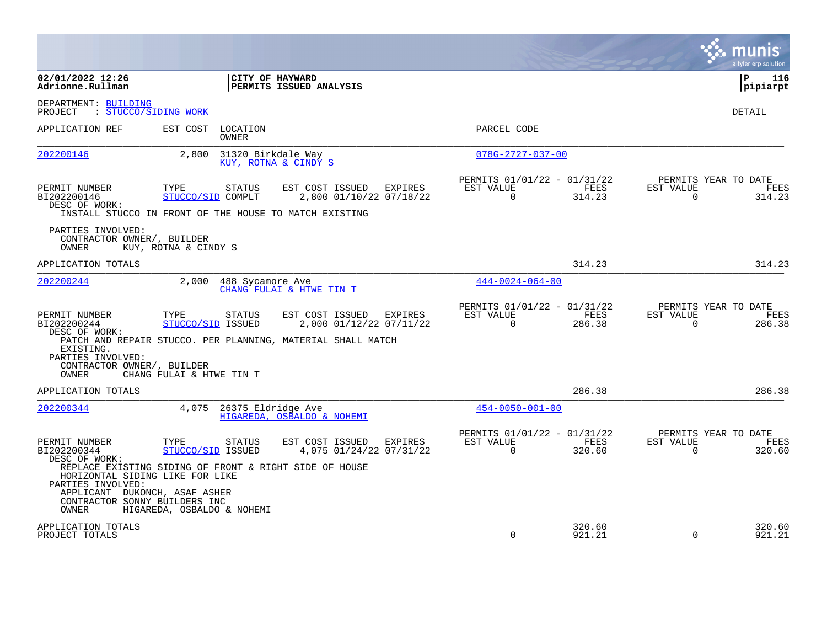|                                                                                                                                                                                  |                                                         |                    |                                                                                                      |                |                                                         |                  |                          | munis<br>a tyler erp solution          |
|----------------------------------------------------------------------------------------------------------------------------------------------------------------------------------|---------------------------------------------------------|--------------------|------------------------------------------------------------------------------------------------------|----------------|---------------------------------------------------------|------------------|--------------------------|----------------------------------------|
| 02/01/2022 12:26<br>Adrionne.Rullman                                                                                                                                             |                                                         |                    | CITY OF HAYWARD<br>PERMITS ISSUED ANALYSIS                                                           |                |                                                         |                  |                          | l P<br>116<br> pipiarpt                |
| DEPARTMENT: BUILDING<br>: STUCCO/SIDING WORK<br>PROJECT                                                                                                                          |                                                         |                    |                                                                                                      |                |                                                         |                  |                          | DETAIL                                 |
| APPLICATION REF                                                                                                                                                                  | EST COST                                                | LOCATION<br>OWNER  |                                                                                                      |                | PARCEL CODE                                             |                  |                          |                                        |
| 202200146                                                                                                                                                                        | 2,800                                                   | 31320 Birkdale Way | KUY, ROTNA & CINDY S                                                                                 |                | $078G - 2727 - 037 - 00$                                |                  |                          |                                        |
| PERMIT NUMBER<br>BI202200146<br>DESC OF WORK:                                                                                                                                    | TYPE<br>STUCCO/SID COMPLT                               | <b>STATUS</b>      | EST COST ISSUED<br>2,800 01/10/22 07/18/22<br>INSTALL STUCCO IN FRONT OF THE HOUSE TO MATCH EXISTING | <b>EXPIRES</b> | PERMITS 01/01/22 - 01/31/22<br>EST VALUE<br>$\Omega$    | FEES<br>314.23   | EST VALUE<br>$\Omega$    | PERMITS YEAR TO DATE<br>FEES<br>314.23 |
| PARTIES INVOLVED:<br>CONTRACTOR OWNER/, BUILDER<br>OWNER                                                                                                                         | KUY, ROTNA & CINDY S                                    |                    |                                                                                                      |                |                                                         |                  |                          |                                        |
| APPLICATION TOTALS                                                                                                                                                               |                                                         |                    |                                                                                                      |                |                                                         | 314.23           |                          | 314.23                                 |
| 202200244                                                                                                                                                                        | 2,000                                                   | 488 Sycamore Ave   | CHANG FULAI & HTWE TIN T                                                                             |                | $444 - 0024 - 064 - 00$                                 |                  |                          |                                        |
| PERMIT NUMBER<br>BI202200244<br>DESC OF WORK:                                                                                                                                    | TYPE<br>STUCCO/SID ISSUED                               | <b>STATUS</b>      | EST COST ISSUED<br>2,000 01/12/22 07/11/22                                                           | EXPIRES        | PERMITS 01/01/22 - 01/31/22<br>EST VALUE<br>$\Omega$    | FEES<br>286.38   | EST VALUE<br>$\Omega$    | PERMITS YEAR TO DATE<br>FEES<br>286.38 |
| EXISTING.<br>PARTIES INVOLVED:<br>CONTRACTOR OWNER/, BUILDER<br>OWNER                                                                                                            | CHANG FULAI & HTWE TIN T                                |                    | PATCH AND REPAIR STUCCO. PER PLANNING, MATERIAL SHALL MATCH                                          |                |                                                         |                  |                          |                                        |
| APPLICATION TOTALS                                                                                                                                                               |                                                         |                    |                                                                                                      |                |                                                         | 286.38           |                          | 286.38                                 |
| 202200344                                                                                                                                                                        | 4,075                                                   | 26375 Eldridge Ave | HIGAREDA, OSBALDO & NOHEMI                                                                           |                | $454 - 0050 - 001 - 00$                                 |                  |                          |                                        |
| PERMIT NUMBER<br>BI202200344<br>DESC OF WORK:<br>HORIZONTAL SIDING LIKE FOR LIKE<br>PARTIES INVOLVED:<br>APPLICANT DUKONCH, ASAF ASHER<br>CONTRACTOR SONNY BUILDERS INC<br>OWNER | TYPE<br>STUCCO/SID ISSUED<br>HIGAREDA, OSBALDO & NOHEMI | <b>STATUS</b>      | EST COST ISSUED<br>4,075 01/24/22 07/31/22<br>REPLACE EXISTING SIDING OF FRONT & RIGHT SIDE OF HOUSE | <b>EXPIRES</b> | PERMITS 01/01/22 - 01/31/22<br>EST VALUE<br>$\mathbf 0$ | FEES<br>320.60   | EST VALUE<br>$\mathbf 0$ | PERMITS YEAR TO DATE<br>FEES<br>320.60 |
| APPLICATION TOTALS<br>PROJECT TOTALS                                                                                                                                             |                                                         |                    |                                                                                                      |                | $\Omega$                                                | 320.60<br>921.21 | $\Omega$                 | 320.60<br>921.21                       |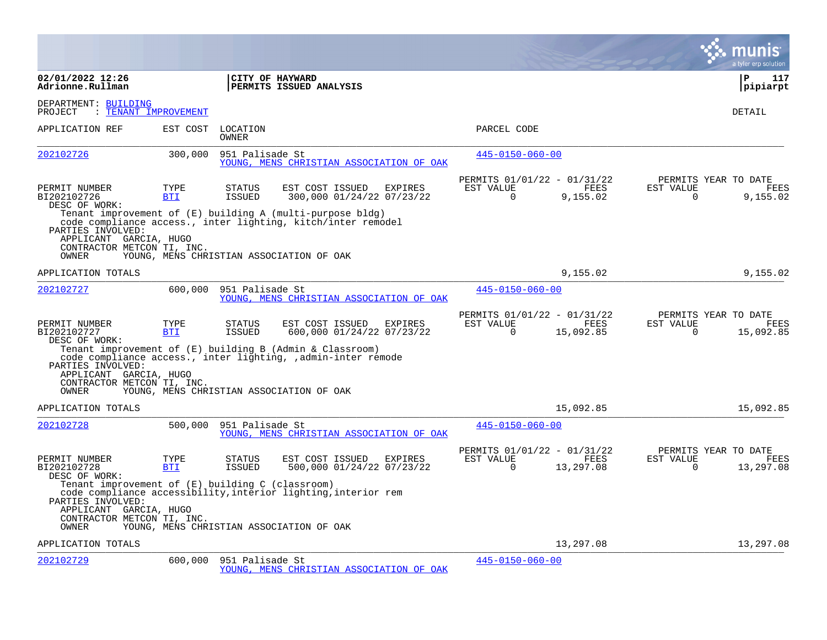|                                                                                                                                        |                    |                                |                                                                                                                                                                             |         |                                                      |                          |                       | a tyler erp solution                      |
|----------------------------------------------------------------------------------------------------------------------------------------|--------------------|--------------------------------|-----------------------------------------------------------------------------------------------------------------------------------------------------------------------------|---------|------------------------------------------------------|--------------------------|-----------------------|-------------------------------------------|
| 02/01/2022 12:26<br>Adrionne.Rullman                                                                                                   |                    |                                | CITY OF HAYWARD<br>PERMITS ISSUED ANALYSIS                                                                                                                                  |         |                                                      |                          |                       | ∣P<br>117<br> pipiarpt                    |
| DEPARTMENT: BUILDING<br>: TENANT IMPROVEMENT<br>PROJECT                                                                                |                    |                                |                                                                                                                                                                             |         |                                                      |                          |                       | DETAIL                                    |
| APPLICATION REF                                                                                                                        | EST COST           | LOCATION<br><b>OWNER</b>       |                                                                                                                                                                             |         | PARCEL CODE                                          |                          |                       |                                           |
| 202102726                                                                                                                              | 300,000            | 951 Palisade St                | YOUNG, MENS CHRISTIAN ASSOCIATION OF OAK                                                                                                                                    |         | $445 - 0150 - 060 - 00$                              |                          |                       |                                           |
| PERMIT NUMBER<br>BI202102726<br>DESC OF WORK:                                                                                          | TYPE<br><b>BTI</b> | <b>STATUS</b><br>ISSUED        | EST COST ISSUED<br>300,000 01/24/22 07/23/22                                                                                                                                | EXPIRES | PERMITS 01/01/22 - 01/31/22<br>EST VALUE<br>$\Omega$ | FEES<br>9,155.02         | EST VALUE<br>$\Omega$ | PERMITS YEAR TO DATE<br>FEES<br>9,155.02  |
| PARTIES INVOLVED:<br>APPLICANT GARCIA, HUGO<br>CONTRACTOR METCON TI, INC.<br>OWNER                                                     |                    |                                | Tenant improvement of (E) building A (multi-purpose bldg)<br>code compliance access., inter lighting, kitch/inter remodel<br>YOUNG, MENS CHRISTIAN ASSOCIATION OF OAK       |         |                                                      |                          |                       |                                           |
| APPLICATION TOTALS                                                                                                                     |                    |                                |                                                                                                                                                                             |         |                                                      | 9,155.02                 |                       | 9,155.02                                  |
| 202102727                                                                                                                              | 600,000            | 951 Palisade St                | YOUNG, MENS CHRISTIAN ASSOCIATION OF OAK                                                                                                                                    |         | $445 - 0150 - 060 - 00$                              |                          |                       |                                           |
| PERMIT NUMBER<br>BI202102727<br>DESC OF WORK:<br>PARTIES INVOLVED:<br>APPLICANT GARCIA, HUGO                                           | TYPE<br><b>BTI</b> | <b>STATUS</b><br><b>ISSUED</b> | EST COST ISSUED<br>600,000 01/24/22 07/23/22<br>Tenant improvement of $(E)$ building B (Admin & Classroom)<br>code compliance access., inter lighting, , admin-inter remode | EXPIRES | PERMITS 01/01/22 - 01/31/22<br>EST VALUE<br>$\Omega$ | <b>FEES</b><br>15,092.85 | EST VALUE<br>$\Omega$ | PERMITS YEAR TO DATE<br>FEES<br>15,092.85 |
| CONTRACTOR METCON TI, INC.<br>OWNER                                                                                                    |                    |                                | YOUNG, MENS CHRISTIAN ASSOCIATION OF OAK                                                                                                                                    |         |                                                      |                          |                       |                                           |
| APPLICATION TOTALS                                                                                                                     |                    |                                |                                                                                                                                                                             |         |                                                      | 15,092.85                |                       | 15,092.85                                 |
| 202102728                                                                                                                              | 500,000            | 951 Palisade St                | YOUNG, MENS CHRISTIAN ASSOCIATION OF OAK                                                                                                                                    |         | $445 - 0150 - 060 - 00$                              |                          |                       |                                           |
| PERMIT NUMBER<br>BI202102728<br>DESC OF WORK:                                                                                          | TYPE<br><b>BTI</b> | <b>STATUS</b><br><b>ISSUED</b> | EST COST ISSUED<br>500,000 01/24/22 07/23/22                                                                                                                                | EXPIRES | PERMITS 01/01/22 - 01/31/22<br>EST VALUE<br>$\Omega$ | FEES<br>13,297.08        | EST VALUE<br>$\Omega$ | PERMITS YEAR TO DATE<br>FEES<br>13,297.08 |
| Tenant improvement of (E) building C (classroom)<br>PARTIES INVOLVED:<br>APPLICANT GARCIA, HUGO<br>CONTRACTOR METCON TI, INC.<br>OWNER |                    |                                | code compliance accessibility, interior lighting, interior rem<br>YOUNG, MENS CHRISTIAN ASSOCIATION OF OAK                                                                  |         |                                                      |                          |                       |                                           |
| APPLICATION TOTALS                                                                                                                     |                    |                                |                                                                                                                                                                             |         |                                                      | 13,297.08                |                       | 13,297.08                                 |
| 202102729                                                                                                                              | 600,000            | 951 Palisade St                | YOUNG, MENS CHRISTIAN ASSOCIATION OF OAK                                                                                                                                    |         | $445 - 0150 - 060 - 00$                              |                          |                       |                                           |

**Contract**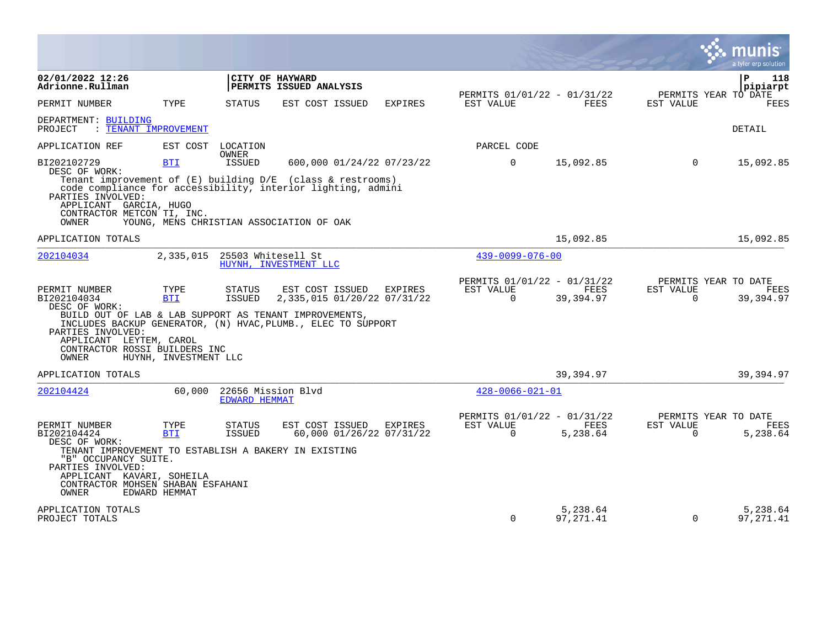|                                                                                                                                                                                                                               |                                             |                                            |                                                                                                                                                                                                         |         |                                                      |                        |                       | $\overline{\mathsf{m}$ unis<br>a tyler erp solution |
|-------------------------------------------------------------------------------------------------------------------------------------------------------------------------------------------------------------------------------|---------------------------------------------|--------------------------------------------|---------------------------------------------------------------------------------------------------------------------------------------------------------------------------------------------------------|---------|------------------------------------------------------|------------------------|-----------------------|-----------------------------------------------------|
| 02/01/2022 12:26<br>Adrionne.Rullman                                                                                                                                                                                          |                                             |                                            | CITY OF HAYWARD<br>PERMITS ISSUED ANALYSIS                                                                                                                                                              |         |                                                      |                        |                       | P<br>118<br>pipiarpt                                |
| PERMIT NUMBER                                                                                                                                                                                                                 | TYPE                                        | STATUS                                     | EST COST ISSUED                                                                                                                                                                                         | EXPIRES | PERMITS 01/01/22 - 01/31/22<br>EST VALUE             | FEES                   | EST VALUE             | PERMITS YEAR TO DATE<br>FEES                        |
| DEPARTMENT: BUILDING<br>PROJECT                                                                                                                                                                                               | : TENANT IMPROVEMENT                        |                                            |                                                                                                                                                                                                         |         |                                                      |                        |                       | DETAIL                                              |
| APPLICATION REF                                                                                                                                                                                                               |                                             | EST COST LOCATION<br>OWNER                 |                                                                                                                                                                                                         |         | PARCEL CODE                                          |                        |                       |                                                     |
| BI202102729<br>DESC OF WORK:<br>PARTIES INVOLVED:<br>APPLICANT GARCIA, HUGO<br>CONTRACTOR METCON TI, INC.<br>OWNER                                                                                                            | <b>BTI</b>                                  | ISSUED                                     | 600,000 01/24/22 07/23/22<br>Tenant improvement of $(E)$ building $D/E$ (class & restrooms)<br>code compliance for accessibility, interior lighting, admini<br>YOUNG, MENS CHRISTIAN ASSOCIATION OF OAK |         | $\overline{0}$                                       | 15,092.85              | $\overline{0}$        | 15,092.85                                           |
| APPLICATION TOTALS                                                                                                                                                                                                            |                                             |                                            |                                                                                                                                                                                                         |         |                                                      | 15,092.85              |                       | 15,092.85                                           |
| 202104034                                                                                                                                                                                                                     |                                             | 2,335,015 25503 Whitesell St               | HUYNH, INVESTMENT LLC                                                                                                                                                                                   |         | $439 - 0099 - 076 - 00$                              |                        |                       |                                                     |
| PERMIT NUMBER<br>BI202104034<br>DESC OF WORK:<br>PARTIES INVOLVED:<br>APPLICANT LEYTEM, CAROL<br>CONTRACTOR ROSSI BUILDERS INC<br>OWNER                                                                                       | TYPE<br><b>BTI</b><br>HUYNH, INVESTMENT LLC | STATUS<br>ISSUED                           | EST COST ISSUED<br>2,335,015 01/20/22 07/31/22<br>BUILD OUT OF LAB & LAB SUPPORT AS TENANT IMPROVEMENTS,<br>INCLUDES BACKUP GENERATOR, (N) HVAC, PLUMB., ELEC TO SUPPORT                                | EXPIRES | PERMITS 01/01/22 - 01/31/22<br>EST VALUE<br>$\Omega$ | FEES<br>39,394.97      | EST VALUE<br>$\Omega$ | PERMITS YEAR TO DATE<br>FEES<br>39,394.97           |
| APPLICATION TOTALS                                                                                                                                                                                                            |                                             |                                            |                                                                                                                                                                                                         |         |                                                      | 39,394.97              |                       | 39,394.97                                           |
| 202104424                                                                                                                                                                                                                     | 60,000                                      | 22656 Mission Blvd<br><b>EDWARD HEMMAT</b> |                                                                                                                                                                                                         |         | $428 - 0066 - 021 - 01$                              |                        |                       |                                                     |
| PERMIT NUMBER<br>BI202104424<br>DESC OF WORK:<br>TENANT IMPROVEMENT TO ESTABLISH A BAKERY IN EXISTING<br>"B" OCCUPANCY SUITE.<br>PARTIES INVOLVED:<br>APPLICANT KAVARI, SOHEILA<br>CONTRACTOR MOHSEN SHABAN ESFAHANI<br>OWNER | TYPE<br><b>BTI</b><br>EDWARD HEMMAT         | <b>STATUS</b><br><b>ISSUED</b>             | EST COST ISSUED EXPIRES<br>60,000 01/26/22 07/31/22                                                                                                                                                     |         | PERMITS 01/01/22 - 01/31/22<br>EST VALUE<br>$\Omega$ | FEES<br>5,238.64       | EST VALUE<br>$\Omega$ | PERMITS YEAR TO DATE<br>FEES<br>5,238.64            |
| APPLICATION TOTALS<br>PROJECT TOTALS                                                                                                                                                                                          |                                             |                                            |                                                                                                                                                                                                         |         | $\Omega$                                             | 5,238.64<br>97, 271.41 | $\Omega$              | 5,238.64<br>97, 271, 41                             |

and the contract of the contract of the contract of the contract of the contract of the contract of the contract of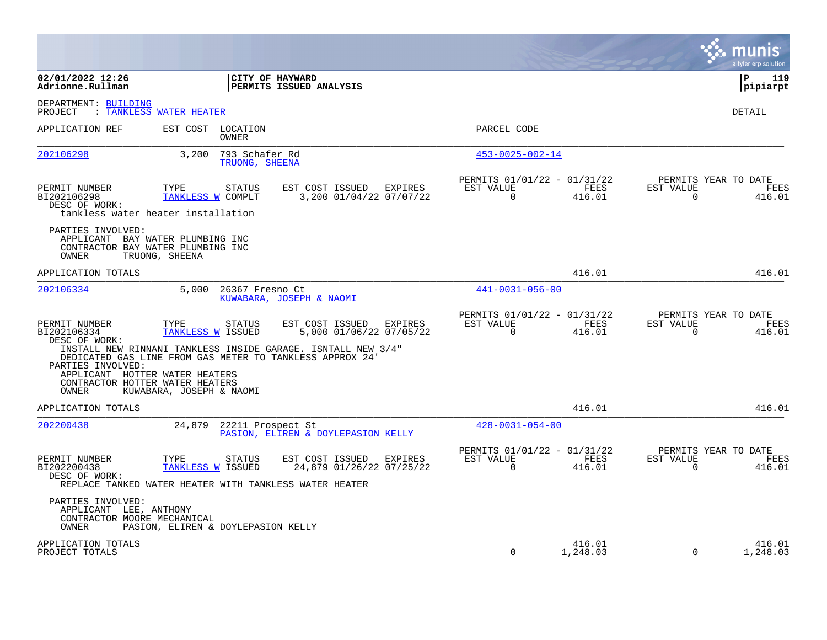|                                                                                     |                                                                                                             |                                                              |                                                         |                    |                             | a tyler erp solution                   |
|-------------------------------------------------------------------------------------|-------------------------------------------------------------------------------------------------------------|--------------------------------------------------------------|---------------------------------------------------------|--------------------|-----------------------------|----------------------------------------|
| 02/01/2022 12:26<br>Adrionne.Rullman                                                |                                                                                                             | CITY OF HAYWARD<br>PERMITS ISSUED ANALYSIS                   |                                                         |                    |                             | l P<br>119<br> pipiarpt                |
| DEPARTMENT: BUILDING<br>PROJECT                                                     | : TANKLESS WATER HEATER                                                                                     |                                                              |                                                         |                    |                             | DETAIL                                 |
| APPLICATION REF                                                                     | EST COST LOCATION<br><b>OWNER</b>                                                                           |                                                              | PARCEL CODE                                             |                    |                             |                                        |
| 202106298                                                                           | 793 Schafer Rd<br>3,200<br>TRUONG, SHEENA                                                                   |                                                              | $453 - 0025 - 002 - 14$                                 |                    |                             |                                        |
| PERMIT NUMBER<br>BI202106298<br>DESC OF WORK:                                       | TYPE<br><b>STATUS</b><br>TANKLESS W COMPLT<br>tankless water heater installation                            | EST COST ISSUED<br>EXPIRES<br>3,200 01/04/22 07/07/22        | PERMITS 01/01/22 - 01/31/22<br>EST VALUE<br>$\Omega$    | FEES<br>416.01     | EST VALUE<br>$\Omega$       | PERMITS YEAR TO DATE<br>FEES<br>416.01 |
| PARTIES INVOLVED:<br>OWNER                                                          | APPLICANT BAY WATER PLUMBING INC<br>CONTRACTOR BAY WATER PLUMBING INC<br>TRUONG, SHEENA                     |                                                              |                                                         |                    |                             |                                        |
| APPLICATION TOTALS                                                                  |                                                                                                             |                                                              |                                                         | 416.01             |                             | 416.01                                 |
| 202106334                                                                           | 5.000<br>26367 Fresno Ct                                                                                    | KUWABARA, JOSEPH & NAOMI                                     | $441 - 0031 - 056 - 00$                                 |                    |                             |                                        |
| PERMIT NUMBER<br>BI202106334<br>DESC OF WORK:                                       | TYPE<br><b>STATUS</b><br>TANKLESS W ISSUED                                                                  | EST COST ISSUED<br>EXPIRES<br>5,000 01/06/22 07/05/22        | PERMITS 01/01/22 - 01/31/22<br>EST VALUE<br>$\mathbf 0$ | FEES<br>416.01     | EST VALUE<br>$\overline{0}$ | PERMITS YEAR TO DATE<br>FEES<br>416.01 |
| PARTIES INVOLVED:                                                                   | DEDICATED GAS LINE FROM GAS METER TO TANKLESS APPROX 24'                                                    | INSTALL NEW RINNANI TANKLESS INSIDE GARAGE. ISNTALL NEW 3/4" |                                                         |                    |                             |                                        |
| APPLICANT HOTTER WATER HEATERS<br>CONTRACTOR HOTTER WATER HEATERS<br>OWNER          | KUWABARA, JOSEPH & NAOMI                                                                                    |                                                              |                                                         |                    |                             |                                        |
| APPLICATION TOTALS                                                                  |                                                                                                             |                                                              |                                                         | 416.01             |                             | 416.01                                 |
| 202200438                                                                           | 24,879                                                                                                      | 22211 Prospect St<br>PASION, ELIREN & DOYLEPASION KELLY      | $428 - 0031 - 054 - 00$                                 |                    |                             |                                        |
| PERMIT NUMBER<br>BI202200438<br>DESC OF WORK:                                       | TYPE<br><b>STATUS</b><br><b>TANKLESS W ISSUED</b><br>REPLACE TANKED WATER HEATER WITH TANKLESS WATER HEATER | EST COST ISSUED<br>EXPIRES<br>24,879 01/26/22 07/25/22       | PERMITS 01/01/22 - 01/31/22<br>EST VALUE<br>$\Omega$    | FEES<br>416.01     | EST VALUE<br>$\Omega$       | PERMITS YEAR TO DATE<br>FEES<br>416.01 |
| PARTIES INVOLVED:<br>APPLICANT LEE, ANTHONY<br>CONTRACTOR MOORE MECHANICAL<br>OWNER | PASION, ELIREN & DOYLEPASION KELLY                                                                          |                                                              |                                                         |                    |                             |                                        |
| APPLICATION TOTALS<br>PROJECT TOTALS                                                |                                                                                                             |                                                              | $\Omega$                                                | 416.01<br>1,248.03 | $\Omega$                    | 416.01<br>1,248.03                     |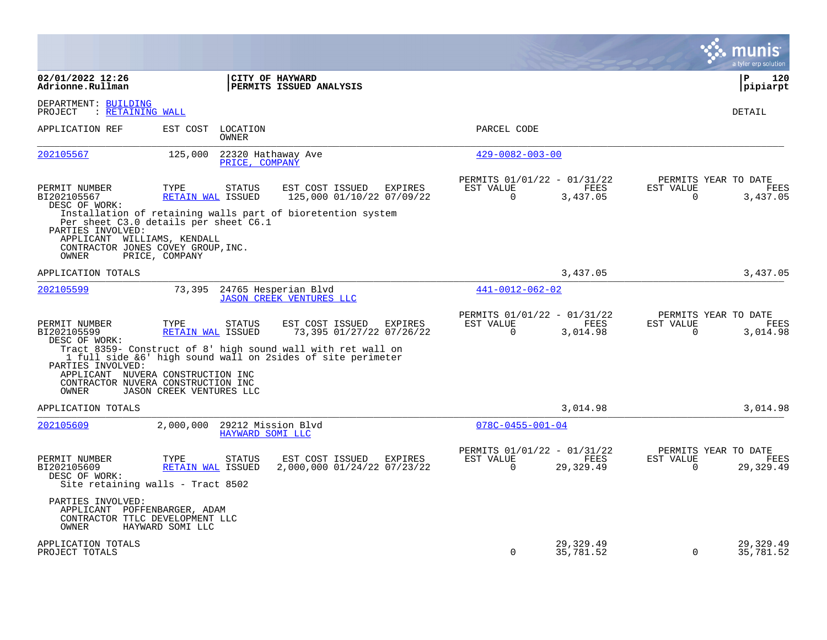|                                                                                                                                          |                                  |                                        |                                                                                                                             |                                                      |                        |                          | munis<br>a tyler erp solution                   |
|------------------------------------------------------------------------------------------------------------------------------------------|----------------------------------|----------------------------------------|-----------------------------------------------------------------------------------------------------------------------------|------------------------------------------------------|------------------------|--------------------------|-------------------------------------------------|
| 02/01/2022 12:26<br>Adrionne.Rullman                                                                                                     |                                  |                                        | CITY OF HAYWARD<br>PERMITS ISSUED ANALYSIS                                                                                  |                                                      |                        |                          | P<br>120<br> pipiarpt                           |
| DEPARTMENT: BUILDING<br>: RETAINING WALL<br>PROJECT                                                                                      |                                  |                                        |                                                                                                                             |                                                      |                        |                          | <b>DETAIL</b>                                   |
| APPLICATION REF                                                                                                                          |                                  | EST COST LOCATION<br><b>OWNER</b>      |                                                                                                                             | PARCEL CODE                                          |                        |                          |                                                 |
| 202105567                                                                                                                                | 125,000                          | 22320 Hathaway Ave<br>PRICE, COMPANY   |                                                                                                                             | $429 - 0082 - 003 - 00$                              |                        |                          |                                                 |
| PERMIT NUMBER<br>BI202105567<br>DESC OF WORK:                                                                                            | TYPE<br><b>RETAIN WAL ISSUED</b> | <b>STATUS</b>                          | EST COST ISSUED<br>EXPIRES<br>125,000 01/10/22 07/09/22                                                                     | PERMITS 01/01/22 - 01/31/22<br>EST VALUE<br>$\Omega$ | FEES<br>3,437.05       | EST VALUE<br>$\Omega$    | PERMITS YEAR TO DATE<br><b>FEES</b><br>3,437.05 |
| Per sheet C3.0 details per sheet C6.1<br>PARTIES INVOLVED:<br>APPLICANT WILLIAMS, KENDALL<br>CONTRACTOR JONES COVEY GROUP, INC.<br>OWNER | PRICE, COMPANY                   |                                        | Installation of retaining walls part of bioretention system                                                                 |                                                      |                        |                          |                                                 |
| APPLICATION TOTALS                                                                                                                       |                                  |                                        |                                                                                                                             |                                                      | 3,437.05               |                          | 3,437.05                                        |
| 202105599                                                                                                                                | 73,395                           |                                        | 24765 Hesperian Blvd<br><b>JASON CREEK VENTURES LLC</b>                                                                     | 441-0012-062-02                                      |                        |                          |                                                 |
| PERMIT NUMBER<br>BI202105599<br>DESC OF WORK:                                                                                            | TYPE<br>RETAIN WAL ISSUED        | <b>STATUS</b>                          | EST COST ISSUED<br>EXPIRES<br>73,395 01/27/22 07/26/22                                                                      | PERMITS 01/01/22 - 01/31/22<br>EST VALUE<br>$\Omega$ | FEES<br>3,014.98       | EST VALUE<br>$\mathbf 0$ | PERMITS YEAR TO DATE<br>FEES<br>3,014.98        |
| PARTIES INVOLVED:                                                                                                                        |                                  |                                        | Tract 8359- Construct of 8' high sound wall with ret wall on<br>1 full side &6' high sound wall on 2sides of site perimeter |                                                      |                        |                          |                                                 |
| APPLICANT NUVERA CONSTRUCTION INC<br>CONTRACTOR NUVERA CONSTRUCTION INC<br>OWNER                                                         | JASON CREEK VENTURES LLC         |                                        |                                                                                                                             |                                                      |                        |                          |                                                 |
| APPLICATION TOTALS                                                                                                                       |                                  |                                        |                                                                                                                             |                                                      | 3,014.98               |                          | 3,014.98                                        |
| 202105609                                                                                                                                | 2,000,000                        | 29212 Mission Blvd<br>HAYWARD SOMI LLC |                                                                                                                             | $078C - 0455 - 001 - 04$                             |                        |                          |                                                 |
| PERMIT NUMBER<br>BI202105609<br>DESC OF WORK:<br>Site retaining walls - Tract 8502                                                       | TYPE<br><b>RETAIN WAL ISSUED</b> | <b>STATUS</b>                          | EST COST ISSUED<br>EXPIRES<br>2,000,000 01/24/22 07/23/22                                                                   | PERMITS 01/01/22 - 01/31/22<br>EST VALUE<br>$\Omega$ | FEES<br>29,329.49      | EST VALUE<br>$\Omega$    | PERMITS YEAR TO DATE<br>FEES<br>29, 329.49      |
| PARTIES INVOLVED:<br>APPLICANT POFFENBARGER, ADAM<br>CONTRACTOR TTLC DEVELOPMENT LLC<br>OWNER                                            | HAYWARD SOMI LLC                 |                                        |                                                                                                                             |                                                      |                        |                          |                                                 |
| APPLICATION TOTALS<br>PROJECT TOTALS                                                                                                     |                                  |                                        |                                                                                                                             | $\Omega$                                             | 29,329.49<br>35,781.52 | $\Omega$                 | 29, 329.49<br>35,781.52                         |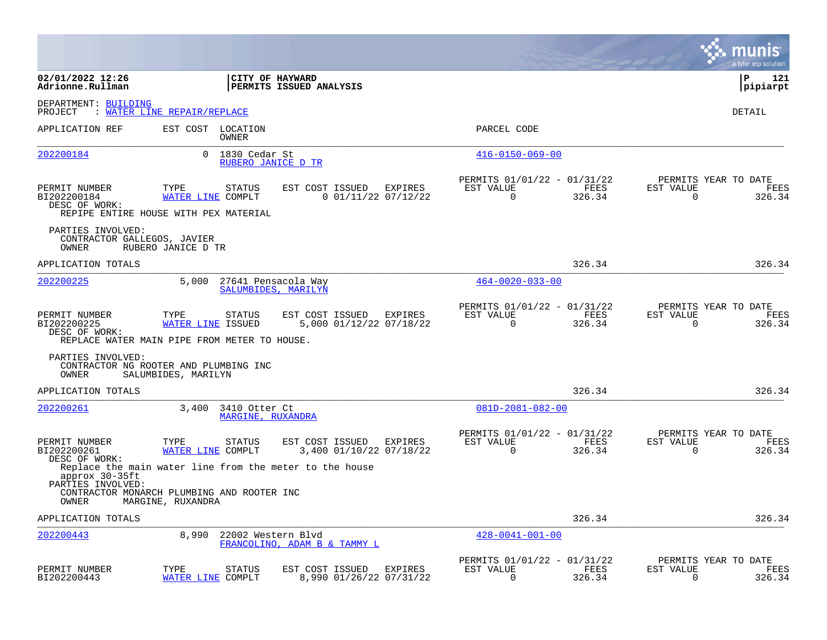|                                                           |                                                                                                                            |                                                              |                                                      |                | munis<br>a tyler erp solution                                      |
|-----------------------------------------------------------|----------------------------------------------------------------------------------------------------------------------------|--------------------------------------------------------------|------------------------------------------------------|----------------|--------------------------------------------------------------------|
| 02/01/2022 12:26<br>Adrionne.Rullman                      |                                                                                                                            | CITY OF HAYWARD<br>PERMITS ISSUED ANALYSIS                   |                                                      |                | P<br>121<br> pipiarpt                                              |
| DEPARTMENT: BUILDING<br>PROJECT                           | : WATER LINE REPAIR/REPLACE                                                                                                |                                                              |                                                      |                | DETAIL                                                             |
| APPLICATION REF                                           | EST COST LOCATION<br>OWNER                                                                                                 |                                                              | PARCEL CODE                                          |                |                                                                    |
| 202200184                                                 | 1830 Cedar St<br>0<br>RUBERO JANICE D TR                                                                                   |                                                              | $416 - 0150 - 069 - 00$                              |                |                                                                    |
| PERMIT NUMBER<br>BI202200184<br>DESC OF WORK:             | TYPE<br><b>STATUS</b><br>WATER LINE COMPLT<br>REPIPE ENTIRE HOUSE WITH PEX MATERIAL                                        | EST COST ISSUED<br><b>EXPIRES</b><br>$0$ 01/11/22 07/12/22   | PERMITS 01/01/22 - 01/31/22<br>EST VALUE<br>$\Omega$ | FEES<br>326.34 | PERMITS YEAR TO DATE<br>EST VALUE<br>FEES<br>$\Omega$<br>326.34    |
| PARTIES INVOLVED:<br>CONTRACTOR GALLEGOS, JAVIER<br>OWNER | RUBERO JANICE D TR                                                                                                         |                                                              |                                                      |                |                                                                    |
| APPLICATION TOTALS                                        |                                                                                                                            |                                                              |                                                      | 326.34         | 326.34                                                             |
| 202200225                                                 | 5,000                                                                                                                      | 27641 Pensacola Way<br>SALUMBIDES, MARILYN                   | $464 - 0020 - 033 - 00$                              |                |                                                                    |
| PERMIT NUMBER<br>BI202200225<br>DESC OF WORK:             | TYPE<br><b>STATUS</b><br>WATER LINE ISSUED<br>REPLACE WATER MAIN PIPE FROM METER TO HOUSE.                                 | EXPIRES<br>EST COST ISSUED<br>5,000 01/12/22 07/18/22        | PERMITS 01/01/22 - 01/31/22<br>EST VALUE<br>$\Omega$ | FEES<br>326.34 | PERMITS YEAR TO DATE<br>EST VALUE<br>FEES<br>$\Omega$<br>326.34    |
| PARTIES INVOLVED:<br>OWNER                                | CONTRACTOR NG ROOTER AND PLUMBING INC<br>SALUMBIDES, MARILYN                                                               |                                                              |                                                      |                |                                                                    |
| APPLICATION TOTALS                                        |                                                                                                                            |                                                              |                                                      | 326.34         | 326.34                                                             |
| 202200261                                                 | 3,400<br>3410 Otter Ct<br>MARGINE, RUXANDRA                                                                                |                                                              | $081D - 2081 - 082 - 00$                             |                |                                                                    |
| PERMIT NUMBER<br>BI202200261<br>DESC OF WORK:             | <b>STATUS</b><br>TYPE<br>WATER LINE COMPLT                                                                                 | EST COST ISSUED<br>EXPIRES<br>3,400 01/10/22 07/18/22        | PERMITS 01/01/22 - 01/31/22<br>EST VALUE<br>$\Omega$ | FEES<br>326.34 | PERMITS YEAR TO DATE<br>EST VALUE<br>FEES<br>$\mathbf 0$<br>326.34 |
| approx 30-35ft<br>PARTIES INVOLVED:<br>OWNER              | Replace the main water line from the meter to the house<br>CONTRACTOR MONARCH PLUMBING AND ROOTER INC<br>MARGINE, RUXANDRA |                                                              |                                                      |                |                                                                    |
| APPLICATION TOTALS                                        |                                                                                                                            |                                                              |                                                      | 326.34         | 326.34                                                             |
| 202200443                                                 | 8,990<br>22002 Western Blvd                                                                                                | FRANCOLINO, ADAM B & TAMMY L                                 | $428 - 0041 - 001 - 00$                              |                |                                                                    |
| PERMIT NUMBER<br>BI202200443                              | TYPE<br><b>STATUS</b><br>WATER LINE COMPLT                                                                                 | EST COST ISSUED<br><b>EXPIRES</b><br>8,990 01/26/22 07/31/22 | PERMITS 01/01/22 - 01/31/22<br>EST VALUE<br>0        | FEES<br>326.34 | PERMITS YEAR TO DATE<br>EST VALUE<br>FEES<br>0<br>326.34           |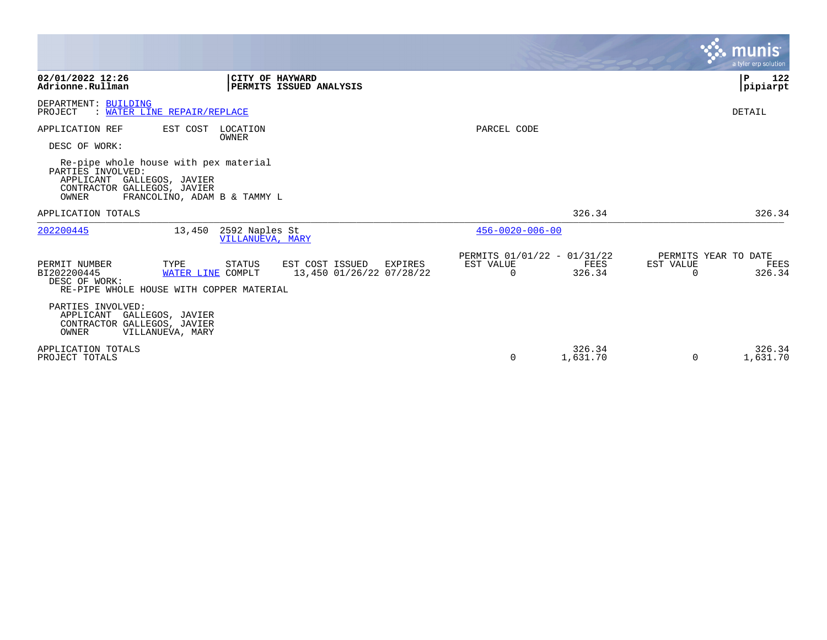|                                                                                                                                                                  |                                                                  |                                               |                    | munis<br>a tyler erp solution                                   |
|------------------------------------------------------------------------------------------------------------------------------------------------------------------|------------------------------------------------------------------|-----------------------------------------------|--------------------|-----------------------------------------------------------------|
| 02/01/2022 12:26<br>Adrionne.Rullman                                                                                                                             | CITY OF HAYWARD<br>PERMITS ISSUED ANALYSIS                       |                                               |                    | P<br>122<br>pipiarpt                                            |
| DEPARTMENT: BUILDING<br>WATER LINE REPAIR/REPLACE<br>PROJECT                                                                                                     |                                                                  |                                               |                    | <b>DETAIL</b>                                                   |
| APPLICATION REF<br>EST COST<br>DESC OF WORK:                                                                                                                     | LOCATION<br><b>OWNER</b>                                         | PARCEL CODE                                   |                    |                                                                 |
| Re-pipe whole house with pex material<br>PARTIES INVOLVED:<br>APPLICANT GALLEGOS, JAVIER<br>CONTRACTOR GALLEGOS, JAVIER<br>OWNER<br>FRANCOLINO, ADAM B & TAMMY L |                                                                  |                                               |                    |                                                                 |
| APPLICATION TOTALS                                                                                                                                               |                                                                  |                                               | 326.34             | 326.34                                                          |
| 202200445<br>13,450                                                                                                                                              | 2592 Naples St<br>VILLANUEVA, MARY                               | $456 - 0020 - 006 - 00$                       |                    |                                                                 |
| PERMIT NUMBER<br>TYPE<br>BI202200445<br>WATER LINE COMPLT<br>DESC OF WORK:<br>RE-PIPE WHOLE HOUSE WITH COPPER MATERIAL                                           | STATUS<br>EST COST ISSUED<br>EXPIRES<br>13,450 01/26/22 07/28/22 | PERMITS 01/01/22 - 01/31/22<br>EST VALUE<br>0 | FEES<br>326.34     | PERMITS YEAR TO DATE<br>EST VALUE<br>FEES<br>326.34<br>$\Omega$ |
| PARTIES INVOLVED:<br>APPLICANT GALLEGOS, JAVIER<br>CONTRACTOR GALLEGOS, JAVIER<br>OWNER<br>VILLANUEVA, MARY                                                      |                                                                  |                                               |                    |                                                                 |
| APPLICATION TOTALS<br>PROJECT TOTALS                                                                                                                             |                                                                  | 0                                             | 326.34<br>1,631.70 | 326.34<br>1,631.70<br>0                                         |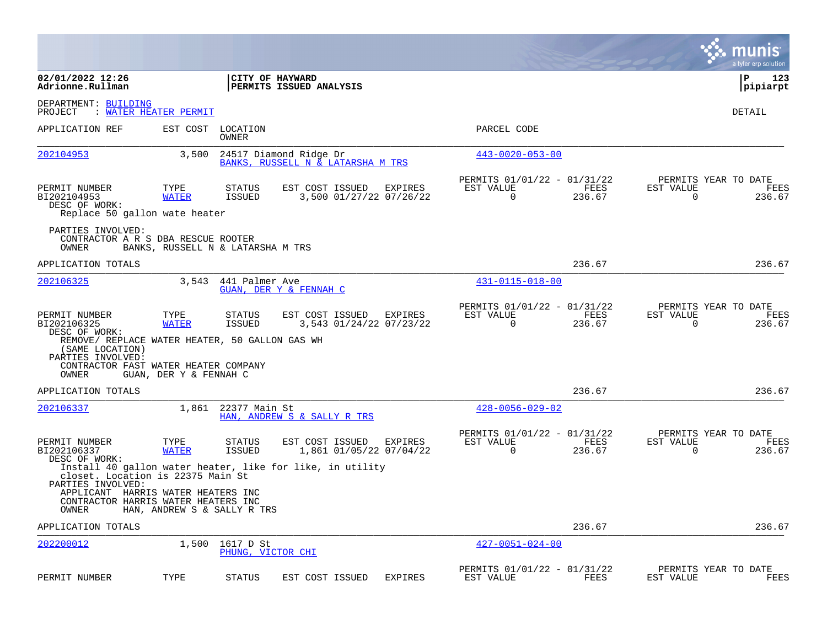|                                                                                                                                                          |                                   |                                |                                                             |                |                                                         |                |                          | munis<br>a tyler erp solution          |
|----------------------------------------------------------------------------------------------------------------------------------------------------------|-----------------------------------|--------------------------------|-------------------------------------------------------------|----------------|---------------------------------------------------------|----------------|--------------------------|----------------------------------------|
| 02/01/2022 12:26<br>Adrionne.Rullman                                                                                                                     |                                   |                                | CITY OF HAYWARD<br>PERMITS ISSUED ANALYSIS                  |                |                                                         |                |                          | l P<br>123<br> pipiarpt                |
| DEPARTMENT: BUILDING<br>PROJECT                                                                                                                          | : WATER HEATER PERMIT             |                                |                                                             |                |                                                         |                |                          | DETAIL                                 |
| APPLICATION REF                                                                                                                                          | EST COST                          | LOCATION<br>OWNER              |                                                             |                | PARCEL CODE                                             |                |                          |                                        |
| 202104953                                                                                                                                                | 3,500                             |                                | 24517 Diamond Ridge Dr<br>BANKS, RUSSELL N & LATARSHA M TRS |                | $443 - 0020 - 053 - 00$                                 |                |                          |                                        |
| PERMIT NUMBER<br>BI202104953<br>DESC OF WORK:<br>Replace 50 gallon wate heater                                                                           | TYPE<br><b>WATER</b>              | <b>STATUS</b><br><b>ISSUED</b> | EST COST ISSUED<br>3,500 01/27/22 07/26/22                  | EXPIRES        | PERMITS 01/01/22 - 01/31/22<br>EST VALUE<br>0           | FEES<br>236.67 | EST VALUE<br>0           | PERMITS YEAR TO DATE<br>FEES<br>236.67 |
| PARTIES INVOLVED:<br>CONTRACTOR A R S DBA RESCUE ROOTER<br>OWNER                                                                                         | BANKS, RUSSELL N & LATARSHA M TRS |                                |                                                             |                |                                                         |                |                          |                                        |
| APPLICATION TOTALS                                                                                                                                       |                                   |                                |                                                             |                |                                                         | 236.67         |                          | 236.67                                 |
| 202106325                                                                                                                                                | 3,543                             | 441 Palmer Ave                 | GUAN, DER Y & FENNAH C                                      |                | $431 - 0115 - 018 - 00$                                 |                |                          |                                        |
| PERMIT NUMBER<br>BI202106325                                                                                                                             | TYPE<br><b>WATER</b>              | STATUS<br><b>ISSUED</b>        | EST COST ISSUED<br>3,543 01/24/22 07/23/22                  | EXPIRES        | PERMITS 01/01/22 - 01/31/22<br>EST VALUE<br>$\mathbf 0$ | FEES<br>236.67 | EST VALUE<br>$\mathbf 0$ | PERMITS YEAR TO DATE<br>FEES<br>236.67 |
| DESC OF WORK:<br>REMOVE/ REPLACE WATER HEATER, 50 GALLON GAS WH<br>(SAME LOCATION)<br>PARTIES INVOLVED:<br>CONTRACTOR FAST WATER HEATER COMPANY<br>OWNER | GUAN, DER Y & FENNAH C            |                                |                                                             |                |                                                         |                |                          |                                        |
| APPLICATION TOTALS                                                                                                                                       |                                   |                                |                                                             |                |                                                         | 236.67         |                          | 236.67                                 |
| 202106337                                                                                                                                                | 1,861                             | 22377 Main St                  | HAN, ANDREW S & SALLY R TRS                                 |                | $428 - 0056 - 029 - 02$                                 |                |                          |                                        |
| PERMIT NUMBER<br>BI202106337<br>DESC OF WORK:                                                                                                            | TYPE<br><b>WATER</b>              | STATUS<br>ISSUED               | EST COST ISSUED<br>1,861 01/05/22 07/04/22                  | EXPIRES        | PERMITS 01/01/22 - 01/31/22<br>EST VALUE<br>0           | FEES<br>236.67 | EST VALUE<br>0           | PERMITS YEAR TO DATE<br>FEES<br>236.67 |
| closet. Location is 22375 Main St<br>PARTIES INVOLVED:<br>APPLICANT HARRIS WATER HEATERS INC<br>CONTRACTOR HARRIS WATER HEATERS INC                      |                                   |                                | Install 40 gallon water heater, like for like, in utility   |                |                                                         |                |                          |                                        |
| OWNER<br>APPLICATION TOTALS                                                                                                                              | HAN, ANDREW S & SALLY R TRS       |                                |                                                             |                |                                                         | 236.67         |                          | 236.67                                 |
| 202200012                                                                                                                                                | 1,500                             | 1617 D St<br>PHUNG, VICTOR CHI |                                                             |                | $427 - 0051 - 024 - 00$                                 |                |                          |                                        |
| PERMIT NUMBER                                                                                                                                            | TYPE                              | <b>STATUS</b>                  | EST COST ISSUED                                             | <b>EXPIRES</b> | PERMITS 01/01/22 - 01/31/22<br>EST VALUE                | FEES           | EST VALUE                | PERMITS YEAR TO DATE<br>FEES           |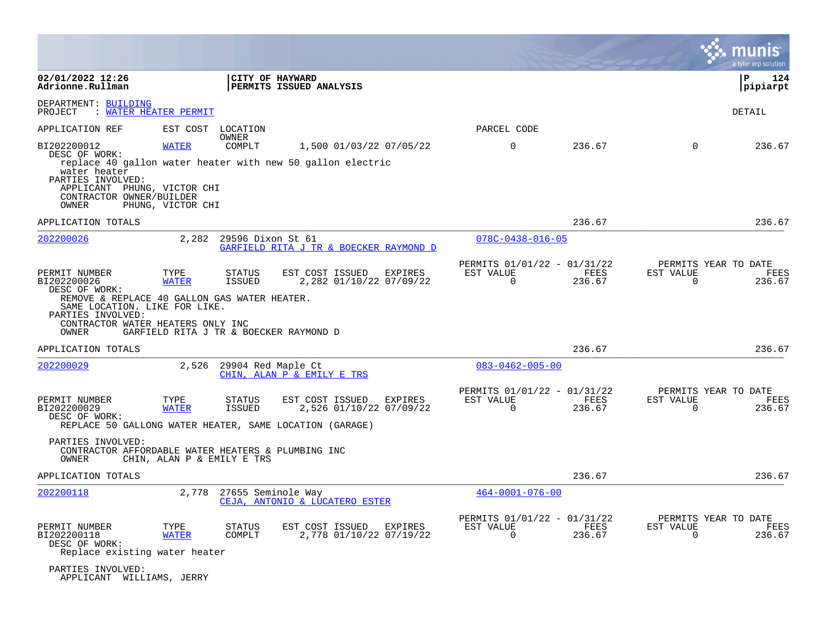|                                                                                                                                                                                                          |                                   |                         |                                                                                                       |         |                                                         |                |                                                  | a tyler erp solution |
|----------------------------------------------------------------------------------------------------------------------------------------------------------------------------------------------------------|-----------------------------------|-------------------------|-------------------------------------------------------------------------------------------------------|---------|---------------------------------------------------------|----------------|--------------------------------------------------|----------------------|
| 02/01/2022 12:26<br>Adrionne.Rullman                                                                                                                                                                     |                                   |                         | CITY OF HAYWARD<br>PERMITS ISSUED ANALYSIS                                                            |         |                                                         |                |                                                  | Р<br>124<br>pipiarpt |
| DEPARTMENT: BUILDING<br>: WATER HEATER PERMIT<br>PROJECT                                                                                                                                                 |                                   |                         |                                                                                                       |         |                                                         |                |                                                  | DETAIL               |
| APPLICATION REF                                                                                                                                                                                          |                                   | EST COST LOCATION       |                                                                                                       |         | PARCEL CODE                                             |                |                                                  |                      |
| BI202200012<br>DESC OF WORK:<br>water heater<br>PARTIES INVOLVED:<br>APPLICANT PHUNG, VICTOR CHI<br>CONTRACTOR OWNER/BUILDER<br>OWNER                                                                    | <b>WATER</b><br>PHUNG, VICTOR CHI | <b>OWNER</b><br>COMPLT  | 1,500 01/03/22 07/05/22<br>replace 40 gallon water heater with new 50 gallon electric                 |         | $\mathbf 0$                                             | 236.67         | $\Omega$                                         | 236.67               |
| APPLICATION TOTALS                                                                                                                                                                                       |                                   |                         |                                                                                                       |         |                                                         | 236.67         |                                                  | 236.67               |
| 202200026                                                                                                                                                                                                | 2,282                             | 29596 Dixon St 61       | GARFIELD RITA J TR & BOECKER RAYMOND D                                                                |         | $078C - 0438 - 016 - 05$                                |                |                                                  |                      |
| PERMIT NUMBER<br>BI202200026<br>DESC OF WORK:<br>REMOVE & REPLACE 40 GALLON GAS WATER HEATER.<br>SAME LOCATION. LIKE FOR LIKE.<br>PARTIES INVOLVED:<br>CONTRACTOR WATER HEATERS ONLY INC<br><b>OWNER</b> | TYPE<br><b>WATER</b>              | STATUS<br><b>ISSUED</b> | EST COST ISSUED<br>2,282 01/10/22 07/09/22<br>GARFIELD RITA J TR & BOECKER RAYMOND D                  | EXPIRES | PERMITS 01/01/22 - 01/31/22<br>EST VALUE<br>$\Omega$    | FEES<br>236.67 | PERMITS YEAR TO DATE<br>EST VALUE<br>$\Omega$    | FEES<br>236.67       |
| APPLICATION TOTALS                                                                                                                                                                                       |                                   |                         |                                                                                                       |         |                                                         | 236.67         |                                                  | 236.67               |
| 202200029                                                                                                                                                                                                | 2,526                             | 29904 Red Maple Ct      | CHIN, ALAN P & EMILY E TRS                                                                            |         | $083 - 0462 - 005 - 00$                                 |                |                                                  |                      |
| PERMIT NUMBER<br>BI202200029<br>DESC OF WORK:                                                                                                                                                            | TYPE<br><b>WATER</b>              | STATUS<br><b>ISSUED</b> | EST COST ISSUED<br>2,526 01/10/22 07/09/22<br>REPLACE 50 GALLONG WATER HEATER, SAME LOCATION (GARAGE) | EXPIRES | PERMITS 01/01/22 - 01/31/22<br>EST VALUE<br>$\mathbf 0$ | FEES<br>236.67 | PERMITS YEAR TO DATE<br>EST VALUE<br>$\mathbf 0$ | FEES<br>236.67       |
| PARTIES INVOLVED:<br>CONTRACTOR AFFORDABLE WATER HEATERS & PLUMBING INC<br>OWNER                                                                                                                         | CHIN, ALAN P & EMILY E TRS        |                         |                                                                                                       |         |                                                         |                |                                                  |                      |
| APPLICATION TOTALS                                                                                                                                                                                       |                                   |                         |                                                                                                       |         |                                                         | 236.67         |                                                  | 236.67               |
| 202200118                                                                                                                                                                                                | 2,778                             | 27655 Seminole Way      | CEJA, ANTONIO & LUCATERO ESTER                                                                        |         | $464 - 0001 - 076 - 00$                                 |                |                                                  |                      |
| PERMIT NUMBER<br>BI202200118<br>DESC OF WORK:<br>Replace existing water heater                                                                                                                           | TYPE<br><b>WATER</b>              | STATUS<br>COMPLT        | EST COST ISSUED<br>2,778 01/10/22 07/19/22                                                            | EXPIRES | PERMITS 01/01/22 - 01/31/22<br>EST VALUE<br>$\mathbf 0$ | FEES<br>236.67 | PERMITS YEAR TO DATE<br>EST VALUE<br>$\mathbf 0$ | FEES<br>236.67       |
| PARTIES INVOLVED:<br>APPLICANT WILLIAMS, JERRY                                                                                                                                                           |                                   |                         |                                                                                                       |         |                                                         |                |                                                  |                      |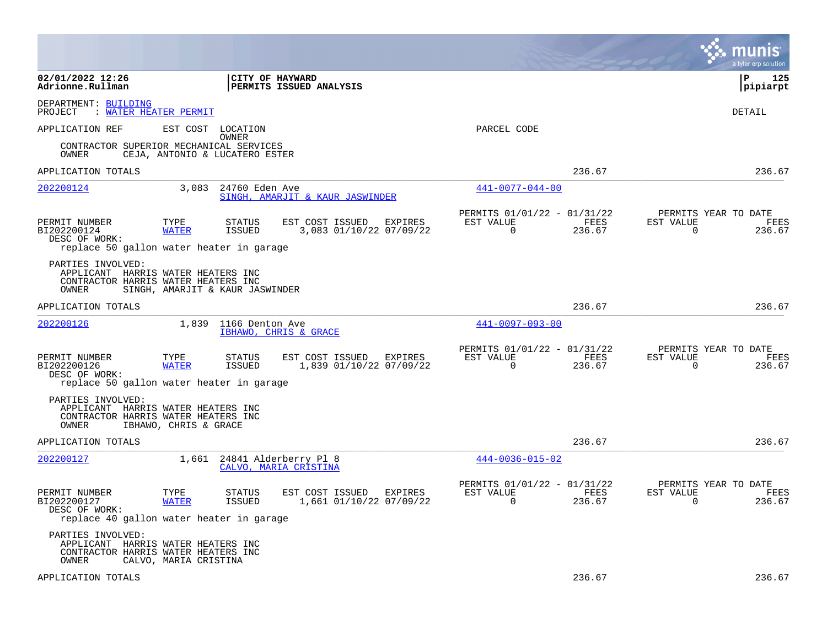|                                               |                                                                                                              |                                                          |                                                                        | munis<br>a tyler erp solution                                          |
|-----------------------------------------------|--------------------------------------------------------------------------------------------------------------|----------------------------------------------------------|------------------------------------------------------------------------|------------------------------------------------------------------------|
| 02/01/2022 12:26<br>Adrionne.Rullman          |                                                                                                              | <b>CITY OF HAYWARD</b><br><b>PERMITS ISSUED ANALYSIS</b> |                                                                        | l P<br>125<br> pipiarpt                                                |
| DEPARTMENT: BUILDING<br>PROJECT               | : WATER HEATER PERMIT                                                                                        |                                                          |                                                                        | DETAIL                                                                 |
| APPLICATION REF                               | EST COST<br>LOCATION<br>OWNER                                                                                |                                                          | PARCEL CODE                                                            |                                                                        |
| OWNER                                         | CONTRACTOR SUPERIOR MECHANICAL SERVICES<br>CEJA, ANTONIO & LUCATERO ESTER                                    |                                                          |                                                                        |                                                                        |
| APPLICATION TOTALS                            |                                                                                                              |                                                          | 236.67                                                                 | 236.67                                                                 |
| 202200124                                     | 3,083                                                                                                        | 24760 Eden Ave<br>SINGH, AMARJIT & KAUR JASWINDER        | $441 - 0077 - 044 - 00$                                                |                                                                        |
| PERMIT NUMBER<br>BI202200124<br>DESC OF WORK: | <b>STATUS</b><br>TYPE<br><b>WATER</b><br>ISSUED<br>replace 50 gallon water heater in garage                  | EST COST ISSUED<br>EXPIRES<br>3,083 01/10/22 07/09/22    | PERMITS 01/01/22 - 01/31/22<br>FEES<br>EST VALUE<br>$\Omega$<br>236.67 | PERMITS YEAR TO DATE<br>EST VALUE<br>FEES<br>$\Omega$<br>236.67        |
| PARTIES INVOLVED:<br>OWNER                    | APPLICANT HARRIS WATER HEATERS INC<br>CONTRACTOR HARRIS WATER HEATERS INC<br>SINGH, AMARJIT & KAUR JASWINDER |                                                          |                                                                        |                                                                        |
| APPLICATION TOTALS                            |                                                                                                              |                                                          | 236.67                                                                 | 236.67                                                                 |
| 202200126                                     | 1,839                                                                                                        | 1166 Denton Ave<br>IBHAWO, CHRIS & GRACE                 | 441-0097-093-00                                                        |                                                                        |
| PERMIT NUMBER<br>BI202200126<br>DESC OF WORK: | TYPE<br><b>STATUS</b><br><b>WATER</b><br>ISSUED<br>replace 50 gallon water heater in garage                  | EST COST ISSUED<br>EXPIRES<br>1,839 01/10/22 07/09/22    | PERMITS 01/01/22 - 01/31/22<br>EST VALUE<br>FEES<br>$\Omega$<br>236.67 | PERMITS YEAR TO DATE<br>EST VALUE<br>FEES<br>$\Omega$<br>236.67        |
| PARTIES INVOLVED:<br>OWNER                    | APPLICANT HARRIS WATER HEATERS INC<br>CONTRACTOR HARRIS WATER HEATERS INC<br>IBHAWO, CHRIS & GRACE           |                                                          |                                                                        |                                                                        |
| APPLICATION TOTALS                            |                                                                                                              |                                                          | 236.67                                                                 | 236.67                                                                 |
| 202200127                                     |                                                                                                              | 1,661 24841 Alderberry Pl 8<br>CALVO, MARIA CRISTINA     | $444 - 0036 - 015 - 02$                                                |                                                                        |
| PERMIT NUMBER<br>BI202200127<br>DESC OF WORK: | TYPE<br><b>STATUS</b><br><b>WATER</b><br>ISSUED<br>replace 40 gallon water heater in garage                  | EST COST ISSUED<br>EXPIRES<br>1,661 01/10/22 07/09/22    | PERMITS 01/01/22 - 01/31/22<br>EST VALUE<br>FEES<br>$\Omega$<br>236.67 | PERMITS YEAR TO DATE<br>EST VALUE<br><b>FEES</b><br>$\Omega$<br>236.67 |
| PARTIES INVOLVED:<br>OWNER                    | APPLICANT HARRIS WATER HEATERS INC<br>CONTRACTOR HARRIS WATER HEATERS INC<br>CALVO, MARIA CRISTINA           |                                                          |                                                                        |                                                                        |
| APPLICATION TOTALS                            |                                                                                                              |                                                          | 236.67                                                                 | 236.67                                                                 |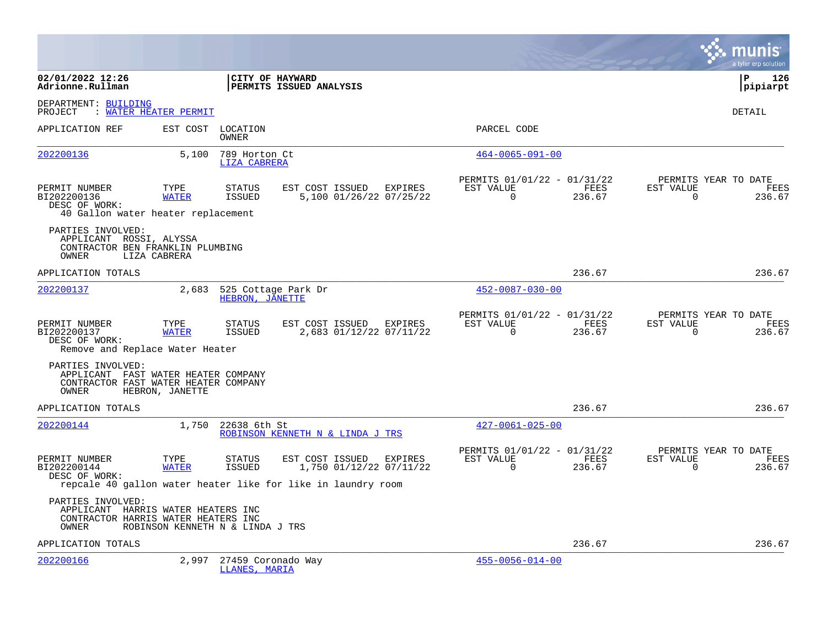|                                                                                                           |                                  |                                      |                                                                                                            |         |                                                      |                       |                       | a tyler erp solution                          |
|-----------------------------------------------------------------------------------------------------------|----------------------------------|--------------------------------------|------------------------------------------------------------------------------------------------------------|---------|------------------------------------------------------|-----------------------|-----------------------|-----------------------------------------------|
| 02/01/2022 12:26<br>Adrionne.Rullman                                                                      |                                  |                                      | CITY OF HAYWARD<br>PERMITS ISSUED ANALYSIS                                                                 |         |                                                      |                       |                       | l P<br>126<br> pipiarpt                       |
| DEPARTMENT: BUILDING<br>PROJECT                                                                           | : WATER HEATER PERMIT            |                                      |                                                                                                            |         |                                                      |                       |                       | DETAIL                                        |
| APPLICATION REF                                                                                           |                                  | EST COST LOCATION<br>OWNER           |                                                                                                            |         | PARCEL CODE                                          |                       |                       |                                               |
| 202200136                                                                                                 | 5,100                            | 789 Horton Ct<br><b>LIZA CABRERA</b> |                                                                                                            |         | $464 - 0065 - 091 - 00$                              |                       |                       |                                               |
| PERMIT NUMBER<br>BI202200136<br>DESC OF WORK:<br>40 Gallon water heater replacement                       | TYPE<br><b>WATER</b>             | <b>STATUS</b><br><b>ISSUED</b>       | EST COST ISSUED EXPIRES<br>5,100 01/26/22 07/25/22                                                         |         | PERMITS 01/01/22 - 01/31/22<br>EST VALUE<br>$\Omega$ | FEES<br>236.67        | EST VALUE<br>$\Omega$ | PERMITS YEAR TO DATE<br>FEES<br>236.67        |
| PARTIES INVOLVED:<br>APPLICANT ROSSI, ALYSSA<br>CONTRACTOR BEN FRANKLIN PLUMBING<br>OWNER                 | LIZA CABRERA                     |                                      |                                                                                                            |         |                                                      |                       |                       |                                               |
| APPLICATION TOTALS                                                                                        |                                  |                                      |                                                                                                            |         |                                                      | 236.67                |                       | 236.67                                        |
| 202200137                                                                                                 | 2,683                            | HEBRON, JANETTE                      | 525 Cottage Park Dr                                                                                        |         | $452 - 0087 - 030 - 00$                              |                       |                       |                                               |
| PERMIT NUMBER<br>BI202200137<br>DESC OF WORK:<br>Remove and Replace Water Heater                          | TYPE<br><b>WATER</b>             | <b>STATUS</b><br>ISSUED              | EST COST ISSUED<br>2,683 01/12/22 07/11/22                                                                 | EXPIRES | PERMITS 01/01/22 - 01/31/22<br>EST VALUE<br>$\Omega$ | <b>FEES</b><br>236.67 | EST VALUE<br>$\Omega$ | PERMITS YEAR TO DATE<br><b>FEES</b><br>236.67 |
| PARTIES INVOLVED:<br>APPLICANT FAST WATER HEATER COMPANY<br>CONTRACTOR FAST WATER HEATER COMPANY<br>OWNER | HEBRON, JANETTE                  |                                      |                                                                                                            |         |                                                      |                       |                       |                                               |
| APPLICATION TOTALS                                                                                        |                                  |                                      |                                                                                                            |         |                                                      | 236.67                |                       | 236.67                                        |
| 202200144                                                                                                 | 1,750                            | 22638 6th St                         | ROBINSON KENNETH N & LINDA J TRS                                                                           |         | $427 - 0061 - 025 - 00$                              |                       |                       |                                               |
| PERMIT NUMBER<br>BI202200144<br>DESC OF WORK:                                                             | TYPE<br><b>WATER</b>             | <b>STATUS</b><br>ISSUED              | EST COST ISSUED<br>1,750 01/12/22 07/11/22<br>repcale 40 gallon water heater like for like in laundry room | EXPIRES | PERMITS 01/01/22 - 01/31/22<br>EST VALUE<br>$\Omega$ | FEES<br>236.67        | EST VALUE<br>$\Omega$ | PERMITS YEAR TO DATE<br><b>FEES</b><br>236.67 |
| PARTIES INVOLVED:<br>APPLICANT HARRIS WATER HEATERS INC<br>CONTRACTOR HARRIS WATER HEATERS INC<br>OWNER   | ROBINSON KENNETH N & LINDA J TRS |                                      |                                                                                                            |         |                                                      |                       |                       |                                               |
| APPLICATION TOTALS                                                                                        |                                  |                                      |                                                                                                            |         |                                                      | 236.67                |                       | 236.67                                        |
| 202200166                                                                                                 | 2,997                            | 27459 Coronado Way<br>LLANES, MARIA  |                                                                                                            |         | $455 - 0056 - 014 - 00$                              |                       |                       |                                               |

**Contract**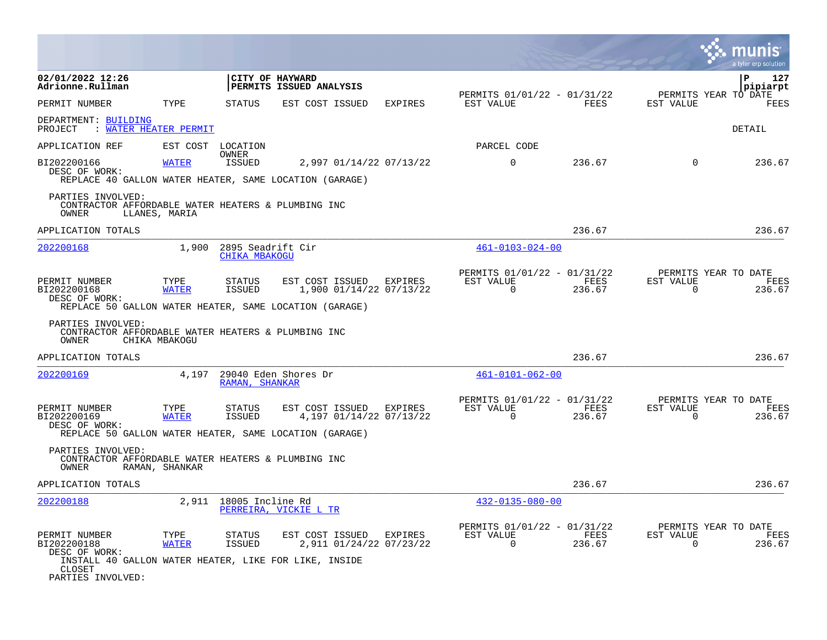|                                                                                                                                       |                      |                                                   |                            |                                    |                                                           |                |                       | munis<br>a tyler erp solution          |      |
|---------------------------------------------------------------------------------------------------------------------------------------|----------------------|---------------------------------------------------|----------------------------|------------------------------------|-----------------------------------------------------------|----------------|-----------------------|----------------------------------------|------|
| 02/01/2022 12:26<br>Adrionne.Rullman                                                                                                  |                      | CITY OF HAYWARD                                   | PERMITS ISSUED ANALYSIS    |                                    |                                                           |                |                       | $\mathbf{P}$<br>pipiarpt               | 127  |
| PERMIT NUMBER                                                                                                                         | TYPE                 | <b>STATUS</b>                                     | EST COST ISSUED            | EXPIRES                            | PERMITS 01/01/22 - 01/31/22<br>EST VALUE                  | FEES           | EST VALUE             | PERMITS YEAR TO DATE<br>FEES           |      |
| DEPARTMENT: BUILDING<br>: WATER HEATER PERMIT<br>PROJECT                                                                              |                      |                                                   |                            |                                    |                                                           |                |                       | DETAIL                                 |      |
| APPLICATION REF                                                                                                                       | EST COST LOCATION    | OWNER                                             |                            |                                    | PARCEL CODE                                               |                |                       |                                        |      |
| BI202200166<br>DESC OF WORK:<br>REPLACE 40 GALLON WATER HEATER, SAME LOCATION (GARAGE)                                                | <b>WATER</b>         | ISSUED                                            |                            | 2,997 01/14/22 07/13/22            | $\mathbf 0$                                               | 236.67         | $\overline{0}$        | 236.67                                 |      |
| PARTIES INVOLVED:<br>CONTRACTOR AFFORDABLE WATER HEATERS & PLUMBING INC<br>OWNER                                                      | LLANES, MARIA        |                                                   |                            |                                    |                                                           |                |                       |                                        |      |
| APPLICATION TOTALS                                                                                                                    |                      |                                                   |                            |                                    |                                                           | 236.67         |                       | 236.67                                 |      |
| 202200168                                                                                                                             |                      | $1,900$ 2895 Seadrift Cir<br><b>CHIKA MBAKOGU</b> |                            |                                    | $461 - 0103 - 024 - 00$                                   |                |                       |                                        |      |
| PERMIT NUMBER<br>BI202200168<br>DESC OF WORK:<br>REPLACE 50 GALLON WATER HEATER, SAME LOCATION (GARAGE)                               | TYPE<br><b>WATER</b> | STATUS<br>ISSUED                                  | EST COST ISSUED EXPIRES    | 1,900 01/14/22 07/13/22            | PERMITS 01/01/22 - 01/31/22<br>EST VALUE<br>$\Omega$      | FEES<br>236.67 | EST VALUE<br>$\Omega$ | PERMITS YEAR TO DATE<br>FEES<br>236.67 |      |
| PARTIES INVOLVED:<br>CONTRACTOR AFFORDABLE WATER HEATERS & PLUMBING INC<br>OWNER                                                      | CHIKA MBAKOGU        |                                                   |                            |                                    |                                                           |                |                       |                                        |      |
| APPLICATION TOTALS                                                                                                                    |                      |                                                   |                            |                                    |                                                           | 236.67         |                       | 236.67                                 |      |
| 202200169                                                                                                                             |                      | RAMAN, SHANKAR                                    | 4,197 29040 Eden Shores Dr |                                    | $461 - 0101 - 062 - 00$                                   |                |                       |                                        |      |
| PERMIT NUMBER<br>BI202200169<br>DESC OF WORK:<br>REPLACE 50 GALLON WATER HEATER, SAME LOCATION (GARAGE)                               | TYPE<br><b>WATER</b> | STATUS<br>ISSUED                                  | EST COST ISSUED EXPIRES    | 4,197 01/14/22 07/13/22            | PERMITS 01/01/22 - 01/31/22<br>EST VALUE FEES<br>$\Omega$ | 236.67         | EST VALUE<br>$\Omega$ | PERMITS YEAR TO DATE<br>FEES<br>236.67 |      |
| PARTIES INVOLVED:<br>CONTRACTOR AFFORDABLE WATER HEATERS & PLUMBING INC<br>OWNER                                                      | RAMAN, SHANKAR       |                                                   |                            |                                    |                                                           |                |                       |                                        |      |
| APPLICATION TOTALS                                                                                                                    |                      |                                                   |                            |                                    |                                                           | 236.67         |                       | 236.67                                 |      |
| 202200188                                                                                                                             |                      | 2,911 18005 Incline Rd                            | PERREIRA, VICKIE L TR      |                                    | $432 - 0135 - 080 - 00$                                   |                |                       |                                        |      |
| PERMIT NUMBER<br>BI202200188<br>DESC OF WORK:<br>INSTALL 40 GALLON WATER HEATER, LIKE FOR LIKE, INSIDE<br>CLOSET<br>PARTIES INVOLVED: | TYPE<br><b>WATER</b> | STATUS<br>ISSUED                                  | EST COST ISSUED            | EXPIRES<br>2,911 01/24/22 07/23/22 | PERMITS 01/01/22 - 01/31/22<br>EST VALUE<br>0             | FEES<br>236.67 | EST VALUE<br>0        | PERMITS YEAR TO DATE<br>236.67         | FEES |

**The Co**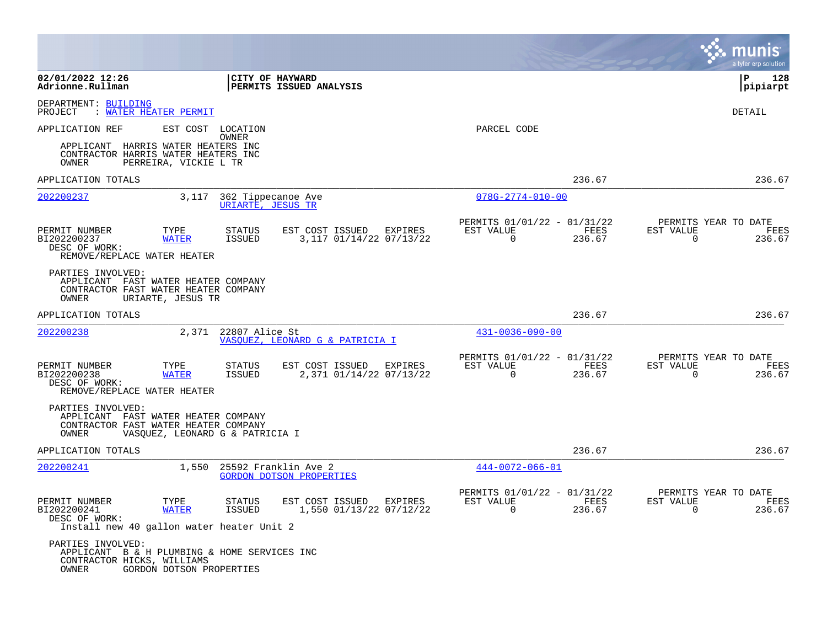|                                               |                                                                                                                |                                         |                                                         |                                                         |                | munis<br>a tyler erp solution                                      |
|-----------------------------------------------|----------------------------------------------------------------------------------------------------------------|-----------------------------------------|---------------------------------------------------------|---------------------------------------------------------|----------------|--------------------------------------------------------------------|
| 02/01/2022 12:26<br>Adrionne.Rullman          |                                                                                                                | CITY OF HAYWARD                         | PERMITS ISSUED ANALYSIS                                 |                                                         |                | ΙP<br>128<br> pipiarpt                                             |
| DEPARTMENT: BUILDING<br>PROJECT               | <u>WATER HEATER PERMIT</u>                                                                                     |                                         |                                                         |                                                         |                | DETAIL                                                             |
| APPLICATION REF                               |                                                                                                                | EST COST LOCATION<br>OWNER              |                                                         | PARCEL CODE                                             |                |                                                                    |
| OWNER                                         | APPLICANT HARRIS WATER HEATERS INC<br>CONTRACTOR HARRIS WATER HEATERS INC<br>PERREIRA, VICKIE L TR             |                                         |                                                         |                                                         |                |                                                                    |
| APPLICATION TOTALS                            |                                                                                                                |                                         |                                                         |                                                         | 236.67         | 236.67                                                             |
| 202200237                                     | 3,117                                                                                                          | 362 Tippecanoe Ave<br>URIARTE, JESUS TR |                                                         | $078G - 2774 - 010 - 00$                                |                |                                                                    |
| PERMIT NUMBER<br>BI202200237<br>DESC OF WORK: | TYPE<br><b>WATER</b><br>REMOVE/REPLACE WATER HEATER                                                            | <b>STATUS</b><br><b>ISSUED</b>          | EST COST ISSUED EXPIRES<br>3,117 01/14/22 07/13/22      | PERMITS 01/01/22 - 01/31/22<br>EST VALUE<br>0           | FEES<br>236.67 | PERMITS YEAR TO DATE<br>EST VALUE<br>FEES<br>$\mathbf 0$<br>236.67 |
| PARTIES INVOLVED:<br>OWNER                    | APPLICANT FAST WATER HEATER COMPANY<br>CONTRACTOR FAST WATER HEATER COMPANY<br>URIARTE, JESUS TR               |                                         |                                                         |                                                         |                |                                                                    |
| APPLICATION TOTALS                            |                                                                                                                |                                         |                                                         |                                                         | 236.67         | 236.67                                                             |
| 202200238                                     | 2,371                                                                                                          | 22807 Alice St                          | VASOUEZ, LEONARD G & PATRICIA I                         | $431 - 0036 - 090 - 00$                                 |                |                                                                    |
| PERMIT NUMBER<br>BI202200238<br>DESC OF WORK: | TYPE<br><b>WATER</b><br>REMOVE/REPLACE WATER HEATER                                                            | <b>STATUS</b><br>ISSUED                 | EST COST ISSUED<br>EXPIRES<br>2,371 01/14/22 07/13/22   | PERMITS 01/01/22 - 01/31/22<br>EST VALUE<br>$\mathbf 0$ | FEES<br>236.67 | PERMITS YEAR TO DATE<br>EST VALUE<br>FEES<br>$\mathbf 0$<br>236.67 |
| PARTIES INVOLVED:<br>OWNER                    | APPLICANT FAST WATER HEATER COMPANY<br>CONTRACTOR FAST WATER HEATER COMPANY<br>VASQUEZ, LEONARD G & PATRICIA I |                                         |                                                         |                                                         |                |                                                                    |
| APPLICATION TOTALS                            |                                                                                                                |                                         |                                                         |                                                         | 236.67         | 236.67                                                             |
| 202200241                                     | 1,550                                                                                                          |                                         | 25592 Franklin Ave 2<br><b>GORDON DOTSON PROPERTIES</b> | $444 - 0072 - 066 - 01$                                 |                |                                                                    |
| PERMIT NUMBER<br>BI202200241<br>DESC OF WORK: | TYPE<br><b>WATER</b><br>Install new 40 gallon water heater Unit 2                                              | <b>STATUS</b><br>ISSUED                 | EST COST ISSUED<br>EXPIRES<br>1,550 01/13/22 07/12/22   | PERMITS 01/01/22 - 01/31/22<br>EST VALUE<br>$\Omega$    | FEES<br>236.67 | PERMITS YEAR TO DATE<br>EST VALUE<br>FEES<br>$\Omega$<br>236.67    |
| PARTIES INVOLVED:<br>OWNER                    | APPLICANT B & H PLUMBING & HOME SERVICES INC<br>CONTRACTOR HICKS, WILLIAMS<br>GORDON DOTSON PROPERTIES         |                                         |                                                         |                                                         |                |                                                                    |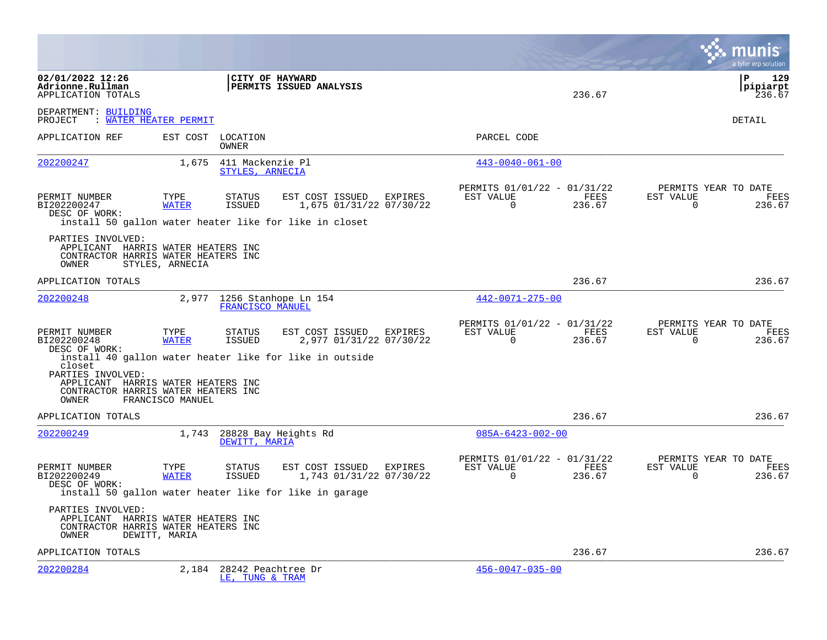|                                                                                                                   |                      |                                                |                                                         |         |                                                         |                |                                                  | munis<br>a tyler erp solution     |
|-------------------------------------------------------------------------------------------------------------------|----------------------|------------------------------------------------|---------------------------------------------------------|---------|---------------------------------------------------------|----------------|--------------------------------------------------|-----------------------------------|
| 02/01/2022 12:26<br>Adrionne.Rullman<br>APPLICATION TOTALS                                                        |                      | CITY OF HAYWARD                                | PERMITS ISSUED ANALYSIS                                 |         |                                                         | 236.67         |                                                  | 129<br>l P<br> pipiarpt<br>236.67 |
| DEPARTMENT: BUILDING<br>PROJECT<br>: WATER HEATER PERMIT                                                          |                      |                                                |                                                         |         |                                                         |                |                                                  | DETAIL                            |
| APPLICATION REF                                                                                                   | EST COST             | LOCATION<br>OWNER                              |                                                         |         | PARCEL CODE                                             |                |                                                  |                                   |
| 202200247                                                                                                         | 1,675                | 411 Mackenzie Pl<br>STYLES, ARNECIA            |                                                         |         | $443 - 0040 - 061 - 00$                                 |                |                                                  |                                   |
| PERMIT NUMBER<br>BI202200247<br>DESC OF WORK:<br>install 50 gallon water heater like for like in closet           | TYPE<br><b>WATER</b> | <b>STATUS</b><br><b>ISSUED</b>                 | EST COST ISSUED<br>1,675 01/31/22 07/30/22              | EXPIRES | PERMITS 01/01/22 - 01/31/22<br>EST VALUE<br>$\Omega$    | FEES<br>236.67 | PERMITS YEAR TO DATE<br>EST VALUE<br>$\Omega$    | FEES<br>236.67                    |
| PARTIES INVOLVED:<br>APPLICANT HARRIS WATER HEATERS INC<br>CONTRACTOR HARRIS WATER HEATERS INC<br>OWNER           | STYLES, ARNECIA      |                                                |                                                         |         |                                                         |                |                                                  |                                   |
| APPLICATION TOTALS                                                                                                |                      |                                                |                                                         |         |                                                         | 236.67         |                                                  | 236.67                            |
| 202200248                                                                                                         |                      | 2,977 1256 Stanhope Ln 154<br>FRANCISCO MANUEL |                                                         |         | 442-0071-275-00                                         |                |                                                  |                                   |
| PERMIT NUMBER<br>BI202200248<br>DESC OF WORK:                                                                     | TYPE<br><b>WATER</b> | <b>STATUS</b><br><b>ISSUED</b>                 | EST COST ISSUED<br>2,977 01/31/22 07/30/22              | EXPIRES | PERMITS 01/01/22 - 01/31/22<br>EST VALUE<br>$\Omega$    | FEES<br>236.67 | PERMITS YEAR TO DATE<br>EST VALUE<br>$\Omega$    | FEES<br>236.67                    |
| closet<br>PARTIES INVOLVED:<br>APPLICANT HARRIS WATER HEATERS INC<br>CONTRACTOR HARRIS WATER HEATERS INC<br>OWNER | FRANCISCO MANUEL     |                                                | install 40 gallon water heater like for like in outside |         |                                                         |                |                                                  |                                   |
| APPLICATION TOTALS                                                                                                |                      |                                                |                                                         |         |                                                         | 236.67         |                                                  | 236.67                            |
| 202200249                                                                                                         | 1,743                | DEWITT, MARIA                                  | 28828 Bay Heights Rd                                    |         | $085A - 6423 - 002 - 00$                                |                |                                                  |                                   |
| PERMIT NUMBER<br>BI202200249<br>DESC OF WORK:<br>install 50 gallon water heater like for like in garage           | TYPE<br><b>WATER</b> | STATUS<br>ISSUED                               | EST COST ISSUED<br>1,743 01/31/22 07/30/22              | EXPIRES | PERMITS 01/01/22 - 01/31/22<br>EST VALUE<br>$\mathbf 0$ | FEES<br>236.67 | PERMITS YEAR TO DATE<br>EST VALUE<br>$\mathbf 0$ | FEES<br>236.67                    |
| PARTIES INVOLVED:<br>APPLICANT HARRIS WATER HEATERS INC<br>CONTRACTOR HARRIS WATER HEATERS INC<br>OWNER           | DEWITT, MARIA        |                                                |                                                         |         |                                                         |                |                                                  |                                   |
| APPLICATION TOTALS                                                                                                |                      |                                                |                                                         |         |                                                         | 236.67         |                                                  | 236.67                            |
| 202200284                                                                                                         | 2,184                | 28242 Peachtree Dr<br>LE, TUNG & TRAM          |                                                         |         | $456 - 0047 - 035 - 00$                                 |                |                                                  |                                   |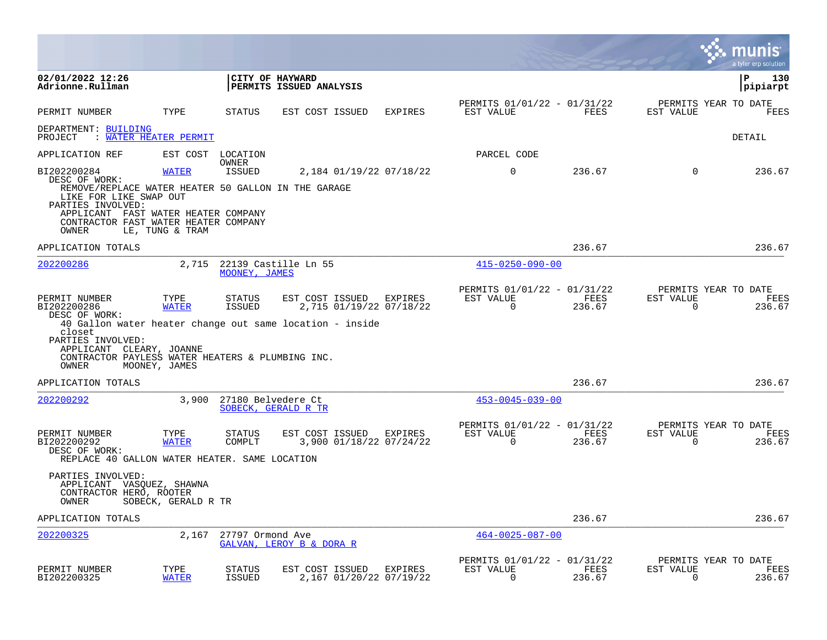|                                                                                                                                                                           |                                       |                          |                                                                                                                |         |                                                                              |                |                                               | munis<br>a tyler erp solution |
|---------------------------------------------------------------------------------------------------------------------------------------------------------------------------|---------------------------------------|--------------------------|----------------------------------------------------------------------------------------------------------------|---------|------------------------------------------------------------------------------|----------------|-----------------------------------------------|-------------------------------|
| 02/01/2022 12:26<br>Adrionne.Rullman                                                                                                                                      |                                       |                          | CITY OF HAYWARD<br><b>PERMITS ISSUED ANALYSIS</b>                                                              |         |                                                                              |                |                                               | 130<br>l P<br> pipiarpt       |
| PERMIT NUMBER                                                                                                                                                             | TYPE                                  | STATUS                   | EST COST ISSUED                                                                                                | EXPIRES | PERMITS 01/01/22 - 01/31/22<br>EST VALUE                                     | FEES           | PERMITS YEAR TO DATE<br>EST VALUE             | FEES                          |
| DEPARTMENT: BUILDING<br>PROJECT                                                                                                                                           | : WATER HEATER PERMIT                 |                          |                                                                                                                |         |                                                                              |                |                                               | DETAIL                        |
| APPLICATION REF                                                                                                                                                           |                                       | EST COST LOCATION        |                                                                                                                |         | PARCEL CODE                                                                  |                |                                               |                               |
| BI202200284<br>DESC OF WORK:<br>REMOVE/REPLACE WATER HEATER 50 GALLON IN THE GARAGE<br>LIKE FOR LIKE SWAP OUT<br>PARTIES INVOLVED:<br>APPLICANT FAST WATER HEATER COMPANY | <b>WATER</b>                          | OWNER<br>ISSUED          | 2,184 01/19/22 07/18/22                                                                                        |         | $\Omega$                                                                     | 236.67         | $\Omega$                                      | 236.67                        |
| CONTRACTOR FAST WATER HEATER COMPANY<br>OWNER                                                                                                                             | LE, TUNG & TRAM                       |                          |                                                                                                                |         |                                                                              |                |                                               |                               |
| APPLICATION TOTALS                                                                                                                                                        |                                       |                          |                                                                                                                |         |                                                                              | 236.67         |                                               | 236.67                        |
| 202200286                                                                                                                                                                 |                                       | MOONEY, JAMES            | 2,715 22139 Castille Ln 55                                                                                     |         | $415 - 0250 - 090 - 00$                                                      |                |                                               |                               |
| PERMIT NUMBER<br>BI202200286<br>DESC OF WORK:<br>closet<br>PARTIES INVOLVED:<br>APPLICANT CLEARY, JOANNE<br>CONTRACTOR PAYLESS WATER HEATERS & PLUMBING INC.<br>OWNER     | TYPE<br><b>WATER</b><br>MOONEY, JAMES | STATUS<br>ISSUED         | EST COST ISSUED EXPIRES<br>2,715 01/19/22 07/18/22<br>40 Gallon water heater change out same location - inside |         | PERMITS 01/01/22 - 01/31/22<br>EST VALUE FEES<br>$\Omega$                    | 236.67         | PERMITS YEAR TO DATE<br>EST VALUE<br>$\Omega$ | FEES<br>236.67                |
| APPLICATION TOTALS                                                                                                                                                        |                                       |                          |                                                                                                                |         |                                                                              | 236.67         |                                               | 236.67                        |
| 202200292                                                                                                                                                                 |                                       | 3,900 27180 Belvedere Ct | SOBECK, GERALD R TR                                                                                            |         | $453 - 0045 - 039 - 00$                                                      |                |                                               |                               |
| PERMIT NUMBER<br>BI202200292<br>DESC OF WORK:<br>REPLACE 40 GALLON WATER HEATER. SAME LOCATION                                                                            | TYPE<br><b>WATER</b>                  | STATUS<br>COMPLT         | 3,900 01/18/22 07/24/22                                                                                        |         | PERMITS 01/01/22 - 01/31/22<br>EST COST ISSUED EXPIRES EST VALUE<br>$\Omega$ | FEES<br>236.67 | PERMITS YEAR TO DATE<br>EST VALUE<br>$\Omega$ | FEES<br>236.67                |
| PARTIES INVOLVED:<br>APPLICANT VASOUEZ, SHAWNA<br>CONTRACTOR HERO, ROOTER<br>OWNER                                                                                        | SOBECK, GERALD R TR                   |                          |                                                                                                                |         |                                                                              |                |                                               |                               |
| APPLICATION TOTALS                                                                                                                                                        |                                       |                          |                                                                                                                |         |                                                                              | 236.67         |                                               | 236.67                        |
| 202200325                                                                                                                                                                 | 2,167                                 | 27797 Ormond Ave         | GALVAN, LEROY B & DORA R                                                                                       |         | $464 - 0025 - 087 - 00$                                                      |                |                                               |                               |
| PERMIT NUMBER<br>BI202200325                                                                                                                                              | TYPE<br><b>WATER</b>                  | STATUS<br>ISSUED         | EST COST ISSUED EXPIRES<br>2,167 01/20/22 07/19/22                                                             |         | PERMITS 01/01/22 - 01/31/22<br>EST VALUE<br>$\Omega$                         | FEES<br>236.67 | PERMITS YEAR TO DATE<br>EST VALUE<br>0        | FEES<br>236.67                |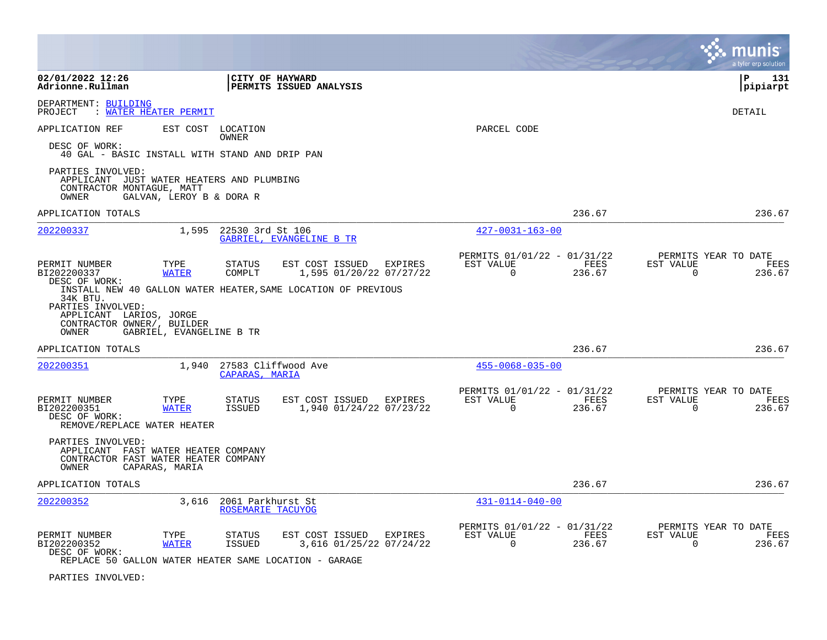|                                                                                                                  |                          |                                        |                                                               |                                                      |                |                       | a tyler erp solution                   |
|------------------------------------------------------------------------------------------------------------------|--------------------------|----------------------------------------|---------------------------------------------------------------|------------------------------------------------------|----------------|-----------------------|----------------------------------------|
| 02/01/2022 12:26<br>Adrionne.Rullman                                                                             |                          | CITY OF HAYWARD                        | <b>PERMITS ISSUED ANALYSIS</b>                                |                                                      |                |                       | ΙP<br>131<br>pipiarpt                  |
| DEPARTMENT: BUILDING<br>PROJECT<br>: WATER HEATER PERMIT                                                         |                          |                                        |                                                               |                                                      |                |                       | <b>DETAIL</b>                          |
| APPLICATION REF<br>DESC OF WORK:                                                                                 | EST COST LOCATION        | OWNER                                  |                                                               | PARCEL CODE                                          |                |                       |                                        |
| 40 GAL - BASIC INSTALL WITH STAND AND DRIP PAN                                                                   |                          |                                        |                                                               |                                                      |                |                       |                                        |
| PARTIES INVOLVED:<br>APPLICANT JUST WATER HEATERS AND PLUMBING<br>CONTRACTOR MONTAGUE, MATT<br>OWNER             | GALVAN, LEROY B & DORA R |                                        |                                                               |                                                      |                |                       |                                        |
| APPLICATION TOTALS                                                                                               |                          |                                        |                                                               |                                                      | 236.67         |                       | 236.67                                 |
| 202200337                                                                                                        | 1,595                    | 22530 3rd St 106                       | GABRIEL, EVANGELINE B TR                                      | $427 - 0031 - 163 - 00$                              |                |                       |                                        |
| PERMIT NUMBER<br>BI202200337                                                                                     | TYPE<br><b>WATER</b>     | <b>STATUS</b><br>COMPLT                | EST COST ISSUED<br>EXPIRES<br>1,595 01/20/22 07/27/22         | PERMITS 01/01/22 - 01/31/22<br>EST VALUE<br>$\Omega$ | FEES<br>236.67 | EST VALUE<br>$\Omega$ | PERMITS YEAR TO DATE<br>FEES<br>236.67 |
| DESC OF WORK:<br>34K BTU.<br>PARTIES INVOLVED:<br>APPLICANT LARIOS, JORGE<br>CONTRACTOR OWNER/, BUILDER<br>OWNER | GABRIEL, EVANGELINE B TR |                                        | INSTALL NEW 40 GALLON WATER HEATER, SAME LOCATION OF PREVIOUS |                                                      |                |                       |                                        |
| APPLICATION TOTALS                                                                                               |                          |                                        |                                                               |                                                      | 236.67         |                       | 236.67                                 |
| 202200351                                                                                                        | 1,940                    | 27583 Cliffwood Ave<br>CAPARAS, MARIA  |                                                               | $455 - 0068 - 035 - 00$                              |                |                       |                                        |
| PERMIT NUMBER<br>BI202200351<br>DESC OF WORK:<br>REMOVE/REPLACE WATER HEATER                                     | TYPE<br><b>WATER</b>     | STATUS<br>ISSUED                       | EST COST ISSUED EXPIRES<br>1,940 01/24/22 07/23/22            | PERMITS 01/01/22 - 01/31/22<br>EST VALUE<br>$\Omega$ | FEES<br>236.67 | EST VALUE<br>$\Omega$ | PERMITS YEAR TO DATE<br>FEES<br>236.67 |
| PARTIES INVOLVED:<br>APPLICANT FAST WATER HEATER COMPANY<br>CONTRACTOR FAST WATER HEATER COMPANY<br>OWNER        | CAPARAS, MARIA           |                                        |                                                               |                                                      |                |                       |                                        |
| APPLICATION TOTALS                                                                                               |                          |                                        |                                                               |                                                      | 236.67         |                       | 236.67                                 |
| 202200352                                                                                                        | 3,616                    | 2061 Parkhurst St<br>ROSEMARIE TACUYOG |                                                               | $431 - 0114 - 040 - 00$                              |                |                       |                                        |
| PERMIT NUMBER<br>BI202200352<br>DESC OF WORK:                                                                    | TYPE<br><b>WATER</b>     | STATUS<br><b>ISSUED</b>                | EST COST ISSUED EXPIRES<br>3,616 01/25/22 07/24/22            | PERMITS 01/01/22 - 01/31/22<br>EST VALUE<br>$\Omega$ | FEES<br>236.67 | EST VALUE<br>$\Omega$ | PERMITS YEAR TO DATE<br>FEES<br>236.67 |
| REPLACE 50 GALLON WATER HEATER SAME LOCATION - GARAGE                                                            |                          |                                        |                                                               |                                                      |                |                       |                                        |

PARTIES INVOLVED: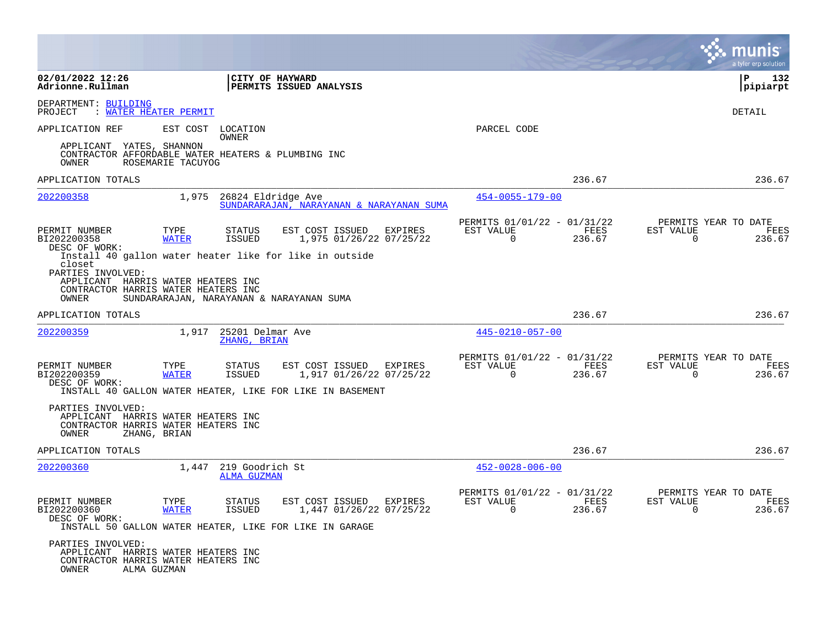|                                                                                                                        |                      |                                       |                                                                                                               |         |                                                         |                | a tyler erp solution                                               |
|------------------------------------------------------------------------------------------------------------------------|----------------------|---------------------------------------|---------------------------------------------------------------------------------------------------------------|---------|---------------------------------------------------------|----------------|--------------------------------------------------------------------|
| 02/01/2022 12:26<br>Adrionne.Rullman                                                                                   |                      | CITY OF HAYWARD                       | PERMITS ISSUED ANALYSIS                                                                                       |         |                                                         |                | ΙP<br>132<br> pipiarpt                                             |
| DEPARTMENT: BUILDING<br>: WATER HEATER PERMIT<br>PROJECT                                                               |                      |                                       |                                                                                                               |         |                                                         |                | <b>DETAIL</b>                                                      |
| APPLICATION REF                                                                                                        | EST COST             | LOCATION<br>OWNER                     |                                                                                                               |         | PARCEL CODE                                             |                |                                                                    |
| APPLICANT YATES, SHANNON<br>CONTRACTOR AFFORDABLE WATER HEATERS & PLUMBING INC<br>OWNER                                | ROSEMARIE TACUYOG    |                                       |                                                                                                               |         |                                                         |                |                                                                    |
| APPLICATION TOTALS                                                                                                     |                      |                                       |                                                                                                               |         |                                                         | 236.67         | 236.67                                                             |
| 202200358                                                                                                              | 1,975                | 26824 Eldridge Ave                    | SUNDARARAJAN, NARAYANAN & NARAYANAN SUMA                                                                      |         | $454 - 0055 - 179 - 00$                                 |                |                                                                    |
| PERMIT NUMBER<br>BI202200358<br>DESC OF WORK:                                                                          | TYPE<br><b>WATER</b> | <b>STATUS</b><br><b>ISSUED</b>        | EST COST ISSUED<br>1,975 01/26/22 07/25/22                                                                    | EXPIRES | PERMITS 01/01/22 - 01/31/22<br>EST VALUE<br>$\Omega$    | FEES<br>236.67 | PERMITS YEAR TO DATE<br>EST VALUE<br>FEES<br>$\Omega$<br>236.67    |
| closet<br>PARTIES INVOLVED:<br>APPLICANT HARRIS WATER HEATERS INC<br>CONTRACTOR HARRIS WATER HEATERS INC<br>OWNER      |                      |                                       | Install 40 gallon water heater like for like in outside<br>SUNDARARAJAN, NARAYANAN & NARAYANAN SUMA           |         |                                                         |                |                                                                    |
| APPLICATION TOTALS                                                                                                     |                      |                                       |                                                                                                               |         |                                                         | 236.67         | 236.67                                                             |
| 202200359                                                                                                              | 1,917                | 25201 Delmar Ave<br>ZHANG, BRIAN      |                                                                                                               |         | $445 - 0210 - 057 - 00$                                 |                |                                                                    |
| PERMIT NUMBER<br>BI202200359<br>DESC OF WORK:                                                                          | TYPE<br><b>WATER</b> | <b>STATUS</b><br>ISSUED               | EST COST ISSUED<br>1,917 01/26/22 07/25/22<br>INSTALL 40 GALLON WATER HEATER, LIKE FOR LIKE IN BASEMENT       | EXPIRES | PERMITS 01/01/22 - 01/31/22<br>EST VALUE<br>$\mathbf 0$ | FEES<br>236.67 | PERMITS YEAR TO DATE<br>EST VALUE<br>FEES<br>$\mathbf 0$<br>236.67 |
| PARTIES INVOLVED:<br>APPLICANT HARRIS WATER HEATERS INC<br>CONTRACTOR HARRIS WATER HEATERS INC<br>OWNER                | ZHANG, BRIAN         |                                       |                                                                                                               |         |                                                         |                |                                                                    |
| APPLICATION TOTALS                                                                                                     |                      |                                       |                                                                                                               |         |                                                         | 236.67         | 236.67                                                             |
| 202200360                                                                                                              | 1,447                | 219 Goodrich St<br><b>ALMA GUZMAN</b> |                                                                                                               |         | $452 - 0028 - 006 - 00$                                 |                |                                                                    |
| PERMIT NUMBER<br>BI202200360<br>DESC OF WORK:                                                                          | TYPE<br><b>WATER</b> | <b>STATUS</b><br><b>ISSUED</b>        | EST COST ISSUED EXPIRES<br>1,447 01/26/22 07/25/22<br>INSTALL 50 GALLON WATER HEATER, LIKE FOR LIKE IN GARAGE |         | PERMITS 01/01/22 - 01/31/22<br>EST VALUE<br>$\Omega$    | FEES<br>236.67 | PERMITS YEAR TO DATE<br>EST VALUE<br>FEES<br>$\Omega$<br>236.67    |
| PARTIES INVOLVED:<br>APPLICANT HARRIS WATER HEATERS INC<br>CONTRACTOR HARRIS WATER HEATERS INC<br>OWNER<br>ALMA GUZMAN |                      |                                       |                                                                                                               |         |                                                         |                |                                                                    |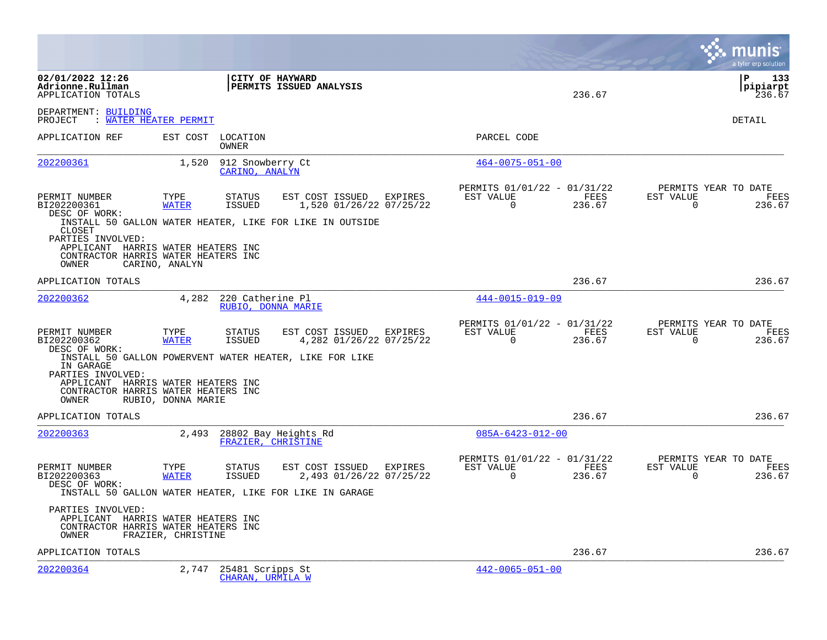|                                                                                                                   |                      |                                        |                                                                                                               |         |                                                         |                       | munis<br>a tyler erp solution                                      |
|-------------------------------------------------------------------------------------------------------------------|----------------------|----------------------------------------|---------------------------------------------------------------------------------------------------------------|---------|---------------------------------------------------------|-----------------------|--------------------------------------------------------------------|
| 02/01/2022 12:26<br>Adrionne.Rullman<br>APPLICATION TOTALS                                                        |                      |                                        | CITY OF HAYWARD<br>PERMITS ISSUED ANALYSIS                                                                    |         |                                                         | 236.67                | l P<br>133<br> pipiarpt<br>236.67                                  |
| DEPARTMENT: BUILDING<br>PROJECT : WATER HEATER PERMIT                                                             |                      |                                        |                                                                                                               |         |                                                         |                       | DETAIL                                                             |
| APPLICATION REF                                                                                                   | EST COST             | LOCATION<br>OWNER                      |                                                                                                               |         | PARCEL CODE                                             |                       |                                                                    |
| 202200361                                                                                                         | 1,520                | 912 Snowberry Ct<br>CARINO, ANALYN     |                                                                                                               |         | $464 - 0075 - 051 - 00$                                 |                       |                                                                    |
| PERMIT NUMBER<br>BI202200361<br>DESC OF WORK:                                                                     | TYPE<br><b>WATER</b> | <b>STATUS</b><br><b>ISSUED</b>         | EST COST ISSUED<br>1,520 01/26/22 07/25/22                                                                    | EXPIRES | PERMITS 01/01/22 - 01/31/22<br>EST VALUE<br>$\Omega$    | <b>FEES</b><br>236.67 | PERMITS YEAR TO DATE<br>EST VALUE<br>FEES<br>$\Omega$<br>236.67    |
| CLOSET<br>PARTIES INVOLVED:<br>APPLICANT HARRIS WATER HEATERS INC<br>CONTRACTOR HARRIS WATER HEATERS INC<br>OWNER | CARINO, ANALYN       |                                        | INSTALL 50 GALLON WATER HEATER, LIKE FOR LIKE IN OUTSIDE                                                      |         |                                                         |                       |                                                                    |
| APPLICATION TOTALS                                                                                                |                      |                                        |                                                                                                               |         |                                                         | 236.67                | 236.67                                                             |
| 202200362                                                                                                         | 4,282                | 220 Catherine Pl<br>RUBIO, DONNA MARIE |                                                                                                               |         | $444 - 0015 - 019 - 09$                                 |                       |                                                                    |
| PERMIT NUMBER<br>BI202200362<br>DESC OF WORK:                                                                     | TYPE<br><b>WATER</b> | <b>STATUS</b><br><b>ISSUED</b>         | EST COST ISSUED EXPIRES<br>4,282 01/26/22 07/25/22                                                            |         | PERMITS 01/01/22 - 01/31/22<br>EST VALUE<br>$\Omega$    | FEES<br>236.67        | PERMITS YEAR TO DATE<br>EST VALUE<br>FEES<br>$\Omega$<br>236.67    |
| IN GARAGE<br>PARTIES INVOLVED:<br>APPLICANT HARRIS WATER HEATERS INC<br>CONTRACTOR HARRIS WATER HEATERS INC       |                      |                                        | INSTALL 50 GALLON POWERVENT WATER HEATER, LIKE FOR LIKE                                                       |         |                                                         |                       |                                                                    |
| OWNER                                                                                                             | RUBIO, DONNA MARIE   |                                        |                                                                                                               |         |                                                         |                       |                                                                    |
| APPLICATION TOTALS                                                                                                |                      |                                        |                                                                                                               |         |                                                         | 236.67                | 236.67                                                             |
| 202200363                                                                                                         | 2,493                | FRAZIER, CHRISTINE                     | 28802 Bay Heights Rd                                                                                          |         | $085A - 6423 - 012 - 00$                                |                       |                                                                    |
| PERMIT NUMBER<br>BI202200363<br>DESC OF WORK:                                                                     | TYPE<br><b>WATER</b> | <b>STATUS</b><br>ISSUED                | EST COST ISSUED EXPIRES<br>2,493 01/26/22 07/25/22<br>INSTALL 50 GALLON WATER HEATER, LIKE FOR LIKE IN GARAGE |         | PERMITS 01/01/22 - 01/31/22<br>EST VALUE<br>$\mathbf 0$ | FEES<br>236.67        | PERMITS YEAR TO DATE<br>EST VALUE<br>FEES<br>$\mathbf 0$<br>236.67 |
| PARTIES INVOLVED:<br>APPLICANT HARRIS WATER HEATERS INC<br>CONTRACTOR HARRIS WATER HEATERS INC<br>OWNER           | FRAZIER, CHRISTINE   |                                        |                                                                                                               |         |                                                         |                       |                                                                    |
| APPLICATION TOTALS                                                                                                |                      |                                        |                                                                                                               |         |                                                         | 236.67                | 236.67                                                             |
| 202200364                                                                                                         | 2,747                | 25481 Scripps St<br>CHARAN, URMILA W   |                                                                                                               |         | $442 - 0065 - 051 - 00$                                 |                       |                                                                    |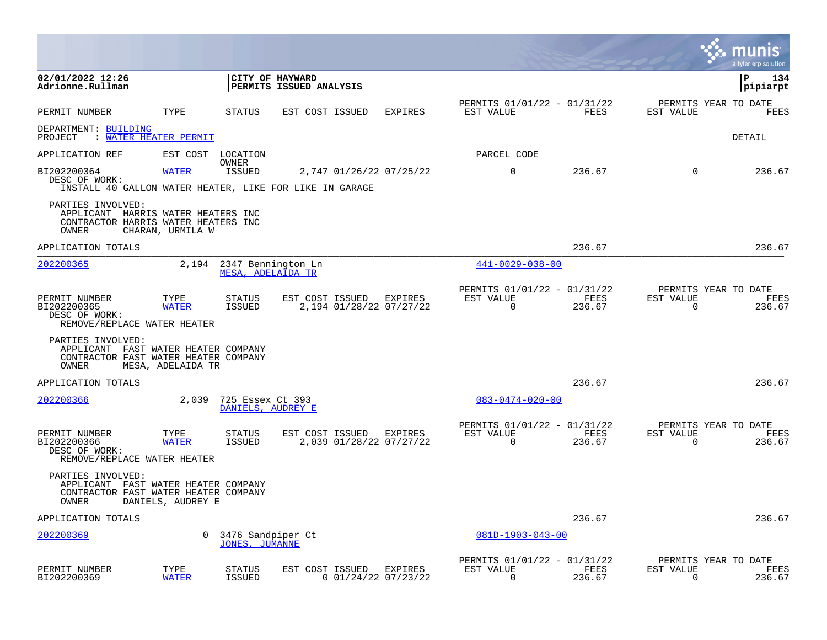|                                                                                                           |                      |                                               |                                                                                    |                       |                                                      |                |                          | munis<br>a tyler erp solution          |
|-----------------------------------------------------------------------------------------------------------|----------------------|-----------------------------------------------|------------------------------------------------------------------------------------|-----------------------|------------------------------------------------------|----------------|--------------------------|----------------------------------------|
| 02/01/2022 12:26<br>Adrionne.Rullman                                                                      |                      |                                               | CITY OF HAYWARD<br>PERMITS ISSUED ANALYSIS                                         |                       |                                                      |                |                          | l P<br>134<br> pipiarpt                |
| PERMIT NUMBER                                                                                             | TYPE                 | <b>STATUS</b>                                 | EST COST ISSUED                                                                    | <b>EXPIRES</b>        | PERMITS 01/01/22 - 01/31/22<br>EST VALUE             | FEES           | EST VALUE                | PERMITS YEAR TO DATE<br>FEES           |
| DEPARTMENT: BUILDING<br>: WATER HEATER PERMIT<br>PROJECT                                                  |                      |                                               |                                                                                    |                       |                                                      |                |                          | <b>DETAIL</b>                          |
| APPLICATION REF                                                                                           |                      | EST COST LOCATION                             |                                                                                    |                       | PARCEL CODE                                          |                |                          |                                        |
| BI202200364<br>DESC OF WORK:                                                                              | <b>WATER</b>         | OWNER<br>ISSUED                               | 2,747 01/26/22 07/25/22<br>INSTALL 40 GALLON WATER HEATER, LIKE FOR LIKE IN GARAGE |                       | $\mathbf 0$                                          | 236.67         | $\mathbf 0$              | 236.67                                 |
| PARTIES INVOLVED:<br>APPLICANT HARRIS WATER HEATERS INC<br>CONTRACTOR HARRIS WATER HEATERS INC<br>OWNER   | CHARAN, URMILA W     |                                               |                                                                                    |                       |                                                      |                |                          |                                        |
| APPLICATION TOTALS                                                                                        |                      |                                               |                                                                                    |                       |                                                      | 236.67         |                          | 236.67                                 |
| 202200365                                                                                                 |                      | 2,194 2347 Bennington Ln<br>MESA, ADELAIDA TR |                                                                                    |                       | $441 - 0029 - 038 - 00$                              |                |                          |                                        |
| PERMIT NUMBER<br>BI202200365<br>DESC OF WORK:<br>REMOVE/REPLACE WATER HEATER                              | TYPE<br><b>WATER</b> | STATUS<br>ISSUED                              | EST COST ISSUED<br>2,194 01/28/22 07/27/22                                         | EXPIRES               | PERMITS 01/01/22 - 01/31/22<br>EST VALUE<br>$\Omega$ | FEES<br>236.67 | EST VALUE<br>$\Omega$    | PERMITS YEAR TO DATE<br>FEES<br>236.67 |
| PARTIES INVOLVED:<br>APPLICANT FAST WATER HEATER COMPANY<br>CONTRACTOR FAST WATER HEATER COMPANY<br>OWNER | MESA, ADELAIDA TR    |                                               |                                                                                    |                       |                                                      |                |                          |                                        |
| APPLICATION TOTALS                                                                                        |                      |                                               |                                                                                    |                       |                                                      | 236.67         |                          | 236.67                                 |
| 202200366                                                                                                 | 2,039                | 725 Essex Ct 393<br>DANIELS, AUDREY E         |                                                                                    |                       | $083 - 0474 - 020 - 00$                              |                |                          |                                        |
| PERMIT NUMBER<br>BI202200366<br>DESC OF WORK:<br>REMOVE/REPLACE WATER HEATER                              | TYPE<br>WATER        | <b>STATUS</b><br><b>ISSUED</b>                | EST COST ISSUED EXPIRES<br>2,039 01/28/22 07/27/22                                 |                       | PERMITS 01/01/22 - 01/31/22<br>EST VALUE<br>$\Omega$ | FEES<br>236.67 | EST VALUE<br>$\mathbf 0$ | PERMITS YEAR TO DATE<br>FEES<br>236.67 |
| PARTIES INVOLVED:<br>APPLICANT FAST WATER HEATER COMPANY<br>CONTRACTOR FAST WATER HEATER COMPANY<br>OWNER | DANIELS, AUDREY E    |                                               |                                                                                    |                       |                                                      |                |                          |                                        |
| APPLICATION TOTALS                                                                                        |                      |                                               |                                                                                    |                       |                                                      | 236.67         |                          | 236.67                                 |
| 202200369                                                                                                 | $\Omega$             | 3476 Sandpiper Ct<br><b>JONES, JUMANNE</b>    |                                                                                    |                       | $081D-1903-043-00$                                   |                |                          |                                        |
| PERMIT NUMBER<br>BI202200369                                                                              | TYPE<br><b>WATER</b> | <b>STATUS</b><br><b>ISSUED</b>                | EST COST ISSUED EXPIRES                                                            | $0$ 01/24/22 07/23/22 | PERMITS 01/01/22 - 01/31/22<br>EST VALUE<br>$\Omega$ | FEES<br>236.67 | EST VALUE<br>$\Omega$    | PERMITS YEAR TO DATE<br>FEES<br>236.67 |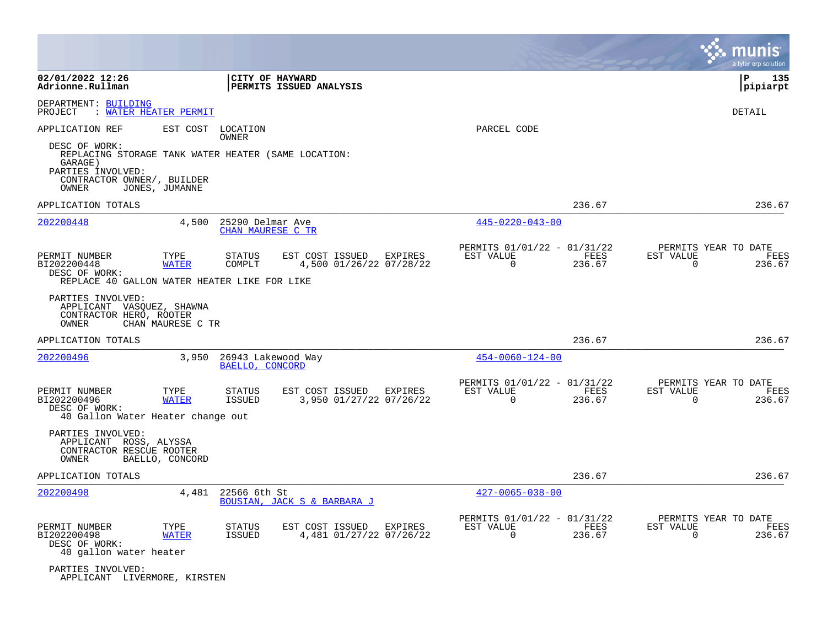|                                                                                               |                            |                                       |                                                       |                             |                                               | munıs<br>a tyler erp solution                                      |
|-----------------------------------------------------------------------------------------------|----------------------------|---------------------------------------|-------------------------------------------------------|-----------------------------|-----------------------------------------------|--------------------------------------------------------------------|
| 02/01/2022 12:26<br>Adrionne.Rullman                                                          |                            | CITY OF HAYWARD                       | PERMITS ISSUED ANALYSIS                               |                             |                                               | P<br>135<br>pipiarpt                                               |
| DEPARTMENT: BUILDING<br>PROJECT                                                               | <u>WATER HEATER PERMIT</u> |                                       |                                                       |                             |                                               | DETAIL                                                             |
| APPLICATION REF<br>DESC OF WORK:<br>REPLACING STORAGE TANK WATER HEATER (SAME LOCATION:       |                            | EST COST LOCATION<br>OWNER            |                                                       | PARCEL CODE                 |                                               |                                                                    |
| GARAGE)<br>PARTIES INVOLVED:<br>CONTRACTOR OWNER/, BUILDER<br>OWNER                           | JONES, JUMANNE             |                                       |                                                       |                             |                                               |                                                                    |
| APPLICATION TOTALS                                                                            |                            |                                       |                                                       |                             | 236.67                                        | 236.67                                                             |
| 202200448                                                                                     | 4,500                      | 25290 Delmar Ave<br>CHAN MAURESE C TR |                                                       | $445 - 0220 - 043 - 00$     |                                               |                                                                    |
| PERMIT NUMBER<br>BI202200448<br>DESC OF WORK:<br>REPLACE 40 GALLON WATER HEATER LIKE FOR LIKE | TYPE<br><b>WATER</b>       | STATUS<br>COMPLT                      | EST COST ISSUED EXPIRES<br>4,500 01/26/22 07/28/22    | EST VALUE<br>$\Omega$       | PERMITS 01/01/22 - 01/31/22<br>FEES<br>236.67 | PERMITS YEAR TO DATE<br>EST VALUE<br>FEES<br>$\Omega$<br>236.67    |
| PARTIES INVOLVED:<br>APPLICANT VASQUEZ, SHAWNA<br>CONTRACTOR HERO, ROOTER<br>OWNER            | CHAN MAURESE C TR          |                                       |                                                       |                             |                                               |                                                                    |
| APPLICATION TOTALS                                                                            |                            |                                       |                                                       |                             | 236.67                                        | 236.67                                                             |
| 202200496                                                                                     | 3,950                      | 26943 Lakewood Way<br>BAELLO, CONCORD |                                                       | $454 - 0060 - 124 - 00$     |                                               |                                                                    |
| PERMIT NUMBER<br>BI202200496<br>DESC OF WORK:<br>40 Gallon Water Heater change out            | TYPE<br><b>WATER</b>       | STATUS<br><b>ISSUED</b>               | EST COST ISSUED<br>EXPIRES<br>3,950 01/27/22 07/26/22 | EST VALUE<br>0              | PERMITS 01/01/22 - 01/31/22<br>FEES<br>236.67 | PERMITS YEAR TO DATE<br>EST VALUE<br>FEES<br>0<br>236.67           |
| PARTIES INVOLVED:<br>APPLICANT ROSS, ALYSSA<br>CONTRACTOR RESCUE ROOTER<br>OWNER              | BAELLO, CONCORD            |                                       |                                                       |                             |                                               |                                                                    |
| APPLICATION TOTALS                                                                            |                            |                                       |                                                       |                             | 236.67                                        | 236.67                                                             |
| 202200498                                                                                     | 4,481                      | 22566 6th St                          | <b>BOUSIAN, JACK S &amp; BARBARA J</b>                | $427 - 0065 - 038 - 00$     |                                               |                                                                    |
| PERMIT NUMBER<br>BI202200498<br>DESC OF WORK:<br>40 gallon water heater                       | TYPE<br><b>WATER</b>       | STATUS<br>ISSUED                      | EST COST ISSUED<br>EXPIRES<br>4,481 01/27/22 07/26/22 | EST VALUE<br>$\overline{0}$ | PERMITS 01/01/22 - 01/31/22<br>FEES<br>236.67 | PERMITS YEAR TO DATE<br>EST VALUE<br>FEES<br>$\mathbf 0$<br>236.67 |
| PARTIES INVOLVED:<br>APPLICANT LIVERMORE, KIRSTEN                                             |                            |                                       |                                                       |                             |                                               |                                                                    |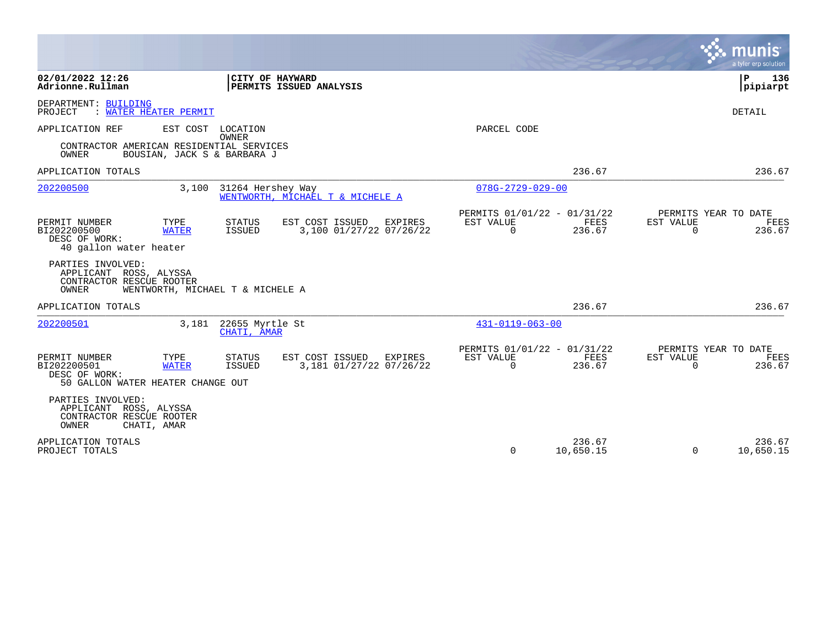|                                                                                                            |                                                                                  |                                                                        | a tyler erp solution                                            |
|------------------------------------------------------------------------------------------------------------|----------------------------------------------------------------------------------|------------------------------------------------------------------------|-----------------------------------------------------------------|
| 02/01/2022 12:26<br>Adrionne.Rullman                                                                       | CITY OF HAYWARD<br>PERMITS ISSUED ANALYSIS                                       |                                                                        | $\mathbf{P}$<br>136<br> pipiarpt                                |
| DEPARTMENT: BUILDING<br><b>WATER HEATER PERMIT</b><br>PROJECT                                              |                                                                                  |                                                                        | <b>DETAIL</b>                                                   |
| APPLICATION REF<br>EST COST<br>CONTRACTOR AMERICAN RESIDENTIAL SERVICES<br>OWNER                           | LOCATION<br><b>OWNER</b><br>BOUSIAN, JACK S & BARBARA J                          | PARCEL CODE                                                            |                                                                 |
| APPLICATION TOTALS                                                                                         |                                                                                  | 236.67                                                                 | 236.67                                                          |
| 202200500                                                                                                  | 31264 Hershey Way<br>3,100<br>WENTWORTH, MICHAEL T & MICHELE A                   | $078G - 2729 - 029 - 00$                                               |                                                                 |
| PERMIT NUMBER<br>TYPE<br>BI202200500<br><b>WATER</b><br>DESC OF WORK:<br>40 gallon water heater            | STATUS<br>EST COST ISSUED<br>EXPIRES<br><b>ISSUED</b><br>3,100 01/27/22 07/26/22 | PERMITS 01/01/22 - 01/31/22<br>EST VALUE<br>FEES<br>236.67<br>$\Omega$ | PERMITS YEAR TO DATE<br>EST VALUE<br>FEES<br>$\Omega$<br>236.67 |
| PARTIES INVOLVED:<br>APPLICANT ROSS, ALYSSA<br>CONTRACTOR RESCUE ROOTER<br>OWNER                           | WENTWORTH, MICHAEL T & MICHELE A                                                 |                                                                        |                                                                 |
| APPLICATION TOTALS                                                                                         |                                                                                  | 236.67                                                                 | 236.67                                                          |
| 202200501                                                                                                  | 22655 Myrtle St<br>3,181<br>CHATI, AMAR                                          | $431 - 0119 - 063 - 00$                                                |                                                                 |
| PERMIT NUMBER<br>TYPE<br>BI202200501<br><b>WATER</b><br>DESC OF WORK:<br>50 GALLON WATER HEATER CHANGE OUT | STATUS<br>EST COST ISSUED<br>EXPIRES<br><b>ISSUED</b><br>3,181 01/27/22 07/26/22 | PERMITS 01/01/22 - 01/31/22<br>EST VALUE<br>FEES<br>$\Omega$<br>236.67 | PERMITS YEAR TO DATE<br>EST VALUE<br>FEES<br>$\Omega$<br>236.67 |
| PARTIES INVOLVED:<br>APPLICANT ROSS, ALYSSA<br>CONTRACTOR RESCUE ROOTER<br>OWNER<br>CHATI, AMAR            |                                                                                  |                                                                        |                                                                 |
| APPLICATION TOTALS<br>PROJECT TOTALS                                                                       |                                                                                  | 236.67<br>10,650.15<br>$\Omega$                                        | 236.67<br>10,650.15<br>$\Omega$                                 |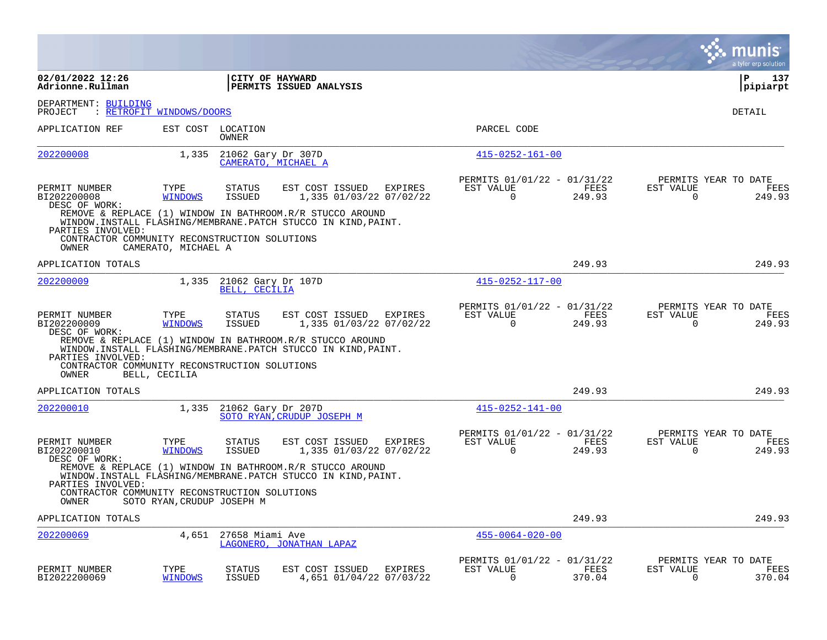|                                                        |                            |                                     |                                                                                                                            |         |                                                         |                |                          | munis<br>a tyler erp solution          |
|--------------------------------------------------------|----------------------------|-------------------------------------|----------------------------------------------------------------------------------------------------------------------------|---------|---------------------------------------------------------|----------------|--------------------------|----------------------------------------|
| 02/01/2022 12:26<br>Adrionne.Rullman                   |                            |                                     | CITY OF HAYWARD<br>PERMITS ISSUED ANALYSIS                                                                                 |         |                                                         |                |                          | P<br>137<br> pipiarpt                  |
| DEPARTMENT: BUILDING<br>PROJECT                        | : RETROFIT WINDOWS/DOORS   |                                     |                                                                                                                            |         |                                                         |                |                          | DETAIL                                 |
| APPLICATION REF                                        |                            | EST COST LOCATION<br>OWNER          |                                                                                                                            |         | PARCEL CODE                                             |                |                          |                                        |
| 202200008                                              | 1,335                      | 21062 Gary Dr 307D                  | CAMERATO, MICHAEL A                                                                                                        |         | $415 - 0252 - 161 - 00$                                 |                |                          |                                        |
| PERMIT NUMBER<br>BI202200008<br>DESC OF WORK:          | TYPE<br><b>WINDOWS</b>     | <b>STATUS</b><br><b>ISSUED</b>      | EST COST ISSUED<br>1,335 01/03/22 07/02/22                                                                                 | EXPIRES | PERMITS 01/01/22 - 01/31/22<br>EST VALUE<br>$\Omega$    | FEES<br>249.93 | EST VALUE<br>$\Omega$    | PERMITS YEAR TO DATE<br>FEES<br>249.93 |
| PARTIES INVOLVED:                                      |                            |                                     | REMOVE & REPLACE (1) WINDOW IN BATHROOM.R/R STUCCO AROUND<br>WINDOW.INSTALL FLASHING/MEMBRANE.PATCH STUCCO IN KIND, PAINT. |         |                                                         |                |                          |                                        |
| CONTRACTOR COMMUNITY RECONSTRUCTION SOLUTIONS<br>OWNER | CAMERATO, MICHAEL A        |                                     |                                                                                                                            |         |                                                         |                |                          |                                        |
| APPLICATION TOTALS                                     |                            |                                     |                                                                                                                            |         |                                                         | 249.93         |                          | 249.93                                 |
| 202200009                                              | 1,335                      | 21062 Gary Dr 107D<br>BELL, CECILIA |                                                                                                                            |         | $415 - 0252 - 117 - 00$                                 |                |                          |                                        |
| PERMIT NUMBER<br>BI202200009<br>DESC OF WORK:          | TYPE<br><b>WINDOWS</b>     | STATUS<br><b>ISSUED</b>             | EST COST ISSUED<br>1,335 01/03/22 07/02/22                                                                                 | EXPIRES | PERMITS 01/01/22 - 01/31/22<br>EST VALUE<br>$\mathbf 0$ | FEES<br>249.93 | EST VALUE<br>$\mathbf 0$ | PERMITS YEAR TO DATE<br>FEES<br>249.93 |
| PARTIES INVOLVED:                                      |                            |                                     | REMOVE & REPLACE (1) WINDOW IN BATHROOM.R/R STUCCO AROUND<br>WINDOW.INSTALL FLASHING/MEMBRANE.PATCH STUCCO IN KIND, PAINT. |         |                                                         |                |                          |                                        |
| CONTRACTOR COMMUNITY RECONSTRUCTION SOLUTIONS<br>OWNER | BELL, CECILIA              |                                     |                                                                                                                            |         |                                                         |                |                          |                                        |
| APPLICATION TOTALS                                     |                            |                                     |                                                                                                                            |         |                                                         | 249.93         |                          | 249.93                                 |
| 202200010                                              | 1,335                      | 21062 Gary Dr 207D                  | SOTO RYAN, CRUDUP JOSEPH M                                                                                                 |         | $415 - 0252 - 141 - 00$                                 |                |                          |                                        |
| PERMIT NUMBER<br>BI202200010<br>DESC OF WORK:          | TYPE<br><b>WINDOWS</b>     | STATUS<br>ISSUED                    | EST COST ISSUED<br>1,335 01/03/22 07/02/22                                                                                 | EXPIRES | PERMITS 01/01/22 - 01/31/22<br>EST VALUE<br>0           | FEES<br>249.93 | EST VALUE<br>0           | PERMITS YEAR TO DATE<br>FEES<br>249.93 |
| PARTIES INVOLVED:                                      |                            |                                     | REMOVE & REPLACE (1) WINDOW IN BATHROOM.R/R STUCCO AROUND<br>WINDOW.INSTALL FLASHING/MEMBRANE.PATCH STUCCO IN KIND, PAINT. |         |                                                         |                |                          |                                        |
| CONTRACTOR COMMUNITY RECONSTRUCTION SOLUTIONS<br>OWNER | SOTO RYAN, CRUDUP JOSEPH M |                                     |                                                                                                                            |         |                                                         |                |                          |                                        |
| APPLICATION TOTALS                                     |                            |                                     |                                                                                                                            |         |                                                         | 249.93         |                          | 249.93                                 |
| 202200069                                              | 4,651                      | 27658 Miami Ave                     | LAGONERO, JONATHAN LAPAZ                                                                                                   |         | $455 - 0064 - 020 - 00$                                 |                |                          |                                        |
| PERMIT NUMBER<br>BI2022200069                          | TYPE<br><b>WINDOWS</b>     | <b>STATUS</b><br><b>ISSUED</b>      | EST COST ISSUED<br>4,651 01/04/22 07/03/22                                                                                 | EXPIRES | PERMITS 01/01/22 - 01/31/22<br>EST VALUE<br>$\Omega$    | FEES<br>370.04 | EST VALUE<br>$\Omega$    | PERMITS YEAR TO DATE<br>FEES<br>370.04 |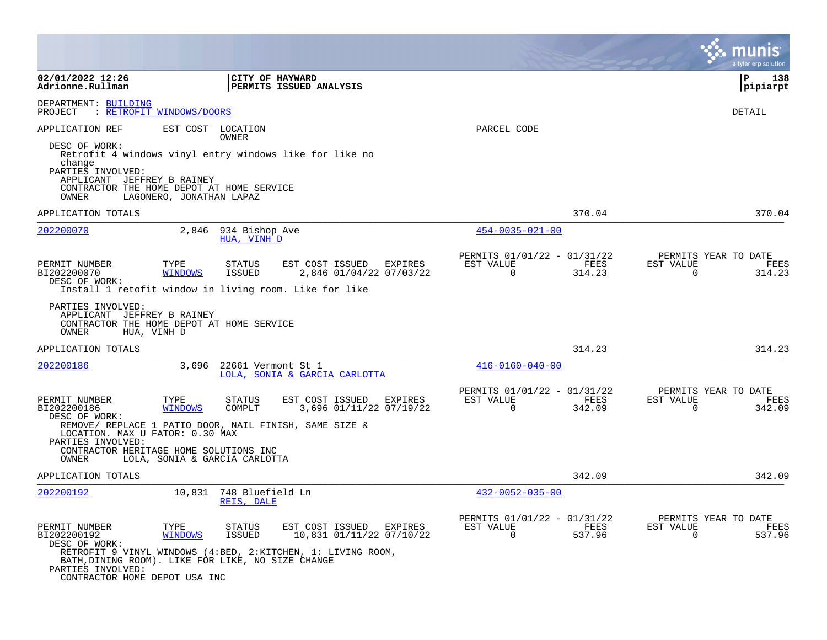|                                                                                                                                                          |                          |                                       |                                                                                                                    |                                                            |                | munis<br>a tyler erp solution                                         |
|----------------------------------------------------------------------------------------------------------------------------------------------------------|--------------------------|---------------------------------------|--------------------------------------------------------------------------------------------------------------------|------------------------------------------------------------|----------------|-----------------------------------------------------------------------|
| 02/01/2022 12:26<br>Adrionne.Rullman                                                                                                                     |                          | CITY OF HAYWARD                       | PERMITS ISSUED ANALYSIS                                                                                            |                                                            |                | l P<br>138<br>pipiarpt                                                |
| DEPARTMENT: BUILDING<br>: RETROFIT WINDOWS/DOORS<br>PROJECT                                                                                              |                          |                                       |                                                                                                                    |                                                            |                | DETAIL                                                                |
| APPLICATION REF<br>DESC OF WORK:<br>change<br>PARTIES INVOLVED:<br>APPLICANT JEFFREY B RAINEY<br>CONTRACTOR THE HOME DEPOT AT HOME SERVICE<br>OWNER      | LAGONERO, JONATHAN LAPAZ | EST COST LOCATION<br>OWNER            | Retrofit 4 windows vinyl entry windows like for like no                                                            | PARCEL CODE                                                |                |                                                                       |
| APPLICATION TOTALS                                                                                                                                       |                          |                                       |                                                                                                                    |                                                            | 370.04         | 370.04                                                                |
| 202200070                                                                                                                                                | 2,846                    | 934 Bishop Ave<br>HUA, VINH D         |                                                                                                                    | $454 - 0035 - 021 - 00$                                    |                |                                                                       |
| PERMIT NUMBER<br>BI202200070<br>DESC OF WORK:<br>Install 1 retofit window in living room. Like for like                                                  | TYPE<br><b>WINDOWS</b>   | <b>STATUS</b><br>ISSUED               | EST COST ISSUED<br>EXPIRES<br>2,846 01/04/22 07/03/22                                                              | PERMITS 01/01/22 - 01/31/22<br>EST VALUE<br>$\overline{0}$ | FEES<br>314.23 | PERMITS YEAR TO DATE<br>EST VALUE<br>FEES<br>$\mathbf 0$<br>314.23    |
| PARTIES INVOLVED:<br>APPLICANT JEFFREY B RAINEY<br>CONTRACTOR THE HOME DEPOT AT HOME SERVICE<br>OWNER                                                    | HUA, VINH D              |                                       |                                                                                                                    |                                                            |                |                                                                       |
| APPLICATION TOTALS                                                                                                                                       |                          |                                       |                                                                                                                    |                                                            | 314.23         | 314.23                                                                |
| 202200186                                                                                                                                                | 3,696                    | 22661 Vermont St 1                    | LOLA, SONIA & GARCIA CARLOTTA                                                                                      | $416 - 0160 - 040 - 00$                                    |                |                                                                       |
| PERMIT NUMBER<br>BI202200186<br>DESC OF WORK:                                                                                                            | TYPE<br><b>WINDOWS</b>   | <b>STATUS</b><br>COMPLT               | EST COST ISSUED<br>EXPIRES<br>3,696 01/11/22 07/19/22                                                              | PERMITS 01/01/22 - 01/31/22<br>EST VALUE<br>$\Omega$       | FEES<br>342.09 | PERMITS YEAR TO DATE<br>EST VALUE<br>FEES<br>$\Omega$<br>342.09       |
| REMOVE/ REPLACE 1 PATIO DOOR, NAIL FINISH, SAME SIZE &<br>LOCATION. MAX U FATOR: 0.30 MAX<br>PARTIES INVOLVED:<br>CONTRACTOR HERITAGE HOME SOLUTIONS INC |                          |                                       |                                                                                                                    |                                                            |                |                                                                       |
| OWNER                                                                                                                                                    |                          | LOLA, SONIA & GARCIA CARLOTTA         |                                                                                                                    |                                                            |                |                                                                       |
| APPLICATION TOTALS                                                                                                                                       |                          |                                       |                                                                                                                    |                                                            | 342.09         | 342.09                                                                |
| 202200192                                                                                                                                                |                          | 10,831 748 Bluefield Ln<br>REIS, DALE |                                                                                                                    | $432 - 0052 - 035 - 00$                                    |                |                                                                       |
| PERMIT NUMBER<br>BI202200192<br>DESC OF WORK:<br>BATH, DINING ROOM). LIKE FOR LIKE, NO SIZE CHANGE<br>PARTIES INVOLVED:<br>CONTRACTOR HOME DEPOT USA INC | TYPE<br><b>WINDOWS</b>   | <b>STATUS</b><br>ISSUED               | EST COST ISSUED EXPIRES<br>10,831 01/11/22 07/10/22<br>RETROFIT 9 VINYL WINDOWS (4:BED, 2:KITCHEN, 1: LIVING ROOM, | PERMITS 01/01/22 - 01/31/22<br>EST VALUE<br>$\overline{0}$ | FEES<br>537.96 | PERMITS YEAR TO DATE<br>EST VALUE<br>FEES<br>$\overline{0}$<br>537.96 |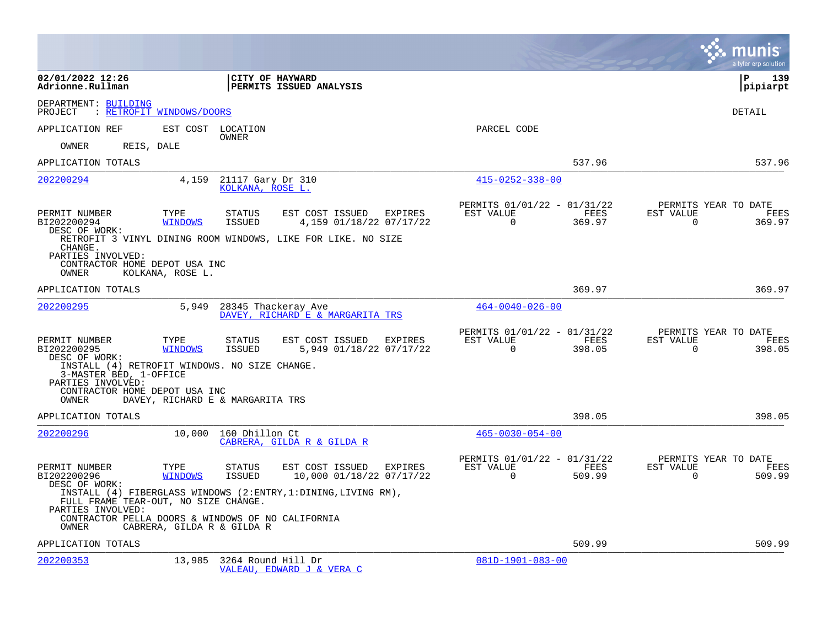|                                                                                                                         |                        |                                       |                                                                 |         |                                                      |                |                          | munis<br>a tyler erp solution          |
|-------------------------------------------------------------------------------------------------------------------------|------------------------|---------------------------------------|-----------------------------------------------------------------|---------|------------------------------------------------------|----------------|--------------------------|----------------------------------------|
| 02/01/2022 12:26<br>Adrionne.Rullman                                                                                    |                        | CITY OF HAYWARD                       | PERMITS ISSUED ANALYSIS                                         |         |                                                      |                |                          | $\mathbf{P}$<br>139<br> pipiarpt       |
| DEPARTMENT: BUILDING<br>PROJECT<br>: RETROFIT WINDOWS/DOORS                                                             |                        |                                       |                                                                 |         |                                                      |                |                          | DETAIL                                 |
| APPLICATION REF                                                                                                         | EST COST               | LOCATION                              |                                                                 |         | PARCEL CODE                                          |                |                          |                                        |
| REIS, DALE<br>OWNER                                                                                                     |                        | OWNER                                 |                                                                 |         |                                                      |                |                          |                                        |
| APPLICATION TOTALS                                                                                                      |                        |                                       |                                                                 |         |                                                      | 537.96         |                          | 537.96                                 |
| 202200294                                                                                                               | 4,159                  | 21117 Gary Dr 310<br>KOLKANA, ROSE L. |                                                                 |         | $415 - 0252 - 338 - 00$                              |                |                          |                                        |
| PERMIT NUMBER<br>BI202200294<br>DESC OF WORK:                                                                           | TYPE<br><b>WINDOWS</b> | STATUS<br>ISSUED                      | EST COST ISSUED<br>4,159 01/18/22 07/17/22                      | EXPIRES | PERMITS 01/01/22 - 01/31/22<br>EST VALUE<br>0        | FEES<br>369.97 | EST VALUE<br>0           | PERMITS YEAR TO DATE<br>FEES<br>369.97 |
| CHANGE.<br>PARTIES INVOLVED:<br>CONTRACTOR HOME DEPOT USA INC<br>OWNER                                                  | KOLKANA, ROSE L.       |                                       | RETROFIT 3 VINYL DINING ROOM WINDOWS, LIKE FOR LIKE. NO SIZE    |         |                                                      |                |                          |                                        |
| APPLICATION TOTALS                                                                                                      |                        |                                       |                                                                 |         |                                                      | 369.97         |                          | 369.97                                 |
| 202200295                                                                                                               | 5,949                  |                                       | 28345 Thackeray Ave<br>DAVEY, RICHARD E & MARGARITA TRS         |         | $464 - 0040 - 026 - 00$                              |                |                          |                                        |
| PERMIT NUMBER<br>BI202200295<br>DESC OF WORK:                                                                           | TYPE<br><b>WINDOWS</b> | STATUS<br>ISSUED                      | EST COST ISSUED<br>5,949 01/18/22 07/17/22                      | EXPIRES | PERMITS 01/01/22 - 01/31/22<br>EST VALUE<br>$\Omega$ | FEES<br>398.05 | EST VALUE<br>$\Omega$    | PERMITS YEAR TO DATE<br>FEES<br>398.05 |
| INSTALL (4) RETROFIT WINDOWS. NO SIZE CHANGE.<br>3-MASTER BED, 1-OFFICE<br>PARTIES INVOLVED:                            |                        |                                       |                                                                 |         |                                                      |                |                          |                                        |
| CONTRACTOR HOME DEPOT USA INC<br>OWNER                                                                                  |                        | DAVEY, RICHARD E & MARGARITA TRS      |                                                                 |         |                                                      |                |                          |                                        |
| APPLICATION TOTALS                                                                                                      |                        |                                       |                                                                 |         |                                                      | 398.05         |                          | 398.05                                 |
| 202200296                                                                                                               | 10,000                 | 160 Dhillon Ct                        | CABRERA, GILDA R & GILDA R                                      |         | $465 - 0030 - 054 - 00$                              |                |                          |                                        |
| PERMIT NUMBER<br>BI202200296<br>DESC OF WORK:                                                                           | TYPE<br><b>WINDOWS</b> | <b>STATUS</b><br><b>ISSUED</b>        | EST COST ISSUED<br>10,000 01/18/22 07/17/22                     | EXPIRES | PERMITS 01/01/22 - 01/31/22<br>EST VALUE<br>0        | FEES<br>509.99 | EST VALUE<br>$\mathbf 0$ | PERMITS YEAR TO DATE<br>FEES<br>509.99 |
| FULL FRAME TEAR-OUT, NO SIZE CHANGE.<br>PARTIES INVOLVED:<br>CONTRACTOR PELLA DOORS & WINDOWS OF NO CALIFORNIA<br>OWNER |                        | CABRERA, GILDA R & GILDA R            | INSTALL (4) FIBERGLASS WINDOWS (2:ENTRY, 1: DINING, LIVING RM), |         |                                                      |                |                          |                                        |
| APPLICATION TOTALS                                                                                                      |                        |                                       |                                                                 |         |                                                      | 509.99         |                          | 509.99                                 |
| 202200353                                                                                                               | 13,985                 | 3264 Round Hill Dr                    | VALEAU, EDWARD J & VERA C                                       |         | $081D-1901-083-00$                                   |                |                          |                                        |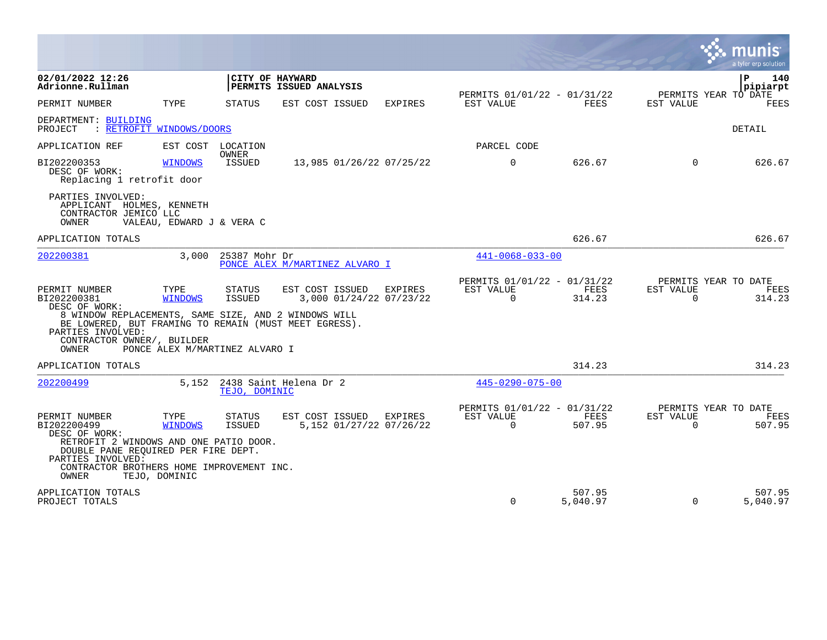|                                                                                                                                                                  |                           |                                |                                                    |                |                                                      |                    |                                               | a tyler erp solution            |
|------------------------------------------------------------------------------------------------------------------------------------------------------------------|---------------------------|--------------------------------|----------------------------------------------------|----------------|------------------------------------------------------|--------------------|-----------------------------------------------|---------------------------------|
| 02/01/2022 12:26<br>Adrionne.Rullman                                                                                                                             |                           | CITY OF HAYWARD                | PERMITS ISSUED ANALYSIS                            |                |                                                      |                    |                                               | $\mathbf{P}$<br>140<br>pipiarpt |
| PERMIT NUMBER                                                                                                                                                    | TYPE                      | STATUS                         | EST COST ISSUED                                    | <b>EXPIRES</b> | PERMITS 01/01/22 - 01/31/22<br>EST VALUE             | FEES               | PERMITS YEAR TO DATE<br>EST VALUE             | <b>FEES</b>                     |
| DEPARTMENT: BUILDING<br>: RETROFIT WINDOWS/DOORS<br>PROJECT                                                                                                      |                           |                                |                                                    |                |                                                      |                    |                                               | DETAIL                          |
| APPLICATION REF                                                                                                                                                  | EST COST LOCATION         |                                |                                                    |                | PARCEL CODE                                          |                    |                                               |                                 |
| BI202200353<br>DESC OF WORK:<br>Replacing 1 retrofit door                                                                                                        | <b>WINDOWS</b>            | <b>OWNER</b><br><b>ISSUED</b>  | 13,985 01/26/22 07/25/22                           |                | $\Omega$                                             | 626.67             | $\Omega$                                      | 626.67                          |
| PARTIES INVOLVED:<br>APPLICANT HOLMES, KENNETH<br>CONTRACTOR JEMICO LLC<br>OWNER                                                                                 | VALEAU, EDWARD J & VERA C |                                |                                                    |                |                                                      |                    |                                               |                                 |
| APPLICATION TOTALS                                                                                                                                               |                           |                                |                                                    |                |                                                      | 626.67             |                                               | 626.67                          |
| 202200381                                                                                                                                                        | 3,000                     | 25387 Mohr Dr                  | PONCE ALEX M/MARTINEZ ALVARO I                     |                | $441 - 0068 - 033 - 00$                              |                    |                                               |                                 |
| PERMIT NUMBER<br>BI202200381<br>DESC OF WORK:                                                                                                                    | TYPE<br><b>WINDOWS</b>    | <b>STATUS</b><br>ISSUED        | EST COST ISSUED<br>3,000 01/24/22 07/23/22         | EXPIRES        | PERMITS 01/01/22 - 01/31/22<br>EST VALUE<br>$\Omega$ | FEES<br>314.23     | PERMITS YEAR TO DATE<br>EST VALUE<br>$\Omega$ | FEES<br>314.23                  |
| 8 WINDOW REPLACEMENTS, SAME SIZE, AND 2 WINDOWS WILL<br>BE LOWERED, BUT FRAMING TO REMAIN (MUST MEET EGRESS).<br>PARTIES INVOLVED:<br>CONTRACTOR OWNER/, BUILDER |                           |                                |                                                    |                |                                                      |                    |                                               |                                 |
| OWNER                                                                                                                                                            |                           | PONCE ALEX M/MARTINEZ ALVARO I |                                                    |                |                                                      |                    |                                               |                                 |
| APPLICATION TOTALS                                                                                                                                               |                           |                                |                                                    |                |                                                      | 314.23             |                                               | 314.23                          |
| 202200499                                                                                                                                                        | 5,152                     | TEJO, DOMINIC                  | 2438 Saint Helena Dr 2                             |                | $445 - 0290 - 075 - 00$                              |                    |                                               |                                 |
| PERMIT NUMBER<br>BI202200499<br>DESC OF WORK:<br>RETROFIT 2 WINDOWS AND ONE PATIO DOOR.<br>DOUBLE PANE REQUIRED PER FIRE DEPT.                                   | TYPE<br><b>WINDOWS</b>    | STATUS<br><b>ISSUED</b>        | EST COST ISSUED EXPIRES<br>5,152 01/27/22 07/26/22 |                | PERMITS 01/01/22 - 01/31/22<br>EST VALUE<br>$\Omega$ | FEES<br>507.95     | PERMITS YEAR TO DATE<br>EST VALUE<br>$\Omega$ | FEES<br>507.95                  |
| PARTIES INVOLVED:<br>CONTRACTOR BROTHERS HOME IMPROVEMENT INC.<br>OWNER                                                                                          | TEJO, DOMINIC             |                                |                                                    |                |                                                      |                    |                                               |                                 |
| APPLICATION TOTALS<br>PROJECT TOTALS                                                                                                                             |                           |                                |                                                    |                | $\Omega$                                             | 507.95<br>5,040.97 | $\Omega$                                      | 507.95<br>5,040.97              |